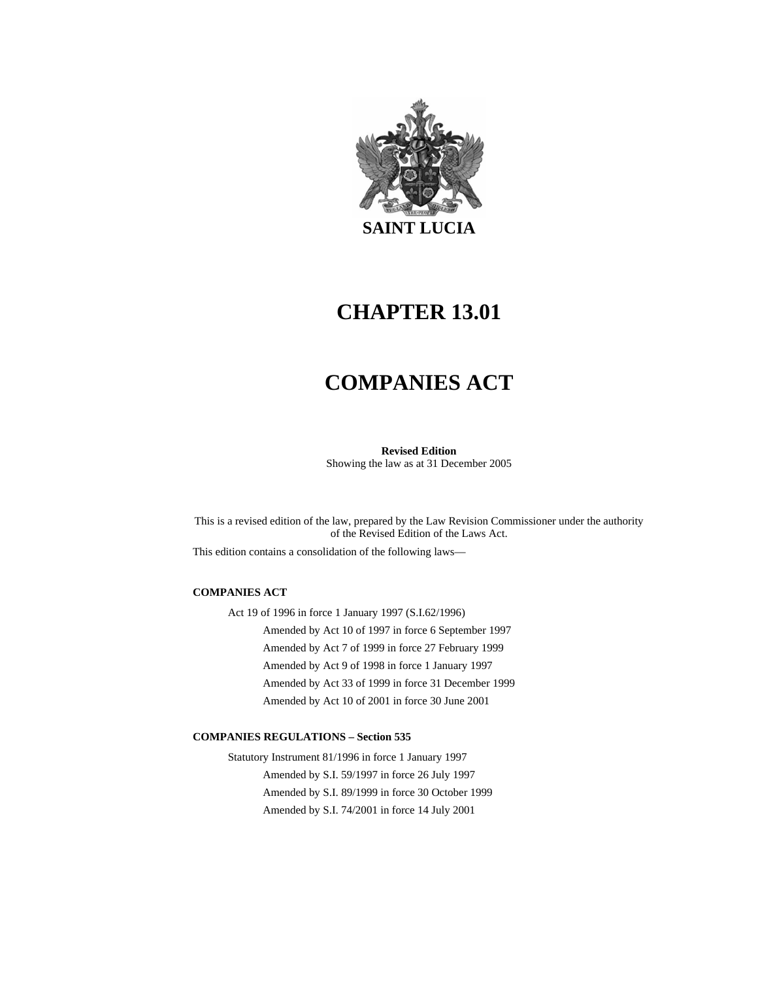

# **CHAPTER 13.01**

# **COMPANIES ACT**

**Revised Edition**  Showing the law as at 31 December 2005

This is a revised edition of the law, prepared by the Law Revision Commissioner under the authority of the Revised Edition of the Laws Act.

This edition contains a consolidation of the following laws—

#### **COMPANIES ACT**

Act 19 of 1996 in force 1 January 1997 (S.I.62/1996) Amended by Act 10 of 1997 in force 6 September 1997 Amended by Act 7 of 1999 in force 27 February 1999 Amended by Act 9 of 1998 in force 1 January 1997 Amended by Act 33 of 1999 in force 31 December 1999 Amended by Act 10 of 2001 in force 30 June 2001

#### **COMPANIES REGULATIONS – Section 535**

Statutory Instrument 81/1996 in force 1 January 1997 Amended by S.I. 59/1997 in force 26 July 1997 Amended by S.I. 89/1999 in force 30 October 1999 Amended by S.I. 74/2001 in force 14 July 2001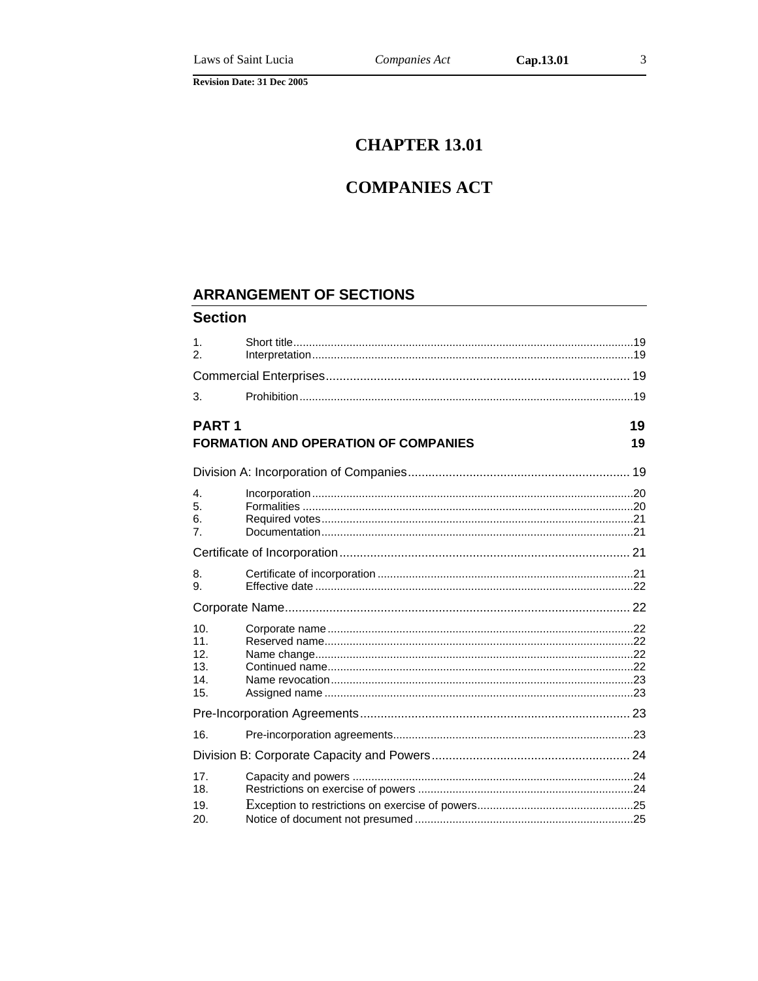Cap.13.01

## **CHAPTER 13.01**

## **COMPANIES ACT**

## **ARRANGEMENT OF SECTIONS**

### **Section**

| $\mathbf{1}$ .<br>$\mathcal{P}_{\mathcal{P}}$      |                                             |          |
|----------------------------------------------------|---------------------------------------------|----------|
|                                                    |                                             |          |
| 3.                                                 |                                             |          |
| <b>PART1</b>                                       | <b>FORMATION AND OPERATION OF COMPANIES</b> | 19<br>19 |
|                                                    |                                             |          |
| 4.<br>5.<br>6.<br>7.                               |                                             |          |
|                                                    |                                             |          |
| 8.<br>9.                                           |                                             |          |
|                                                    |                                             |          |
| 10 <sub>1</sub><br>11.<br>12.<br>13.<br>14.<br>15. |                                             |          |
|                                                    |                                             |          |
| 16.                                                |                                             |          |
|                                                    |                                             |          |
| 17.<br>18.<br>19.                                  |                                             |          |
| 20.                                                |                                             |          |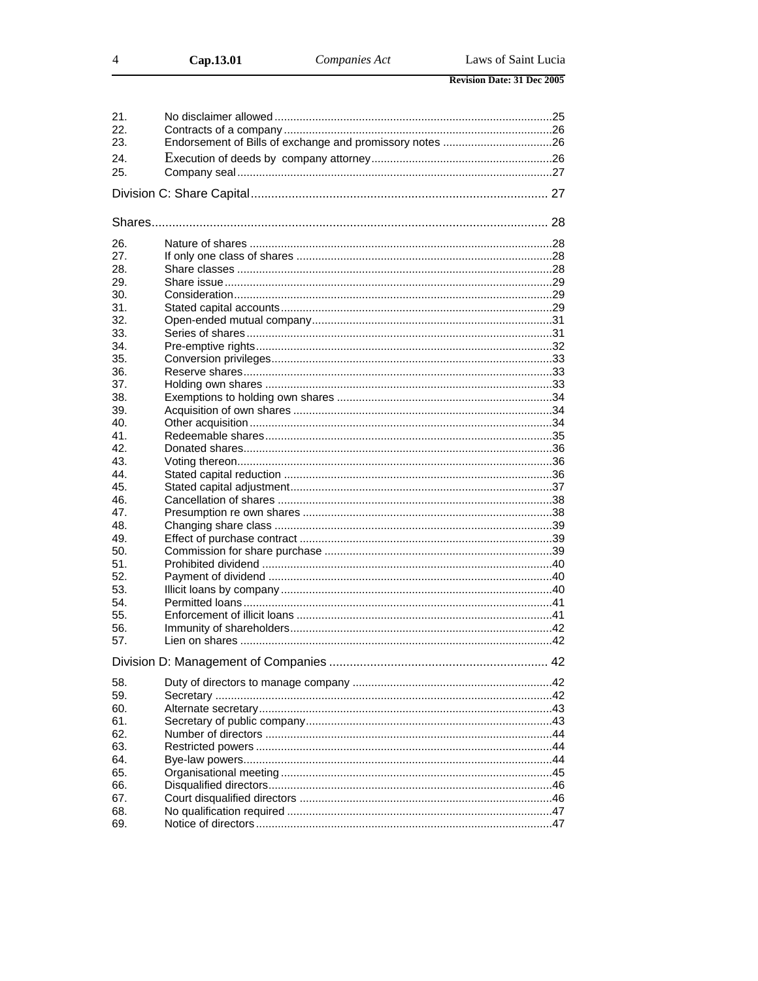| Cap.13.01 |
|-----------|
|-----------|

 $\overline{4}$ 

| 21. |  |
|-----|--|
| 22. |  |
| 23. |  |
|     |  |
| 24. |  |
| 25. |  |
|     |  |
|     |  |
|     |  |
|     |  |
|     |  |
| 26. |  |
| 27. |  |
|     |  |
| 28. |  |
| 29. |  |
| 30. |  |
| 31. |  |
| 32. |  |
| 33. |  |
| 34. |  |
|     |  |
| 35. |  |
| 36. |  |
| 37. |  |
| 38. |  |
| 39. |  |
| 40. |  |
| 41. |  |
| 42. |  |
|     |  |
| 43. |  |
| 44. |  |
| 45. |  |
| 46. |  |
| 47. |  |
| 48. |  |
| 49. |  |
| 50. |  |
|     |  |
| 51. |  |
| 52. |  |
| 53. |  |
| 54. |  |
| 55. |  |
| 56. |  |
| 57. |  |
|     |  |
|     |  |
|     |  |
| 58. |  |
| 59. |  |
| 60. |  |
| 61. |  |
| 62. |  |
|     |  |
| 63. |  |
| 64. |  |
| 65. |  |
| 66. |  |
| 67. |  |
| 68. |  |
| 69. |  |
|     |  |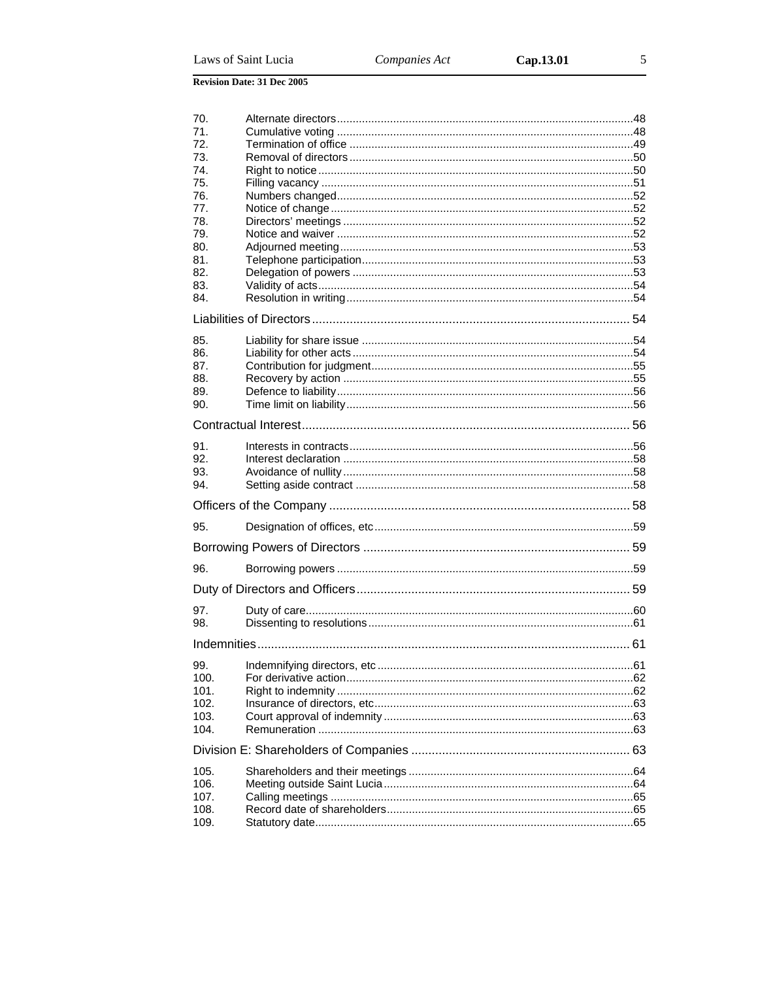| 70.          |  |
|--------------|--|
| 71.<br>72.   |  |
| 73.          |  |
| 74.          |  |
| 75.          |  |
| 76.          |  |
| 77.<br>78.   |  |
| 79.          |  |
| 80.          |  |
| 81.          |  |
| 82.<br>83.   |  |
| 84.          |  |
|              |  |
|              |  |
| 85.<br>86.   |  |
| 87.          |  |
| 88.          |  |
| 89.          |  |
| 90.          |  |
|              |  |
| 91.          |  |
| 92.          |  |
| 93.          |  |
| 94.          |  |
|              |  |
| 95.          |  |
|              |  |
| 96.          |  |
|              |  |
| 97.          |  |
| 98.          |  |
|              |  |
| 99.          |  |
| 100.         |  |
| 101.         |  |
| 102.<br>103. |  |
| 104.         |  |
|              |  |
| 105.         |  |
| 106.         |  |
| 107.         |  |
| 108.         |  |
| 109.         |  |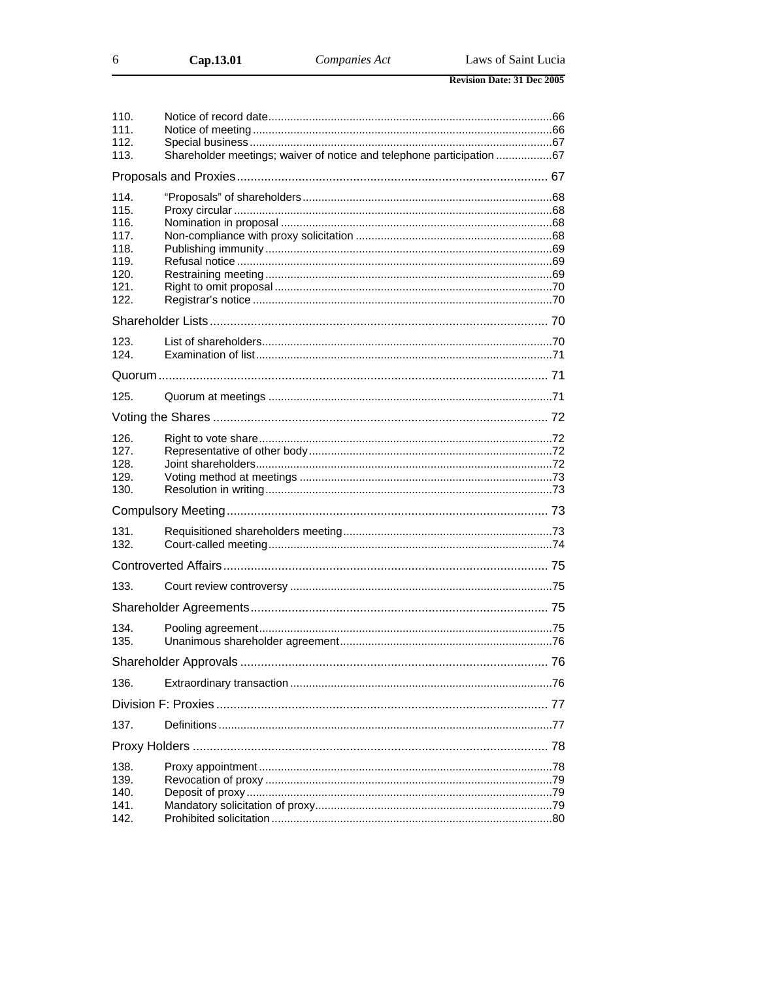| Cap.13.01 | <i>Companies Act</i> | Laws of Saint Lucia |
|-----------|----------------------|---------------------|
|           |                      |                     |

| 110.         |                                                                       |  |
|--------------|-----------------------------------------------------------------------|--|
| 111.         |                                                                       |  |
| 112.         |                                                                       |  |
| 113.         | Shareholder meetings; waiver of notice and telephone participation 67 |  |
|              |                                                                       |  |
| 114.         |                                                                       |  |
| 115.         |                                                                       |  |
| 116.         |                                                                       |  |
| 117.         |                                                                       |  |
| 118.         |                                                                       |  |
| 119.         |                                                                       |  |
| 120.         |                                                                       |  |
| 121.         |                                                                       |  |
| 122.         |                                                                       |  |
|              |                                                                       |  |
| 123.         |                                                                       |  |
| 124.         |                                                                       |  |
|              |                                                                       |  |
| 125.         |                                                                       |  |
|              |                                                                       |  |
|              |                                                                       |  |
| 126.         |                                                                       |  |
| 127.         |                                                                       |  |
| 128.         |                                                                       |  |
| 129.<br>130. |                                                                       |  |
|              |                                                                       |  |
| 131.         |                                                                       |  |
| 132.         |                                                                       |  |
|              |                                                                       |  |
| 133.         |                                                                       |  |
|              |                                                                       |  |
| 134.         |                                                                       |  |
| 135.         |                                                                       |  |
|              |                                                                       |  |
| 136.         |                                                                       |  |
|              |                                                                       |  |
| 137.         |                                                                       |  |
|              |                                                                       |  |
| 138.         |                                                                       |  |
| 139.         |                                                                       |  |
| 140.         |                                                                       |  |
| 141.         |                                                                       |  |
| 142.         |                                                                       |  |
|              |                                                                       |  |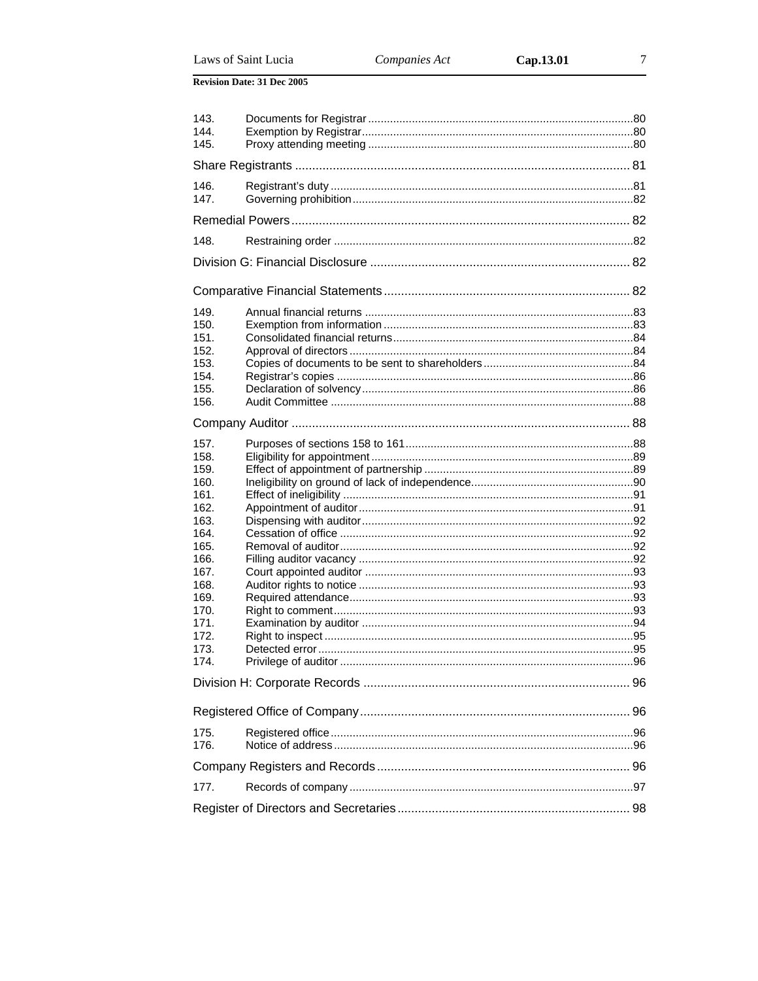|  | Laws of Saint Lucia |
|--|---------------------|
|  |                     |

| 143. |  |
|------|--|
| 144. |  |
| 145. |  |
|      |  |
| 146. |  |
| 147. |  |
|      |  |
|      |  |
| 148. |  |
|      |  |
|      |  |
| 149. |  |
| 150. |  |
| 151. |  |
| 152. |  |
| 153. |  |
| 154. |  |
| 155. |  |
| 156. |  |
|      |  |
| 157. |  |
| 158. |  |
| 159. |  |
| 160. |  |
| 161. |  |
| 162. |  |
| 163. |  |
| 164. |  |
| 165. |  |
| 166. |  |
| 167. |  |
| 168. |  |
| 169. |  |
| 170. |  |
| 171. |  |
| 172. |  |
| 173. |  |
| 174. |  |
|      |  |
|      |  |
|      |  |
| 175. |  |
| 176. |  |
|      |  |
| 177. |  |
|      |  |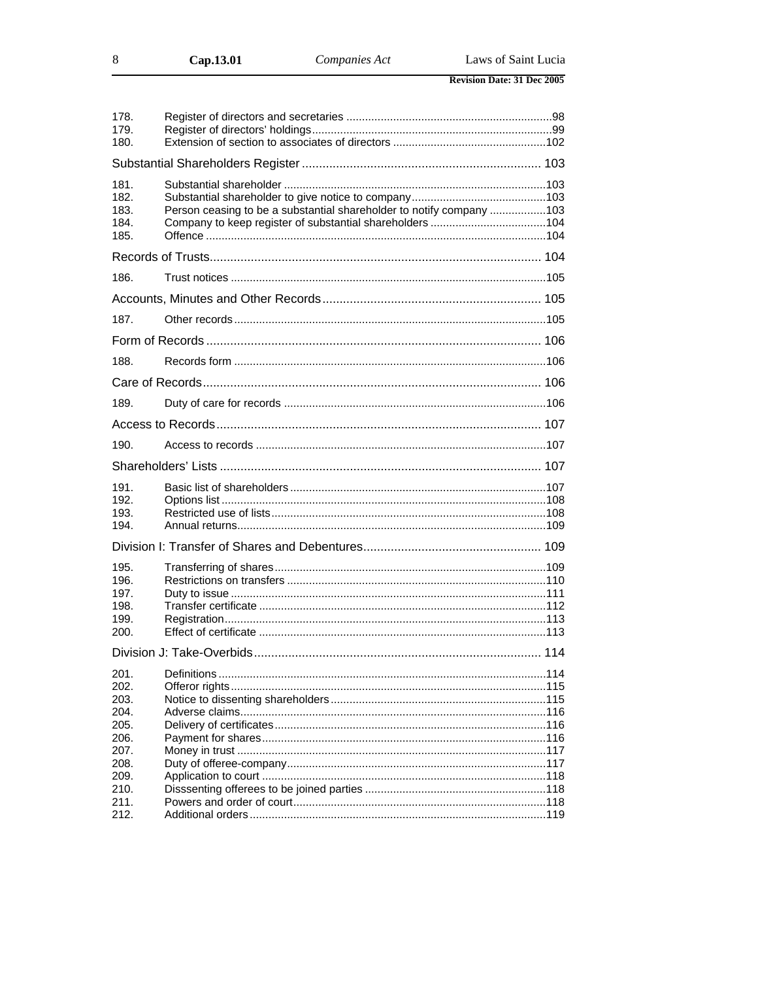| Cap.13.01 |  |
|-----------|--|
|-----------|--|

 $\,8\,$ 

| 178.<br>179.<br>180.                                         |                                                                      |  |
|--------------------------------------------------------------|----------------------------------------------------------------------|--|
|                                                              |                                                                      |  |
| 181.<br>182.<br>183.<br>184.<br>185.                         | Person ceasing to be a substantial shareholder to notify company 103 |  |
|                                                              |                                                                      |  |
| 186.                                                         |                                                                      |  |
|                                                              |                                                                      |  |
| 187.                                                         |                                                                      |  |
|                                                              |                                                                      |  |
| 188.                                                         |                                                                      |  |
|                                                              |                                                                      |  |
| 189.                                                         |                                                                      |  |
|                                                              |                                                                      |  |
| 190.                                                         |                                                                      |  |
|                                                              |                                                                      |  |
| 191.<br>192.<br>193.<br>194.                                 |                                                                      |  |
|                                                              |                                                                      |  |
| 195.<br>196.<br>197.<br>198.<br>199.<br>200.                 |                                                                      |  |
|                                                              |                                                                      |  |
| 201.<br>202.<br>203.<br>204.<br>205.<br>206.<br>207.<br>208. |                                                                      |  |
| 209.<br>210.                                                 |                                                                      |  |
| 211.<br>212.                                                 |                                                                      |  |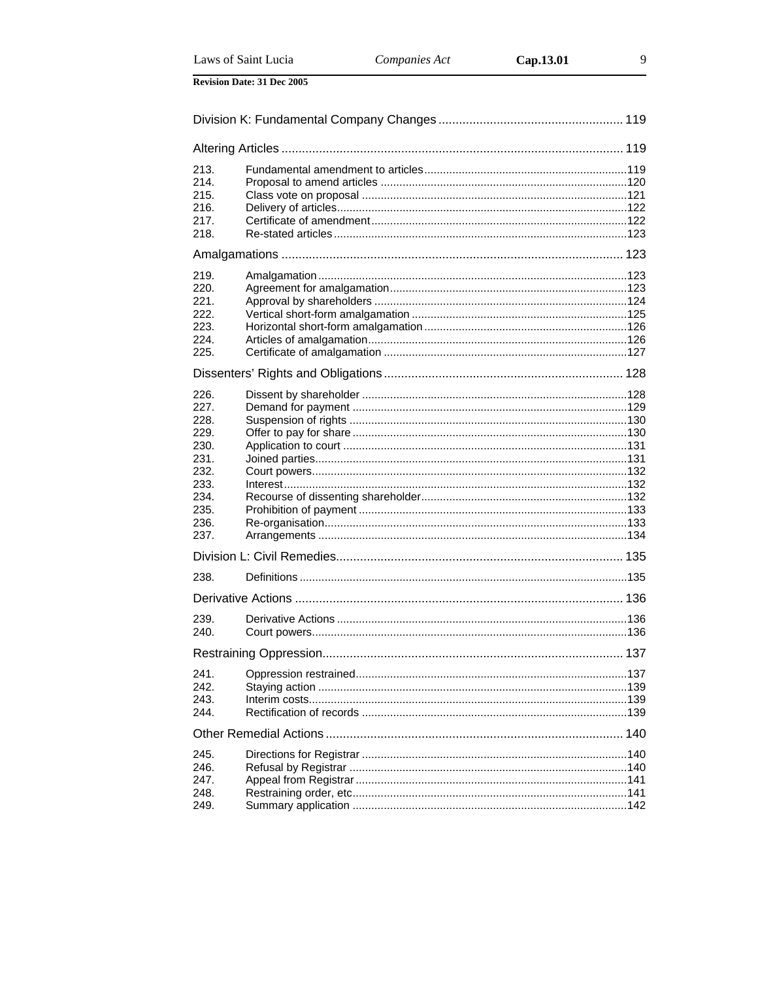Laws of Saint Lucia

| 213.         |  |  |  |
|--------------|--|--|--|
| 214.         |  |  |  |
| 215.<br>216. |  |  |  |
| 217.         |  |  |  |
| 218.         |  |  |  |
|              |  |  |  |
|              |  |  |  |
| 219.         |  |  |  |
| 220.         |  |  |  |
| 221.         |  |  |  |
| 222.         |  |  |  |
| 223.         |  |  |  |
| 224.         |  |  |  |
| 225.         |  |  |  |
|              |  |  |  |
| 226.         |  |  |  |
| 227.         |  |  |  |
| 228.         |  |  |  |
| 229.         |  |  |  |
| 230.         |  |  |  |
| 231.         |  |  |  |
| 232.         |  |  |  |
| 233.         |  |  |  |
| 234.         |  |  |  |
| 235.         |  |  |  |
| 236.         |  |  |  |
| 237.         |  |  |  |
|              |  |  |  |
| 238.         |  |  |  |
|              |  |  |  |
| 239.         |  |  |  |
| 240.         |  |  |  |
|              |  |  |  |
|              |  |  |  |
| 241.         |  |  |  |
| 242.         |  |  |  |
| 243.<br>244. |  |  |  |
|              |  |  |  |
|              |  |  |  |
| 245.         |  |  |  |
| 246.         |  |  |  |
| 247.         |  |  |  |
| 248.         |  |  |  |
| 249.         |  |  |  |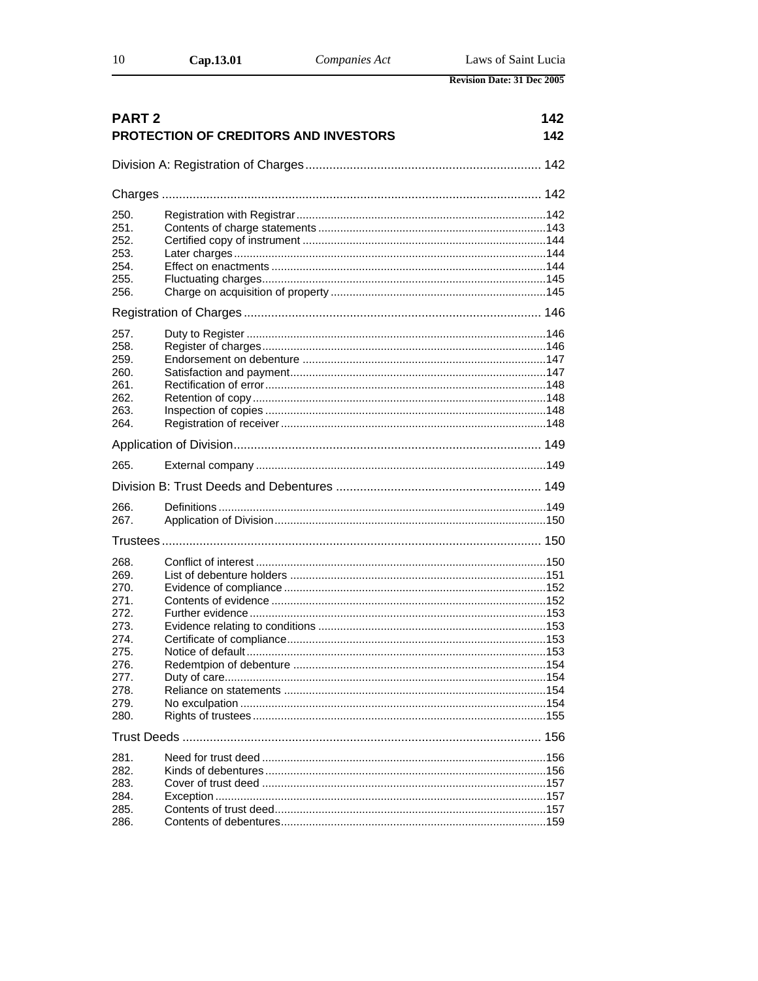| 10 | Cap.13.01 | Companies Act | Laws of Saint Lucia               |
|----|-----------|---------------|-----------------------------------|
|    |           |               | <b>Revision Date: 31 Dec 2005</b> |

| <b>PART 2</b> | 142<br>PROTECTION OF CREDITORS AND INVESTORS<br>142 |  |
|---------------|-----------------------------------------------------|--|
|               |                                                     |  |
|               |                                                     |  |
|               |                                                     |  |
| 250.          |                                                     |  |
| 251.          |                                                     |  |
| 252.          |                                                     |  |
| 253.          |                                                     |  |
| 254.          |                                                     |  |
| 255.          |                                                     |  |
| 256.          |                                                     |  |
|               |                                                     |  |
| 257.          |                                                     |  |
| 258.          |                                                     |  |
| 259.          |                                                     |  |
| 260.          |                                                     |  |
| 261.          |                                                     |  |
| 262.          |                                                     |  |
| 263.          |                                                     |  |
| 264.          |                                                     |  |
|               |                                                     |  |
| 265.          |                                                     |  |
|               |                                                     |  |
| 266.          |                                                     |  |
| 267.          |                                                     |  |
|               |                                                     |  |
| 268.          |                                                     |  |
| 269.          |                                                     |  |
| 270.          |                                                     |  |
| 271.          |                                                     |  |
| 272.          |                                                     |  |
| 273.          |                                                     |  |
| 274.          |                                                     |  |
| 275.          |                                                     |  |
| 276.          |                                                     |  |
| 277.          |                                                     |  |
| 278.          |                                                     |  |
| 279.          |                                                     |  |
| 280.          |                                                     |  |
|               |                                                     |  |
| 281.          |                                                     |  |
| 282.          |                                                     |  |
| 283.          |                                                     |  |
| 284.          |                                                     |  |
| 285.          |                                                     |  |
| 286.          |                                                     |  |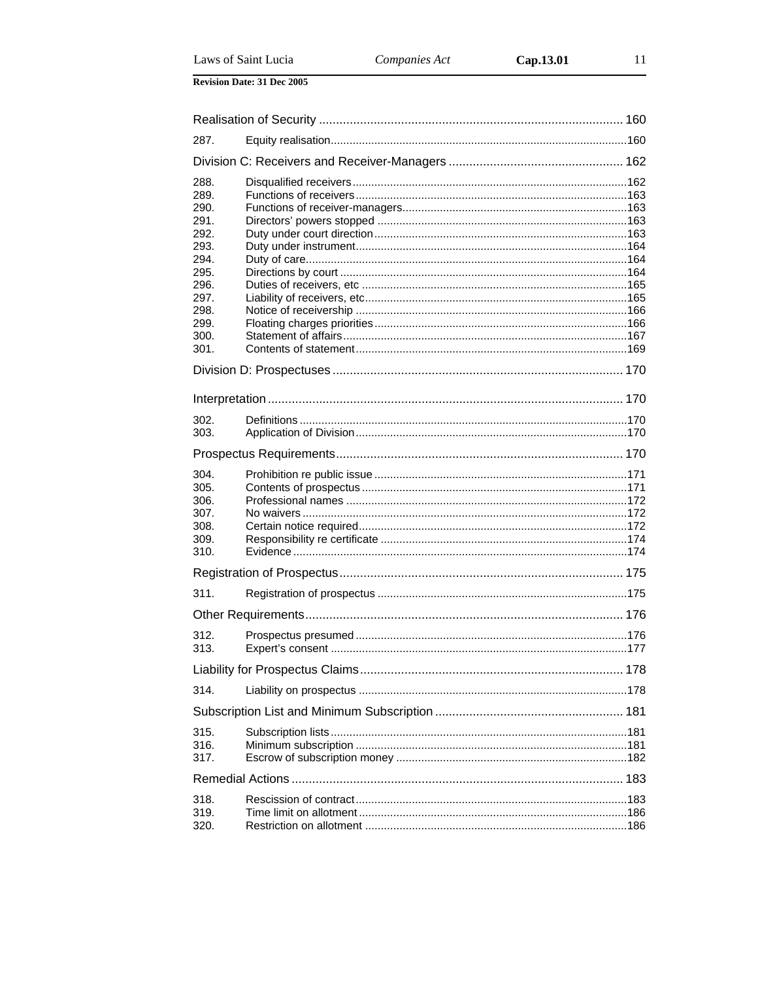| 287.         |  |
|--------------|--|
|              |  |
| 288.         |  |
| 289.         |  |
| 290.         |  |
| 291.         |  |
| 292.         |  |
| 293.         |  |
| 294.<br>295. |  |
| 296.         |  |
| 297.         |  |
| 298.         |  |
| 299.         |  |
| 300.         |  |
| 301.         |  |
|              |  |
|              |  |
|              |  |
| 302.         |  |
| 303.         |  |
|              |  |
|              |  |
| 304.         |  |
| 305.         |  |
| 306.         |  |
| 307.         |  |
| 308.         |  |
| 309.         |  |
| 310.         |  |
|              |  |
| 311.         |  |
|              |  |
| 312.         |  |
| 313.         |  |
|              |  |
| 314.         |  |
|              |  |
|              |  |
| 315.         |  |
| 316.         |  |
| 317.         |  |
|              |  |
| 318.         |  |
| 319.         |  |
| 320.         |  |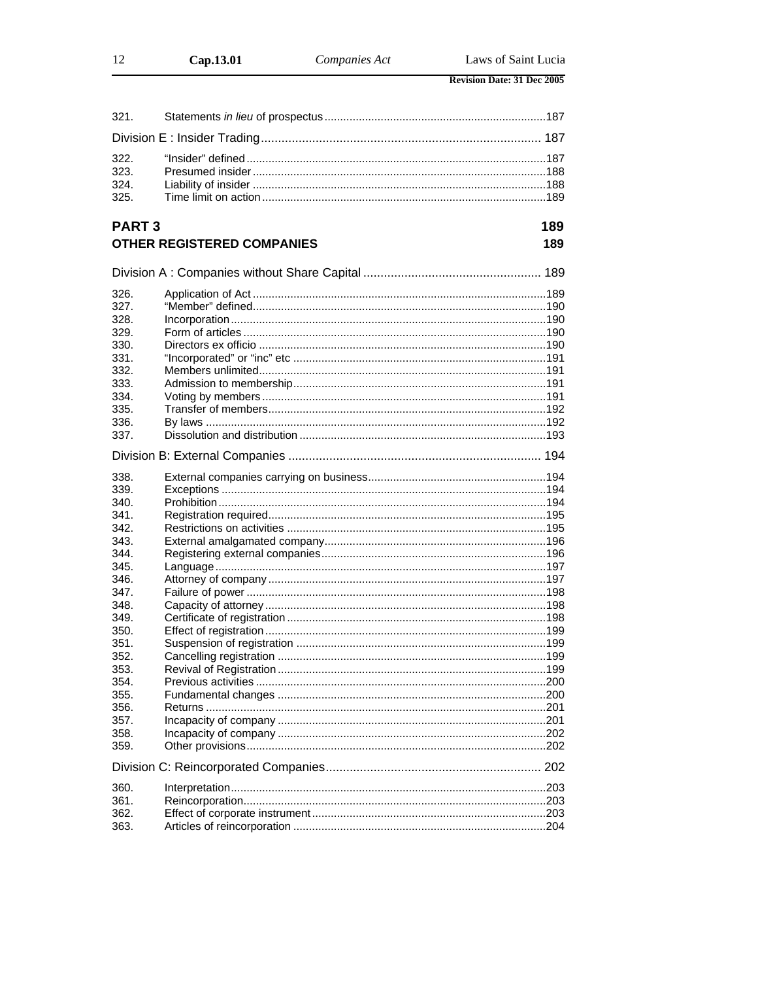| -12  | Cap.13.01 | Companies Act | Laws of Saint Lucia               |
|------|-----------|---------------|-----------------------------------|
|      |           |               | <b>Revision Date: 31 Dec 2005</b> |
| 321. |           |               |                                   |
|      |           |               |                                   |

## PART<sub>3</sub>

189

|      | <b>OTHER REGISTERED COMPANIES</b> | 189 |
|------|-----------------------------------|-----|
|      |                                   |     |
| 326. |                                   |     |
| 327. |                                   |     |
| 328. |                                   |     |
| 329. |                                   |     |
| 330. |                                   |     |
| 331. |                                   |     |
| 332. |                                   |     |
| 333. |                                   |     |
| 334. |                                   |     |
| 335. |                                   |     |
| 336. |                                   |     |
| 337. |                                   |     |
|      |                                   |     |
| 338. |                                   |     |
| 339. |                                   |     |
| 340. |                                   |     |
| 341. |                                   |     |
| 342. |                                   |     |
| 343. |                                   |     |
| 344. |                                   |     |
| 345. |                                   |     |
| 346. |                                   |     |
| 347. |                                   |     |
| 348. |                                   |     |
| 349. |                                   |     |
| 350. |                                   |     |
| 351. |                                   |     |
| 352. |                                   |     |
| 353. |                                   |     |
| 354. |                                   |     |
| 355. |                                   |     |
| 356. |                                   |     |
| 357. |                                   |     |
| 358. |                                   |     |
| 359. |                                   |     |
|      |                                   |     |
| 360. |                                   |     |
| 361. |                                   |     |
| 362. |                                   |     |
| 363. |                                   |     |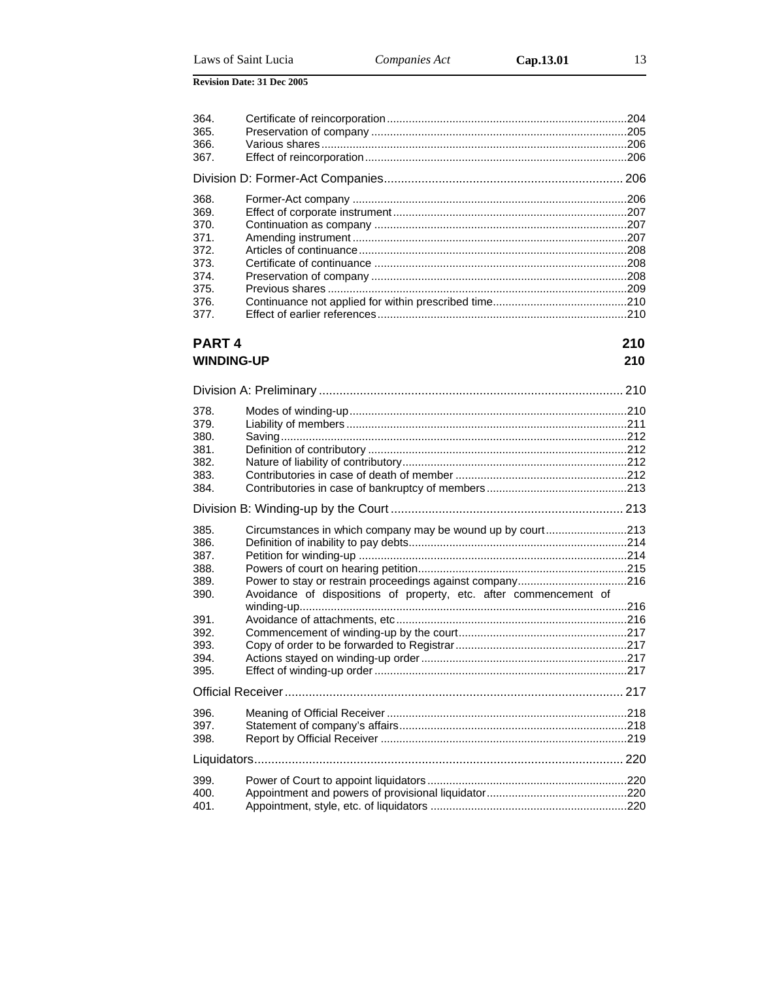| 364. | .204 |
|------|------|
| 365. | .205 |
| 366. | .206 |
| 367. |      |
|      | 206  |
| 368. | 206  |
| 369. | .207 |
| 370. |      |
| 371. | 207  |
| 372. | .208 |
| 373. |      |
| 374. | .208 |
| 375. |      |
| 376. |      |
| 377. | 210  |
|      |      |

## **PART 4** 210 **WINDING-UP 210**

| 378.<br>379. |                                                                   |  |
|--------------|-------------------------------------------------------------------|--|
| 380.<br>381. |                                                                   |  |
| 382.         |                                                                   |  |
| 383.<br>384. |                                                                   |  |
|              |                                                                   |  |
| 385.         | Circumstances in which company may be wound up by court213        |  |
| 386.         |                                                                   |  |
| 387.         |                                                                   |  |
| 388.         |                                                                   |  |
| 389.<br>390. | Avoidance of dispositions of property, etc. after commencement of |  |
|              |                                                                   |  |
| 391.         |                                                                   |  |
| 392.         |                                                                   |  |
| 393.         |                                                                   |  |
| 394.         |                                                                   |  |
| 395.         |                                                                   |  |
|              |                                                                   |  |
| 396.         |                                                                   |  |
| 397.         |                                                                   |  |
| 398.         |                                                                   |  |
|              |                                                                   |  |
| 399.         |                                                                   |  |
| 400.         |                                                                   |  |
| 401.         |                                                                   |  |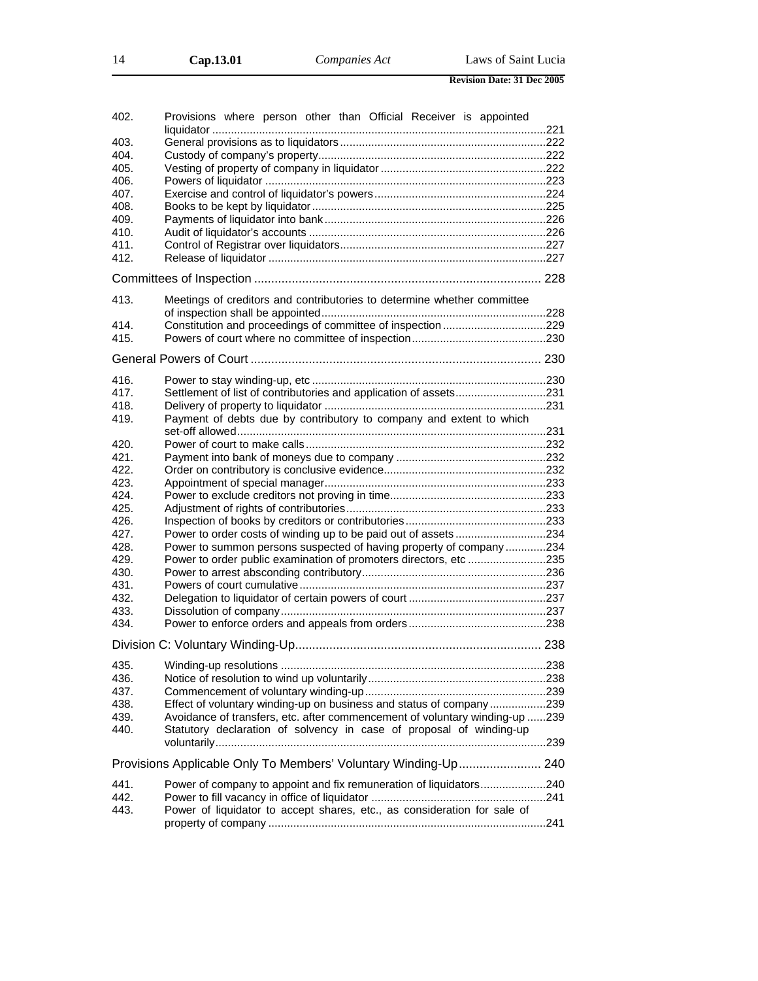| 402. | Provisions where person other than Official Receiver is appointed           |  |
|------|-----------------------------------------------------------------------------|--|
| 403. |                                                                             |  |
| 404. |                                                                             |  |
| 405. |                                                                             |  |
| 406. |                                                                             |  |
| 407. |                                                                             |  |
| 408. |                                                                             |  |
| 409. |                                                                             |  |
| 410. |                                                                             |  |
| 411. |                                                                             |  |
| 412. |                                                                             |  |
|      |                                                                             |  |
|      |                                                                             |  |
| 413. | Meetings of creditors and contributories to determine whether committee     |  |
| 414. |                                                                             |  |
| 415. |                                                                             |  |
|      |                                                                             |  |
| 416. |                                                                             |  |
| 417. | Settlement of list of contributories and application of assets231           |  |
| 418. |                                                                             |  |
|      | Payment of debts due by contributory to company and extent to which         |  |
| 419. |                                                                             |  |
| 420. |                                                                             |  |
| 421. |                                                                             |  |
| 422. |                                                                             |  |
| 423. |                                                                             |  |
| 424. |                                                                             |  |
| 425. |                                                                             |  |
| 426. |                                                                             |  |
| 427. | Power to order costs of winding up to be paid out of assets 234             |  |
| 428. | Power to summon persons suspected of having property of company234          |  |
| 429. | Power to order public examination of promoters directors, etc 235           |  |
| 430. |                                                                             |  |
| 431. |                                                                             |  |
| 432. |                                                                             |  |
| 433. |                                                                             |  |
| 434. |                                                                             |  |
|      |                                                                             |  |
|      |                                                                             |  |
| 435. |                                                                             |  |
| 436. |                                                                             |  |
| 437. |                                                                             |  |
| 438. | Effect of voluntary winding-up on business and status of company239         |  |
| 439. | Avoidance of transfers, etc. after commencement of voluntary winding-up 239 |  |
| 440. | Statutory declaration of solvency in case of proposal of winding-up         |  |
|      | Provisions Applicable Only To Members' Voluntary Winding-Up 240             |  |
| 441. | Power of company to appoint and fix remuneration of liquidators240          |  |
| 442. |                                                                             |  |
| 443. | Power of liquidator to accept shares, etc., as consideration for sale of    |  |
|      |                                                                             |  |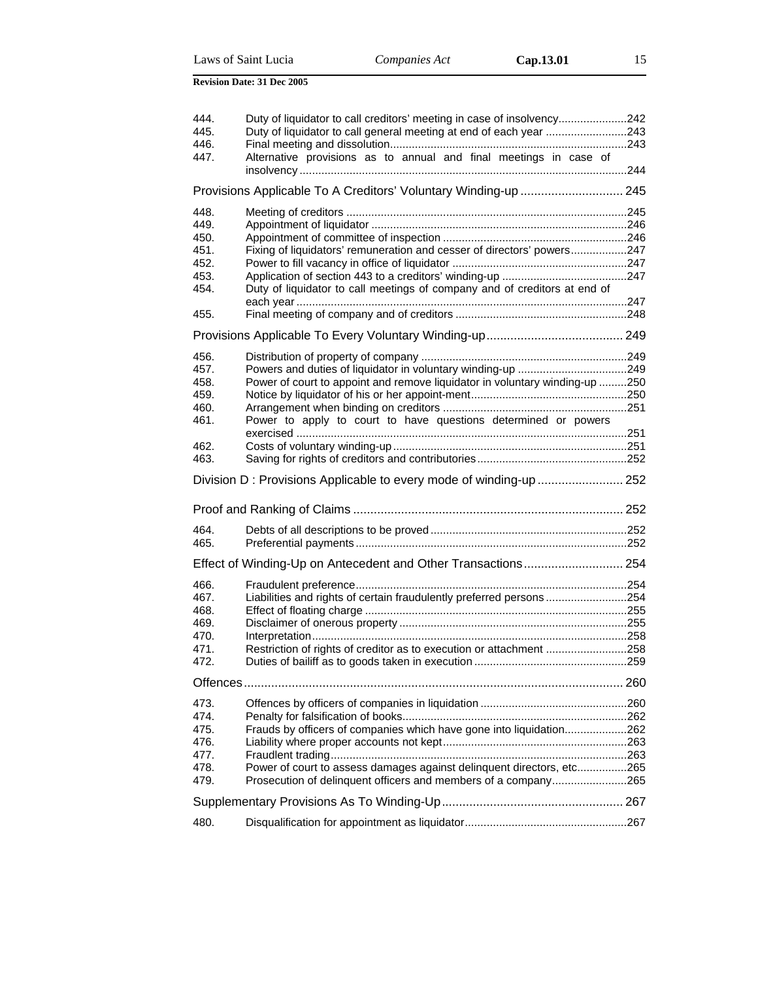|  | Laws of Saint Lucia |
|--|---------------------|
|  |                     |

| 444.         | Duty of liquidator to call creditors' meeting in case of insolvency242                                                                  |  |
|--------------|-----------------------------------------------------------------------------------------------------------------------------------------|--|
| 445.         | Duty of liquidator to call general meeting at end of each year 243                                                                      |  |
| 446.<br>447. | Alternative provisions as to annual and final meetings in case of                                                                       |  |
|              |                                                                                                                                         |  |
|              |                                                                                                                                         |  |
|              | Provisions Applicable To A Creditors' Voluntary Winding-up  245                                                                         |  |
| 448.         |                                                                                                                                         |  |
| 449.         |                                                                                                                                         |  |
| 450.         |                                                                                                                                         |  |
| 451.         | Fixing of liquidators' remuneration and cesser of directors' powers247                                                                  |  |
| 452.<br>453. |                                                                                                                                         |  |
| 454.         | Duty of liquidator to call meetings of company and of creditors at end of                                                               |  |
|              |                                                                                                                                         |  |
| 455.         |                                                                                                                                         |  |
|              |                                                                                                                                         |  |
|              |                                                                                                                                         |  |
| 456.         |                                                                                                                                         |  |
| 457.         |                                                                                                                                         |  |
| 458.<br>459. | Power of court to appoint and remove liquidator in voluntary winding-up 250                                                             |  |
| 460.         |                                                                                                                                         |  |
| 461.         | Power to apply to court to have questions determined or powers                                                                          |  |
|              |                                                                                                                                         |  |
| 462.         |                                                                                                                                         |  |
| 463.         |                                                                                                                                         |  |
|              |                                                                                                                                         |  |
|              |                                                                                                                                         |  |
|              |                                                                                                                                         |  |
|              |                                                                                                                                         |  |
| 464.         |                                                                                                                                         |  |
| 465.         |                                                                                                                                         |  |
|              |                                                                                                                                         |  |
|              | Effect of Winding-Up on Antecedent and Other Transactions 254                                                                           |  |
| 466.         |                                                                                                                                         |  |
| 467.         | Liabilities and rights of certain fraudulently preferred persons254                                                                     |  |
| 468.         |                                                                                                                                         |  |
| 469.         |                                                                                                                                         |  |
| 470.<br>471. |                                                                                                                                         |  |
| 472.         | Restriction of rights of creditor as to execution or attachment 258                                                                     |  |
|              |                                                                                                                                         |  |
|              |                                                                                                                                         |  |
| 473.         |                                                                                                                                         |  |
| 474.         |                                                                                                                                         |  |
| 475.         | Frauds by officers of companies which have gone into liquidation262                                                                     |  |
| 476.         |                                                                                                                                         |  |
| 477.<br>478. |                                                                                                                                         |  |
| 479.         | Power of court to assess damages against delinquent directors, etc265<br>Prosecution of delinquent officers and members of a company265 |  |
|              |                                                                                                                                         |  |
|              |                                                                                                                                         |  |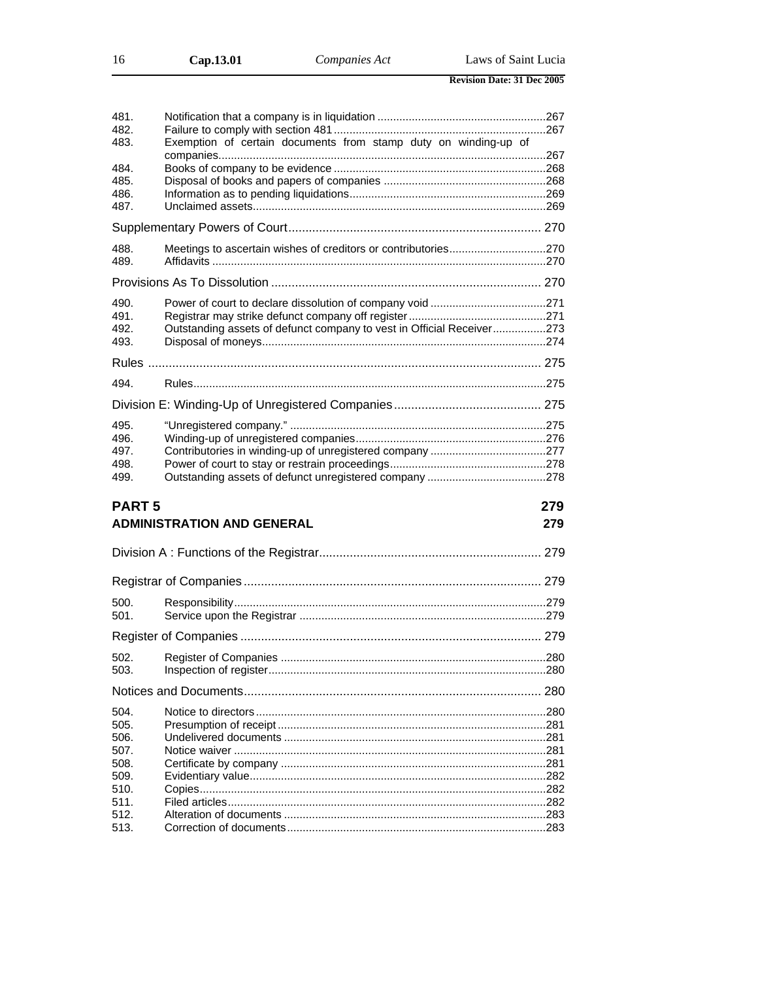| 16 | Cap.13.01 | Companies Act | Laws of Saint Lucia               |  |
|----|-----------|---------------|-----------------------------------|--|
|    |           |               | <b>Revision Date: 31 Dec 2005</b> |  |

| 481.<br>482.<br>483.<br>484.<br>485.<br>486.<br>487. | Exemption of certain documents from stamp duty on winding-up of       |      |
|------------------------------------------------------|-----------------------------------------------------------------------|------|
|                                                      |                                                                       |      |
| 488.<br>489.                                         | Meetings to ascertain wishes of creditors or contributories270        |      |
|                                                      |                                                                       |      |
| 490.<br>491.<br>492.<br>493.                         | Outstanding assets of defunct company to vest in Official Receiver273 |      |
|                                                      |                                                                       |      |
| 494.                                                 |                                                                       |      |
|                                                      |                                                                       |      |
| 495.                                                 |                                                                       |      |
| 496.<br>497.<br>498.<br>499.                         |                                                                       |      |
| <b>PART5</b>                                         |                                                                       | 279  |
|                                                      | <b>ADMINISTRATION AND GENERAL</b>                                     | 279  |
|                                                      |                                                                       |      |
|                                                      |                                                                       |      |
| 500.<br>501.                                         |                                                                       |      |
|                                                      |                                                                       |      |
| 502.<br>503.                                         | Register of Companies.                                                | .280 |
|                                                      |                                                                       |      |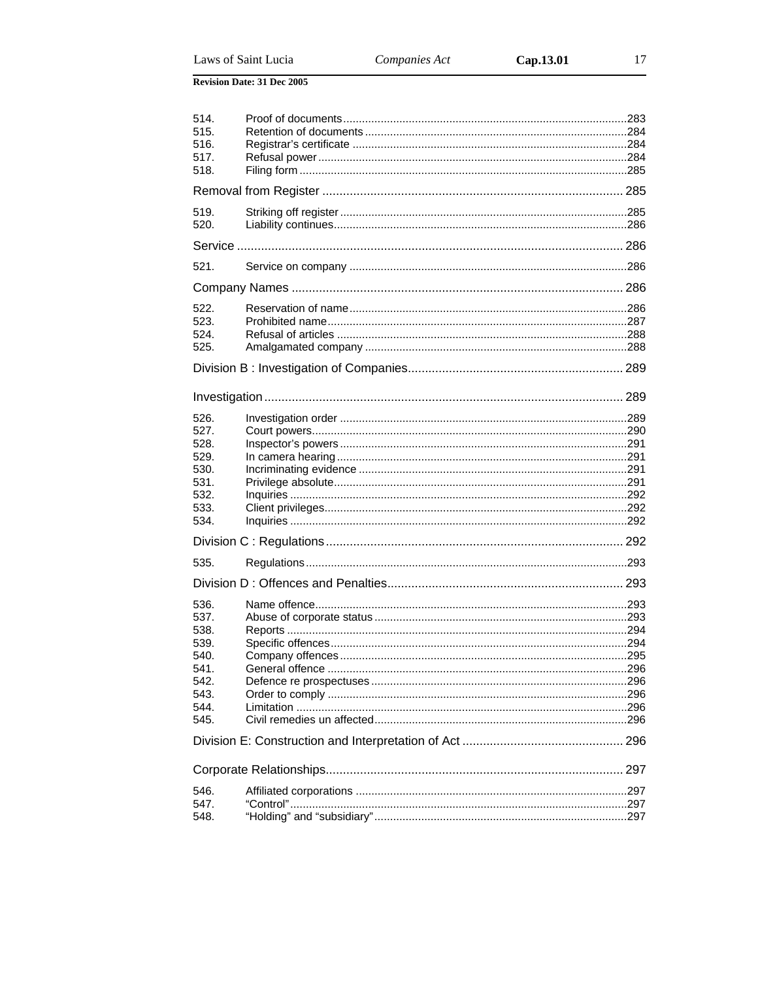| 514.<br>515.<br>516.<br>517.<br>518.                                         |  |  |  |  |  |
|------------------------------------------------------------------------------|--|--|--|--|--|
|                                                                              |  |  |  |  |  |
| 519.<br>520.                                                                 |  |  |  |  |  |
|                                                                              |  |  |  |  |  |
| 521.                                                                         |  |  |  |  |  |
|                                                                              |  |  |  |  |  |
| 522.<br>523.<br>524.<br>525.                                                 |  |  |  |  |  |
|                                                                              |  |  |  |  |  |
|                                                                              |  |  |  |  |  |
| 526.<br>527.<br>528.<br>529.<br>530.<br>531.<br>532.<br>533.<br>534.         |  |  |  |  |  |
|                                                                              |  |  |  |  |  |
| 535.                                                                         |  |  |  |  |  |
|                                                                              |  |  |  |  |  |
| 536.<br>537.<br>538.<br>539.<br>540.<br>541.<br>542.<br>543.<br>544.<br>545. |  |  |  |  |  |
|                                                                              |  |  |  |  |  |
|                                                                              |  |  |  |  |  |
| 546.                                                                         |  |  |  |  |  |
| 547.<br>548.                                                                 |  |  |  |  |  |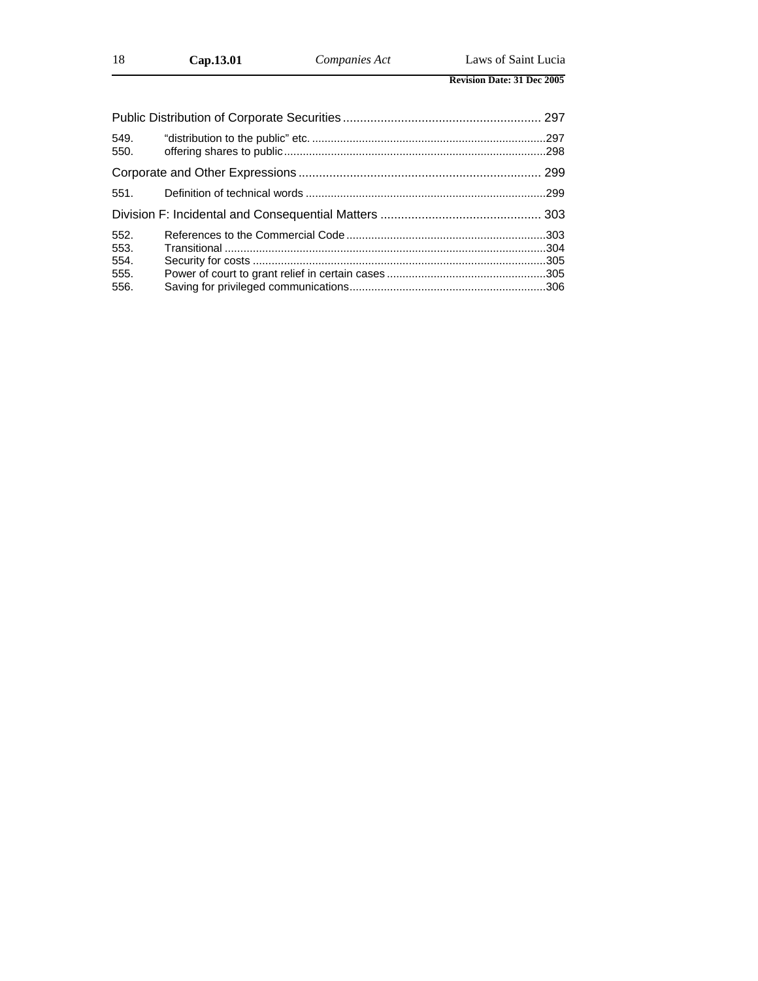| 549.<br>550. |  |  |  |  |
|--------------|--|--|--|--|
|              |  |  |  |  |
| 551.         |  |  |  |  |
|              |  |  |  |  |
| 552.         |  |  |  |  |
| 553.         |  |  |  |  |
| 554.         |  |  |  |  |
| 555.         |  |  |  |  |
| 556.         |  |  |  |  |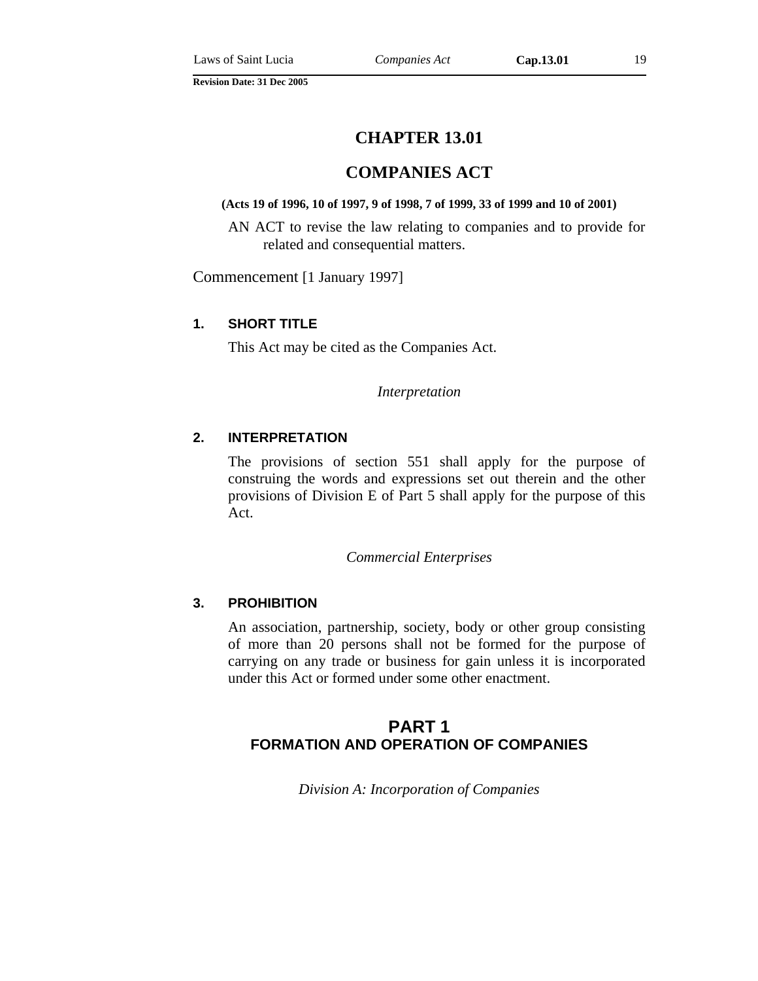## **COMPANIES ACT**

#### **(Acts 19 of 1996, 10 of 1997, 9 of 1998, 7 of 1999, 33 of 1999 and 10 of 2001)**

AN ACT to revise the law relating to companies and to provide for related and consequential matters.

Commencement [1 January 1997]

#### **1. SHORT TITLE**

This Act may be cited as the Companies Act.

*Interpretation* 

#### **2. INTERPRETATION**

The provisions of section 551 shall apply for the purpose of construing the words and expressions set out therein and the other provisions of Division E of Part 5 shall apply for the purpose of this Act.

#### *Commercial Enterprises*

#### **3. PROHIBITION**

An association, partnership, society, body or other group consisting of more than 20 persons shall not be formed for the purpose of carrying on any trade or business for gain unless it is incorporated under this Act or formed under some other enactment.

## **PART 1 FORMATION AND OPERATION OF COMPANIES**

*Division A: Incorporation of Companies*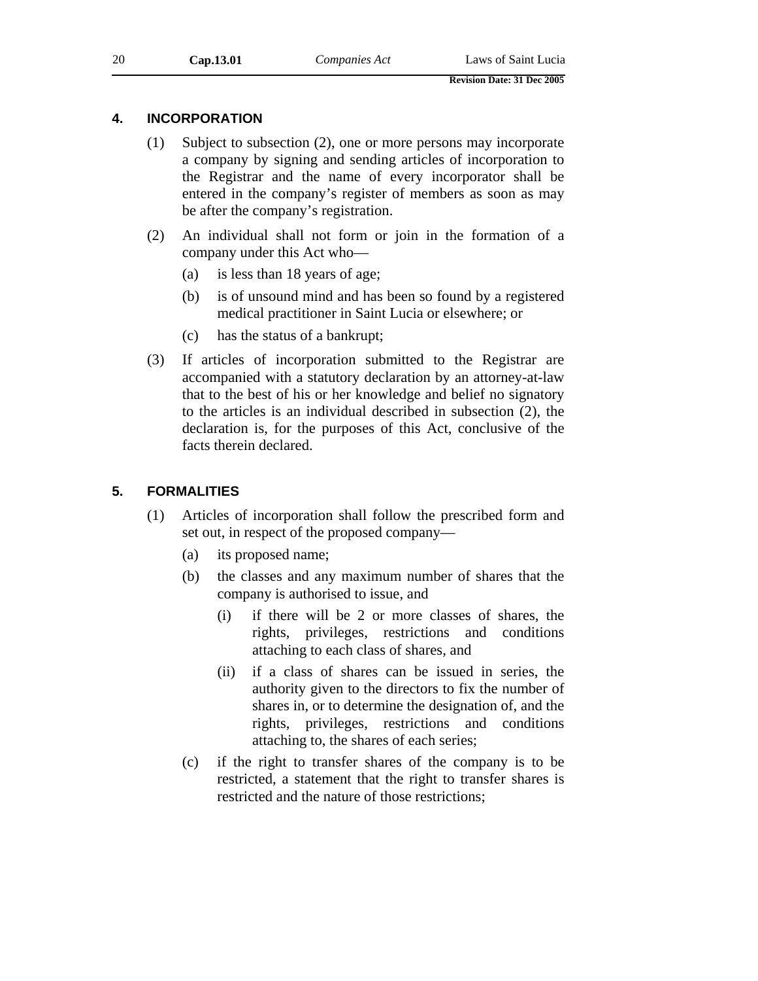#### **4. INCORPORATION**

- (1) Subject to subsection (2), one or more persons may incorporate a company by signing and sending articles of incorporation to the Registrar and the name of every incorporator shall be entered in the company's register of members as soon as may be after the company's registration.
- (2) An individual shall not form or join in the formation of a company under this Act who—
	- (a) is less than 18 years of age;
	- (b) is of unsound mind and has been so found by a registered medical practitioner in Saint Lucia or elsewhere; or
	- (c) has the status of a bankrupt;
- (3) If articles of incorporation submitted to the Registrar are accompanied with a statutory declaration by an attorney-at-law that to the best of his or her knowledge and belief no signatory to the articles is an individual described in subsection (2), the declaration is, for the purposes of this Act, conclusive of the facts therein declared.

#### **5. FORMALITIES**

- (1) Articles of incorporation shall follow the prescribed form and set out, in respect of the proposed company—
	- (a) its proposed name;
	- (b) the classes and any maximum number of shares that the company is authorised to issue, and
		- (i) if there will be 2 or more classes of shares, the rights, privileges, restrictions and conditions attaching to each class of shares, and
		- (ii) if a class of shares can be issued in series, the authority given to the directors to fix the number of shares in, or to determine the designation of, and the rights, privileges, restrictions and conditions attaching to, the shares of each series;
	- (c) if the right to transfer shares of the company is to be restricted, a statement that the right to transfer shares is restricted and the nature of those restrictions;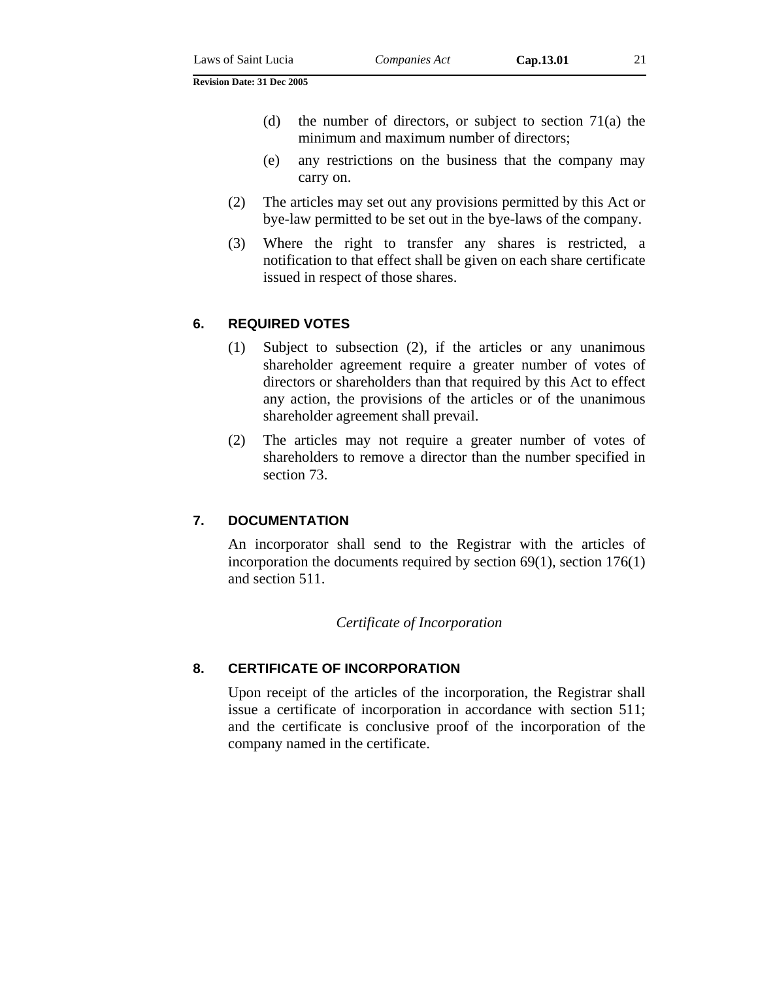- (d) the number of directors, or subject to section  $71(a)$  the minimum and maximum number of directors;
- (e) any restrictions on the business that the company may carry on.
- (2) The articles may set out any provisions permitted by this Act or bye-law permitted to be set out in the bye-laws of the company.
- (3) Where the right to transfer any shares is restricted, a notification to that effect shall be given on each share certificate issued in respect of those shares.

#### **6. REQUIRED VOTES**

- (1) Subject to subsection (2), if the articles or any unanimous shareholder agreement require a greater number of votes of directors or shareholders than that required by this Act to effect any action, the provisions of the articles or of the unanimous shareholder agreement shall prevail.
- (2) The articles may not require a greater number of votes of shareholders to remove a director than the number specified in section 73.

#### **7. DOCUMENTATION**

An incorporator shall send to the Registrar with the articles of incorporation the documents required by section 69(1), section 176(1) and section 511.

#### *Certificate of Incorporation*

#### **8. CERTIFICATE OF INCORPORATION**

Upon receipt of the articles of the incorporation, the Registrar shall issue a certificate of incorporation in accordance with section 511; and the certificate is conclusive proof of the incorporation of the company named in the certificate.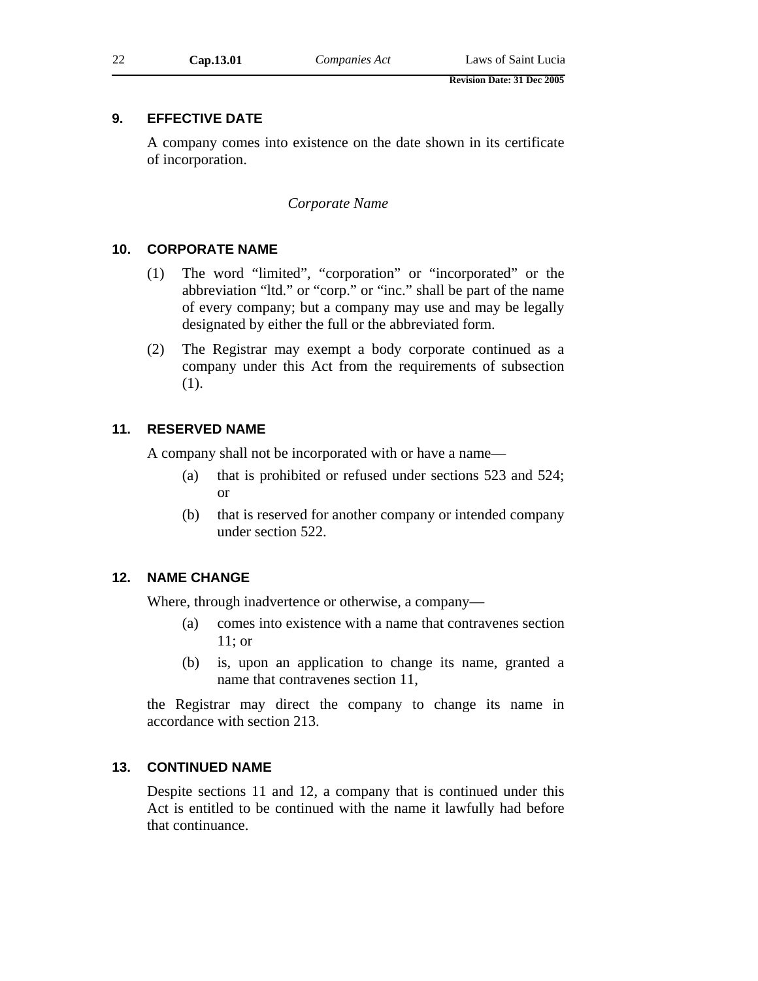### **9. EFFECTIVE DATE**

A company comes into existence on the date shown in its certificate of incorporation.

#### *Corporate Name*

#### **10. CORPORATE NAME**

- (1) The word "limited", "corporation" or "incorporated" or the abbreviation "ltd." or "corp." or "inc." shall be part of the name of every company; but a company may use and may be legally designated by either the full or the abbreviated form.
- (2) The Registrar may exempt a body corporate continued as a company under this Act from the requirements of subsection (1).

#### **11. RESERVED NAME**

A company shall not be incorporated with or have a name—

- (a) that is prohibited or refused under sections 523 and 524; or
- (b) that is reserved for another company or intended company under section 522.

#### **12. NAME CHANGE**

Where, through inadvertence or otherwise, a company—

- (a) comes into existence with a name that contravenes section 11; or
- (b) is, upon an application to change its name, granted a name that contravenes section 11,

the Registrar may direct the company to change its name in accordance with section 213.

#### **13. CONTINUED NAME**

Despite sections 11 and 12, a company that is continued under this Act is entitled to be continued with the name it lawfully had before that continuance.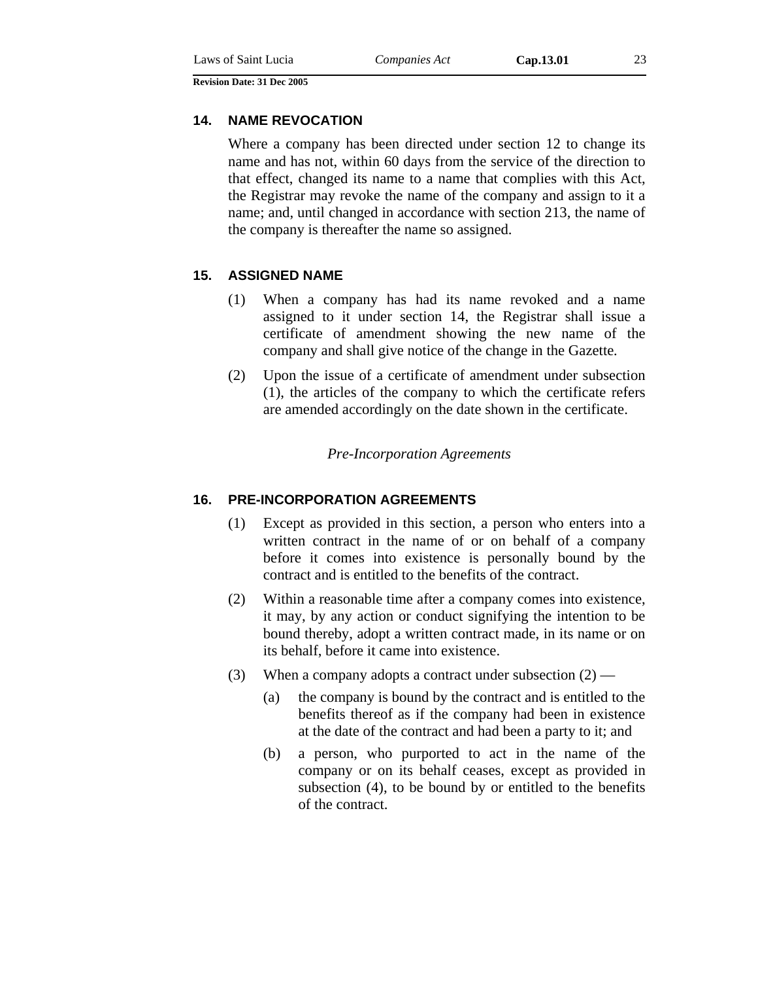#### **14. NAME REVOCATION**

Where a company has been directed under section 12 to change its name and has not, within 60 days from the service of the direction to that effect, changed its name to a name that complies with this Act, the Registrar may revoke the name of the company and assign to it a name; and, until changed in accordance with section 213, the name of the company is thereafter the name so assigned.

#### **15. ASSIGNED NAME**

- (1) When a company has had its name revoked and a name assigned to it under section 14, the Registrar shall issue a certificate of amendment showing the new name of the company and shall give notice of the change in the Gazette*.*
- (2) Upon the issue of a certificate of amendment under subsection (1), the articles of the company to which the certificate refers are amended accordingly on the date shown in the certificate.

*Pre-Incorporation Agreements* 

#### **16. PRE-INCORPORATION AGREEMENTS**

- (1) Except as provided in this section, a person who enters into a written contract in the name of or on behalf of a company before it comes into existence is personally bound by the contract and is entitled to the benefits of the contract.
- (2) Within a reasonable time after a company comes into existence, it may, by any action or conduct signifying the intention to be bound thereby, adopt a written contract made, in its name or on its behalf, before it came into existence.
- (3) When a company adopts a contract under subsection  $(2)$ 
	- (a) the company is bound by the contract and is entitled to the benefits thereof as if the company had been in existence at the date of the contract and had been a party to it; and
	- (b) a person, who purported to act in the name of the company or on its behalf ceases, except as provided in subsection (4), to be bound by or entitled to the benefits of the contract.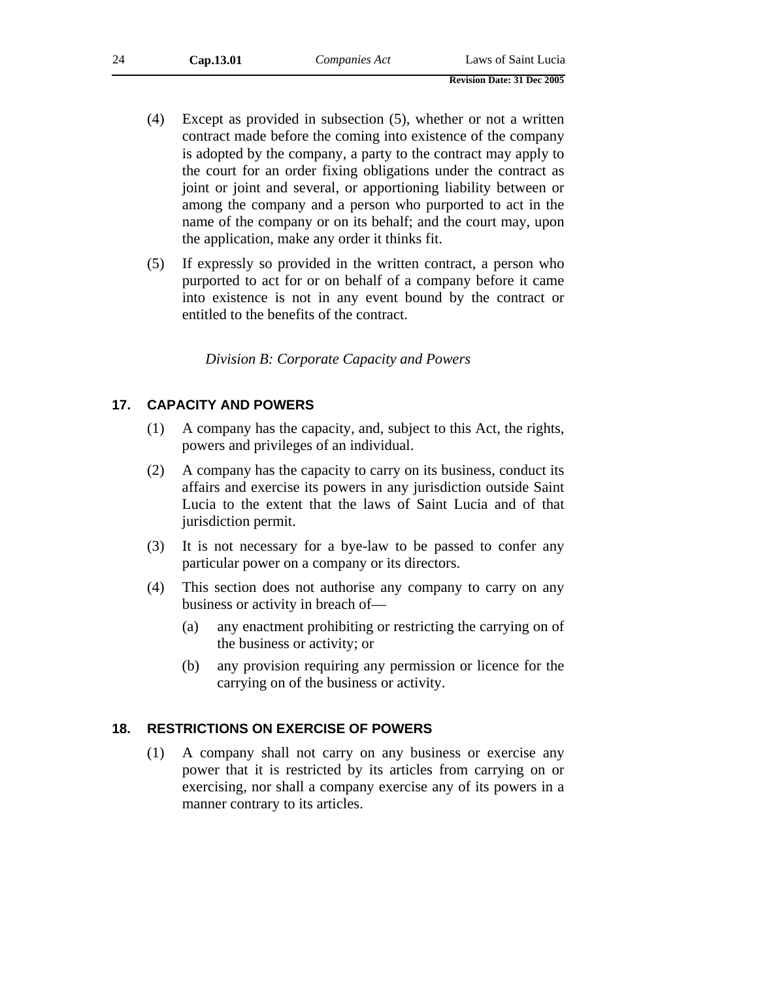| 24 | Cap.13.01 | Companies Act | Laws of Saint Lucia |
|----|-----------|---------------|---------------------|
|    |           |               |                     |

- **Revision Date: 31 Dec 2005**
- (4) Except as provided in subsection (5), whether or not a written contract made before the coming into existence of the company is adopted by the company, a party to the contract may apply to the court for an order fixing obligations under the contract as joint or joint and several, or apportioning liability between or among the company and a person who purported to act in the name of the company or on its behalf; and the court may, upon the application, make any order it thinks fit.
- (5) If expressly so provided in the written contract, a person who purported to act for or on behalf of a company before it came into existence is not in any event bound by the contract or entitled to the benefits of the contract.

*Division B: Corporate Capacity and Powers* 

#### **17. CAPACITY AND POWERS**

- (1) A company has the capacity, and, subject to this Act, the rights, powers and privileges of an individual.
- (2) A company has the capacity to carry on its business, conduct its affairs and exercise its powers in any jurisdiction outside Saint Lucia to the extent that the laws of Saint Lucia and of that jurisdiction permit.
- (3) It is not necessary for a bye-law to be passed to confer any particular power on a company or its directors.
- (4) This section does not authorise any company to carry on any business or activity in breach of—
	- (a) any enactment prohibiting or restricting the carrying on of the business or activity; or
	- (b) any provision requiring any permission or licence for the carrying on of the business or activity.

### **18. RESTRICTIONS ON EXERCISE OF POWERS**

(1) A company shall not carry on any business or exercise any power that it is restricted by its articles from carrying on or exercising, nor shall a company exercise any of its powers in a manner contrary to its articles.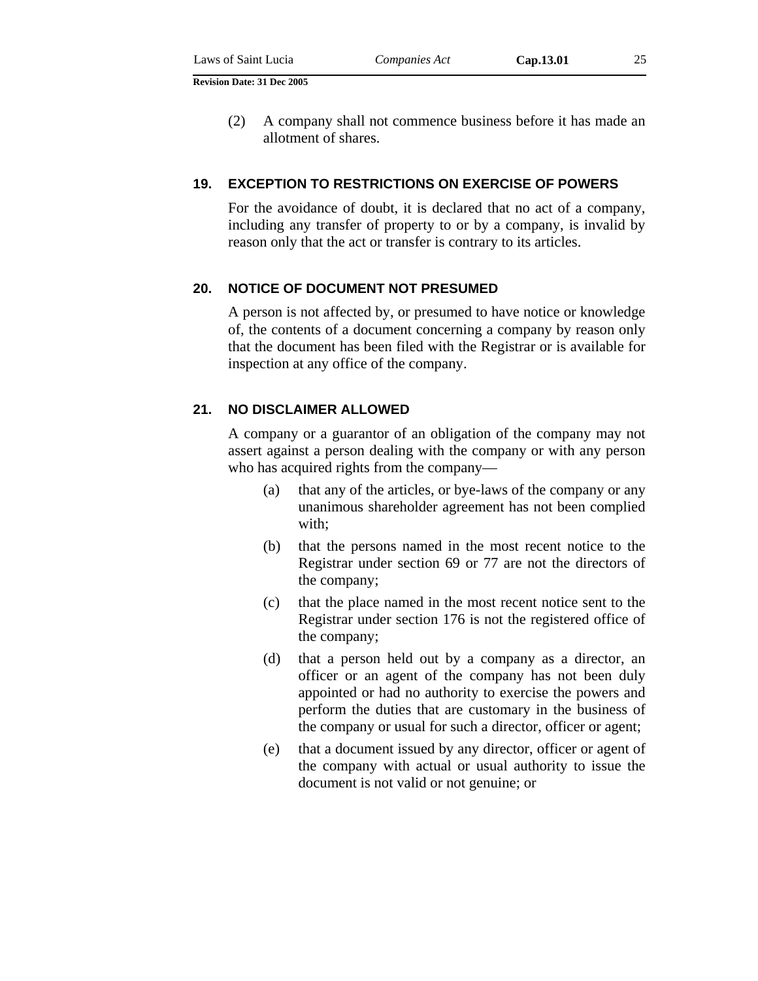(2) A company shall not commence business before it has made an allotment of shares.

#### **19. EXCEPTION TO RESTRICTIONS ON EXERCISE OF POWERS**

For the avoidance of doubt, it is declared that no act of a company, including any transfer of property to or by a company, is invalid by reason only that the act or transfer is contrary to its articles.

#### **20. NOTICE OF DOCUMENT NOT PRESUMED**

A person is not affected by, or presumed to have notice or knowledge of, the contents of a document concerning a company by reason only that the document has been filed with the Registrar or is available for inspection at any office of the company.

#### **21. NO DISCLAIMER ALLOWED**

A company or a guarantor of an obligation of the company may not assert against a person dealing with the company or with any person who has acquired rights from the company—

- (a) that any of the articles, or bye-laws of the company or any unanimous shareholder agreement has not been complied with;
- (b) that the persons named in the most recent notice to the Registrar under section 69 or 77 are not the directors of the company;
- (c) that the place named in the most recent notice sent to the Registrar under section 176 is not the registered office of the company;
- (d) that a person held out by a company as a director, an officer or an agent of the company has not been duly appointed or had no authority to exercise the powers and perform the duties that are customary in the business of the company or usual for such a director, officer or agent;
- (e) that a document issued by any director, officer or agent of the company with actual or usual authority to issue the document is not valid or not genuine; or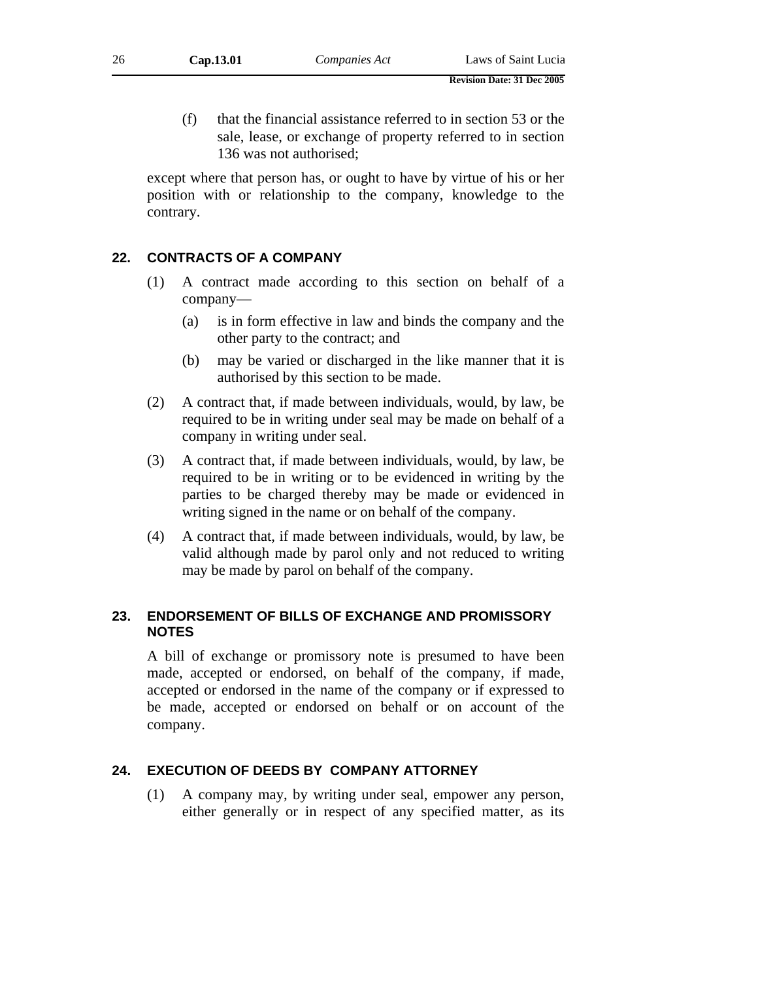(f) that the financial assistance referred to in section 53 or the sale, lease, or exchange of property referred to in section 136 was not authorised;

except where that person has, or ought to have by virtue of his or her position with or relationship to the company, knowledge to the contrary.

#### **22. CONTRACTS OF A COMPANY**

- (1) A contract made according to this section on behalf of a company—
	- (a) is in form effective in law and binds the company and the other party to the contract; and
	- (b) may be varied or discharged in the like manner that it is authorised by this section to be made.
- (2) A contract that, if made between individuals, would, by law, be required to be in writing under seal may be made on behalf of a company in writing under seal.
- (3) A contract that, if made between individuals, would, by law, be required to be in writing or to be evidenced in writing by the parties to be charged thereby may be made or evidenced in writing signed in the name or on behalf of the company.
- (4) A contract that, if made between individuals, would, by law, be valid although made by parol only and not reduced to writing may be made by parol on behalf of the company.

#### **23. ENDORSEMENT OF BILLS OF EXCHANGE AND PROMISSORY NOTES**

A bill of exchange or promissory note is presumed to have been made, accepted or endorsed, on behalf of the company, if made, accepted or endorsed in the name of the company or if expressed to be made, accepted or endorsed on behalf or on account of the company.

### **24. EXECUTION OF DEEDS BY COMPANY ATTORNEY**

(1) A company may, by writing under seal, empower any person, either generally or in respect of any specified matter, as its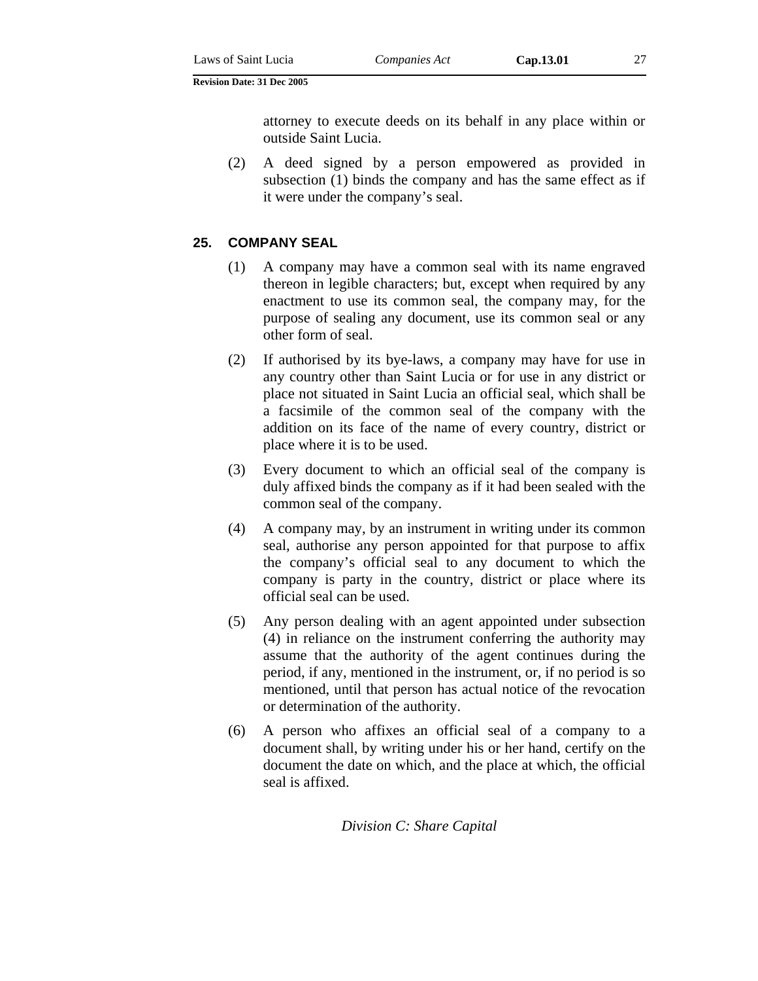attorney to execute deeds on its behalf in any place within or outside Saint Lucia.

(2) A deed signed by a person empowered as provided in subsection (1) binds the company and has the same effect as if it were under the company's seal.

#### **25. COMPANY SEAL**

- (1) A company may have a common seal with its name engraved thereon in legible characters; but, except when required by any enactment to use its common seal, the company may, for the purpose of sealing any document, use its common seal or any other form of seal.
- (2) If authorised by its bye-laws, a company may have for use in any country other than Saint Lucia or for use in any district or place not situated in Saint Lucia an official seal, which shall be a facsimile of the common seal of the company with the addition on its face of the name of every country, district or place where it is to be used.
- (3) Every document to which an official seal of the company is duly affixed binds the company as if it had been sealed with the common seal of the company.
- (4) A company may, by an instrument in writing under its common seal, authorise any person appointed for that purpose to affix the company's official seal to any document to which the company is party in the country, district or place where its official seal can be used.
- (5) Any person dealing with an agent appointed under subsection (4) in reliance on the instrument conferring the authority may assume that the authority of the agent continues during the period, if any, mentioned in the instrument, or, if no period is so mentioned, until that person has actual notice of the revocation or determination of the authority.
- (6) A person who affixes an official seal of a company to a document shall, by writing under his or her hand, certify on the document the date on which, and the place at which, the official seal is affixed.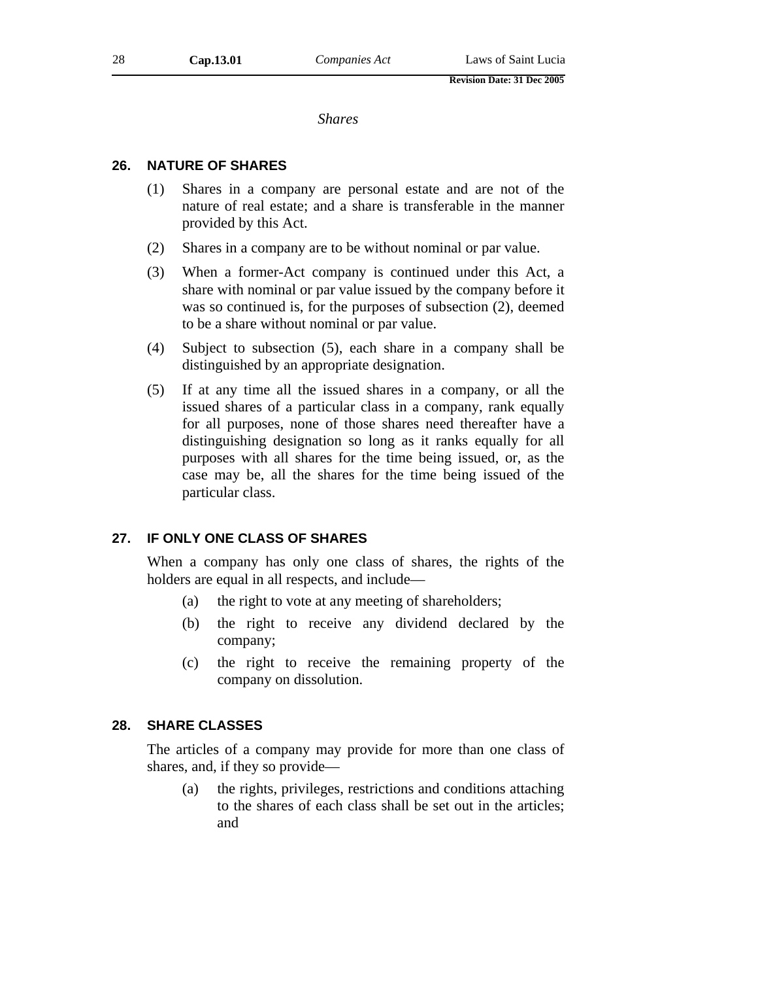*Shares* 

#### **26. NATURE OF SHARES**

- (1) Shares in a company are personal estate and are not of the nature of real estate; and a share is transferable in the manner provided by this Act.
- (2) Shares in a company are to be without nominal or par value.
- (3) When a former-Act company is continued under this Act, a share with nominal or par value issued by the company before it was so continued is, for the purposes of subsection (2), deemed to be a share without nominal or par value.
- (4) Subject to subsection (5), each share in a company shall be distinguished by an appropriate designation.
- (5) If at any time all the issued shares in a company, or all the issued shares of a particular class in a company, rank equally for all purposes, none of those shares need thereafter have a distinguishing designation so long as it ranks equally for all purposes with all shares for the time being issued, or, as the case may be, all the shares for the time being issued of the particular class.

#### **27. IF ONLY ONE CLASS OF SHARES**

When a company has only one class of shares, the rights of the holders are equal in all respects, and include—

- (a) the right to vote at any meeting of shareholders;
- (b) the right to receive any dividend declared by the company;
- (c) the right to receive the remaining property of the company on dissolution.

#### **28. SHARE CLASSES**

The articles of a company may provide for more than one class of shares, and, if they so provide—

(a) the rights, privileges, restrictions and conditions attaching to the shares of each class shall be set out in the articles; and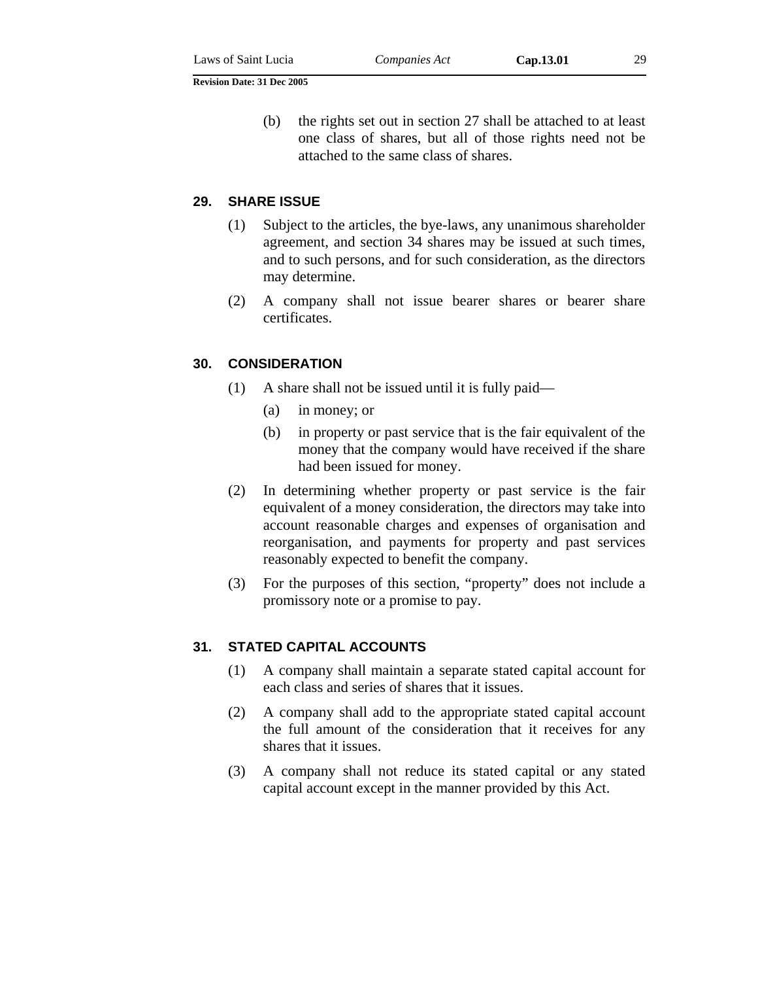(b) the rights set out in section 27 shall be attached to at least one class of shares, but all of those rights need not be attached to the same class of shares.

#### **29. SHARE ISSUE**

- (1) Subject to the articles, the bye-laws, any unanimous shareholder agreement, and section 34 shares may be issued at such times, and to such persons, and for such consideration, as the directors may determine.
- (2) A company shall not issue bearer shares or bearer share certificates.

#### **30. CONSIDERATION**

- (1) A share shall not be issued until it is fully paid—
	- (a) in money; or
	- (b) in property or past service that is the fair equivalent of the money that the company would have received if the share had been issued for money.
- (2) In determining whether property or past service is the fair equivalent of a money consideration, the directors may take into account reasonable charges and expenses of organisation and reorganisation, and payments for property and past services reasonably expected to benefit the company.
- (3) For the purposes of this section, "property" does not include a promissory note or a promise to pay.

#### **31. STATED CAPITAL ACCOUNTS**

- (1) A company shall maintain a separate stated capital account for each class and series of shares that it issues.
- (2) A company shall add to the appropriate stated capital account the full amount of the consideration that it receives for any shares that it issues.
- (3) A company shall not reduce its stated capital or any stated capital account except in the manner provided by this Act.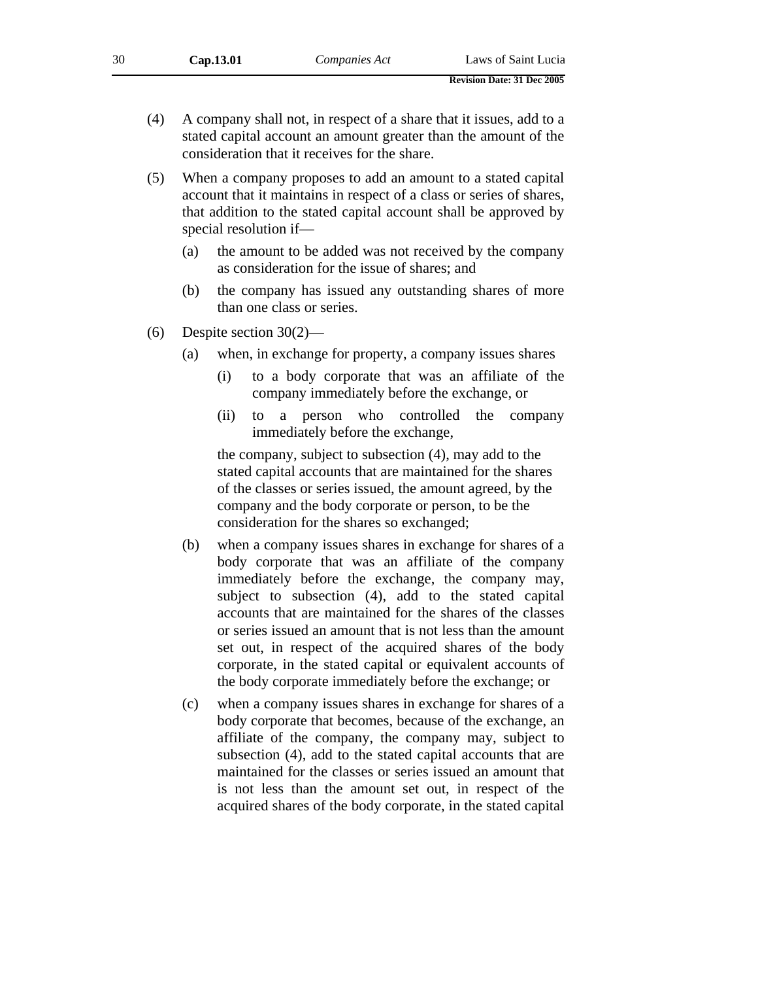- (4) A company shall not, in respect of a share that it issues, add to a stated capital account an amount greater than the amount of the consideration that it receives for the share.
- (5) When a company proposes to add an amount to a stated capital account that it maintains in respect of a class or series of shares, that addition to the stated capital account shall be approved by special resolution if—
	- (a) the amount to be added was not received by the company as consideration for the issue of shares; and
	- (b) the company has issued any outstanding shares of more than one class or series.
- (6) Despite section 30(2)—
	- (a) when, in exchange for property, a company issues shares
		- (i) to a body corporate that was an affiliate of the company immediately before the exchange, or
		- (ii) to a person who controlled the company immediately before the exchange,

the company, subject to subsection (4), may add to the stated capital accounts that are maintained for the shares of the classes or series issued, the amount agreed, by the company and the body corporate or person, to be the consideration for the shares so exchanged;

- (b) when a company issues shares in exchange for shares of a body corporate that was an affiliate of the company immediately before the exchange, the company may, subject to subsection (4), add to the stated capital accounts that are maintained for the shares of the classes or series issued an amount that is not less than the amount set out, in respect of the acquired shares of the body corporate, in the stated capital or equivalent accounts of the body corporate immediately before the exchange; or
- (c) when a company issues shares in exchange for shares of a body corporate that becomes, because of the exchange, an affiliate of the company, the company may, subject to subsection (4), add to the stated capital accounts that are maintained for the classes or series issued an amount that is not less than the amount set out, in respect of the acquired shares of the body corporate, in the stated capital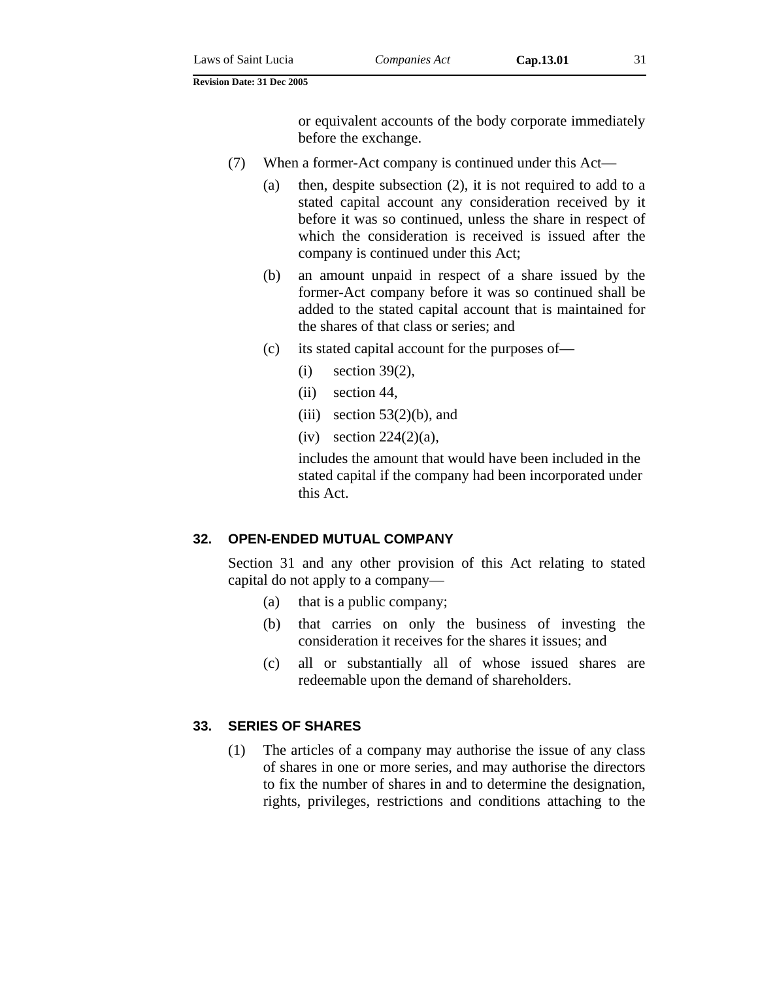or equivalent accounts of the body corporate immediately before the exchange.

- (7) When a former-Act company is continued under this Act—
	- (a) then, despite subsection (2), it is not required to add to a stated capital account any consideration received by it before it was so continued, unless the share in respect of which the consideration is received is issued after the company is continued under this Act;
	- (b) an amount unpaid in respect of a share issued by the former-Act company before it was so continued shall be added to the stated capital account that is maintained for the shares of that class or series; and
	- (c) its stated capital account for the purposes of—
		- (i) section 39(2),
		- (ii) section 44,
		- (iii) section  $53(2)(b)$ , and
		- (iv) section  $224(2)(a)$ ,

includes the amount that would have been included in the stated capital if the company had been incorporated under this Act.

#### **32. OPEN-ENDED MUTUAL COMPANY**

Section 31 and any other provision of this Act relating to stated capital do not apply to a company—

- (a) that is a public company;
- (b) that carries on only the business of investing the consideration it receives for the shares it issues; and
- (c) all or substantially all of whose issued shares are redeemable upon the demand of shareholders.

#### **33. SERIES OF SHARES**

(1) The articles of a company may authorise the issue of any class of shares in one or more series, and may authorise the directors to fix the number of shares in and to determine the designation, rights, privileges, restrictions and conditions attaching to the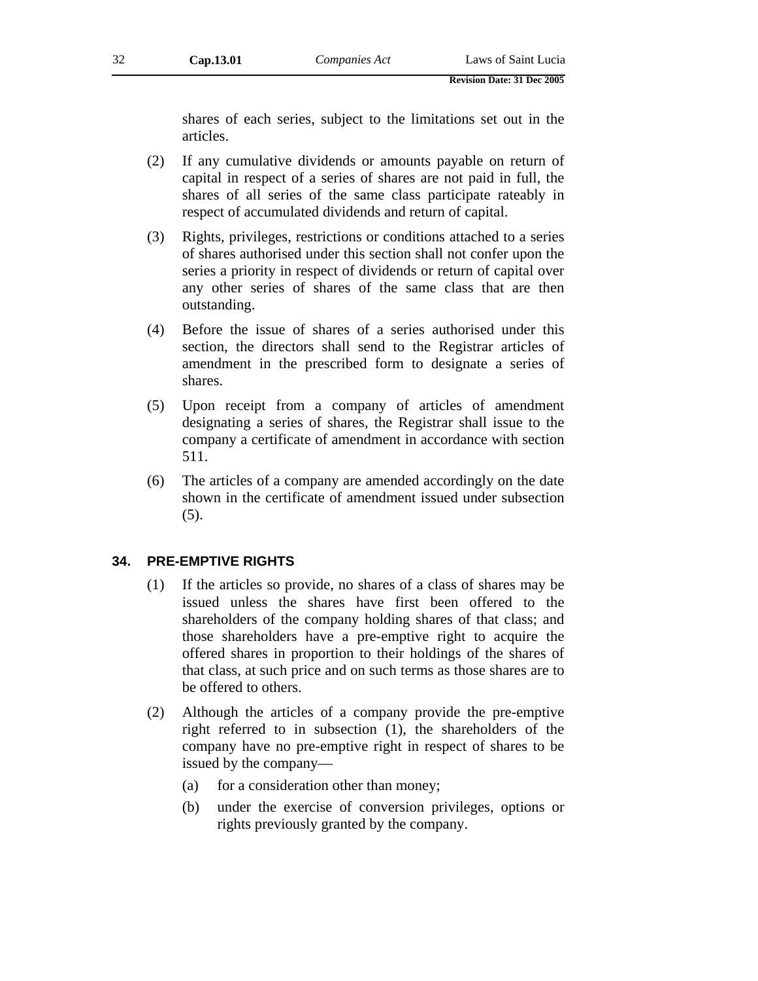shares of each series, subject to the limitations set out in the articles.

- (2) If any cumulative dividends or amounts payable on return of capital in respect of a series of shares are not paid in full, the shares of all series of the same class participate rateably in respect of accumulated dividends and return of capital.
- (3) Rights, privileges, restrictions or conditions attached to a series of shares authorised under this section shall not confer upon the series a priority in respect of dividends or return of capital over any other series of shares of the same class that are then outstanding.
- (4) Before the issue of shares of a series authorised under this section, the directors shall send to the Registrar articles of amendment in the prescribed form to designate a series of shares.
- (5) Upon receipt from a company of articles of amendment designating a series of shares, the Registrar shall issue to the company a certificate of amendment in accordance with section 511.
- (6) The articles of a company are amended accordingly on the date shown in the certificate of amendment issued under subsection (5).

#### **34. PRE-EMPTIVE RIGHTS**

- (1) If the articles so provide, no shares of a class of shares may be issued unless the shares have first been offered to the shareholders of the company holding shares of that class; and those shareholders have a pre-emptive right to acquire the offered shares in proportion to their holdings of the shares of that class, at such price and on such terms as those shares are to be offered to others.
- (2) Although the articles of a company provide the pre-emptive right referred to in subsection (1), the shareholders of the company have no pre-emptive right in respect of shares to be issued by the company—
	- (a) for a consideration other than money;
	- (b) under the exercise of conversion privileges, options or rights previously granted by the company.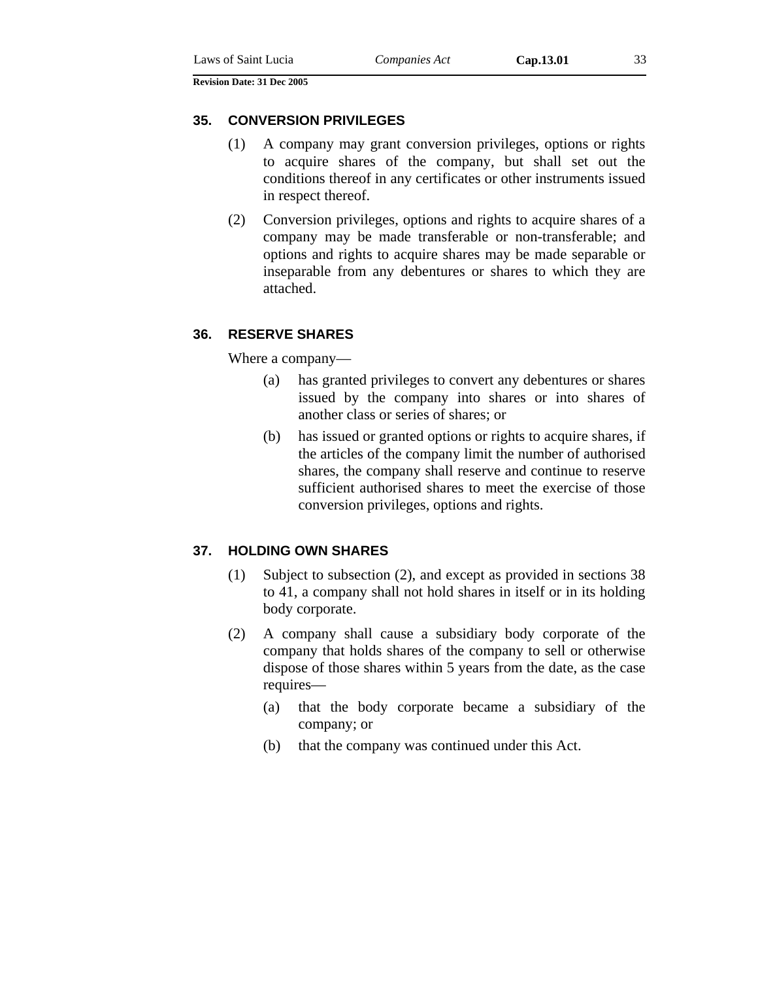#### **35. CONVERSION PRIVILEGES**

- (1) A company may grant conversion privileges, options or rights to acquire shares of the company, but shall set out the conditions thereof in any certificates or other instruments issued in respect thereof.
- (2) Conversion privileges, options and rights to acquire shares of a company may be made transferable or non-transferable; and options and rights to acquire shares may be made separable or inseparable from any debentures or shares to which they are attached.

#### **36. RESERVE SHARES**

Where a company—

- (a) has granted privileges to convert any debentures or shares issued by the company into shares or into shares of another class or series of shares; or
- (b) has issued or granted options or rights to acquire shares, if the articles of the company limit the number of authorised shares, the company shall reserve and continue to reserve sufficient authorised shares to meet the exercise of those conversion privileges, options and rights.

#### **37. HOLDING OWN SHARES**

- (1) Subject to subsection (2), and except as provided in sections 38 to 41, a company shall not hold shares in itself or in its holding body corporate.
- (2) A company shall cause a subsidiary body corporate of the company that holds shares of the company to sell or otherwise dispose of those shares within 5 years from the date, as the case requires—
	- (a) that the body corporate became a subsidiary of the company; or
	- (b) that the company was continued under this Act.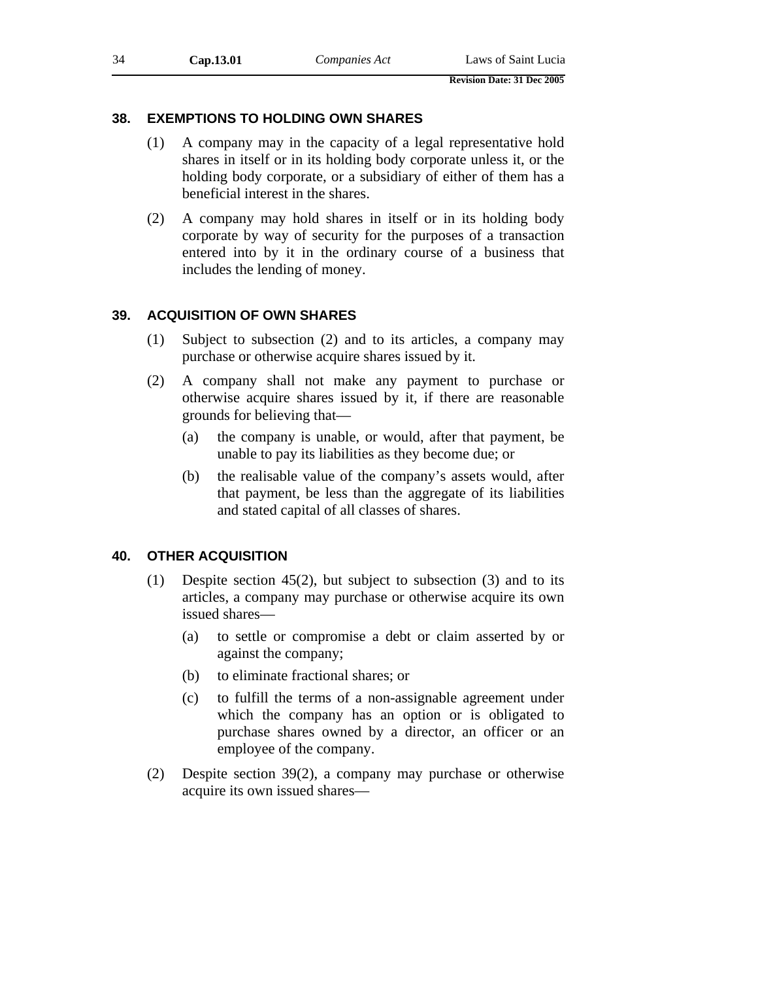#### **38. EXEMPTIONS TO HOLDING OWN SHARES**

- (1) A company may in the capacity of a legal representative hold shares in itself or in its holding body corporate unless it, or the holding body corporate, or a subsidiary of either of them has a beneficial interest in the shares.
- (2) A company may hold shares in itself or in its holding body corporate by way of security for the purposes of a transaction entered into by it in the ordinary course of a business that includes the lending of money.

#### **39. ACQUISITION OF OWN SHARES**

- (1) Subject to subsection (2) and to its articles, a company may purchase or otherwise acquire shares issued by it.
- (2) A company shall not make any payment to purchase or otherwise acquire shares issued by it, if there are reasonable grounds for believing that—
	- (a) the company is unable, or would, after that payment, be unable to pay its liabilities as they become due; or
	- (b) the realisable value of the company's assets would, after that payment, be less than the aggregate of its liabilities and stated capital of all classes of shares.

#### **40. OTHER ACQUISITION**

- (1) Despite section 45(2), but subject to subsection (3) and to its articles, a company may purchase or otherwise acquire its own issued shares—
	- (a) to settle or compromise a debt or claim asserted by or against the company;
	- (b) to eliminate fractional shares; or
	- (c) to fulfill the terms of a non-assignable agreement under which the company has an option or is obligated to purchase shares owned by a director, an officer or an employee of the company.
- (2) Despite section 39(2), a company may purchase or otherwise acquire its own issued shares—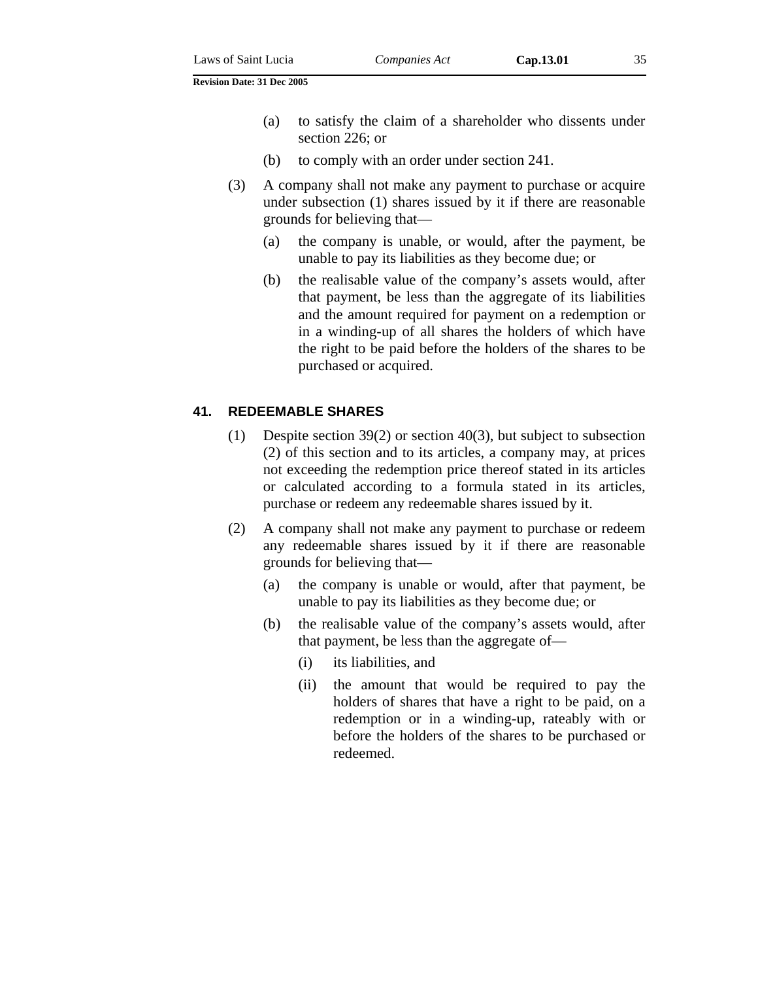- (a) to satisfy the claim of a shareholder who dissents under section 226; or
- (b) to comply with an order under section 241.
- (3) A company shall not make any payment to purchase or acquire under subsection (1) shares issued by it if there are reasonable grounds for believing that—
	- (a) the company is unable, or would, after the payment, be unable to pay its liabilities as they become due; or
	- (b) the realisable value of the company's assets would, after that payment, be less than the aggregate of its liabilities and the amount required for payment on a redemption or in a winding-up of all shares the holders of which have the right to be paid before the holders of the shares to be purchased or acquired.

#### **41. REDEEMABLE SHARES**

- (1) Despite section 39(2) or section 40(3), but subject to subsection (2) of this section and to its articles, a company may, at prices not exceeding the redemption price thereof stated in its articles or calculated according to a formula stated in its articles, purchase or redeem any redeemable shares issued by it.
- (2) A company shall not make any payment to purchase or redeem any redeemable shares issued by it if there are reasonable grounds for believing that—
	- (a) the company is unable or would, after that payment, be unable to pay its liabilities as they become due; or
	- (b) the realisable value of the company's assets would, after that payment, be less than the aggregate of—
		- (i) its liabilities, and
		- (ii) the amount that would be required to pay the holders of shares that have a right to be paid, on a redemption or in a winding-up, rateably with or before the holders of the shares to be purchased or redeemed.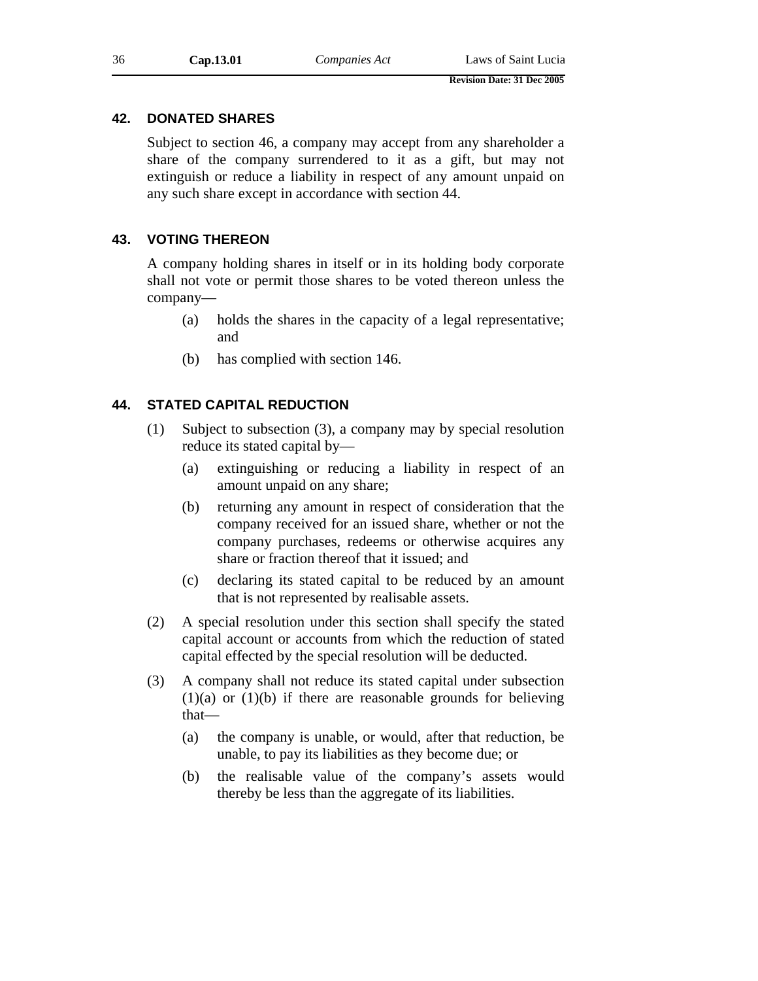#### **42. DONATED SHARES**

Subject to section 46, a company may accept from any shareholder a share of the company surrendered to it as a gift, but may not extinguish or reduce a liability in respect of any amount unpaid on any such share except in accordance with section 44.

#### **43. VOTING THEREON**

A company holding shares in itself or in its holding body corporate shall not vote or permit those shares to be voted thereon unless the company—

- (a) holds the shares in the capacity of a legal representative; and
- (b) has complied with section 146.

## **44. STATED CAPITAL REDUCTION**

- (1) Subject to subsection (3), a company may by special resolution reduce its stated capital by—
	- (a) extinguishing or reducing a liability in respect of an amount unpaid on any share;
	- (b) returning any amount in respect of consideration that the company received for an issued share, whether or not the company purchases, redeems or otherwise acquires any share or fraction thereof that it issued; and
	- (c) declaring its stated capital to be reduced by an amount that is not represented by realisable assets.
- (2) A special resolution under this section shall specify the stated capital account or accounts from which the reduction of stated capital effected by the special resolution will be deducted.
- (3) A company shall not reduce its stated capital under subsection  $(1)(a)$  or  $(1)(b)$  if there are reasonable grounds for believing that—
	- (a) the company is unable, or would, after that reduction, be unable, to pay its liabilities as they become due; or
	- (b) the realisable value of the company's assets would thereby be less than the aggregate of its liabilities.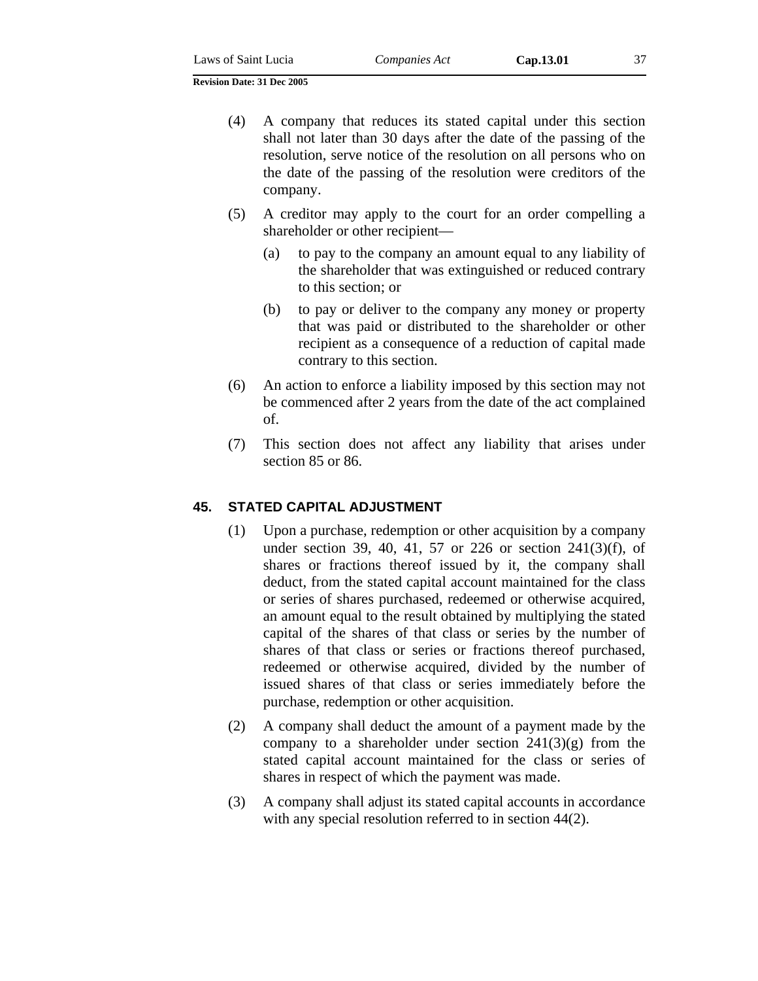- (4) A company that reduces its stated capital under this section shall not later than 30 days after the date of the passing of the resolution, serve notice of the resolution on all persons who on the date of the passing of the resolution were creditors of the company.
- (5) A creditor may apply to the court for an order compelling a shareholder or other recipient—
	- (a) to pay to the company an amount equal to any liability of the shareholder that was extinguished or reduced contrary to this section; or
	- (b) to pay or deliver to the company any money or property that was paid or distributed to the shareholder or other recipient as a consequence of a reduction of capital made contrary to this section.
- (6) An action to enforce a liability imposed by this section may not be commenced after 2 years from the date of the act complained of.
- (7) This section does not affect any liability that arises under section 85 or 86.

# **45. STATED CAPITAL ADJUSTMENT**

- (1) Upon a purchase, redemption or other acquisition by a company under section 39, 40, 41, 57 or 226 or section 241(3)(f), of shares or fractions thereof issued by it, the company shall deduct, from the stated capital account maintained for the class or series of shares purchased, redeemed or otherwise acquired, an amount equal to the result obtained by multiplying the stated capital of the shares of that class or series by the number of shares of that class or series or fractions thereof purchased, redeemed or otherwise acquired, divided by the number of issued shares of that class or series immediately before the purchase, redemption or other acquisition.
- (2) A company shall deduct the amount of a payment made by the company to a shareholder under section  $241(3)(g)$  from the stated capital account maintained for the class or series of shares in respect of which the payment was made.
- (3) A company shall adjust its stated capital accounts in accordance with any special resolution referred to in section 44(2).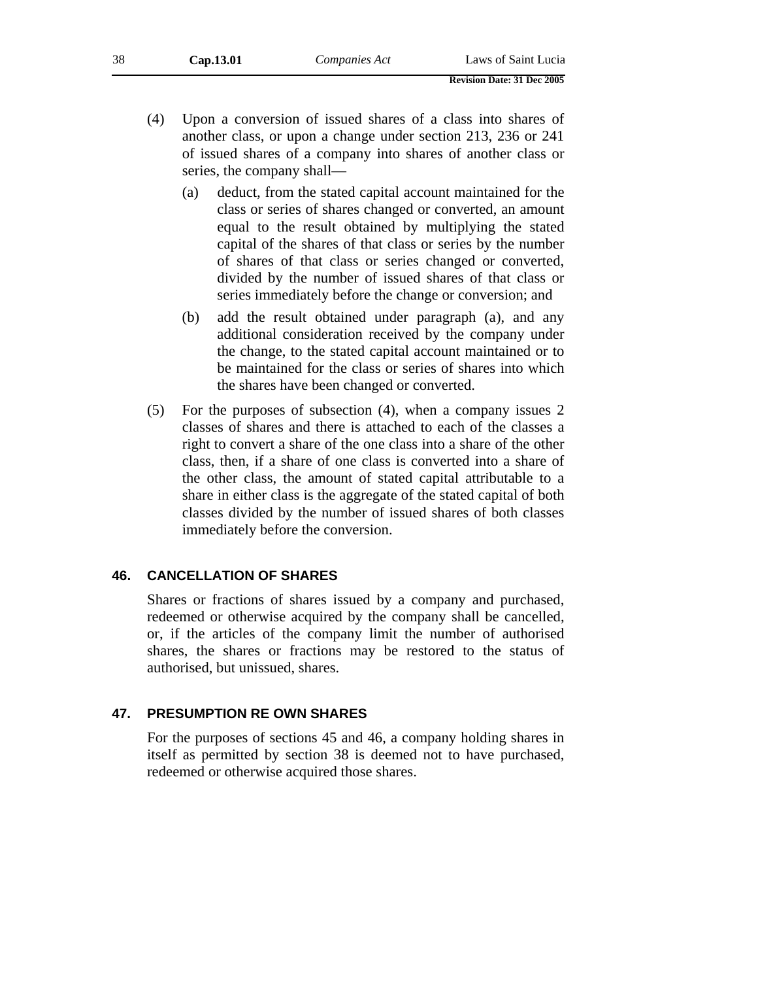- (4) Upon a conversion of issued shares of a class into shares of another class, or upon a change under section 213, 236 or 241 of issued shares of a company into shares of another class or series, the company shall—
	- (a) deduct, from the stated capital account maintained for the class or series of shares changed or converted, an amount equal to the result obtained by multiplying the stated capital of the shares of that class or series by the number of shares of that class or series changed or converted, divided by the number of issued shares of that class or series immediately before the change or conversion; and
	- (b) add the result obtained under paragraph (a), and any additional consideration received by the company under the change, to the stated capital account maintained or to be maintained for the class or series of shares into which the shares have been changed or converted.
- (5) For the purposes of subsection (4), when a company issues 2 classes of shares and there is attached to each of the classes a right to convert a share of the one class into a share of the other class, then, if a share of one class is converted into a share of the other class, the amount of stated capital attributable to a share in either class is the aggregate of the stated capital of both classes divided by the number of issued shares of both classes immediately before the conversion.

# **46. CANCELLATION OF SHARES**

Shares or fractions of shares issued by a company and purchased, redeemed or otherwise acquired by the company shall be cancelled, or, if the articles of the company limit the number of authorised shares, the shares or fractions may be restored to the status of authorised, but unissued, shares.

# **47. PRESUMPTION RE OWN SHARES**

For the purposes of sections 45 and 46, a company holding shares in itself as permitted by section 38 is deemed not to have purchased, redeemed or otherwise acquired those shares.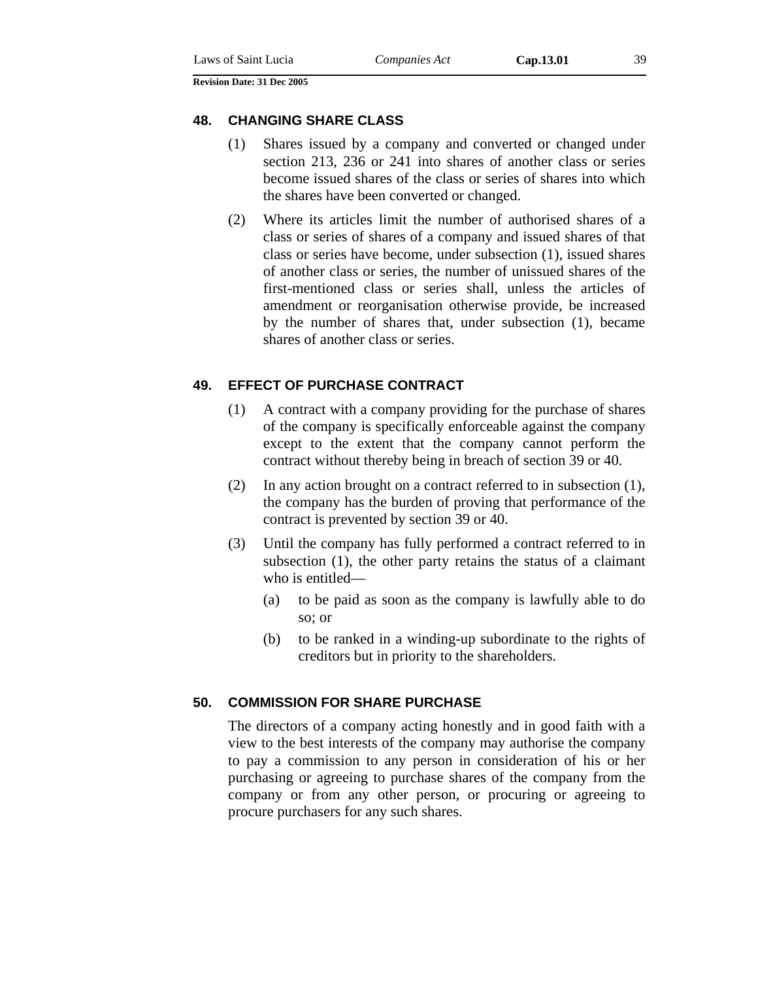#### **48. CHANGING SHARE CLASS**

- (1) Shares issued by a company and converted or changed under section 213, 236 or 241 into shares of another class or series become issued shares of the class or series of shares into which the shares have been converted or changed.
- (2) Where its articles limit the number of authorised shares of a class or series of shares of a company and issued shares of that class or series have become, under subsection (1), issued shares of another class or series, the number of unissued shares of the first-mentioned class or series shall, unless the articles of amendment or reorganisation otherwise provide, be increased by the number of shares that, under subsection (1), became shares of another class or series.

### **49. EFFECT OF PURCHASE CONTRACT**

- (1) A contract with a company providing for the purchase of shares of the company is specifically enforceable against the company except to the extent that the company cannot perform the contract without thereby being in breach of section 39 or 40.
- (2) In any action brought on a contract referred to in subsection (1), the company has the burden of proving that performance of the contract is prevented by section 39 or 40.
- (3) Until the company has fully performed a contract referred to in subsection (1), the other party retains the status of a claimant who is entitled—
	- (a) to be paid as soon as the company is lawfully able to do so; or
	- (b) to be ranked in a winding-up subordinate to the rights of creditors but in priority to the shareholders.

# **50. COMMISSION FOR SHARE PURCHASE**

The directors of a company acting honestly and in good faith with a view to the best interests of the company may authorise the company to pay a commission to any person in consideration of his or her purchasing or agreeing to purchase shares of the company from the company or from any other person, or procuring or agreeing to procure purchasers for any such shares.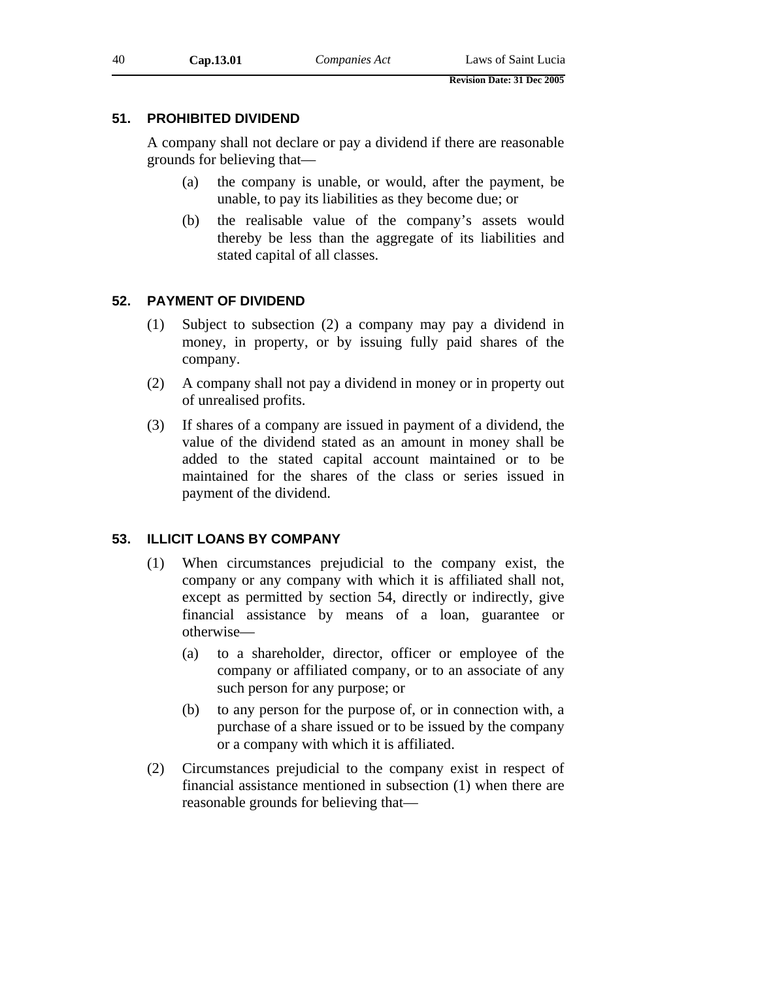# **51. PROHIBITED DIVIDEND**

A company shall not declare or pay a dividend if there are reasonable grounds for believing that—

- (a) the company is unable, or would, after the payment, be unable, to pay its liabilities as they become due; or
- (b) the realisable value of the company's assets would thereby be less than the aggregate of its liabilities and stated capital of all classes.

# **52. PAYMENT OF DIVIDEND**

- (1) Subject to subsection (2) a company may pay a dividend in money, in property, or by issuing fully paid shares of the company.
- (2) A company shall not pay a dividend in money or in property out of unrealised profits.
- (3) If shares of a company are issued in payment of a dividend, the value of the dividend stated as an amount in money shall be added to the stated capital account maintained or to be maintained for the shares of the class or series issued in payment of the dividend.

# **53. ILLICIT LOANS BY COMPANY**

- (1) When circumstances prejudicial to the company exist, the company or any company with which it is affiliated shall not, except as permitted by section 54, directly or indirectly, give financial assistance by means of a loan, guarantee or otherwise—
	- (a) to a shareholder, director, officer or employee of the company or affiliated company, or to an associate of any such person for any purpose; or
	- (b) to any person for the purpose of, or in connection with, a purchase of a share issued or to be issued by the company or a company with which it is affiliated.
- (2) Circumstances prejudicial to the company exist in respect of financial assistance mentioned in subsection (1) when there are reasonable grounds for believing that—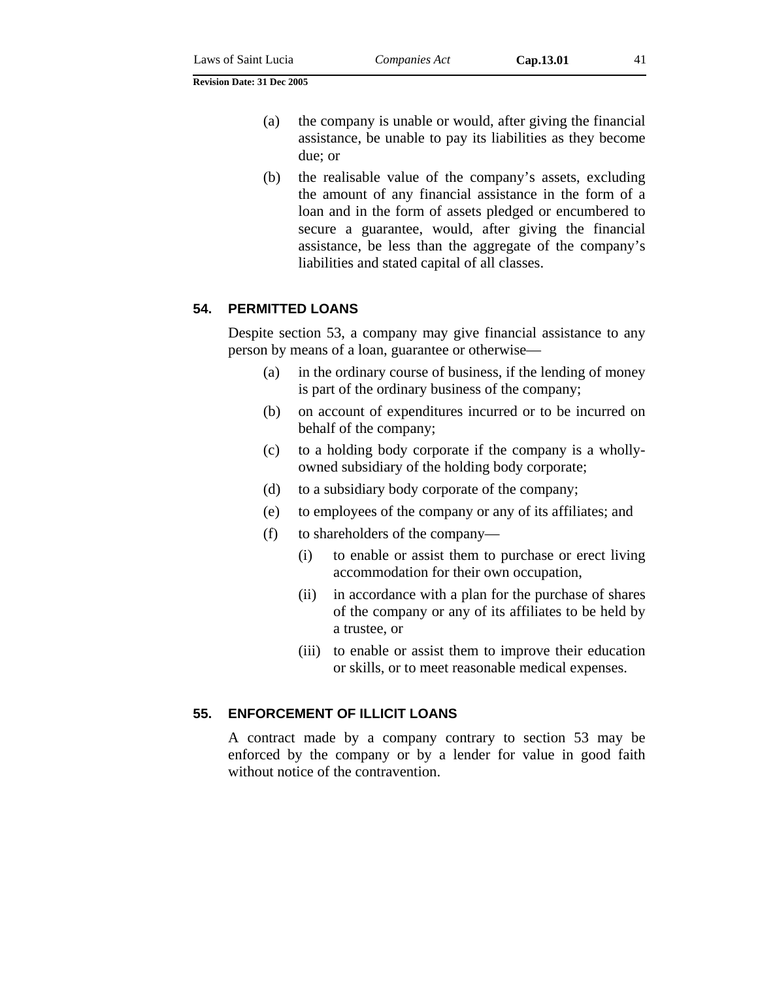- (a) the company is unable or would, after giving the financial assistance, be unable to pay its liabilities as they become due; or
- (b) the realisable value of the company's assets, excluding the amount of any financial assistance in the form of a loan and in the form of assets pledged or encumbered to secure a guarantee, would, after giving the financial assistance, be less than the aggregate of the company's liabilities and stated capital of all classes.

### **54. PERMITTED LOANS**

Despite section 53, a company may give financial assistance to any person by means of a loan, guarantee or otherwise—

- (a) in the ordinary course of business, if the lending of money is part of the ordinary business of the company;
- (b) on account of expenditures incurred or to be incurred on behalf of the company;
- (c) to a holding body corporate if the company is a whollyowned subsidiary of the holding body corporate;
- (d) to a subsidiary body corporate of the company;
- (e) to employees of the company or any of its affiliates; and
- (f) to shareholders of the company—
	- (i) to enable or assist them to purchase or erect living accommodation for their own occupation,
	- (ii) in accordance with a plan for the purchase of shares of the company or any of its affiliates to be held by a trustee, or
	- (iii) to enable or assist them to improve their education or skills, or to meet reasonable medical expenses.

#### **55. ENFORCEMENT OF ILLICIT LOANS**

A contract made by a company contrary to section 53 may be enforced by the company or by a lender for value in good faith without notice of the contravention.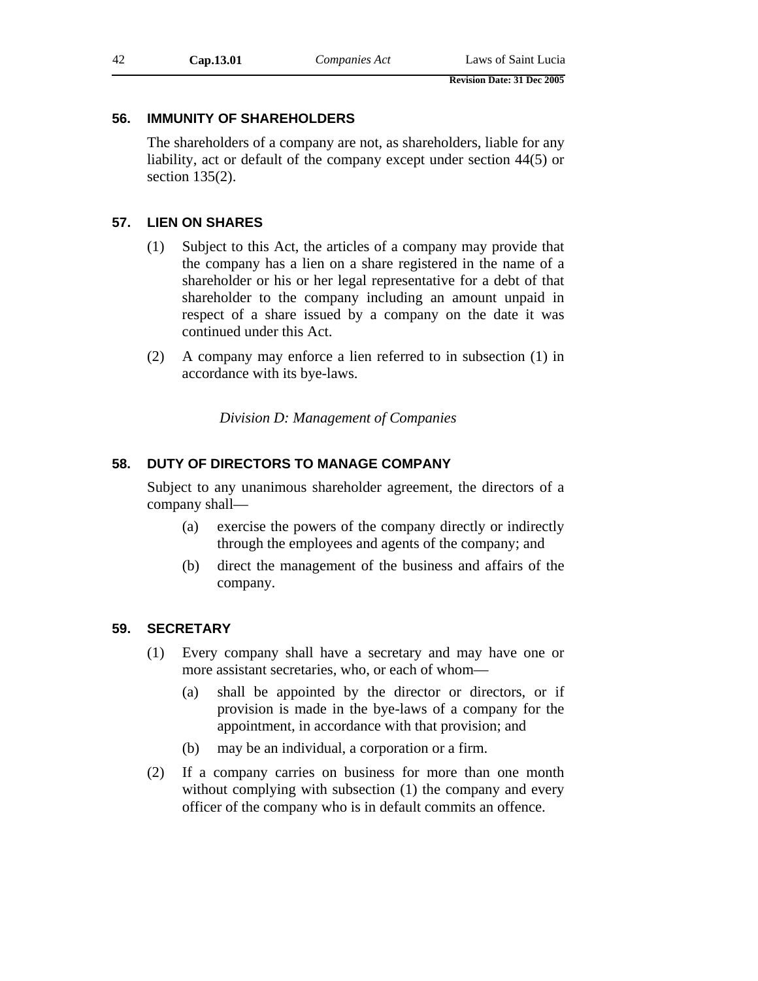# **56. IMMUNITY OF SHAREHOLDERS**

The shareholders of a company are not, as shareholders, liable for any liability, act or default of the company except under section 44(5) or section 135(2).

# **57. LIEN ON SHARES**

- (1) Subject to this Act, the articles of a company may provide that the company has a lien on a share registered in the name of a shareholder or his or her legal representative for a debt of that shareholder to the company including an amount unpaid in respect of a share issued by a company on the date it was continued under this Act.
- (2) A company may enforce a lien referred to in subsection (1) in accordance with its bye-laws.

*Division D: Management of Companies* 

# **58. DUTY OF DIRECTORS TO MANAGE COMPANY**

Subject to any unanimous shareholder agreement, the directors of a company shall—

- (a) exercise the powers of the company directly or indirectly through the employees and agents of the company; and
- (b) direct the management of the business and affairs of the company.

# **59. SECRETARY**

- (1) Every company shall have a secretary and may have one or more assistant secretaries, who, or each of whom—
	- (a) shall be appointed by the director or directors, or if provision is made in the bye-laws of a company for the appointment, in accordance with that provision; and
	- (b) may be an individual, a corporation or a firm.
- (2) If a company carries on business for more than one month without complying with subsection (1) the company and every officer of the company who is in default commits an offence.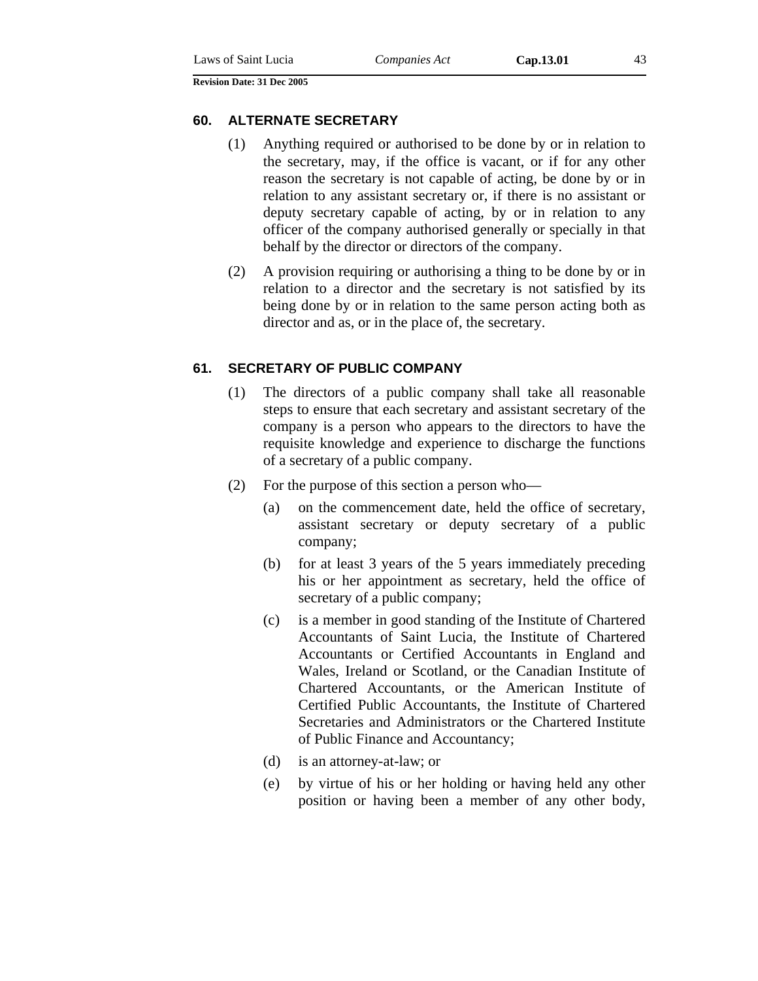#### **60. ALTERNATE SECRETARY**

- (1) Anything required or authorised to be done by or in relation to the secretary, may, if the office is vacant, or if for any other reason the secretary is not capable of acting, be done by or in relation to any assistant secretary or, if there is no assistant or deputy secretary capable of acting, by or in relation to any officer of the company authorised generally or specially in that behalf by the director or directors of the company.
- (2) A provision requiring or authorising a thing to be done by or in relation to a director and the secretary is not satisfied by its being done by or in relation to the same person acting both as director and as, or in the place of, the secretary.

## **61. SECRETARY OF PUBLIC COMPANY**

- (1) The directors of a public company shall take all reasonable steps to ensure that each secretary and assistant secretary of the company is a person who appears to the directors to have the requisite knowledge and experience to discharge the functions of a secretary of a public company.
- (2) For the purpose of this section a person who—
	- (a) on the commencement date, held the office of secretary, assistant secretary or deputy secretary of a public company;
	- (b) for at least 3 years of the 5 years immediately preceding his or her appointment as secretary, held the office of secretary of a public company;
	- (c) is a member in good standing of the Institute of Chartered Accountants of Saint Lucia, the Institute of Chartered Accountants or Certified Accountants in England and Wales, Ireland or Scotland, or the Canadian Institute of Chartered Accountants, or the American Institute of Certified Public Accountants, the Institute of Chartered Secretaries and Administrators or the Chartered Institute of Public Finance and Accountancy;
	- (d) is an attorney-at-law; or
	- (e) by virtue of his or her holding or having held any other position or having been a member of any other body,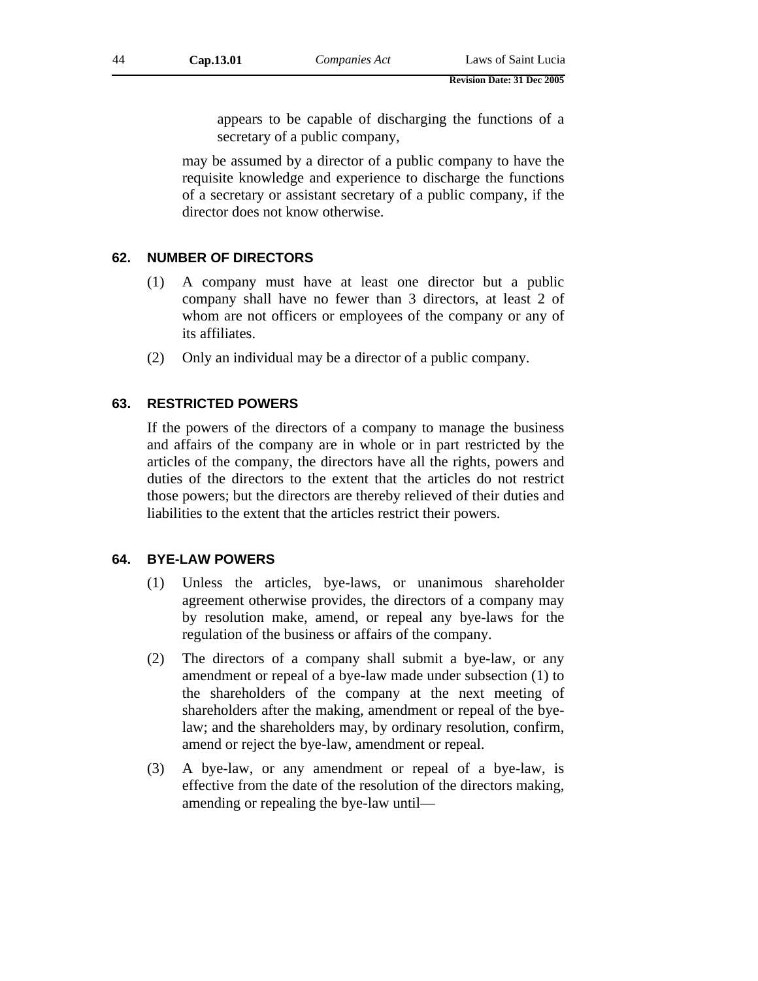appears to be capable of discharging the functions of a secretary of a public company,

may be assumed by a director of a public company to have the requisite knowledge and experience to discharge the functions of a secretary or assistant secretary of a public company, if the director does not know otherwise.

# **62. NUMBER OF DIRECTORS**

- (1) A company must have at least one director but a public company shall have no fewer than 3 directors, at least 2 of whom are not officers or employees of the company or any of its affiliates.
- (2) Only an individual may be a director of a public company.

## **63. RESTRICTED POWERS**

If the powers of the directors of a company to manage the business and affairs of the company are in whole or in part restricted by the articles of the company, the directors have all the rights, powers and duties of the directors to the extent that the articles do not restrict those powers; but the directors are thereby relieved of their duties and liabilities to the extent that the articles restrict their powers.

# **64. BYE-LAW POWERS**

- (1) Unless the articles, bye-laws, or unanimous shareholder agreement otherwise provides, the directors of a company may by resolution make, amend, or repeal any bye-laws for the regulation of the business or affairs of the company.
- (2) The directors of a company shall submit a bye-law, or any amendment or repeal of a bye-law made under subsection (1) to the shareholders of the company at the next meeting of shareholders after the making, amendment or repeal of the byelaw; and the shareholders may, by ordinary resolution, confirm, amend or reject the bye-law, amendment or repeal.
- (3) A bye-law, or any amendment or repeal of a bye-law, is effective from the date of the resolution of the directors making, amending or repealing the bye-law until—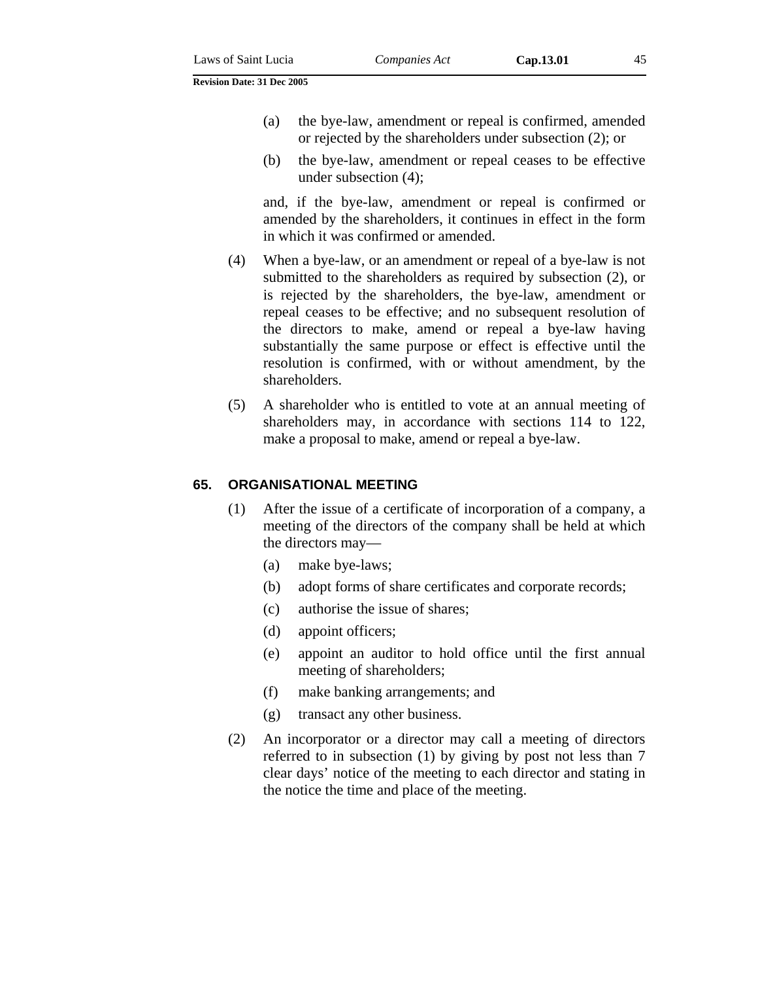- (a) the bye-law, amendment or repeal is confirmed, amended or rejected by the shareholders under subsection (2); or
- (b) the bye-law, amendment or repeal ceases to be effective under subsection (4);

and, if the bye-law, amendment or repeal is confirmed or amended by the shareholders, it continues in effect in the form in which it was confirmed or amended.

- (4) When a bye-law, or an amendment or repeal of a bye-law is not submitted to the shareholders as required by subsection (2), or is rejected by the shareholders, the bye-law, amendment or repeal ceases to be effective; and no subsequent resolution of the directors to make, amend or repeal a bye-law having substantially the same purpose or effect is effective until the resolution is confirmed, with or without amendment, by the shareholders.
- (5) A shareholder who is entitled to vote at an annual meeting of shareholders may, in accordance with sections 114 to 122, make a proposal to make, amend or repeal a bye-law.

#### **65. ORGANISATIONAL MEETING**

- (1) After the issue of a certificate of incorporation of a company, a meeting of the directors of the company shall be held at which the directors may—
	- (a) make bye-laws;
	- (b) adopt forms of share certificates and corporate records;
	- (c) authorise the issue of shares;
	- (d) appoint officers;
	- (e) appoint an auditor to hold office until the first annual meeting of shareholders;
	- (f) make banking arrangements; and
	- (g) transact any other business.
- (2) An incorporator or a director may call a meeting of directors referred to in subsection (1) by giving by post not less than 7 clear days' notice of the meeting to each director and stating in the notice the time and place of the meeting.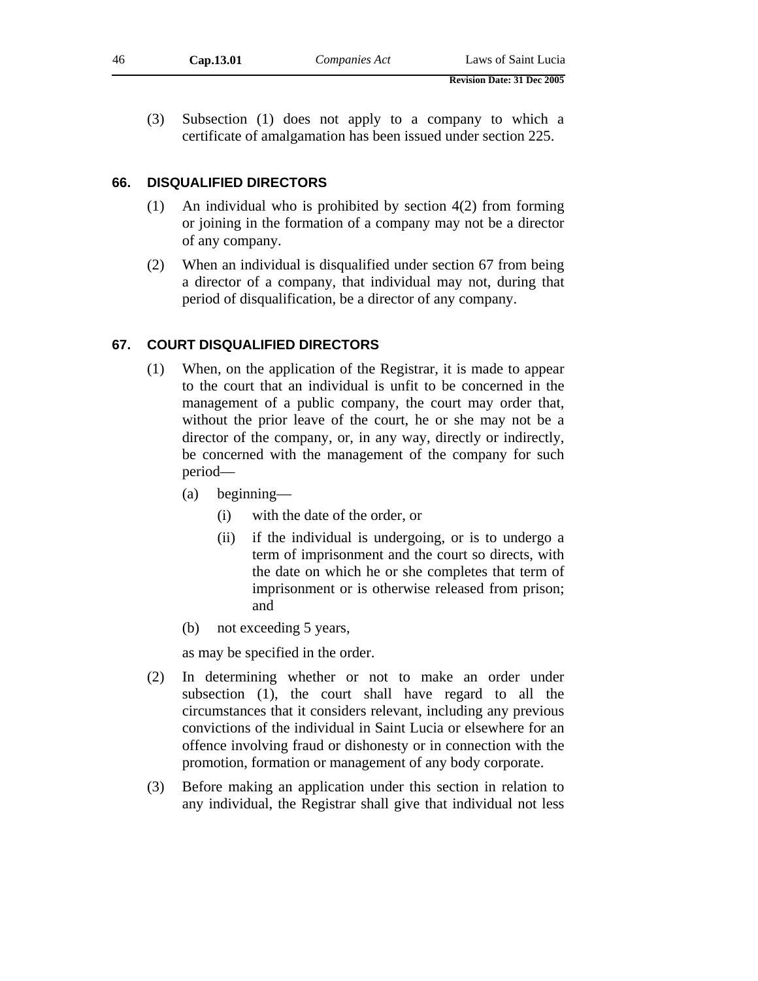(3) Subsection (1) does not apply to a company to which a certificate of amalgamation has been issued under section 225.

### **66. DISQUALIFIED DIRECTORS**

- (1) An individual who is prohibited by section 4(2) from forming or joining in the formation of a company may not be a director of any company.
- (2) When an individual is disqualified under section 67 from being a director of a company, that individual may not, during that period of disqualification, be a director of any company.

### **67. COURT DISQUALIFIED DIRECTORS**

- (1) When, on the application of the Registrar, it is made to appear to the court that an individual is unfit to be concerned in the management of a public company, the court may order that, without the prior leave of the court, he or she may not be a director of the company, or, in any way, directly or indirectly, be concerned with the management of the company for such period—
	- (a) beginning—
		- (i) with the date of the order, or
		- (ii) if the individual is undergoing, or is to undergo a term of imprisonment and the court so directs, with the date on which he or she completes that term of imprisonment or is otherwise released from prison; and
	- (b) not exceeding 5 years,

as may be specified in the order.

- (2) In determining whether or not to make an order under subsection (1), the court shall have regard to all the circumstances that it considers relevant, including any previous convictions of the individual in Saint Lucia or elsewhere for an offence involving fraud or dishonesty or in connection with the promotion, formation or management of any body corporate.
- (3) Before making an application under this section in relation to any individual, the Registrar shall give that individual not less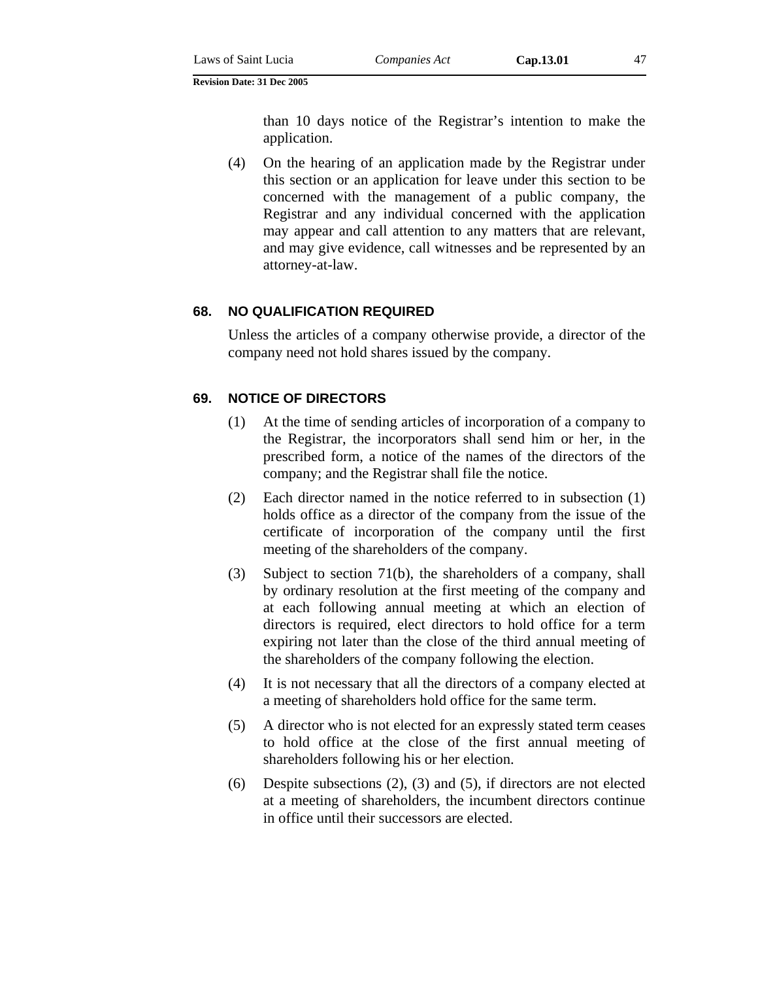than 10 days notice of the Registrar's intention to make the application.

(4) On the hearing of an application made by the Registrar under this section or an application for leave under this section to be concerned with the management of a public company, the Registrar and any individual concerned with the application may appear and call attention to any matters that are relevant, and may give evidence, call witnesses and be represented by an attorney-at-law.

#### **68. NO QUALIFICATION REQUIRED**

Unless the articles of a company otherwise provide, a director of the company need not hold shares issued by the company.

### **69. NOTICE OF DIRECTORS**

- (1) At the time of sending articles of incorporation of a company to the Registrar, the incorporators shall send him or her, in the prescribed form, a notice of the names of the directors of the company; and the Registrar shall file the notice.
- (2) Each director named in the notice referred to in subsection (1) holds office as a director of the company from the issue of the certificate of incorporation of the company until the first meeting of the shareholders of the company.
- (3) Subject to section 71(b), the shareholders of a company, shall by ordinary resolution at the first meeting of the company and at each following annual meeting at which an election of directors is required, elect directors to hold office for a term expiring not later than the close of the third annual meeting of the shareholders of the company following the election.
- (4) It is not necessary that all the directors of a company elected at a meeting of shareholders hold office for the same term.
- (5) A director who is not elected for an expressly stated term ceases to hold office at the close of the first annual meeting of shareholders following his or her election.
- (6) Despite subsections (2), (3) and (5), if directors are not elected at a meeting of shareholders, the incumbent directors continue in office until their successors are elected.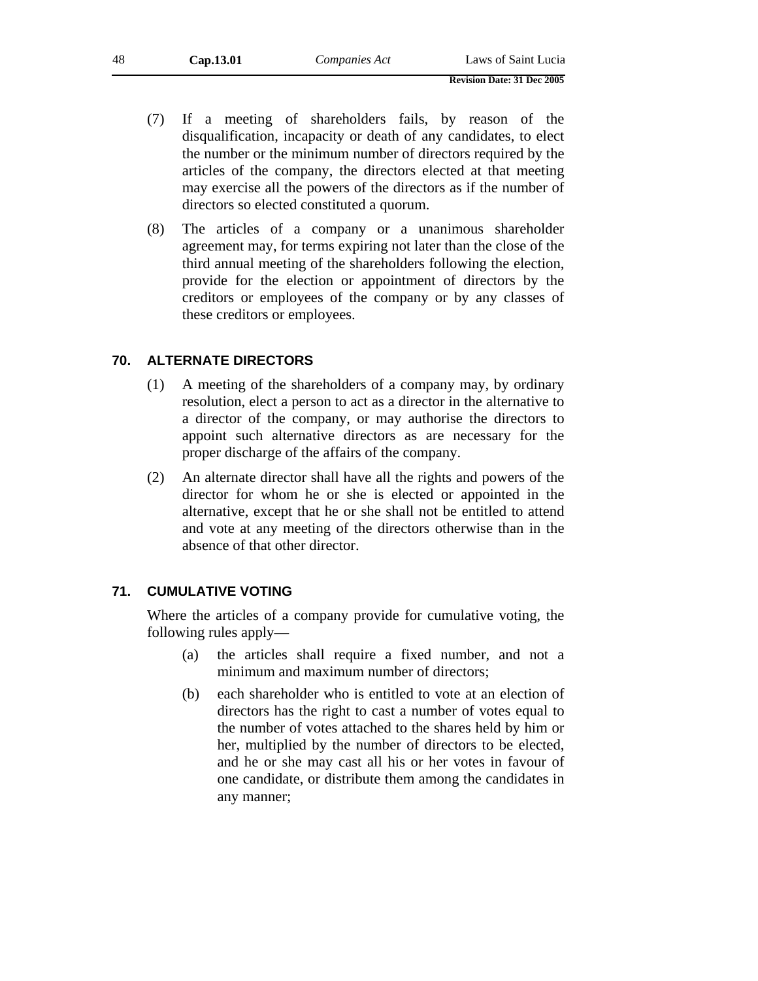- (7) If a meeting of shareholders fails, by reason of the disqualification, incapacity or death of any candidates, to elect the number or the minimum number of directors required by the articles of the company, the directors elected at that meeting may exercise all the powers of the directors as if the number of directors so elected constituted a quorum.
- (8) The articles of a company or a unanimous shareholder agreement may, for terms expiring not later than the close of the third annual meeting of the shareholders following the election, provide for the election or appointment of directors by the creditors or employees of the company or by any classes of these creditors or employees.

# **70. ALTERNATE DIRECTORS**

- (1) A meeting of the shareholders of a company may, by ordinary resolution, elect a person to act as a director in the alternative to a director of the company, or may authorise the directors to appoint such alternative directors as are necessary for the proper discharge of the affairs of the company.
- (2) An alternate director shall have all the rights and powers of the director for whom he or she is elected or appointed in the alternative, except that he or she shall not be entitled to attend and vote at any meeting of the directors otherwise than in the absence of that other director.

# **71. CUMULATIVE VOTING**

Where the articles of a company provide for cumulative voting, the following rules apply—

- (a) the articles shall require a fixed number, and not a minimum and maximum number of directors;
- (b) each shareholder who is entitled to vote at an election of directors has the right to cast a number of votes equal to the number of votes attached to the shares held by him or her, multiplied by the number of directors to be elected, and he or she may cast all his or her votes in favour of one candidate, or distribute them among the candidates in any manner;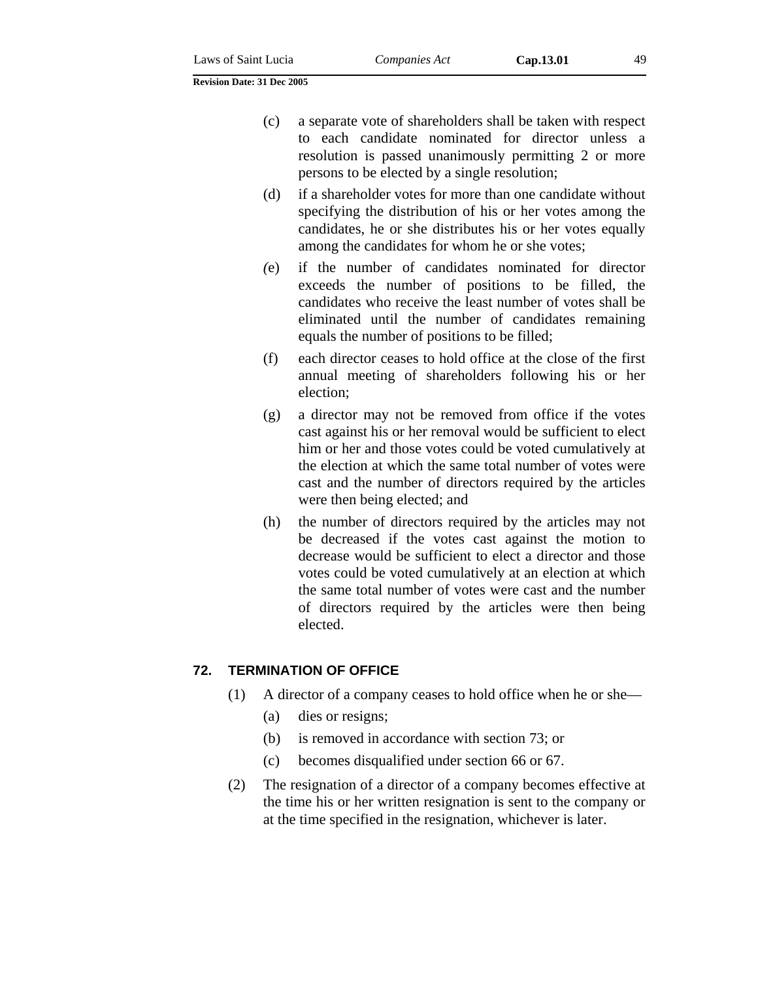- (c) a separate vote of shareholders shall be taken with respect to each candidate nominated for director unless a resolution is passed unanimously permitting 2 or more persons to be elected by a single resolution;
- (d) if a shareholder votes for more than one candidate without specifying the distribution of his or her votes among the candidates, he or she distributes his or her votes equally among the candidates for whom he or she votes;
- *(*e) if the number of candidates nominated for director exceeds the number of positions to be filled, the candidates who receive the least number of votes shall be eliminated until the number of candidates remaining equals the number of positions to be filled;
- (f) each director ceases to hold office at the close of the first annual meeting of shareholders following his or her election;
- (g) a director may not be removed from office if the votes cast against his or her removal would be sufficient to elect him or her and those votes could be voted cumulatively at the election at which the same total number of votes were cast and the number of directors required by the articles were then being elected; and
- (h) the number of directors required by the articles may not be decreased if the votes cast against the motion to decrease would be sufficient to elect a director and those votes could be voted cumulatively at an election at which the same total number of votes were cast and the number of directors required by the articles were then being elected.

### **72. TERMINATION OF OFFICE**

- (1) A director of a company ceases to hold office when he or she—
	- (a) dies or resigns;
	- (b) is removed in accordance with section 73; or
	- (c) becomes disqualified under section 66 or 67.
- (2) The resignation of a director of a company becomes effective at the time his or her written resignation is sent to the company or at the time specified in the resignation, whichever is later.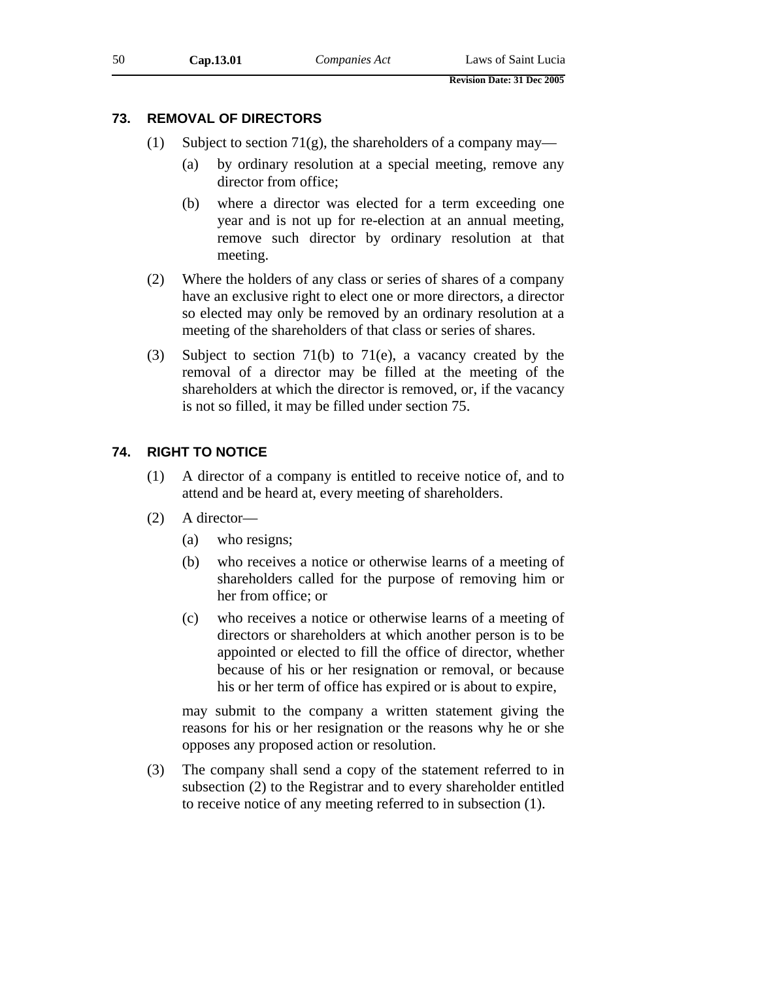# **73. REMOVAL OF DIRECTORS**

- (1) Subject to section 71(g), the shareholders of a company may—
	- (a) by ordinary resolution at a special meeting, remove any director from office;
	- (b) where a director was elected for a term exceeding one year and is not up for re-election at an annual meeting, remove such director by ordinary resolution at that meeting.
- (2) Where the holders of any class or series of shares of a company have an exclusive right to elect one or more directors, a director so elected may only be removed by an ordinary resolution at a meeting of the shareholders of that class or series of shares.
- (3) Subject to section 71(b) to 71(e), a vacancy created by the removal of a director may be filled at the meeting of the shareholders at which the director is removed, or, if the vacancy is not so filled, it may be filled under section 75.

# **74. RIGHT TO NOTICE**

- (1) A director of a company is entitled to receive notice of, and to attend and be heard at, every meeting of shareholders.
- (2) A director—
	- (a) who resigns;
	- (b) who receives a notice or otherwise learns of a meeting of shareholders called for the purpose of removing him or her from office; or
	- (c) who receives a notice or otherwise learns of a meeting of directors or shareholders at which another person is to be appointed or elected to fill the office of director, whether because of his or her resignation or removal, or because his or her term of office has expired or is about to expire,

may submit to the company a written statement giving the reasons for his or her resignation or the reasons why he or she opposes any proposed action or resolution.

(3) The company shall send a copy of the statement referred to in subsection (2) to the Registrar and to every shareholder entitled to receive notice of any meeting referred to in subsection (1).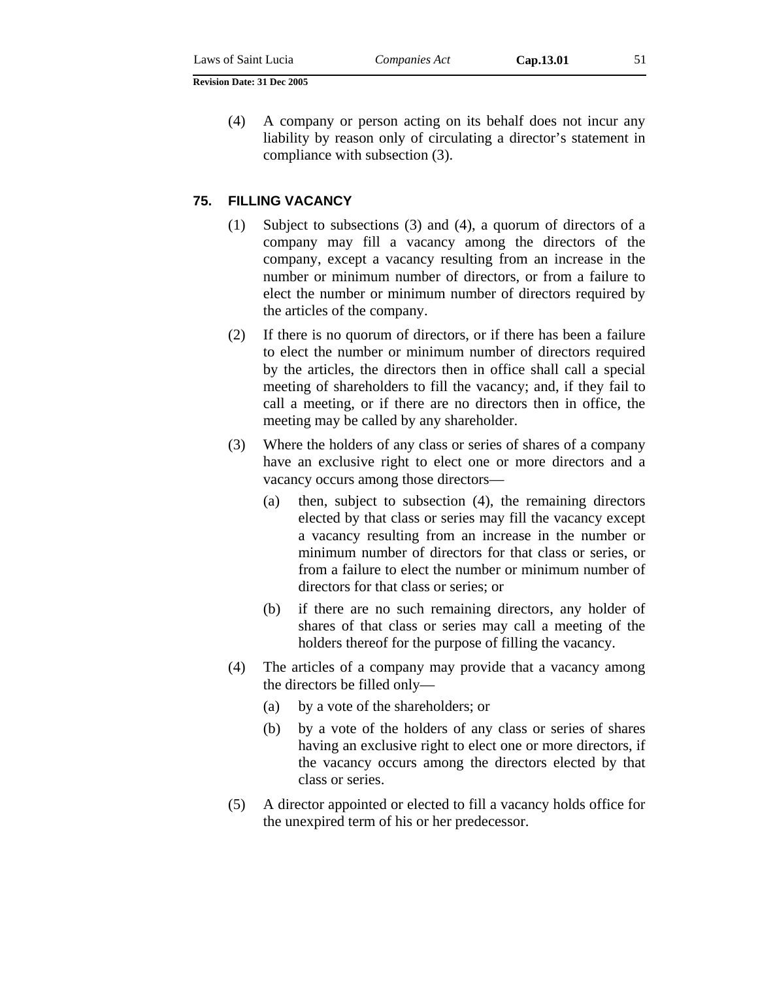(4) A company or person acting on its behalf does not incur any liability by reason only of circulating a director's statement in compliance with subsection (3).

### **75. FILLING VACANCY**

- (1) Subject to subsections (3) and (4), a quorum of directors of a company may fill a vacancy among the directors of the company, except a vacancy resulting from an increase in the number or minimum number of directors, or from a failure to elect the number or minimum number of directors required by the articles of the company.
- (2) If there is no quorum of directors, or if there has been a failure to elect the number or minimum number of directors required by the articles, the directors then in office shall call a special meeting of shareholders to fill the vacancy; and, if they fail to call a meeting, or if there are no directors then in office, the meeting may be called by any shareholder.
- (3) Where the holders of any class or series of shares of a company have an exclusive right to elect one or more directors and a vacancy occurs among those directors—
	- (a) then, subject to subsection (4), the remaining directors elected by that class or series may fill the vacancy except a vacancy resulting from an increase in the number or minimum number of directors for that class or series, or from a failure to elect the number or minimum number of directors for that class or series; or
	- (b) if there are no such remaining directors, any holder of shares of that class or series may call a meeting of the holders thereof for the purpose of filling the vacancy.
- (4) The articles of a company may provide that a vacancy among the directors be filled only—
	- (a) by a vote of the shareholders; or
	- (b) by a vote of the holders of any class or series of shares having an exclusive right to elect one or more directors, if the vacancy occurs among the directors elected by that class or series.
- (5) A director appointed or elected to fill a vacancy holds office for the unexpired term of his or her predecessor.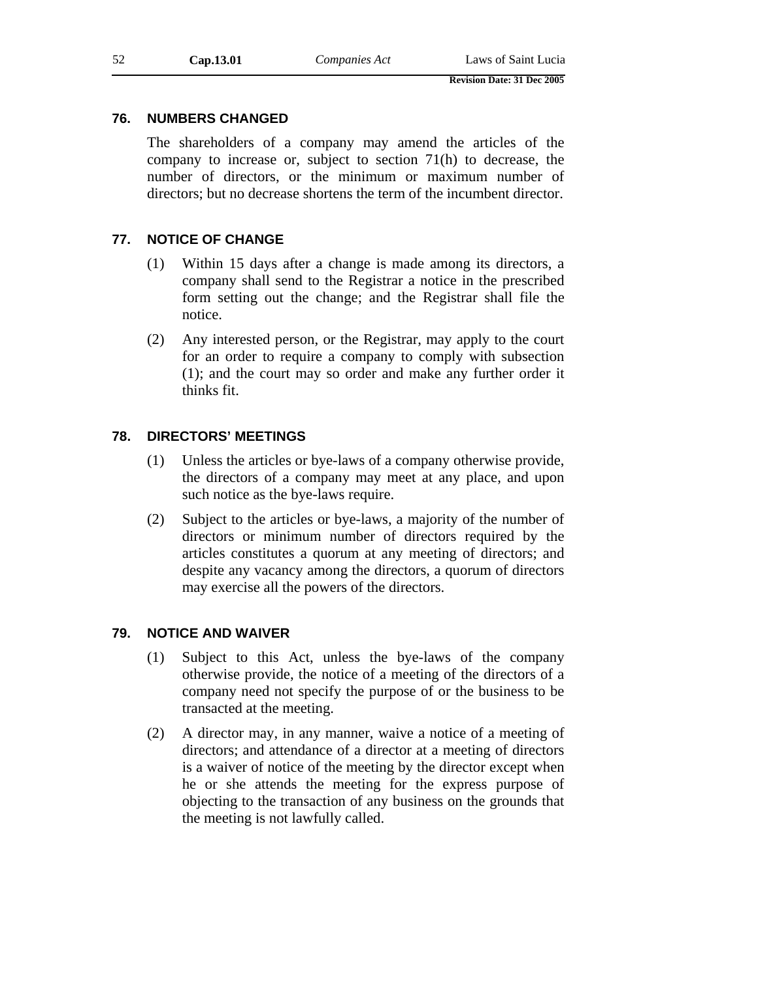# **76. NUMBERS CHANGED**

The shareholders of a company may amend the articles of the company to increase or, subject to section 71(h) to decrease, the number of directors, or the minimum or maximum number of directors; but no decrease shortens the term of the incumbent director.

# **77. NOTICE OF CHANGE**

- (1) Within 15 days after a change is made among its directors, a company shall send to the Registrar a notice in the prescribed form setting out the change; and the Registrar shall file the notice.
- (2) Any interested person, or the Registrar, may apply to the court for an order to require a company to comply with subsection (1); and the court may so order and make any further order it thinks fit.

# **78. DIRECTORS' MEETINGS**

- (1) Unless the articles or bye-laws of a company otherwise provide, the directors of a company may meet at any place, and upon such notice as the bye-laws require.
- (2) Subject to the articles or bye-laws, a majority of the number of directors or minimum number of directors required by the articles constitutes a quorum at any meeting of directors; and despite any vacancy among the directors, a quorum of directors may exercise all the powers of the directors.

# **79. NOTICE AND WAIVER**

- (1) Subject to this Act, unless the bye-laws of the company otherwise provide, the notice of a meeting of the directors of a company need not specify the purpose of or the business to be transacted at the meeting.
- (2) A director may, in any manner, waive a notice of a meeting of directors; and attendance of a director at a meeting of directors is a waiver of notice of the meeting by the director except when he or she attends the meeting for the express purpose of objecting to the transaction of any business on the grounds that the meeting is not lawfully called.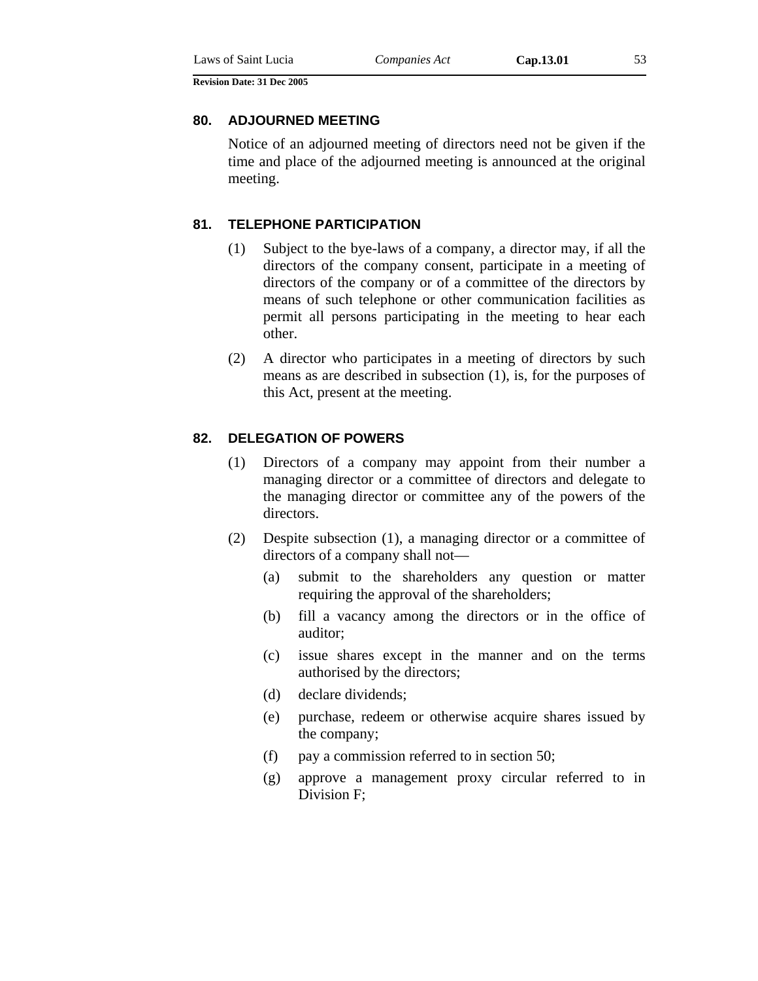#### **80. ADJOURNED MEETING**

Notice of an adjourned meeting of directors need not be given if the time and place of the adjourned meeting is announced at the original meeting.

### **81. TELEPHONE PARTICIPATION**

- (1) Subject to the bye-laws of a company, a director may, if all the directors of the company consent, participate in a meeting of directors of the company or of a committee of the directors by means of such telephone or other communication facilities as permit all persons participating in the meeting to hear each other.
- (2) A director who participates in a meeting of directors by such means as are described in subsection (1), is, for the purposes of this Act, present at the meeting.

### **82. DELEGATION OF POWERS**

- (1) Directors of a company may appoint from their number a managing director or a committee of directors and delegate to the managing director or committee any of the powers of the directors.
- (2) Despite subsection (1), a managing director or a committee of directors of a company shall not—
	- (a) submit to the shareholders any question or matter requiring the approval of the shareholders;
	- (b) fill a vacancy among the directors or in the office of auditor;
	- (c) issue shares except in the manner and on the terms authorised by the directors;
	- (d) declare dividends;
	- (e) purchase, redeem or otherwise acquire shares issued by the company;
	- (f) pay a commission referred to in section 50;
	- (g) approve a management proxy circular referred to in Division F;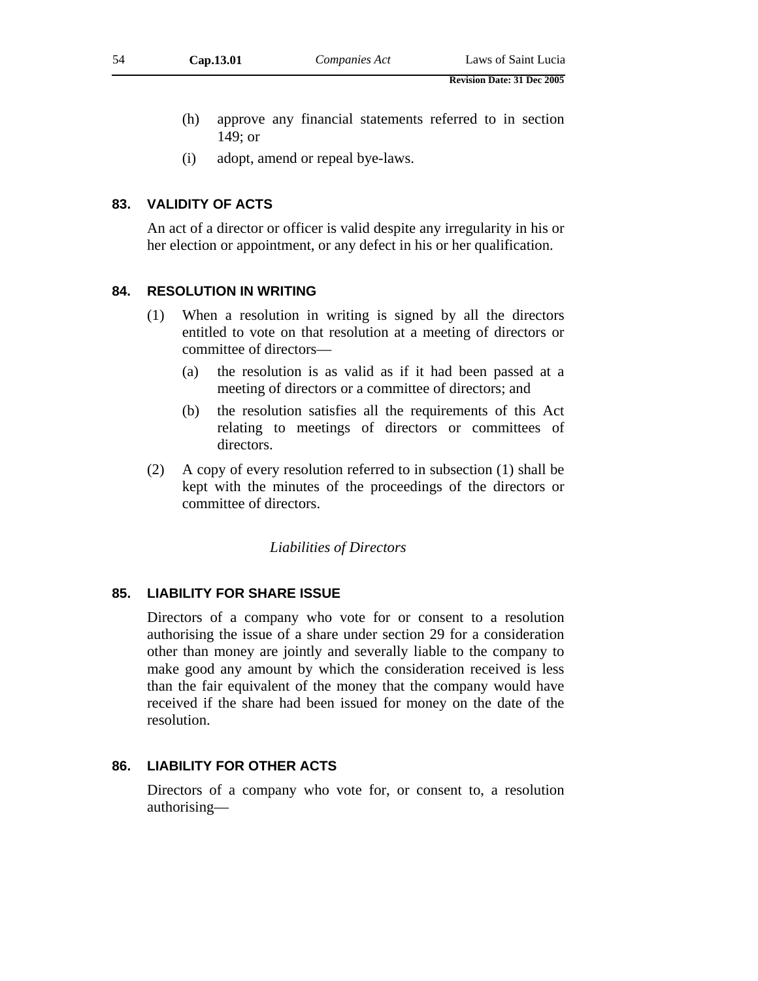- (h) approve any financial statements referred to in section 149; or
- (i) adopt, amend or repeal bye-laws.

## **83. VALIDITY OF ACTS**

An act of a director or officer is valid despite any irregularity in his or her election or appointment, or any defect in his or her qualification.

#### **84. RESOLUTION IN WRITING**

- (1) When a resolution in writing is signed by all the directors entitled to vote on that resolution at a meeting of directors or committee of directors—
	- (a) the resolution is as valid as if it had been passed at a meeting of directors or a committee of directors; and
	- (b) the resolution satisfies all the requirements of this Act relating to meetings of directors or committees of directors.
- (2) A copy of every resolution referred to in subsection (1) shall be kept with the minutes of the proceedings of the directors or committee of directors.

#### *Liabilities of Directors*

## **85. LIABILITY FOR SHARE ISSUE**

Directors of a company who vote for or consent to a resolution authorising the issue of a share under section 29 for a consideration other than money are jointly and severally liable to the company to make good any amount by which the consideration received is less than the fair equivalent of the money that the company would have received if the share had been issued for money on the date of the resolution.

## **86. LIABILITY FOR OTHER ACTS**

Directors of a company who vote for, or consent to, a resolution authorising—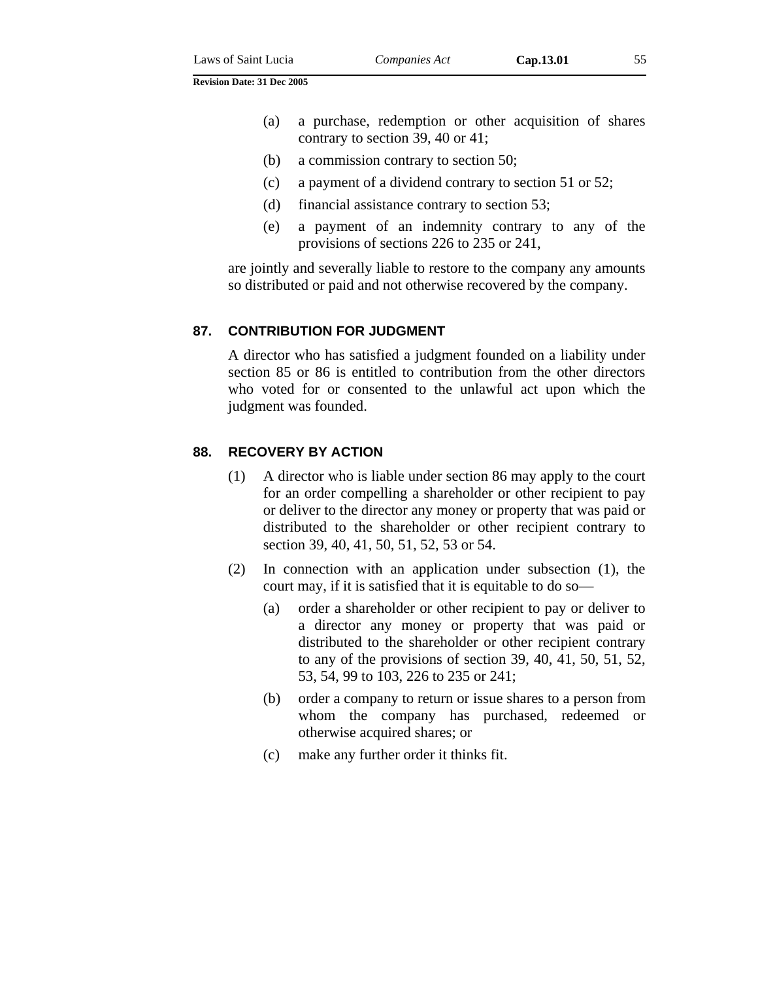- (a) a purchase, redemption or other acquisition of shares contrary to section 39, 40 or 41;
- (b) a commission contrary to section 50;
- (c) a payment of a dividend contrary to section 51 or 52;
- (d) financial assistance contrary to section 53;
- (e) a payment of an indemnity contrary to any of the provisions of sections 226 to 235 or 241,

are jointly and severally liable to restore to the company any amounts so distributed or paid and not otherwise recovered by the company.

### **87. CONTRIBUTION FOR JUDGMENT**

A director who has satisfied a judgment founded on a liability under section 85 or 86 is entitled to contribution from the other directors who voted for or consented to the unlawful act upon which the judgment was founded.

### **88. RECOVERY BY ACTION**

- (1) A director who is liable under section 86 may apply to the court for an order compelling a shareholder or other recipient to pay or deliver to the director any money or property that was paid or distributed to the shareholder or other recipient contrary to section 39, 40, 41, 50, 51, 52, 53 or 54.
- (2) In connection with an application under subsection (1), the court may, if it is satisfied that it is equitable to do so—
	- (a) order a shareholder or other recipient to pay or deliver to a director any money or property that was paid or distributed to the shareholder or other recipient contrary to any of the provisions of section 39, 40, 41, 50, 51, 52, 53, 54, 99 to 103, 226 to 235 or 241;
	- (b) order a company to return or issue shares to a person from whom the company has purchased, redeemed or otherwise acquired shares; or
	- (c) make any further order it thinks fit.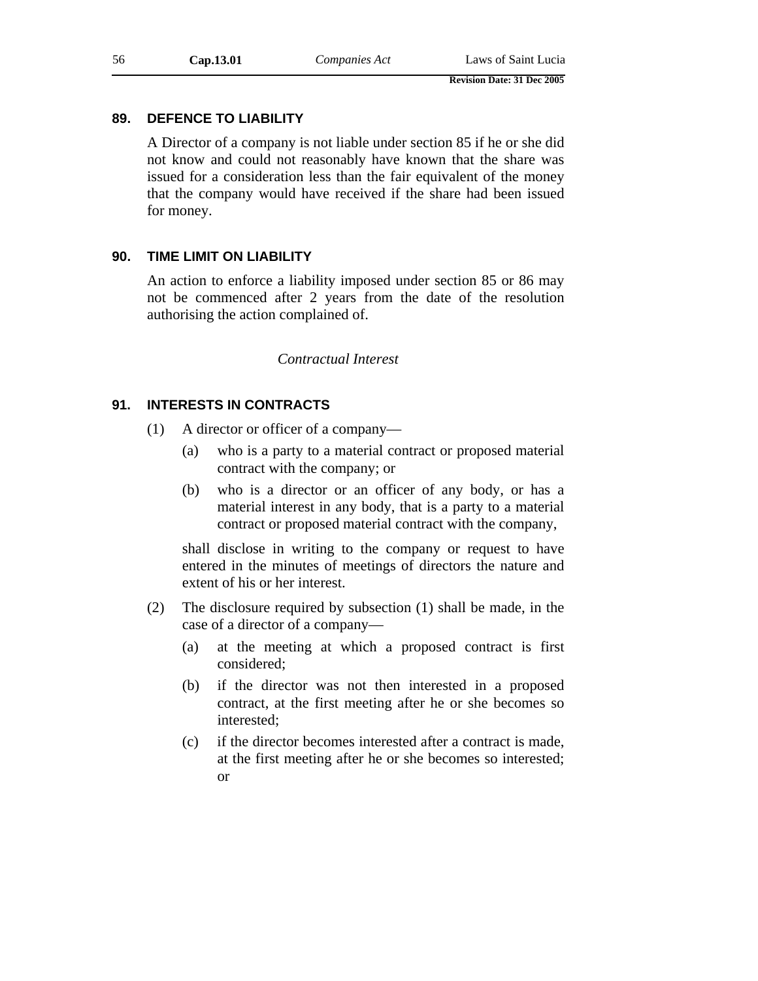# **89. DEFENCE TO LIABILITY**

A Director of a company is not liable under section 85 if he or she did not know and could not reasonably have known that the share was issued for a consideration less than the fair equivalent of the money that the company would have received if the share had been issued for money.

# **90. TIME LIMIT ON LIABILITY**

An action to enforce a liability imposed under section 85 or 86 may not be commenced after 2 years from the date of the resolution authorising the action complained of.

# *Contractual Interest*

# **91. INTERESTS IN CONTRACTS**

- (1) A director or officer of a company—
	- (a) who is a party to a material contract or proposed material contract with the company; or
	- (b) who is a director or an officer of any body, or has a material interest in any body, that is a party to a material contract or proposed material contract with the company,

shall disclose in writing to the company or request to have entered in the minutes of meetings of directors the nature and extent of his or her interest.

- (2) The disclosure required by subsection (1) shall be made, in the case of a director of a company—
	- (a) at the meeting at which a proposed contract is first considered;
	- (b) if the director was not then interested in a proposed contract, at the first meeting after he or she becomes so interested;
	- (c) if the director becomes interested after a contract is made, at the first meeting after he or she becomes so interested; or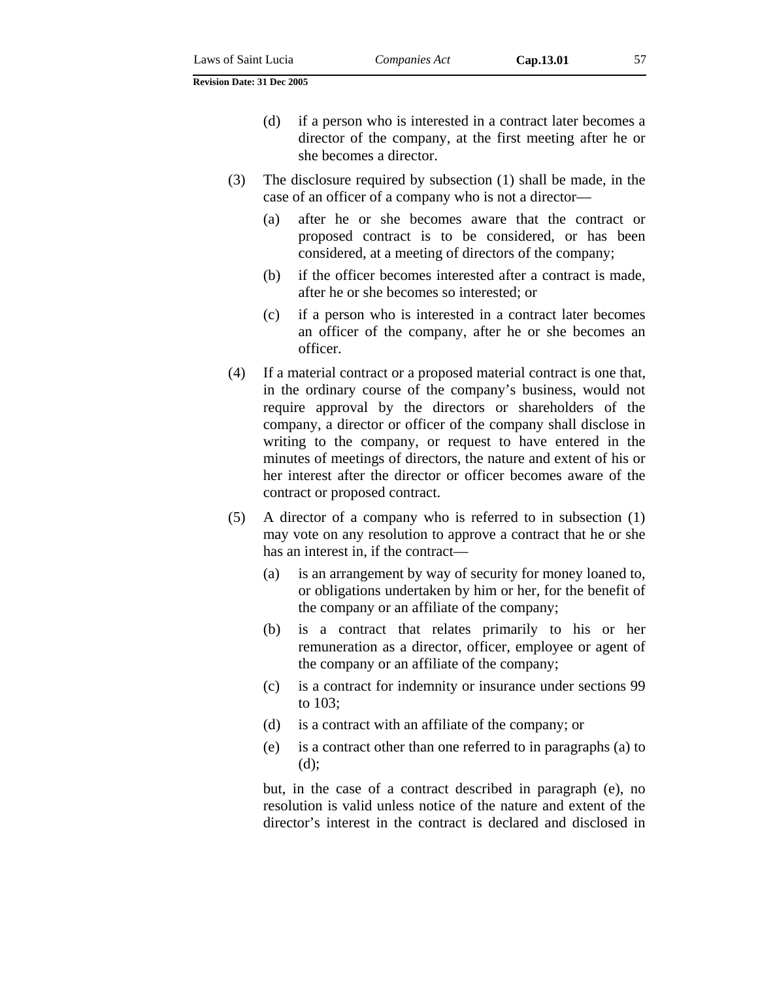- (d) if a person who is interested in a contract later becomes a director of the company, at the first meeting after he or she becomes a director.
- (3) The disclosure required by subsection (1) shall be made, in the case of an officer of a company who is not a director—
	- (a) after he or she becomes aware that the contract or proposed contract is to be considered, or has been considered, at a meeting of directors of the company;
	- (b) if the officer becomes interested after a contract is made, after he or she becomes so interested; or
	- (c) if a person who is interested in a contract later becomes an officer of the company, after he or she becomes an officer.
- (4) If a material contract or a proposed material contract is one that, in the ordinary course of the company's business, would not require approval by the directors or shareholders of the company, a director or officer of the company shall disclose in writing to the company, or request to have entered in the minutes of meetings of directors, the nature and extent of his or her interest after the director or officer becomes aware of the contract or proposed contract.
- (5) A director of a company who is referred to in subsection (1) may vote on any resolution to approve a contract that he or she has an interest in, if the contract—
	- (a) is an arrangement by way of security for money loaned to, or obligations undertaken by him or her, for the benefit of the company or an affiliate of the company;
	- (b) is a contract that relates primarily to his or her remuneration as a director, officer, employee or agent of the company or an affiliate of the company;
	- (c) is a contract for indemnity or insurance under sections 99 to 103;
	- (d) is a contract with an affiliate of the company; or
	- (e) is a contract other than one referred to in paragraphs (a) to (d);

but, in the case of a contract described in paragraph (e), no resolution is valid unless notice of the nature and extent of the director's interest in the contract is declared and disclosed in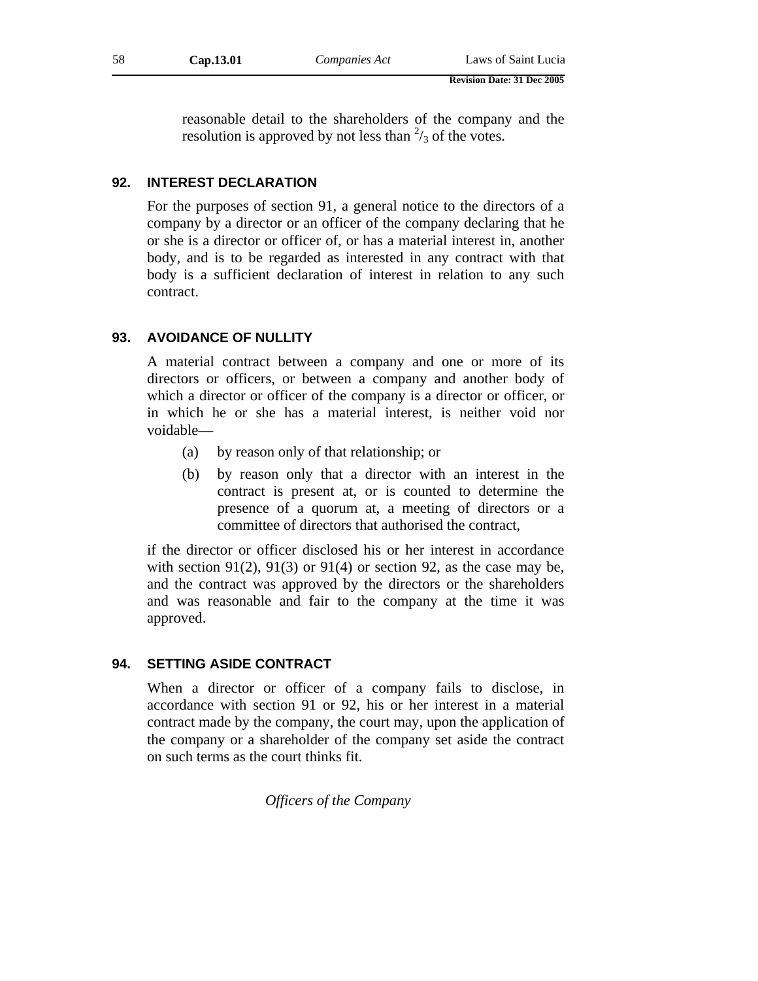reasonable detail to the shareholders of the company and the resolution is approved by not less than  $\frac{2}{3}$  of the votes.

## **92. INTEREST DECLARATION**

For the purposes of section 91, a general notice to the directors of a company by a director or an officer of the company declaring that he or she is a director or officer of, or has a material interest in, another body, and is to be regarded as interested in any contract with that body is a sufficient declaration of interest in relation to any such contract.

## **93. AVOIDANCE OF NULLITY**

A material contract between a company and one or more of its directors or officers, or between a company and another body of which a director or officer of the company is a director or officer, or in which he or she has a material interest, is neither void nor voidable—

- (a) by reason only of that relationship; or
- (b) by reason only that a director with an interest in the contract is present at, or is counted to determine the presence of a quorum at, a meeting of directors or a committee of directors that authorised the contract,

if the director or officer disclosed his or her interest in accordance with section 91(2), 91(3) or 91(4) or section 92, as the case may be, and the contract was approved by the directors or the shareholders and was reasonable and fair to the company at the time it was approved.

### **94. SETTING ASIDE CONTRACT**

When a director or officer of a company fails to disclose, in accordance with section 91 or 92, his or her interest in a material contract made by the company, the court may, upon the application of the company or a shareholder of the company set aside the contract on such terms as the court thinks fit.

*Officers of the Company*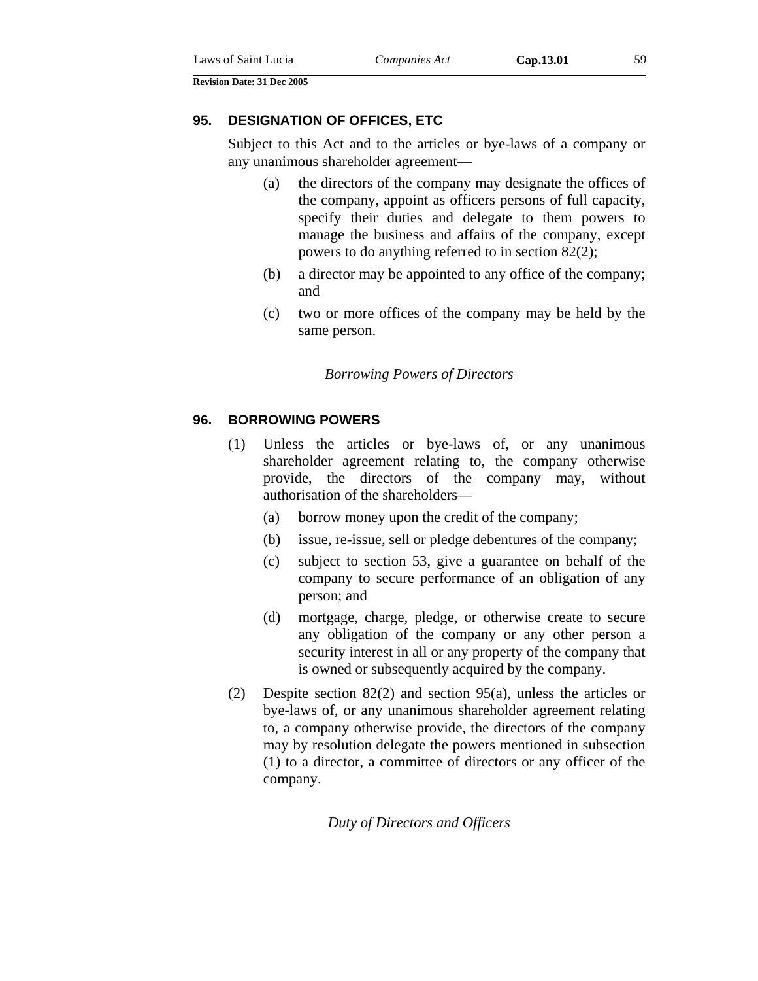#### **95. DESIGNATION OF OFFICES, ETC**

Subject to this Act and to the articles or bye-laws of a company or any unanimous shareholder agreement—

- (a) the directors of the company may designate the offices of the company, appoint as officers persons of full capacity, specify their duties and delegate to them powers to manage the business and affairs of the company, except powers to do anything referred to in section 82(2);
- (b) a director may be appointed to any office of the company; and
- (c) two or more offices of the company may be held by the same person.

#### *Borrowing Powers of Directors*

### **96. BORROWING POWERS**

- (1) Unless the articles or bye-laws of, or any unanimous shareholder agreement relating to, the company otherwise provide, the directors of the company may, without authorisation of the shareholders—
	- (a) borrow money upon the credit of the company;
	- (b) issue, re-issue, sell or pledge debentures of the company;
	- (c) subject to section 53, give a guarantee on behalf of the company to secure performance of an obligation of any person; and
	- (d) mortgage, charge, pledge, or otherwise create to secure any obligation of the company or any other person a security interest in all or any property of the company that is owned or subsequently acquired by the company.
- (2) Despite section 82(2) and section 95(a), unless the articles or bye-laws of, or any unanimous shareholder agreement relating to, a company otherwise provide, the directors of the company may by resolution delegate the powers mentioned in subsection (1) to a director, a committee of directors or any officer of the company.

*Duty of Directors and Officers*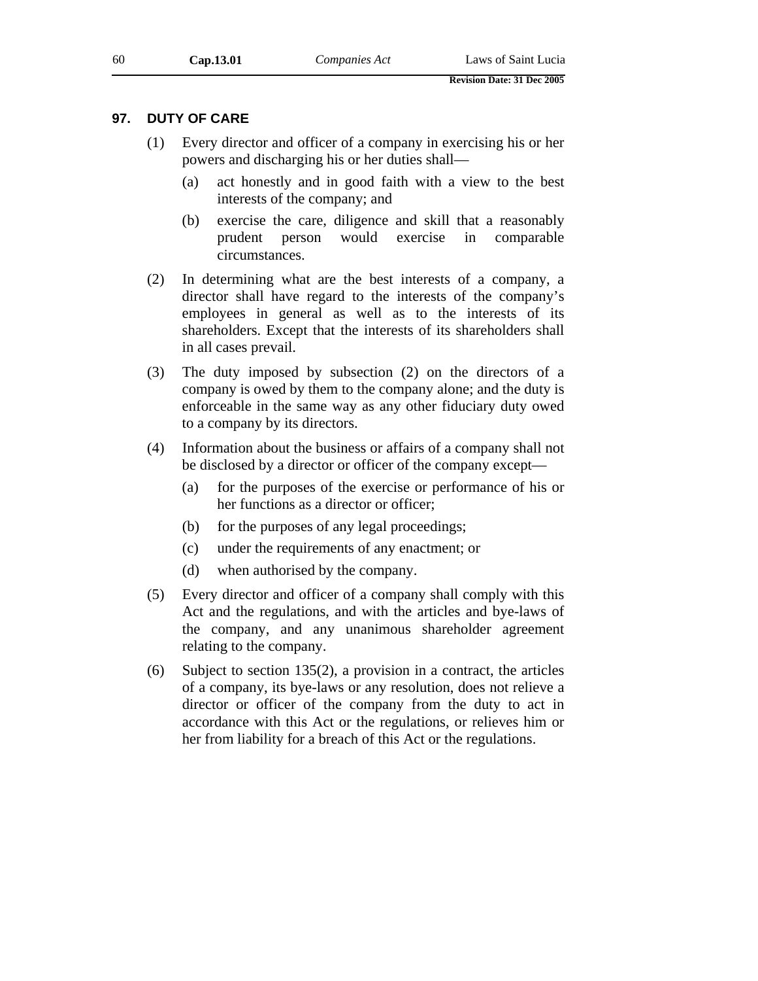### **97. DUTY OF CARE**

- (1) Every director and officer of a company in exercising his or her powers and discharging his or her duties shall—
	- (a) act honestly and in good faith with a view to the best interests of the company; and
	- (b) exercise the care, diligence and skill that a reasonably prudent person would exercise in comparable circumstances.
- (2) In determining what are the best interests of a company, a director shall have regard to the interests of the company's employees in general as well as to the interests of its shareholders. Except that the interests of its shareholders shall in all cases prevail.
- (3) The duty imposed by subsection (2) on the directors of a company is owed by them to the company alone; and the duty is enforceable in the same way as any other fiduciary duty owed to a company by its directors.
- (4) Information about the business or affairs of a company shall not be disclosed by a director or officer of the company except—
	- (a) for the purposes of the exercise or performance of his or her functions as a director or officer;
	- (b) for the purposes of any legal proceedings;
	- (c) under the requirements of any enactment; or
	- (d) when authorised by the company.
- (5) Every director and officer of a company shall comply with this Act and the regulations, and with the articles and bye-laws of the company, and any unanimous shareholder agreement relating to the company.
- (6) Subject to section 135(2), a provision in a contract, the articles of a company, its bye-laws or any resolution, does not relieve a director or officer of the company from the duty to act in accordance with this Act or the regulations, or relieves him or her from liability for a breach of this Act or the regulations.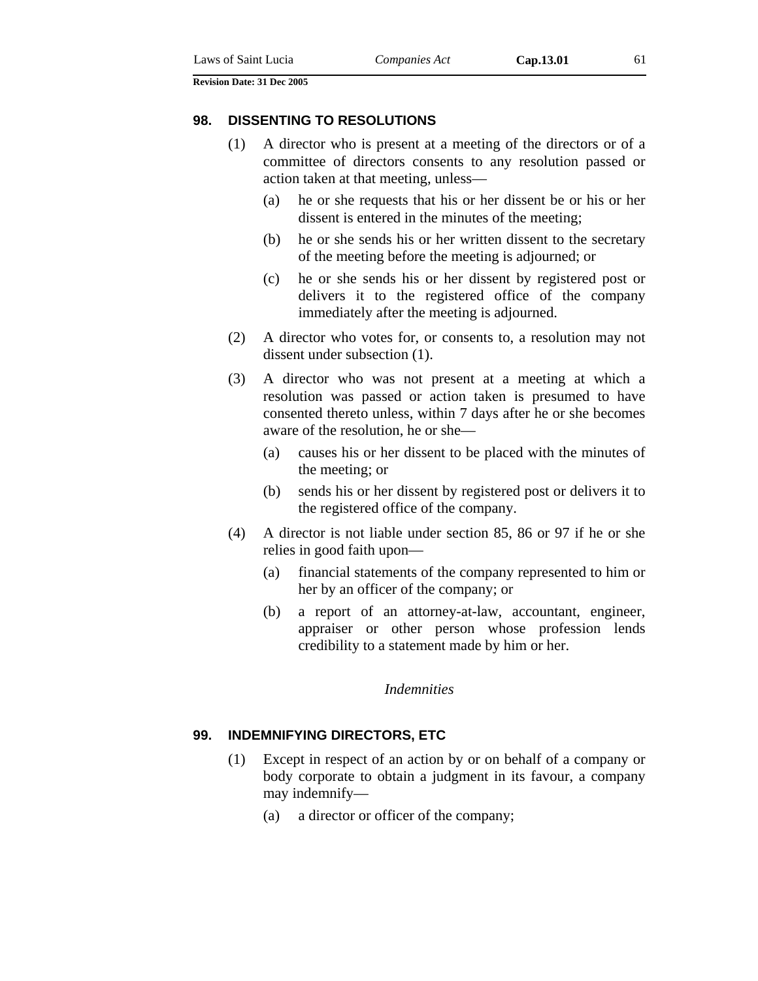#### **98. DISSENTING TO RESOLUTIONS**

- (1) A director who is present at a meeting of the directors or of a committee of directors consents to any resolution passed or action taken at that meeting, unless—
	- (a) he or she requests that his or her dissent be or his or her dissent is entered in the minutes of the meeting;
	- (b) he or she sends his or her written dissent to the secretary of the meeting before the meeting is adjourned; or
	- (c) he or she sends his or her dissent by registered post or delivers it to the registered office of the company immediately after the meeting is adjourned.
- (2) A director who votes for, or consents to, a resolution may not dissent under subsection (1).
- (3) A director who was not present at a meeting at which a resolution was passed or action taken is presumed to have consented thereto unless, within 7 days after he or she becomes aware of the resolution, he or she—
	- (a) causes his or her dissent to be placed with the minutes of the meeting; or
	- (b) sends his or her dissent by registered post or delivers it to the registered office of the company.
- (4) A director is not liable under section 85, 86 or 97 if he or she relies in good faith upon—
	- (a) financial statements of the company represented to him or her by an officer of the company; or
	- (b) a report of an attorney-at-law, accountant, engineer, appraiser or other person whose profession lends credibility to a statement made by him or her.

#### *Indemnities*

### **99. INDEMNIFYING DIRECTORS, ETC**

- (1) Except in respect of an action by or on behalf of a company or body corporate to obtain a judgment in its favour, a company may indemnify—
	- (a) a director or officer of the company;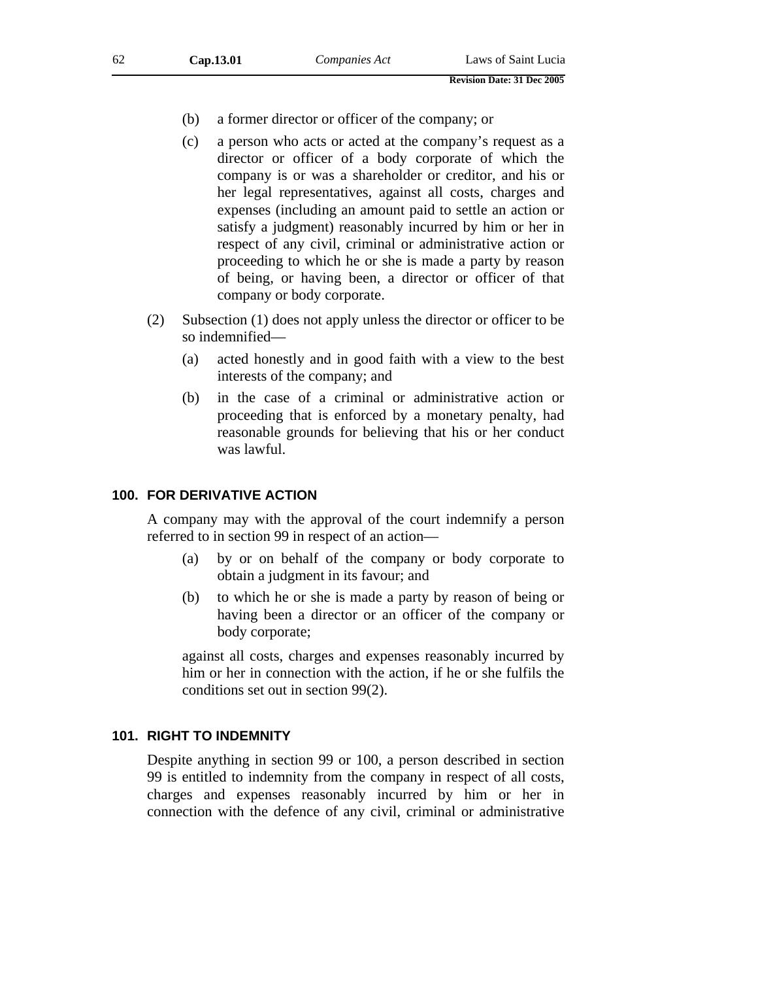- (b) a former director or officer of the company; or
- (c) a person who acts or acted at the company's request as a director or officer of a body corporate of which the company is or was a shareholder or creditor, and his or her legal representatives, against all costs, charges and expenses (including an amount paid to settle an action or satisfy a judgment) reasonably incurred by him or her in respect of any civil, criminal or administrative action or proceeding to which he or she is made a party by reason of being, or having been, a director or officer of that company or body corporate.
- (2) Subsection (1) does not apply unless the director or officer to be so indemnified—
	- (a) acted honestly and in good faith with a view to the best interests of the company; and
	- (b) in the case of a criminal or administrative action or proceeding that is enforced by a monetary penalty, had reasonable grounds for believing that his or her conduct was lawful.

#### **100. FOR DERIVATIVE ACTION**

A company may with the approval of the court indemnify a person referred to in section 99 in respect of an action—

- (a) by or on behalf of the company or body corporate to obtain a judgment in its favour; and
- (b) to which he or she is made a party by reason of being or having been a director or an officer of the company or body corporate;

against all costs, charges and expenses reasonably incurred by him or her in connection with the action, if he or she fulfils the conditions set out in section 99(2).

## **101. RIGHT TO INDEMNITY**

Despite anything in section 99 or 100, a person described in section 99 is entitled to indemnity from the company in respect of all costs, charges and expenses reasonably incurred by him or her in connection with the defence of any civil, criminal or administrative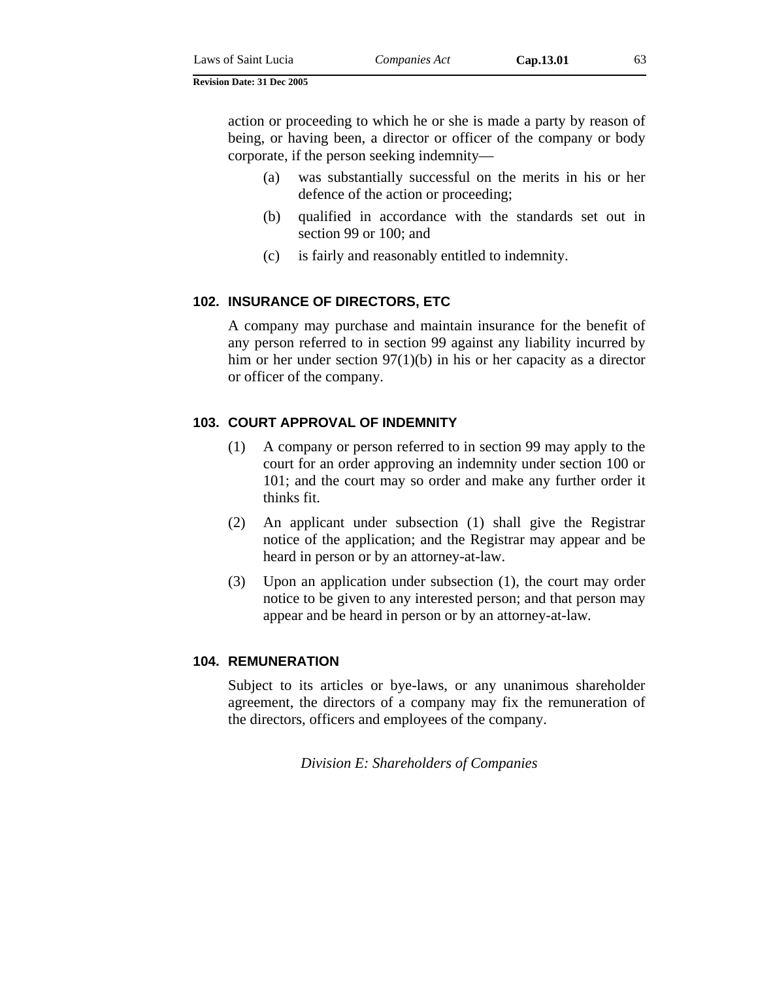| Laws of Saint Lucia | Companies Act |
|---------------------|---------------|
|---------------------|---------------|

action or proceeding to which he or she is made a party by reason of being, or having been, a director or officer of the company or body corporate, if the person seeking indemnity—

- (a) was substantially successful on the merits in his or her defence of the action or proceeding;
- (b) qualified in accordance with the standards set out in section 99 or 100; and
- (c) is fairly and reasonably entitled to indemnity.

# **102. INSURANCE OF DIRECTORS, ETC**

A company may purchase and maintain insurance for the benefit of any person referred to in section 99 against any liability incurred by him or her under section 97(1)(b) in his or her capacity as a director or officer of the company.

# **103. COURT APPROVAL OF INDEMNITY**

- (1) A company or person referred to in section 99 may apply to the court for an order approving an indemnity under section 100 or 101; and the court may so order and make any further order it thinks fit.
- (2) An applicant under subsection (1) shall give the Registrar notice of the application; and the Registrar may appear and be heard in person or by an attorney-at-law.
- (3) Upon an application under subsection (1), the court may order notice to be given to any interested person; and that person may appear and be heard in person or by an attorney-at-law*.*

# **104. REMUNERATION**

Subject to its articles or bye-laws, or any unanimous shareholder agreement, the directors of a company may fix the remuneration of the directors, officers and employees of the company.

*Division E: Shareholders of Companies*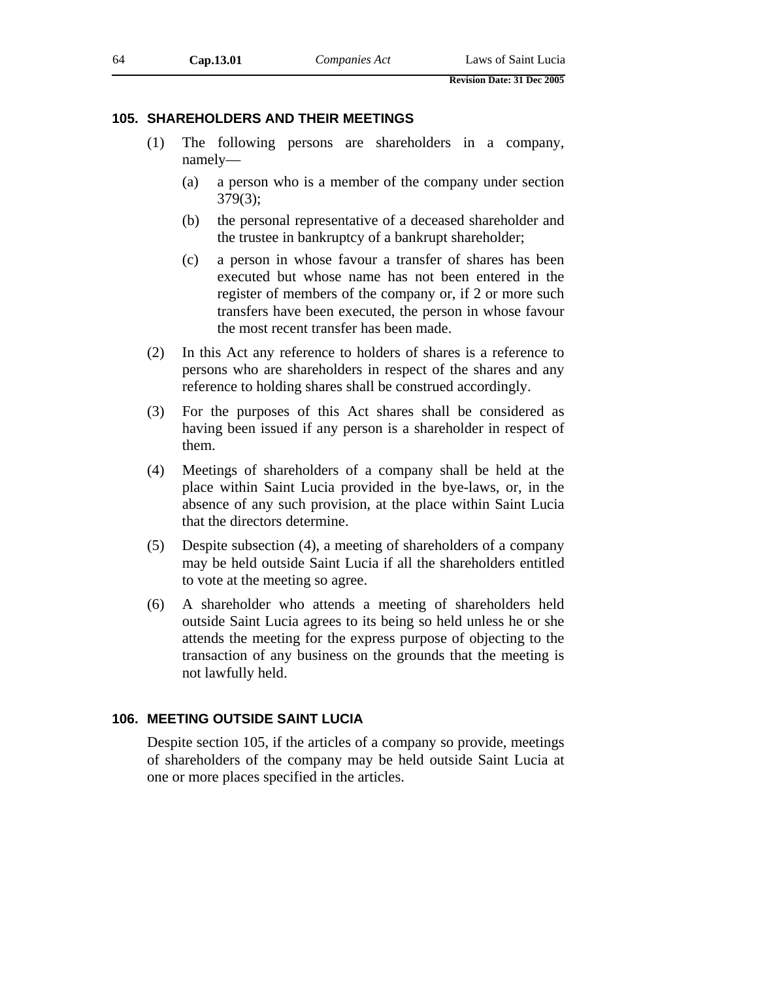## **105. SHAREHOLDERS AND THEIR MEETINGS**

- (1) The following persons are shareholders in a company, namely—
	- (a) a person who is a member of the company under section 379(3);
	- (b) the personal representative of a deceased shareholder and the trustee in bankruptcy of a bankrupt shareholder;
	- (c) a person in whose favour a transfer of shares has been executed but whose name has not been entered in the register of members of the company or, if 2 or more such transfers have been executed, the person in whose favour the most recent transfer has been made.
- (2) In this Act any reference to holders of shares is a reference to persons who are shareholders in respect of the shares and any reference to holding shares shall be construed accordingly.
- (3) For the purposes of this Act shares shall be considered as having been issued if any person is a shareholder in respect of them.
- (4) Meetings of shareholders of a company shall be held at the place within Saint Lucia provided in the bye-laws, or, in the absence of any such provision, at the place within Saint Lucia that the directors determine.
- (5) Despite subsection (4), a meeting of shareholders of a company may be held outside Saint Lucia if all the shareholders entitled to vote at the meeting so agree.
- (6) A shareholder who attends a meeting of shareholders held outside Saint Lucia agrees to its being so held unless he or she attends the meeting for the express purpose of objecting to the transaction of any business on the grounds that the meeting is not lawfully held.

### **106. MEETING OUTSIDE SAINT LUCIA**

Despite section 105, if the articles of a company so provide, meetings of shareholders of the company may be held outside Saint Lucia at one or more places specified in the articles.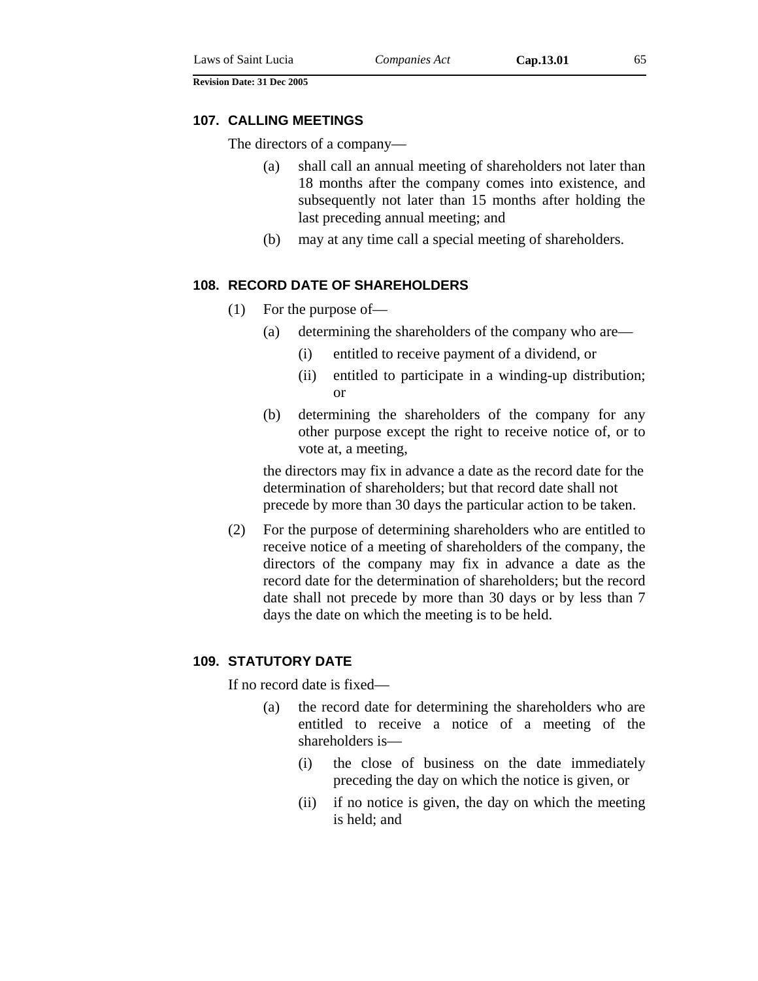#### **107. CALLING MEETINGS**

The directors of a company—

- (a) shall call an annual meeting of shareholders not later than 18 months after the company comes into existence, and subsequently not later than 15 months after holding the last preceding annual meeting; and
- (b) may at any time call a special meeting of shareholders.

## **108. RECORD DATE OF SHAREHOLDERS**

- (1) For the purpose of—
	- (a) determining the shareholders of the company who are—
		- (i) entitled to receive payment of a dividend, or
		- (ii) entitled to participate in a winding-up distribution; or
	- (b) determining the shareholders of the company for any other purpose except the right to receive notice of, or to vote at, a meeting,

the directors may fix in advance a date as the record date for the determination of shareholders; but that record date shall not precede by more than 30 days the particular action to be taken.

(2) For the purpose of determining shareholders who are entitled to receive notice of a meeting of shareholders of the company, the directors of the company may fix in advance a date as the record date for the determination of shareholders; but the record date shall not precede by more than 30 days or by less than 7 days the date on which the meeting is to be held.

### **109. STATUTORY DATE**

If no record date is fixed—

- (a) the record date for determining the shareholders who are entitled to receive a notice of a meeting of the shareholders is—
	- (i) the close of business on the date immediately preceding the day on which the notice is given, or
	- (ii) if no notice is given, the day on which the meeting is held; and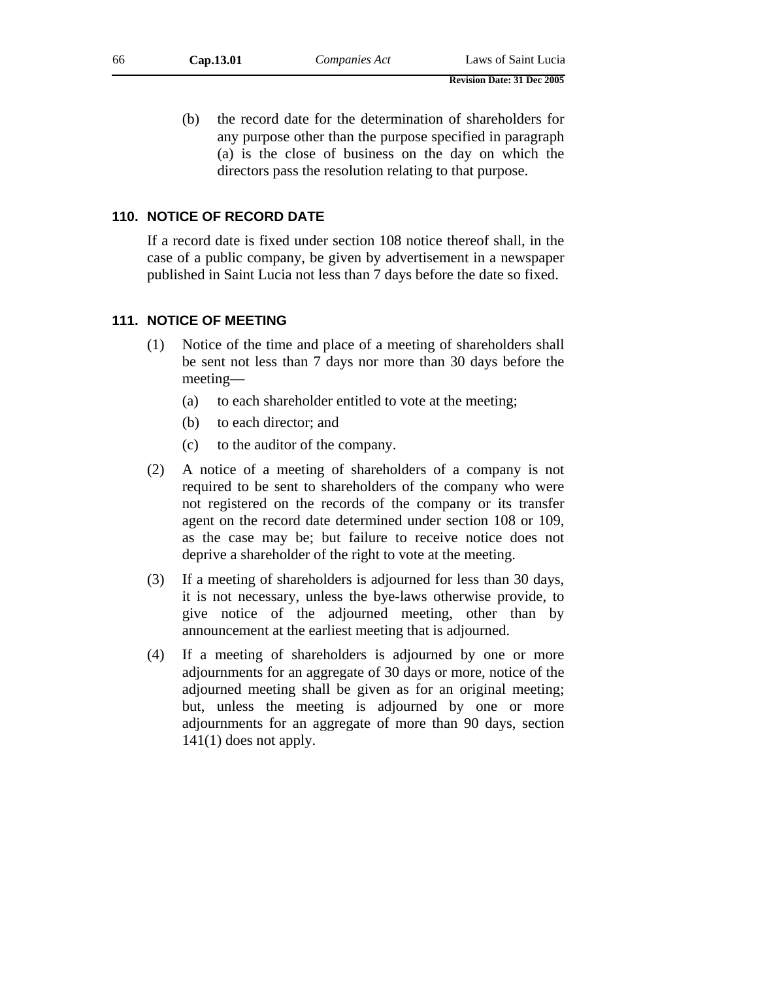(b) the record date for the determination of shareholders for any purpose other than the purpose specified in paragraph (a) is the close of business on the day on which the directors pass the resolution relating to that purpose.

### **110. NOTICE OF RECORD DATE**

If a record date is fixed under section 108 notice thereof shall, in the case of a public company, be given by advertisement in a newspaper published in Saint Lucia not less than 7 days before the date so fixed.

### **111. NOTICE OF MEETING**

- (1) Notice of the time and place of a meeting of shareholders shall be sent not less than 7 days nor more than 30 days before the meeting—
	- (a) to each shareholder entitled to vote at the meeting;
	- (b) to each director; and
	- (c) to the auditor of the company.
- (2) A notice of a meeting of shareholders of a company is not required to be sent to shareholders of the company who were not registered on the records of the company or its transfer agent on the record date determined under section 108 or 109, as the case may be; but failure to receive notice does not deprive a shareholder of the right to vote at the meeting.
- (3) If a meeting of shareholders is adjourned for less than 30 days, it is not necessary, unless the bye-laws otherwise provide, to give notice of the adjourned meeting, other than by announcement at the earliest meeting that is adjourned.
- (4) If a meeting of shareholders is adjourned by one or more adjournments for an aggregate of 30 days or more, notice of the adjourned meeting shall be given as for an original meeting; but, unless the meeting is adjourned by one or more adjournments for an aggregate of more than 90 days, section  $141(1)$  does not apply.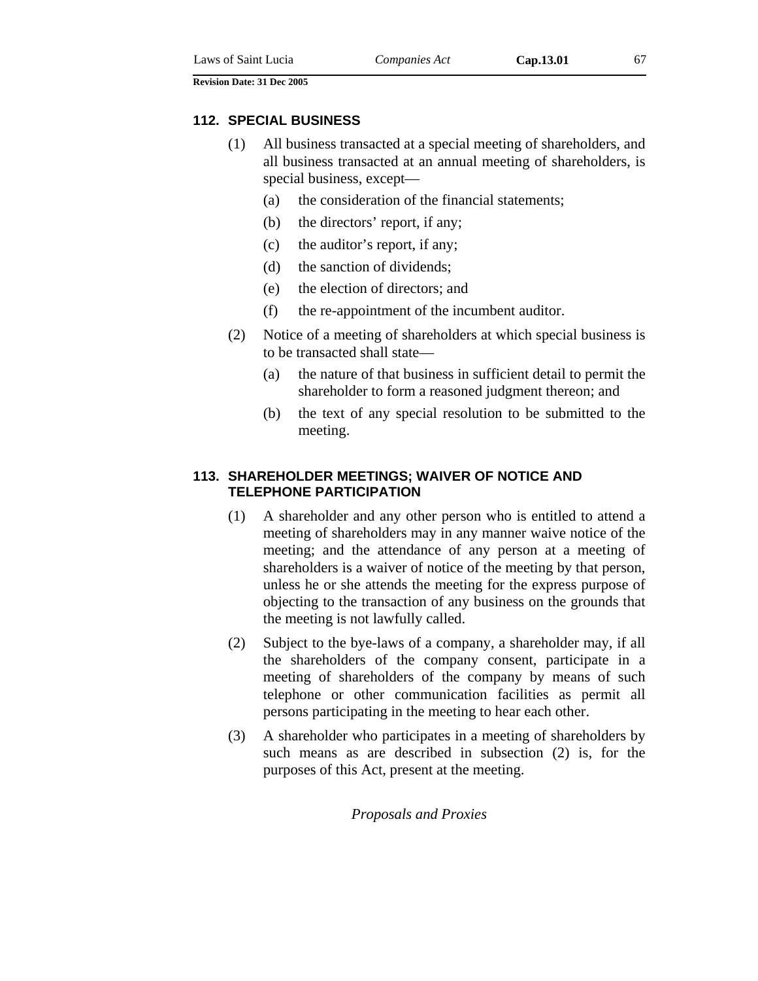### **112. SPECIAL BUSINESS**

- (1) All business transacted at a special meeting of shareholders, and all business transacted at an annual meeting of shareholders, is special business, except—
	- (a) the consideration of the financial statements;
	- (b) the directors' report, if any;
	- (c) the auditor's report, if any;
	- (d) the sanction of dividends;
	- (e) the election of directors; and
	- (f) the re-appointment of the incumbent auditor.
- (2) Notice of a meeting of shareholders at which special business is to be transacted shall state—
	- (a) the nature of that business in sufficient detail to permit the shareholder to form a reasoned judgment thereon; and
	- (b) the text of any special resolution to be submitted to the meeting.

## **113. SHAREHOLDER MEETINGS; WAIVER OF NOTICE AND TELEPHONE PARTICIPATION**

- (1) A shareholder and any other person who is entitled to attend a meeting of shareholders may in any manner waive notice of the meeting; and the attendance of any person at a meeting of shareholders is a waiver of notice of the meeting by that person, unless he or she attends the meeting for the express purpose of objecting to the transaction of any business on the grounds that the meeting is not lawfully called.
- (2) Subject to the bye-laws of a company, a shareholder may, if all the shareholders of the company consent, participate in a meeting of shareholders of the company by means of such telephone or other communication facilities as permit all persons participating in the meeting to hear each other.
- (3) A shareholder who participates in a meeting of shareholders by such means as are described in subsection (2) is, for the purposes of this Act, present at the meeting.

*Proposals and Proxies*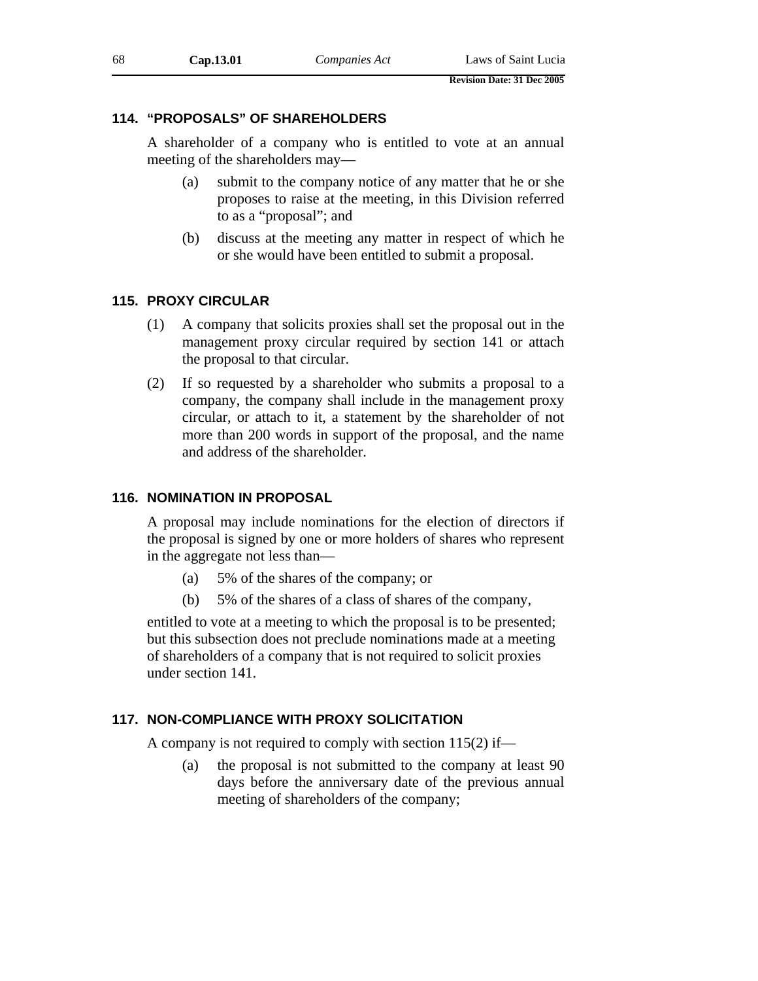# **114. "PROPOSALS" OF SHAREHOLDERS**

A shareholder of a company who is entitled to vote at an annual meeting of the shareholders may—

- (a) submit to the company notice of any matter that he or she proposes to raise at the meeting, in this Division referred to as a "proposal"; and
- (b) discuss at the meeting any matter in respect of which he or she would have been entitled to submit a proposal.

## **115. PROXY CIRCULAR**

- (1) A company that solicits proxies shall set the proposal out in the management proxy circular required by section 141 or attach the proposal to that circular.
- (2) If so requested by a shareholder who submits a proposal to a company, the company shall include in the management proxy circular, or attach to it, a statement by the shareholder of not more than 200 words in support of the proposal, and the name and address of the shareholder.

## **116. NOMINATION IN PROPOSAL**

A proposal may include nominations for the election of directors if the proposal is signed by one or more holders of shares who represent in the aggregate not less than—

- (a) 5% of the shares of the company; or
- (b) 5% of the shares of a class of shares of the company,

entitled to vote at a meeting to which the proposal is to be presented; but this subsection does not preclude nominations made at a meeting of shareholders of a company that is not required to solicit proxies under section 141.

# **117. NON-COMPLIANCE WITH PROXY SOLICITATION**

A company is not required to comply with section 115(2) if—

(a) the proposal is not submitted to the company at least 90 days before the anniversary date of the previous annual meeting of shareholders of the company;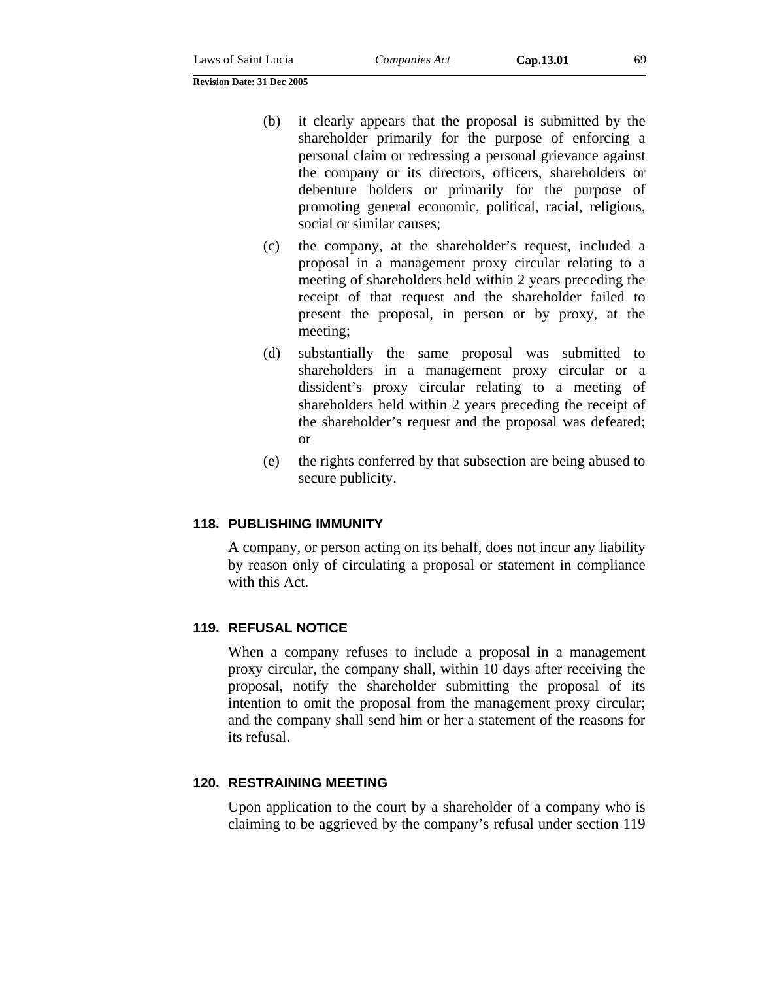- (b) it clearly appears that the proposal is submitted by the shareholder primarily for the purpose of enforcing a personal claim or redressing a personal grievance against the company or its directors, officers, shareholders or debenture holders or primarily for the purpose of promoting general economic, political, racial, religious, social or similar causes;
- (c) the company, at the shareholder's request, included a proposal in a management proxy circular relating to a meeting of shareholders held within 2 years preceding the receipt of that request and the shareholder failed to present the proposal, in person or by proxy, at the meeting;
- (d) substantially the same proposal was submitted to shareholders in a management proxy circular or a dissident's proxy circular relating to a meeting of shareholders held within 2 years preceding the receipt of the shareholder's request and the proposal was defeated; or
- (e) the rights conferred by that subsection are being abused to secure publicity.

#### **118. PUBLISHING IMMUNITY**

A company, or person acting on its behalf, does not incur any liability by reason only of circulating a proposal or statement in compliance with this Act.

#### **119. REFUSAL NOTICE**

When a company refuses to include a proposal in a management proxy circular, the company shall, within 10 days after receiving the proposal, notify the shareholder submitting the proposal of its intention to omit the proposal from the management proxy circular; and the company shall send him or her a statement of the reasons for its refusal.

### **120. RESTRAINING MEETING**

Upon application to the court by a shareholder of a company who is claiming to be aggrieved by the company's refusal under section 119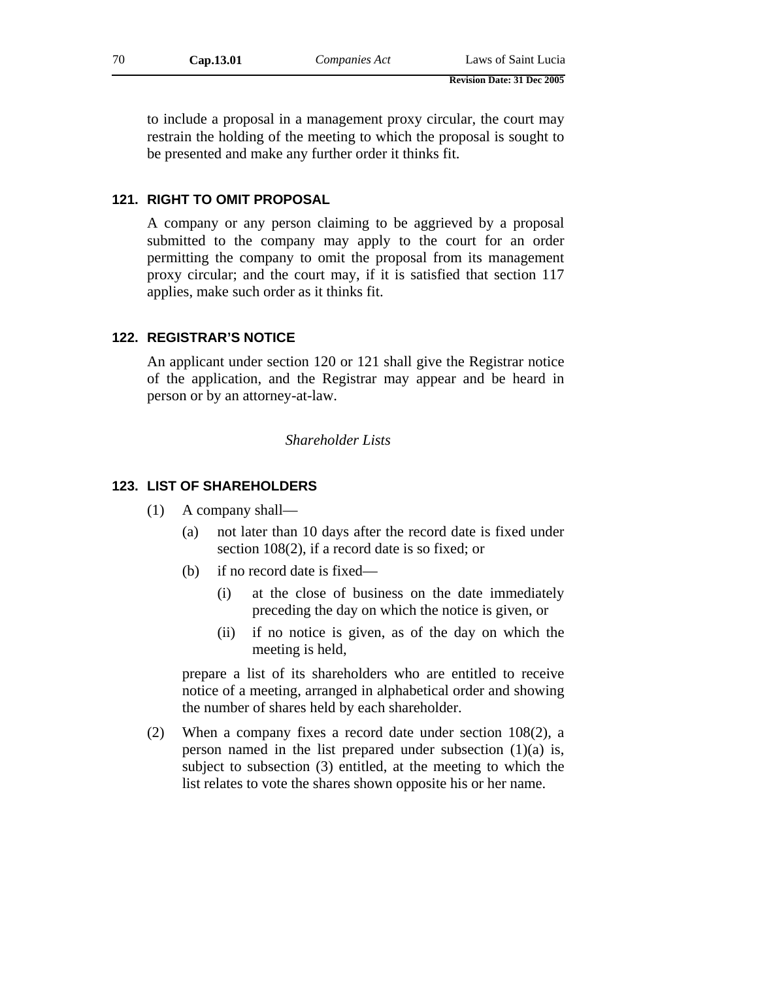to include a proposal in a management proxy circular, the court may restrain the holding of the meeting to which the proposal is sought to be presented and make any further order it thinks fit.

### **121. RIGHT TO OMIT PROPOSAL**

A company or any person claiming to be aggrieved by a proposal submitted to the company may apply to the court for an order permitting the company to omit the proposal from its management proxy circular; and the court may, if it is satisfied that section 117 applies, make such order as it thinks fit.

### **122. REGISTRAR'S NOTICE**

An applicant under section 120 or 121 shall give the Registrar notice of the application, and the Registrar may appear and be heard in person or by an attorney-at-law.

#### *Shareholder Lists*

#### **123. LIST OF SHAREHOLDERS**

- (1) A company shall—
	- (a) not later than 10 days after the record date is fixed under section 108(2), if a record date is so fixed; or
	- (b) if no record date is fixed—
		- (i) at the close of business on the date immediately preceding the day on which the notice is given, or
		- (ii) if no notice is given, as of the day on which the meeting is held,

prepare a list of its shareholders who are entitled to receive notice of a meeting, arranged in alphabetical order and showing the number of shares held by each shareholder.

(2) When a company fixes a record date under section 108(2), a person named in the list prepared under subsection (1)(a) is, subject to subsection (3) entitled, at the meeting to which the list relates to vote the shares shown opposite his or her name.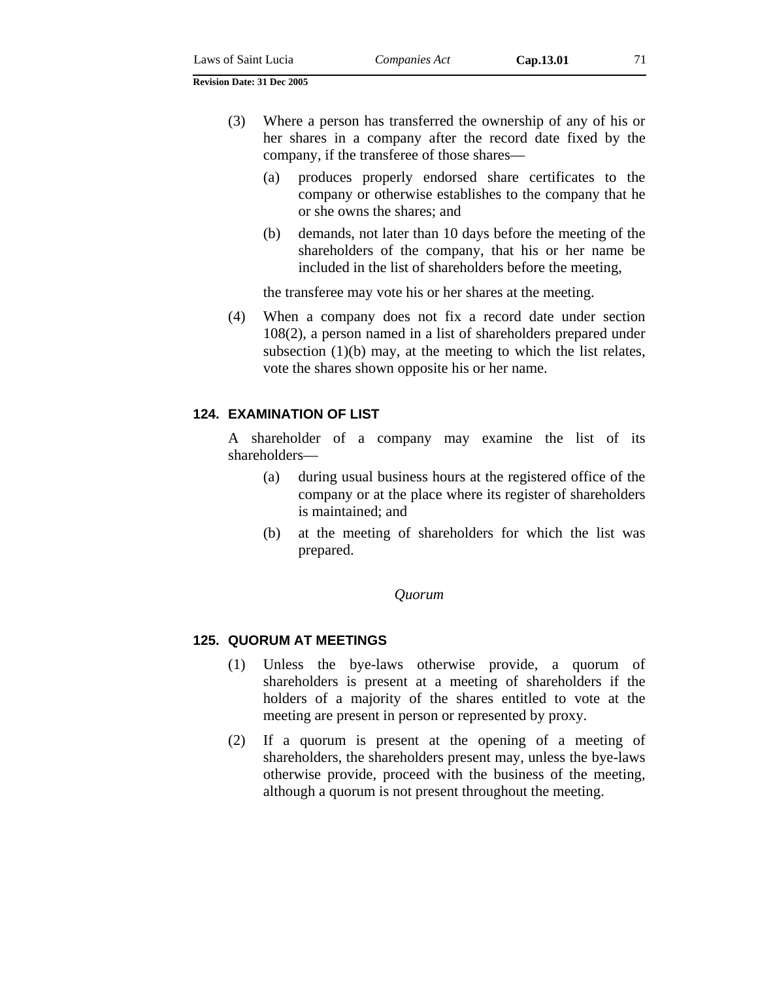- (a) produces properly endorsed share certificates to the company or otherwise establishes to the company that he or she owns the shares; and
- (b) demands, not later than 10 days before the meeting of the shareholders of the company, that his or her name be included in the list of shareholders before the meeting,

the transferee may vote his or her shares at the meeting.

(4) When a company does not fix a record date under section 108(2), a person named in a list of shareholders prepared under subsection  $(1)(b)$  may, at the meeting to which the list relates, vote the shares shown opposite his or her name.

## **124. EXAMINATION OF LIST**

A shareholder of a company may examine the list of its shareholders—

- (a) during usual business hours at the registered office of the company or at the place where its register of shareholders is maintained; and
- (b) at the meeting of shareholders for which the list was prepared.

#### *Quorum*

### **125. QUORUM AT MEETINGS**

- (1) Unless the bye-laws otherwise provide, a quorum of shareholders is present at a meeting of shareholders if the holders of a majority of the shares entitled to vote at the meeting are present in person or represented by proxy.
- (2) If a quorum is present at the opening of a meeting of shareholders, the shareholders present may, unless the bye-laws otherwise provide, proceed with the business of the meeting, although a quorum is not present throughout the meeting.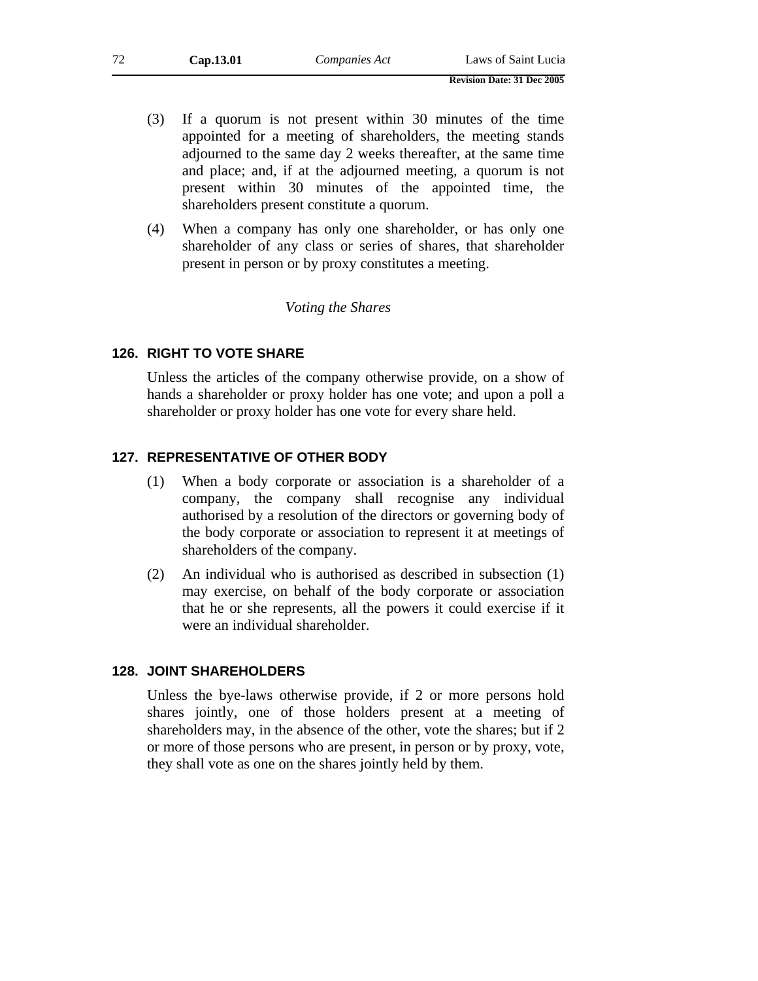- (3) If a quorum is not present within 30 minutes of the time appointed for a meeting of shareholders, the meeting stands adjourned to the same day 2 weeks thereafter, at the same time and place; and, if at the adjourned meeting, a quorum is not present within 30 minutes of the appointed time, the shareholders present constitute a quorum.
- (4) When a company has only one shareholder, or has only one shareholder of any class or series of shares, that shareholder present in person or by proxy constitutes a meeting.

## *Voting the Shares*

## **126. RIGHT TO VOTE SHARE**

Unless the articles of the company otherwise provide, on a show of hands a shareholder or proxy holder has one vote; and upon a poll a shareholder or proxy holder has one vote for every share held.

### **127. REPRESENTATIVE OF OTHER BODY**

- (1) When a body corporate or association is a shareholder of a company, the company shall recognise any individual authorised by a resolution of the directors or governing body of the body corporate or association to represent it at meetings of shareholders of the company.
- (2) An individual who is authorised as described in subsection (1) may exercise, on behalf of the body corporate or association that he or she represents, all the powers it could exercise if it were an individual shareholder.

### **128. JOINT SHAREHOLDERS**

Unless the bye-laws otherwise provide, if 2 or more persons hold shares jointly, one of those holders present at a meeting of shareholders may, in the absence of the other, vote the shares; but if 2 or more of those persons who are present, in person or by proxy, vote, they shall vote as one on the shares jointly held by them.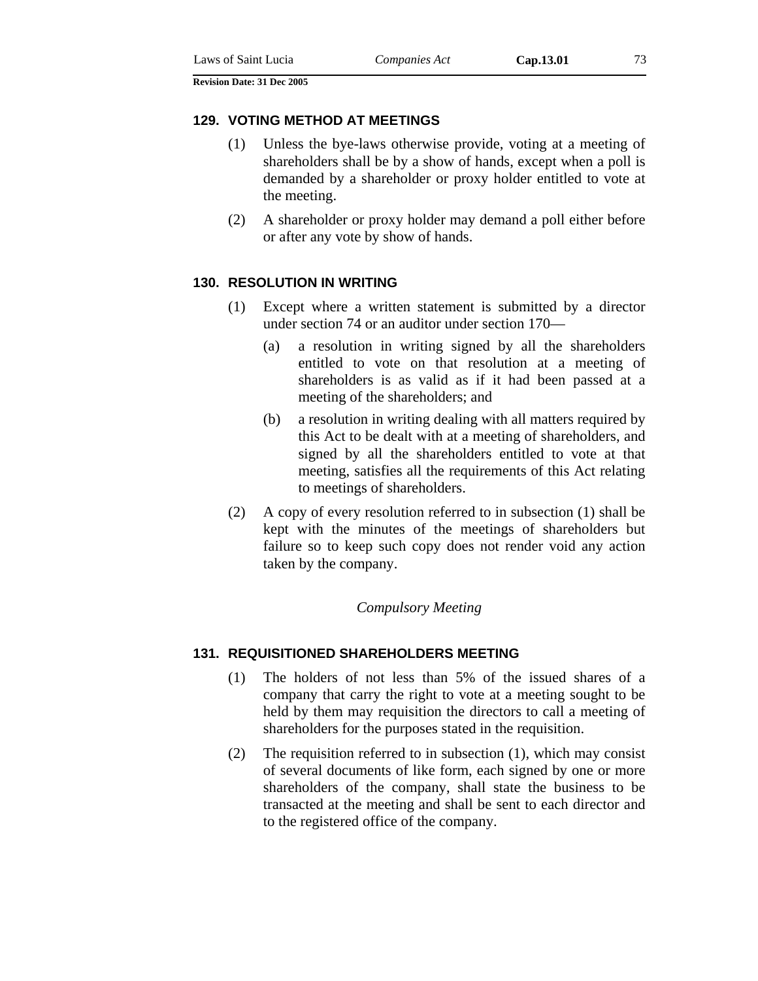#### **129. VOTING METHOD AT MEETINGS**

- (1) Unless the bye-laws otherwise provide, voting at a meeting of shareholders shall be by a show of hands, except when a poll is demanded by a shareholder or proxy holder entitled to vote at the meeting.
- (2) A shareholder or proxy holder may demand a poll either before or after any vote by show of hands.

### **130. RESOLUTION IN WRITING**

- (1) Except where a written statement is submitted by a director under section 74 or an auditor under section 170—
	- (a) a resolution in writing signed by all the shareholders entitled to vote on that resolution at a meeting of shareholders is as valid as if it had been passed at a meeting of the shareholders; and
	- (b) a resolution in writing dealing with all matters required by this Act to be dealt with at a meeting of shareholders, and signed by all the shareholders entitled to vote at that meeting, satisfies all the requirements of this Act relating to meetings of shareholders.
- (2) A copy of every resolution referred to in subsection (1) shall be kept with the minutes of the meetings of shareholders but failure so to keep such copy does not render void any action taken by the company.

#### *Compulsory Meeting*

### **131. REQUISITIONED SHAREHOLDERS MEETING**

- (1) The holders of not less than 5% of the issued shares of a company that carry the right to vote at a meeting sought to be held by them may requisition the directors to call a meeting of shareholders for the purposes stated in the requisition.
- (2) The requisition referred to in subsection (1), which may consist of several documents of like form, each signed by one or more shareholders of the company, shall state the business to be transacted at the meeting and shall be sent to each director and to the registered office of the company.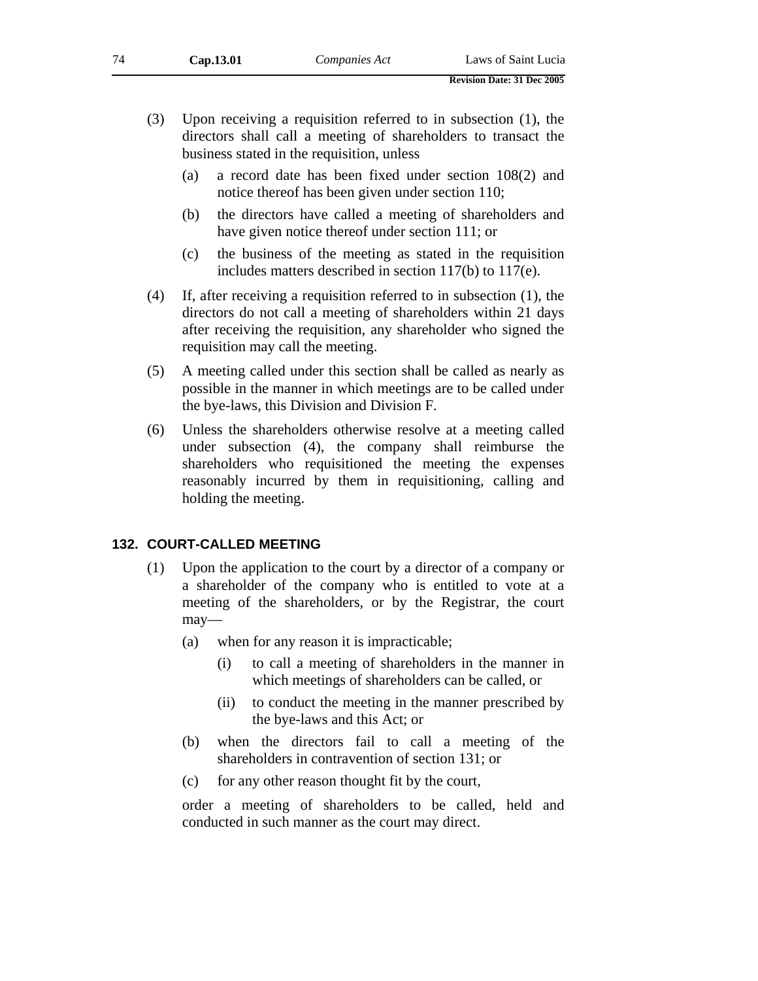- (3) Upon receiving a requisition referred to in subsection (1), the directors shall call a meeting of shareholders to transact the business stated in the requisition, unless
	- (a) a record date has been fixed under section 108(2) and notice thereof has been given under section 110;
	- (b) the directors have called a meeting of shareholders and have given notice thereof under section 111; or
	- (c) the business of the meeting as stated in the requisition includes matters described in section 117(b) to 117(e).
- (4) If, after receiving a requisition referred to in subsection (1), the directors do not call a meeting of shareholders within 21 days after receiving the requisition, any shareholder who signed the requisition may call the meeting.
- (5) A meeting called under this section shall be called as nearly as possible in the manner in which meetings are to be called under the bye-laws, this Division and Division F.
- (6) Unless the shareholders otherwise resolve at a meeting called under subsection (4), the company shall reimburse the shareholders who requisitioned the meeting the expenses reasonably incurred by them in requisitioning, calling and holding the meeting.

### **132. COURT-CALLED MEETING**

- (1) Upon the application to the court by a director of a company or a shareholder of the company who is entitled to vote at a meeting of the shareholders, or by the Registrar, the court may—
	- (a) when for any reason it is impracticable;
		- (i) to call a meeting of shareholders in the manner in which meetings of shareholders can be called, or
		- (ii) to conduct the meeting in the manner prescribed by the bye-laws and this Act; or
	- (b) when the directors fail to call a meeting of the shareholders in contravention of section 131; or
	- (c) for any other reason thought fit by the court,

order a meeting of shareholders to be called, held and conducted in such manner as the court may direct.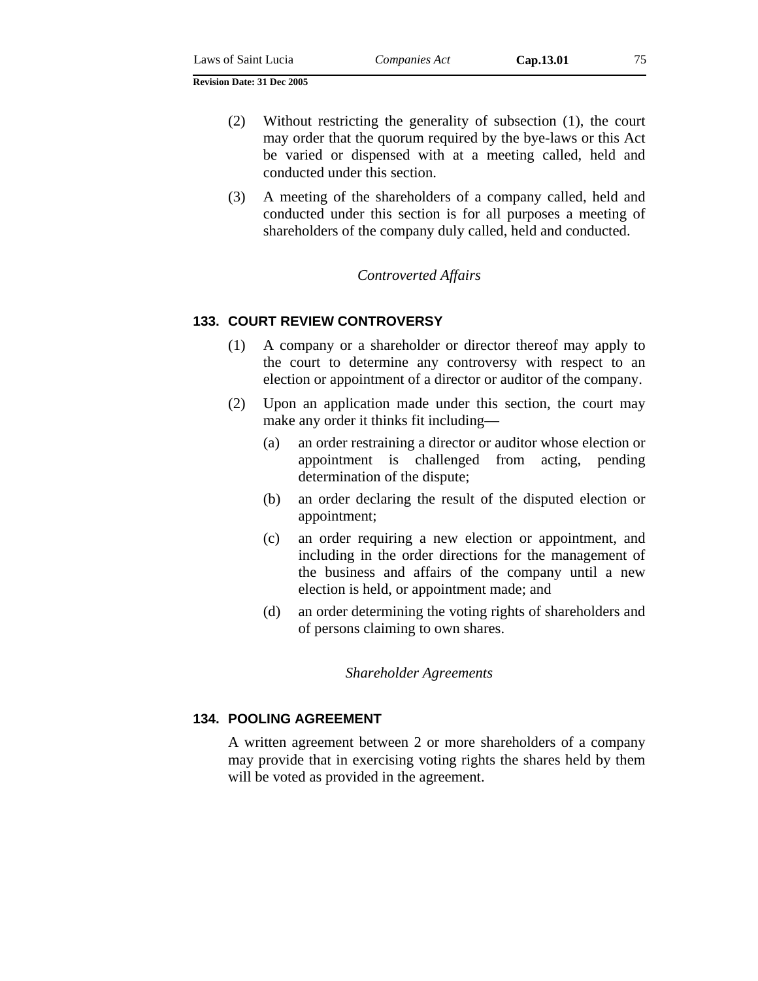(2) Without restricting the generality of subsection (1), the court may order that the quorum required by the bye-laws or this Act be varied or dispensed with at a meeting called, held and conducted under this section.

(3) A meeting of the shareholders of a company called, held and conducted under this section is for all purposes a meeting of shareholders of the company duly called, held and conducted.

### *Controverted Affairs*

### **133. COURT REVIEW CONTROVERSY**

- (1) A company or a shareholder or director thereof may apply to the court to determine any controversy with respect to an election or appointment of a director or auditor of the company.
- (2) Upon an application made under this section, the court may make any order it thinks fit including—
	- (a) an order restraining a director or auditor whose election or appointment is challenged from acting, pending determination of the dispute;
	- (b) an order declaring the result of the disputed election or appointment;
	- (c) an order requiring a new election or appointment, and including in the order directions for the management of the business and affairs of the company until a new election is held, or appointment made; and
	- (d) an order determining the voting rights of shareholders and of persons claiming to own shares.

#### *Shareholder Agreements*

### **134. POOLING AGREEMENT**

A written agreement between 2 or more shareholders of a company may provide that in exercising voting rights the shares held by them will be voted as provided in the agreement.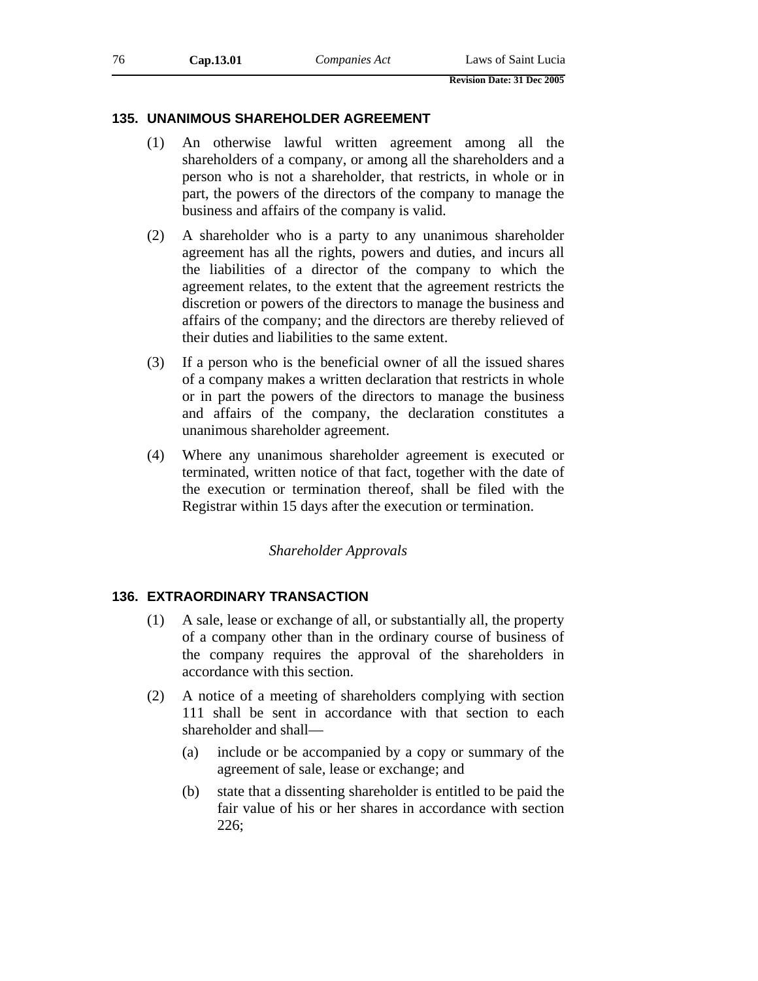| 76 | Cap.13.01 | Companies Act | Laws of Saint Lucia               |  |
|----|-----------|---------------|-----------------------------------|--|
|    |           |               | <b>Revision Date: 31 Dec 2005</b> |  |

### **135. UNANIMOUS SHAREHOLDER AGREEMENT**

- (1) An otherwise lawful written agreement among all the shareholders of a company, or among all the shareholders and a person who is not a shareholder, that restricts, in whole or in part, the powers of the directors of the company to manage the business and affairs of the company is valid.
- (2) A shareholder who is a party to any unanimous shareholder agreement has all the rights, powers and duties, and incurs all the liabilities of a director of the company to which the agreement relates, to the extent that the agreement restricts the discretion or powers of the directors to manage the business and affairs of the company; and the directors are thereby relieved of their duties and liabilities to the same extent.
- (3) If a person who is the beneficial owner of all the issued shares of a company makes a written declaration that restricts in whole or in part the powers of the directors to manage the business and affairs of the company, the declaration constitutes a unanimous shareholder agreement.
- (4) Where any unanimous shareholder agreement is executed or terminated, written notice of that fact, together with the date of the execution or termination thereof, shall be filed with the Registrar within 15 days after the execution or termination.

## *Shareholder Approvals*

## **136. EXTRAORDINARY TRANSACTION**

- (1) A sale, lease or exchange of all, or substantially all, the property of a company other than in the ordinary course of business of the company requires the approval of the shareholders in accordance with this section.
- (2) A notice of a meeting of shareholders complying with section 111 shall be sent in accordance with that section to each shareholder and shall—
	- (a) include or be accompanied by a copy or summary of the agreement of sale, lease or exchange; and
	- (b) state that a dissenting shareholder is entitled to be paid the fair value of his or her shares in accordance with section 226;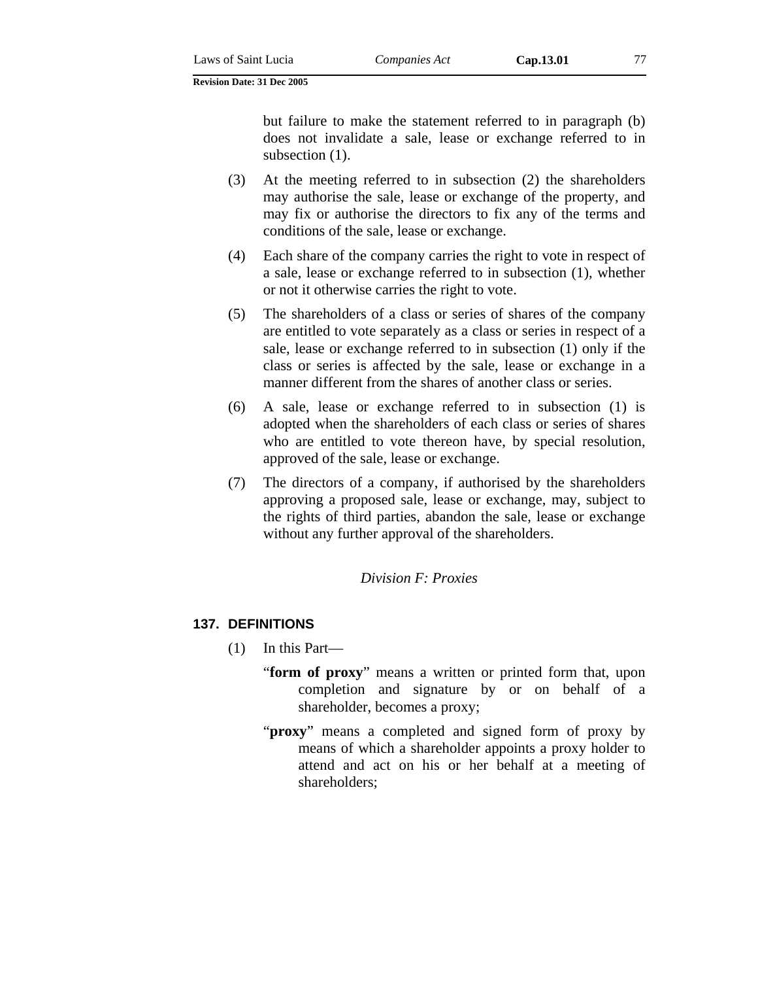but failure to make the statement referred to in paragraph (b) does not invalidate a sale, lease or exchange referred to in subsection  $(1)$ .

- (3) At the meeting referred to in subsection (2) the shareholders may authorise the sale, lease or exchange of the property, and may fix or authorise the directors to fix any of the terms and conditions of the sale, lease or exchange.
- (4) Each share of the company carries the right to vote in respect of a sale, lease or exchange referred to in subsection (1), whether or not it otherwise carries the right to vote.
- (5) The shareholders of a class or series of shares of the company are entitled to vote separately as a class or series in respect of a sale, lease or exchange referred to in subsection (1) only if the class or series is affected by the sale, lease or exchange in a manner different from the shares of another class or series.
- (6) A sale, lease or exchange referred to in subsection (1) is adopted when the shareholders of each class or series of shares who are entitled to vote thereon have, by special resolution, approved of the sale, lease or exchange.
- (7) The directors of a company, if authorised by the shareholders approving a proposed sale, lease or exchange, may, subject to the rights of third parties, abandon the sale, lease or exchange without any further approval of the shareholders.

*Division F: Proxies* 

# **137. DEFINITIONS**

- (1) In this Part—
	- "**form of proxy**" means a written or printed form that, upon completion and signature by or on behalf of a shareholder, becomes a proxy;
	- "**proxy**" means a completed and signed form of proxy by means of which a shareholder appoints a proxy holder to attend and act on his or her behalf at a meeting of shareholders;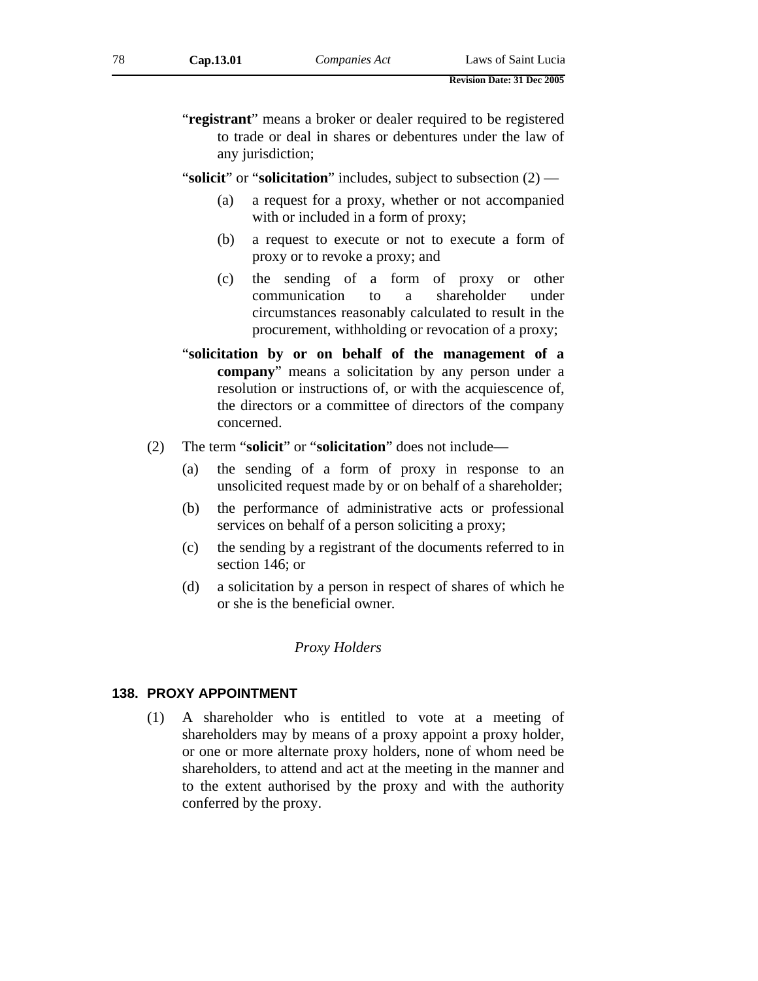- "**registrant**" means a broker or dealer required to be registered to trade or deal in shares or debentures under the law of any jurisdiction;
- "**solicit**" or "**solicitation**" includes, subject to subsection (2)
	- (a) a request for a proxy, whether or not accompanied with or included in a form of proxy;
	- (b) a request to execute or not to execute a form of proxy or to revoke a proxy; and
	- (c) the sending of a form of proxy or other communication to a shareholder under circumstances reasonably calculated to result in the procurement, withholding or revocation of a proxy;
- "**solicitation by or on behalf of the management of a company**" means a solicitation by any person under a resolution or instructions of, or with the acquiescence of, the directors or a committee of directors of the company concerned.
- (2) The term "**solicit**" or "**solicitation**" does not include—
	- (a) the sending of a form of proxy in response to an unsolicited request made by or on behalf of a shareholder;
	- (b) the performance of administrative acts or professional services on behalf of a person soliciting a proxy;
	- (c) the sending by a registrant of the documents referred to in section 146; or
	- (d) a solicitation by a person in respect of shares of which he or she is the beneficial owner*.*

### *Proxy Holders*

### **138. PROXY APPOINTMENT**

(1) A shareholder who is entitled to vote at a meeting of shareholders may by means of a proxy appoint a proxy holder, or one or more alternate proxy holders, none of whom need be shareholders, to attend and act at the meeting in the manner and to the extent authorised by the proxy and with the authority conferred by the proxy.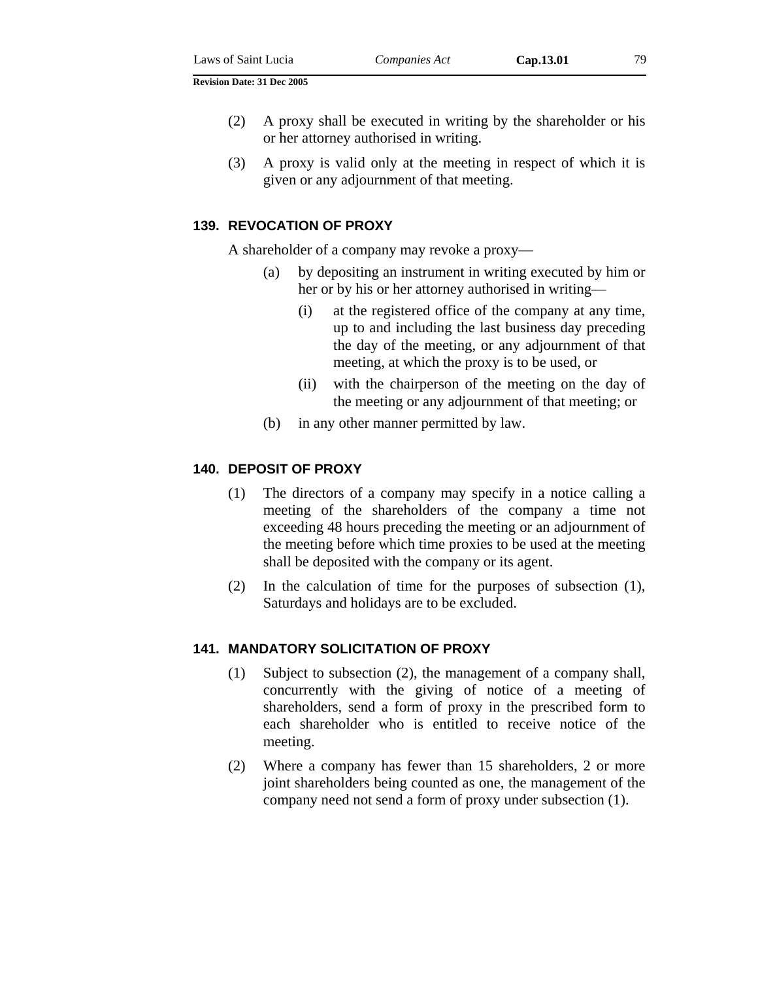- (2) A proxy shall be executed in writing by the shareholder or his or her attorney authorised in writing.
- (3) A proxy is valid only at the meeting in respect of which it is given or any adjournment of that meeting.

### **139. REVOCATION OF PROXY**

A shareholder of a company may revoke a proxy—

- (a) by depositing an instrument in writing executed by him or her or by his or her attorney authorised in writing—
	- (i) at the registered office of the company at any time, up to and including the last business day preceding the day of the meeting, or any adjournment of that meeting, at which the proxy is to be used, or
	- (ii) with the chairperson of the meeting on the day of the meeting or any adjournment of that meeting; or
- (b) in any other manner permitted by law.

### **140. DEPOSIT OF PROXY**

- (1) The directors of a company may specify in a notice calling a meeting of the shareholders of the company a time not exceeding 48 hours preceding the meeting or an adjournment of the meeting before which time proxies to be used at the meeting shall be deposited with the company or its agent.
- (2) In the calculation of time for the purposes of subsection (1), Saturdays and holidays are to be excluded.

### **141. MANDATORY SOLICITATION OF PROXY**

- (1) Subject to subsection (2), the management of a company shall, concurrently with the giving of notice of a meeting of shareholders, send a form of proxy in the prescribed form to each shareholder who is entitled to receive notice of the meeting.
- (2) Where a company has fewer than 15 shareholders, 2 or more joint shareholders being counted as one, the management of the company need not send a form of proxy under subsection (1).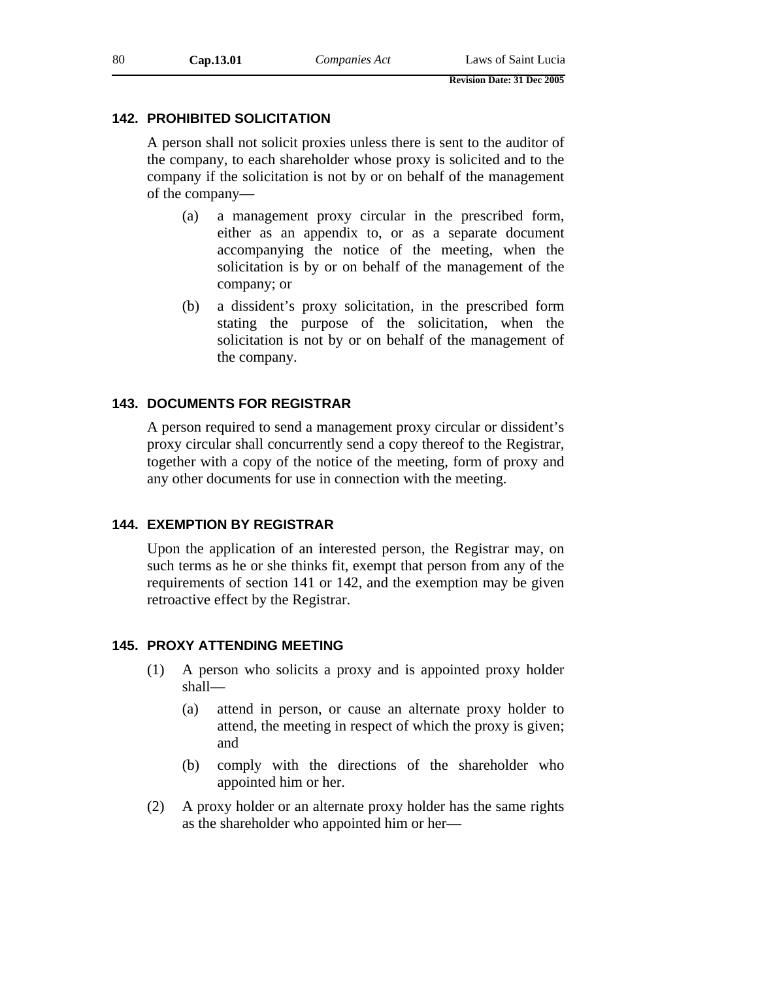# **142. PROHIBITED SOLICITATION**

A person shall not solicit proxies unless there is sent to the auditor of the company, to each shareholder whose proxy is solicited and to the company if the solicitation is not by or on behalf of the management of the company—

- (a) a management proxy circular in the prescribed form, either as an appendix to, or as a separate document accompanying the notice of the meeting, when the solicitation is by or on behalf of the management of the company; or
- (b) a dissident's proxy solicitation, in the prescribed form stating the purpose of the solicitation, when the solicitation is not by or on behalf of the management of the company.

# **143. DOCUMENTS FOR REGISTRAR**

A person required to send a management proxy circular or dissident's proxy circular shall concurrently send a copy thereof to the Registrar, together with a copy of the notice of the meeting, form of proxy and any other documents for use in connection with the meeting.

# **144. EXEMPTION BY REGISTRAR**

Upon the application of an interested person, the Registrar may, on such terms as he or she thinks fit, exempt that person from any of the requirements of section 141 or 142, and the exemption may be given retroactive effect by the Registrar.

### **145. PROXY ATTENDING MEETING**

- (1) A person who solicits a proxy and is appointed proxy holder shall—
	- (a) attend in person, or cause an alternate proxy holder to attend, the meeting in respect of which the proxy is given; and
	- (b) comply with the directions of the shareholder who appointed him or her.
- (2) A proxy holder or an alternate proxy holder has the same rights as the shareholder who appointed him or her—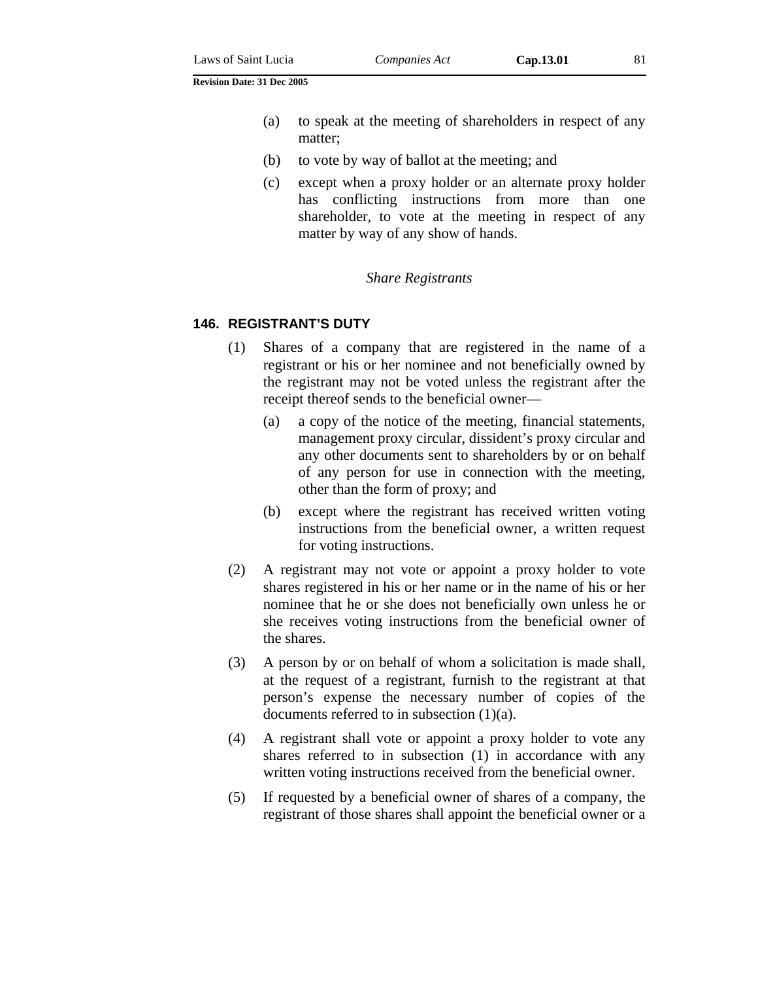- (a) to speak at the meeting of shareholders in respect of any matter;
- (b) to vote by way of ballot at the meeting; and
- (c) except when a proxy holder or an alternate proxy holder has conflicting instructions from more than one shareholder, to vote at the meeting in respect of any matter by way of any show of hands.

#### *Share Registrants*

#### **146. REGISTRANT'S DUTY**

- (1) Shares of a company that are registered in the name of a registrant or his or her nominee and not beneficially owned by the registrant may not be voted unless the registrant after the receipt thereof sends to the beneficial owner—
	- (a) a copy of the notice of the meeting, financial statements, management proxy circular, dissident's proxy circular and any other documents sent to shareholders by or on behalf of any person for use in connection with the meeting, other than the form of proxy; and
	- (b) except where the registrant has received written voting instructions from the beneficial owner, a written request for voting instructions.
- (2) A registrant may not vote or appoint a proxy holder to vote shares registered in his or her name or in the name of his or her nominee that he or she does not beneficially own unless he or she receives voting instructions from the beneficial owner of the shares.
- (3) A person by or on behalf of whom a solicitation is made shall, at the request of a registrant, furnish to the registrant at that person's expense the necessary number of copies of the documents referred to in subsection (1)(a).
- (4) A registrant shall vote or appoint a proxy holder to vote any shares referred to in subsection (1) in accordance with any written voting instructions received from the beneficial owner.
- (5) If requested by a beneficial owner of shares of a company, the registrant of those shares shall appoint the beneficial owner or a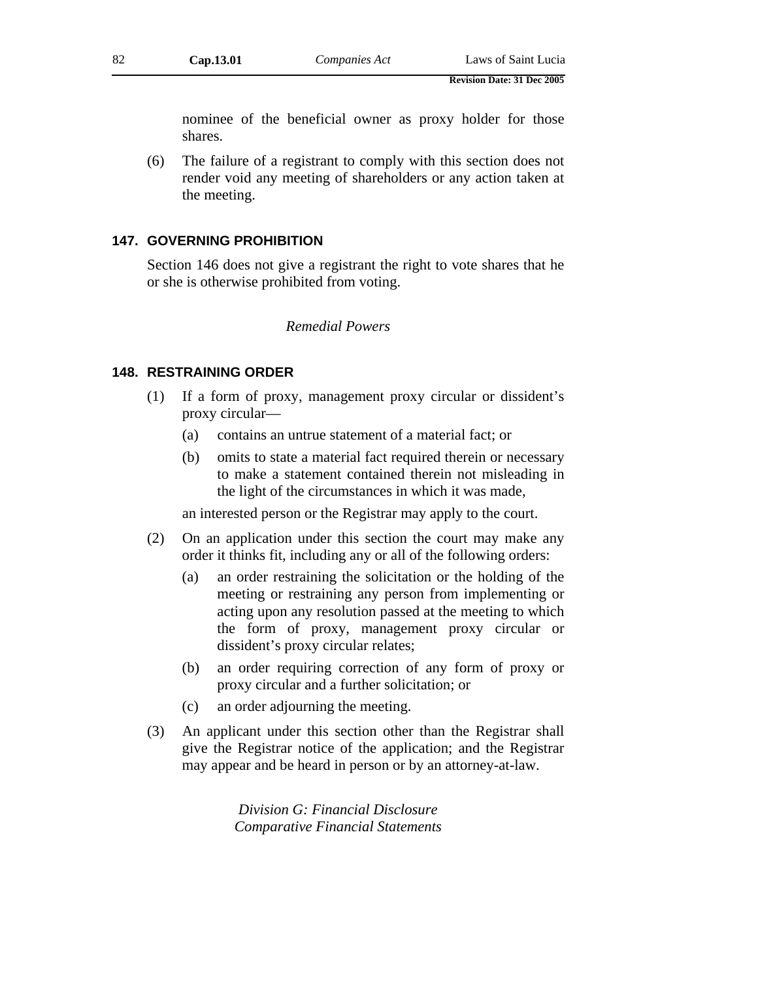nominee of the beneficial owner as proxy holder for those shares.

(6) The failure of a registrant to comply with this section does not render void any meeting of shareholders or any action taken at the meeting.

### **147. GOVERNING PROHIBITION**

Section 146 does not give a registrant the right to vote shares that he or she is otherwise prohibited from voting.

### *Remedial Powers*

#### **148. RESTRAINING ORDER**

- (1) If a form of proxy, management proxy circular or dissident's proxy circular—
	- (a) contains an untrue statement of a material fact; or
	- (b) omits to state a material fact required therein or necessary to make a statement contained therein not misleading in the light of the circumstances in which it was made,

an interested person or the Registrar may apply to the court.

- (2) On an application under this section the court may make any order it thinks fit, including any or all of the following orders:
	- (a) an order restraining the solicitation or the holding of the meeting or restraining any person from implementing or acting upon any resolution passed at the meeting to which the form of proxy, management proxy circular or dissident's proxy circular relates;
	- (b) an order requiring correction of any form of proxy or proxy circular and a further solicitation; or
	- (c) an order adjourning the meeting.
- (3) An applicant under this section other than the Registrar shall give the Registrar notice of the application; and the Registrar may appear and be heard in person or by an attorney-at-law.

*Division G: Financial Disclosure Comparative Financial Statements*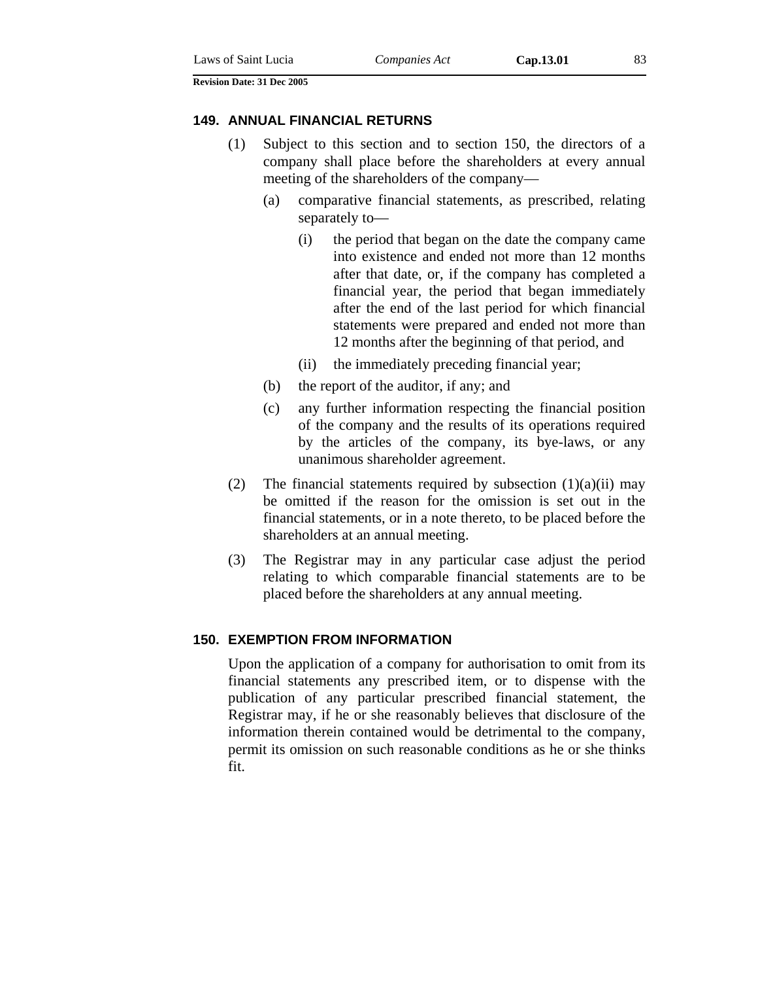#### **149. ANNUAL FINANCIAL RETURNS**

- (1) Subject to this section and to section 150, the directors of a company shall place before the shareholders at every annual meeting of the shareholders of the company—
	- (a) comparative financial statements, as prescribed, relating separately to—
		- (i) the period that began on the date the company came into existence and ended not more than 12 months after that date, or, if the company has completed a financial year, the period that began immediately after the end of the last period for which financial statements were prepared and ended not more than 12 months after the beginning of that period, and
		- (ii) the immediately preceding financial year;
	- (b) the report of the auditor, if any; and
	- (c) any further information respecting the financial position of the company and the results of its operations required by the articles of the company, its bye-laws, or any unanimous shareholder agreement.
- (2) The financial statements required by subsection  $(1)(a)(ii)$  may be omitted if the reason for the omission is set out in the financial statements, or in a note thereto, to be placed before the shareholders at an annual meeting.
- (3) The Registrar may in any particular case adjust the period relating to which comparable financial statements are to be placed before the shareholders at any annual meeting.

### **150. EXEMPTION FROM INFORMATION**

Upon the application of a company for authorisation to omit from its financial statements any prescribed item, or to dispense with the publication of any particular prescribed financial statement, the Registrar may, if he or she reasonably believes that disclosure of the information therein contained would be detrimental to the company, permit its omission on such reasonable conditions as he or she thinks fit.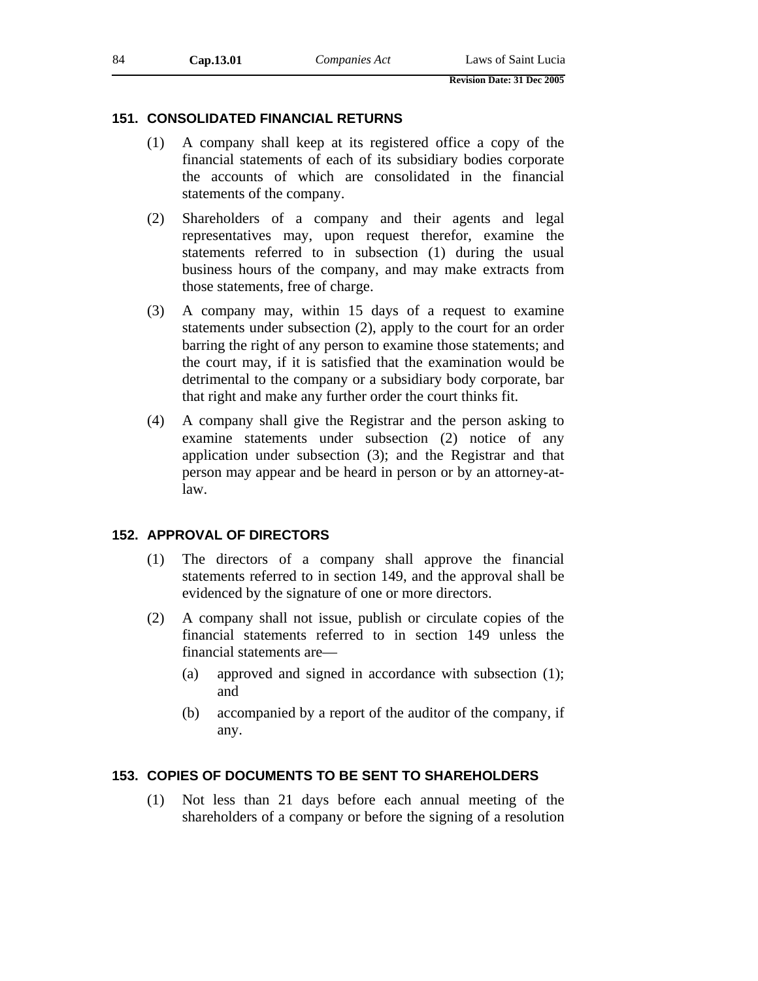## **151. CONSOLIDATED FINANCIAL RETURNS**

- (1) A company shall keep at its registered office a copy of the financial statements of each of its subsidiary bodies corporate the accounts of which are consolidated in the financial statements of the company.
- (2) Shareholders of a company and their agents and legal representatives may, upon request therefor, examine the statements referred to in subsection (1) during the usual business hours of the company, and may make extracts from those statements, free of charge.
- (3) A company may, within 15 days of a request to examine statements under subsection (2), apply to the court for an order barring the right of any person to examine those statements; and the court may, if it is satisfied that the examination would be detrimental to the company or a subsidiary body corporate, bar that right and make any further order the court thinks fit.
- (4) A company shall give the Registrar and the person asking to examine statements under subsection (2) notice of any application under subsection (3); and the Registrar and that person may appear and be heard in person or by an attorney-atlaw.

# **152. APPROVAL OF DIRECTORS**

- (1) The directors of a company shall approve the financial statements referred to in section 149, and the approval shall be evidenced by the signature of one or more directors.
- (2) A company shall not issue, publish or circulate copies of the financial statements referred to in section 149 unless the financial statements are—
	- (a) approved and signed in accordance with subsection (1); and
	- (b) accompanied by a report of the auditor of the company, if any.

# **153. COPIES OF DOCUMENTS TO BE SENT TO SHAREHOLDERS**

(1) Not less than 21 days before each annual meeting of the shareholders of a company or before the signing of a resolution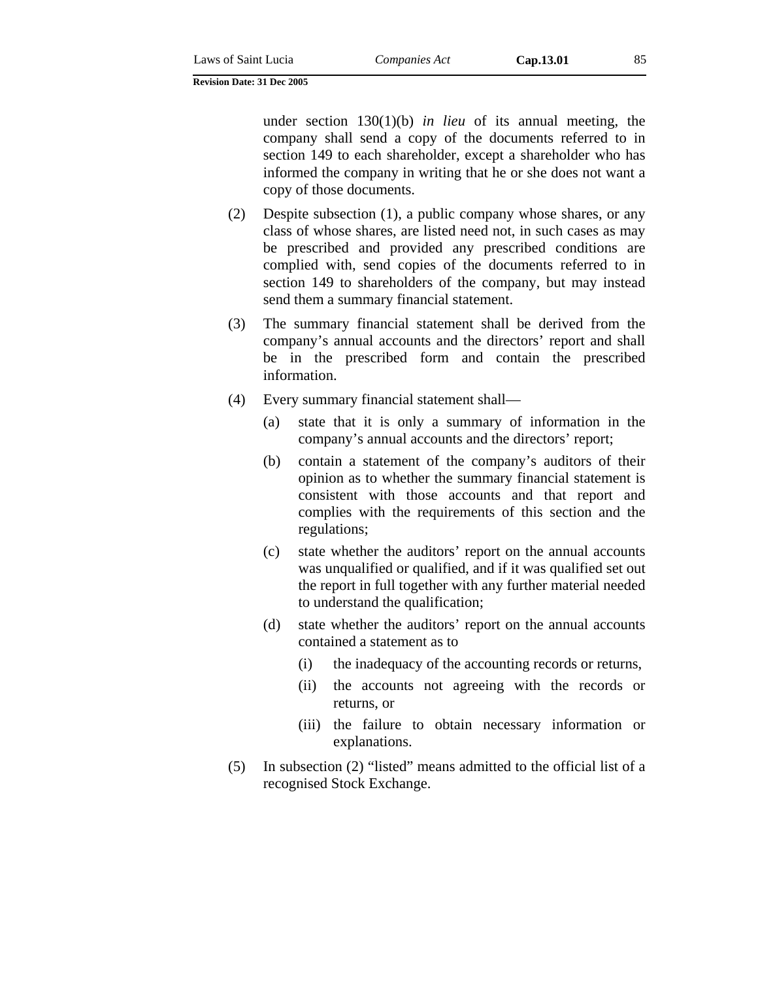under section 130(1)(b) *in lieu* of its annual meeting, the company shall send a copy of the documents referred to in section 149 to each shareholder, except a shareholder who has informed the company in writing that he or she does not want a copy of those documents.

- (2) Despite subsection (1), a public company whose shares, or any class of whose shares, are listed need not, in such cases as may be prescribed and provided any prescribed conditions are complied with, send copies of the documents referred to in section 149 to shareholders of the company, but may instead send them a summary financial statement.
- (3) The summary financial statement shall be derived from the company's annual accounts and the directors' report and shall be in the prescribed form and contain the prescribed information.
- (4) Every summary financial statement shall—
	- (a) state that it is only a summary of information in the company's annual accounts and the directors' report;
	- (b) contain a statement of the company's auditors of their opinion as to whether the summary financial statement is consistent with those accounts and that report and complies with the requirements of this section and the regulations;
	- (c) state whether the auditors' report on the annual accounts was unqualified or qualified, and if it was qualified set out the report in full together with any further material needed to understand the qualification;
	- (d) state whether the auditors' report on the annual accounts contained a statement as to
		- (i) the inadequacy of the accounting records or returns,
		- (ii) the accounts not agreeing with the records or returns, or
		- (iii) the failure to obtain necessary information or explanations.
- (5) In subsection (2) "listed" means admitted to the official list of a recognised Stock Exchange.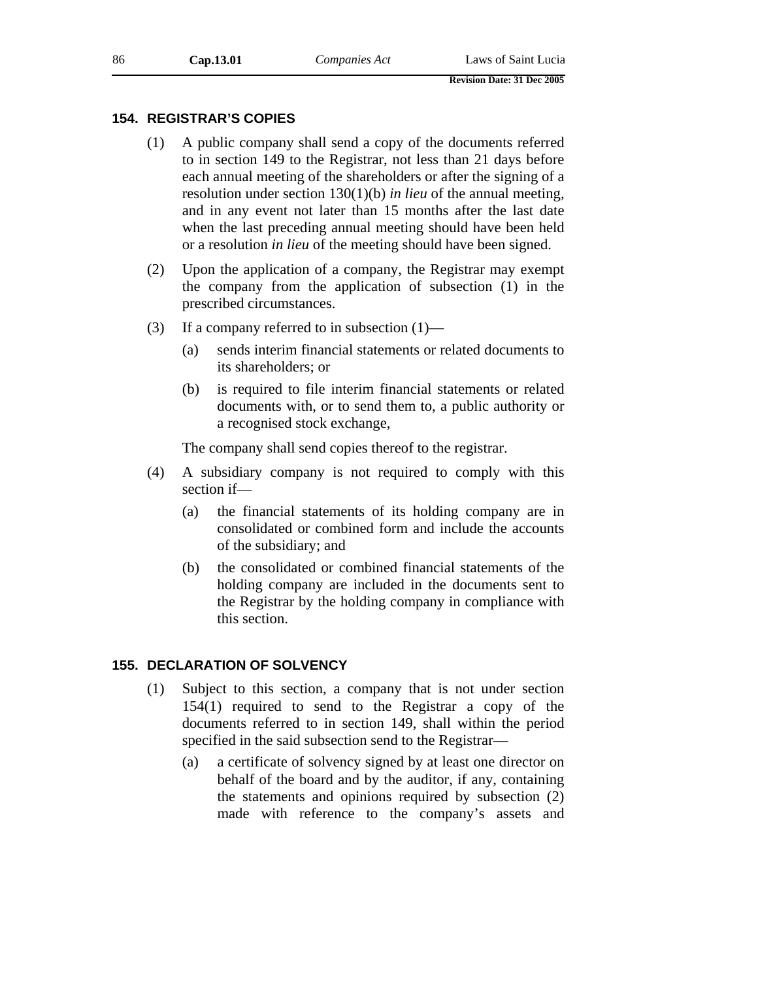# **154. REGISTRAR'S COPIES**

- (1) A public company shall send a copy of the documents referred to in section 149 to the Registrar, not less than 21 days before each annual meeting of the shareholders or after the signing of a resolution under section 130(1)(b) *in lieu* of the annual meeting, and in any event not later than 15 months after the last date when the last preceding annual meeting should have been held or a resolution *in lieu* of the meeting should have been signed.
- (2) Upon the application of a company, the Registrar may exempt the company from the application of subsection (1) in the prescribed circumstances.
- (3) If a company referred to in subsection  $(1)$ 
	- (a) sends interim financial statements or related documents to its shareholders; or
	- (b) is required to file interim financial statements or related documents with, or to send them to, a public authority or a recognised stock exchange,

The company shall send copies thereof to the registrar.

- (4) A subsidiary company is not required to comply with this section if—
	- (a) the financial statements of its holding company are in consolidated or combined form and include the accounts of the subsidiary; and
	- (b) the consolidated or combined financial statements of the holding company are included in the documents sent to the Registrar by the holding company in compliance with this section.

### **155. DECLARATION OF SOLVENCY**

- (1) Subject to this section, a company that is not under section 154(1) required to send to the Registrar a copy of the documents referred to in section 149, shall within the period specified in the said subsection send to the Registrar—
	- (a) a certificate of solvency signed by at least one director on behalf of the board and by the auditor, if any, containing the statements and opinions required by subsection (2) made with reference to the company's assets and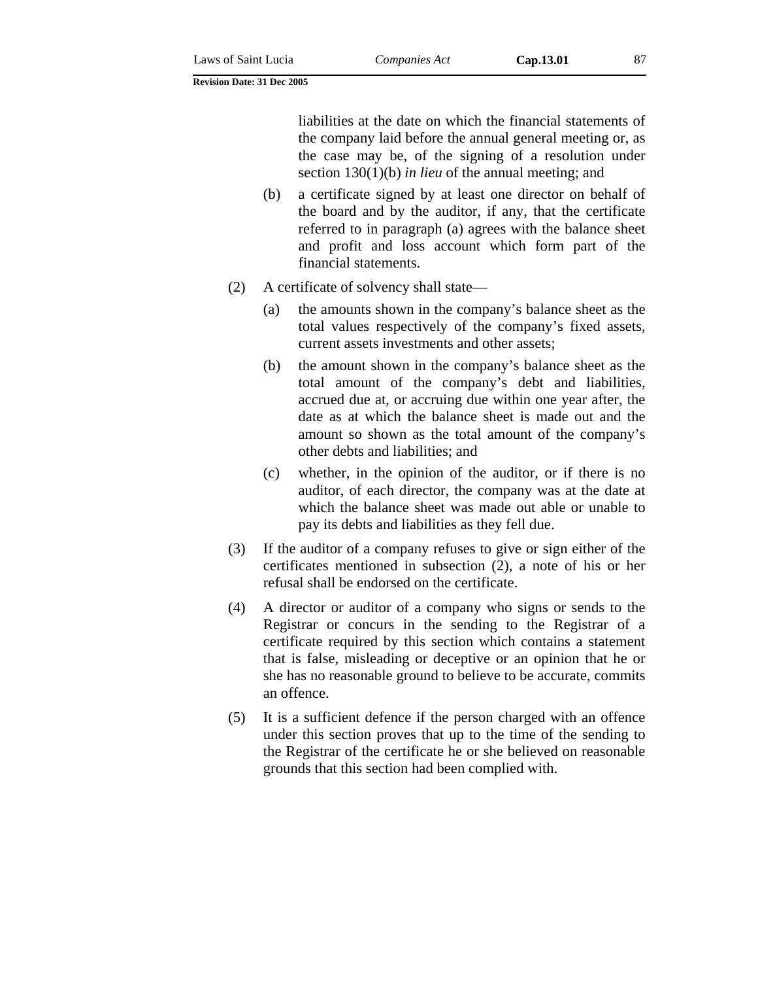liabilities at the date on which the financial statements of the company laid before the annual general meeting or, as the case may be, of the signing of a resolution under section 130(1)(b) *in lieu* of the annual meeting; and

- (b) a certificate signed by at least one director on behalf of the board and by the auditor, if any, that the certificate referred to in paragraph (a) agrees with the balance sheet and profit and loss account which form part of the financial statements.
- (2) A certificate of solvency shall state—
	- (a) the amounts shown in the company's balance sheet as the total values respectively of the company's fixed assets, current assets investments and other assets;
	- (b) the amount shown in the company's balance sheet as the total amount of the company's debt and liabilities, accrued due at, or accruing due within one year after, the date as at which the balance sheet is made out and the amount so shown as the total amount of the company's other debts and liabilities; and
	- (c) whether, in the opinion of the auditor, or if there is no auditor, of each director, the company was at the date at which the balance sheet was made out able or unable to pay its debts and liabilities as they fell due.
- (3) If the auditor of a company refuses to give or sign either of the certificates mentioned in subsection (2), a note of his or her refusal shall be endorsed on the certificate.
- (4) A director or auditor of a company who signs or sends to the Registrar or concurs in the sending to the Registrar of a certificate required by this section which contains a statement that is false, misleading or deceptive or an opinion that he or she has no reasonable ground to believe to be accurate, commits an offence.
- (5) It is a sufficient defence if the person charged with an offence under this section proves that up to the time of the sending to the Registrar of the certificate he or she believed on reasonable grounds that this section had been complied with.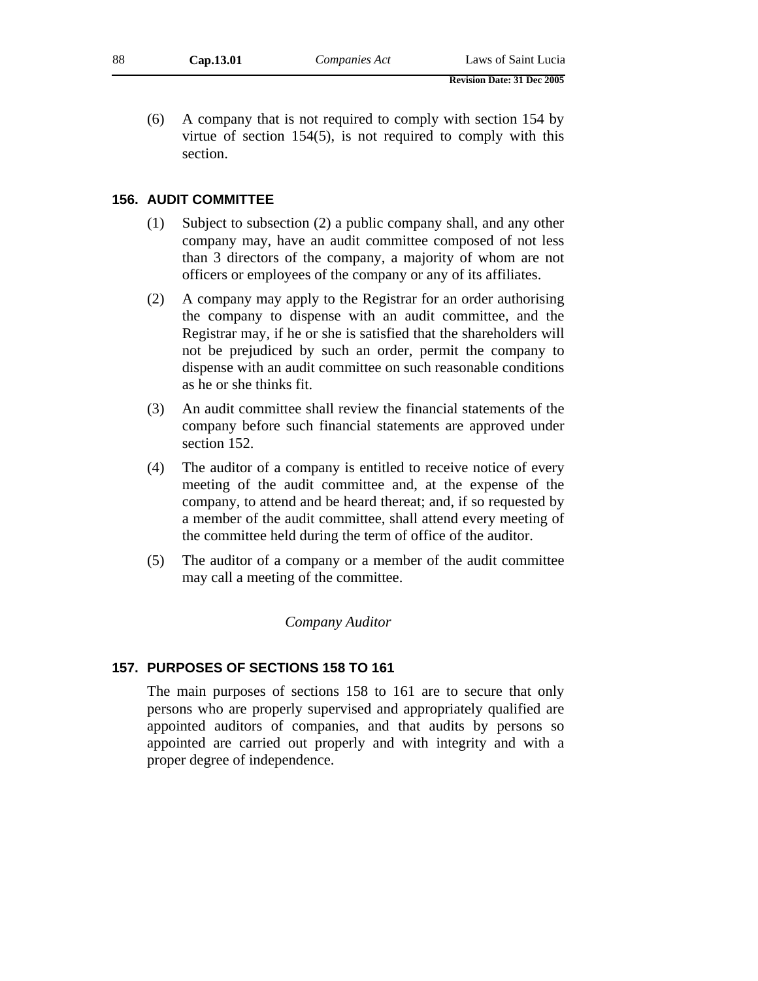(6) A company that is not required to comply with section 154 by virtue of section 154(5), is not required to comply with this section.

## **156. AUDIT COMMITTEE**

- (1) Subject to subsection (2) a public company shall, and any other company may, have an audit committee composed of not less than 3 directors of the company, a majority of whom are not officers or employees of the company or any of its affiliates.
- (2) A company may apply to the Registrar for an order authorising the company to dispense with an audit committee, and the Registrar may, if he or she is satisfied that the shareholders will not be prejudiced by such an order, permit the company to dispense with an audit committee on such reasonable conditions as he or she thinks fit.
- (3) An audit committee shall review the financial statements of the company before such financial statements are approved under section 152.
- (4) The auditor of a company is entitled to receive notice of every meeting of the audit committee and, at the expense of the company, to attend and be heard thereat; and, if so requested by a member of the audit committee, shall attend every meeting of the committee held during the term of office of the auditor.
- (5) The auditor of a company or a member of the audit committee may call a meeting of the committee.

### *Company Auditor*

#### **157. PURPOSES OF SECTIONS 158 TO 161**

The main purposes of sections 158 to 161 are to secure that only persons who are properly supervised and appropriately qualified are appointed auditors of companies, and that audits by persons so appointed are carried out properly and with integrity and with a proper degree of independence.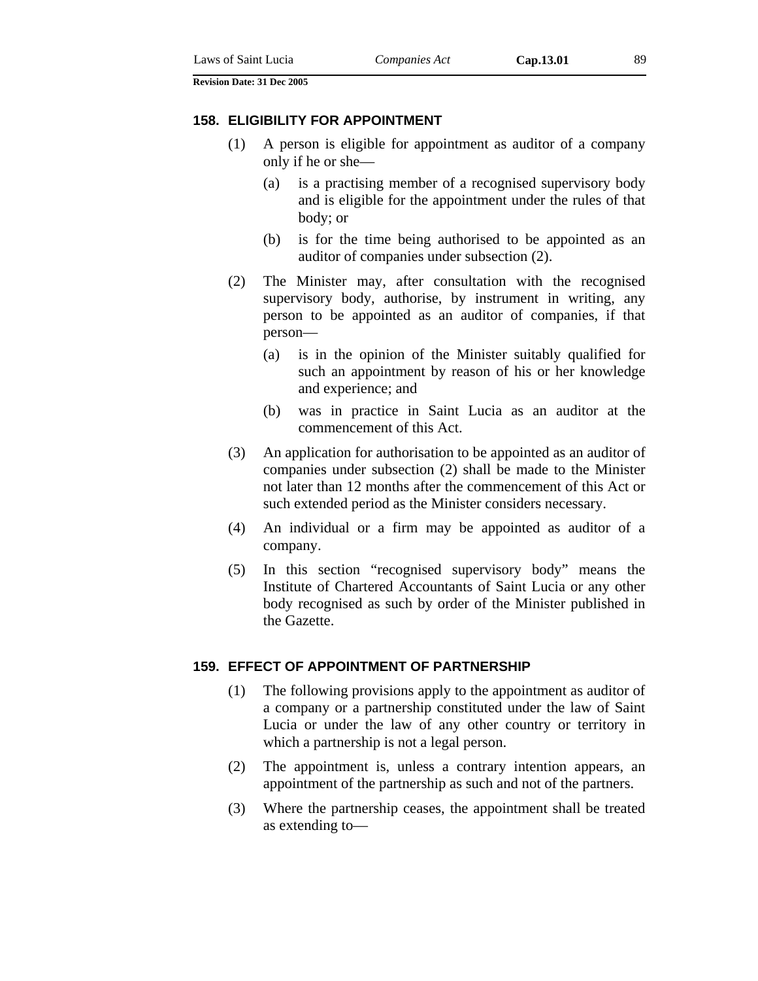#### **158. ELIGIBILITY FOR APPOINTMENT**

- (1) A person is eligible for appointment as auditor of a company only if he or she—
	- (a) is a practising member of a recognised supervisory body and is eligible for the appointment under the rules of that body; or
	- (b) is for the time being authorised to be appointed as an auditor of companies under subsection (2).
- (2) The Minister may, after consultation with the recognised supervisory body, authorise, by instrument in writing, any person to be appointed as an auditor of companies, if that person—
	- (a) is in the opinion of the Minister suitably qualified for such an appointment by reason of his or her knowledge and experience; and
	- (b) was in practice in Saint Lucia as an auditor at the commencement of this Act.
- (3) An application for authorisation to be appointed as an auditor of companies under subsection (2) shall be made to the Minister not later than 12 months after the commencement of this Act or such extended period as the Minister considers necessary.
- (4) An individual or a firm may be appointed as auditor of a company.
- (5) In this section "recognised supervisory body" means the Institute of Chartered Accountants of Saint Lucia or any other body recognised as such by order of the Minister published in the Gazette.

### **159. EFFECT OF APPOINTMENT OF PARTNERSHIP**

- (1) The following provisions apply to the appointment as auditor of a company or a partnership constituted under the law of Saint Lucia or under the law of any other country or territory in which a partnership is not a legal person.
- (2) The appointment is, unless a contrary intention appears, an appointment of the partnership as such and not of the partners.
- (3) Where the partnership ceases, the appointment shall be treated as extending to—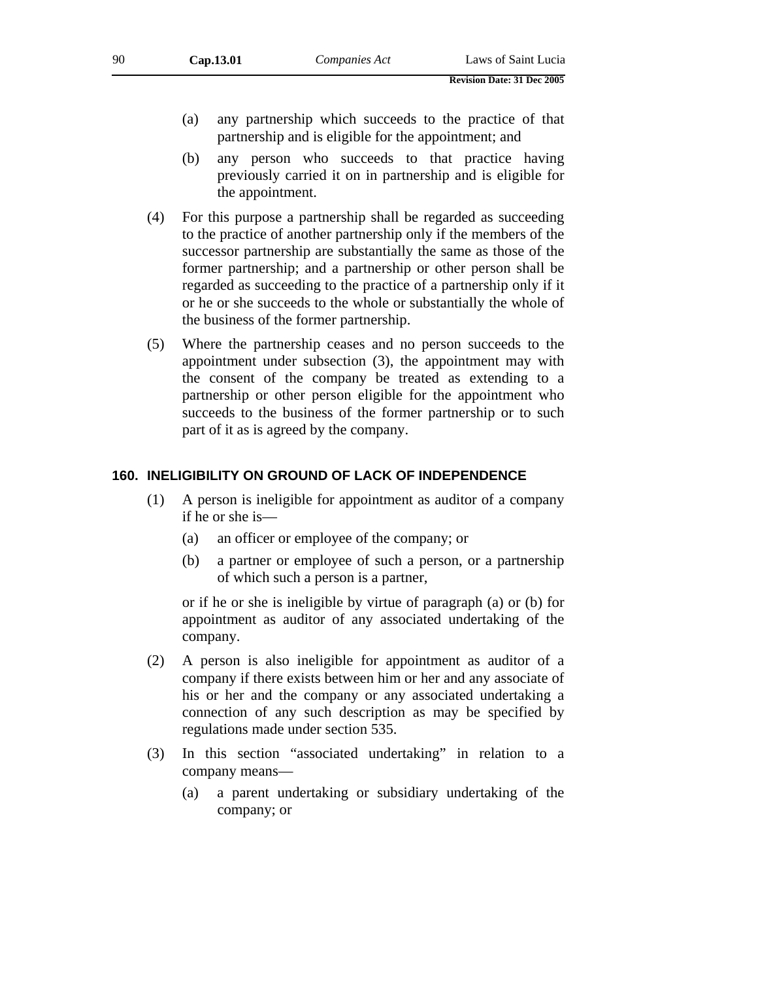- (a) any partnership which succeeds to the practice of that partnership and is eligible for the appointment; and
- (b) any person who succeeds to that practice having previously carried it on in partnership and is eligible for the appointment.
- (4) For this purpose a partnership shall be regarded as succeeding to the practice of another partnership only if the members of the successor partnership are substantially the same as those of the former partnership; and a partnership or other person shall be regarded as succeeding to the practice of a partnership only if it or he or she succeeds to the whole or substantially the whole of the business of the former partnership.
- (5) Where the partnership ceases and no person succeeds to the appointment under subsection (3), the appointment may with the consent of the company be treated as extending to a partnership or other person eligible for the appointment who succeeds to the business of the former partnership or to such part of it as is agreed by the company.

### **160. INELIGIBILITY ON GROUND OF LACK OF INDEPENDENCE**

- (1) A person is ineligible for appointment as auditor of a company if he or she is—
	- (a) an officer or employee of the company; or
	- (b) a partner or employee of such a person, or a partnership of which such a person is a partner,

or if he or she is ineligible by virtue of paragraph (a) or (b) for appointment as auditor of any associated undertaking of the company.

- (2) A person is also ineligible for appointment as auditor of a company if there exists between him or her and any associate of his or her and the company or any associated undertaking a connection of any such description as may be specified by regulations made under section 535.
- (3) In this section "associated undertaking" in relation to a company means—
	- (a) a parent undertaking or subsidiary undertaking of the company; or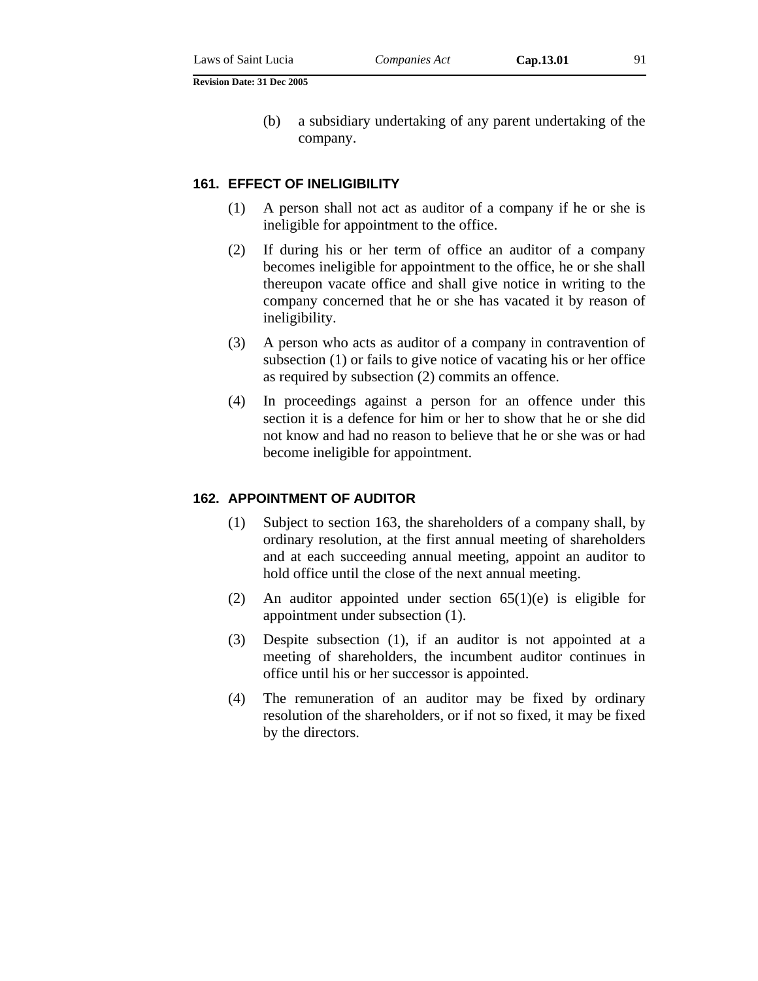(b) a subsidiary undertaking of any parent undertaking of the company.

#### **161. EFFECT OF INELIGIBILITY**

- (1) A person shall not act as auditor of a company if he or she is ineligible for appointment to the office.
- (2) If during his or her term of office an auditor of a company becomes ineligible for appointment to the office, he or she shall thereupon vacate office and shall give notice in writing to the company concerned that he or she has vacated it by reason of ineligibility.
- (3) A person who acts as auditor of a company in contravention of subsection (1) or fails to give notice of vacating his or her office as required by subsection (2) commits an offence.
- (4) In proceedings against a person for an offence under this section it is a defence for him or her to show that he or she did not know and had no reason to believe that he or she was or had become ineligible for appointment.

### **162. APPOINTMENT OF AUDITOR**

- (1) Subject to section 163, the shareholders of a company shall, by ordinary resolution, at the first annual meeting of shareholders and at each succeeding annual meeting, appoint an auditor to hold office until the close of the next annual meeting.
- (2) An auditor appointed under section 65(1)(e) is eligible for appointment under subsection (1).
- (3) Despite subsection (1), if an auditor is not appointed at a meeting of shareholders, the incumbent auditor continues in office until his or her successor is appointed.
- (4) The remuneration of an auditor may be fixed by ordinary resolution of the shareholders, or if not so fixed, it may be fixed by the directors.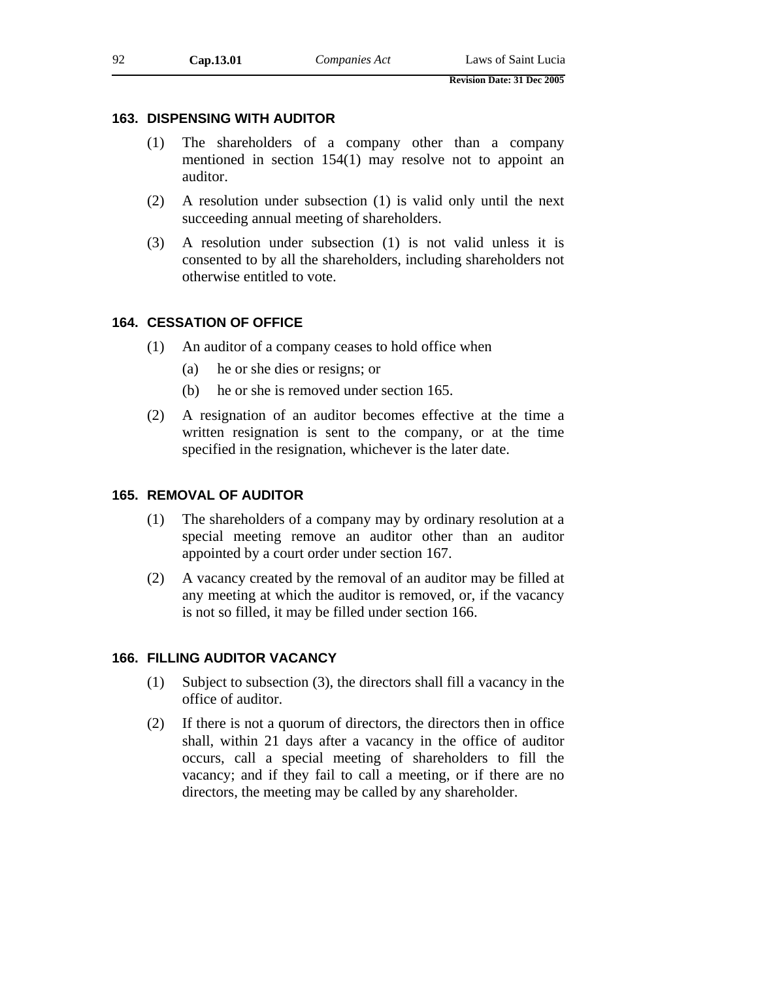# **163. DISPENSING WITH AUDITOR**

- (1) The shareholders of a company other than a company mentioned in section 154(1) may resolve not to appoint an auditor.
- (2) A resolution under subsection (1) is valid only until the next succeeding annual meeting of shareholders.
- (3) A resolution under subsection (1) is not valid unless it is consented to by all the shareholders, including shareholders not otherwise entitled to vote.

# **164. CESSATION OF OFFICE**

- (1) An auditor of a company ceases to hold office when
	- (a) he or she dies or resigns; or
	- (b) he or she is removed under section 165.
- (2) A resignation of an auditor becomes effective at the time a written resignation is sent to the company, or at the time specified in the resignation, whichever is the later date.

# **165. REMOVAL OF AUDITOR**

- (1) The shareholders of a company may by ordinary resolution at a special meeting remove an auditor other than an auditor appointed by a court order under section 167.
- (2) A vacancy created by the removal of an auditor may be filled at any meeting at which the auditor is removed, or, if the vacancy is not so filled, it may be filled under section 166.

# **166. FILLING AUDITOR VACANCY**

- (1) Subject to subsection (3), the directors shall fill a vacancy in the office of auditor.
- (2) If there is not a quorum of directors, the directors then in office shall, within 21 days after a vacancy in the office of auditor occurs, call a special meeting of shareholders to fill the vacancy; and if they fail to call a meeting, or if there are no directors, the meeting may be called by any shareholder.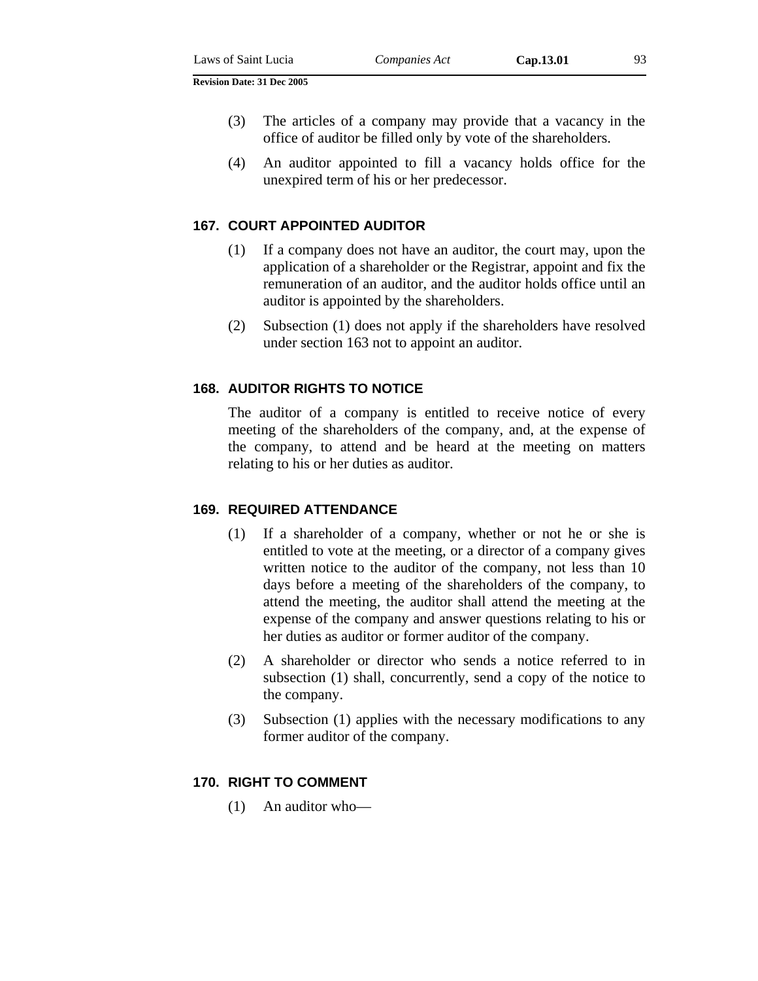- 
- (3) The articles of a company may provide that a vacancy in the office of auditor be filled only by vote of the shareholders.
- (4) An auditor appointed to fill a vacancy holds office for the unexpired term of his or her predecessor.

# **167. COURT APPOINTED AUDITOR**

- (1) If a company does not have an auditor, the court may, upon the application of a shareholder or the Registrar, appoint and fix the remuneration of an auditor, and the auditor holds office until an auditor is appointed by the shareholders.
- (2) Subsection (1) does not apply if the shareholders have resolved under section 163 not to appoint an auditor.

# **168. AUDITOR RIGHTS TO NOTICE**

The auditor of a company is entitled to receive notice of every meeting of the shareholders of the company, and, at the expense of the company, to attend and be heard at the meeting on matters relating to his or her duties as auditor.

#### **169. REQUIRED ATTENDANCE**

- (1) If a shareholder of a company, whether or not he or she is entitled to vote at the meeting, or a director of a company gives written notice to the auditor of the company, not less than 10 days before a meeting of the shareholders of the company, to attend the meeting, the auditor shall attend the meeting at the expense of the company and answer questions relating to his or her duties as auditor or former auditor of the company.
- (2) A shareholder or director who sends a notice referred to in subsection (1) shall, concurrently, send a copy of the notice to the company.
- (3) Subsection (1) applies with the necessary modifications to any former auditor of the company.

#### **170. RIGHT TO COMMENT**

(1) An auditor who—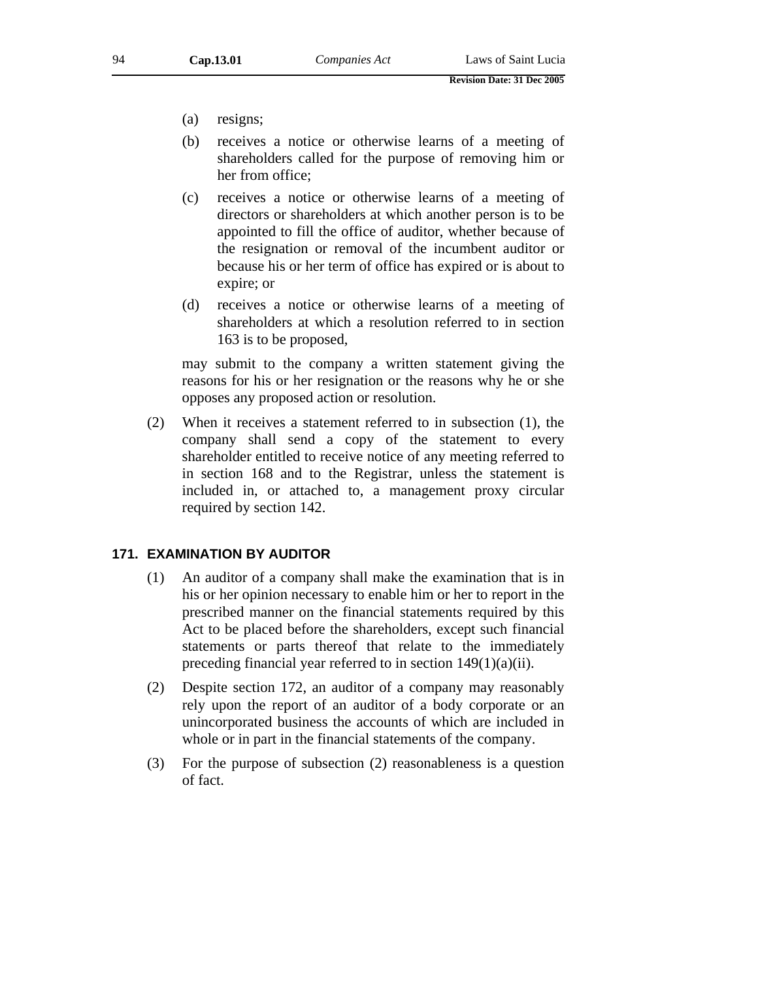- (a) resigns;
- (b) receives a notice or otherwise learns of a meeting of shareholders called for the purpose of removing him or her from office;
- (c) receives a notice or otherwise learns of a meeting of directors or shareholders at which another person is to be appointed to fill the office of auditor, whether because of the resignation or removal of the incumbent auditor or because his or her term of office has expired or is about to expire; or
- (d) receives a notice or otherwise learns of a meeting of shareholders at which a resolution referred to in section 163 is to be proposed,

may submit to the company a written statement giving the reasons for his or her resignation or the reasons why he or she opposes any proposed action or resolution.

(2) When it receives a statement referred to in subsection (1), the company shall send a copy of the statement to every shareholder entitled to receive notice of any meeting referred to in section 168 and to the Registrar, unless the statement is included in, or attached to, a management proxy circular required by section 142.

### **171. EXAMINATION BY AUDITOR**

- (1) An auditor of a company shall make the examination that is in his or her opinion necessary to enable him or her to report in the prescribed manner on the financial statements required by this Act to be placed before the shareholders, except such financial statements or parts thereof that relate to the immediately preceding financial year referred to in section 149(1)(a)(ii).
- (2) Despite section 172, an auditor of a company may reasonably rely upon the report of an auditor of a body corporate or an unincorporated business the accounts of which are included in whole or in part in the financial statements of the company.
- (3) For the purpose of subsection (2) reasonableness is a question of fact.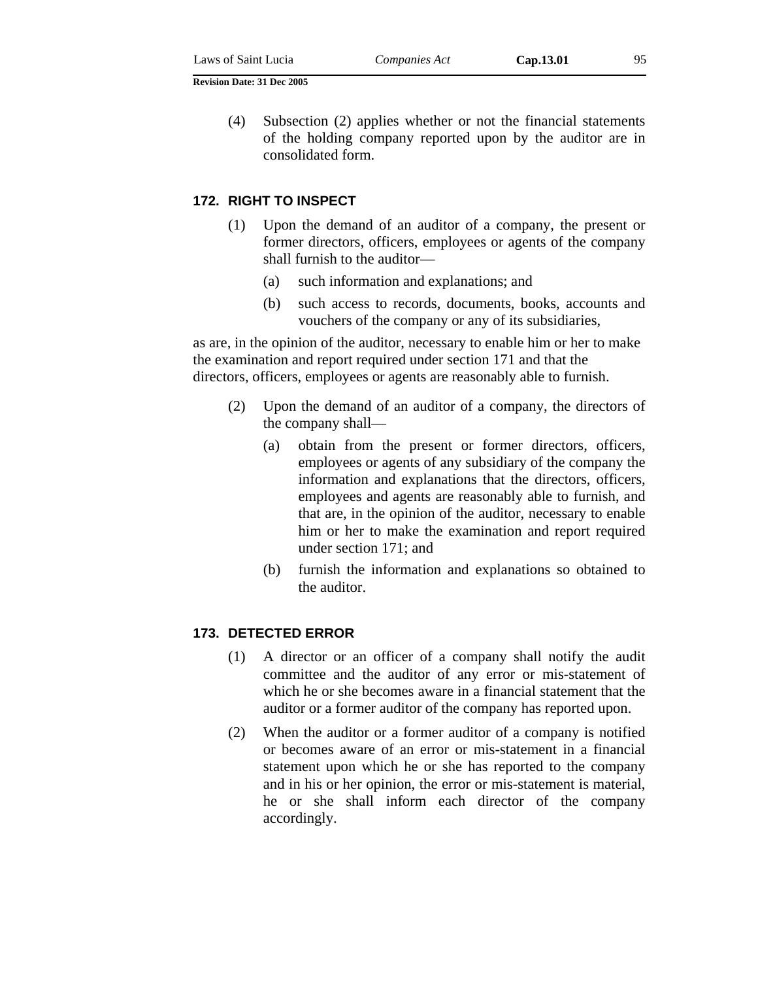(4) Subsection (2) applies whether or not the financial statements of the holding company reported upon by the auditor are in consolidated form.

### **172. RIGHT TO INSPECT**

- (1) Upon the demand of an auditor of a company, the present or former directors, officers, employees or agents of the company shall furnish to the auditor—
	- (a) such information and explanations; and
	- (b) such access to records, documents, books, accounts and vouchers of the company or any of its subsidiaries,

as are, in the opinion of the auditor, necessary to enable him or her to make the examination and report required under section 171 and that the directors, officers, employees or agents are reasonably able to furnish.

- (2) Upon the demand of an auditor of a company, the directors of the company shall—
	- (a) obtain from the present or former directors, officers, employees or agents of any subsidiary of the company the information and explanations that the directors, officers, employees and agents are reasonably able to furnish, and that are, in the opinion of the auditor, necessary to enable him or her to make the examination and report required under section 171; and
	- (b) furnish the information and explanations so obtained to the auditor.

# **173. DETECTED ERROR**

- (1) A director or an officer of a company shall notify the audit committee and the auditor of any error or mis-statement of which he or she becomes aware in a financial statement that the auditor or a former auditor of the company has reported upon.
- (2) When the auditor or a former auditor of a company is notified or becomes aware of an error or mis-statement in a financial statement upon which he or she has reported to the company and in his or her opinion, the error or mis-statement is material, he or she shall inform each director of the company accordingly.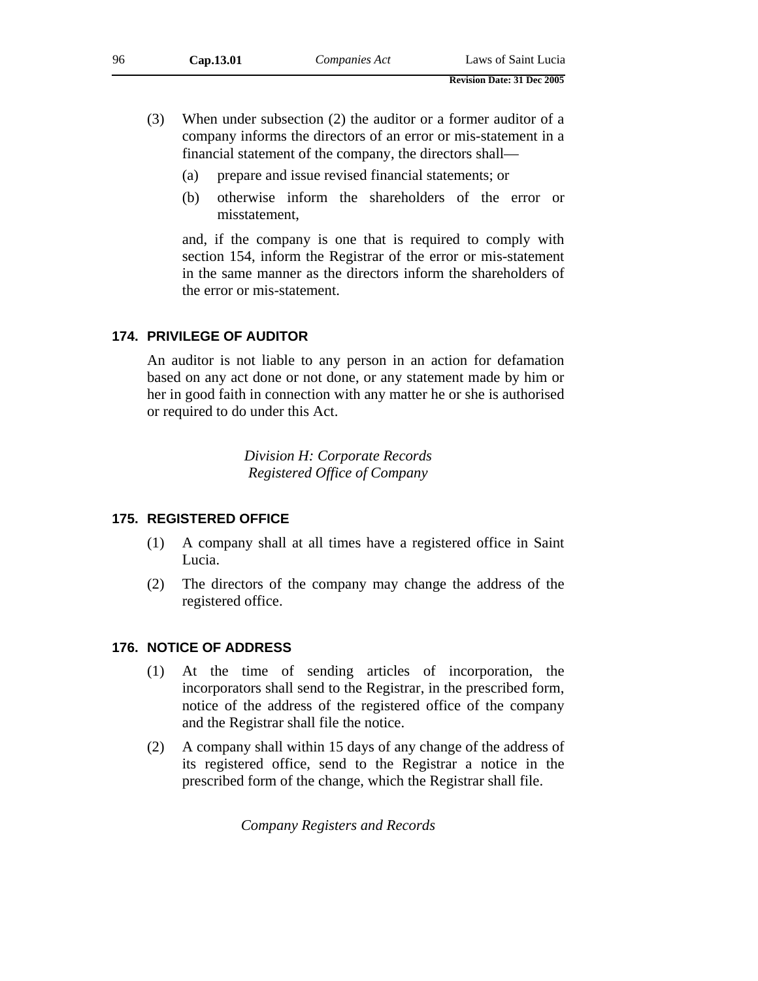- (3) When under subsection (2) the auditor or a former auditor of a company informs the directors of an error or mis-statement in a financial statement of the company, the directors shall—
	- (a) prepare and issue revised financial statements; or
	- (b) otherwise inform the shareholders of the error or misstatement,

and, if the company is one that is required to comply with section 154, inform the Registrar of the error or mis-statement in the same manner as the directors inform the shareholders of the error or mis-statement.

# **174. PRIVILEGE OF AUDITOR**

An auditor is not liable to any person in an action for defamation based on any act done or not done, or any statement made by him or her in good faith in connection with any matter he or she is authorised or required to do under this Act.

> *Division H: Corporate Records Registered Office of Company*

# **175. REGISTERED OFFICE**

- (1) A company shall at all times have a registered office in Saint Lucia.
- (2) The directors of the company may change the address of the registered office.

# **176. NOTICE OF ADDRESS**

- (1) At the time of sending articles of incorporation, the incorporators shall send to the Registrar, in the prescribed form, notice of the address of the registered office of the company and the Registrar shall file the notice.
- (2) A company shall within 15 days of any change of the address of its registered office, send to the Registrar a notice in the prescribed form of the change, which the Registrar shall file.

*Company Registers and Records*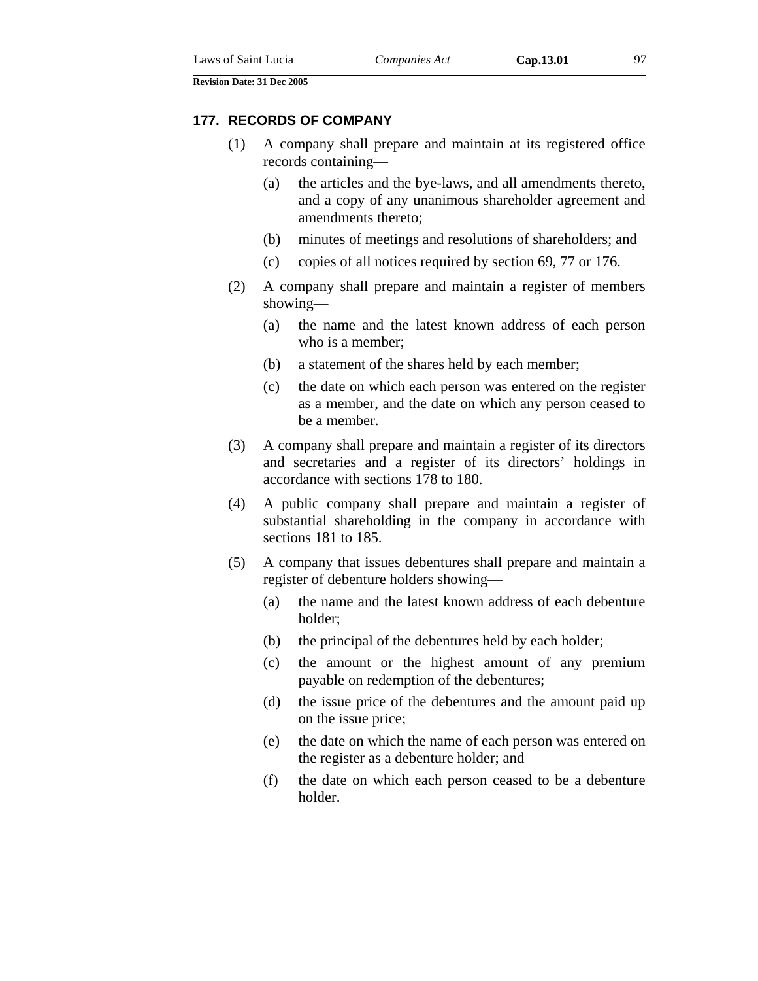#### **177. RECORDS OF COMPANY**

- (1) A company shall prepare and maintain at its registered office records containing—
	- (a) the articles and the bye-laws, and all amendments thereto, and a copy of any unanimous shareholder agreement and amendments thereto;
	- (b) minutes of meetings and resolutions of shareholders; and
	- (c) copies of all notices required by section 69, 77 or 176.
- (2) A company shall prepare and maintain a register of members showing—
	- (a) the name and the latest known address of each person who is a member;
	- (b) a statement of the shares held by each member;
	- (c) the date on which each person was entered on the register as a member, and the date on which any person ceased to be a member.
- (3) A company shall prepare and maintain a register of its directors and secretaries and a register of its directors' holdings in accordance with sections 178 to 180.
- (4) A public company shall prepare and maintain a register of substantial shareholding in the company in accordance with sections 181 to 185.
- (5) A company that issues debentures shall prepare and maintain a register of debenture holders showing—
	- (a) the name and the latest known address of each debenture holder;
	- (b) the principal of the debentures held by each holder;
	- (c) the amount or the highest amount of any premium payable on redemption of the debentures;
	- (d) the issue price of the debentures and the amount paid up on the issue price;
	- (e) the date on which the name of each person was entered on the register as a debenture holder; and
	- (f) the date on which each person ceased to be a debenture holder.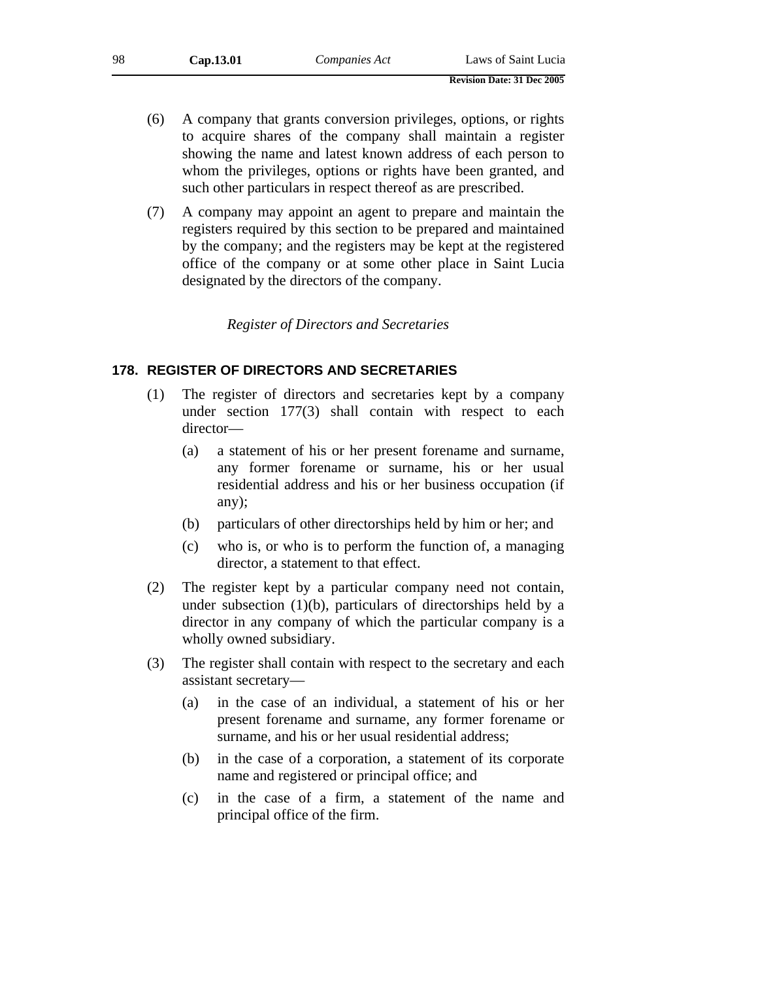- (6) A company that grants conversion privileges, options, or rights to acquire shares of the company shall maintain a register showing the name and latest known address of each person to whom the privileges, options or rights have been granted, and such other particulars in respect thereof as are prescribed.
- (7) A company may appoint an agent to prepare and maintain the registers required by this section to be prepared and maintained by the company; and the registers may be kept at the registered office of the company or at some other place in Saint Lucia designated by the directors of the company.

### *Register of Directors and Secretaries*

### **178. REGISTER OF DIRECTORS AND SECRETARIES**

- (1) The register of directors and secretaries kept by a company under section 177(3) shall contain with respect to each director—
	- (a) a statement of his or her present forename and surname, any former forename or surname, his or her usual residential address and his or her business occupation (if any);
	- (b) particulars of other directorships held by him or her; and
	- (c) who is, or who is to perform the function of, a managing director, a statement to that effect.
- (2) The register kept by a particular company need not contain, under subsection  $(1)(b)$ , particulars of directorships held by a director in any company of which the particular company is a wholly owned subsidiary.
- (3) The register shall contain with respect to the secretary and each assistant secretary—
	- (a) in the case of an individual, a statement of his or her present forename and surname, any former forename or surname, and his or her usual residential address;
	- (b) in the case of a corporation, a statement of its corporate name and registered or principal office; and
	- (c) in the case of a firm, a statement of the name and principal office of the firm.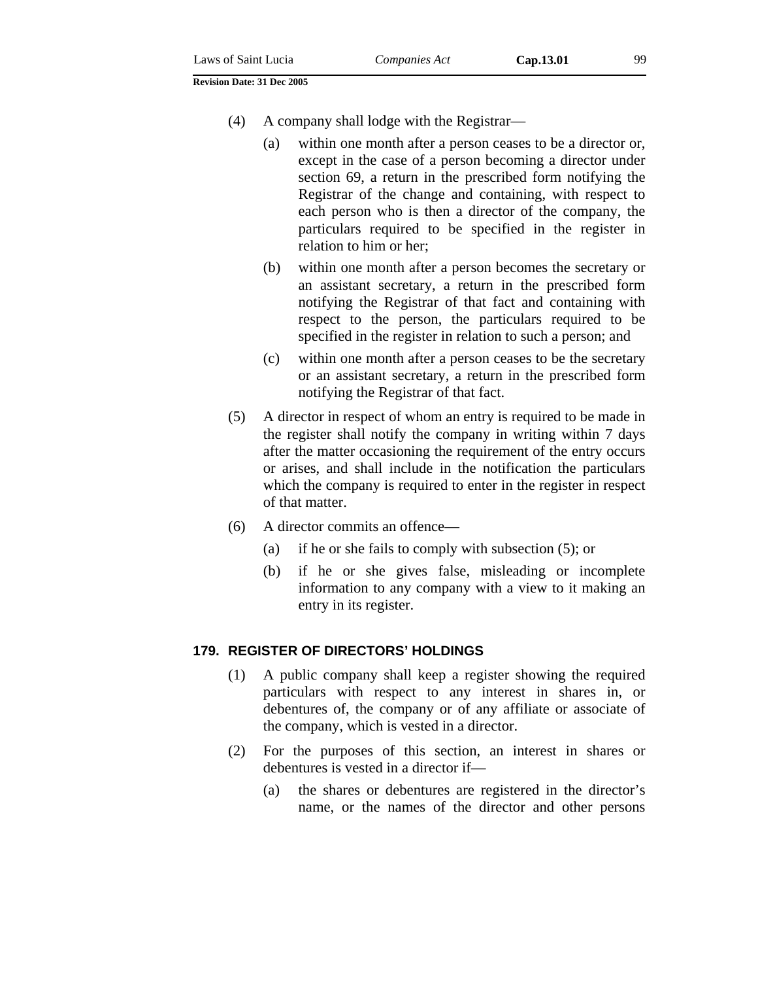- (4) A company shall lodge with the Registrar—
	- (a) within one month after a person ceases to be a director or, except in the case of a person becoming a director under section 69, a return in the prescribed form notifying the Registrar of the change and containing, with respect to each person who is then a director of the company, the particulars required to be specified in the register in relation to him or her;
	- (b) within one month after a person becomes the secretary or an assistant secretary, a return in the prescribed form notifying the Registrar of that fact and containing with respect to the person, the particulars required to be specified in the register in relation to such a person; and
	- (c) within one month after a person ceases to be the secretary or an assistant secretary, a return in the prescribed form notifying the Registrar of that fact.
- (5) A director in respect of whom an entry is required to be made in the register shall notify the company in writing within 7 days after the matter occasioning the requirement of the entry occurs or arises, and shall include in the notification the particulars which the company is required to enter in the register in respect of that matter.
- (6) A director commits an offence—
	- (a) if he or she fails to comply with subsection (5); or
	- (b) if he or she gives false, misleading or incomplete information to any company with a view to it making an entry in its register.

# **179. REGISTER OF DIRECTORS' HOLDINGS**

- (1) A public company shall keep a register showing the required particulars with respect to any interest in shares in, or debentures of, the company or of any affiliate or associate of the company, which is vested in a director.
- (2) For the purposes of this section, an interest in shares or debentures is vested in a director if—
	- (a) the shares or debentures are registered in the director's name, or the names of the director and other persons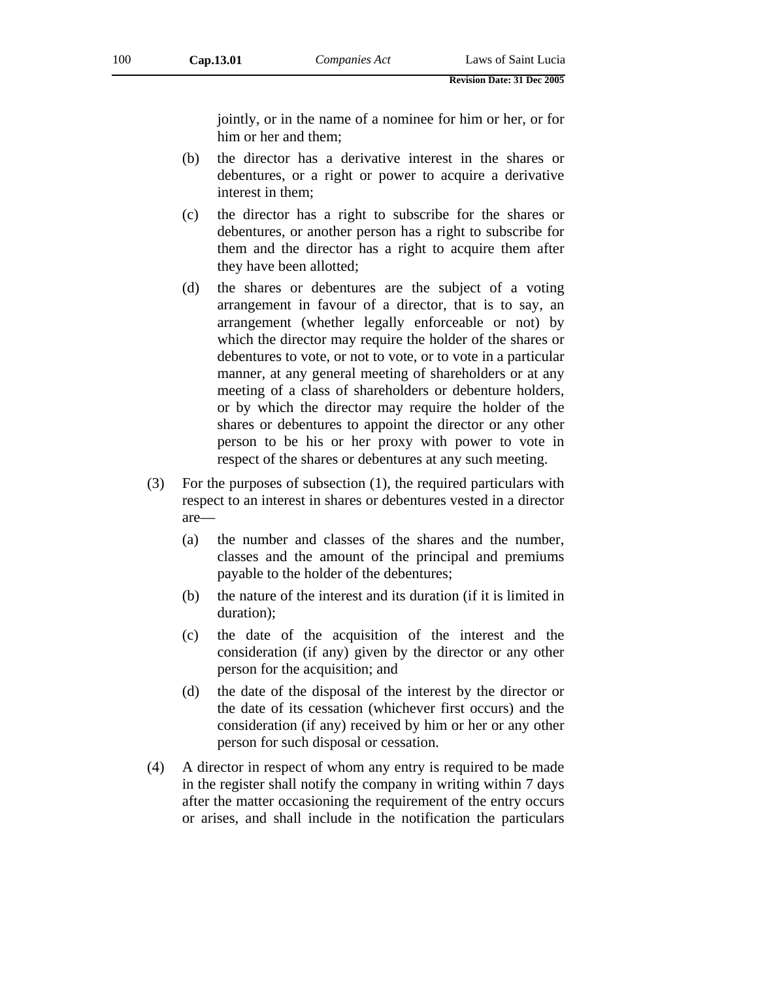jointly, or in the name of a nominee for him or her, or for him or her and them;

- (b) the director has a derivative interest in the shares or debentures, or a right or power to acquire a derivative interest in them;
- (c) the director has a right to subscribe for the shares or debentures, or another person has a right to subscribe for them and the director has a right to acquire them after they have been allotted;
- (d) the shares or debentures are the subject of a voting arrangement in favour of a director, that is to say, an arrangement (whether legally enforceable or not) by which the director may require the holder of the shares or debentures to vote, or not to vote, or to vote in a particular manner, at any general meeting of shareholders or at any meeting of a class of shareholders or debenture holders, or by which the director may require the holder of the shares or debentures to appoint the director or any other person to be his or her proxy with power to vote in respect of the shares or debentures at any such meeting.
- (3) For the purposes of subsection (1), the required particulars with respect to an interest in shares or debentures vested in a director are—
	- (a) the number and classes of the shares and the number, classes and the amount of the principal and premiums payable to the holder of the debentures;
	- (b) the nature of the interest and its duration (if it is limited in duration);
	- (c) the date of the acquisition of the interest and the consideration (if any) given by the director or any other person for the acquisition; and
	- (d) the date of the disposal of the interest by the director or the date of its cessation (whichever first occurs) and the consideration (if any) received by him or her or any other person for such disposal or cessation.
- (4) A director in respect of whom any entry is required to be made in the register shall notify the company in writing within 7 days after the matter occasioning the requirement of the entry occurs or arises, and shall include in the notification the particulars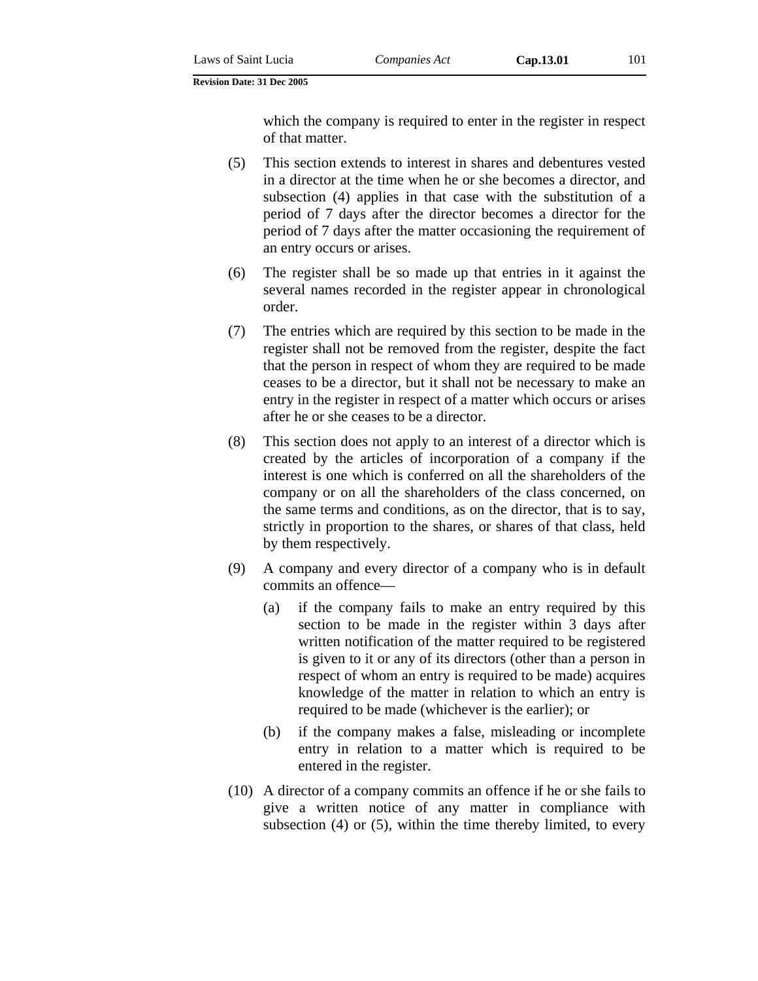which the company is required to enter in the register in respect of that matter.

- (5) This section extends to interest in shares and debentures vested in a director at the time when he or she becomes a director, and subsection (4) applies in that case with the substitution of a period of 7 days after the director becomes a director for the period of 7 days after the matter occasioning the requirement of an entry occurs or arises.
- (6) The register shall be so made up that entries in it against the several names recorded in the register appear in chronological order.
- (7) The entries which are required by this section to be made in the register shall not be removed from the register, despite the fact that the person in respect of whom they are required to be made ceases to be a director, but it shall not be necessary to make an entry in the register in respect of a matter which occurs or arises after he or she ceases to be a director.
- (8) This section does not apply to an interest of a director which is created by the articles of incorporation of a company if the interest is one which is conferred on all the shareholders of the company or on all the shareholders of the class concerned, on the same terms and conditions, as on the director, that is to say, strictly in proportion to the shares, or shares of that class, held by them respectively.
- (9) A company and every director of a company who is in default commits an offence—
	- (a) if the company fails to make an entry required by this section to be made in the register within 3 days after written notification of the matter required to be registered is given to it or any of its directors (other than a person in respect of whom an entry is required to be made) acquires knowledge of the matter in relation to which an entry is required to be made (whichever is the earlier); or
	- (b) if the company makes a false, misleading or incomplete entry in relation to a matter which is required to be entered in the register.
- (10) A director of a company commits an offence if he or she fails to give a written notice of any matter in compliance with subsection (4) or (5), within the time thereby limited, to every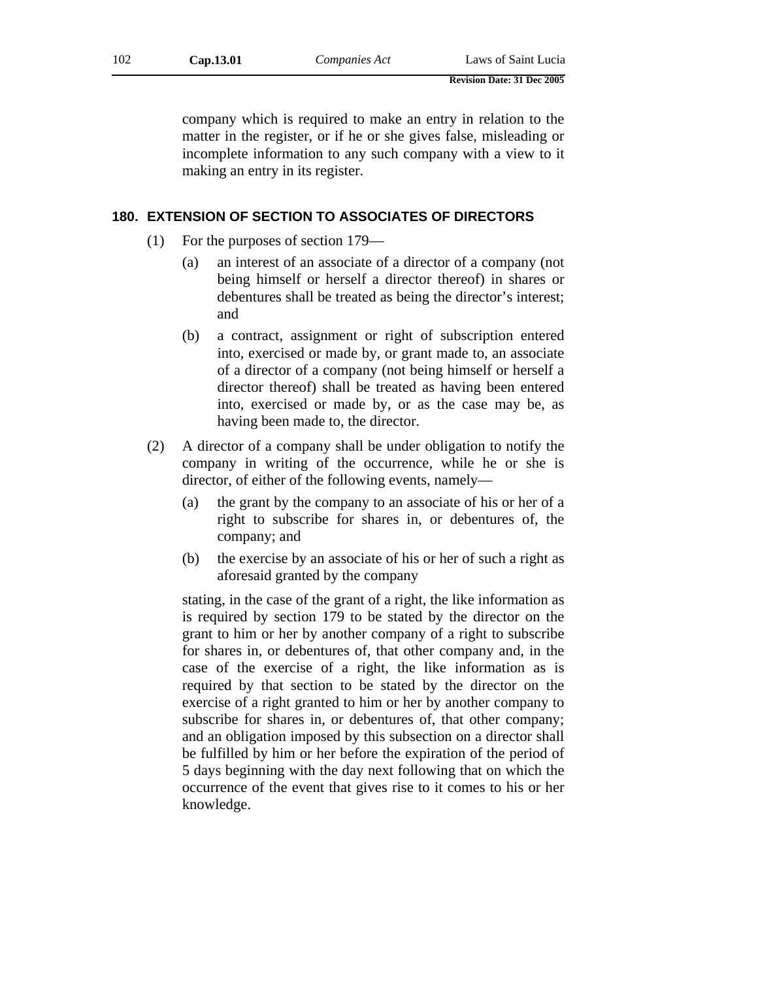| 102 | Cap.13.01 | Companies Act | Laws of Saint Lucia |
|-----|-----------|---------------|---------------------|
|-----|-----------|---------------|---------------------|

company which is required to make an entry in relation to the matter in the register, or if he or she gives false, misleading or incomplete information to any such company with a view to it making an entry in its register.

## **180. EXTENSION OF SECTION TO ASSOCIATES OF DIRECTORS**

- (1) For the purposes of section 179—
	- (a) an interest of an associate of a director of a company (not being himself or herself a director thereof) in shares or debentures shall be treated as being the director's interest; and
	- (b) a contract, assignment or right of subscription entered into, exercised or made by, or grant made to, an associate of a director of a company (not being himself or herself a director thereof) shall be treated as having been entered into, exercised or made by, or as the case may be, as having been made to, the director.
- (2) A director of a company shall be under obligation to notify the company in writing of the occurrence, while he or she is director, of either of the following events, namely—
	- (a) the grant by the company to an associate of his or her of a right to subscribe for shares in, or debentures of, the company; and
	- (b) the exercise by an associate of his or her of such a right as aforesaid granted by the company

stating, in the case of the grant of a right, the like information as is required by section 179 to be stated by the director on the grant to him or her by another company of a right to subscribe for shares in, or debentures of, that other company and, in the case of the exercise of a right, the like information as is required by that section to be stated by the director on the exercise of a right granted to him or her by another company to subscribe for shares in, or debentures of, that other company; and an obligation imposed by this subsection on a director shall be fulfilled by him or her before the expiration of the period of 5 days beginning with the day next following that on which the occurrence of the event that gives rise to it comes to his or her knowledge.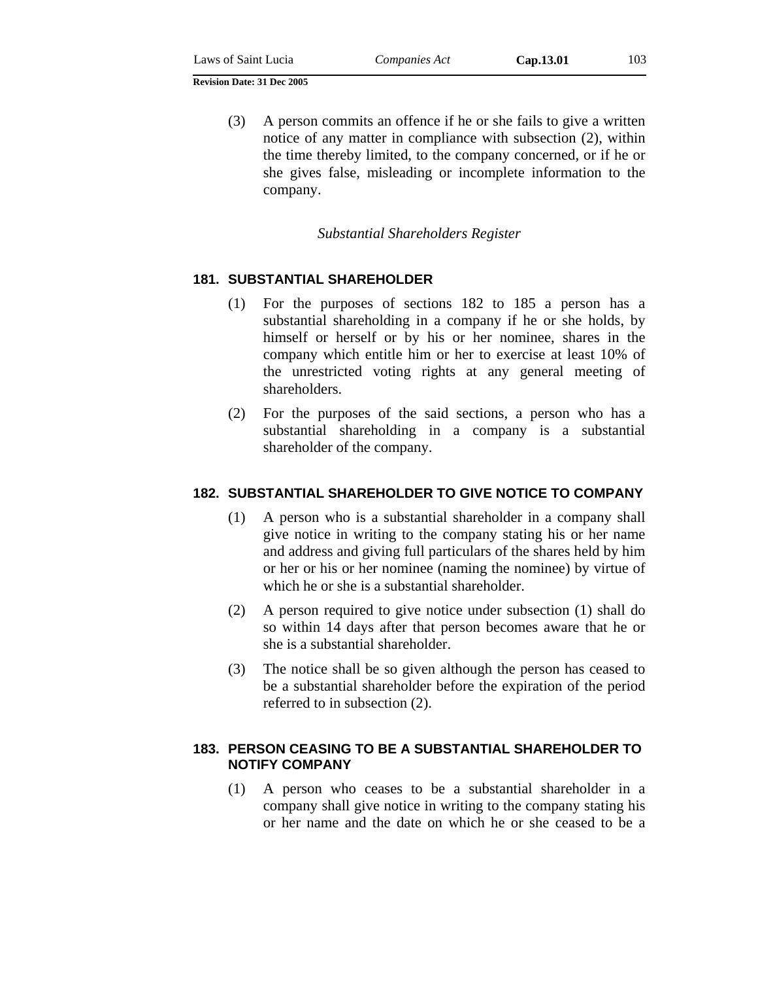| Laws of Saint Lucia | Companies Act |  |
|---------------------|---------------|--|
|                     |               |  |

(3) A person commits an offence if he or she fails to give a written notice of any matter in compliance with subsection (2), within the time thereby limited, to the company concerned, or if he or she gives false, misleading or incomplete information to the company.

## *Substantial Shareholders Register*

# **181. SUBSTANTIAL SHAREHOLDER**

- (1) For the purposes of sections 182 to 185 a person has a substantial shareholding in a company if he or she holds, by himself or herself or by his or her nominee, shares in the company which entitle him or her to exercise at least 10% of the unrestricted voting rights at any general meeting of shareholders.
- (2) For the purposes of the said sections, a person who has a substantial shareholding in a company is a substantial shareholder of the company.

# **182. SUBSTANTIAL SHAREHOLDER TO GIVE NOTICE TO COMPANY**

- (1) A person who is a substantial shareholder in a company shall give notice in writing to the company stating his or her name and address and giving full particulars of the shares held by him or her or his or her nominee (naming the nominee) by virtue of which he or she is a substantial shareholder.
- (2) A person required to give notice under subsection (1) shall do so within 14 days after that person becomes aware that he or she is a substantial shareholder.
- (3) The notice shall be so given although the person has ceased to be a substantial shareholder before the expiration of the period referred to in subsection (2).

# **183. PERSON CEASING TO BE A SUBSTANTIAL SHAREHOLDER TO NOTIFY COMPANY**

(1) A person who ceases to be a substantial shareholder in a company shall give notice in writing to the company stating his or her name and the date on which he or she ceased to be a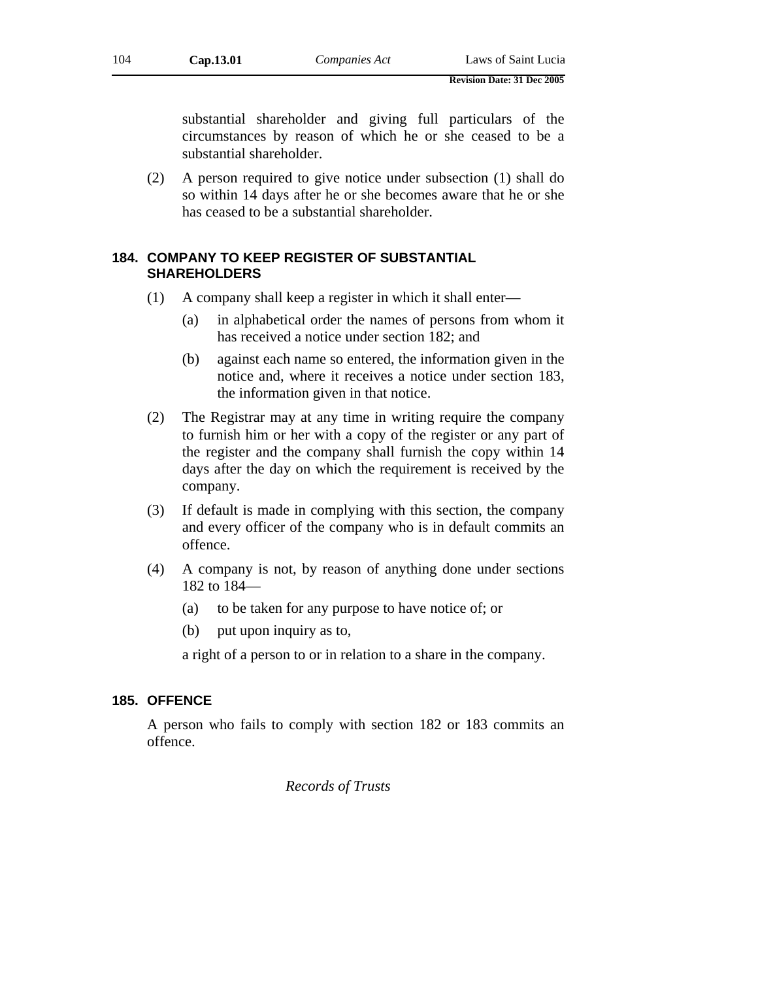substantial shareholder and giving full particulars of the circumstances by reason of which he or she ceased to be a substantial shareholder.

(2) A person required to give notice under subsection (1) shall do so within 14 days after he or she becomes aware that he or she has ceased to be a substantial shareholder.

# **184. COMPANY TO KEEP REGISTER OF SUBSTANTIAL SHAREHOLDERS**

- (1) A company shall keep a register in which it shall enter—
	- (a) in alphabetical order the names of persons from whom it has received a notice under section 182; and
	- (b) against each name so entered, the information given in the notice and, where it receives a notice under section 183, the information given in that notice.
- (2) The Registrar may at any time in writing require the company to furnish him or her with a copy of the register or any part of the register and the company shall furnish the copy within 14 days after the day on which the requirement is received by the company.
- (3) If default is made in complying with this section, the company and every officer of the company who is in default commits an offence.
- (4) A company is not, by reason of anything done under sections 182 to 184—
	- (a) to be taken for any purpose to have notice of; or
	- (b) put upon inquiry as to,

a right of a person to or in relation to a share in the company.

### **185. OFFENCE**

A person who fails to comply with section 182 or 183 commits an offence.

*Records of Trusts*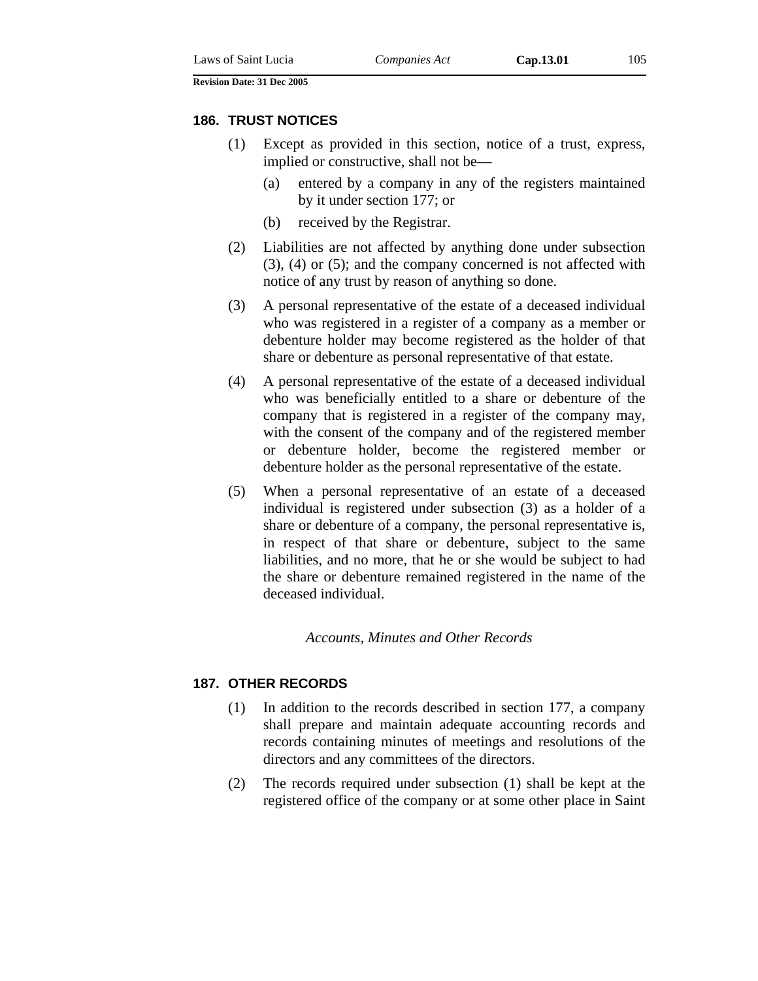# **186. TRUST NOTICES**

- (1) Except as provided in this section, notice of a trust, express, implied or constructive, shall not be—
	- (a) entered by a company in any of the registers maintained by it under section 177; or
	- (b) received by the Registrar.
- (2) Liabilities are not affected by anything done under subsection (3), (4) or (5); and the company concerned is not affected with notice of any trust by reason of anything so done.
- (3) A personal representative of the estate of a deceased individual who was registered in a register of a company as a member or debenture holder may become registered as the holder of that share or debenture as personal representative of that estate.
- (4) A personal representative of the estate of a deceased individual who was beneficially entitled to a share or debenture of the company that is registered in a register of the company may, with the consent of the company and of the registered member or debenture holder, become the registered member or debenture holder as the personal representative of the estate.
- (5) When a personal representative of an estate of a deceased individual is registered under subsection (3) as a holder of a share or debenture of a company, the personal representative is, in respect of that share or debenture, subject to the same liabilities, and no more, that he or she would be subject to had the share or debenture remained registered in the name of the deceased individual.

### *Accounts, Minutes and Other Records*

### **187. OTHER RECORDS**

- (1) In addition to the records described in section 177, a company shall prepare and maintain adequate accounting records and records containing minutes of meetings and resolutions of the directors and any committees of the directors.
- (2) The records required under subsection (1) shall be kept at the registered office of the company or at some other place in Saint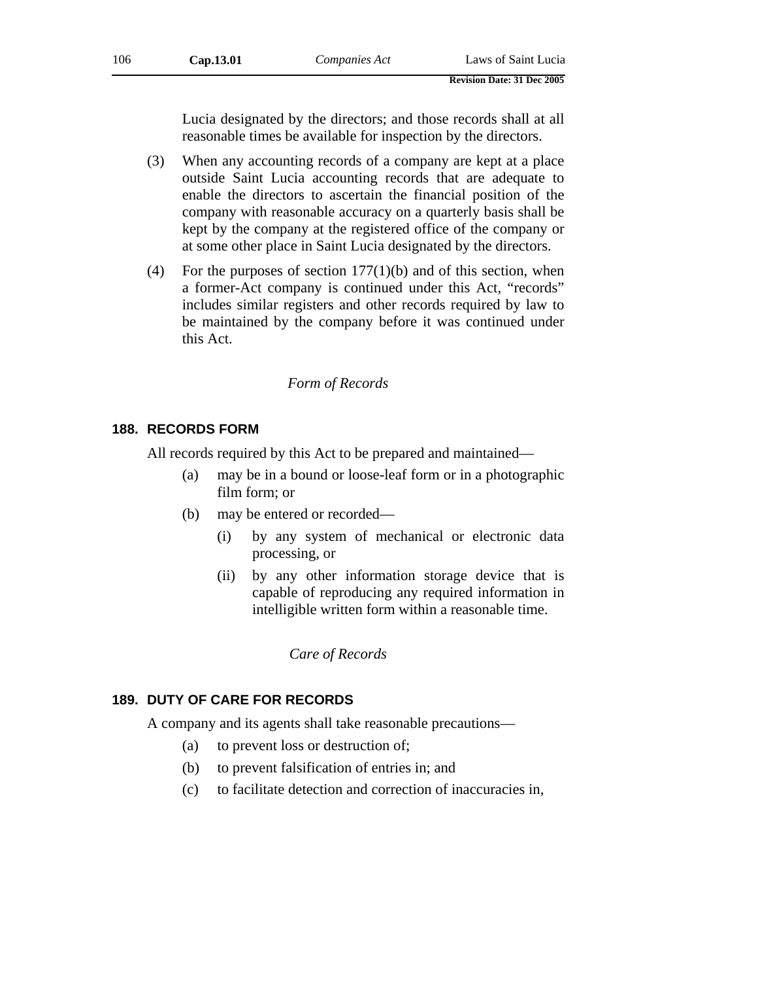Lucia designated by the directors; and those records shall at all reasonable times be available for inspection by the directors.

- (3) When any accounting records of a company are kept at a place outside Saint Lucia accounting records that are adequate to enable the directors to ascertain the financial position of the company with reasonable accuracy on a quarterly basis shall be kept by the company at the registered office of the company or at some other place in Saint Lucia designated by the directors.
- (4) For the purposes of section  $177(1)(b)$  and of this section, when a former-Act company is continued under this Act, "records" includes similar registers and other records required by law to be maintained by the company before it was continued under this Act.

# *Form of Records*

### **188. RECORDS FORM**

All records required by this Act to be prepared and maintained—

- (a) may be in a bound or loose-leaf form or in a photographic film form; or
- (b) may be entered or recorded—
	- (i) by any system of mechanical or electronic data processing, or
	- (ii) by any other information storage device that is capable of reproducing any required information in intelligible written form within a reasonable time.

*Care of Records* 

# **189. DUTY OF CARE FOR RECORDS**

A company and its agents shall take reasonable precautions—

- (a) to prevent loss or destruction of;
- (b) to prevent falsification of entries in; and
- (c) to facilitate detection and correction of inaccuracies in,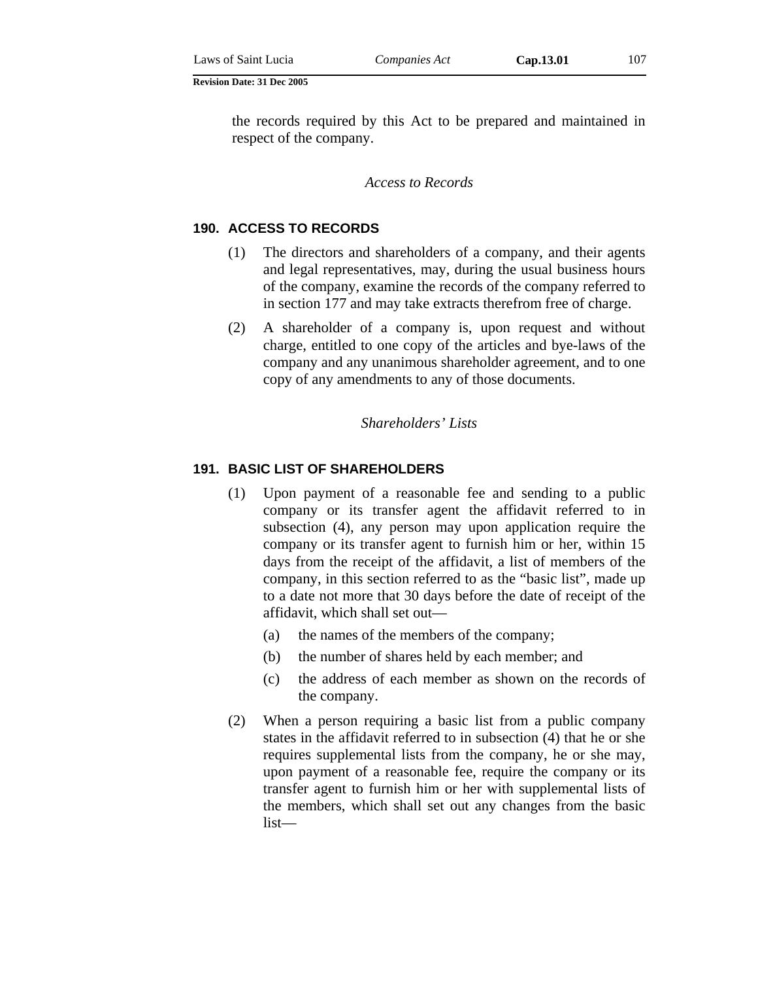the records required by this Act to be prepared and maintained in respect of the company.

*Access to Records* 

# **190. ACCESS TO RECORDS**

- (1) The directors and shareholders of a company, and their agents and legal representatives, may, during the usual business hours of the company, examine the records of the company referred to in section 177 and may take extracts therefrom free of charge.
- (2) A shareholder of a company is, upon request and without charge, entitled to one copy of the articles and bye-laws of the company and any unanimous shareholder agreement, and to one copy of any amendments to any of those documents.

*Shareholders' Lists* 

### **191. BASIC LIST OF SHAREHOLDERS**

- (1) Upon payment of a reasonable fee and sending to a public company or its transfer agent the affidavit referred to in subsection (4), any person may upon application require the company or its transfer agent to furnish him or her, within 15 days from the receipt of the affidavit, a list of members of the company, in this section referred to as the "basic list", made up to a date not more that 30 days before the date of receipt of the affidavit, which shall set out—
	- (a) the names of the members of the company;
	- (b) the number of shares held by each member; and
	- (c) the address of each member as shown on the records of the company.
- (2) When a person requiring a basic list from a public company states in the affidavit referred to in subsection (4) that he or she requires supplemental lists from the company, he or she may, upon payment of a reasonable fee, require the company or its transfer agent to furnish him or her with supplemental lists of the members, which shall set out any changes from the basic list—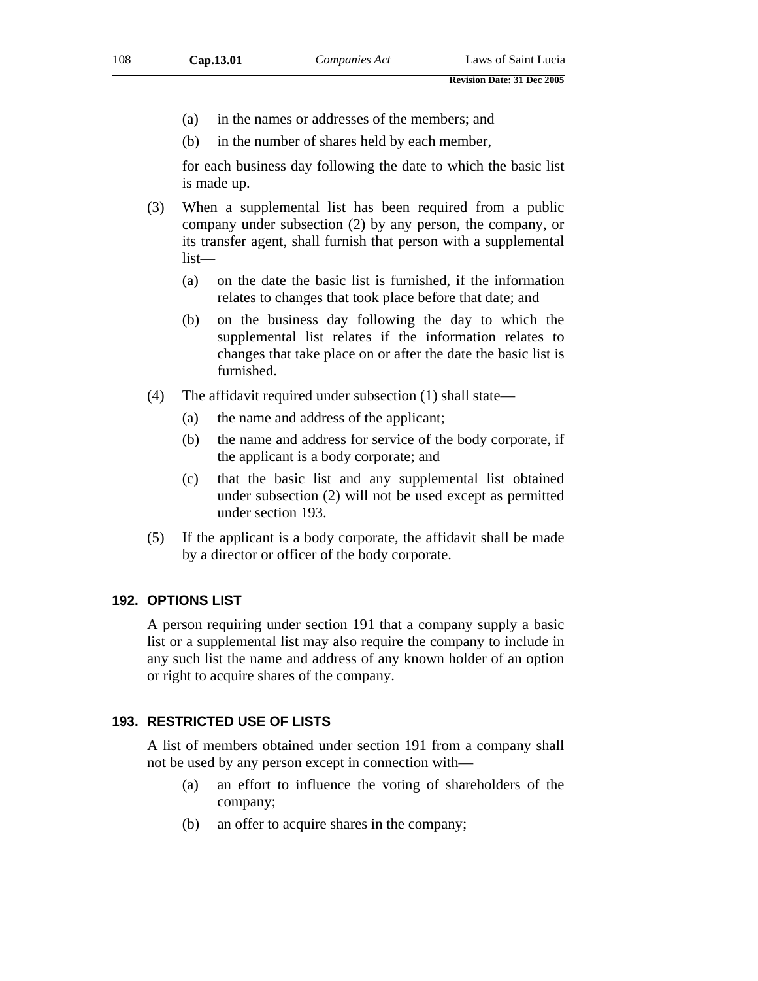- (a) in the names or addresses of the members; and
- (b) in the number of shares held by each member,

for each business day following the date to which the basic list is made up.

- (3) When a supplemental list has been required from a public company under subsection (2) by any person, the company, or its transfer agent, shall furnish that person with a supplemental list—
	- (a) on the date the basic list is furnished, if the information relates to changes that took place before that date; and
	- (b) on the business day following the day to which the supplemental list relates if the information relates to changes that take place on or after the date the basic list is furnished.
- (4) The affidavit required under subsection (1) shall state—
	- (a) the name and address of the applicant;
	- (b) the name and address for service of the body corporate, if the applicant is a body corporate; and
	- (c) that the basic list and any supplemental list obtained under subsection (2) will not be used except as permitted under section 193.
- (5) If the applicant is a body corporate, the affidavit shall be made by a director or officer of the body corporate.

#### **192. OPTIONS LIST**

A person requiring under section 191 that a company supply a basic list or a supplemental list may also require the company to include in any such list the name and address of any known holder of an option or right to acquire shares of the company.

### **193. RESTRICTED USE OF LISTS**

A list of members obtained under section 191 from a company shall not be used by any person except in connection with—

- (a) an effort to influence the voting of shareholders of the company;
- (b) an offer to acquire shares in the company;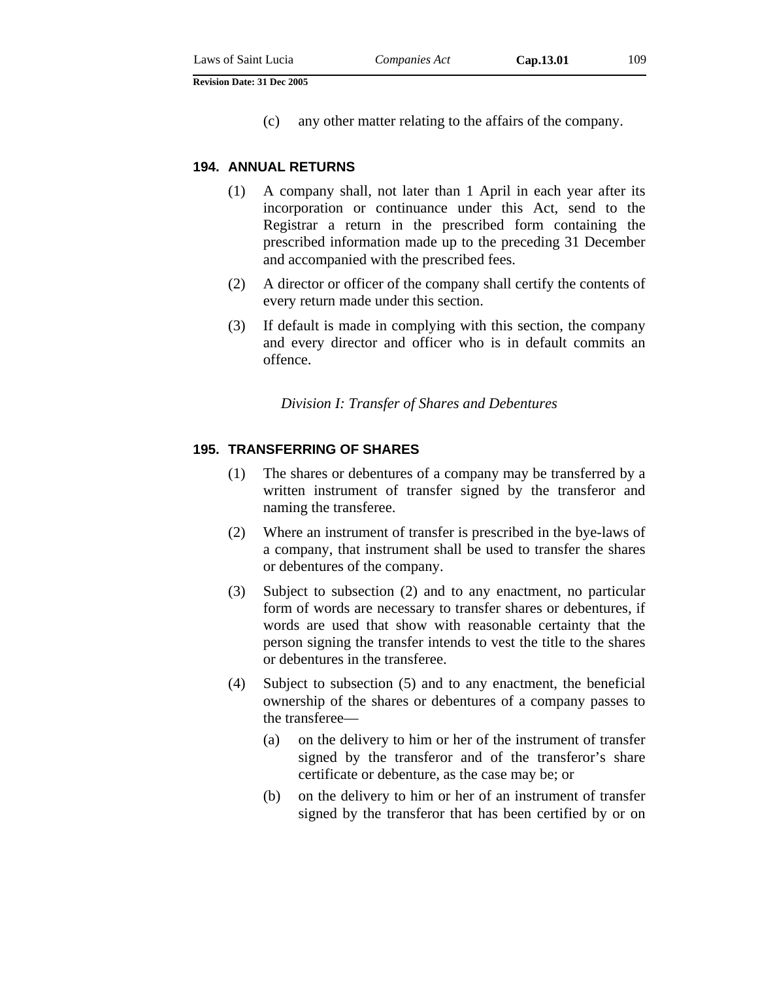(c) any other matter relating to the affairs of the company.

#### **194. ANNUAL RETURNS**

- (1) A company shall, not later than 1 April in each year after its incorporation or continuance under this Act, send to the Registrar a return in the prescribed form containing the prescribed information made up to the preceding 31 December and accompanied with the prescribed fees.
- (2) A director or officer of the company shall certify the contents of every return made under this section.
- (3) If default is made in complying with this section, the company and every director and officer who is in default commits an offence.

#### *Division I: Transfer of Shares and Debentures*

#### **195. TRANSFERRING OF SHARES**

- (1) The shares or debentures of a company may be transferred by a written instrument of transfer signed by the transferor and naming the transferee.
- (2) Where an instrument of transfer is prescribed in the bye-laws of a company, that instrument shall be used to transfer the shares or debentures of the company.
- (3) Subject to subsection (2) and to any enactment, no particular form of words are necessary to transfer shares or debentures, if words are used that show with reasonable certainty that the person signing the transfer intends to vest the title to the shares or debentures in the transferee.
- (4) Subject to subsection (5) and to any enactment, the beneficial ownership of the shares or debentures of a company passes to the transferee—
	- (a) on the delivery to him or her of the instrument of transfer signed by the transferor and of the transferor's share certificate or debenture, as the case may be; or
	- (b) on the delivery to him or her of an instrument of transfer signed by the transferor that has been certified by or on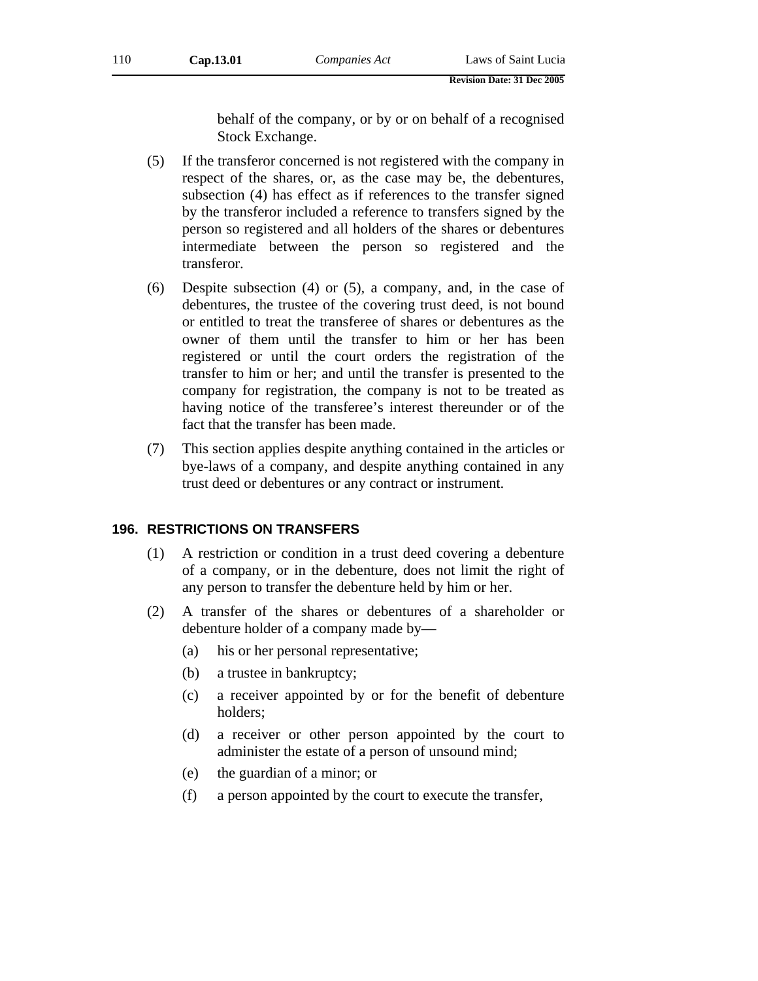behalf of the company, or by or on behalf of a recognised Stock Exchange.

- (5) If the transferor concerned is not registered with the company in respect of the shares, or, as the case may be, the debentures, subsection (4) has effect as if references to the transfer signed by the transferor included a reference to transfers signed by the person so registered and all holders of the shares or debentures intermediate between the person so registered and the transferor.
- (6) Despite subsection (4) or (5), a company, and, in the case of debentures, the trustee of the covering trust deed, is not bound or entitled to treat the transferee of shares or debentures as the owner of them until the transfer to him or her has been registered or until the court orders the registration of the transfer to him or her; and until the transfer is presented to the company for registration, the company is not to be treated as having notice of the transferee's interest thereunder or of the fact that the transfer has been made.
- (7) This section applies despite anything contained in the articles or bye-laws of a company, and despite anything contained in any trust deed or debentures or any contract or instrument.

#### **196. RESTRICTIONS ON TRANSFERS**

- (1) A restriction or condition in a trust deed covering a debenture of a company, or in the debenture, does not limit the right of any person to transfer the debenture held by him or her.
- (2) A transfer of the shares or debentures of a shareholder or debenture holder of a company made by—
	- (a) his or her personal representative;
	- (b) a trustee in bankruptcy;
	- (c) a receiver appointed by or for the benefit of debenture holders;
	- (d) a receiver or other person appointed by the court to administer the estate of a person of unsound mind;
	- (e) the guardian of a minor; or
	- (f) a person appointed by the court to execute the transfer,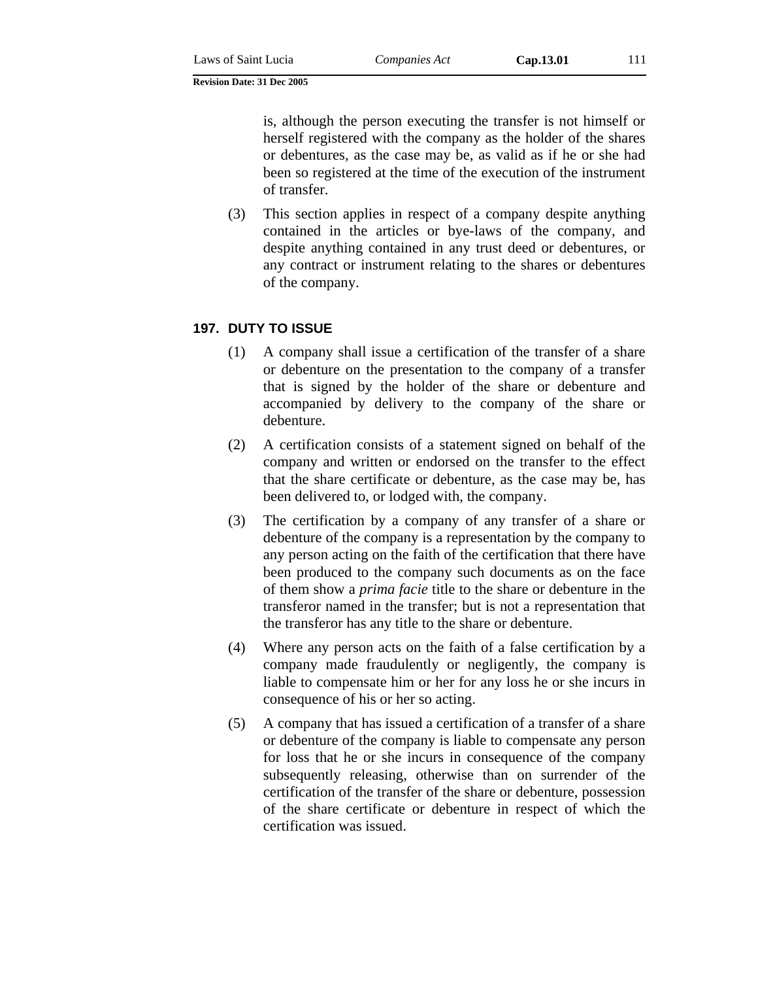is, although the person executing the transfer is not himself or herself registered with the company as the holder of the shares or debentures, as the case may be, as valid as if he or she had been so registered at the time of the execution of the instrument of transfer.

(3) This section applies in respect of a company despite anything contained in the articles or bye-laws of the company, and despite anything contained in any trust deed or debentures, or any contract or instrument relating to the shares or debentures of the company.

## **197. DUTY TO ISSUE**

- (1) A company shall issue a certification of the transfer of a share or debenture on the presentation to the company of a transfer that is signed by the holder of the share or debenture and accompanied by delivery to the company of the share or debenture.
- (2) A certification consists of a statement signed on behalf of the company and written or endorsed on the transfer to the effect that the share certificate or debenture, as the case may be, has been delivered to, or lodged with, the company.
- (3) The certification by a company of any transfer of a share or debenture of the company is a representation by the company to any person acting on the faith of the certification that there have been produced to the company such documents as on the face of them show a *prima facie* title to the share or debenture in the transferor named in the transfer; but is not a representation that the transferor has any title to the share or debenture.
- (4) Where any person acts on the faith of a false certification by a company made fraudulently or negligently, the company is liable to compensate him or her for any loss he or she incurs in consequence of his or her so acting.
- (5) A company that has issued a certification of a transfer of a share or debenture of the company is liable to compensate any person for loss that he or she incurs in consequence of the company subsequently releasing, otherwise than on surrender of the certification of the transfer of the share or debenture, possession of the share certificate or debenture in respect of which the certification was issued.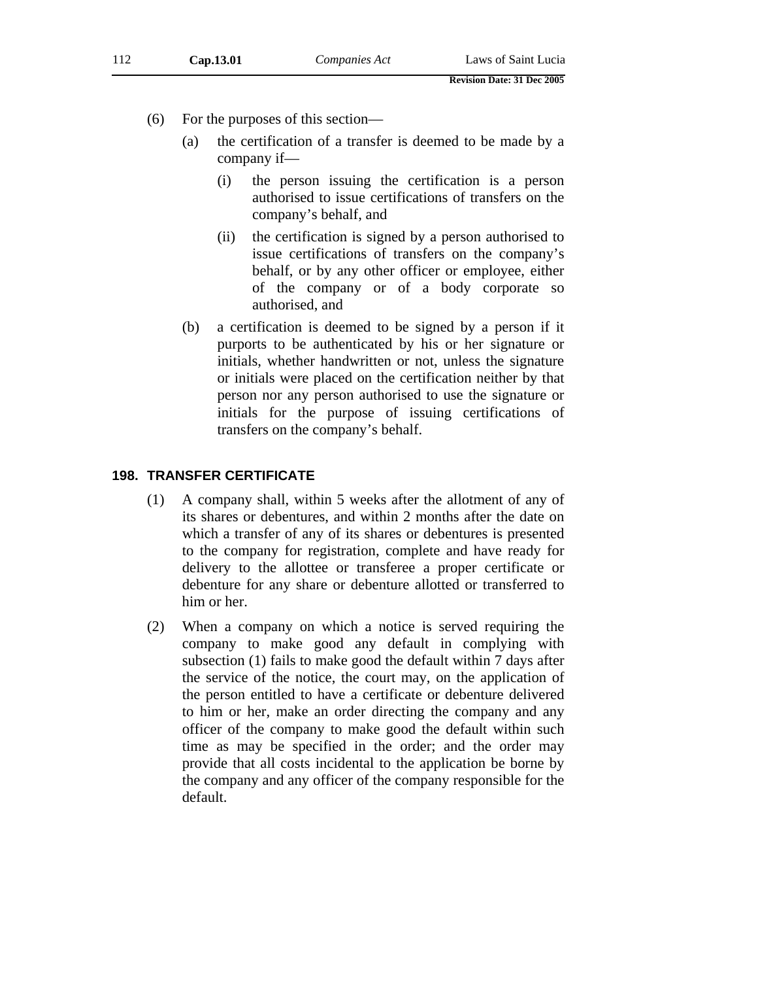- (6) For the purposes of this section—
	- (a) the certification of a transfer is deemed to be made by a company if—
		- (i) the person issuing the certification is a person authorised to issue certifications of transfers on the company's behalf, and
		- (ii) the certification is signed by a person authorised to issue certifications of transfers on the company's behalf, or by any other officer or employee, either of the company or of a body corporate so authorised, and
	- (b) a certification is deemed to be signed by a person if it purports to be authenticated by his or her signature or initials, whether handwritten or not, unless the signature or initials were placed on the certification neither by that person nor any person authorised to use the signature or initials for the purpose of issuing certifications of transfers on the company's behalf.

## **198. TRANSFER CERTIFICATE**

- (1) A company shall, within 5 weeks after the allotment of any of its shares or debentures, and within 2 months after the date on which a transfer of any of its shares or debentures is presented to the company for registration, complete and have ready for delivery to the allottee or transferee a proper certificate or debenture for any share or debenture allotted or transferred to him or her.
- (2) When a company on which a notice is served requiring the company to make good any default in complying with subsection (1) fails to make good the default within 7 days after the service of the notice, the court may, on the application of the person entitled to have a certificate or debenture delivered to him or her, make an order directing the company and any officer of the company to make good the default within such time as may be specified in the order; and the order may provide that all costs incidental to the application be borne by the company and any officer of the company responsible for the default.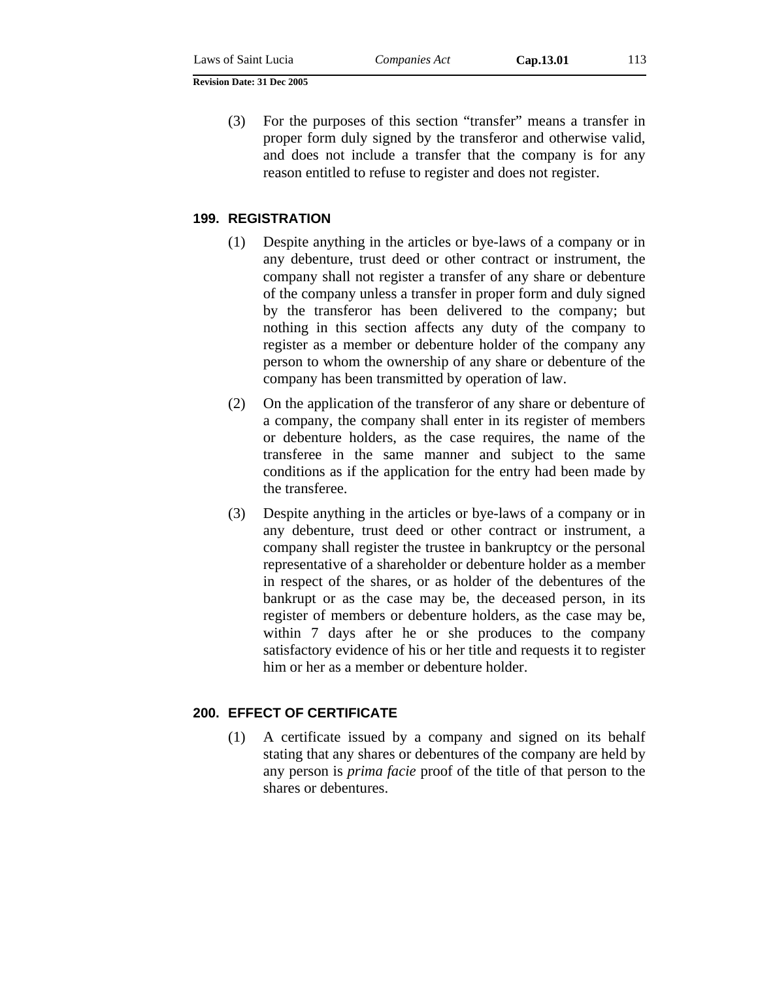(3) For the purposes of this section "transfer" means a transfer in proper form duly signed by the transferor and otherwise valid, and does not include a transfer that the company is for any reason entitled to refuse to register and does not register.

#### **199. REGISTRATION**

- (1) Despite anything in the articles or bye-laws of a company or in any debenture, trust deed or other contract or instrument, the company shall not register a transfer of any share or debenture of the company unless a transfer in proper form and duly signed by the transferor has been delivered to the company; but nothing in this section affects any duty of the company to register as a member or debenture holder of the company any person to whom the ownership of any share or debenture of the company has been transmitted by operation of law.
- (2) On the application of the transferor of any share or debenture of a company, the company shall enter in its register of members or debenture holders, as the case requires, the name of the transferee in the same manner and subject to the same conditions as if the application for the entry had been made by the transferee.
- (3) Despite anything in the articles or bye-laws of a company or in any debenture, trust deed or other contract or instrument, a company shall register the trustee in bankruptcy or the personal representative of a shareholder or debenture holder as a member in respect of the shares, or as holder of the debentures of the bankrupt or as the case may be, the deceased person, in its register of members or debenture holders, as the case may be, within 7 days after he or she produces to the company satisfactory evidence of his or her title and requests it to register him or her as a member or debenture holder.

### **200. EFFECT OF CERTIFICATE**

(1) A certificate issued by a company and signed on its behalf stating that any shares or debentures of the company are held by any person is *prima facie* proof of the title of that person to the shares or debentures.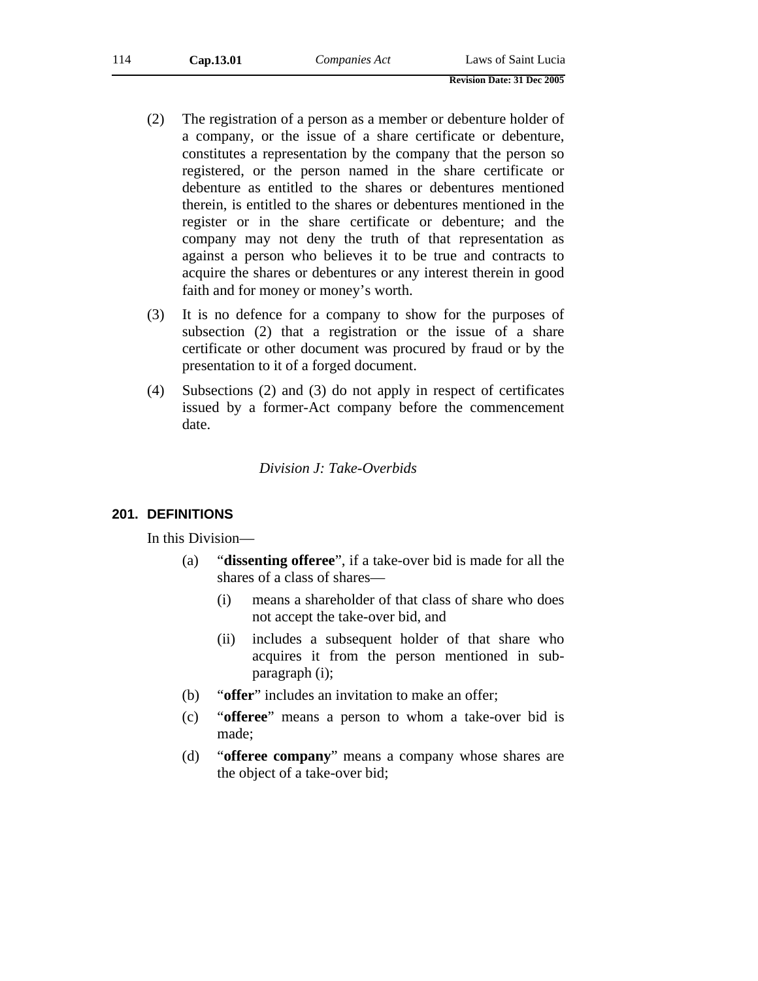| 114 | Cap.13.01 | Companies Act | Laws of Saint Lucia |
|-----|-----------|---------------|---------------------|
|-----|-----------|---------------|---------------------|

- (2) The registration of a person as a member or debenture holder of a company, or the issue of a share certificate or debenture, constitutes a representation by the company that the person so registered, or the person named in the share certificate or debenture as entitled to the shares or debentures mentioned therein, is entitled to the shares or debentures mentioned in the register or in the share certificate or debenture; and the company may not deny the truth of that representation as against a person who believes it to be true and contracts to acquire the shares or debentures or any interest therein in good faith and for money or money's worth.
- (3) It is no defence for a company to show for the purposes of subsection (2) that a registration or the issue of a share certificate or other document was procured by fraud or by the presentation to it of a forged document.
- (4) Subsections (2) and (3) do not apply in respect of certificates issued by a former-Act company before the commencement date.

*Division J: Take-Overbids* 

### **201. DEFINITIONS**

In this Division—

- (a) "**dissenting offeree**", if a take-over bid is made for all the shares of a class of shares—
	- (i) means a shareholder of that class of share who does not accept the take-over bid, and
	- (ii) includes a subsequent holder of that share who acquires it from the person mentioned in subparagraph (i);
- (b) "**offer**" includes an invitation to make an offer;
- (c) "**offeree**" means a person to whom a take-over bid is made;
- (d) "**offeree company**" means a company whose shares are the object of a take-over bid;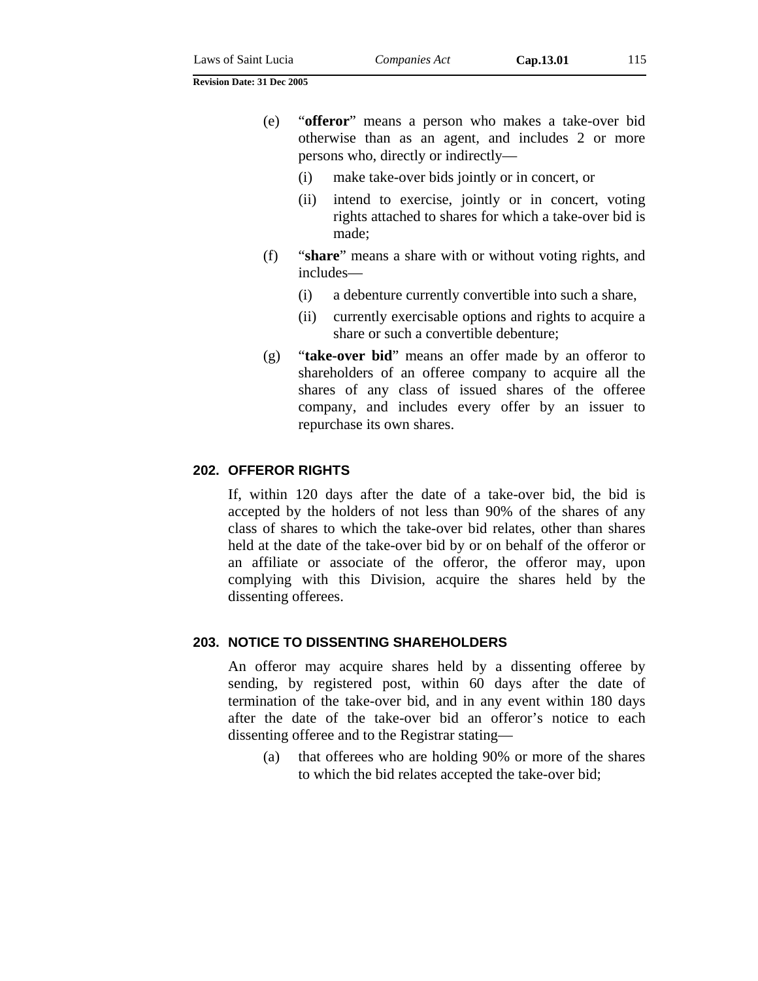- (e) "**offeror**" means a person who makes a take-over bid otherwise than as an agent, and includes 2 or more persons who, directly or indirectly—
	- (i) make take-over bids jointly or in concert, or
	- (ii) intend to exercise, jointly or in concert, voting rights attached to shares for which a take-over bid is made;
- (f) "**share**" means a share with or without voting rights, and includes—
	- (i) a debenture currently convertible into such a share,
	- (ii) currently exercisable options and rights to acquire a share or such a convertible debenture;
- (g) "**take-over bid**" means an offer made by an offeror to shareholders of an offeree company to acquire all the shares of any class of issued shares of the offeree company, and includes every offer by an issuer to repurchase its own shares.

### **202. OFFEROR RIGHTS**

If, within 120 days after the date of a take-over bid, the bid is accepted by the holders of not less than 90% of the shares of any class of shares to which the take-over bid relates, other than shares held at the date of the take-over bid by or on behalf of the offeror or an affiliate or associate of the offeror, the offeror may, upon complying with this Division, acquire the shares held by the dissenting offerees.

#### **203. NOTICE TO DISSENTING SHAREHOLDERS**

An offeror may acquire shares held by a dissenting offeree by sending, by registered post, within 60 days after the date of termination of the take-over bid, and in any event within 180 days after the date of the take-over bid an offeror's notice to each dissenting offeree and to the Registrar stating—

(a) that offerees who are holding 90% or more of the shares to which the bid relates accepted the take-over bid;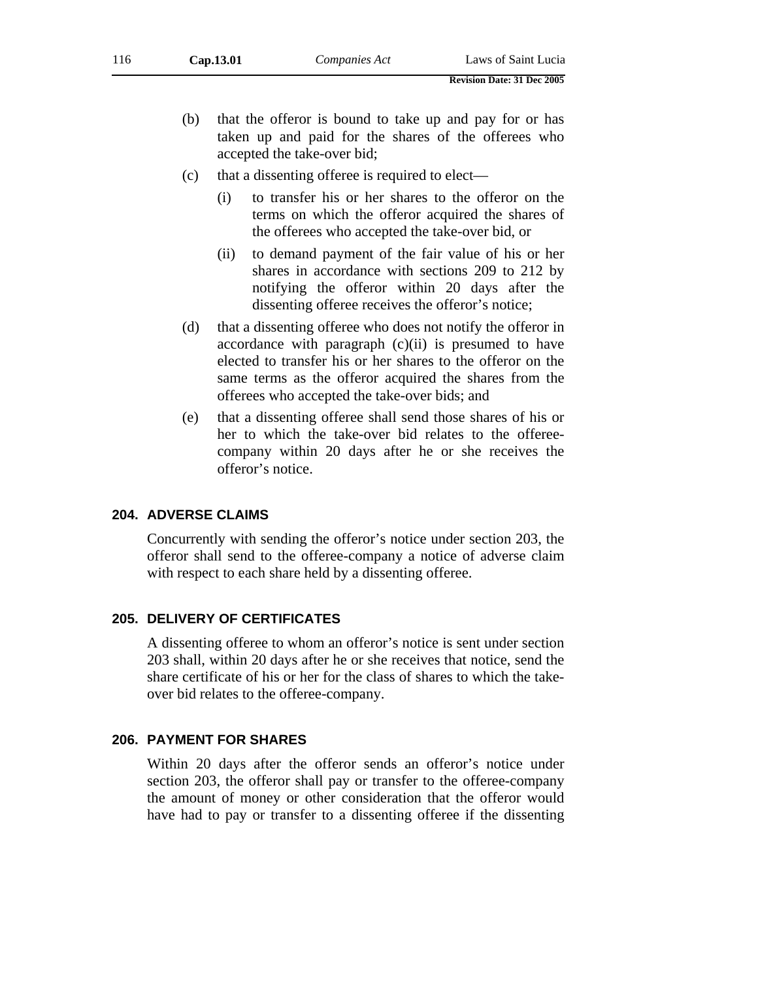- (b) that the offeror is bound to take up and pay for or has taken up and paid for the shares of the offerees who accepted the take-over bid;
- (c) that a dissenting offeree is required to elect—
	- (i) to transfer his or her shares to the offeror on the terms on which the offeror acquired the shares of the offerees who accepted the take-over bid, or
	- (ii) to demand payment of the fair value of his or her shares in accordance with sections 209 to 212 by notifying the offeror within 20 days after the dissenting offeree receives the offeror's notice;
- (d) that a dissenting offeree who does not notify the offeror in accordance with paragraph  $(c)(ii)$  is presumed to have elected to transfer his or her shares to the offeror on the same terms as the offeror acquired the shares from the offerees who accepted the take-over bids; and
- (e) that a dissenting offeree shall send those shares of his or her to which the take-over bid relates to the offereecompany within 20 days after he or she receives the offeror's notice.

#### **204. ADVERSE CLAIMS**

Concurrently with sending the offeror's notice under section 203, the offeror shall send to the offeree-company a notice of adverse claim with respect to each share held by a dissenting offeree.

#### **205. DELIVERY OF CERTIFICATES**

A dissenting offeree to whom an offeror's notice is sent under section 203 shall, within 20 days after he or she receives that notice, send the share certificate of his or her for the class of shares to which the takeover bid relates to the offeree-company.

### **206. PAYMENT FOR SHARES**

Within 20 days after the offeror sends an offeror's notice under section 203, the offeror shall pay or transfer to the offeree-company the amount of money or other consideration that the offeror would have had to pay or transfer to a dissenting offeree if the dissenting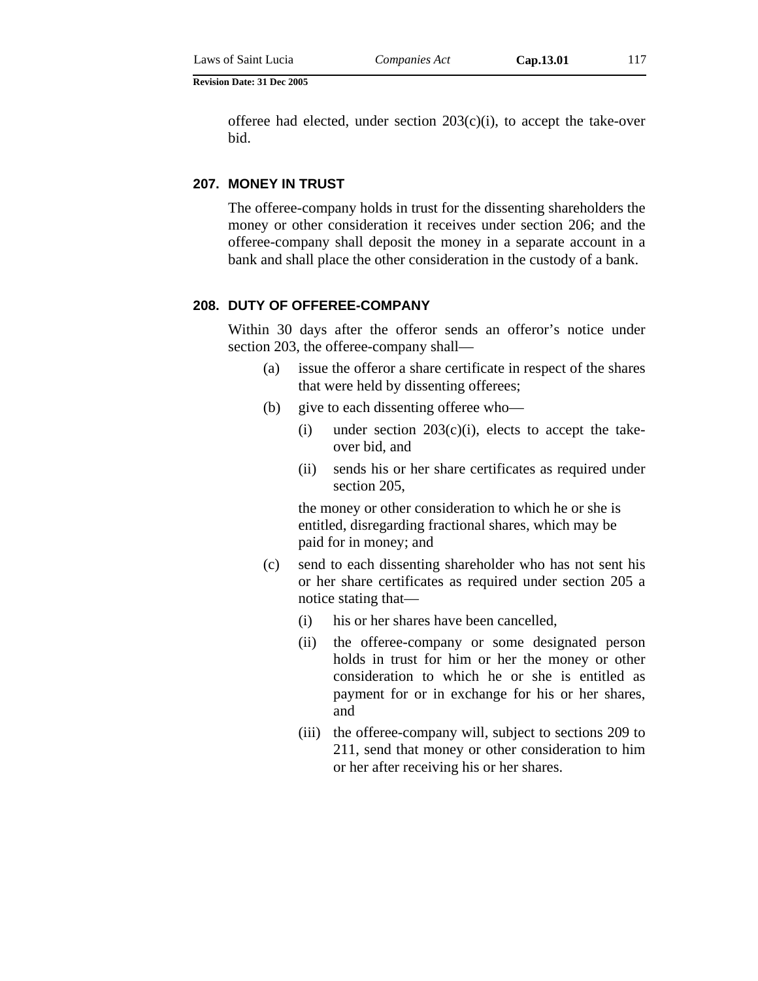offeree had elected, under section  $203(c)(i)$ , to accept the take-over bid.

#### **207. MONEY IN TRUST**

The offeree-company holds in trust for the dissenting shareholders the money or other consideration it receives under section 206; and the offeree-company shall deposit the money in a separate account in a bank and shall place the other consideration in the custody of a bank.

#### **208. DUTY OF OFFEREE-COMPANY**

Within 30 days after the offeror sends an offeror's notice under section 203, the offeree-company shall—

- (a) issue the offeror a share certificate in respect of the shares that were held by dissenting offerees;
- (b) give to each dissenting offeree who—
	- (i) under section  $203(c)(i)$ , elects to accept the takeover bid, and
	- (ii) sends his or her share certificates as required under section 205,

the money or other consideration to which he or she is entitled, disregarding fractional shares, which may be paid for in money; and

- (c) send to each dissenting shareholder who has not sent his or her share certificates as required under section 205 a notice stating that—
	- (i) his or her shares have been cancelled,
	- (ii) the offeree-company or some designated person holds in trust for him or her the money or other consideration to which he or she is entitled as payment for or in exchange for his or her shares, and
	- (iii) the offeree-company will, subject to sections 209 to 211, send that money or other consideration to him or her after receiving his or her shares.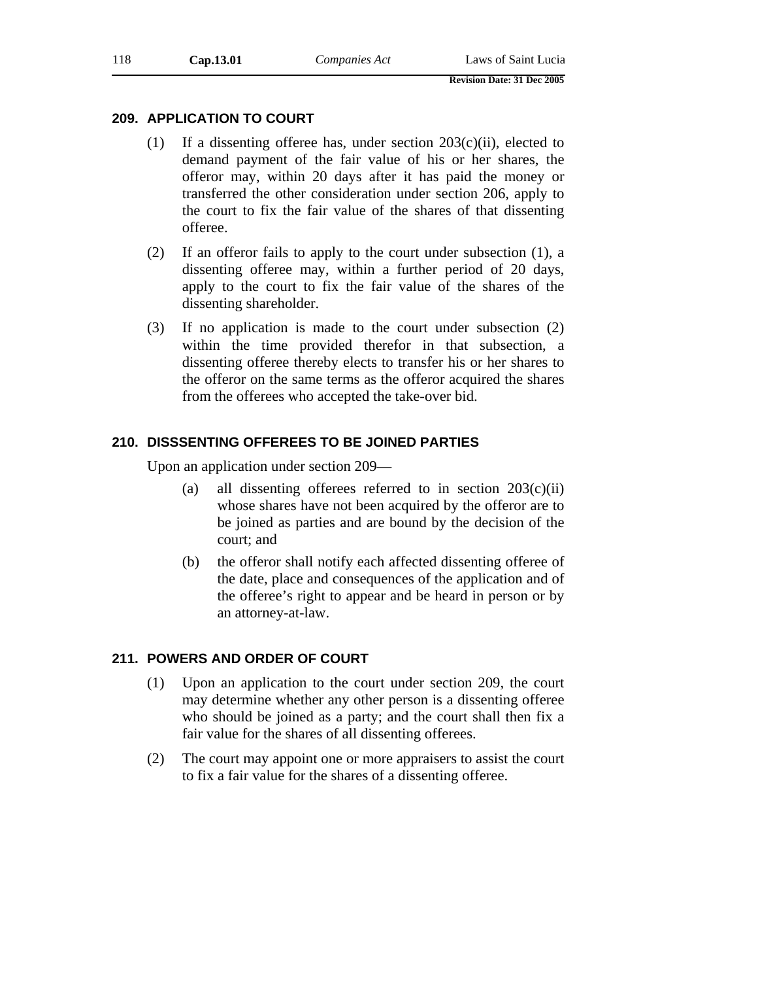### **209. APPLICATION TO COURT**

- (1) If a dissenting offeree has, under section 203(c)(ii), elected to demand payment of the fair value of his or her shares, the offeror may, within 20 days after it has paid the money or transferred the other consideration under section 206, apply to the court to fix the fair value of the shares of that dissenting offeree.
- (2) If an offeror fails to apply to the court under subsection (1), a dissenting offeree may, within a further period of 20 days, apply to the court to fix the fair value of the shares of the dissenting shareholder.
- (3) If no application is made to the court under subsection (2) within the time provided therefor in that subsection, a dissenting offeree thereby elects to transfer his or her shares to the offeror on the same terms as the offeror acquired the shares from the offerees who accepted the take-over bid.

## **210. DISSSENTING OFFEREES TO BE JOINED PARTIES**

Upon an application under section 209—

- (a) all dissenting offerees referred to in section  $203(c)(ii)$ whose shares have not been acquired by the offeror are to be joined as parties and are bound by the decision of the court; and
- (b) the offeror shall notify each affected dissenting offeree of the date, place and consequences of the application and of the offeree's right to appear and be heard in person or by an attorney-at-law.

## **211. POWERS AND ORDER OF COURT**

- (1) Upon an application to the court under section 209, the court may determine whether any other person is a dissenting offeree who should be joined as a party; and the court shall then fix a fair value for the shares of all dissenting offerees.
- (2) The court may appoint one or more appraisers to assist the court to fix a fair value for the shares of a dissenting offeree.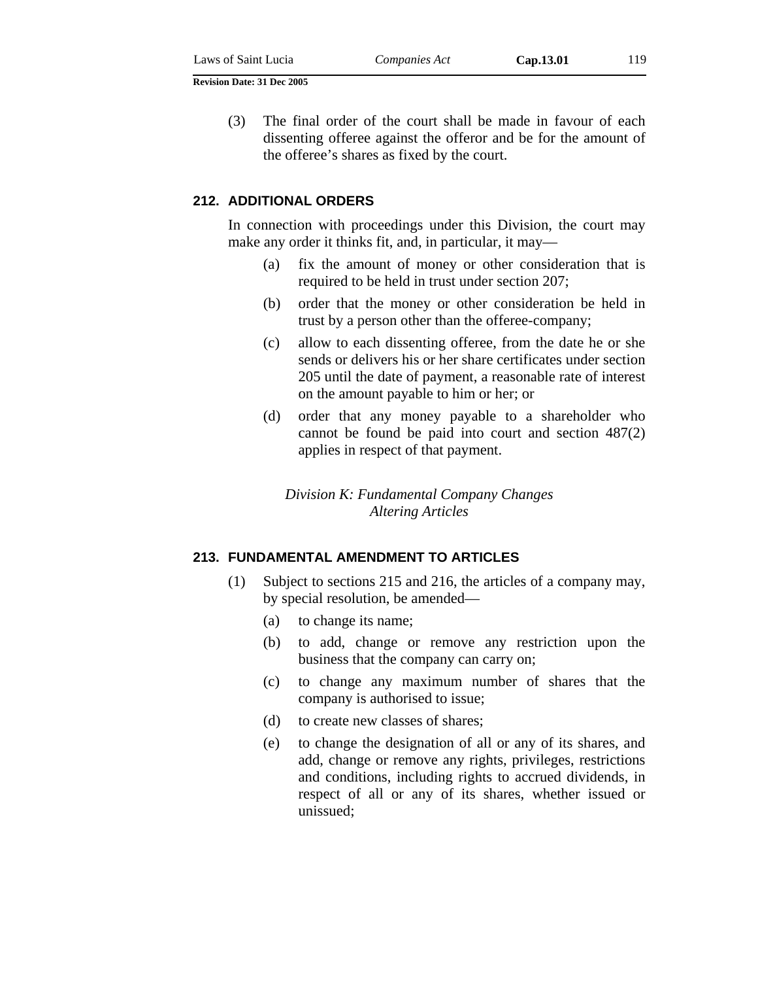(3) The final order of the court shall be made in favour of each dissenting offeree against the offeror and be for the amount of the offeree's shares as fixed by the court.

#### **212. ADDITIONAL ORDERS**

In connection with proceedings under this Division, the court may make any order it thinks fit, and, in particular, it may—

- (a) fix the amount of money or other consideration that is required to be held in trust under section 207;
- (b) order that the money or other consideration be held in trust by a person other than the offeree-company;
- (c) allow to each dissenting offeree, from the date he or she sends or delivers his or her share certificates under section 205 until the date of payment, a reasonable rate of interest on the amount payable to him or her; or
- (d) order that any money payable to a shareholder who cannot be found be paid into court and section 487(2) applies in respect of that payment.

*Division K: Fundamental Company Changes Altering Articles* 

#### **213. FUNDAMENTAL AMENDMENT TO ARTICLES**

- (1) Subject to sections 215 and 216, the articles of a company may, by special resolution, be amended—
	- (a) to change its name;
	- (b) to add, change or remove any restriction upon the business that the company can carry on;
	- (c) to change any maximum number of shares that the company is authorised to issue;
	- (d) to create new classes of shares;
	- (e) to change the designation of all or any of its shares, and add, change or remove any rights, privileges, restrictions and conditions, including rights to accrued dividends, in respect of all or any of its shares, whether issued or unissued;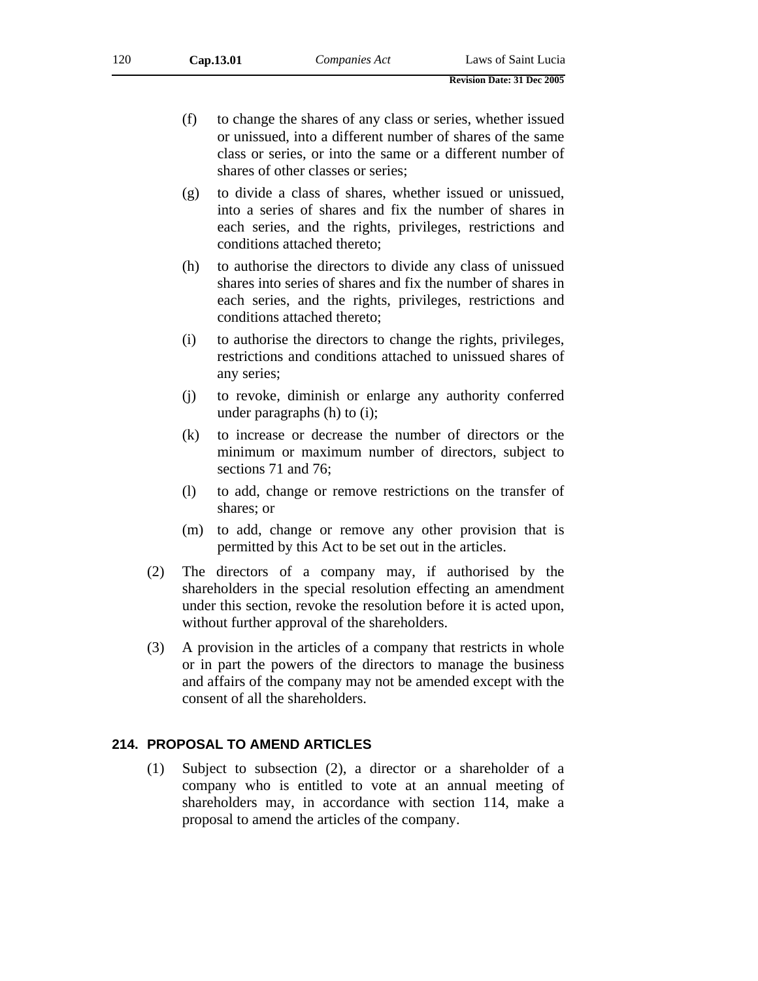- (f) to change the shares of any class or series, whether issued or unissued, into a different number of shares of the same class or series, or into the same or a different number of shares of other classes or series;
- (g) to divide a class of shares, whether issued or unissued, into a series of shares and fix the number of shares in each series, and the rights, privileges, restrictions and conditions attached thereto;
- (h) to authorise the directors to divide any class of unissued shares into series of shares and fix the number of shares in each series, and the rights, privileges, restrictions and conditions attached thereto;
- (i) to authorise the directors to change the rights, privileges, restrictions and conditions attached to unissued shares of any series;
- (j) to revoke, diminish or enlarge any authority conferred under paragraphs (h) to (i);
- (k) to increase or decrease the number of directors or the minimum or maximum number of directors, subject to sections 71 and 76;
- (l) to add, change or remove restrictions on the transfer of shares; or
- (m) to add, change or remove any other provision that is permitted by this Act to be set out in the articles.
- (2) The directors of a company may, if authorised by the shareholders in the special resolution effecting an amendment under this section, revoke the resolution before it is acted upon, without further approval of the shareholders.
- (3) A provision in the articles of a company that restricts in whole or in part the powers of the directors to manage the business and affairs of the company may not be amended except with the consent of all the shareholders.

## **214. PROPOSAL TO AMEND ARTICLES**

(1) Subject to subsection (2), a director or a shareholder of a company who is entitled to vote at an annual meeting of shareholders may, in accordance with section 114, make a proposal to amend the articles of the company.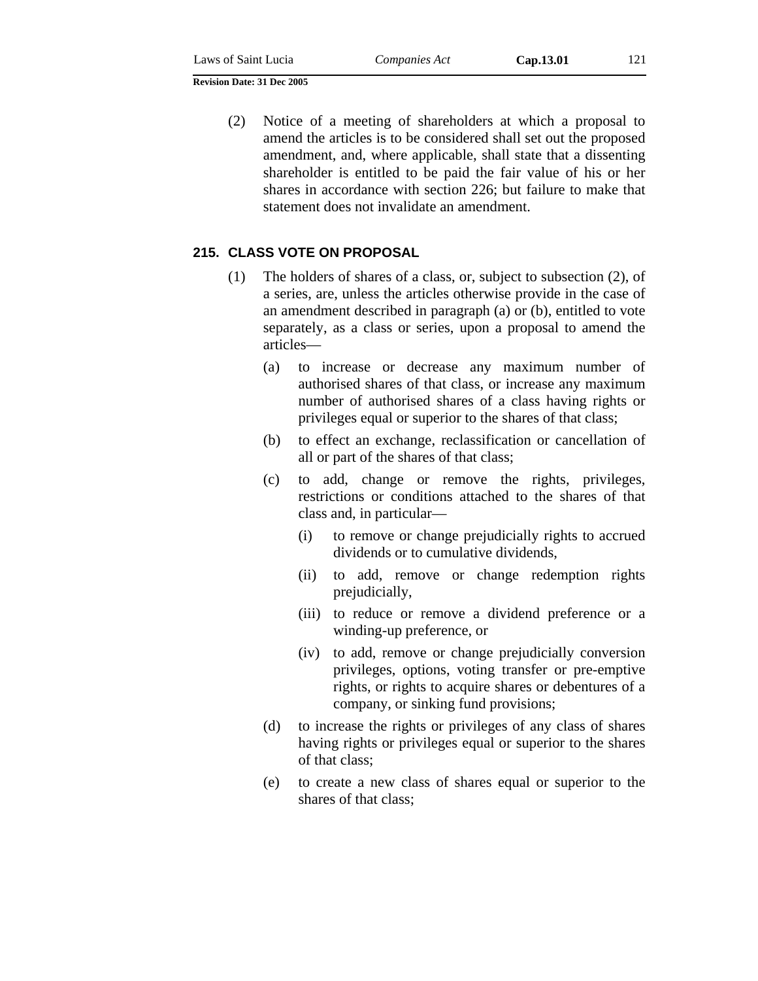(2) Notice of a meeting of shareholders at which a proposal to amend the articles is to be considered shall set out the proposed amendment, and, where applicable, shall state that a dissenting shareholder is entitled to be paid the fair value of his or her shares in accordance with section 226; but failure to make that statement does not invalidate an amendment.

# **215. CLASS VOTE ON PROPOSAL**

- (1) The holders of shares of a class, or, subject to subsection (2), of a series, are, unless the articles otherwise provide in the case of an amendment described in paragraph (a) or (b), entitled to vote separately, as a class or series, upon a proposal to amend the articles—
	- (a) to increase or decrease any maximum number of authorised shares of that class, or increase any maximum number of authorised shares of a class having rights or privileges equal or superior to the shares of that class;
	- (b) to effect an exchange, reclassification or cancellation of all or part of the shares of that class;
	- (c) to add, change or remove the rights, privileges, restrictions or conditions attached to the shares of that class and, in particular—
		- (i) to remove or change prejudicially rights to accrued dividends or to cumulative dividends,
		- (ii) to add, remove or change redemption rights prejudicially,
		- (iii) to reduce or remove a dividend preference or a winding-up preference, or
		- (iv) to add, remove or change prejudicially conversion privileges, options, voting transfer or pre-emptive rights, or rights to acquire shares or debentures of a company, or sinking fund provisions;
	- (d) to increase the rights or privileges of any class of shares having rights or privileges equal or superior to the shares of that class;
	- (e) to create a new class of shares equal or superior to the shares of that class;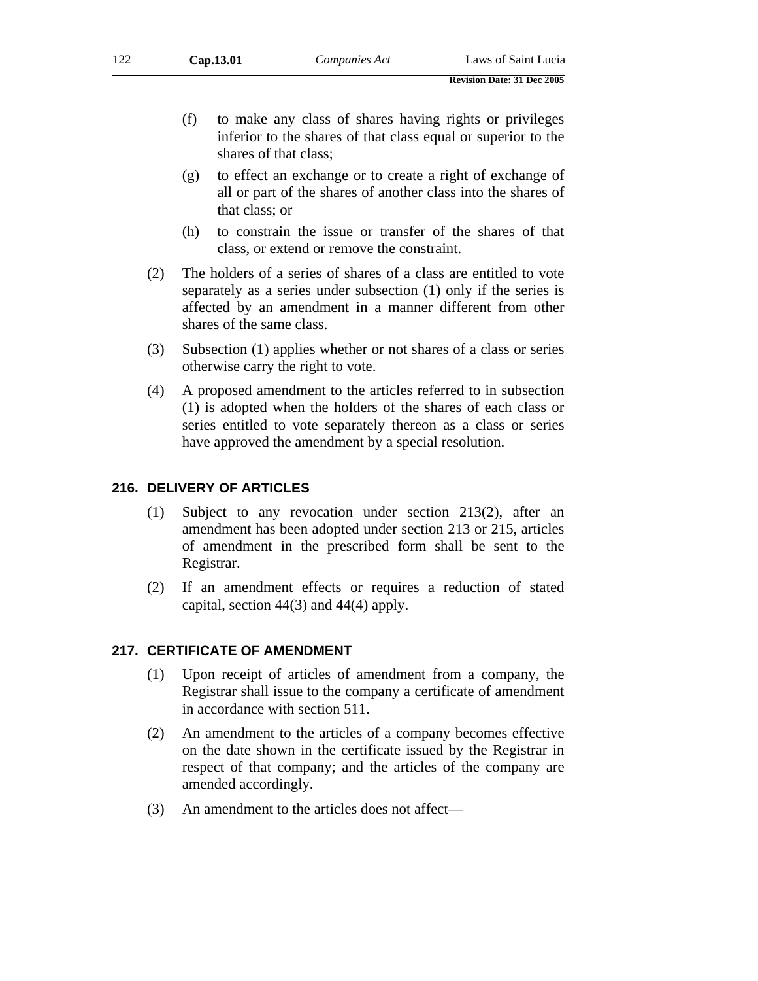- (f) to make any class of shares having rights or privileges inferior to the shares of that class equal or superior to the shares of that class;
- (g) to effect an exchange or to create a right of exchange of all or part of the shares of another class into the shares of that class; or
- (h) to constrain the issue or transfer of the shares of that class, or extend or remove the constraint.
- (2) The holders of a series of shares of a class are entitled to vote separately as a series under subsection (1) only if the series is affected by an amendment in a manner different from other shares of the same class.
- (3) Subsection (1) applies whether or not shares of a class or series otherwise carry the right to vote.
- (4) A proposed amendment to the articles referred to in subsection (1) is adopted when the holders of the shares of each class or series entitled to vote separately thereon as a class or series have approved the amendment by a special resolution.

#### **216. DELIVERY OF ARTICLES**

- (1) Subject to any revocation under section 213(2), after an amendment has been adopted under section 213 or 215, articles of amendment in the prescribed form shall be sent to the Registrar.
- (2) If an amendment effects or requires a reduction of stated capital, section 44(3) and 44(4) apply.

### **217. CERTIFICATE OF AMENDMENT**

- (1) Upon receipt of articles of amendment from a company, the Registrar shall issue to the company a certificate of amendment in accordance with section 511.
- (2) An amendment to the articles of a company becomes effective on the date shown in the certificate issued by the Registrar in respect of that company; and the articles of the company are amended accordingly.
- (3) An amendment to the articles does not affect—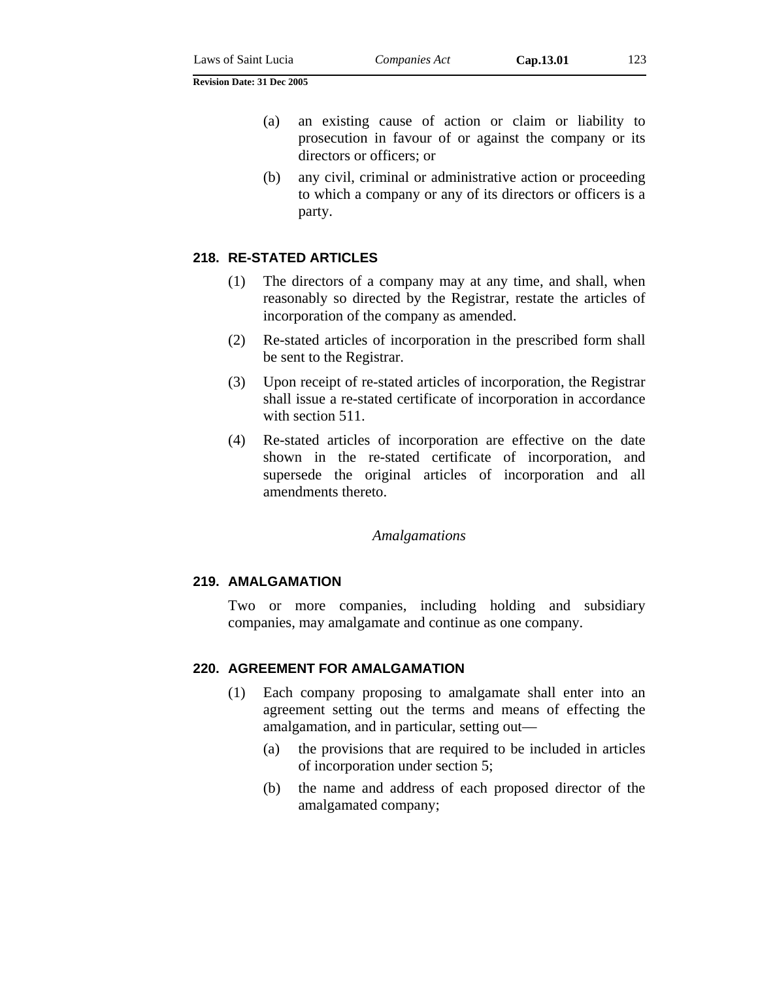- (a) an existing cause of action or claim or liability to prosecution in favour of or against the company or its directors or officers; or
- (b) any civil, criminal or administrative action or proceeding to which a company or any of its directors or officers is a party.

### **218. RE-STATED ARTICLES**

- (1) The directors of a company may at any time, and shall, when reasonably so directed by the Registrar, restate the articles of incorporation of the company as amended.
- (2) Re-stated articles of incorporation in the prescribed form shall be sent to the Registrar.
- (3) Upon receipt of re-stated articles of incorporation, the Registrar shall issue a re-stated certificate of incorporation in accordance with section 511.
- (4) Re-stated articles of incorporation are effective on the date shown in the re-stated certificate of incorporation, and supersede the original articles of incorporation and all amendments thereto.

#### *Amalgamations*

#### **219. AMALGAMATION**

Two or more companies, including holding and subsidiary companies, may amalgamate and continue as one company.

### **220. AGREEMENT FOR AMALGAMATION**

- (1) Each company proposing to amalgamate shall enter into an agreement setting out the terms and means of effecting the amalgamation, and in particular, setting out—
	- (a) the provisions that are required to be included in articles of incorporation under section 5;
	- (b) the name and address of each proposed director of the amalgamated company;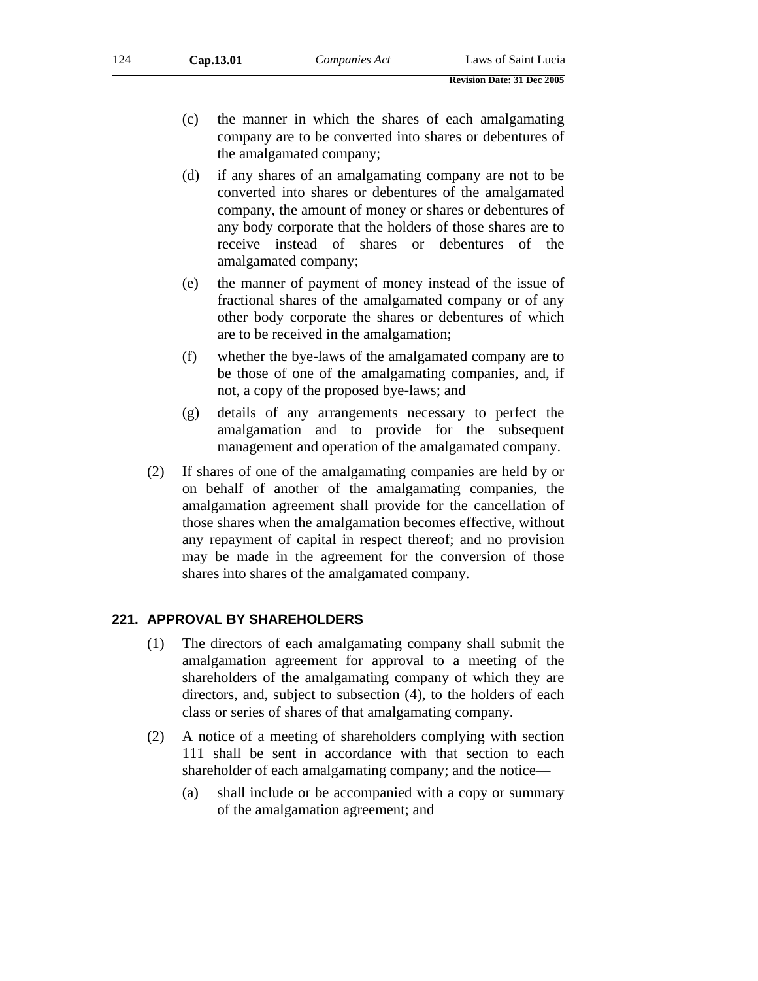- (c) the manner in which the shares of each amalgamating company are to be converted into shares or debentures of the amalgamated company;
- (d) if any shares of an amalgamating company are not to be converted into shares or debentures of the amalgamated company, the amount of money or shares or debentures of any body corporate that the holders of those shares are to receive instead of shares or debentures of the amalgamated company;
- (e) the manner of payment of money instead of the issue of fractional shares of the amalgamated company or of any other body corporate the shares or debentures of which are to be received in the amalgamation;
- (f) whether the bye-laws of the amalgamated company are to be those of one of the amalgamating companies, and, if not, a copy of the proposed bye-laws; and
- (g) details of any arrangements necessary to perfect the amalgamation and to provide for the subsequent management and operation of the amalgamated company.
- (2) If shares of one of the amalgamating companies are held by or on behalf of another of the amalgamating companies, the amalgamation agreement shall provide for the cancellation of those shares when the amalgamation becomes effective, without any repayment of capital in respect thereof; and no provision may be made in the agreement for the conversion of those shares into shares of the amalgamated company.

### **221. APPROVAL BY SHAREHOLDERS**

- (1) The directors of each amalgamating company shall submit the amalgamation agreement for approval to a meeting of the shareholders of the amalgamating company of which they are directors, and, subject to subsection (4), to the holders of each class or series of shares of that amalgamating company.
- (2) A notice of a meeting of shareholders complying with section 111 shall be sent in accordance with that section to each shareholder of each amalgamating company; and the notice—
	- (a) shall include or be accompanied with a copy or summary of the amalgamation agreement; and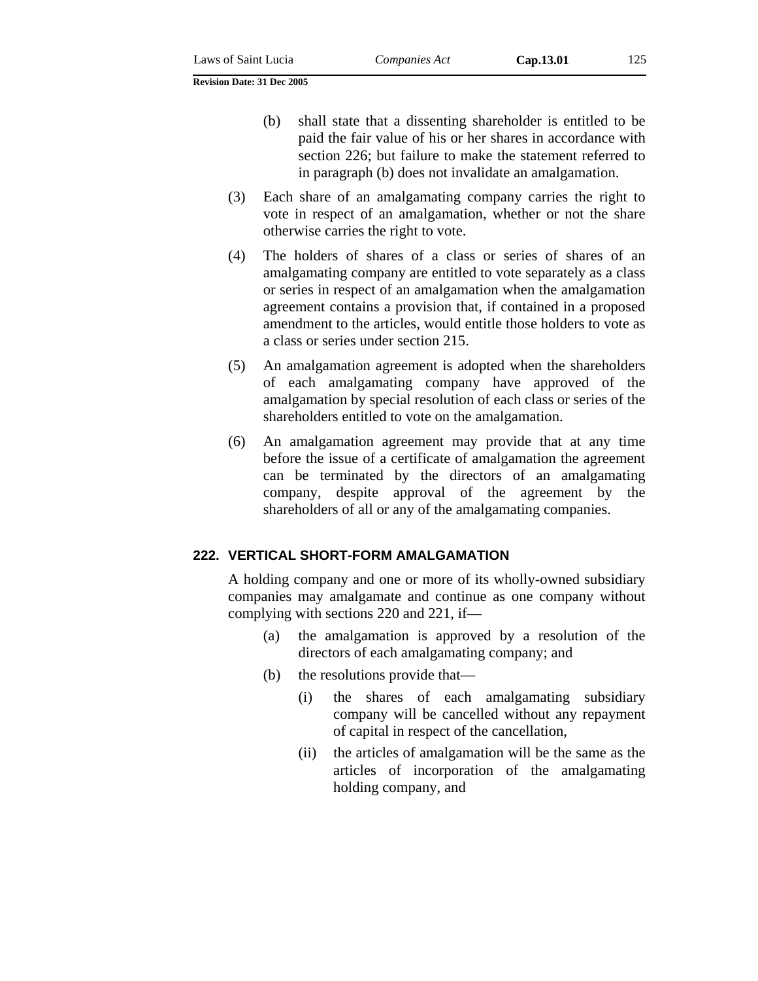- (3) Each share of an amalgamating company carries the right to vote in respect of an amalgamation, whether or not the share otherwise carries the right to vote.
- (4) The holders of shares of a class or series of shares of an amalgamating company are entitled to vote separately as a class or series in respect of an amalgamation when the amalgamation agreement contains a provision that, if contained in a proposed amendment to the articles, would entitle those holders to vote as a class or series under section 215.
- (5) An amalgamation agreement is adopted when the shareholders of each amalgamating company have approved of the amalgamation by special resolution of each class or series of the shareholders entitled to vote on the amalgamation.
- (6) An amalgamation agreement may provide that at any time before the issue of a certificate of amalgamation the agreement can be terminated by the directors of an amalgamating company, despite approval of the agreement by the shareholders of all or any of the amalgamating companies.

### **222. VERTICAL SHORT-FORM AMALGAMATION**

A holding company and one or more of its wholly-owned subsidiary companies may amalgamate and continue as one company without complying with sections 220 and 221, if—

- (a) the amalgamation is approved by a resolution of the directors of each amalgamating company; and
- (b) the resolutions provide that—
	- (i) the shares of each amalgamating subsidiary company will be cancelled without any repayment of capital in respect of the cancellation,
	- (ii) the articles of amalgamation will be the same as the articles of incorporation of the amalgamating holding company, and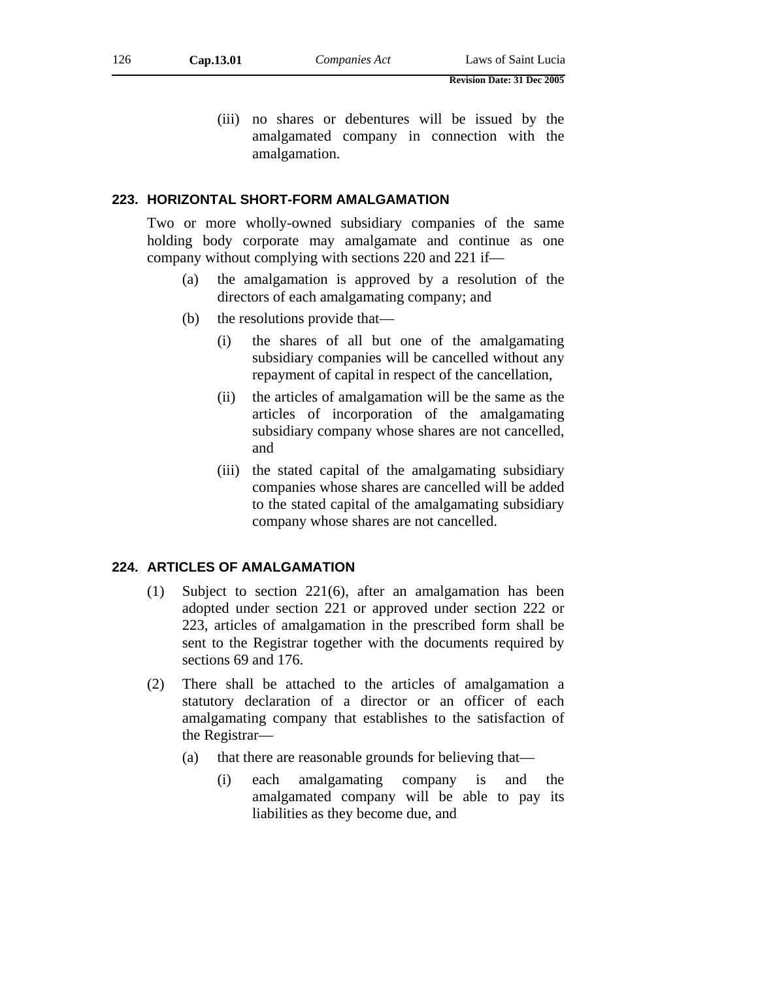(iii) no shares or debentures will be issued by the amalgamated company in connection with the amalgamation.

#### **223. HORIZONTAL SHORT-FORM AMALGAMATION**

Two or more wholly-owned subsidiary companies of the same holding body corporate may amalgamate and continue as one company without complying with sections 220 and 221 if—

- (a) the amalgamation is approved by a resolution of the directors of each amalgamating company; and
- (b) the resolutions provide that—
	- (i) the shares of all but one of the amalgamating subsidiary companies will be cancelled without any repayment of capital in respect of the cancellation,
	- (ii) the articles of amalgamation will be the same as the articles of incorporation of the amalgamating subsidiary company whose shares are not cancelled, and
	- (iii) the stated capital of the amalgamating subsidiary companies whose shares are cancelled will be added to the stated capital of the amalgamating subsidiary company whose shares are not cancelled.

#### **224. ARTICLES OF AMALGAMATION**

- (1) Subject to section 221(6), after an amalgamation has been adopted under section 221 or approved under section 222 or 223, articles of amalgamation in the prescribed form shall be sent to the Registrar together with the documents required by sections 69 and 176.
- (2) There shall be attached to the articles of amalgamation a statutory declaration of a director or an officer of each amalgamating company that establishes to the satisfaction of the Registrar—
	- (a) that there are reasonable grounds for believing that—
		- (i) each amalgamating company is and the amalgamated company will be able to pay its liabilities as they become due, and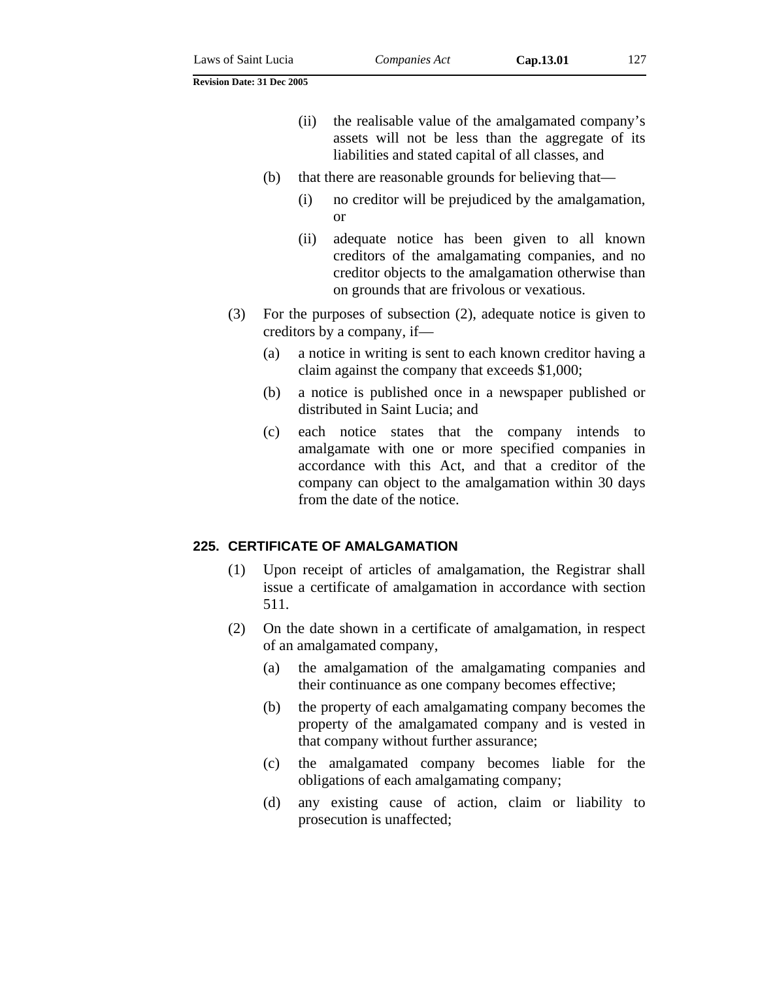- (ii) the realisable value of the amalgamated company's assets will not be less than the aggregate of its liabilities and stated capital of all classes, and
- (b) that there are reasonable grounds for believing that—
	- (i) no creditor will be prejudiced by the amalgamation, or
	- (ii) adequate notice has been given to all known creditors of the amalgamating companies, and no creditor objects to the amalgamation otherwise than on grounds that are frivolous or vexatious.
- (3) For the purposes of subsection (2), adequate notice is given to creditors by a company, if—
	- (a) a notice in writing is sent to each known creditor having a claim against the company that exceeds \$1,000;
	- (b) a notice is published once in a newspaper published or distributed in Saint Lucia; and
	- (c) each notice states that the company intends to amalgamate with one or more specified companies in accordance with this Act, and that a creditor of the company can object to the amalgamation within 30 days from the date of the notice.

### **225. CERTIFICATE OF AMALGAMATION**

- (1) Upon receipt of articles of amalgamation, the Registrar shall issue a certificate of amalgamation in accordance with section 511.
- (2) On the date shown in a certificate of amalgamation, in respect of an amalgamated company,
	- (a) the amalgamation of the amalgamating companies and their continuance as one company becomes effective;
	- (b) the property of each amalgamating company becomes the property of the amalgamated company and is vested in that company without further assurance;
	- (c) the amalgamated company becomes liable for the obligations of each amalgamating company;
	- (d) any existing cause of action, claim or liability to prosecution is unaffected;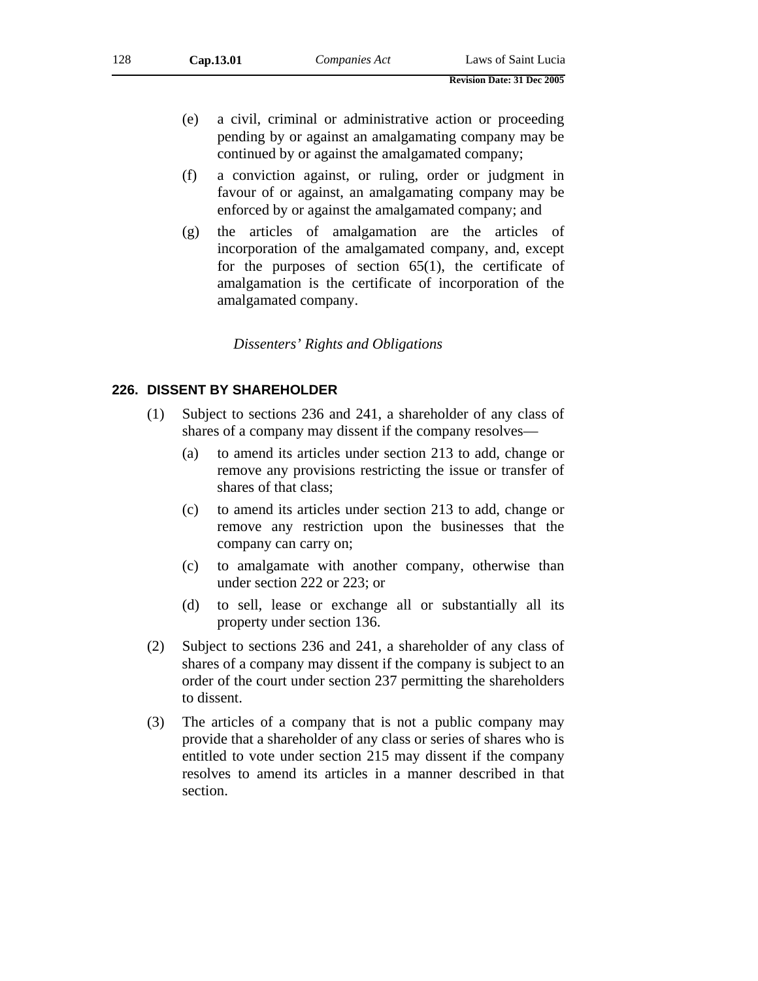- (e) a civil, criminal or administrative action or proceeding pending by or against an amalgamating company may be continued by or against the amalgamated company;
- (f) a conviction against, or ruling, order or judgment in favour of or against, an amalgamating company may be enforced by or against the amalgamated company; and
- (g) the articles of amalgamation are the articles of incorporation of the amalgamated company, and, except for the purposes of section  $65(1)$ , the certificate of amalgamation is the certificate of incorporation of the amalgamated company.

*Dissenters' Rights and Obligations* 

### **226. DISSENT BY SHAREHOLDER**

- (1) Subject to sections 236 and 241, a shareholder of any class of shares of a company may dissent if the company resolves—
	- (a) to amend its articles under section 213 to add, change or remove any provisions restricting the issue or transfer of shares of that class;
	- (c) to amend its articles under section 213 to add, change or remove any restriction upon the businesses that the company can carry on;
	- (c) to amalgamate with another company, otherwise than under section 222 or 223; or
	- (d) to sell, lease or exchange all or substantially all its property under section 136.
- (2) Subject to sections 236 and 241, a shareholder of any class of shares of a company may dissent if the company is subject to an order of the court under section 237 permitting the shareholders to dissent.
- (3) The articles of a company that is not a public company may provide that a shareholder of any class or series of shares who is entitled to vote under section 215 may dissent if the company resolves to amend its articles in a manner described in that section.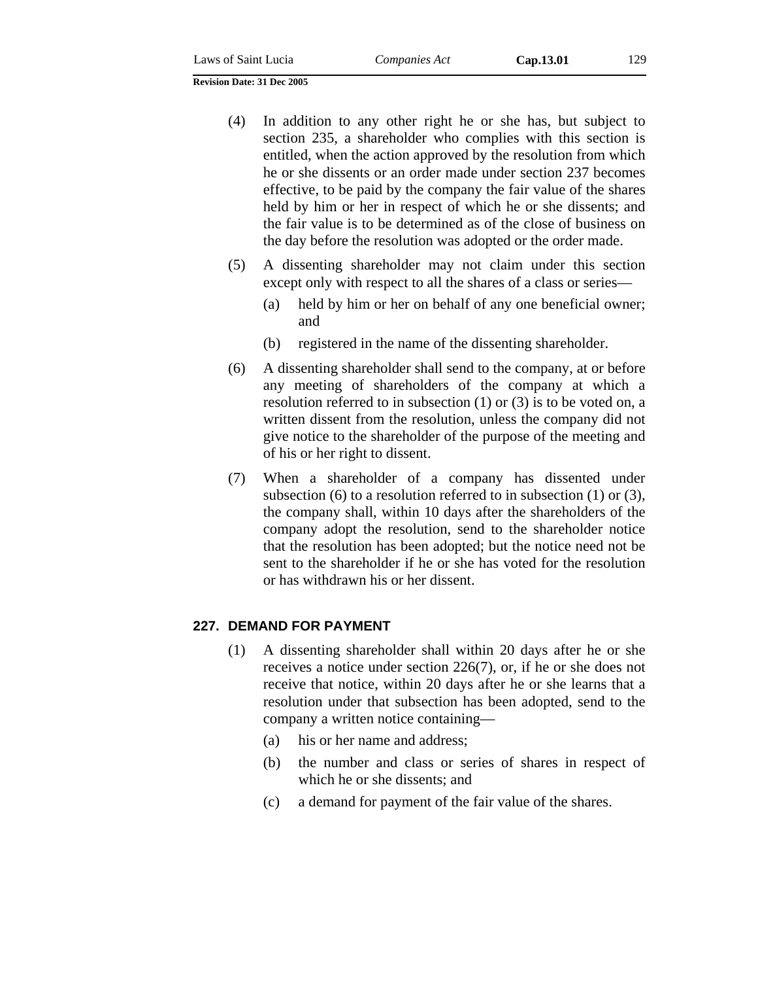- (4) In addition to any other right he or she has, but subject to section 235, a shareholder who complies with this section is entitled, when the action approved by the resolution from which he or she dissents or an order made under section 237 becomes effective, to be paid by the company the fair value of the shares held by him or her in respect of which he or she dissents; and the fair value is to be determined as of the close of business on the day before the resolution was adopted or the order made.
- (5) A dissenting shareholder may not claim under this section except only with respect to all the shares of a class or series—
	- (a) held by him or her on behalf of any one beneficial owner; and
	- (b) registered in the name of the dissenting shareholder.
- (6) A dissenting shareholder shall send to the company, at or before any meeting of shareholders of the company at which a resolution referred to in subsection (1) or (3) is to be voted on, a written dissent from the resolution, unless the company did not give notice to the shareholder of the purpose of the meeting and of his or her right to dissent.
- (7) When a shareholder of a company has dissented under subsection (6) to a resolution referred to in subsection (1) or (3), the company shall, within 10 days after the shareholders of the company adopt the resolution, send to the shareholder notice that the resolution has been adopted; but the notice need not be sent to the shareholder if he or she has voted for the resolution or has withdrawn his or her dissent.

#### **227. DEMAND FOR PAYMENT**

- (1) A dissenting shareholder shall within 20 days after he or she receives a notice under section 226(7), or, if he or she does not receive that notice, within 20 days after he or she learns that a resolution under that subsection has been adopted, send to the company a written notice containing—
	- (a) his or her name and address;
	- (b) the number and class or series of shares in respect of which he or she dissents; and
	- (c) a demand for payment of the fair value of the shares.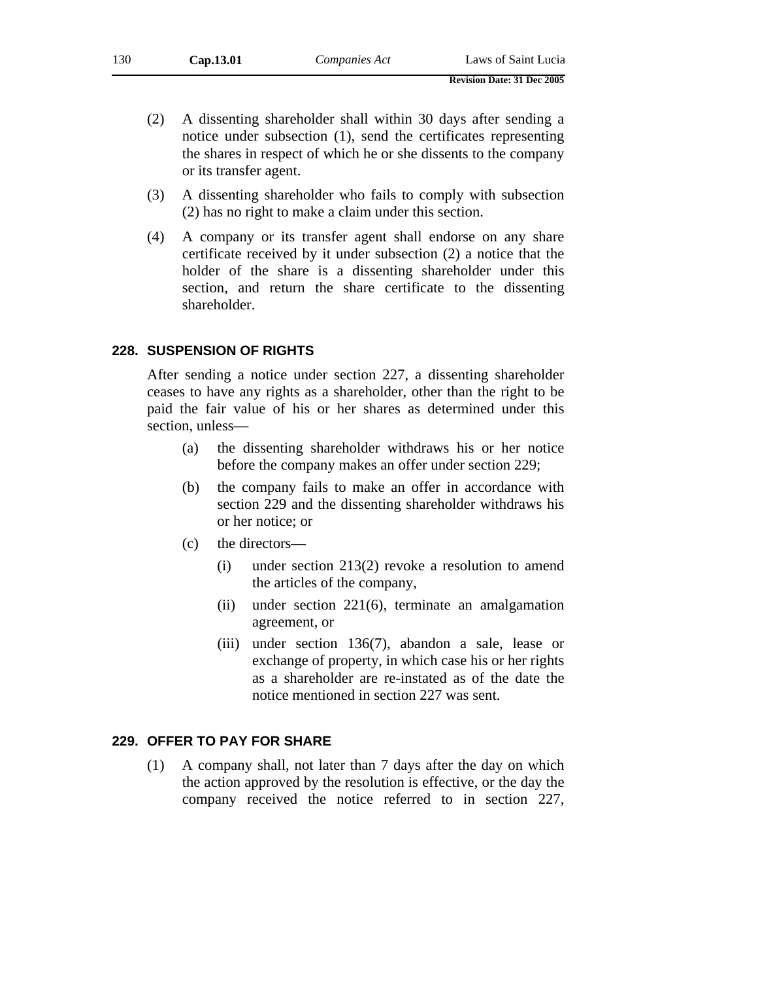- **Revision Date: 31 Dec 2005**
- (2) A dissenting shareholder shall within 30 days after sending a notice under subsection (1), send the certificates representing the shares in respect of which he or she dissents to the company or its transfer agent.
- (3) A dissenting shareholder who fails to comply with subsection (2) has no right to make a claim under this section.
- (4) A company or its transfer agent shall endorse on any share certificate received by it under subsection (2) a notice that the holder of the share is a dissenting shareholder under this section, and return the share certificate to the dissenting shareholder.

#### **228. SUSPENSION OF RIGHTS**

After sending a notice under section 227, a dissenting shareholder ceases to have any rights as a shareholder, other than the right to be paid the fair value of his or her shares as determined under this section, unless—

- (a) the dissenting shareholder withdraws his or her notice before the company makes an offer under section 229;
- (b) the company fails to make an offer in accordance with section 229 and the dissenting shareholder withdraws his or her notice; or
- (c) the directors—
	- (i) under section 213(2) revoke a resolution to amend the articles of the company,
	- (ii) under section 221(6), terminate an amalgamation agreement, or
	- (iii) under section 136(7), abandon a sale, lease or exchange of property, in which case his or her rights as a shareholder are re-instated as of the date the notice mentioned in section 227 was sent.

### **229. OFFER TO PAY FOR SHARE**

(1) A company shall, not later than 7 days after the day on which the action approved by the resolution is effective, or the day the company received the notice referred to in section 227,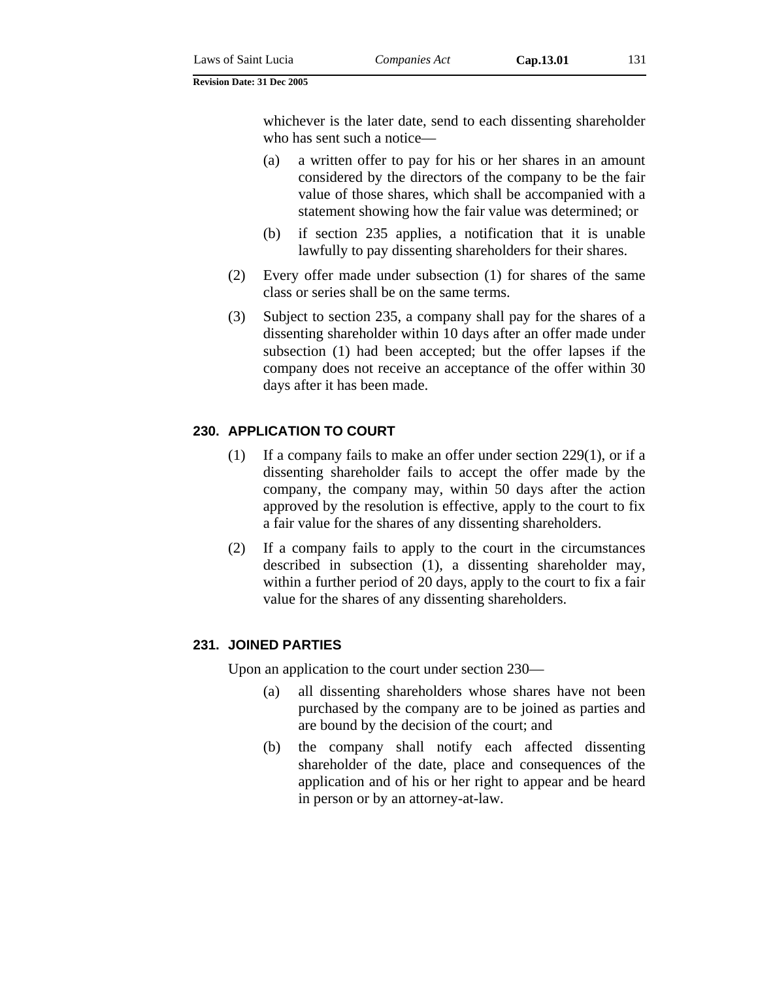whichever is the later date, send to each dissenting shareholder who has sent such a notice—

- (a) a written offer to pay for his or her shares in an amount considered by the directors of the company to be the fair value of those shares, which shall be accompanied with a statement showing how the fair value was determined; or
- (b) if section 235 applies, a notification that it is unable lawfully to pay dissenting shareholders for their shares.
- (2) Every offer made under subsection (1) for shares of the same class or series shall be on the same terms.
- (3) Subject to section 235, a company shall pay for the shares of a dissenting shareholder within 10 days after an offer made under subsection (1) had been accepted; but the offer lapses if the company does not receive an acceptance of the offer within 30 days after it has been made.

### **230. APPLICATION TO COURT**

- (1) If a company fails to make an offer under section 229(1), or if a dissenting shareholder fails to accept the offer made by the company, the company may, within 50 days after the action approved by the resolution is effective, apply to the court to fix a fair value for the shares of any dissenting shareholders.
- (2) If a company fails to apply to the court in the circumstances described in subsection (1), a dissenting shareholder may, within a further period of 20 days, apply to the court to fix a fair value for the shares of any dissenting shareholders.

### **231. JOINED PARTIES**

Upon an application to the court under section 230—

- (a) all dissenting shareholders whose shares have not been purchased by the company are to be joined as parties and are bound by the decision of the court; and
- (b) the company shall notify each affected dissenting shareholder of the date, place and consequences of the application and of his or her right to appear and be heard in person or by an attorney-at-law.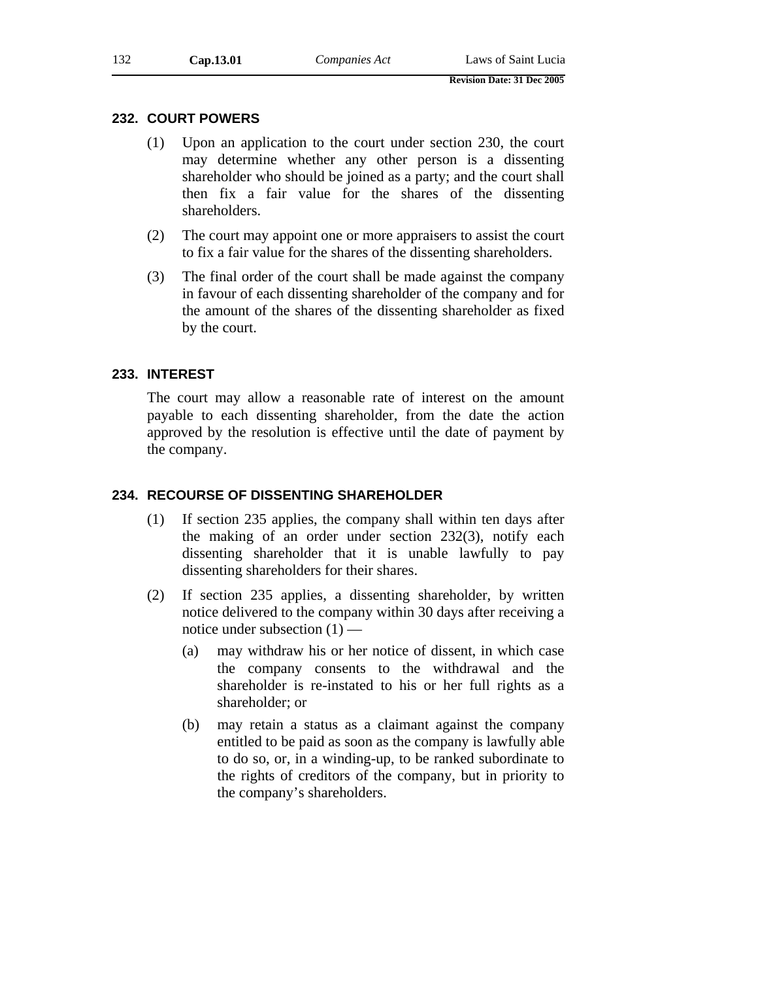### **232. COURT POWERS**

- (1) Upon an application to the court under section 230, the court may determine whether any other person is a dissenting shareholder who should be joined as a party; and the court shall then fix a fair value for the shares of the dissenting shareholders.
- (2) The court may appoint one or more appraisers to assist the court to fix a fair value for the shares of the dissenting shareholders.
- (3) The final order of the court shall be made against the company in favour of each dissenting shareholder of the company and for the amount of the shares of the dissenting shareholder as fixed by the court.

### **233. INTEREST**

The court may allow a reasonable rate of interest on the amount payable to each dissenting shareholder, from the date the action approved by the resolution is effective until the date of payment by the company.

### **234. RECOURSE OF DISSENTING SHAREHOLDER**

- (1) If section 235 applies, the company shall within ten days after the making of an order under section 232(3), notify each dissenting shareholder that it is unable lawfully to pay dissenting shareholders for their shares.
- (2) If section 235 applies, a dissenting shareholder, by written notice delivered to the company within 30 days after receiving a notice under subsection (1) —
	- (a) may withdraw his or her notice of dissent, in which case the company consents to the withdrawal and the shareholder is re-instated to his or her full rights as a shareholder; or
	- (b) may retain a status as a claimant against the company entitled to be paid as soon as the company is lawfully able to do so, or, in a winding-up, to be ranked subordinate to the rights of creditors of the company, but in priority to the company's shareholders.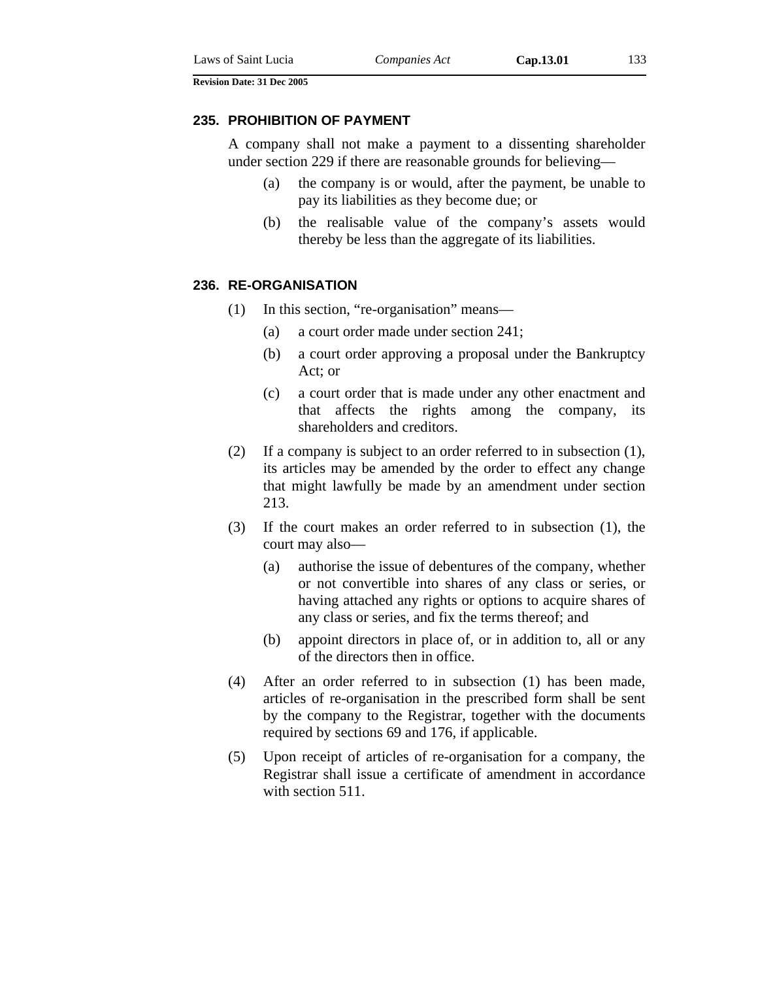#### **235. PROHIBITION OF PAYMENT**

A company shall not make a payment to a dissenting shareholder under section 229 if there are reasonable grounds for believing—

- (a) the company is or would, after the payment, be unable to pay its liabilities as they become due; or
- (b) the realisable value of the company's assets would thereby be less than the aggregate of its liabilities.

### **236. RE-ORGANISATION**

- (1) In this section, "re-organisation" means—
	- (a) a court order made under section 241;
	- (b) a court order approving a proposal under the Bankruptcy Act; or
	- (c) a court order that is made under any other enactment and that affects the rights among the company, its shareholders and creditors.
- (2) If a company is subject to an order referred to in subsection (1), its articles may be amended by the order to effect any change that might lawfully be made by an amendment under section 213.
- (3) If the court makes an order referred to in subsection (1), the court may also—
	- (a) authorise the issue of debentures of the company, whether or not convertible into shares of any class or series, or having attached any rights or options to acquire shares of any class or series, and fix the terms thereof; and
	- (b) appoint directors in place of, or in addition to, all or any of the directors then in office.
- (4) After an order referred to in subsection (1) has been made, articles of re-organisation in the prescribed form shall be sent by the company to the Registrar, together with the documents required by sections 69 and 176, if applicable.
- (5) Upon receipt of articles of re-organisation for a company, the Registrar shall issue a certificate of amendment in accordance with section 511.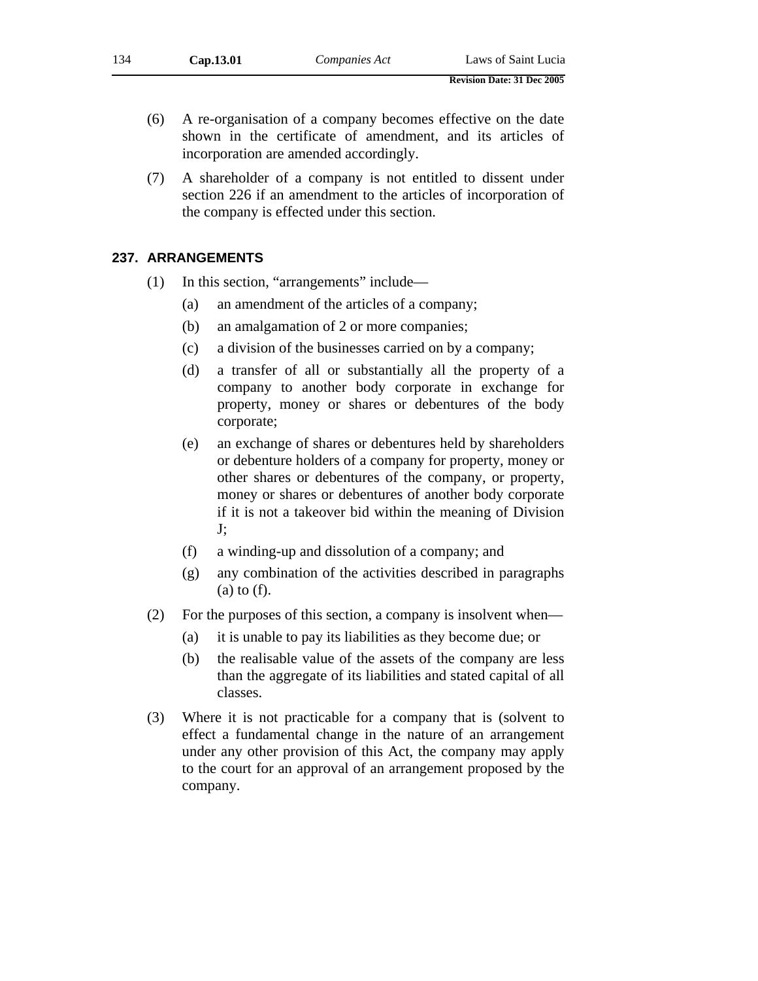- (6) A re-organisation of a company becomes effective on the date shown in the certificate of amendment, and its articles of incorporation are amended accordingly.
- (7) A shareholder of a company is not entitled to dissent under section 226 if an amendment to the articles of incorporation of the company is effected under this section.

### **237. ARRANGEMENTS**

- (1) In this section, "arrangements" include—
	- (a) an amendment of the articles of a company;
	- (b) an amalgamation of 2 or more companies;
	- (c) a division of the businesses carried on by a company;
	- (d) a transfer of all or substantially all the property of a company to another body corporate in exchange for property, money or shares or debentures of the body corporate;
	- (e) an exchange of shares or debentures held by shareholders or debenture holders of a company for property, money or other shares or debentures of the company, or property, money or shares or debentures of another body corporate if it is not a takeover bid within the meaning of Division J;
	- (f) a winding-up and dissolution of a company; and
	- (g) any combination of the activities described in paragraphs (a) to (f).
- (2) For the purposes of this section, a company is insolvent when—
	- (a) it is unable to pay its liabilities as they become due; or
	- (b) the realisable value of the assets of the company are less than the aggregate of its liabilities and stated capital of all classes.
- (3) Where it is not practicable for a company that is (solvent to effect a fundamental change in the nature of an arrangement under any other provision of this Act, the company may apply to the court for an approval of an arrangement proposed by the company.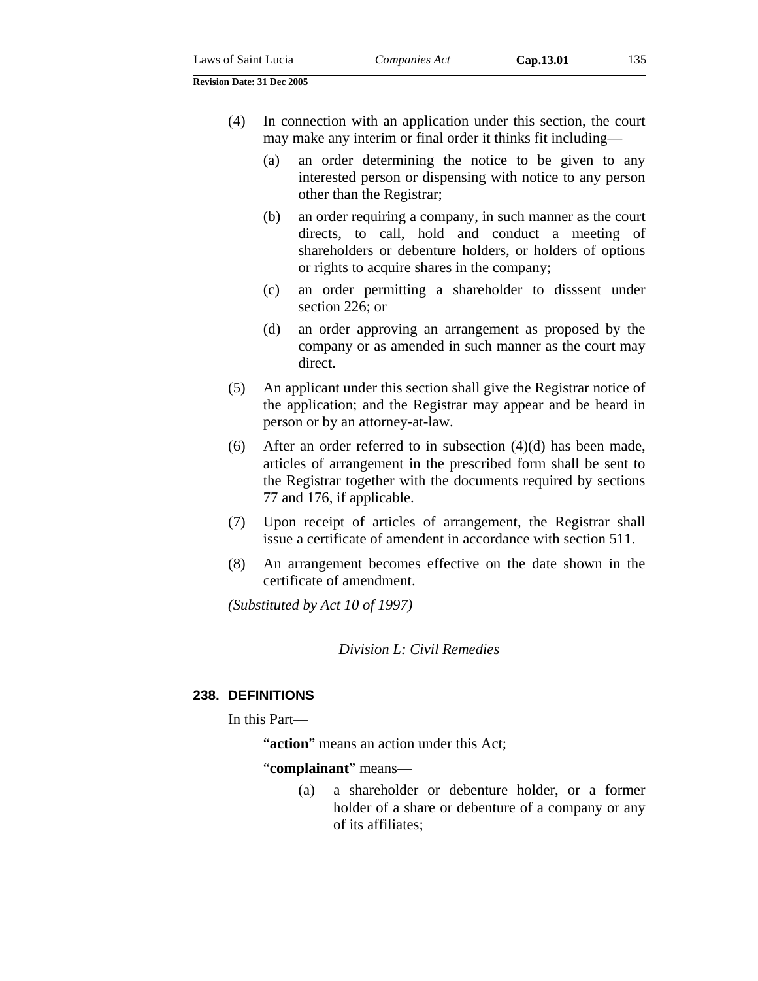- (4) In connection with an application under this section, the court may make any interim or final order it thinks fit including—
	- (a) an order determining the notice to be given to any interested person or dispensing with notice to any person other than the Registrar;
	- (b) an order requiring a company, in such manner as the court directs, to call, hold and conduct a meeting of shareholders or debenture holders, or holders of options or rights to acquire shares in the company;
	- (c) an order permitting a shareholder to disssent under section 226; or
	- (d) an order approving an arrangement as proposed by the company or as amended in such manner as the court may direct.
- (5) An applicant under this section shall give the Registrar notice of the application; and the Registrar may appear and be heard in person or by an attorney-at-law.
- (6) After an order referred to in subsection (4)(d) has been made, articles of arrangement in the prescribed form shall be sent to the Registrar together with the documents required by sections 77 and 176, if applicable.
- (7) Upon receipt of articles of arrangement, the Registrar shall issue a certificate of amendent in accordance with section 511.
- (8) An arrangement becomes effective on the date shown in the certificate of amendment.

*(Substituted by Act 10 of 1997)* 

*Division L: Civil Remedies* 

## **238. DEFINITIONS**

In this Part—

"**action**" means an action under this Act;

"**complainant**" means—

(a) a shareholder or debenture holder, or a former holder of a share or debenture of a company or any of its affiliates;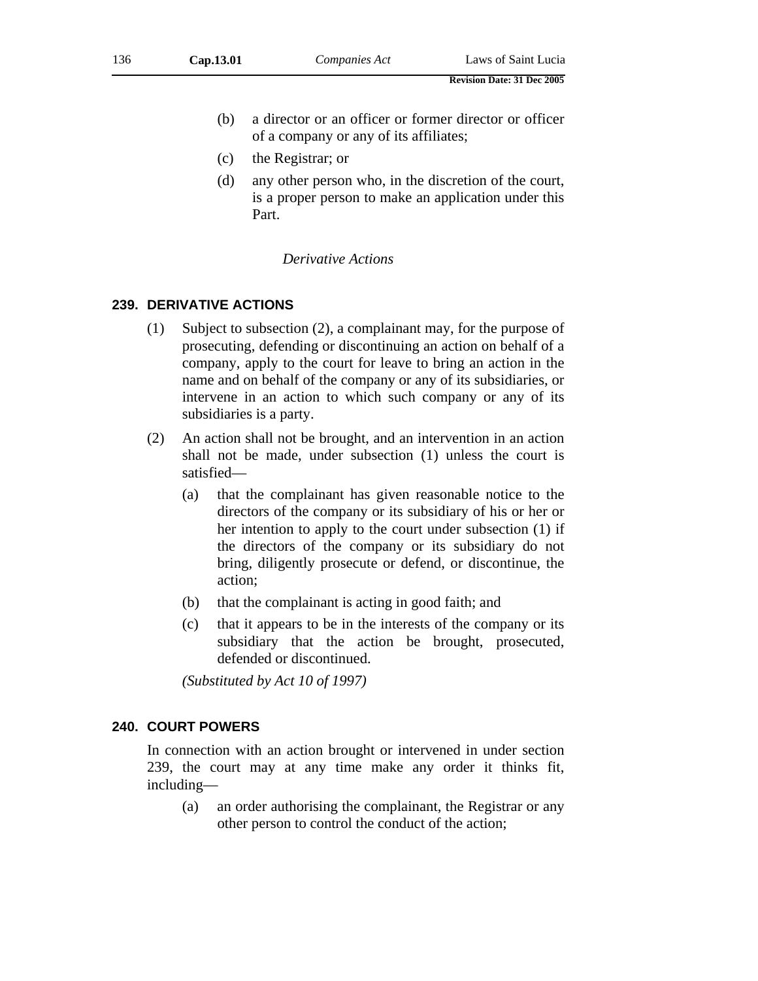- (b) a director or an officer or former director or officer of a company or any of its affiliates;
- (c) the Registrar; or
- (d) any other person who, in the discretion of the court, is a proper person to make an application under this Part.

### *Derivative Actions*

### **239. DERIVATIVE ACTIONS**

- (1) Subject to subsection (2), a complainant may, for the purpose of prosecuting, defending or discontinuing an action on behalf of a company, apply to the court for leave to bring an action in the name and on behalf of the company or any of its subsidiaries, or intervene in an action to which such company or any of its subsidiaries is a party.
- (2) An action shall not be brought, and an intervention in an action shall not be made, under subsection (1) unless the court is satisfied—
	- (a) that the complainant has given reasonable notice to the directors of the company or its subsidiary of his or her or her intention to apply to the court under subsection (1) if the directors of the company or its subsidiary do not bring, diligently prosecute or defend, or discontinue, the action;
	- (b) that the complainant is acting in good faith; and
	- (c) that it appears to be in the interests of the company or its subsidiary that the action be brought, prosecuted, defended or discontinued.

*(Substituted by Act 10 of 1997)* 

### **240. COURT POWERS**

In connection with an action brought or intervened in under section 239, the court may at any time make any order it thinks fit, including—

(a) an order authorising the complainant, the Registrar or any other person to control the conduct of the action;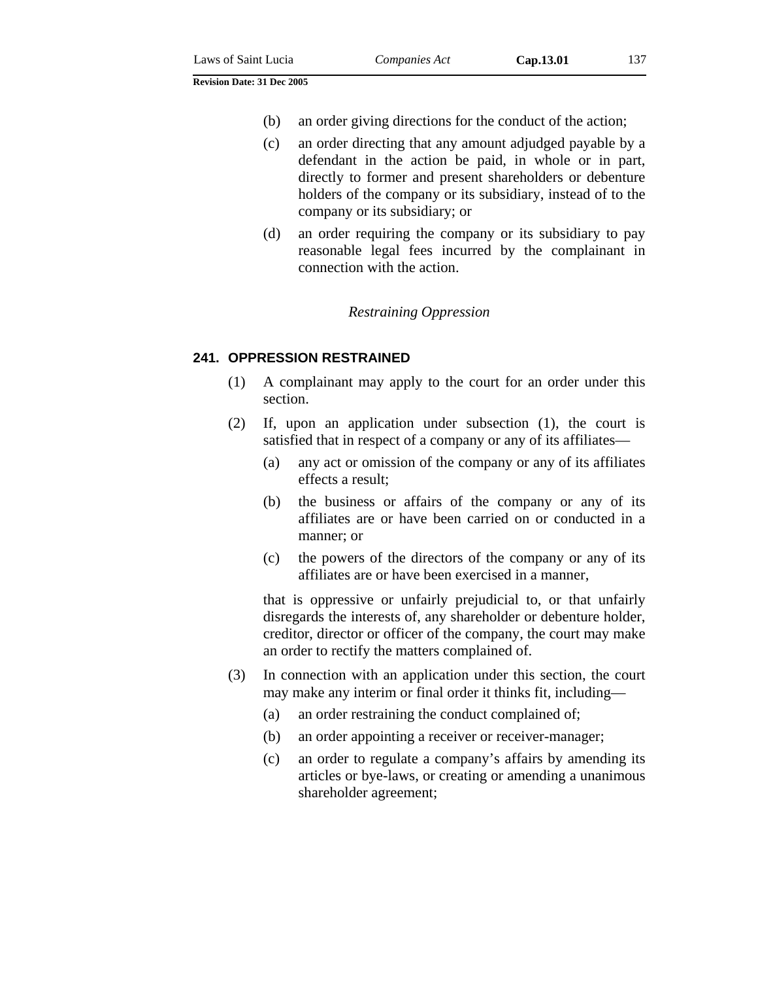- (b) an order giving directions for the conduct of the action;
- (c) an order directing that any amount adjudged payable by a defendant in the action be paid, in whole or in part, directly to former and present shareholders or debenture holders of the company or its subsidiary, instead of to the company or its subsidiary; or
- (d) an order requiring the company or its subsidiary to pay reasonable legal fees incurred by the complainant in connection with the action.

#### *Restraining Oppression*

#### **241. OPPRESSION RESTRAINED**

- (1) A complainant may apply to the court for an order under this section.
- (2) If, upon an application under subsection (1), the court is satisfied that in respect of a company or any of its affiliates—
	- (a) any act or omission of the company or any of its affiliates effects a result;
	- (b) the business or affairs of the company or any of its affiliates are or have been carried on or conducted in a manner; or
	- (c) the powers of the directors of the company or any of its affiliates are or have been exercised in a manner,

that is oppressive or unfairly prejudicial to, or that unfairly disregards the interests of, any shareholder or debenture holder, creditor, director or officer of the company, the court may make an order to rectify the matters complained of.

- (3) In connection with an application under this section, the court may make any interim or final order it thinks fit, including—
	- (a) an order restraining the conduct complained of;
	- (b) an order appointing a receiver or receiver-manager;
	- (c) an order to regulate a company's affairs by amending its articles or bye-laws, or creating or amending a unanimous shareholder agreement;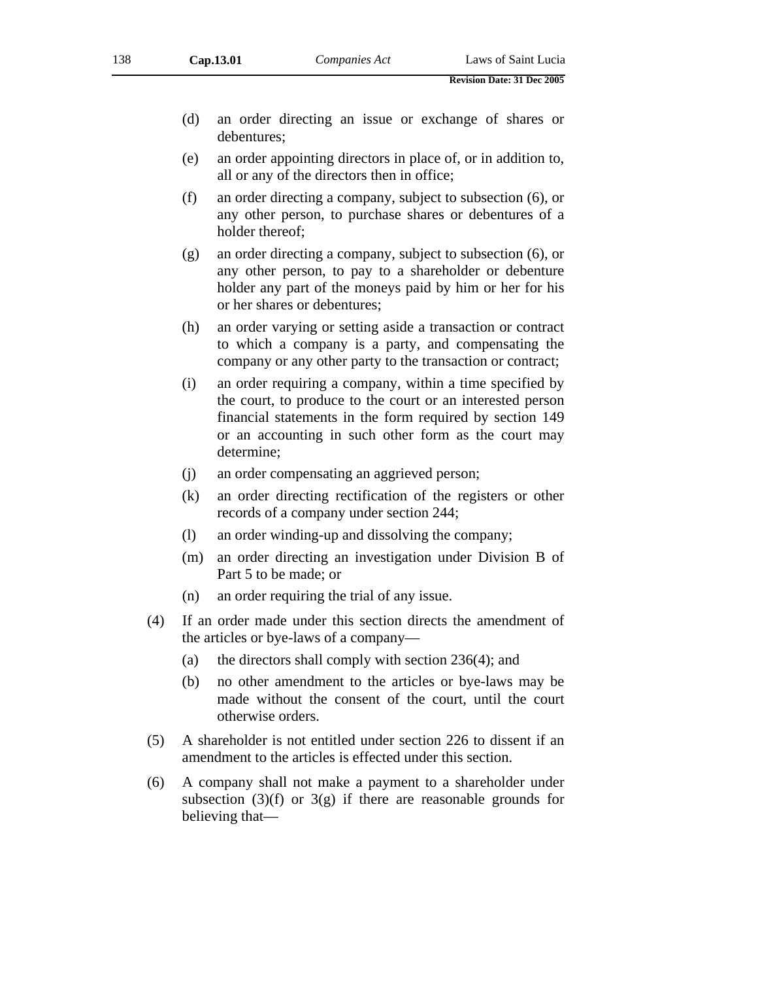- (d) an order directing an issue or exchange of shares or debentures;
- (e) an order appointing directors in place of, or in addition to, all or any of the directors then in office;
- (f) an order directing a company, subject to subsection (6), or any other person, to purchase shares or debentures of a holder thereof;
- (g) an order directing a company, subject to subsection (6), or any other person, to pay to a shareholder or debenture holder any part of the moneys paid by him or her for his or her shares or debentures;
- (h) an order varying or setting aside a transaction or contract to which a company is a party, and compensating the company or any other party to the transaction or contract;
- (i) an order requiring a company, within a time specified by the court, to produce to the court or an interested person financial statements in the form required by section 149 or an accounting in such other form as the court may determine;
- (j) an order compensating an aggrieved person;
- (k) an order directing rectification of the registers or other records of a company under section 244;
- (l) an order winding-up and dissolving the company;
- (m) an order directing an investigation under Division B of Part 5 to be made; or
- (n) an order requiring the trial of any issue.
- (4) If an order made under this section directs the amendment of the articles or bye-laws of a company—
	- (a) the directors shall comply with section  $236(4)$ ; and
	- (b) no other amendment to the articles or bye-laws may be made without the consent of the court, until the court otherwise orders.
- (5) A shareholder is not entitled under section 226 to dissent if an amendment to the articles is effected under this section.
- (6) A company shall not make a payment to a shareholder under subsection  $(3)(f)$  or  $3(g)$  if there are reasonable grounds for believing that—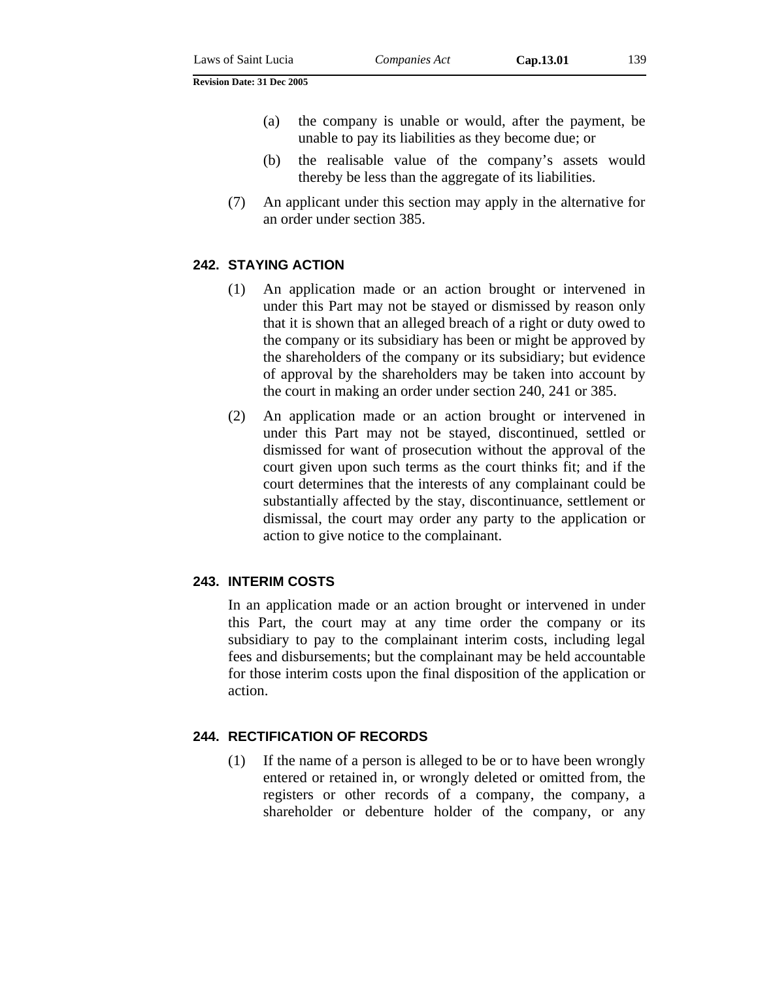- (a) the company is unable or would, after the payment, be unable to pay its liabilities as they become due; or
- (b) the realisable value of the company's assets would thereby be less than the aggregate of its liabilities.
- (7) An applicant under this section may apply in the alternative for an order under section 385.

### **242. STAYING ACTION**

- (1) An application made or an action brought or intervened in under this Part may not be stayed or dismissed by reason only that it is shown that an alleged breach of a right or duty owed to the company or its subsidiary has been or might be approved by the shareholders of the company or its subsidiary; but evidence of approval by the shareholders may be taken into account by the court in making an order under section 240, 241 or 385.
- (2) An application made or an action brought or intervened in under this Part may not be stayed, discontinued, settled or dismissed for want of prosecution without the approval of the court given upon such terms as the court thinks fit; and if the court determines that the interests of any complainant could be substantially affected by the stay, discontinuance, settlement or dismissal, the court may order any party to the application or action to give notice to the complainant.

### **243. INTERIM COSTS**

In an application made or an action brought or intervened in under this Part, the court may at any time order the company or its subsidiary to pay to the complainant interim costs, including legal fees and disbursements; but the complainant may be held accountable for those interim costs upon the final disposition of the application or action.

### **244. RECTIFICATION OF RECORDS**

(1) If the name of a person is alleged to be or to have been wrongly entered or retained in, or wrongly deleted or omitted from, the registers or other records of a company, the company, a shareholder or debenture holder of the company, or any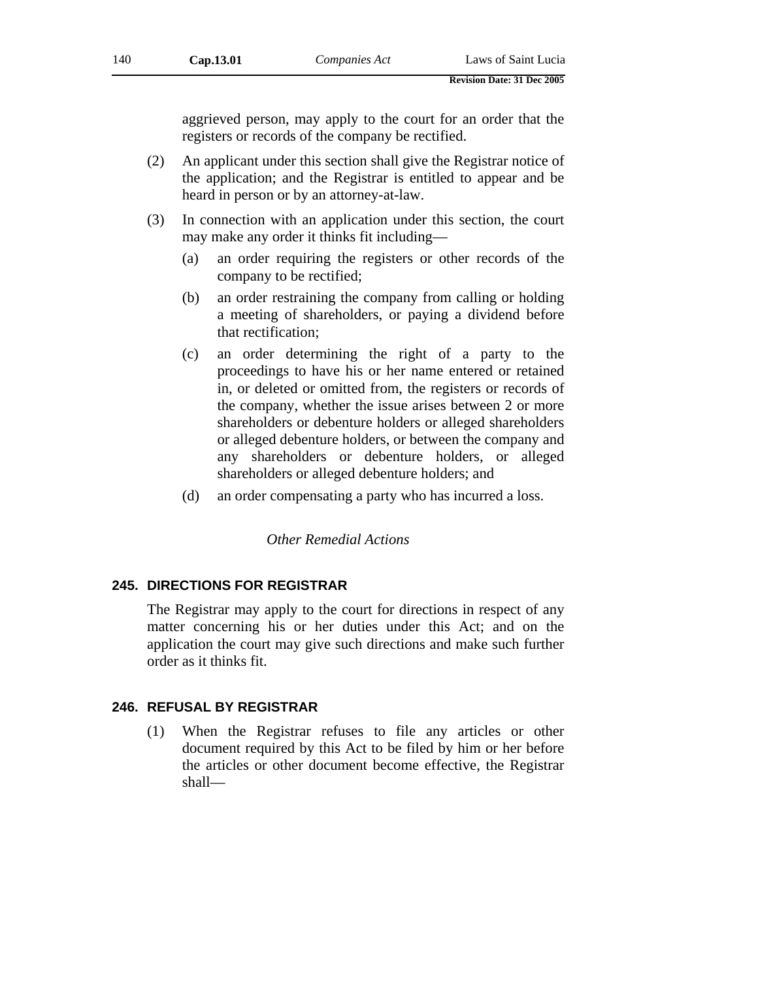aggrieved person, may apply to the court for an order that the registers or records of the company be rectified.

- (2) An applicant under this section shall give the Registrar notice of the application; and the Registrar is entitled to appear and be heard in person or by an attorney-at-law.
- (3) In connection with an application under this section, the court may make any order it thinks fit including—
	- (a) an order requiring the registers or other records of the company to be rectified;
	- (b) an order restraining the company from calling or holding a meeting of shareholders, or paying a dividend before that rectification;
	- (c) an order determining the right of a party to the proceedings to have his or her name entered or retained in, or deleted or omitted from, the registers or records of the company, whether the issue arises between 2 or more shareholders or debenture holders or alleged shareholders or alleged debenture holders, or between the company and any shareholders or debenture holders, or alleged shareholders or alleged debenture holders; and
	- (d) an order compensating a party who has incurred a loss.

*Other Remedial Actions* 

### **245. DIRECTIONS FOR REGISTRAR**

The Registrar may apply to the court for directions in respect of any matter concerning his or her duties under this Act; and on the application the court may give such directions and make such further order as it thinks fit.

#### **246. REFUSAL BY REGISTRAR**

(1) When the Registrar refuses to file any articles or other document required by this Act to be filed by him or her before the articles or other document become effective, the Registrar shall—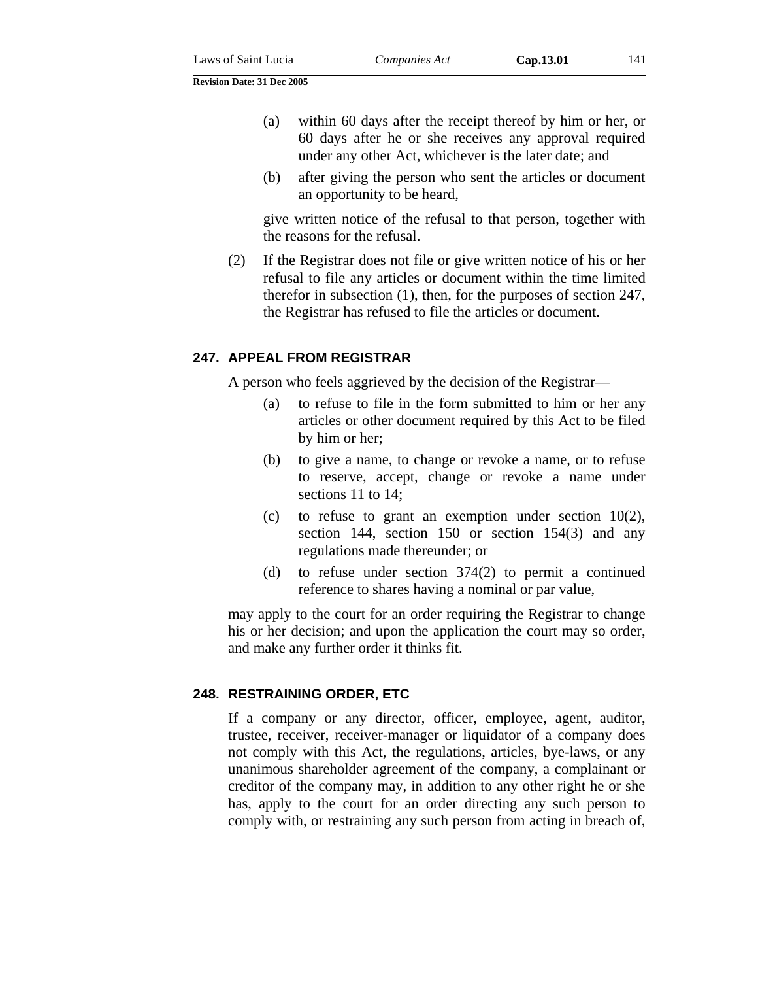(b) after giving the person who sent the articles or document an opportunity to be heard,

give written notice of the refusal to that person, together with the reasons for the refusal.

(2) If the Registrar does not file or give written notice of his or her refusal to file any articles or document within the time limited therefor in subsection (1), then, for the purposes of section 247, the Registrar has refused to file the articles or document.

### **247. APPEAL FROM REGISTRAR**

A person who feels aggrieved by the decision of the Registrar—

- (a) to refuse to file in the form submitted to him or her any articles or other document required by this Act to be filed by him or her;
- (b) to give a name, to change or revoke a name, or to refuse to reserve, accept, change or revoke a name under sections 11 to 14;
- (c) to refuse to grant an exemption under section  $10(2)$ , section 144, section 150 or section 154(3) and any regulations made thereunder; or
- (d) to refuse under section 374(2) to permit a continued reference to shares having a nominal or par value,

may apply to the court for an order requiring the Registrar to change his or her decision; and upon the application the court may so order, and make any further order it thinks fit.

### **248. RESTRAINING ORDER, ETC**

If a company or any director, officer, employee, agent, auditor, trustee, receiver, receiver-manager or liquidator of a company does not comply with this Act, the regulations, articles, bye-laws, or any unanimous shareholder agreement of the company, a complainant or creditor of the company may, in addition to any other right he or she has, apply to the court for an order directing any such person to comply with, or restraining any such person from acting in breach of,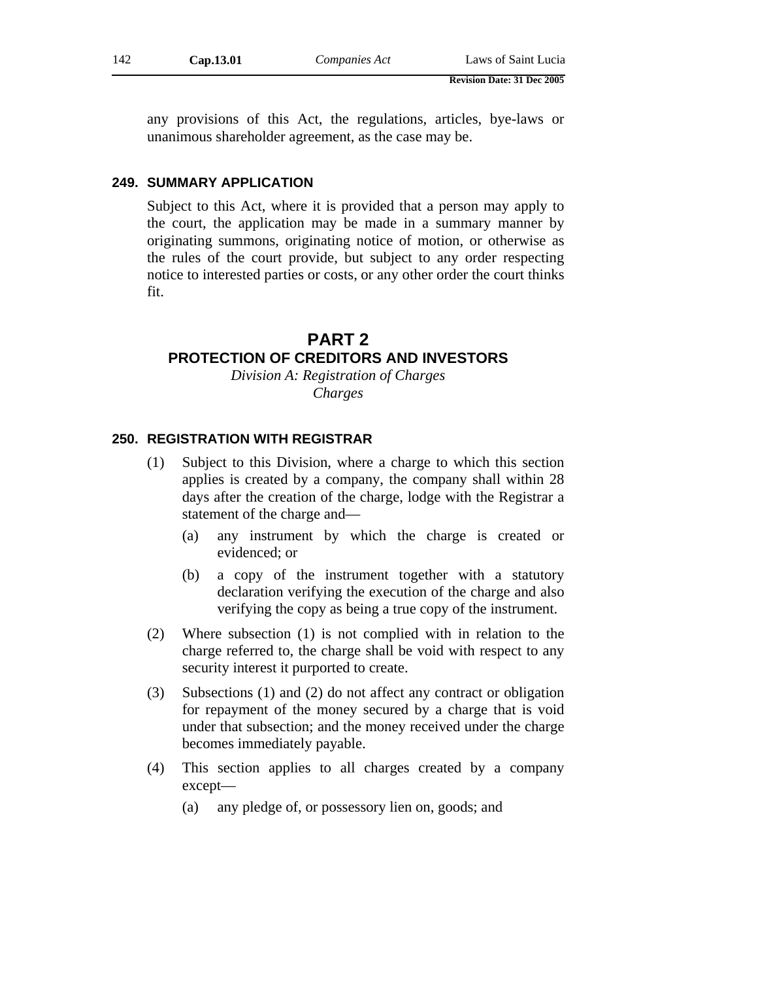any provisions of this Act, the regulations, articles, bye-laws or unanimous shareholder agreement, as the case may be.

#### **249. SUMMARY APPLICATION**

Subject to this Act, where it is provided that a person may apply to the court, the application may be made in a summary manner by originating summons, originating notice of motion, or otherwise as the rules of the court provide, but subject to any order respecting notice to interested parties or costs, or any other order the court thinks fit.

# **PART 2**

## **PROTECTION OF CREDITORS AND INVESTORS**

*Division A: Registration of Charges Charges* 

### **250. REGISTRATION WITH REGISTRAR**

- (1) Subject to this Division, where a charge to which this section applies is created by a company, the company shall within 28 days after the creation of the charge, lodge with the Registrar a statement of the charge and—
	- (a) any instrument by which the charge is created or evidenced; or
	- (b) a copy of the instrument together with a statutory declaration verifying the execution of the charge and also verifying the copy as being a true copy of the instrument.
- (2) Where subsection (1) is not complied with in relation to the charge referred to, the charge shall be void with respect to any security interest it purported to create.
- (3) Subsections (1) and (2) do not affect any contract or obligation for repayment of the money secured by a charge that is void under that subsection; and the money received under the charge becomes immediately payable.
- (4) This section applies to all charges created by a company except—
	- (a) any pledge of, or possessory lien on, goods; and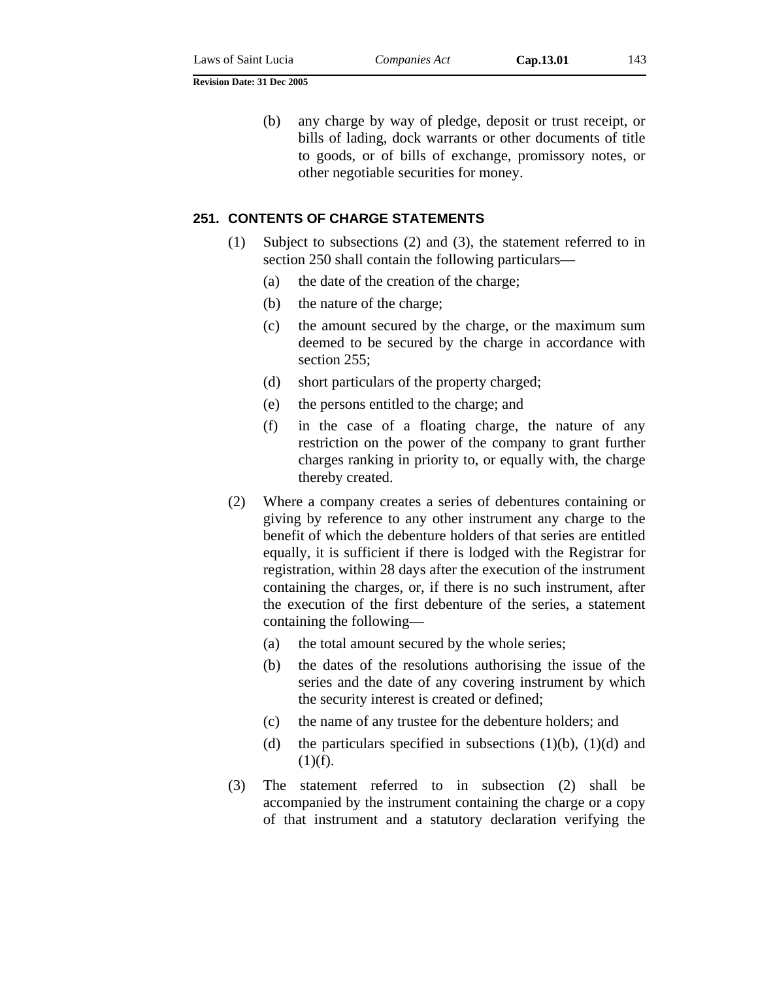(b) any charge by way of pledge, deposit or trust receipt, or bills of lading, dock warrants or other documents of title to goods, or of bills of exchange, promissory notes, or other negotiable securities for money.

## **251. CONTENTS OF CHARGE STATEMENTS**

- (1) Subject to subsections (2) and (3), the statement referred to in section 250 shall contain the following particulars—
	- (a) the date of the creation of the charge;
	- (b) the nature of the charge;
	- (c) the amount secured by the charge, or the maximum sum deemed to be secured by the charge in accordance with section 255;
	- (d) short particulars of the property charged;
	- (e) the persons entitled to the charge; and
	- (f) in the case of a floating charge, the nature of any restriction on the power of the company to grant further charges ranking in priority to, or equally with, the charge thereby created.
- (2) Where a company creates a series of debentures containing or giving by reference to any other instrument any charge to the benefit of which the debenture holders of that series are entitled equally, it is sufficient if there is lodged with the Registrar for registration, within 28 days after the execution of the instrument containing the charges, or, if there is no such instrument, after the execution of the first debenture of the series, a statement containing the following—
	- (a) the total amount secured by the whole series;
	- (b) the dates of the resolutions authorising the issue of the series and the date of any covering instrument by which the security interest is created or defined;
	- (c) the name of any trustee for the debenture holders; and
	- (d) the particulars specified in subsections  $(1)(b)$ ,  $(1)(d)$  and  $(1)(f)$ .
- (3) The statement referred to in subsection (2) shall be accompanied by the instrument containing the charge or a copy of that instrument and a statutory declaration verifying the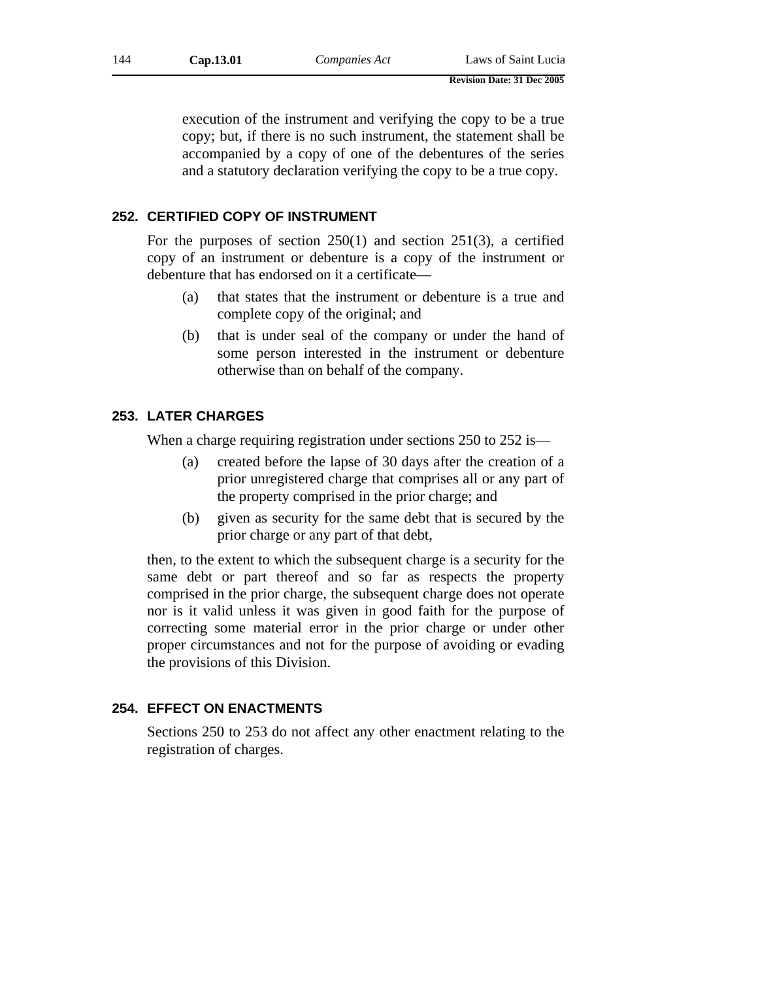execution of the instrument and verifying the copy to be a true copy; but, if there is no such instrument, the statement shall be accompanied by a copy of one of the debentures of the series and a statutory declaration verifying the copy to be a true copy.

## **252. CERTIFIED COPY OF INSTRUMENT**

For the purposes of section 250(1) and section 251(3), a certified copy of an instrument or debenture is a copy of the instrument or debenture that has endorsed on it a certificate—

- (a) that states that the instrument or debenture is a true and complete copy of the original; and
- (b) that is under seal of the company or under the hand of some person interested in the instrument or debenture otherwise than on behalf of the company.

### **253. LATER CHARGES**

When a charge requiring registration under sections 250 to 252 is—

- (a) created before the lapse of 30 days after the creation of a prior unregistered charge that comprises all or any part of the property comprised in the prior charge; and
- (b) given as security for the same debt that is secured by the prior charge or any part of that debt,

then, to the extent to which the subsequent charge is a security for the same debt or part thereof and so far as respects the property comprised in the prior charge, the subsequent charge does not operate nor is it valid unless it was given in good faith for the purpose of correcting some material error in the prior charge or under other proper circumstances and not for the purpose of avoiding or evading the provisions of this Division.

### **254. EFFECT ON ENACTMENTS**

Sections 250 to 253 do not affect any other enactment relating to the registration of charges.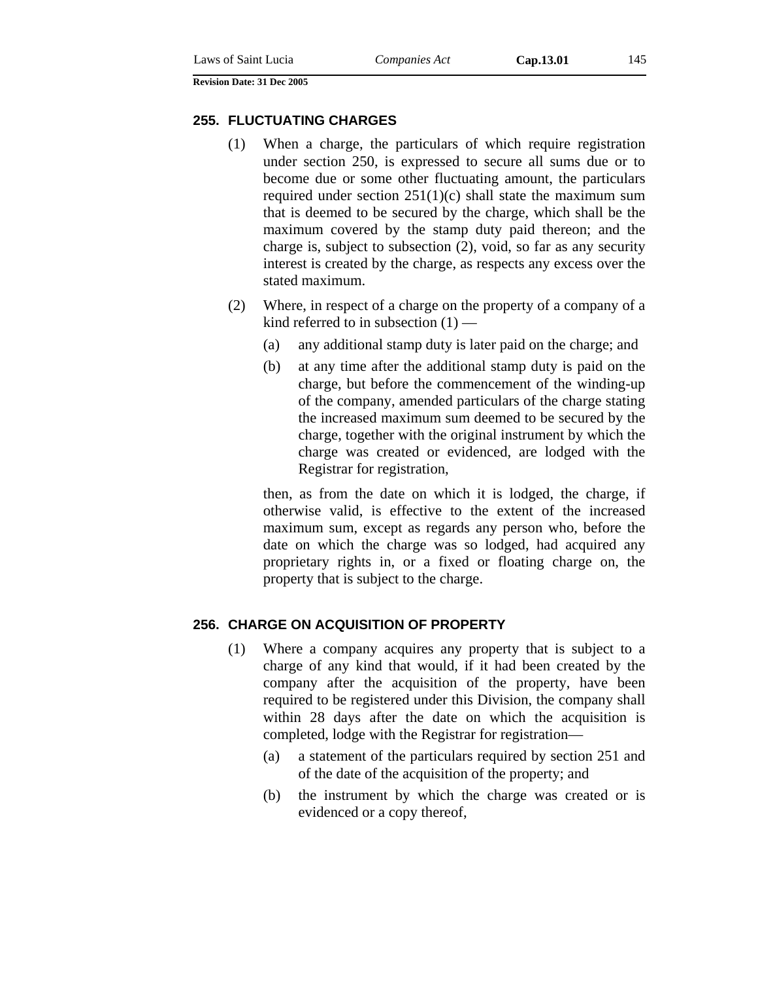#### **255. FLUCTUATING CHARGES**

- (1) When a charge, the particulars of which require registration under section 250, is expressed to secure all sums due or to become due or some other fluctuating amount, the particulars required under section  $251(1)(c)$  shall state the maximum sum that is deemed to be secured by the charge, which shall be the maximum covered by the stamp duty paid thereon; and the charge is, subject to subsection (2), void, so far as any security interest is created by the charge, as respects any excess over the stated maximum.
- (2) Where, in respect of a charge on the property of a company of a kind referred to in subsection  $(1)$  —
	- (a) any additional stamp duty is later paid on the charge; and
	- (b) at any time after the additional stamp duty is paid on the charge, but before the commencement of the winding-up of the company, amended particulars of the charge stating the increased maximum sum deemed to be secured by the charge, together with the original instrument by which the charge was created or evidenced, are lodged with the Registrar for registration,

then, as from the date on which it is lodged, the charge, if otherwise valid, is effective to the extent of the increased maximum sum, except as regards any person who, before the date on which the charge was so lodged, had acquired any proprietary rights in, or a fixed or floating charge on, the property that is subject to the charge.

#### **256. CHARGE ON ACQUISITION OF PROPERTY**

- (1) Where a company acquires any property that is subject to a charge of any kind that would, if it had been created by the company after the acquisition of the property, have been required to be registered under this Division, the company shall within 28 days after the date on which the acquisition is completed, lodge with the Registrar for registration—
	- (a) a statement of the particulars required by section 251 and of the date of the acquisition of the property; and
	- (b) the instrument by which the charge was created or is evidenced or a copy thereof,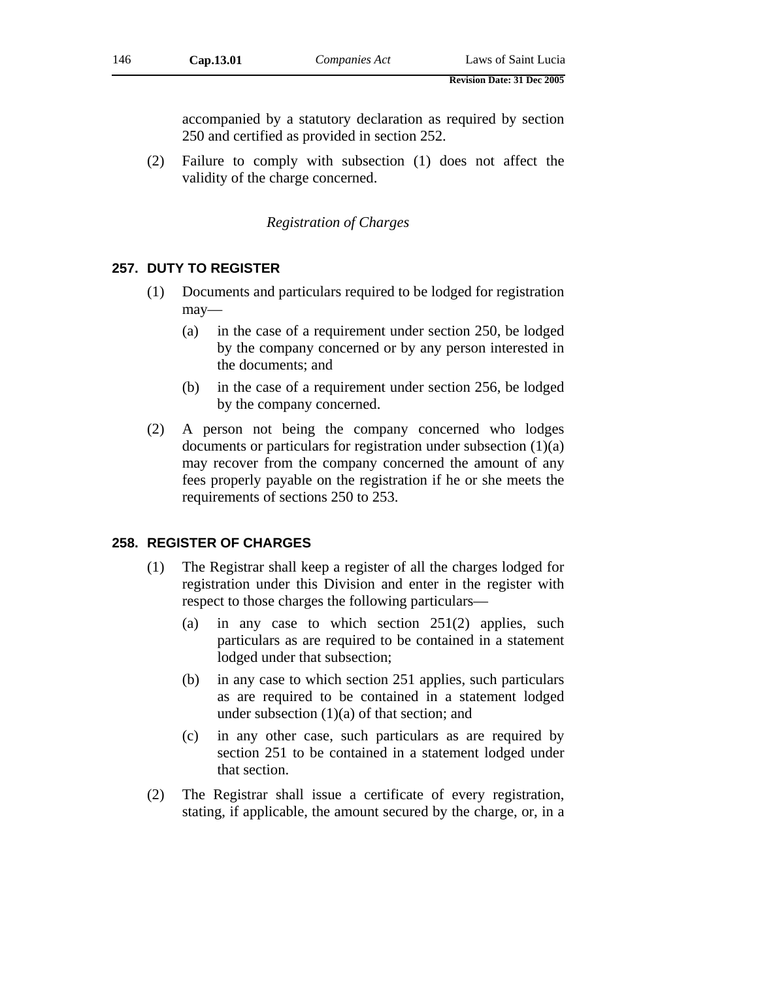accompanied by a statutory declaration as required by section 250 and certified as provided in section 252.

(2) Failure to comply with subsection (1) does not affect the validity of the charge concerned.

### *Registration of Charges*

### **257. DUTY TO REGISTER**

- (1) Documents and particulars required to be lodged for registration may—
	- (a) in the case of a requirement under section 250, be lodged by the company concerned or by any person interested in the documents; and
	- (b) in the case of a requirement under section 256, be lodged by the company concerned.
- (2) A person not being the company concerned who lodges documents or particulars for registration under subsection (1)(a) may recover from the company concerned the amount of any fees properly payable on the registration if he or she meets the requirements of sections 250 to 253.

#### **258. REGISTER OF CHARGES**

- (1) The Registrar shall keep a register of all the charges lodged for registration under this Division and enter in the register with respect to those charges the following particulars—
	- (a) in any case to which section 251(2) applies, such particulars as are required to be contained in a statement lodged under that subsection;
	- (b) in any case to which section 251 applies, such particulars as are required to be contained in a statement lodged under subsection (1)(a) of that section; and
	- (c) in any other case, such particulars as are required by section 251 to be contained in a statement lodged under that section.
- (2) The Registrar shall issue a certificate of every registration, stating, if applicable, the amount secured by the charge, or, in a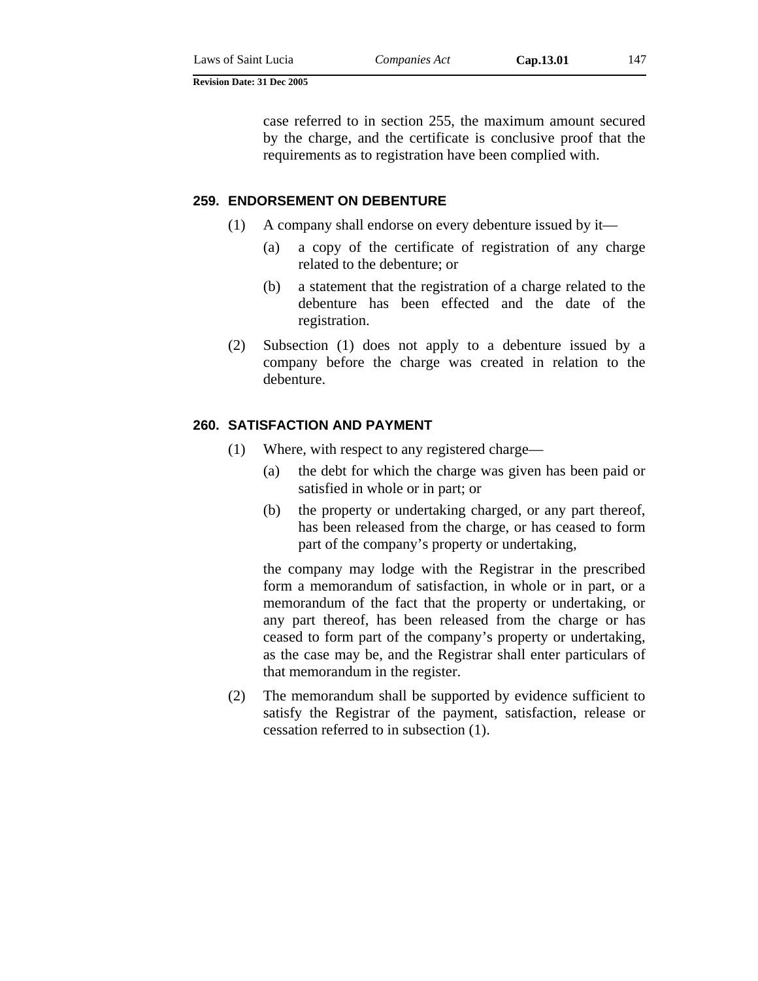case referred to in section 255, the maximum amount secured by the charge, and the certificate is conclusive proof that the requirements as to registration have been complied with.

### **259. ENDORSEMENT ON DEBENTURE**

- (1) A company shall endorse on every debenture issued by it—
	- (a) a copy of the certificate of registration of any charge related to the debenture; or
	- (b) a statement that the registration of a charge related to the debenture has been effected and the date of the registration.
- (2) Subsection (1) does not apply to a debenture issued by a company before the charge was created in relation to the debenture.

## **260. SATISFACTION AND PAYMENT**

- (1) Where, with respect to any registered charge—
	- (a) the debt for which the charge was given has been paid or satisfied in whole or in part; or
	- (b) the property or undertaking charged, or any part thereof, has been released from the charge, or has ceased to form part of the company's property or undertaking,

the company may lodge with the Registrar in the prescribed form a memorandum of satisfaction, in whole or in part, or a memorandum of the fact that the property or undertaking, or any part thereof, has been released from the charge or has ceased to form part of the company's property or undertaking, as the case may be, and the Registrar shall enter particulars of that memorandum in the register.

(2) The memorandum shall be supported by evidence sufficient to satisfy the Registrar of the payment, satisfaction, release or cessation referred to in subsection (1).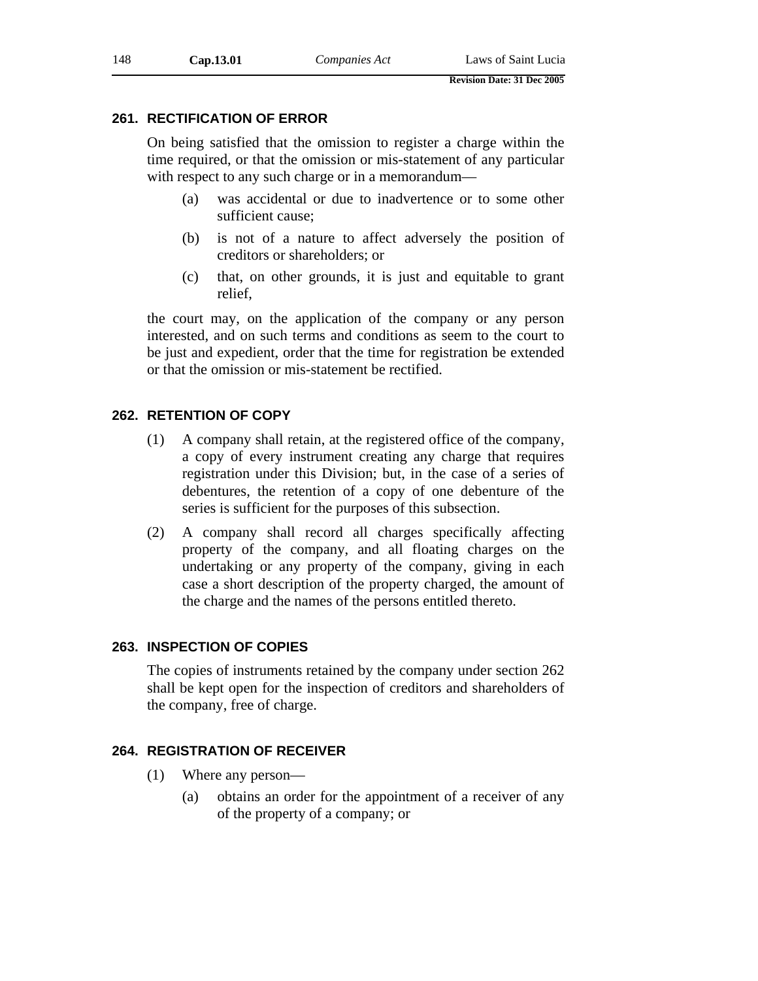## **261. RECTIFICATION OF ERROR**

On being satisfied that the omission to register a charge within the time required, or that the omission or mis-statement of any particular with respect to any such charge or in a memorandum—

- (a) was accidental or due to inadvertence or to some other sufficient cause;
- (b) is not of a nature to affect adversely the position of creditors or shareholders; or
- (c) that, on other grounds, it is just and equitable to grant relief,

the court may, on the application of the company or any person interested, and on such terms and conditions as seem to the court to be just and expedient, order that the time for registration be extended or that the omission or mis-statement be rectified.

## **262. RETENTION OF COPY**

- (1) A company shall retain, at the registered office of the company, a copy of every instrument creating any charge that requires registration under this Division; but, in the case of a series of debentures, the retention of a copy of one debenture of the series is sufficient for the purposes of this subsection.
- (2) A company shall record all charges specifically affecting property of the company, and all floating charges on the undertaking or any property of the company, giving in each case a short description of the property charged, the amount of the charge and the names of the persons entitled thereto.

## **263. INSPECTION OF COPIES**

The copies of instruments retained by the company under section 262 shall be kept open for the inspection of creditors and shareholders of the company, free of charge.

## **264. REGISTRATION OF RECEIVER**

- (1) Where any person—
	- (a) obtains an order for the appointment of a receiver of any of the property of a company; or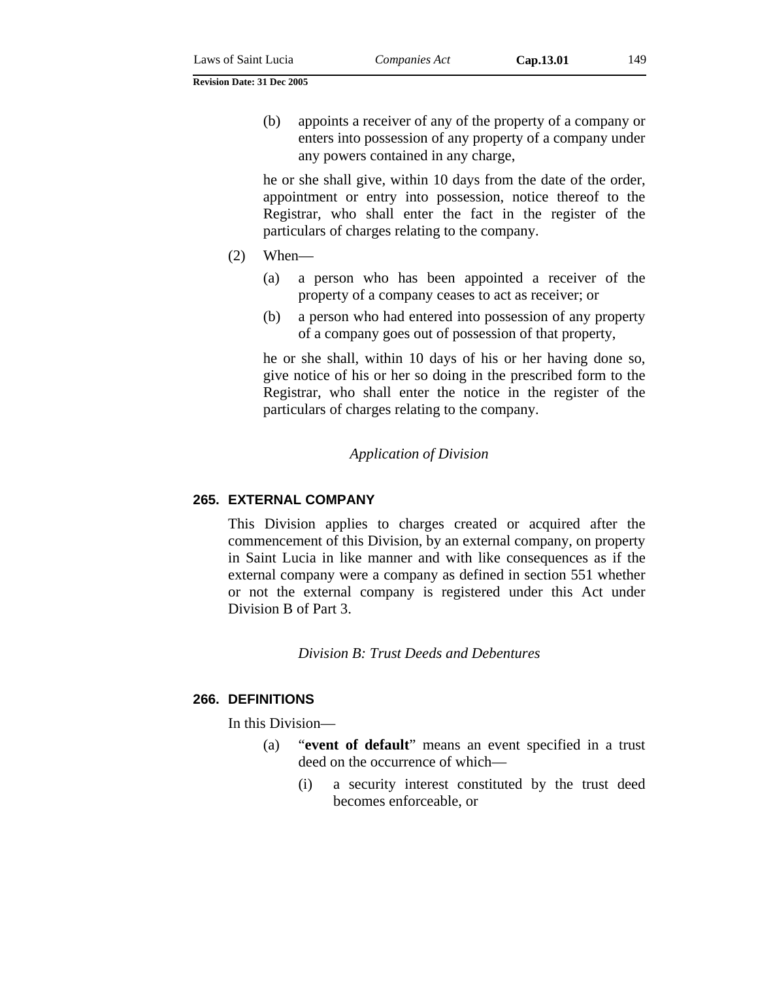(b) appoints a receiver of any of the property of a company or enters into possession of any property of a company under any powers contained in any charge,

he or she shall give, within 10 days from the date of the order, appointment or entry into possession, notice thereof to the Registrar, who shall enter the fact in the register of the particulars of charges relating to the company.

- $(2)$  When—
	- (a) a person who has been appointed a receiver of the property of a company ceases to act as receiver; or
	- (b) a person who had entered into possession of any property of a company goes out of possession of that property,

he or she shall, within 10 days of his or her having done so, give notice of his or her so doing in the prescribed form to the Registrar, who shall enter the notice in the register of the particulars of charges relating to the company.

### *Application of Division*

#### **265. EXTERNAL COMPANY**

This Division applies to charges created or acquired after the commencement of this Division, by an external company, on property in Saint Lucia in like manner and with like consequences as if the external company were a company as defined in section 551 whether or not the external company is registered under this Act under Division B of Part 3.

*Division B: Trust Deeds and Debentures* 

#### **266. DEFINITIONS**

In this Division—

- (a) "**event of default**" means an event specified in a trust deed on the occurrence of which—
	- (i) a security interest constituted by the trust deed becomes enforceable, or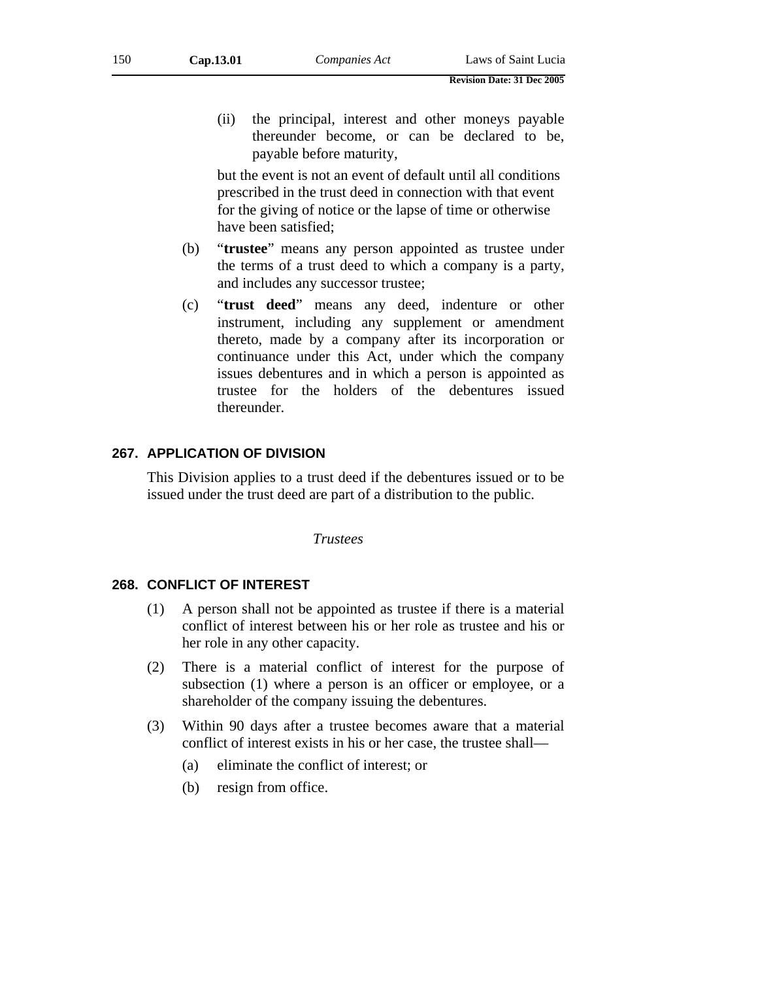(ii) the principal, interest and other moneys payable thereunder become, or can be declared to be, payable before maturity,

but the event is not an event of default until all conditions prescribed in the trust deed in connection with that event for the giving of notice or the lapse of time or otherwise have been satisfied;

- (b) "**trustee**" means any person appointed as trustee under the terms of a trust deed to which a company is a party, and includes any successor trustee;
- (c) "**trust deed**" means any deed, indenture or other instrument, including any supplement or amendment thereto, made by a company after its incorporation or continuance under this Act, under which the company issues debentures and in which a person is appointed as trustee for the holders of the debentures issued thereunder.

## **267. APPLICATION OF DIVISION**

This Division applies to a trust deed if the debentures issued or to be issued under the trust deed are part of a distribution to the public.

*Trustees* 

#### **268. CONFLICT OF INTEREST**

- (1) A person shall not be appointed as trustee if there is a material conflict of interest between his or her role as trustee and his or her role in any other capacity.
- (2) There is a material conflict of interest for the purpose of subsection (1) where a person is an officer or employee, or a shareholder of the company issuing the debentures.
- (3) Within 90 days after a trustee becomes aware that a material conflict of interest exists in his or her case, the trustee shall—
	- (a) eliminate the conflict of interest; or
	- (b) resign from office.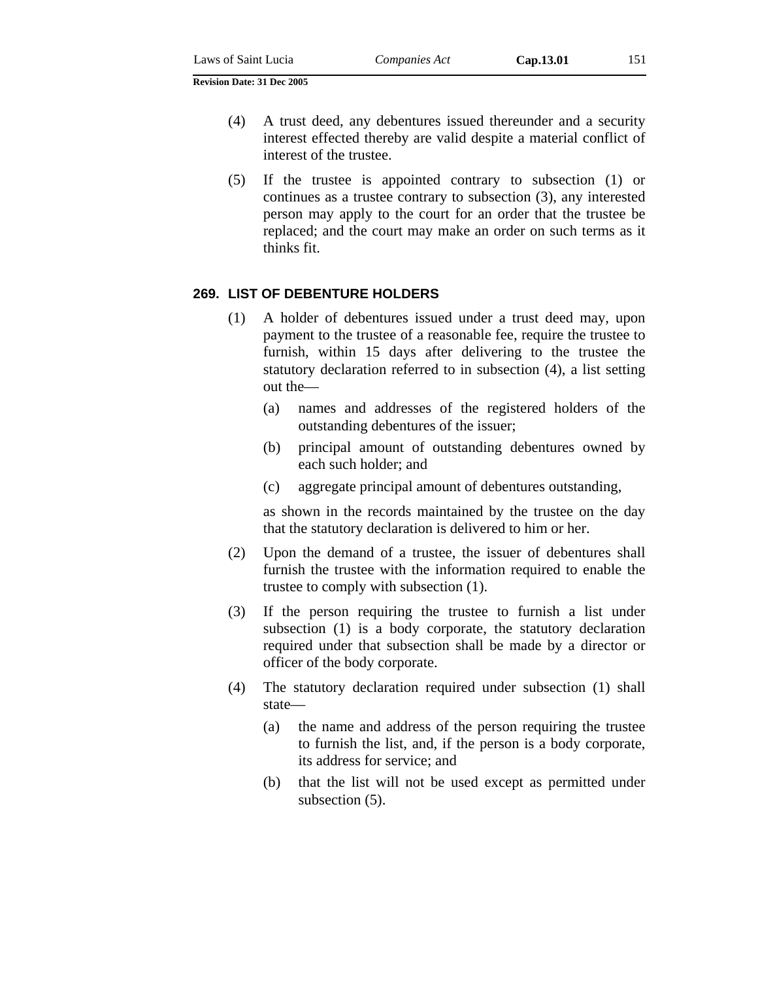- (4) A trust deed, any debentures issued thereunder and a security interest effected thereby are valid despite a material conflict of interest of the trustee.
- (5) If the trustee is appointed contrary to subsection (1) or continues as a trustee contrary to subsection (3), any interested person may apply to the court for an order that the trustee be replaced; and the court may make an order on such terms as it thinks fit.

## **269. LIST OF DEBENTURE HOLDERS**

- (1) A holder of debentures issued under a trust deed may, upon payment to the trustee of a reasonable fee, require the trustee to furnish, within 15 days after delivering to the trustee the statutory declaration referred to in subsection (4), a list setting out the—
	- (a) names and addresses of the registered holders of the outstanding debentures of the issuer;
	- (b) principal amount of outstanding debentures owned by each such holder; and
	- (c) aggregate principal amount of debentures outstanding,

as shown in the records maintained by the trustee on the day that the statutory declaration is delivered to him or her.

- (2) Upon the demand of a trustee, the issuer of debentures shall furnish the trustee with the information required to enable the trustee to comply with subsection (1).
- (3) If the person requiring the trustee to furnish a list under subsection (1) is a body corporate, the statutory declaration required under that subsection shall be made by a director or officer of the body corporate.
- (4) The statutory declaration required under subsection (1) shall state—
	- (a) the name and address of the person requiring the trustee to furnish the list, and, if the person is a body corporate, its address for service; and
	- (b) that the list will not be used except as permitted under subsection (5).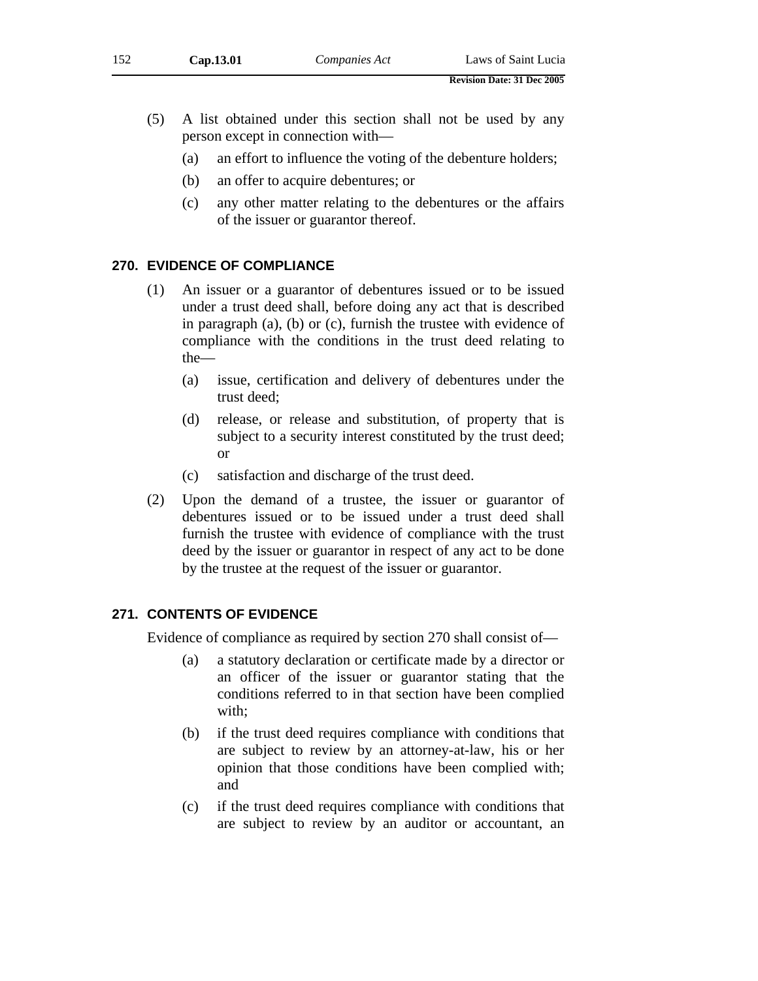- (a) an effort to influence the voting of the debenture holders;
- (b) an offer to acquire debentures; or
- (c) any other matter relating to the debentures or the affairs of the issuer or guarantor thereof.

# **270. EVIDENCE OF COMPLIANCE**

- (1) An issuer or a guarantor of debentures issued or to be issued under a trust deed shall, before doing any act that is described in paragraph (a), (b) or (c), furnish the trustee with evidence of compliance with the conditions in the trust deed relating to the—
	- (a) issue, certification and delivery of debentures under the trust deed;
	- (d) release, or release and substitution, of property that is subject to a security interest constituted by the trust deed; or
	- (c) satisfaction and discharge of the trust deed.
- (2) Upon the demand of a trustee, the issuer or guarantor of debentures issued or to be issued under a trust deed shall furnish the trustee with evidence of compliance with the trust deed by the issuer or guarantor in respect of any act to be done by the trustee at the request of the issuer or guarantor.

# **271. CONTENTS OF EVIDENCE**

Evidence of compliance as required by section 270 shall consist of—

- (a) a statutory declaration or certificate made by a director or an officer of the issuer or guarantor stating that the conditions referred to in that section have been complied with;
- (b) if the trust deed requires compliance with conditions that are subject to review by an attorney-at-law, his or her opinion that those conditions have been complied with; and
- (c) if the trust deed requires compliance with conditions that are subject to review by an auditor or accountant, an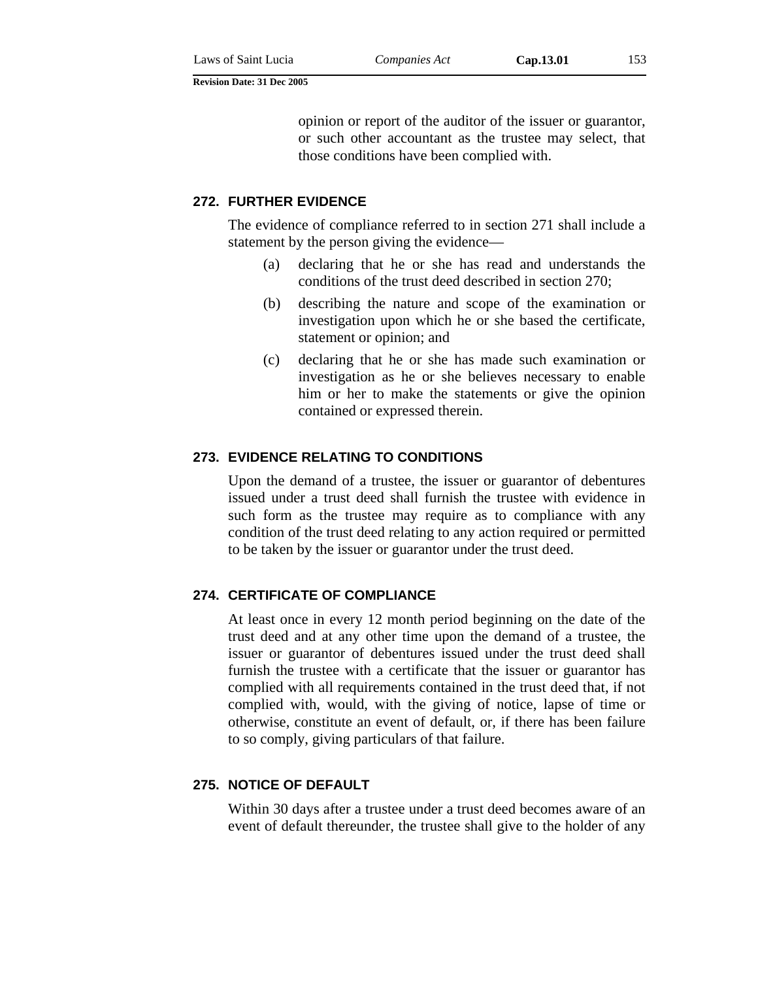opinion or report of the auditor of the issuer or guarantor, or such other accountant as the trustee may select, that those conditions have been complied with.

## **272. FURTHER EVIDENCE**

The evidence of compliance referred to in section 271 shall include a statement by the person giving the evidence—

- (a) declaring that he or she has read and understands the conditions of the trust deed described in section 270;
- (b) describing the nature and scope of the examination or investigation upon which he or she based the certificate, statement or opinion; and
- (c) declaring that he or she has made such examination or investigation as he or she believes necessary to enable him or her to make the statements or give the opinion contained or expressed therein.

## **273. EVIDENCE RELATING TO CONDITIONS**

Upon the demand of a trustee, the issuer or guarantor of debentures issued under a trust deed shall furnish the trustee with evidence in such form as the trustee may require as to compliance with any condition of the trust deed relating to any action required or permitted to be taken by the issuer or guarantor under the trust deed.

### **274. CERTIFICATE OF COMPLIANCE**

At least once in every 12 month period beginning on the date of the trust deed and at any other time upon the demand of a trustee, the issuer or guarantor of debentures issued under the trust deed shall furnish the trustee with a certificate that the issuer or guarantor has complied with all requirements contained in the trust deed that, if not complied with, would, with the giving of notice, lapse of time or otherwise, constitute an event of default, or, if there has been failure to so comply, giving particulars of that failure.

### **275. NOTICE OF DEFAULT**

Within 30 days after a trustee under a trust deed becomes aware of an event of default thereunder, the trustee shall give to the holder of any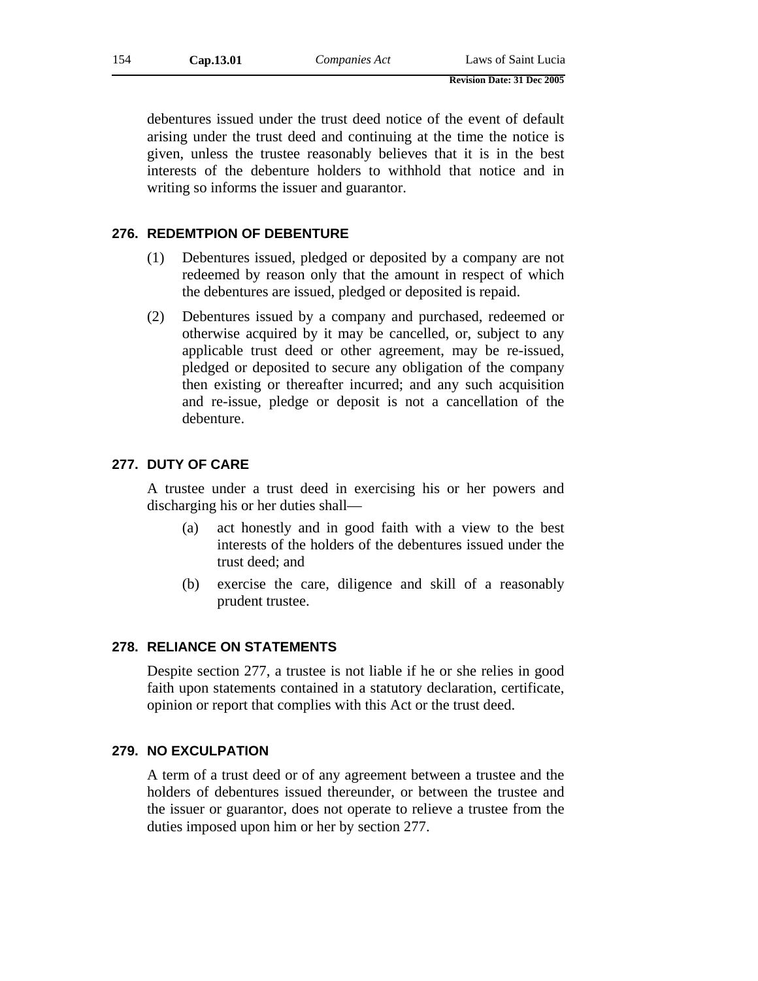debentures issued under the trust deed notice of the event of default arising under the trust deed and continuing at the time the notice is given, unless the trustee reasonably believes that it is in the best interests of the debenture holders to withhold that notice and in writing so informs the issuer and guarantor.

## **276. REDEMTPION OF DEBENTURE**

- (1) Debentures issued, pledged or deposited by a company are not redeemed by reason only that the amount in respect of which the debentures are issued, pledged or deposited is repaid.
- (2) Debentures issued by a company and purchased, redeemed or otherwise acquired by it may be cancelled, or, subject to any applicable trust deed or other agreement, may be re-issued, pledged or deposited to secure any obligation of the company then existing or thereafter incurred; and any such acquisition and re-issue, pledge or deposit is not a cancellation of the debenture.

# **277. DUTY OF CARE**

A trustee under a trust deed in exercising his or her powers and discharging his or her duties shall—

- (a) act honestly and in good faith with a view to the best interests of the holders of the debentures issued under the trust deed; and
- (b) exercise the care, diligence and skill of a reasonably prudent trustee.

## **278. RELIANCE ON STATEMENTS**

Despite section 277, a trustee is not liable if he or she relies in good faith upon statements contained in a statutory declaration, certificate, opinion or report that complies with this Act or the trust deed.

## **279. NO EXCULPATION**

A term of a trust deed or of any agreement between a trustee and the holders of debentures issued thereunder, or between the trustee and the issuer or guarantor, does not operate to relieve a trustee from the duties imposed upon him or her by section 277.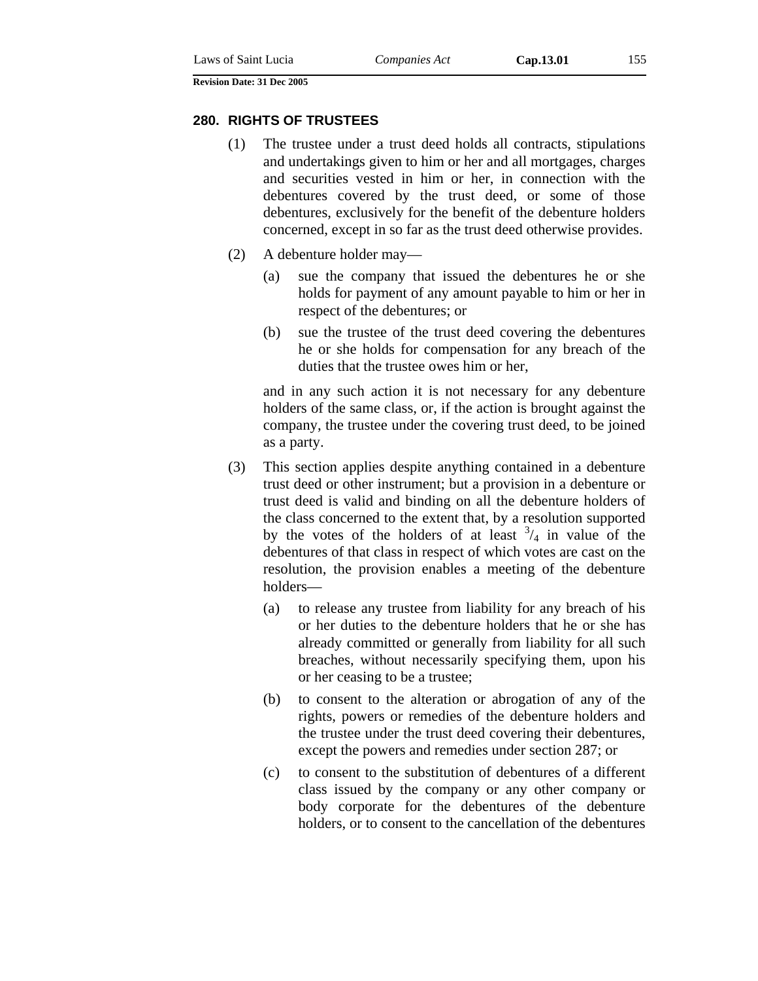#### **280. RIGHTS OF TRUSTEES**

- (1) The trustee under a trust deed holds all contracts, stipulations and undertakings given to him or her and all mortgages, charges and securities vested in him or her, in connection with the debentures covered by the trust deed, or some of those debentures, exclusively for the benefit of the debenture holders concerned, except in so far as the trust deed otherwise provides.
- (2) A debenture holder may—
	- (a) sue the company that issued the debentures he or she holds for payment of any amount payable to him or her in respect of the debentures; or
	- (b) sue the trustee of the trust deed covering the debentures he or she holds for compensation for any breach of the duties that the trustee owes him or her,

and in any such action it is not necessary for any debenture holders of the same class, or, if the action is brought against the company, the trustee under the covering trust deed, to be joined as a party.

- (3) This section applies despite anything contained in a debenture trust deed or other instrument; but a provision in a debenture or trust deed is valid and binding on all the debenture holders of the class concerned to the extent that, by a resolution supported by the votes of the holders of at least  $\frac{3}{4}$  in value of the debentures of that class in respect of which votes are cast on the resolution, the provision enables a meeting of the debenture holders—
	- (a) to release any trustee from liability for any breach of his or her duties to the debenture holders that he or she has already committed or generally from liability for all such breaches, without necessarily specifying them, upon his or her ceasing to be a trustee;
	- (b) to consent to the alteration or abrogation of any of the rights, powers or remedies of the debenture holders and the trustee under the trust deed covering their debentures, except the powers and remedies under section 287; or
	- (c) to consent to the substitution of debentures of a different class issued by the company or any other company or body corporate for the debentures of the debenture holders, or to consent to the cancellation of the debentures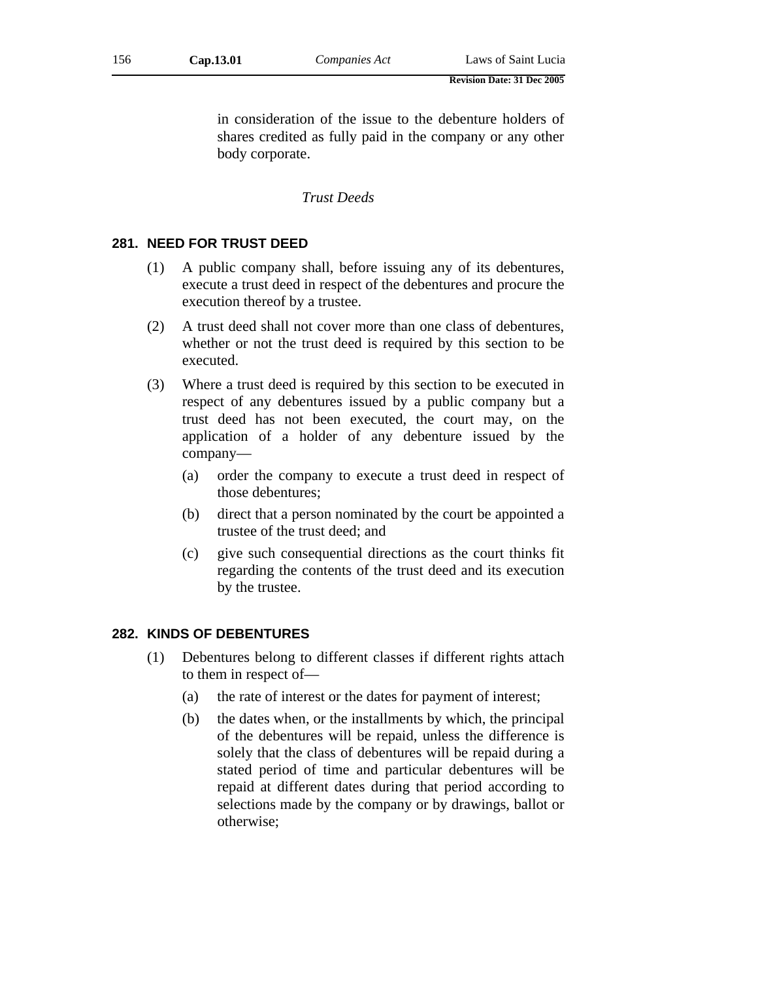in consideration of the issue to the debenture holders of shares credited as fully paid in the company or any other body corporate.

## *Trust Deeds*

### **281. NEED FOR TRUST DEED**

- (1) A public company shall, before issuing any of its debentures, execute a trust deed in respect of the debentures and procure the execution thereof by a trustee.
- (2) A trust deed shall not cover more than one class of debentures, whether or not the trust deed is required by this section to be executed.
- (3) Where a trust deed is required by this section to be executed in respect of any debentures issued by a public company but a trust deed has not been executed, the court may, on the application of a holder of any debenture issued by the company—
	- (a) order the company to execute a trust deed in respect of those debentures;
	- (b) direct that a person nominated by the court be appointed a trustee of the trust deed; and
	- (c) give such consequential directions as the court thinks fit regarding the contents of the trust deed and its execution by the trustee.

# **282. KINDS OF DEBENTURES**

- (1) Debentures belong to different classes if different rights attach to them in respect of—
	- (a) the rate of interest or the dates for payment of interest;
	- (b) the dates when, or the installments by which, the principal of the debentures will be repaid, unless the difference is solely that the class of debentures will be repaid during a stated period of time and particular debentures will be repaid at different dates during that period according to selections made by the company or by drawings, ballot or otherwise;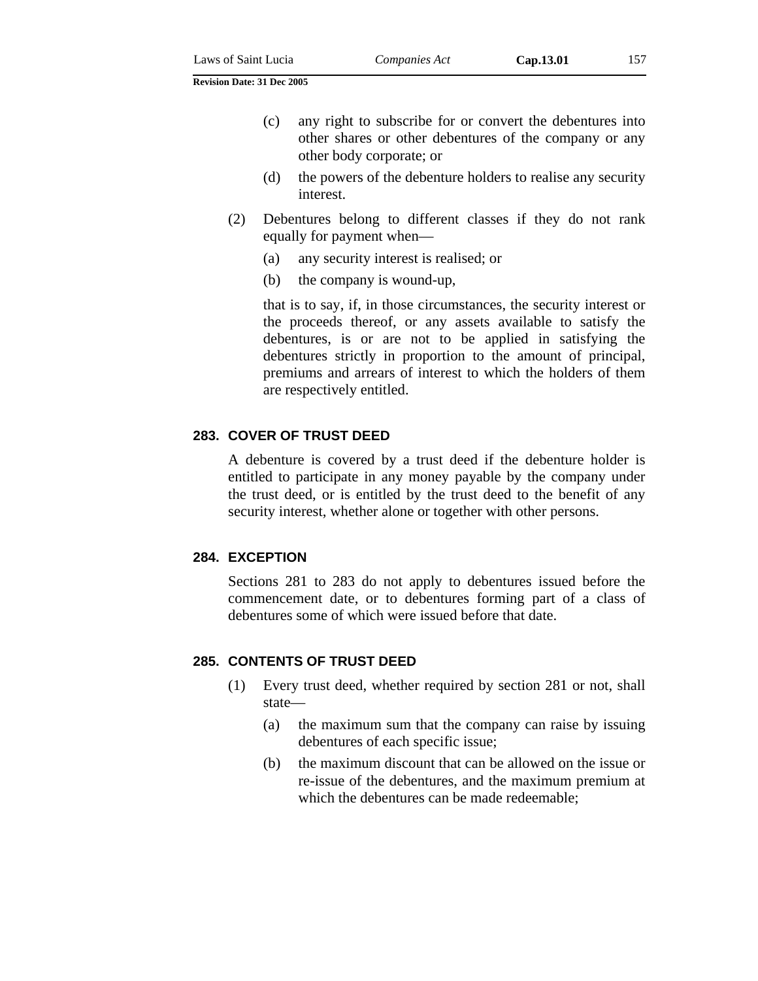- (c) any right to subscribe for or convert the debentures into other shares or other debentures of the company or any other body corporate; or
- (d) the powers of the debenture holders to realise any security interest.
- (2) Debentures belong to different classes if they do not rank equally for payment when—
	- (a) any security interest is realised; or
	- (b) the company is wound-up,

that is to say, if, in those circumstances, the security interest or the proceeds thereof, or any assets available to satisfy the debentures, is or are not to be applied in satisfying the debentures strictly in proportion to the amount of principal, premiums and arrears of interest to which the holders of them are respectively entitled.

## **283. COVER OF TRUST DEED**

A debenture is covered by a trust deed if the debenture holder is entitled to participate in any money payable by the company under the trust deed, or is entitled by the trust deed to the benefit of any security interest, whether alone or together with other persons.

### **284. EXCEPTION**

Sections 281 to 283 do not apply to debentures issued before the commencement date, or to debentures forming part of a class of debentures some of which were issued before that date.

## **285. CONTENTS OF TRUST DEED**

- (1) Every trust deed, whether required by section 281 or not, shall state—
	- (a) the maximum sum that the company can raise by issuing debentures of each specific issue;
	- (b) the maximum discount that can be allowed on the issue or re-issue of the debentures, and the maximum premium at which the debentures can be made redeemable;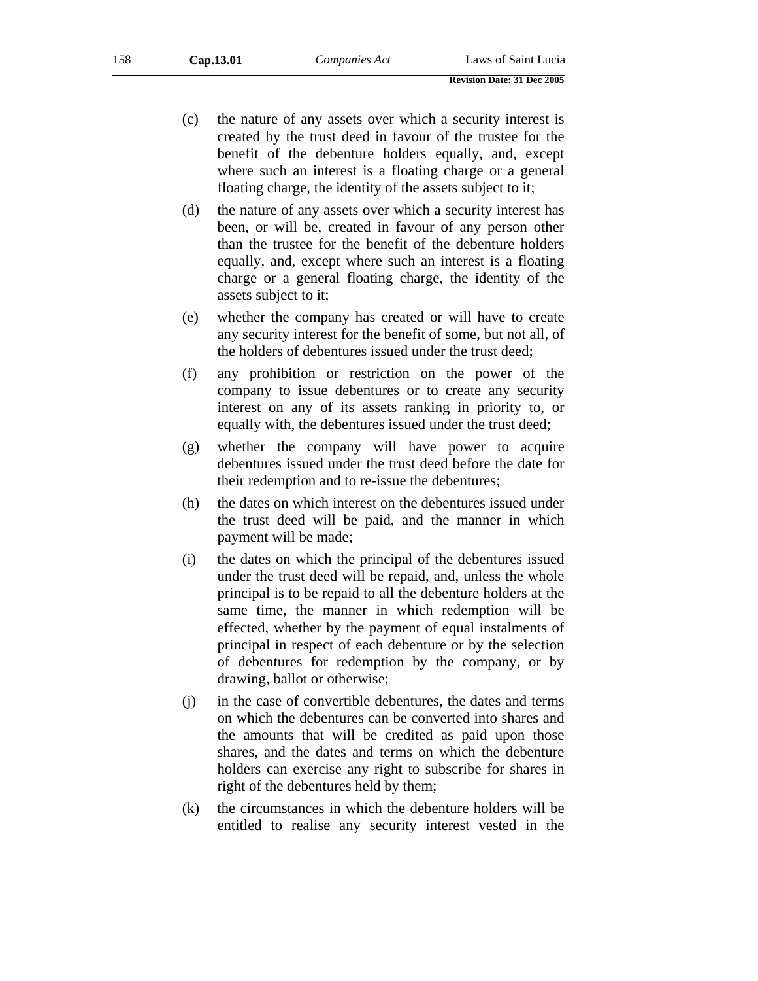- (c) the nature of any assets over which a security interest is created by the trust deed in favour of the trustee for the benefit of the debenture holders equally, and, except where such an interest is a floating charge or a general floating charge, the identity of the assets subject to it;
- (d) the nature of any assets over which a security interest has been, or will be, created in favour of any person other than the trustee for the benefit of the debenture holders equally, and, except where such an interest is a floating charge or a general floating charge, the identity of the assets subject to it;
- (e) whether the company has created or will have to create any security interest for the benefit of some, but not all, of the holders of debentures issued under the trust deed;
- (f) any prohibition or restriction on the power of the company to issue debentures or to create any security interest on any of its assets ranking in priority to, or equally with, the debentures issued under the trust deed;
- (g) whether the company will have power to acquire debentures issued under the trust deed before the date for their redemption and to re-issue the debentures;
- (h) the dates on which interest on the debentures issued under the trust deed will be paid, and the manner in which payment will be made;
- (i) the dates on which the principal of the debentures issued under the trust deed will be repaid, and, unless the whole principal is to be repaid to all the debenture holders at the same time, the manner in which redemption will be effected, whether by the payment of equal instalments of principal in respect of each debenture or by the selection of debentures for redemption by the company, or by drawing, ballot or otherwise;
- (j) in the case of convertible debentures, the dates and terms on which the debentures can be converted into shares and the amounts that will be credited as paid upon those shares, and the dates and terms on which the debenture holders can exercise any right to subscribe for shares in right of the debentures held by them;
- (k) the circumstances in which the debenture holders will be entitled to realise any security interest vested in the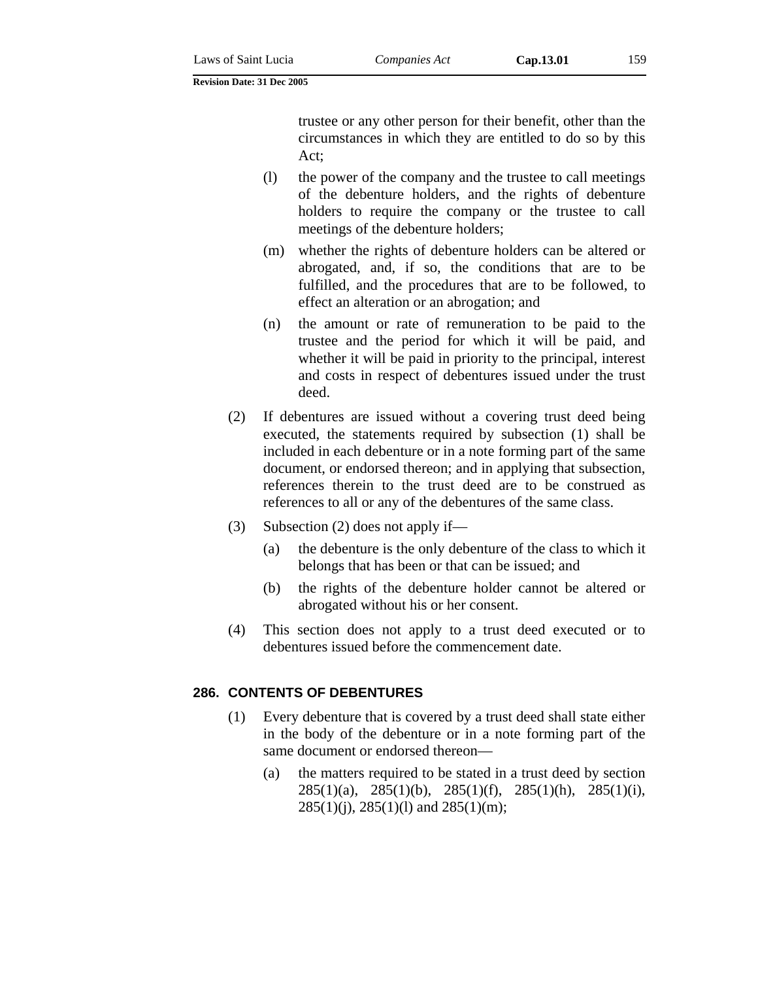trustee or any other person for their benefit, other than the circumstances in which they are entitled to do so by this Act;

- (l) the power of the company and the trustee to call meetings of the debenture holders, and the rights of debenture holders to require the company or the trustee to call meetings of the debenture holders;
- (m) whether the rights of debenture holders can be altered or abrogated, and, if so, the conditions that are to be fulfilled, and the procedures that are to be followed, to effect an alteration or an abrogation; and
- (n) the amount or rate of remuneration to be paid to the trustee and the period for which it will be paid, and whether it will be paid in priority to the principal, interest and costs in respect of debentures issued under the trust deed.
- (2) If debentures are issued without a covering trust deed being executed, the statements required by subsection (1) shall be included in each debenture or in a note forming part of the same document, or endorsed thereon; and in applying that subsection, references therein to the trust deed are to be construed as references to all or any of the debentures of the same class.
- (3) Subsection (2) does not apply if—
	- (a) the debenture is the only debenture of the class to which it belongs that has been or that can be issued; and
	- (b) the rights of the debenture holder cannot be altered or abrogated without his or her consent.
- (4) This section does not apply to a trust deed executed or to debentures issued before the commencement date.

#### **286. CONTENTS OF DEBENTURES**

- (1) Every debenture that is covered by a trust deed shall state either in the body of the debenture or in a note forming part of the same document or endorsed thereon—
	- (a) the matters required to be stated in a trust deed by section 285(1)(a), 285(1)(b), 285(1)(f), 285(1)(h), 285(1)(i),  $285(1)(i)$ ,  $285(1)(l)$  and  $285(1)(m)$ ;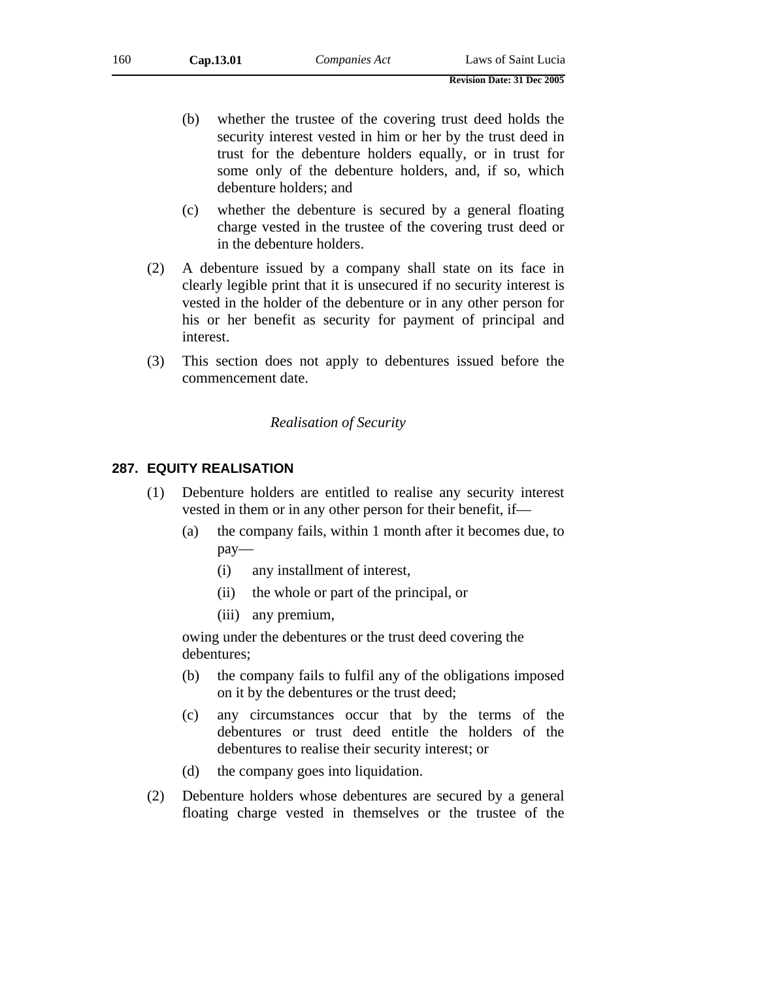(b) whether the trustee of the covering trust deed holds the security interest vested in him or her by the trust deed in trust for the debenture holders equally, or in trust for some only of the debenture holders, and, if so, which debenture holders; and

**Revision Date: 31 Dec 2005** 

- (c) whether the debenture is secured by a general floating charge vested in the trustee of the covering trust deed or in the debenture holders.
- (2) A debenture issued by a company shall state on its face in clearly legible print that it is unsecured if no security interest is vested in the holder of the debenture or in any other person for his or her benefit as security for payment of principal and interest.
- (3) This section does not apply to debentures issued before the commencement date.

# *Realisation of Security*

# **287. EQUITY REALISATION**

- (1) Debenture holders are entitled to realise any security interest vested in them or in any other person for their benefit, if—
	- (a) the company fails, within 1 month after it becomes due, to pay—
		- (i) any installment of interest,
		- (ii) the whole or part of the principal, or
		- (iii) any premium,

owing under the debentures or the trust deed covering the debentures;

- (b) the company fails to fulfil any of the obligations imposed on it by the debentures or the trust deed;
- (c) any circumstances occur that by the terms of the debentures or trust deed entitle the holders of the debentures to realise their security interest; or
- (d) the company goes into liquidation.
- (2) Debenture holders whose debentures are secured by a general floating charge vested in themselves or the trustee of the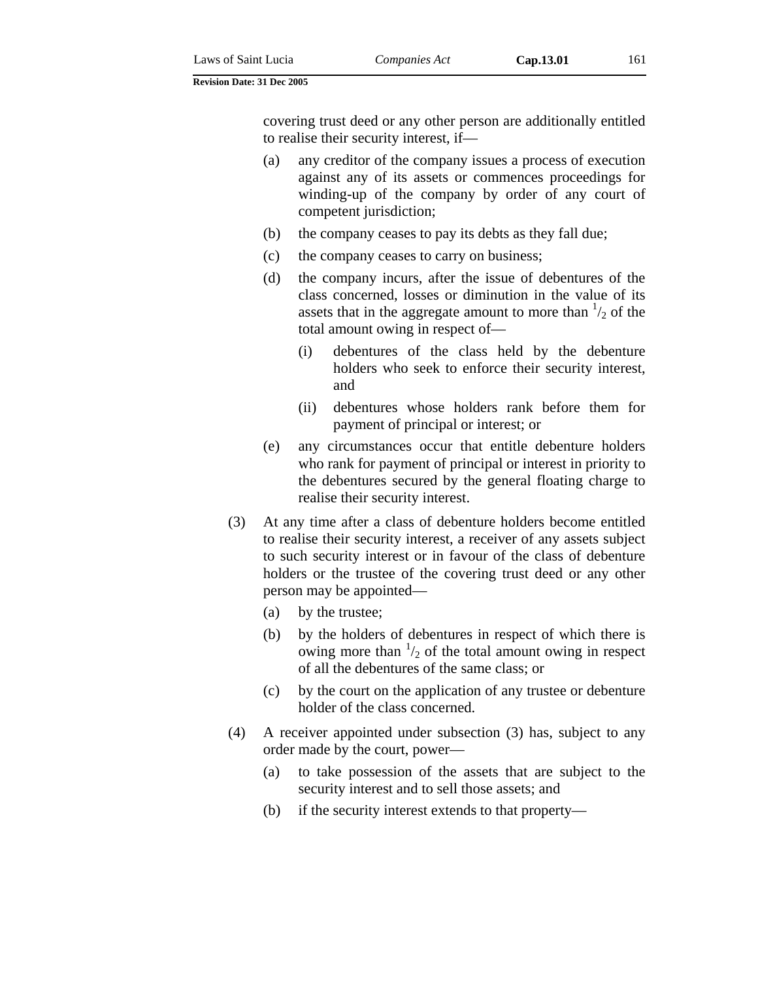covering trust deed or any other person are additionally entitled to realise their security interest, if—

- (a) any creditor of the company issues a process of execution against any of its assets or commences proceedings for winding-up of the company by order of any court of competent jurisdiction;
- (b) the company ceases to pay its debts as they fall due;
- (c) the company ceases to carry on business;
- (d) the company incurs, after the issue of debentures of the class concerned, losses or diminution in the value of its assets that in the aggregate amount to more than  $\frac{1}{2}$  of the total amount owing in respect of—
	- (i) debentures of the class held by the debenture holders who seek to enforce their security interest, and
	- (ii) debentures whose holders rank before them for payment of principal or interest; or
- (e) any circumstances occur that entitle debenture holders who rank for payment of principal or interest in priority to the debentures secured by the general floating charge to realise their security interest.
- (3) At any time after a class of debenture holders become entitled to realise their security interest, a receiver of any assets subject to such security interest or in favour of the class of debenture holders or the trustee of the covering trust deed or any other person may be appointed—
	- (a) by the trustee;
	- (b) by the holders of debentures in respect of which there is owing more than  $\frac{1}{2}$  of the total amount owing in respect of all the debentures of the same class; or
	- (c) by the court on the application of any trustee or debenture holder of the class concerned.
- (4) A receiver appointed under subsection (3) has, subject to any order made by the court, power—
	- (a) to take possession of the assets that are subject to the security interest and to sell those assets; and
	- (b) if the security interest extends to that property—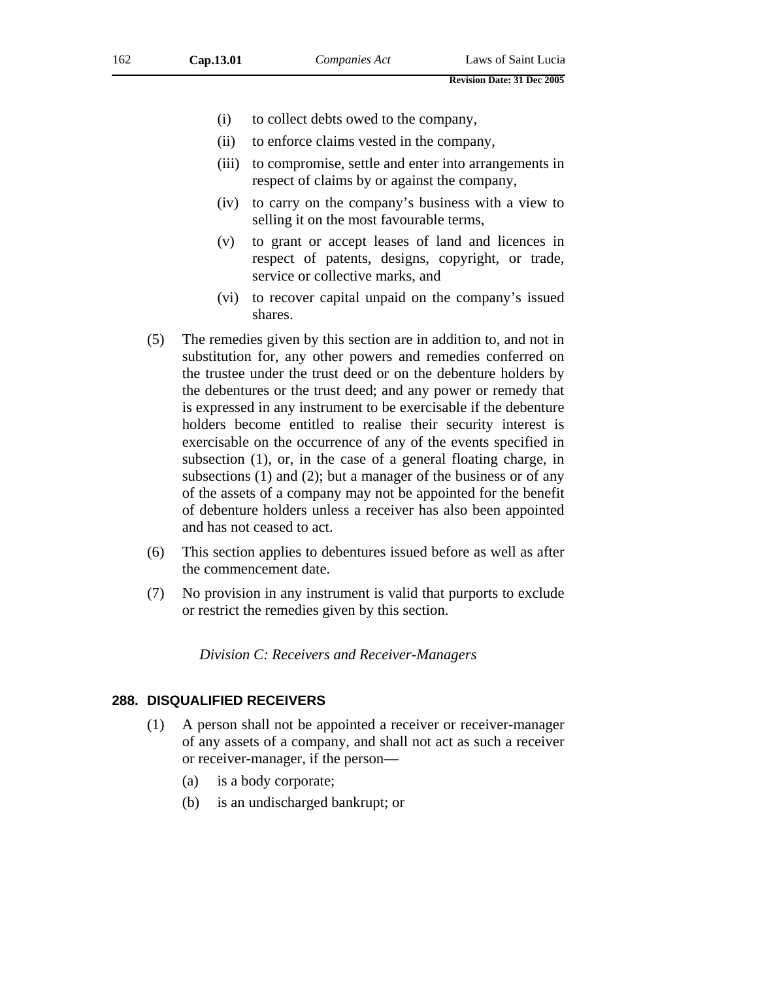- (i) to collect debts owed to the company,
- (ii) to enforce claims vested in the company,
- (iii) to compromise, settle and enter into arrangements in respect of claims by or against the company,
- (iv) to carry on the company's business with a view to selling it on the most favourable terms,
- (v) to grant or accept leases of land and licences in respect of patents, designs, copyright, or trade, service or collective marks, and
- (vi) to recover capital unpaid on the company's issued shares.
- (5) The remedies given by this section are in addition to, and not in substitution for, any other powers and remedies conferred on the trustee under the trust deed or on the debenture holders by the debentures or the trust deed; and any power or remedy that is expressed in any instrument to be exercisable if the debenture holders become entitled to realise their security interest is exercisable on the occurrence of any of the events specified in subsection (1), or, in the case of a general floating charge, in subsections (1) and (2); but a manager of the business or of any of the assets of a company may not be appointed for the benefit of debenture holders unless a receiver has also been appointed and has not ceased to act.
- (6) This section applies to debentures issued before as well as after the commencement date.
- (7) No provision in any instrument is valid that purports to exclude or restrict the remedies given by this section.

*Division C: Receivers and Receiver-Managers* 

#### **288. DISQUALIFIED RECEIVERS**

- (1) A person shall not be appointed a receiver or receiver-manager of any assets of a company, and shall not act as such a receiver or receiver-manager, if the person—
	- (a) is a body corporate;
	- (b) is an undischarged bankrupt; or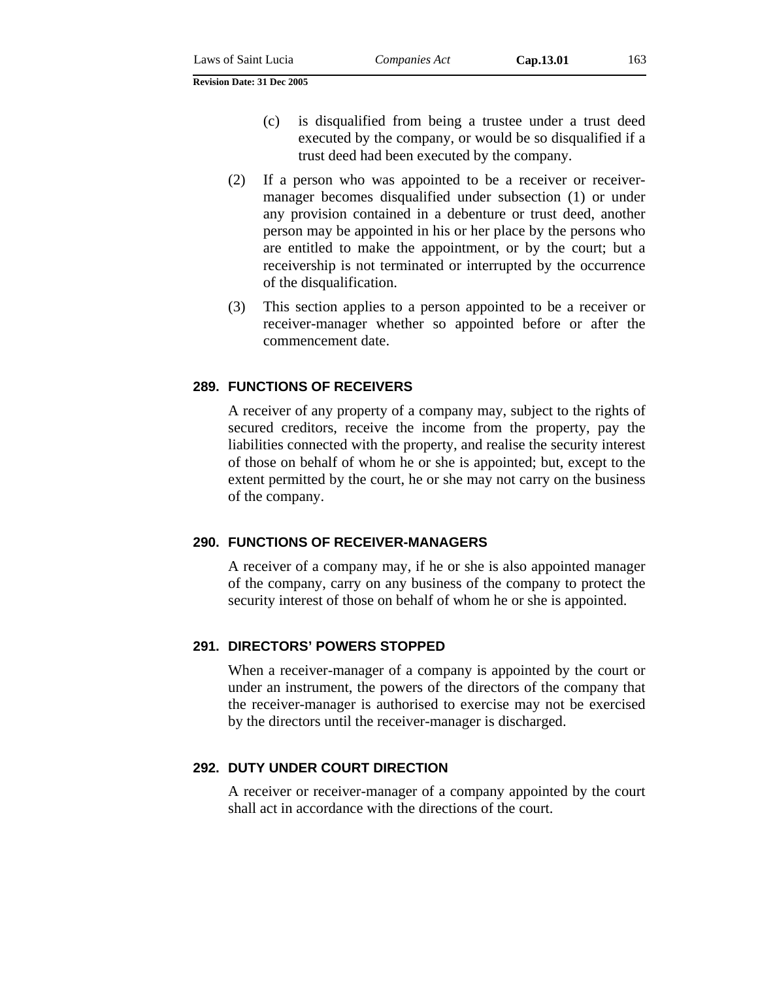- (c) is disqualified from being a trustee under a trust deed executed by the company, or would be so disqualified if a trust deed had been executed by the company.
- (2) If a person who was appointed to be a receiver or receivermanager becomes disqualified under subsection (1) or under any provision contained in a debenture or trust deed, another person may be appointed in his or her place by the persons who are entitled to make the appointment, or by the court; but a receivership is not terminated or interrupted by the occurrence of the disqualification.
- (3) This section applies to a person appointed to be a receiver or receiver-manager whether so appointed before or after the commencement date.

## **289. FUNCTIONS OF RECEIVERS**

A receiver of any property of a company may, subject to the rights of secured creditors, receive the income from the property, pay the liabilities connected with the property, and realise the security interest of those on behalf of whom he or she is appointed; but, except to the extent permitted by the court, he or she may not carry on the business of the company.

### **290. FUNCTIONS OF RECEIVER-MANAGERS**

A receiver of a company may, if he or she is also appointed manager of the company, carry on any business of the company to protect the security interest of those on behalf of whom he or she is appointed.

### **291. DIRECTORS' POWERS STOPPED**

When a receiver-manager of a company is appointed by the court or under an instrument, the powers of the directors of the company that the receiver-manager is authorised to exercise may not be exercised by the directors until the receiver-manager is discharged.

### **292. DUTY UNDER COURT DIRECTION**

A receiver or receiver-manager of a company appointed by the court shall act in accordance with the directions of the court.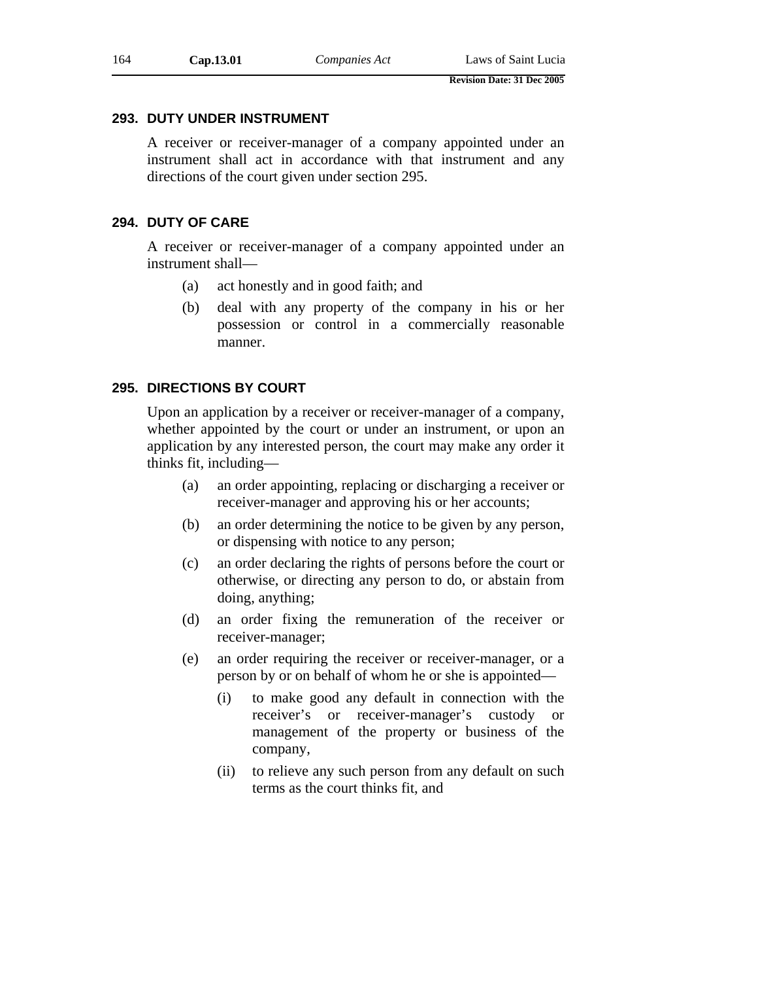## **293. DUTY UNDER INSTRUMENT**

A receiver or receiver-manager of a company appointed under an instrument shall act in accordance with that instrument and any directions of the court given under section 295.

## **294. DUTY OF CARE**

A receiver or receiver-manager of a company appointed under an instrument shall—

- (a) act honestly and in good faith; and
- (b) deal with any property of the company in his or her possession or control in a commercially reasonable manner.

# **295. DIRECTIONS BY COURT**

Upon an application by a receiver or receiver-manager of a company, whether appointed by the court or under an instrument, or upon an application by any interested person, the court may make any order it thinks fit, including—

- (a) an order appointing, replacing or discharging a receiver or receiver-manager and approving his or her accounts;
- (b) an order determining the notice to be given by any person, or dispensing with notice to any person;
- (c) an order declaring the rights of persons before the court or otherwise, or directing any person to do, or abstain from doing, anything;
- (d) an order fixing the remuneration of the receiver or receiver-manager;
- (e) an order requiring the receiver or receiver-manager, or a person by or on behalf of whom he or she is appointed—
	- (i) to make good any default in connection with the receiver's or receiver-manager's custody or management of the property or business of the company,
	- (ii) to relieve any such person from any default on such terms as the court thinks fit, and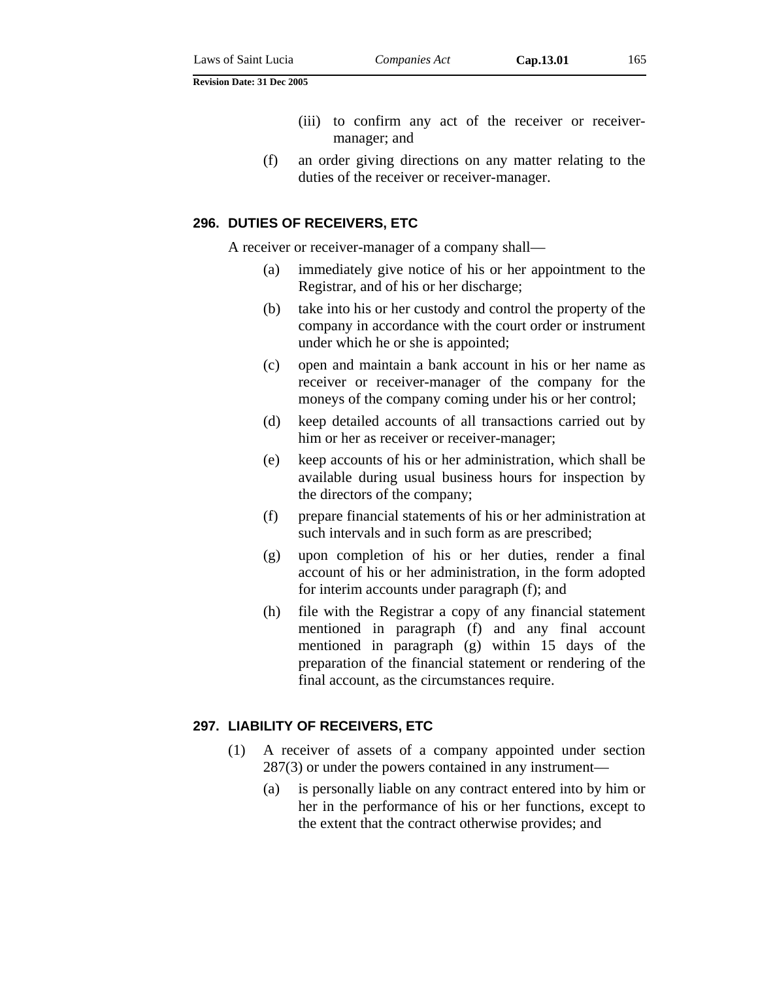- (iii) to confirm any act of the receiver or receivermanager; and
- (f) an order giving directions on any matter relating to the duties of the receiver or receiver-manager.

### **296. DUTIES OF RECEIVERS, ETC**

A receiver or receiver-manager of a company shall—

- (a) immediately give notice of his or her appointment to the Registrar, and of his or her discharge;
- (b) take into his or her custody and control the property of the company in accordance with the court order or instrument under which he or she is appointed;
- (c) open and maintain a bank account in his or her name as receiver or receiver-manager of the company for the moneys of the company coming under his or her control;
- (d) keep detailed accounts of all transactions carried out by him or her as receiver or receiver-manager;
- (e) keep accounts of his or her administration, which shall be available during usual business hours for inspection by the directors of the company;
- (f) prepare financial statements of his or her administration at such intervals and in such form as are prescribed;
- (g) upon completion of his or her duties, render a final account of his or her administration, in the form adopted for interim accounts under paragraph (f); and
- (h) file with the Registrar a copy of any financial statement mentioned in paragraph (f) and any final account mentioned in paragraph (g) within 15 days of the preparation of the financial statement or rendering of the final account, as the circumstances require.

#### **297. LIABILITY OF RECEIVERS, ETC**

- (1) A receiver of assets of a company appointed under section 287(3) or under the powers contained in any instrument—
	- (a) is personally liable on any contract entered into by him or her in the performance of his or her functions, except to the extent that the contract otherwise provides; and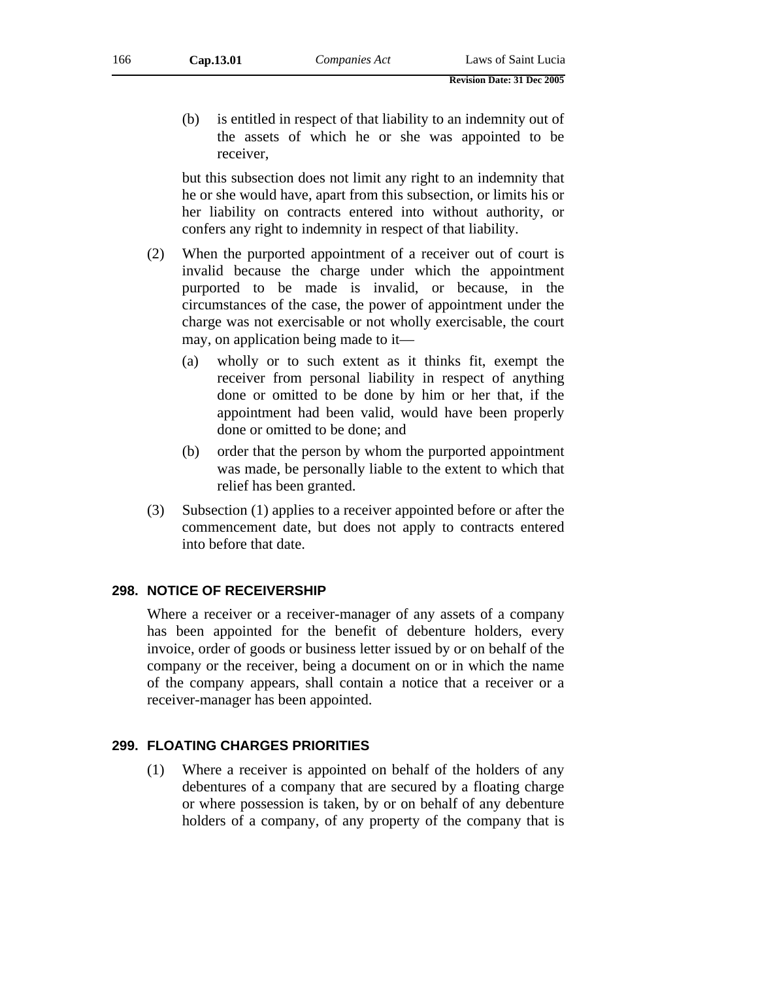(b) is entitled in respect of that liability to an indemnity out of the assets of which he or she was appointed to be receiver,

but this subsection does not limit any right to an indemnity that he or she would have, apart from this subsection, or limits his or her liability on contracts entered into without authority, or confers any right to indemnity in respect of that liability.

- (2) When the purported appointment of a receiver out of court is invalid because the charge under which the appointment purported to be made is invalid, or because, in the circumstances of the case, the power of appointment under the charge was not exercisable or not wholly exercisable, the court may, on application being made to it—
	- (a) wholly or to such extent as it thinks fit, exempt the receiver from personal liability in respect of anything done or omitted to be done by him or her that, if the appointment had been valid, would have been properly done or omitted to be done; and
	- (b) order that the person by whom the purported appointment was made, be personally liable to the extent to which that relief has been granted.
- (3) Subsection (1) applies to a receiver appointed before or after the commencement date, but does not apply to contracts entered into before that date.

## **298. NOTICE OF RECEIVERSHIP**

Where a receiver or a receiver-manager of any assets of a company has been appointed for the benefit of debenture holders, every invoice, order of goods or business letter issued by or on behalf of the company or the receiver, being a document on or in which the name of the company appears, shall contain a notice that a receiver or a receiver-manager has been appointed.

## **299. FLOATING CHARGES PRIORITIES**

(1) Where a receiver is appointed on behalf of the holders of any debentures of a company that are secured by a floating charge or where possession is taken, by or on behalf of any debenture holders of a company, of any property of the company that is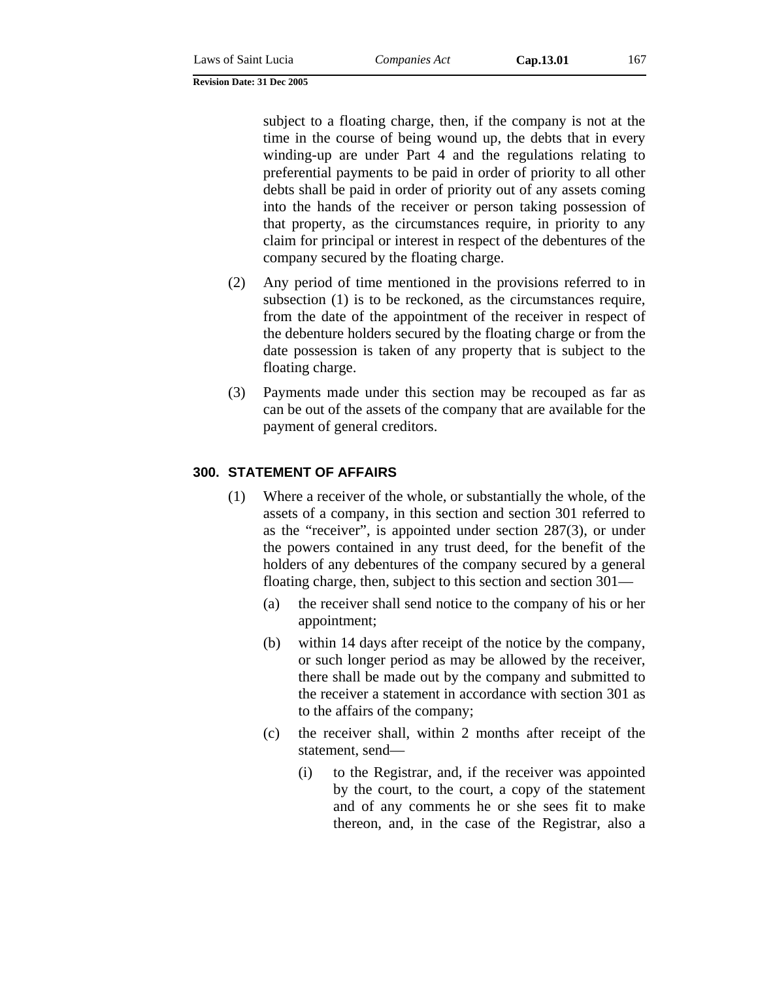subject to a floating charge, then, if the company is not at the time in the course of being wound up, the debts that in every winding-up are under Part 4 and the regulations relating to preferential payments to be paid in order of priority to all other debts shall be paid in order of priority out of any assets coming into the hands of the receiver or person taking possession of that property, as the circumstances require, in priority to any claim for principal or interest in respect of the debentures of the company secured by the floating charge.

- (2) Any period of time mentioned in the provisions referred to in subsection (1) is to be reckoned, as the circumstances require, from the date of the appointment of the receiver in respect of the debenture holders secured by the floating charge or from the date possession is taken of any property that is subject to the floating charge.
- (3) Payments made under this section may be recouped as far as can be out of the assets of the company that are available for the payment of general creditors.

## **300. STATEMENT OF AFFAIRS**

- (1) Where a receiver of the whole, or substantially the whole, of the assets of a company, in this section and section 301 referred to as the "receiver", is appointed under section 287(3), or under the powers contained in any trust deed, for the benefit of the holders of any debentures of the company secured by a general floating charge, then, subject to this section and section 301—
	- (a) the receiver shall send notice to the company of his or her appointment;
	- (b) within 14 days after receipt of the notice by the company, or such longer period as may be allowed by the receiver, there shall be made out by the company and submitted to the receiver a statement in accordance with section 301 as to the affairs of the company;
	- (c) the receiver shall, within 2 months after receipt of the statement, send—
		- (i) to the Registrar, and, if the receiver was appointed by the court, to the court, a copy of the statement and of any comments he or she sees fit to make thereon, and, in the case of the Registrar, also a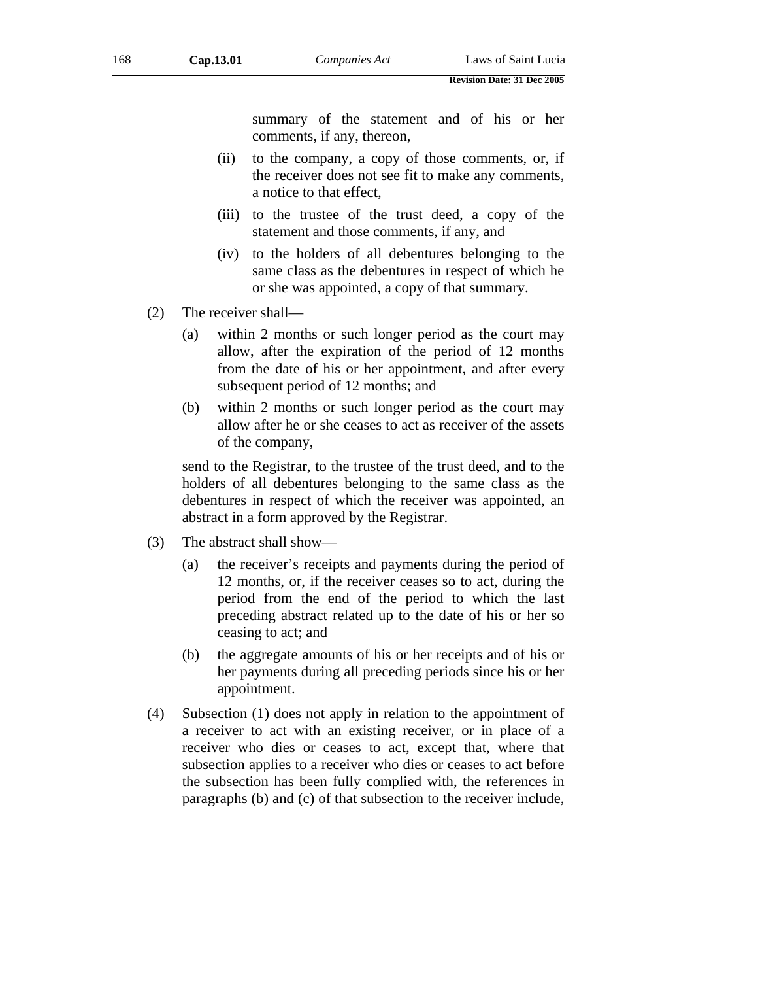summary of the statement and of his or her comments, if any, thereon,

- (ii) to the company, a copy of those comments, or, if the receiver does not see fit to make any comments, a notice to that effect,
- (iii) to the trustee of the trust deed, a copy of the statement and those comments, if any, and
- (iv) to the holders of all debentures belonging to the same class as the debentures in respect of which he or she was appointed, a copy of that summary.
- (2) The receiver shall—
	- (a) within 2 months or such longer period as the court may allow, after the expiration of the period of 12 months from the date of his or her appointment, and after every subsequent period of 12 months; and
	- (b) within 2 months or such longer period as the court may allow after he or she ceases to act as receiver of the assets of the company,

send to the Registrar, to the trustee of the trust deed, and to the holders of all debentures belonging to the same class as the debentures in respect of which the receiver was appointed, an abstract in a form approved by the Registrar.

- (3) The abstract shall show—
	- (a) the receiver's receipts and payments during the period of 12 months, or, if the receiver ceases so to act, during the period from the end of the period to which the last preceding abstract related up to the date of his or her so ceasing to act; and
	- (b) the aggregate amounts of his or her receipts and of his or her payments during all preceding periods since his or her appointment.
- (4) Subsection (1) does not apply in relation to the appointment of a receiver to act with an existing receiver, or in place of a receiver who dies or ceases to act, except that, where that subsection applies to a receiver who dies or ceases to act before the subsection has been fully complied with, the references in paragraphs (b) and (c) of that subsection to the receiver include,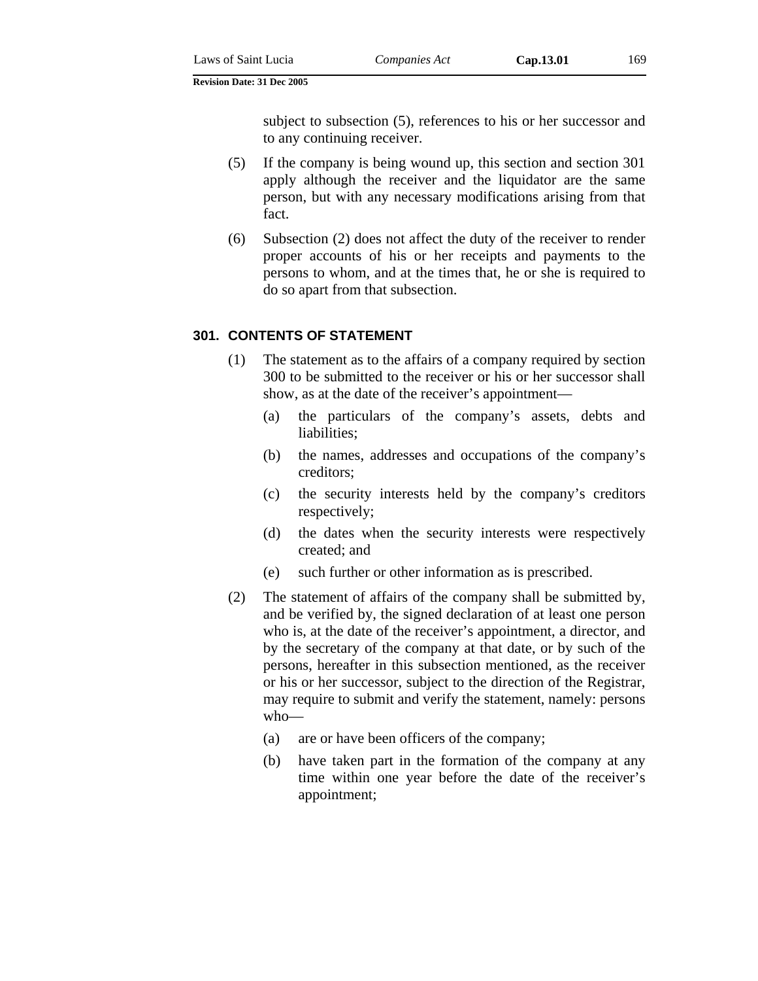subject to subsection (5), references to his or her successor and to any continuing receiver.

- (5) If the company is being wound up, this section and section 301 apply although the receiver and the liquidator are the same person, but with any necessary modifications arising from that fact.
- (6) Subsection (2) does not affect the duty of the receiver to render proper accounts of his or her receipts and payments to the persons to whom, and at the times that, he or she is required to do so apart from that subsection.

## **301. CONTENTS OF STATEMENT**

- (1) The statement as to the affairs of a company required by section 300 to be submitted to the receiver or his or her successor shall show, as at the date of the receiver's appointment—
	- (a) the particulars of the company's assets, debts and liabilities;
	- (b) the names, addresses and occupations of the company's creditors;
	- (c) the security interests held by the company's creditors respectively;
	- (d) the dates when the security interests were respectively created; and
	- (e) such further or other information as is prescribed.
- (2) The statement of affairs of the company shall be submitted by, and be verified by, the signed declaration of at least one person who is, at the date of the receiver's appointment, a director, and by the secretary of the company at that date, or by such of the persons, hereafter in this subsection mentioned, as the receiver or his or her successor, subject to the direction of the Registrar, may require to submit and verify the statement, namely: persons who—
	- (a) are or have been officers of the company;
	- (b) have taken part in the formation of the company at any time within one year before the date of the receiver's appointment;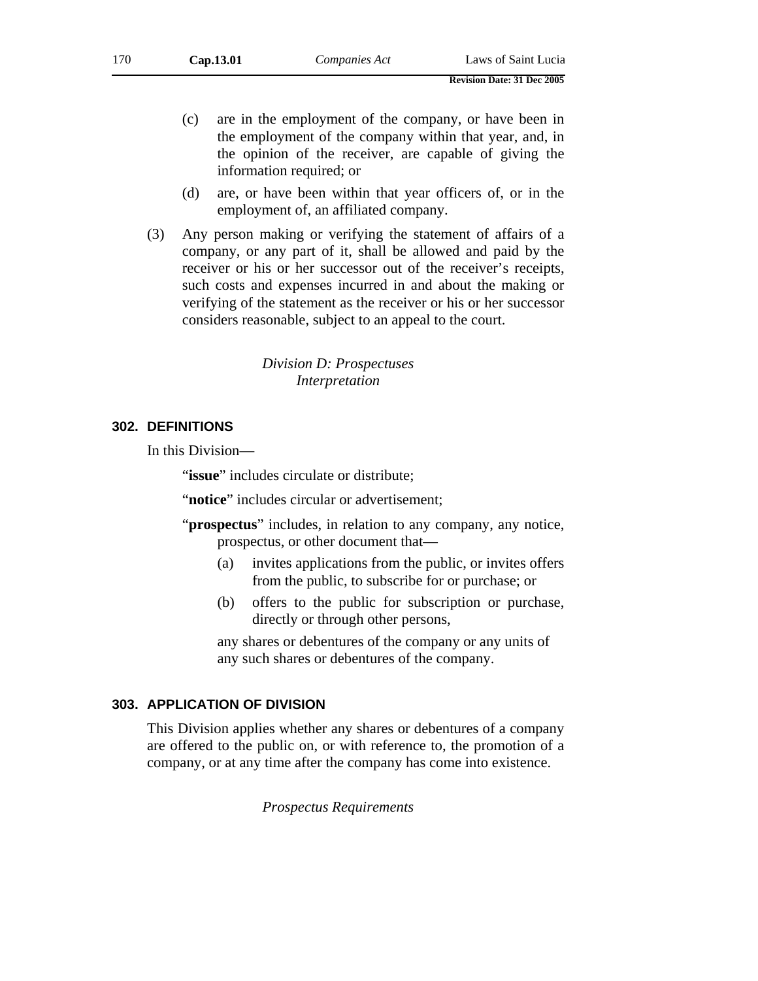- (c) are in the employment of the company, or have been in the employment of the company within that year, and, in the opinion of the receiver, are capable of giving the information required; or
- (d) are, or have been within that year officers of, or in the employment of, an affiliated company.
- (3) Any person making or verifying the statement of affairs of a company, or any part of it, shall be allowed and paid by the receiver or his or her successor out of the receiver's receipts, such costs and expenses incurred in and about the making or verifying of the statement as the receiver or his or her successor considers reasonable, subject to an appeal to the court.

*Division D: Prospectuses Interpretation* 

## **302. DEFINITIONS**

In this Division—

"issue" includes circulate or distribute;

"**notice**" includes circular or advertisement;

- "**prospectus**" includes, in relation to any company, any notice, prospectus, or other document that—
	- (a) invites applications from the public, or invites offers from the public, to subscribe for or purchase; or
	- (b) offers to the public for subscription or purchase, directly or through other persons,

any shares or debentures of the company or any units of any such shares or debentures of the company.

## **303. APPLICATION OF DIVISION**

This Division applies whether any shares or debentures of a company are offered to the public on, or with reference to, the promotion of a company, or at any time after the company has come into existence.

*Prospectus Requirements*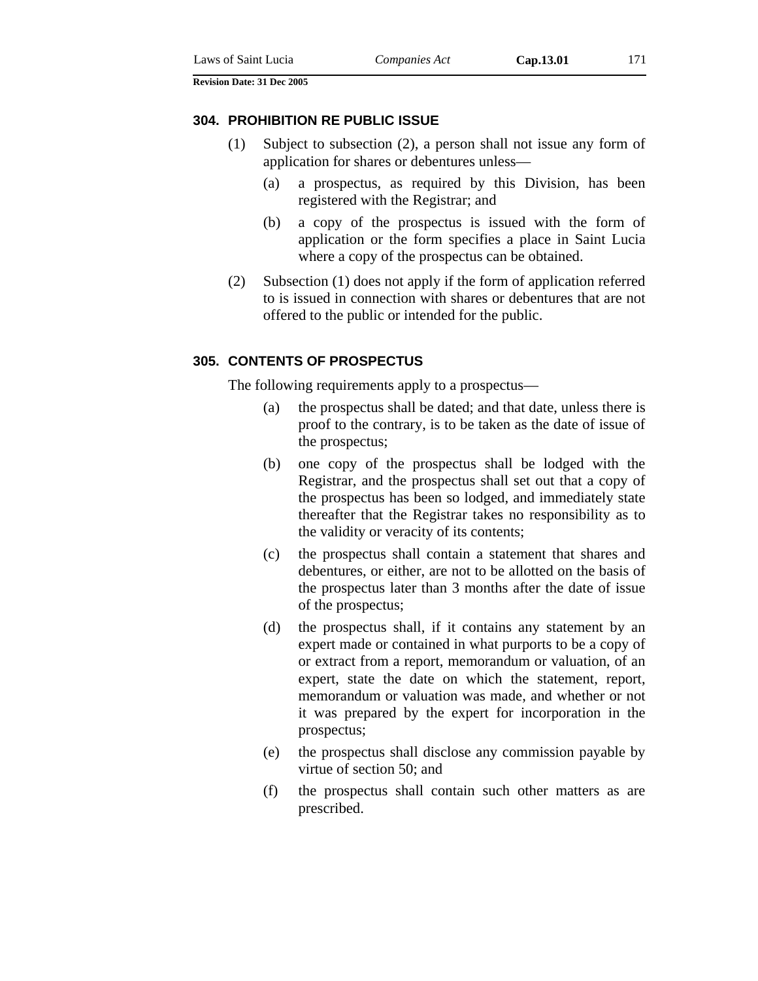#### **304. PROHIBITION RE PUBLIC ISSUE**

- (1) Subject to subsection (2), a person shall not issue any form of application for shares or debentures unless—
	- (a) a prospectus, as required by this Division, has been registered with the Registrar; and
	- (b) a copy of the prospectus is issued with the form of application or the form specifies a place in Saint Lucia where a copy of the prospectus can be obtained.
- (2) Subsection (1) does not apply if the form of application referred to is issued in connection with shares or debentures that are not offered to the public or intended for the public.

## **305. CONTENTS OF PROSPECTUS**

The following requirements apply to a prospectus—

- (a) the prospectus shall be dated; and that date, unless there is proof to the contrary, is to be taken as the date of issue of the prospectus;
- (b) one copy of the prospectus shall be lodged with the Registrar, and the prospectus shall set out that a copy of the prospectus has been so lodged, and immediately state thereafter that the Registrar takes no responsibility as to the validity or veracity of its contents;
- (c) the prospectus shall contain a statement that shares and debentures, or either, are not to be allotted on the basis of the prospectus later than 3 months after the date of issue of the prospectus;
- (d) the prospectus shall, if it contains any statement by an expert made or contained in what purports to be a copy of or extract from a report, memorandum or valuation, of an expert, state the date on which the statement, report, memorandum or valuation was made, and whether or not it was prepared by the expert for incorporation in the prospectus;
- (e) the prospectus shall disclose any commission payable by virtue of section 50; and
- (f) the prospectus shall contain such other matters as are prescribed.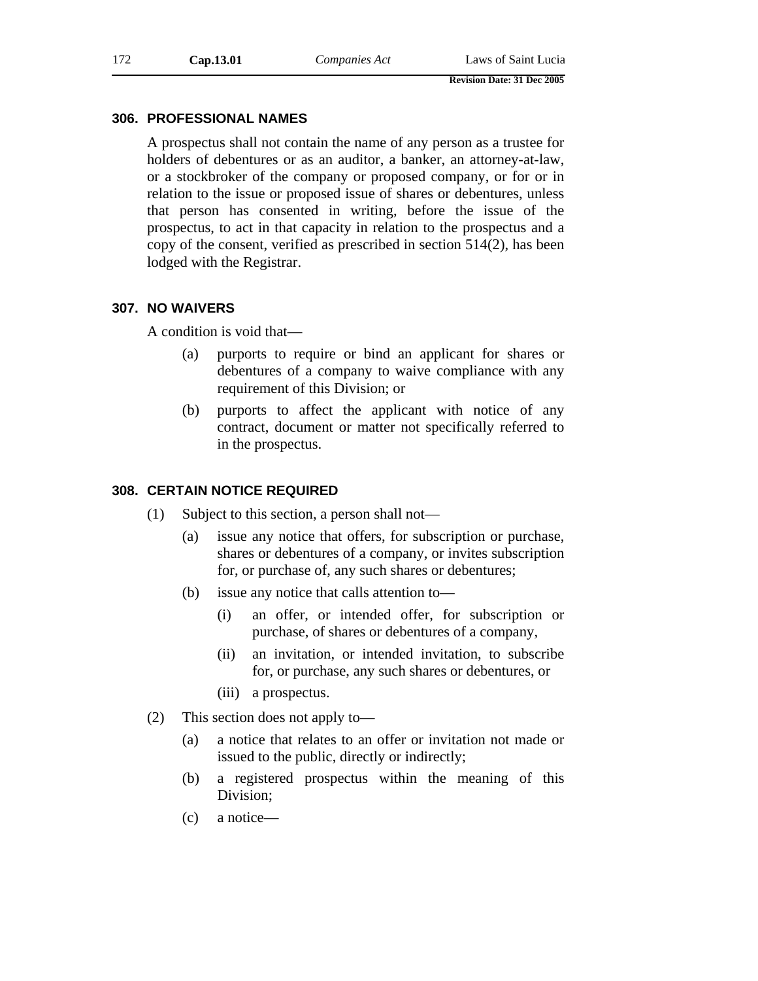### **306. PROFESSIONAL NAMES**

A prospectus shall not contain the name of any person as a trustee for holders of debentures or as an auditor, a banker, an attorney-at-law, or a stockbroker of the company or proposed company, or for or in relation to the issue or proposed issue of shares or debentures, unless that person has consented in writing, before the issue of the prospectus, to act in that capacity in relation to the prospectus and a copy of the consent, verified as prescribed in section 514(2), has been lodged with the Registrar.

#### **307. NO WAIVERS**

A condition is void that—

- (a) purports to require or bind an applicant for shares or debentures of a company to waive compliance with any requirement of this Division; or
- (b) purports to affect the applicant with notice of any contract, document or matter not specifically referred to in the prospectus.

# **308. CERTAIN NOTICE REQUIRED**

- (1) Subject to this section, a person shall not—
	- (a) issue any notice that offers, for subscription or purchase, shares or debentures of a company, or invites subscription for, or purchase of, any such shares or debentures;
	- (b) issue any notice that calls attention to—
		- (i) an offer, or intended offer, for subscription or purchase, of shares or debentures of a company,
		- (ii) an invitation, or intended invitation, to subscribe for, or purchase, any such shares or debentures, or
		- (iii) a prospectus.
- (2) This section does not apply to—
	- (a) a notice that relates to an offer or invitation not made or issued to the public, directly or indirectly;
	- (b) a registered prospectus within the meaning of this Division;
	- (c) a notice—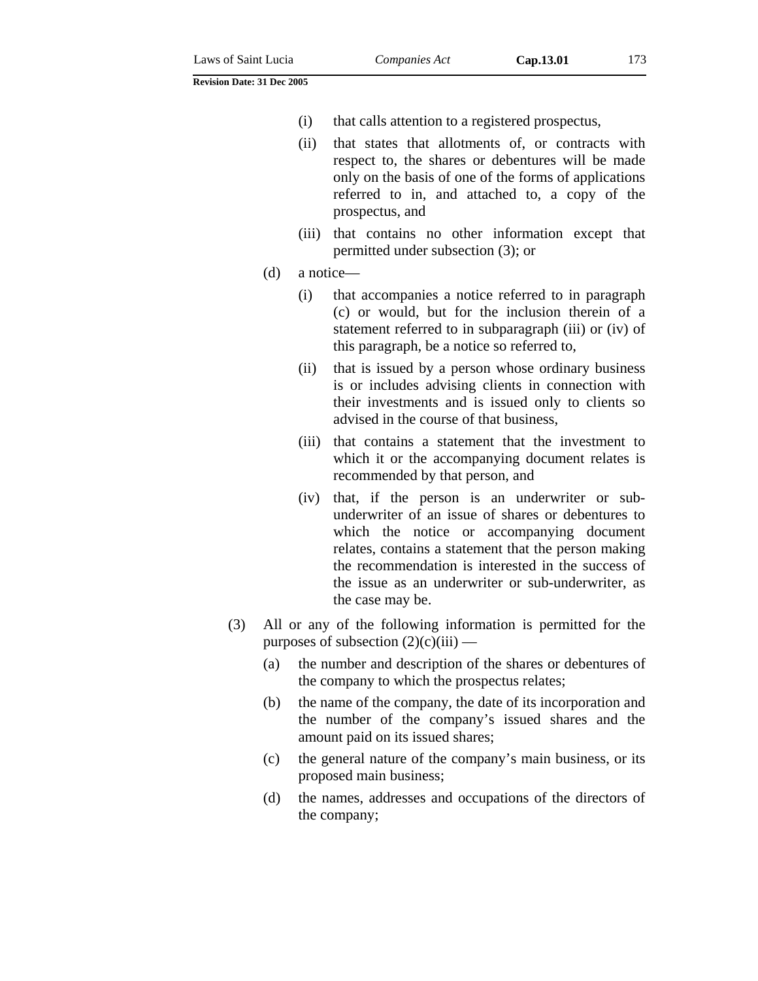- (ii) that states that allotments of, or contracts with respect to, the shares or debentures will be made only on the basis of one of the forms of applications referred to in, and attached to, a copy of the prospectus, and
- (iii) that contains no other information except that permitted under subsection (3); or
- (d) a notice—
	- (i) that accompanies a notice referred to in paragraph (c) or would, but for the inclusion therein of a statement referred to in subparagraph (iii) or (iv) of this paragraph, be a notice so referred to,
	- (ii) that is issued by a person whose ordinary business is or includes advising clients in connection with their investments and is issued only to clients so advised in the course of that business,
	- (iii) that contains a statement that the investment to which it or the accompanying document relates is recommended by that person, and
	- (iv) that, if the person is an underwriter or subunderwriter of an issue of shares or debentures to which the notice or accompanying document relates, contains a statement that the person making the recommendation is interested in the success of the issue as an underwriter or sub-underwriter, as the case may be.
- (3) All or any of the following information is permitted for the purposes of subsection  $(2)(c)(iii)$  —
	- (a) the number and description of the shares or debentures of the company to which the prospectus relates;
	- (b) the name of the company, the date of its incorporation and the number of the company's issued shares and the amount paid on its issued shares;
	- (c) the general nature of the company's main business, or its proposed main business;
	- (d) the names, addresses and occupations of the directors of the company;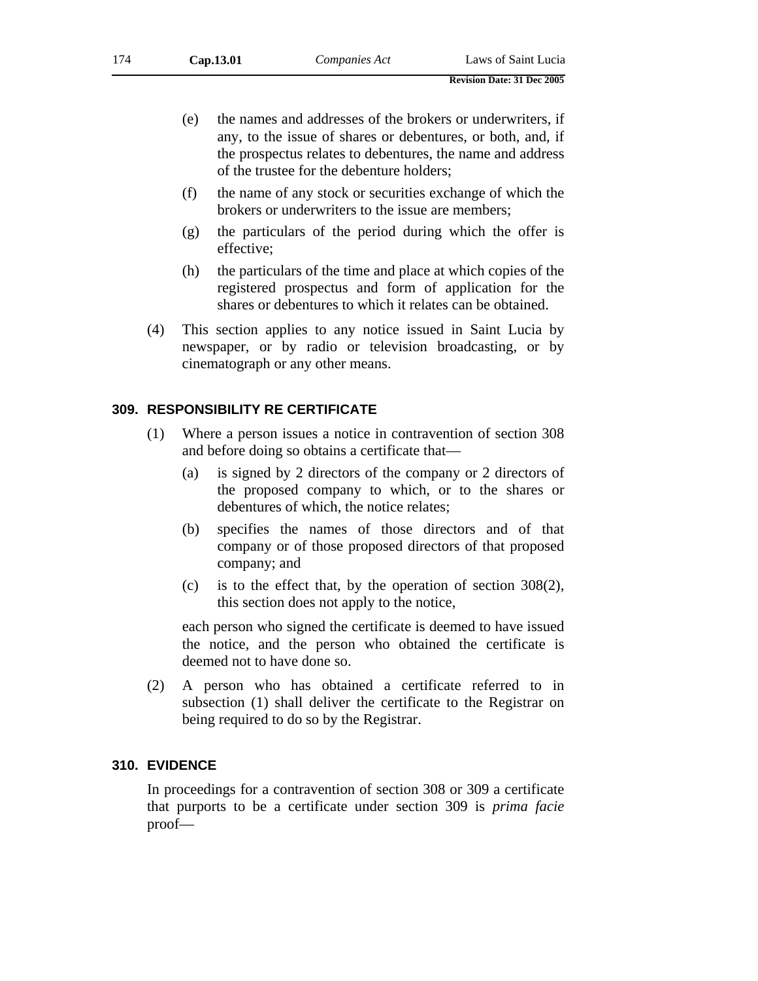- (e) the names and addresses of the brokers or underwriters, if any, to the issue of shares or debentures, or both, and, if the prospectus relates to debentures, the name and address of the trustee for the debenture holders;
- (f) the name of any stock or securities exchange of which the brokers or underwriters to the issue are members;
- (g) the particulars of the period during which the offer is effective;
- (h) the particulars of the time and place at which copies of the registered prospectus and form of application for the shares or debentures to which it relates can be obtained.
- (4) This section applies to any notice issued in Saint Lucia by newspaper, or by radio or television broadcasting, or by cinematograph or any other means.

## **309. RESPONSIBILITY RE CERTIFICATE**

- (1) Where a person issues a notice in contravention of section 308 and before doing so obtains a certificate that—
	- (a) is signed by 2 directors of the company or 2 directors of the proposed company to which, or to the shares or debentures of which, the notice relates;
	- (b) specifies the names of those directors and of that company or of those proposed directors of that proposed company; and
	- (c) is to the effect that, by the operation of section 308(2), this section does not apply to the notice,

each person who signed the certificate is deemed to have issued the notice, and the person who obtained the certificate is deemed not to have done so.

(2) A person who has obtained a certificate referred to in subsection (1) shall deliver the certificate to the Registrar on being required to do so by the Registrar.

### **310. EVIDENCE**

In proceedings for a contravention of section 308 or 309 a certificate that purports to be a certificate under section 309 is *prima facie* proof—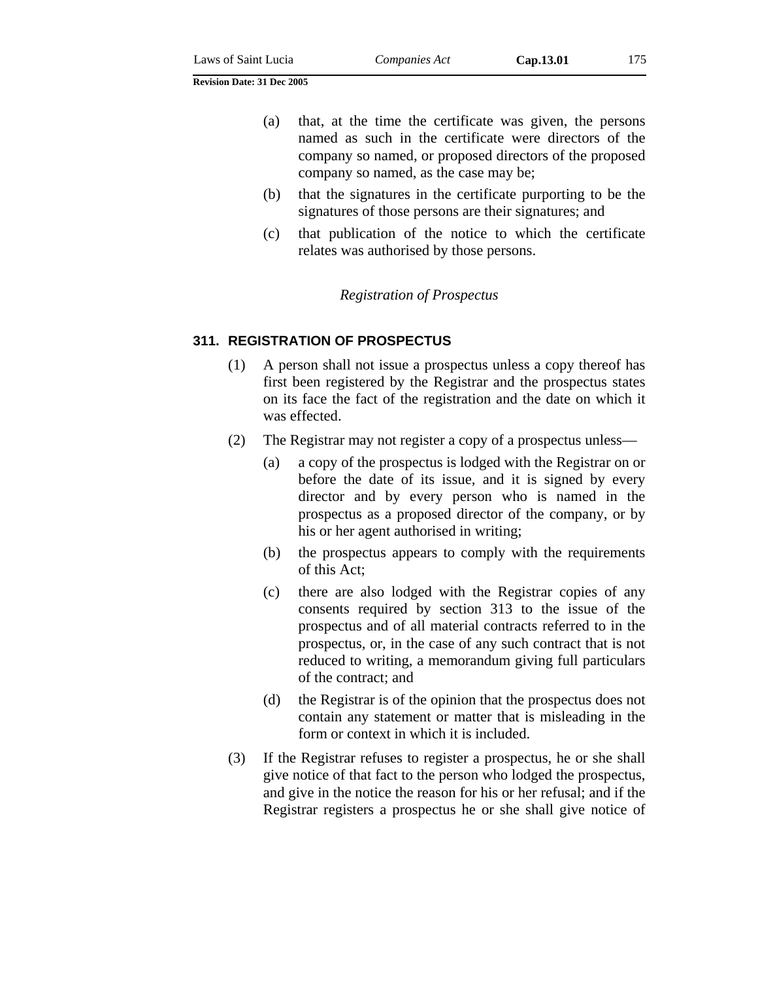- (a) that, at the time the certificate was given, the persons named as such in the certificate were directors of the company so named, or proposed directors of the proposed company so named, as the case may be;
- (b) that the signatures in the certificate purporting to be the signatures of those persons are their signatures; and
- (c) that publication of the notice to which the certificate relates was authorised by those persons.

#### *Registration of Prospectus*

#### **311. REGISTRATION OF PROSPECTUS**

- (1) A person shall not issue a prospectus unless a copy thereof has first been registered by the Registrar and the prospectus states on its face the fact of the registration and the date on which it was effected.
- (2) The Registrar may not register a copy of a prospectus unless—
	- (a) a copy of the prospectus is lodged with the Registrar on or before the date of its issue, and it is signed by every director and by every person who is named in the prospectus as a proposed director of the company, or by his or her agent authorised in writing;
	- (b) the prospectus appears to comply with the requirements of this Act;
	- (c) there are also lodged with the Registrar copies of any consents required by section 313 to the issue of the prospectus and of all material contracts referred to in the prospectus, or, in the case of any such contract that is not reduced to writing, a memorandum giving full particulars of the contract; and
	- (d) the Registrar is of the opinion that the prospectus does not contain any statement or matter that is misleading in the form or context in which it is included.
- (3) If the Registrar refuses to register a prospectus, he or she shall give notice of that fact to the person who lodged the prospectus, and give in the notice the reason for his or her refusal; and if the Registrar registers a prospectus he or she shall give notice of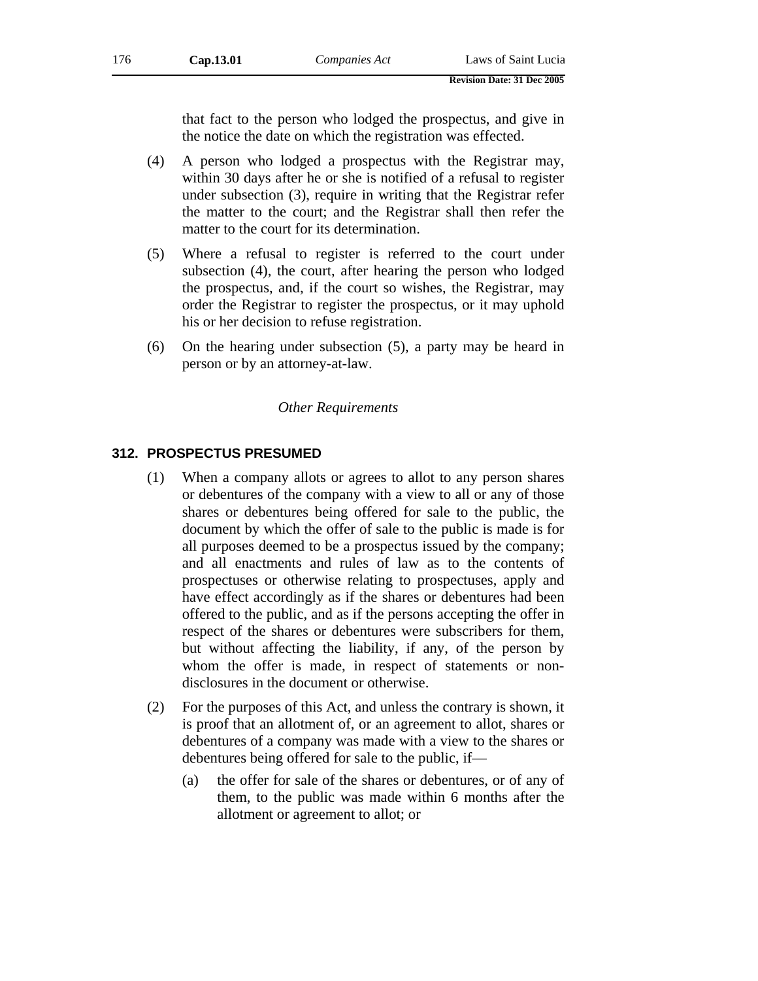that fact to the person who lodged the prospectus, and give in the notice the date on which the registration was effected.

- (4) A person who lodged a prospectus with the Registrar may, within 30 days after he or she is notified of a refusal to register under subsection (3), require in writing that the Registrar refer the matter to the court; and the Registrar shall then refer the matter to the court for its determination.
- (5) Where a refusal to register is referred to the court under subsection (4), the court, after hearing the person who lodged the prospectus, and, if the court so wishes, the Registrar, may order the Registrar to register the prospectus, or it may uphold his or her decision to refuse registration.
- (6) On the hearing under subsection (5), a party may be heard in person or by an attorney-at-law.

### *Other Requirements*

## **312. PROSPECTUS PRESUMED**

- (1) When a company allots or agrees to allot to any person shares or debentures of the company with a view to all or any of those shares or debentures being offered for sale to the public, the document by which the offer of sale to the public is made is for all purposes deemed to be a prospectus issued by the company; and all enactments and rules of law as to the contents of prospectuses or otherwise relating to prospectuses, apply and have effect accordingly as if the shares or debentures had been offered to the public, and as if the persons accepting the offer in respect of the shares or debentures were subscribers for them, but without affecting the liability, if any, of the person by whom the offer is made, in respect of statements or nondisclosures in the document or otherwise.
- (2) For the purposes of this Act, and unless the contrary is shown, it is proof that an allotment of, or an agreement to allot, shares or debentures of a company was made with a view to the shares or debentures being offered for sale to the public, if—
	- (a) the offer for sale of the shares or debentures, or of any of them, to the public was made within 6 months after the allotment or agreement to allot; or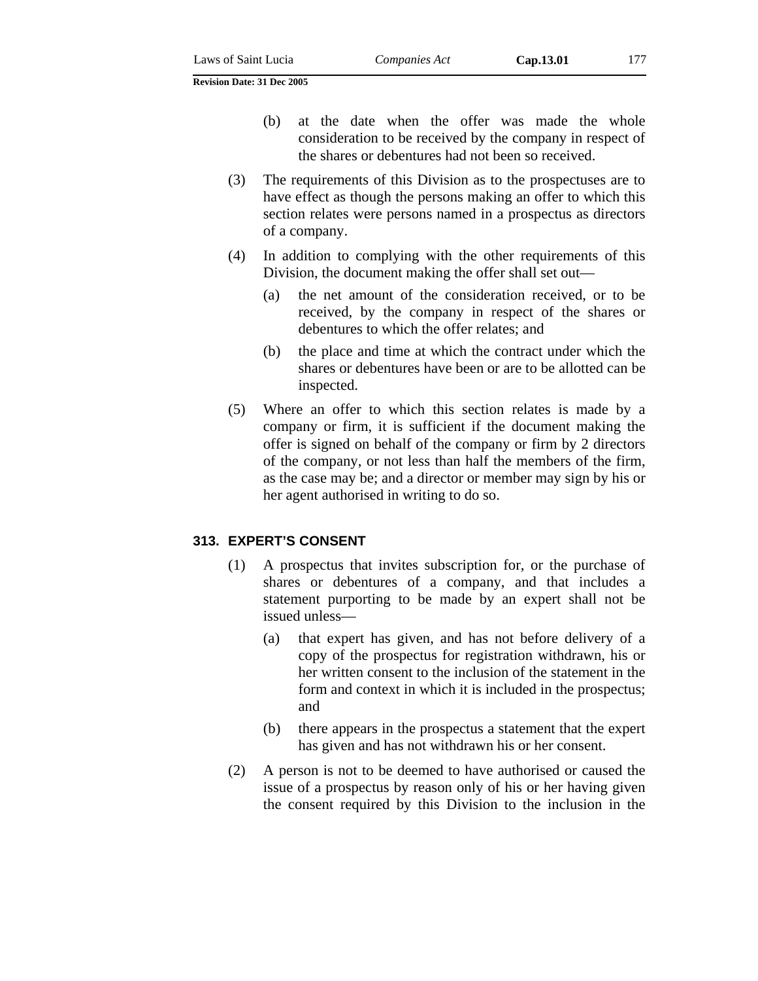- (b) at the date when the offer was made the whole consideration to be received by the company in respect of the shares or debentures had not been so received.
- (3) The requirements of this Division as to the prospectuses are to have effect as though the persons making an offer to which this section relates were persons named in a prospectus as directors of a company.
- (4) In addition to complying with the other requirements of this Division, the document making the offer shall set out—
	- (a) the net amount of the consideration received, or to be received, by the company in respect of the shares or debentures to which the offer relates; and
	- (b) the place and time at which the contract under which the shares or debentures have been or are to be allotted can be inspected.
- (5) Where an offer to which this section relates is made by a company or firm, it is sufficient if the document making the offer is signed on behalf of the company or firm by 2 directors of the company, or not less than half the members of the firm, as the case may be; and a director or member may sign by his or her agent authorised in writing to do so.

## **313. EXPERT'S CONSENT**

- (1) A prospectus that invites subscription for, or the purchase of shares or debentures of a company, and that includes a statement purporting to be made by an expert shall not be issued unless—
	- (a) that expert has given, and has not before delivery of a copy of the prospectus for registration withdrawn, his or her written consent to the inclusion of the statement in the form and context in which it is included in the prospectus; and
	- (b) there appears in the prospectus a statement that the expert has given and has not withdrawn his or her consent.
- (2) A person is not to be deemed to have authorised or caused the issue of a prospectus by reason only of his or her having given the consent required by this Division to the inclusion in the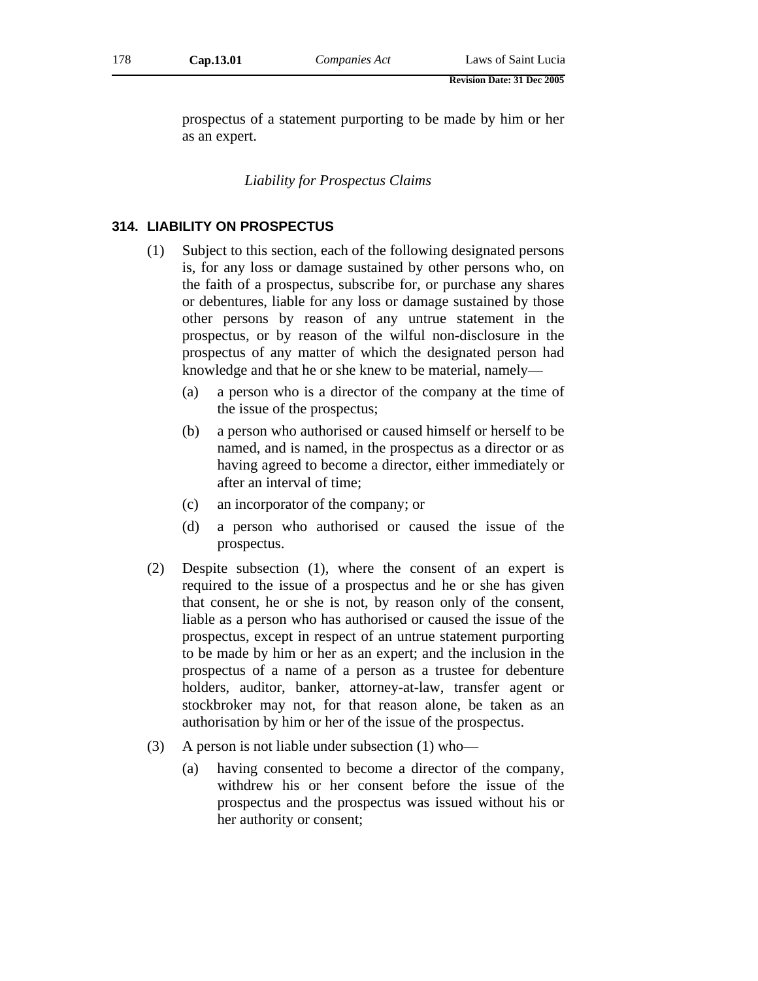prospectus of a statement purporting to be made by him or her as an expert.

*Liability for Prospectus Claims* 

## **314. LIABILITY ON PROSPECTUS**

- (1) Subject to this section, each of the following designated persons is, for any loss or damage sustained by other persons who, on the faith of a prospectus, subscribe for, or purchase any shares or debentures, liable for any loss or damage sustained by those other persons by reason of any untrue statement in the prospectus, or by reason of the wilful non-disclosure in the prospectus of any matter of which the designated person had knowledge and that he or she knew to be material, namely—
	- (a) a person who is a director of the company at the time of the issue of the prospectus;
	- (b) a person who authorised or caused himself or herself to be named, and is named, in the prospectus as a director or as having agreed to become a director, either immediately or after an interval of time;
	- (c) an incorporator of the company; or
	- (d) a person who authorised or caused the issue of the prospectus.
- (2) Despite subsection (1), where the consent of an expert is required to the issue of a prospectus and he or she has given that consent, he or she is not, by reason only of the consent, liable as a person who has authorised or caused the issue of the prospectus, except in respect of an untrue statement purporting to be made by him or her as an expert; and the inclusion in the prospectus of a name of a person as a trustee for debenture holders, auditor, banker, attorney-at-law, transfer agent or stockbroker may not, for that reason alone, be taken as an authorisation by him or her of the issue of the prospectus.
- (3) A person is not liable under subsection (1) who—
	- (a) having consented to become a director of the company, withdrew his or her consent before the issue of the prospectus and the prospectus was issued without his or her authority or consent;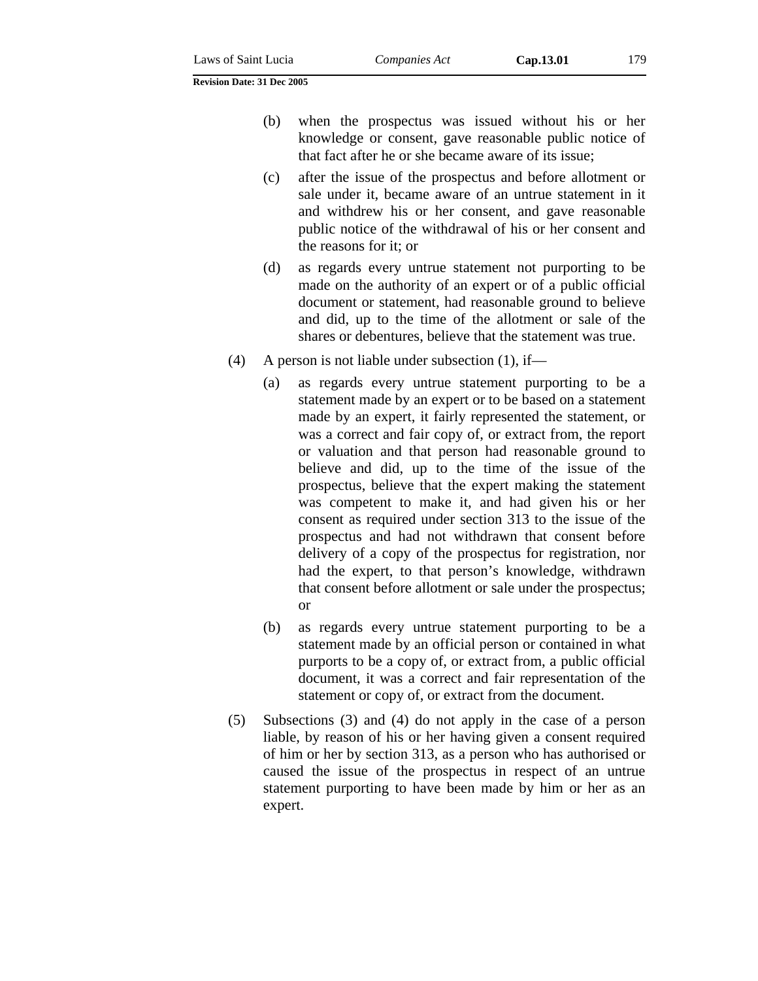(b) when the prospectus was issued without his or her knowledge or consent, gave reasonable public notice of that fact after he or she became aware of its issue;

- (c) after the issue of the prospectus and before allotment or sale under it, became aware of an untrue statement in it and withdrew his or her consent, and gave reasonable public notice of the withdrawal of his or her consent and the reasons for it; or
- (d) as regards every untrue statement not purporting to be made on the authority of an expert or of a public official document or statement, had reasonable ground to believe and did, up to the time of the allotment or sale of the shares or debentures, believe that the statement was true.
- (4) A person is not liable under subsection (1), if—
	- (a) as regards every untrue statement purporting to be a statement made by an expert or to be based on a statement made by an expert, it fairly represented the statement, or was a correct and fair copy of, or extract from, the report or valuation and that person had reasonable ground to believe and did, up to the time of the issue of the prospectus, believe that the expert making the statement was competent to make it, and had given his or her consent as required under section 313 to the issue of the prospectus and had not withdrawn that consent before delivery of a copy of the prospectus for registration, nor had the expert, to that person's knowledge, withdrawn that consent before allotment or sale under the prospectus; or
	- (b) as regards every untrue statement purporting to be a statement made by an official person or contained in what purports to be a copy of, or extract from, a public official document, it was a correct and fair representation of the statement or copy of, or extract from the document.
- (5) Subsections (3) and (4) do not apply in the case of a person liable, by reason of his or her having given a consent required of him or her by section 313, as a person who has authorised or caused the issue of the prospectus in respect of an untrue statement purporting to have been made by him or her as an expert.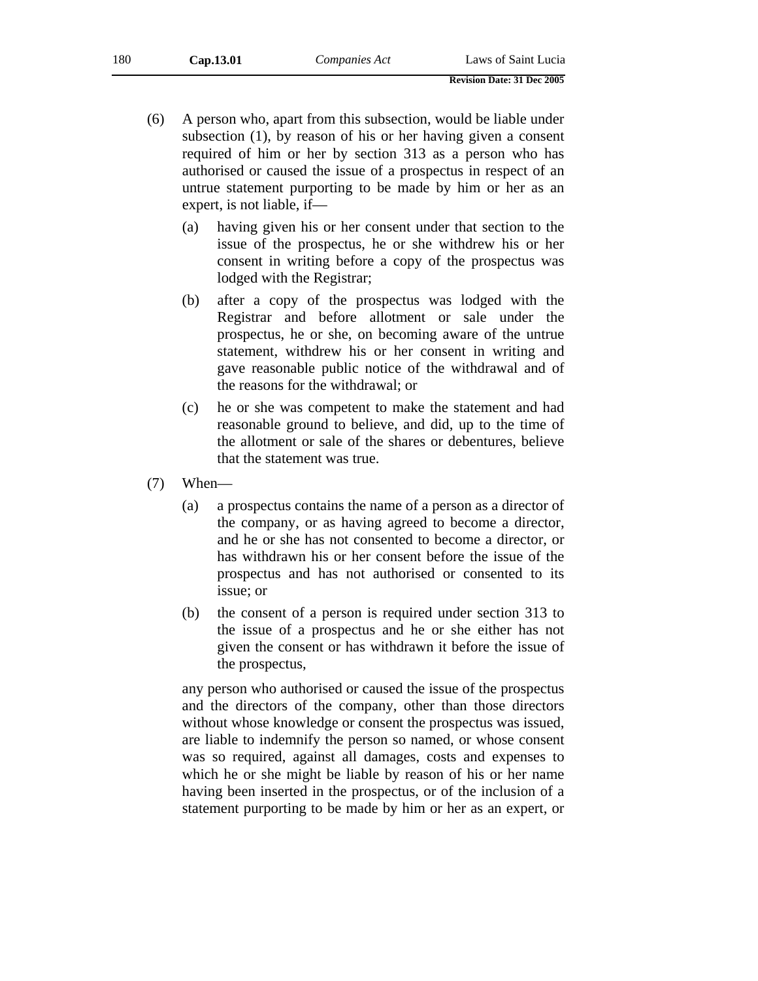- (6) A person who, apart from this subsection, would be liable under subsection (1), by reason of his or her having given a consent required of him or her by section 313 as a person who has authorised or caused the issue of a prospectus in respect of an untrue statement purporting to be made by him or her as an expert, is not liable, if—
	- (a) having given his or her consent under that section to the issue of the prospectus, he or she withdrew his or her consent in writing before a copy of the prospectus was lodged with the Registrar;
	- (b) after a copy of the prospectus was lodged with the Registrar and before allotment or sale under the prospectus, he or she, on becoming aware of the untrue statement, withdrew his or her consent in writing and gave reasonable public notice of the withdrawal and of the reasons for the withdrawal; or
	- (c) he or she was competent to make the statement and had reasonable ground to believe, and did, up to the time of the allotment or sale of the shares or debentures, believe that the statement was true.
- (7) When—
	- (a) a prospectus contains the name of a person as a director of the company, or as having agreed to become a director, and he or she has not consented to become a director, or has withdrawn his or her consent before the issue of the prospectus and has not authorised or consented to its issue; or
	- (b) the consent of a person is required under section 313 to the issue of a prospectus and he or she either has not given the consent or has withdrawn it before the issue of the prospectus,

any person who authorised or caused the issue of the prospectus and the directors of the company, other than those directors without whose knowledge or consent the prospectus was issued, are liable to indemnify the person so named, or whose consent was so required, against all damages, costs and expenses to which he or she might be liable by reason of his or her name having been inserted in the prospectus, or of the inclusion of a statement purporting to be made by him or her as an expert, or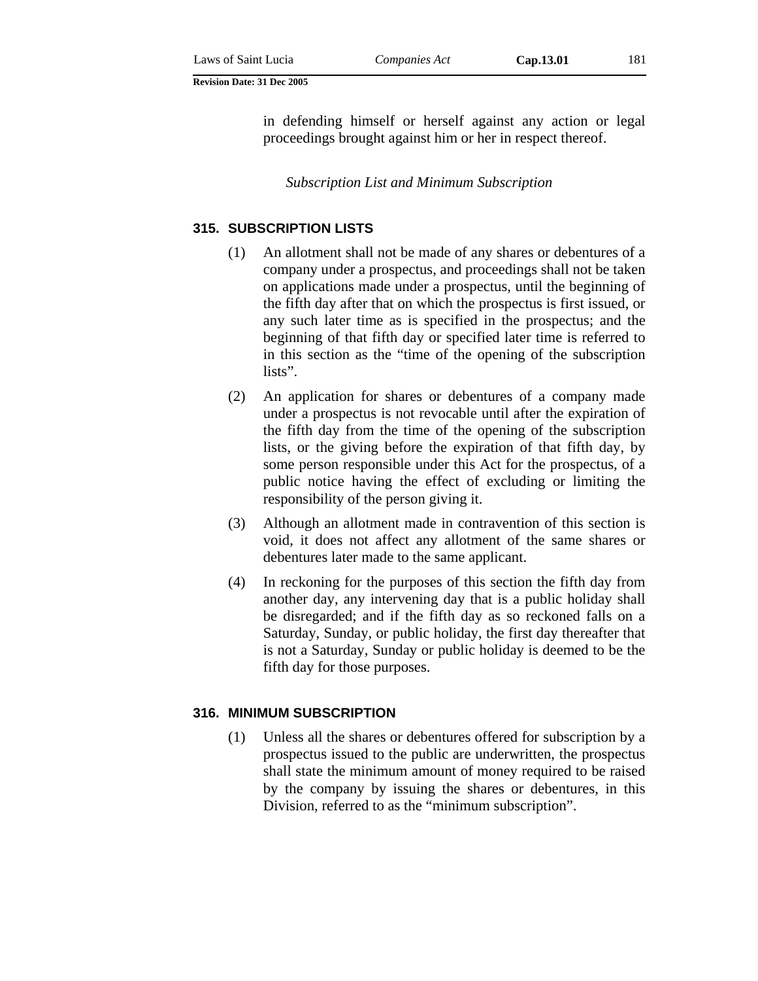in defending himself or herself against any action or legal proceedings brought against him or her in respect thereof.

*Subscription List and Minimum Subscription* 

## **315. SUBSCRIPTION LISTS**

- (1) An allotment shall not be made of any shares or debentures of a company under a prospectus, and proceedings shall not be taken on applications made under a prospectus, until the beginning of the fifth day after that on which the prospectus is first issued, or any such later time as is specified in the prospectus; and the beginning of that fifth day or specified later time is referred to in this section as the "time of the opening of the subscription lists".
- (2) An application for shares or debentures of a company made under a prospectus is not revocable until after the expiration of the fifth day from the time of the opening of the subscription lists, or the giving before the expiration of that fifth day, by some person responsible under this Act for the prospectus, of a public notice having the effect of excluding or limiting the responsibility of the person giving it.
- (3) Although an allotment made in contravention of this section is void, it does not affect any allotment of the same shares or debentures later made to the same applicant.
- (4) In reckoning for the purposes of this section the fifth day from another day, any intervening day that is a public holiday shall be disregarded; and if the fifth day as so reckoned falls on a Saturday, Sunday, or public holiday, the first day thereafter that is not a Saturday, Sunday or public holiday is deemed to be the fifth day for those purposes.

#### **316. MINIMUM SUBSCRIPTION**

(1) Unless all the shares or debentures offered for subscription by a prospectus issued to the public are underwritten, the prospectus shall state the minimum amount of money required to be raised by the company by issuing the shares or debentures, in this Division, referred to as the "minimum subscription".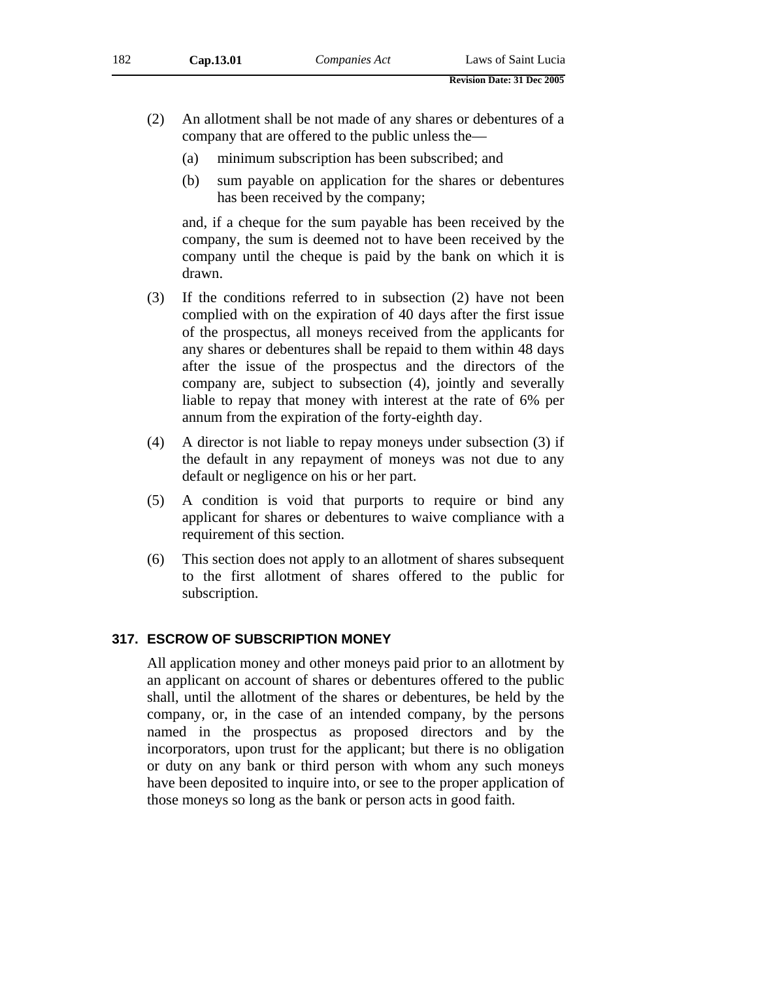- (2) An allotment shall be not made of any shares or debentures of a company that are offered to the public unless the—
	- (a) minimum subscription has been subscribed; and
	- (b) sum payable on application for the shares or debentures has been received by the company;

and, if a cheque for the sum payable has been received by the company, the sum is deemed not to have been received by the company until the cheque is paid by the bank on which it is drawn.

- (3) If the conditions referred to in subsection (2) have not been complied with on the expiration of 40 days after the first issue of the prospectus, all moneys received from the applicants for any shares or debentures shall be repaid to them within 48 days after the issue of the prospectus and the directors of the company are, subject to subsection (4), jointly and severally liable to repay that money with interest at the rate of 6% per annum from the expiration of the forty-eighth day.
- (4) A director is not liable to repay moneys under subsection (3) if the default in any repayment of moneys was not due to any default or negligence on his or her part.
- (5) A condition is void that purports to require or bind any applicant for shares or debentures to waive compliance with a requirement of this section.
- (6) This section does not apply to an allotment of shares subsequent to the first allotment of shares offered to the public for subscription.

# **317. ESCROW OF SUBSCRIPTION MONEY**

All application money and other moneys paid prior to an allotment by an applicant on account of shares or debentures offered to the public shall, until the allotment of the shares or debentures, be held by the company, or, in the case of an intended company, by the persons named in the prospectus as proposed directors and by the incorporators, upon trust for the applicant; but there is no obligation or duty on any bank or third person with whom any such moneys have been deposited to inquire into, or see to the proper application of those moneys so long as the bank or person acts in good faith.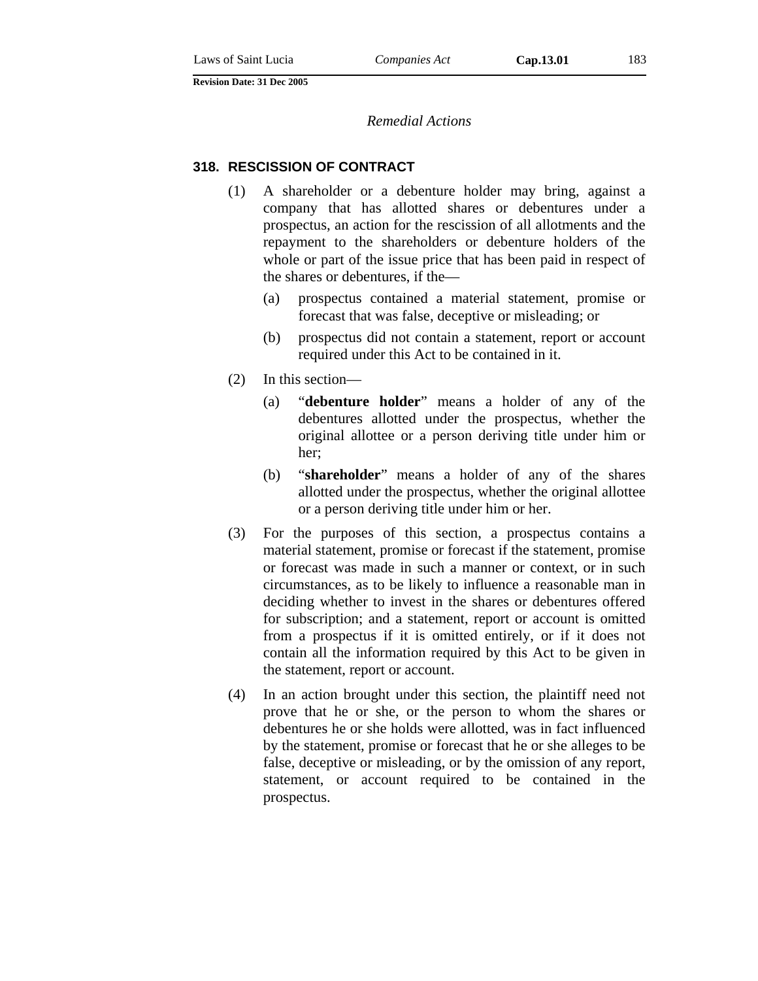#### *Remedial Actions*

#### **318. RESCISSION OF CONTRACT**

- (1) A shareholder or a debenture holder may bring, against a company that has allotted shares or debentures under a prospectus, an action for the rescission of all allotments and the repayment to the shareholders or debenture holders of the whole or part of the issue price that has been paid in respect of the shares or debentures, if the—
	- (a) prospectus contained a material statement, promise or forecast that was false, deceptive or misleading; or
	- (b) prospectus did not contain a statement, report or account required under this Act to be contained in it.
- (2) In this section—
	- (a) "**debenture holder**" means a holder of any of the debentures allotted under the prospectus, whether the original allottee or a person deriving title under him or her;
	- (b) "**shareholder**" means a holder of any of the shares allotted under the prospectus, whether the original allottee or a person deriving title under him or her.
- (3) For the purposes of this section, a prospectus contains a material statement, promise or forecast if the statement, promise or forecast was made in such a manner or context, or in such circumstances, as to be likely to influence a reasonable man in deciding whether to invest in the shares or debentures offered for subscription; and a statement, report or account is omitted from a prospectus if it is omitted entirely, or if it does not contain all the information required by this Act to be given in the statement, report or account.
- (4) In an action brought under this section, the plaintiff need not prove that he or she, or the person to whom the shares or debentures he or she holds were allotted, was in fact influenced by the statement, promise or forecast that he or she alleges to be false, deceptive or misleading, or by the omission of any report, statement, or account required to be contained in the prospectus.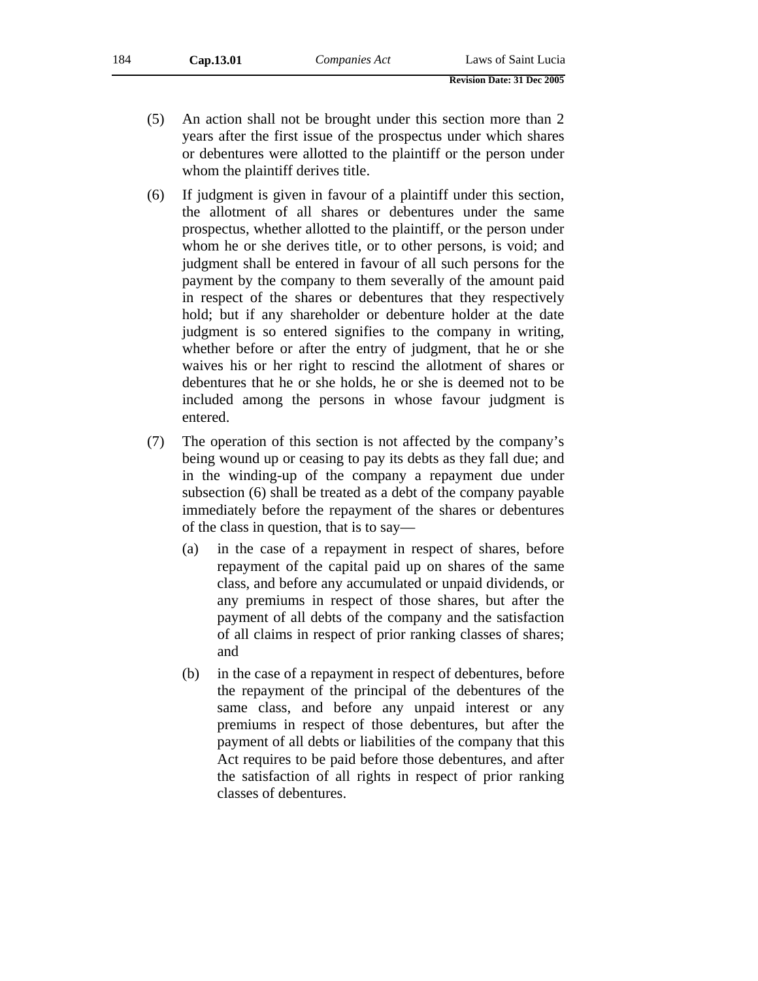- (5) An action shall not be brought under this section more than 2 years after the first issue of the prospectus under which shares or debentures were allotted to the plaintiff or the person under whom the plaintiff derives title.
- (6) If judgment is given in favour of a plaintiff under this section, the allotment of all shares or debentures under the same prospectus, whether allotted to the plaintiff, or the person under whom he or she derives title, or to other persons, is void; and judgment shall be entered in favour of all such persons for the payment by the company to them severally of the amount paid in respect of the shares or debentures that they respectively hold; but if any shareholder or debenture holder at the date judgment is so entered signifies to the company in writing, whether before or after the entry of judgment, that he or she waives his or her right to rescind the allotment of shares or debentures that he or she holds, he or she is deemed not to be included among the persons in whose favour judgment is entered.
- (7) The operation of this section is not affected by the company's being wound up or ceasing to pay its debts as they fall due; and in the winding-up of the company a repayment due under subsection (6) shall be treated as a debt of the company payable immediately before the repayment of the shares or debentures of the class in question, that is to say—
	- (a) in the case of a repayment in respect of shares, before repayment of the capital paid up on shares of the same class, and before any accumulated or unpaid dividends, or any premiums in respect of those shares, but after the payment of all debts of the company and the satisfaction of all claims in respect of prior ranking classes of shares; and
	- (b) in the case of a repayment in respect of debentures, before the repayment of the principal of the debentures of the same class, and before any unpaid interest or any premiums in respect of those debentures, but after the payment of all debts or liabilities of the company that this Act requires to be paid before those debentures, and after the satisfaction of all rights in respect of prior ranking classes of debentures.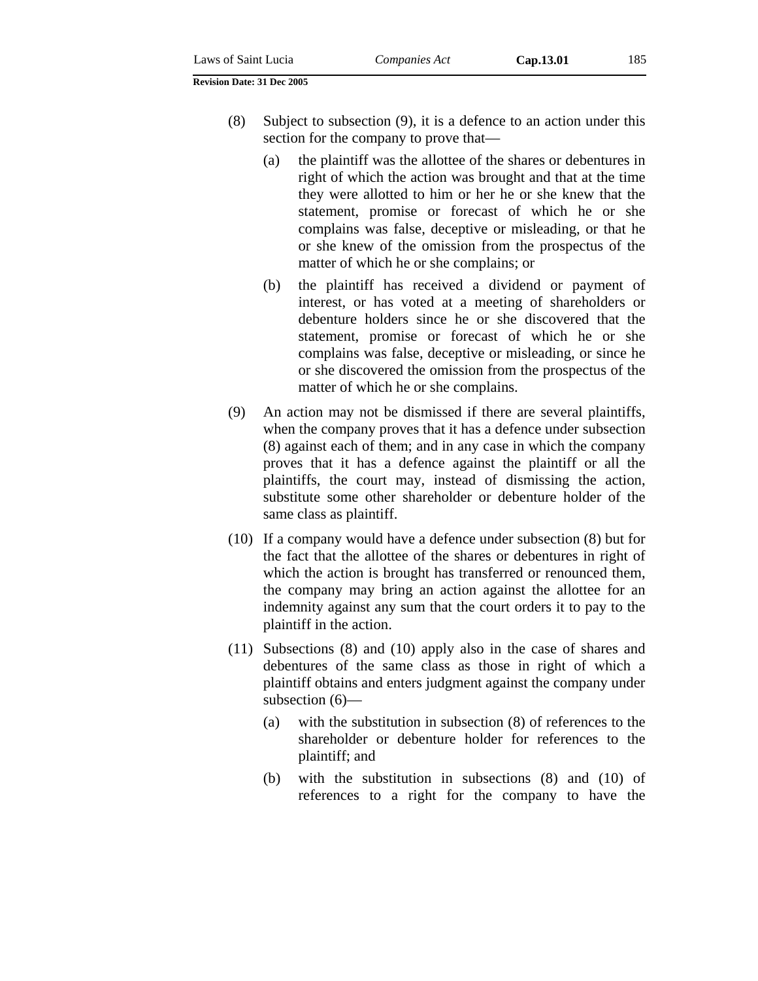- (8) Subject to subsection (9), it is a defence to an action under this section for the company to prove that—
	- (a) the plaintiff was the allottee of the shares or debentures in right of which the action was brought and that at the time they were allotted to him or her he or she knew that the statement, promise or forecast of which he or she complains was false, deceptive or misleading, or that he or she knew of the omission from the prospectus of the matter of which he or she complains; or
	- (b) the plaintiff has received a dividend or payment of interest, or has voted at a meeting of shareholders or debenture holders since he or she discovered that the statement, promise or forecast of which he or she complains was false, deceptive or misleading, or since he or she discovered the omission from the prospectus of the matter of which he or she complains.
- (9) An action may not be dismissed if there are several plaintiffs, when the company proves that it has a defence under subsection (8) against each of them; and in any case in which the company proves that it has a defence against the plaintiff or all the plaintiffs, the court may, instead of dismissing the action, substitute some other shareholder or debenture holder of the same class as plaintiff.
- (10) If a company would have a defence under subsection (8) but for the fact that the allottee of the shares or debentures in right of which the action is brought has transferred or renounced them, the company may bring an action against the allottee for an indemnity against any sum that the court orders it to pay to the plaintiff in the action.
- (11) Subsections (8) and (10) apply also in the case of shares and debentures of the same class as those in right of which a plaintiff obtains and enters judgment against the company under subsection (6)—
	- (a) with the substitution in subsection (8) of references to the shareholder or debenture holder for references to the plaintiff; and
	- (b) with the substitution in subsections (8) and (10) of references to a right for the company to have the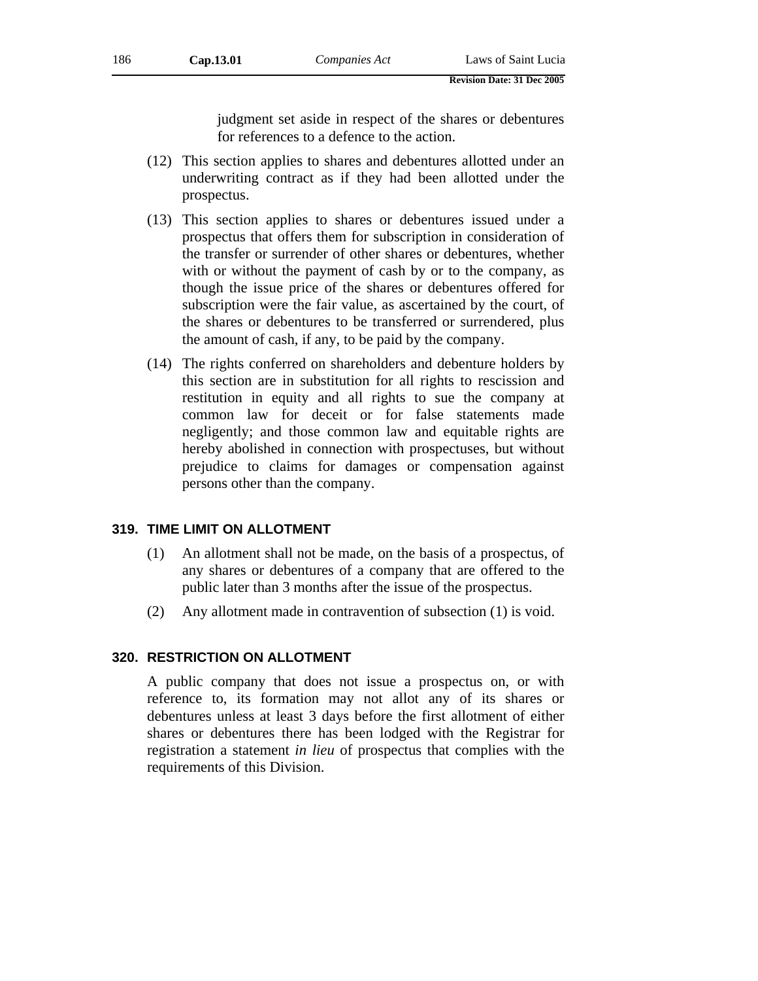judgment set aside in respect of the shares or debentures for references to a defence to the action.

- (12) This section applies to shares and debentures allotted under an underwriting contract as if they had been allotted under the prospectus.
- (13) This section applies to shares or debentures issued under a prospectus that offers them for subscription in consideration of the transfer or surrender of other shares or debentures, whether with or without the payment of cash by or to the company, as though the issue price of the shares or debentures offered for subscription were the fair value, as ascertained by the court, of the shares or debentures to be transferred or surrendered, plus the amount of cash, if any, to be paid by the company.
- (14) The rights conferred on shareholders and debenture holders by this section are in substitution for all rights to rescission and restitution in equity and all rights to sue the company at common law for deceit or for false statements made negligently; and those common law and equitable rights are hereby abolished in connection with prospectuses, but without prejudice to claims for damages or compensation against persons other than the company.

## **319. TIME LIMIT ON ALLOTMENT**

- (1) An allotment shall not be made, on the basis of a prospectus, of any shares or debentures of a company that are offered to the public later than 3 months after the issue of the prospectus.
- (2) Any allotment made in contravention of subsection (1) is void.

## **320. RESTRICTION ON ALLOTMENT**

A public company that does not issue a prospectus on, or with reference to, its formation may not allot any of its shares or debentures unless at least 3 days before the first allotment of either shares or debentures there has been lodged with the Registrar for registration a statement *in lieu* of prospectus that complies with the requirements of this Division.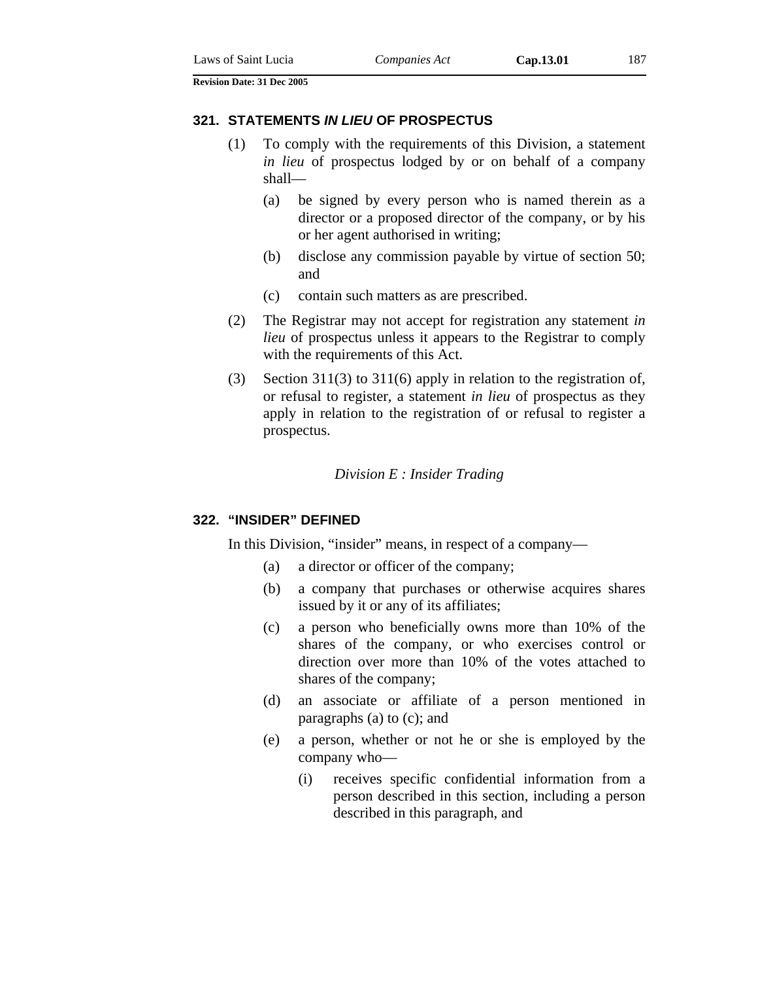#### **321. STATEMENTS** *IN LIEU* **OF PROSPECTUS**

- (1) To comply with the requirements of this Division, a statement *in lieu* of prospectus lodged by or on behalf of a company shall—
	- (a) be signed by every person who is named therein as a director or a proposed director of the company, or by his or her agent authorised in writing;
	- (b) disclose any commission payable by virtue of section 50; and
	- (c) contain such matters as are prescribed.
- (2) The Registrar may not accept for registration any statement *in lieu* of prospectus unless it appears to the Registrar to comply with the requirements of this Act.
- (3) Section 311(3) to 311(6) apply in relation to the registration of, or refusal to register, a statement *in lieu* of prospectus as they apply in relation to the registration of or refusal to register a prospectus.

#### *Division E : Insider Trading*

#### **322. "INSIDER" DEFINED**

In this Division, "insider" means, in respect of a company—

- (a) a director or officer of the company;
- (b) a company that purchases or otherwise acquires shares issued by it or any of its affiliates;
- (c) a person who beneficially owns more than 10% of the shares of the company, or who exercises control or direction over more than 10% of the votes attached to shares of the company;
- (d) an associate or affiliate of a person mentioned in paragraphs (a) to (c); and
- (e) a person, whether or not he or she is employed by the company who—
	- (i) receives specific confidential information from a person described in this section, including a person described in this paragraph, and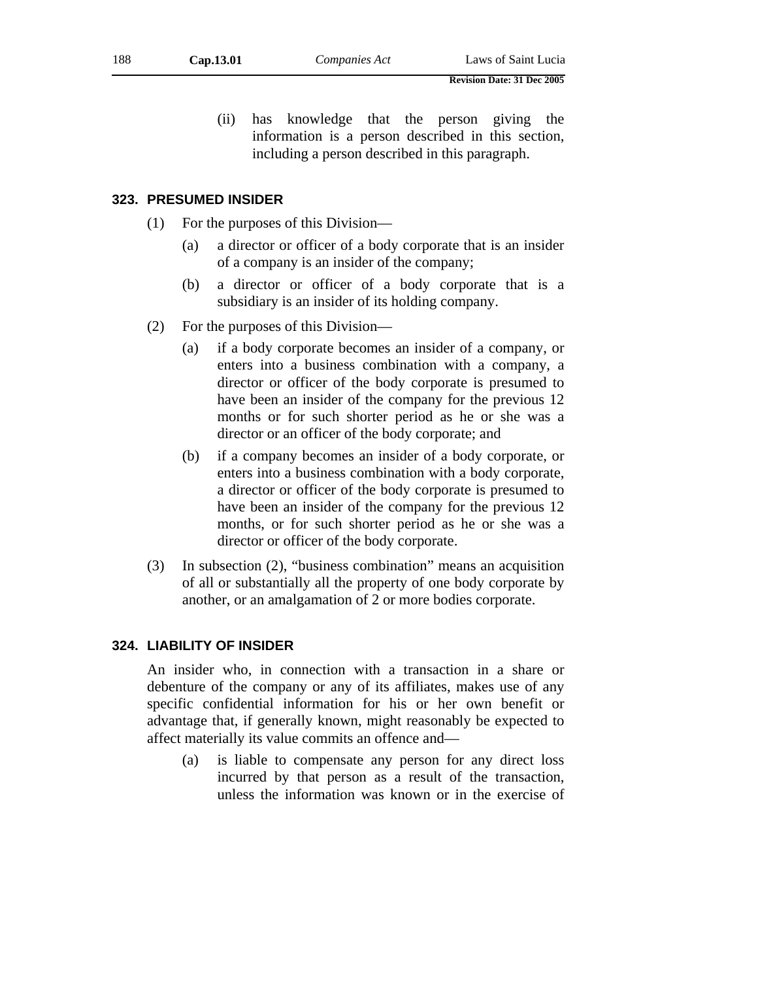(ii) has knowledge that the person giving the information is a person described in this section, including a person described in this paragraph.

#### **323. PRESUMED INSIDER**

- (1) For the purposes of this Division—
	- (a) a director or officer of a body corporate that is an insider of a company is an insider of the company;
	- (b) a director or officer of a body corporate that is a subsidiary is an insider of its holding company.
- (2) For the purposes of this Division—
	- (a) if a body corporate becomes an insider of a company, or enters into a business combination with a company, a director or officer of the body corporate is presumed to have been an insider of the company for the previous 12 months or for such shorter period as he or she was a director or an officer of the body corporate; and
	- (b) if a company becomes an insider of a body corporate, or enters into a business combination with a body corporate, a director or officer of the body corporate is presumed to have been an insider of the company for the previous 12 months, or for such shorter period as he or she was a director or officer of the body corporate.
- (3) In subsection (2), "business combination" means an acquisition of all or substantially all the property of one body corporate by another, or an amalgamation of 2 or more bodies corporate.

#### **324. LIABILITY OF INSIDER**

An insider who, in connection with a transaction in a share or debenture of the company or any of its affiliates, makes use of any specific confidential information for his or her own benefit or advantage that, if generally known, might reasonably be expected to affect materially its value commits an offence and—

(a) is liable to compensate any person for any direct loss incurred by that person as a result of the transaction, unless the information was known or in the exercise of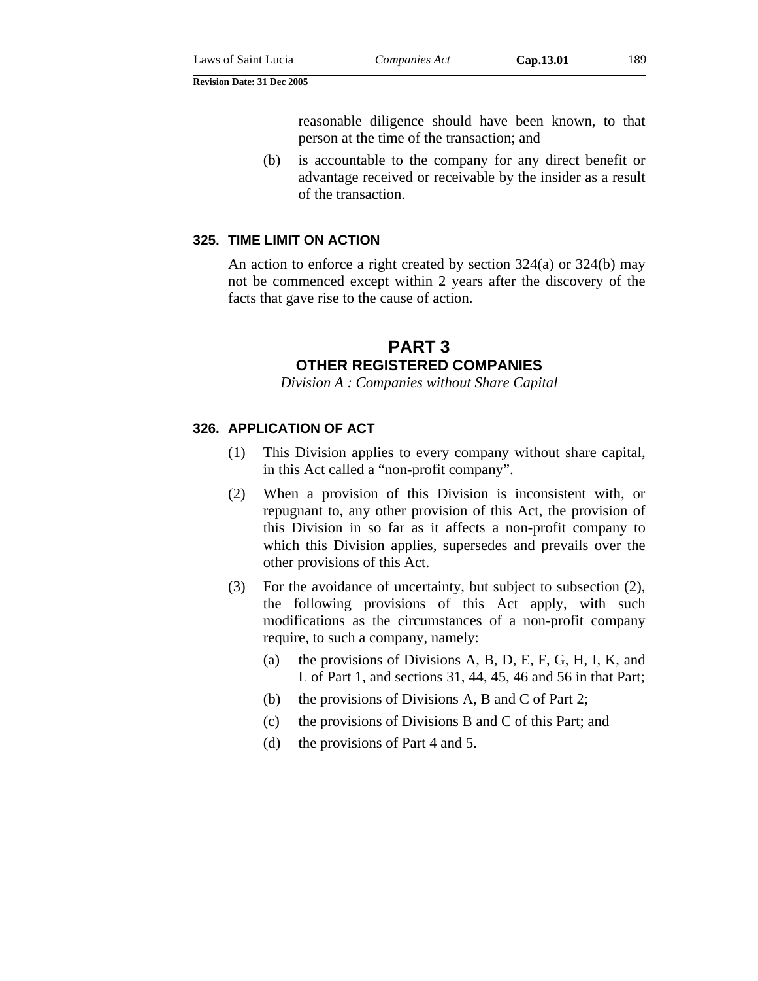reasonable diligence should have been known, to that person at the time of the transaction; and

(b) is accountable to the company for any direct benefit or advantage received or receivable by the insider as a result of the transaction.

## **325. TIME LIMIT ON ACTION**

An action to enforce a right created by section 324(a) or 324(b) may not be commenced except within 2 years after the discovery of the facts that gave rise to the cause of action.

# **PART 3 OTHER REGISTERED COMPANIES**

*Division A : Companies without Share Capital* 

## **326. APPLICATION OF ACT**

- (1) This Division applies to every company without share capital, in this Act called a "non-profit company".
- (2) When a provision of this Division is inconsistent with, or repugnant to, any other provision of this Act, the provision of this Division in so far as it affects a non-profit company to which this Division applies, supersedes and prevails over the other provisions of this Act.
- (3) For the avoidance of uncertainty, but subject to subsection (2), the following provisions of this Act apply, with such modifications as the circumstances of a non-profit company require, to such a company, namely:
	- (a) the provisions of Divisions A, B, D, E, F, G, H, I, K, and L of Part 1, and sections 31, 44, 45, 46 and 56 in that Part;
	- (b) the provisions of Divisions A, B and C of Part 2;
	- (c) the provisions of Divisions B and C of this Part; and
	- (d) the provisions of Part 4 and 5.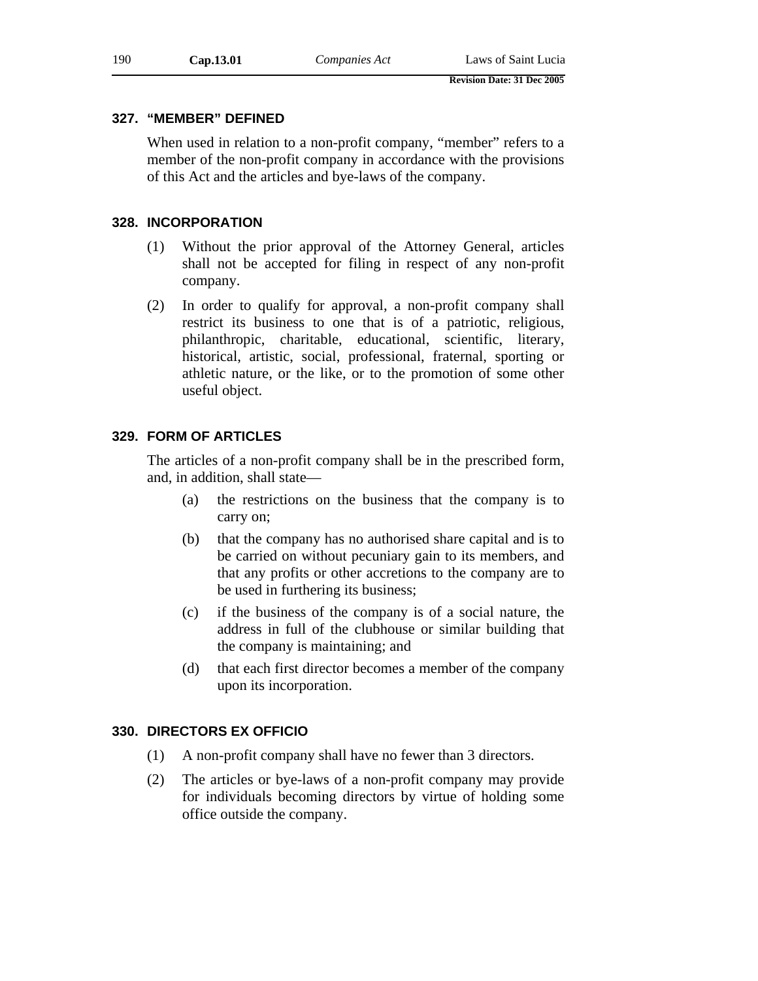## **327. "MEMBER" DEFINED**

When used in relation to a non-profit company, "member" refers to a member of the non-profit company in accordance with the provisions of this Act and the articles and bye-laws of the company.

## **328. INCORPORATION**

- (1) Without the prior approval of the Attorney General, articles shall not be accepted for filing in respect of any non-profit company.
- (2) In order to qualify for approval, a non-profit company shall restrict its business to one that is of a patriotic, religious, philanthropic, charitable, educational, scientific, literary, historical, artistic, social, professional, fraternal, sporting or athletic nature, or the like, or to the promotion of some other useful object.

## **329. FORM OF ARTICLES**

The articles of a non-profit company shall be in the prescribed form, and, in addition, shall state—

- (a) the restrictions on the business that the company is to carry on;
- (b) that the company has no authorised share capital and is to be carried on without pecuniary gain to its members, and that any profits or other accretions to the company are to be used in furthering its business;
- (c) if the business of the company is of a social nature, the address in full of the clubhouse or similar building that the company is maintaining; and
- (d) that each first director becomes a member of the company upon its incorporation.

## **330. DIRECTORS EX OFFICIO**

- (1) A non-profit company shall have no fewer than 3 directors.
- (2) The articles or bye-laws of a non-profit company may provide for individuals becoming directors by virtue of holding some office outside the company.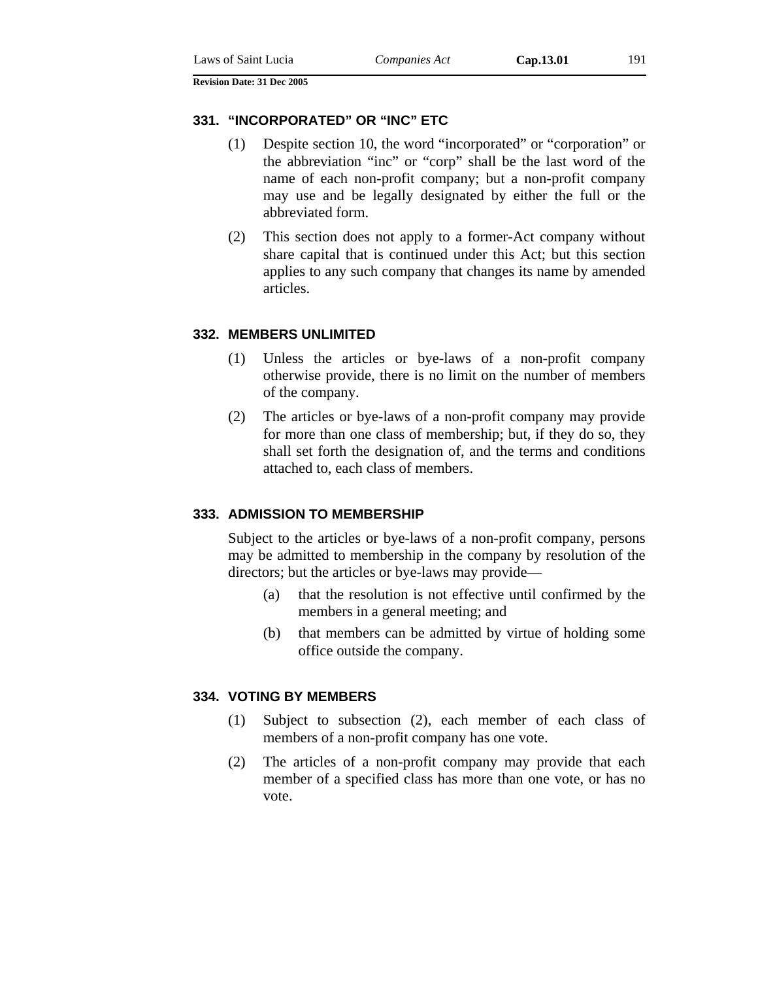#### **331. "INCORPORATED" OR "INC" ETC**

- (1) Despite section 10, the word "incorporated" or "corporation" or the abbreviation "inc" or "corp" shall be the last word of the name of each non-profit company; but a non-profit company may use and be legally designated by either the full or the abbreviated form.
- (2) This section does not apply to a former-Act company without share capital that is continued under this Act; but this section applies to any such company that changes its name by amended articles.

#### **332. MEMBERS UNLIMITED**

- (1) Unless the articles or bye-laws of a non-profit company otherwise provide, there is no limit on the number of members of the company.
- (2) The articles or bye-laws of a non-profit company may provide for more than one class of membership; but, if they do so, they shall set forth the designation of, and the terms and conditions attached to, each class of members.

#### **333. ADMISSION TO MEMBERSHIP**

Subject to the articles or bye-laws of a non-profit company, persons may be admitted to membership in the company by resolution of the directors; but the articles or bye-laws may provide—

- (a) that the resolution is not effective until confirmed by the members in a general meeting; and
- (b) that members can be admitted by virtue of holding some office outside the company.

#### **334. VOTING BY MEMBERS**

- (1) Subject to subsection (2), each member of each class of members of a non-profit company has one vote.
- (2) The articles of a non-profit company may provide that each member of a specified class has more than one vote, or has no vote.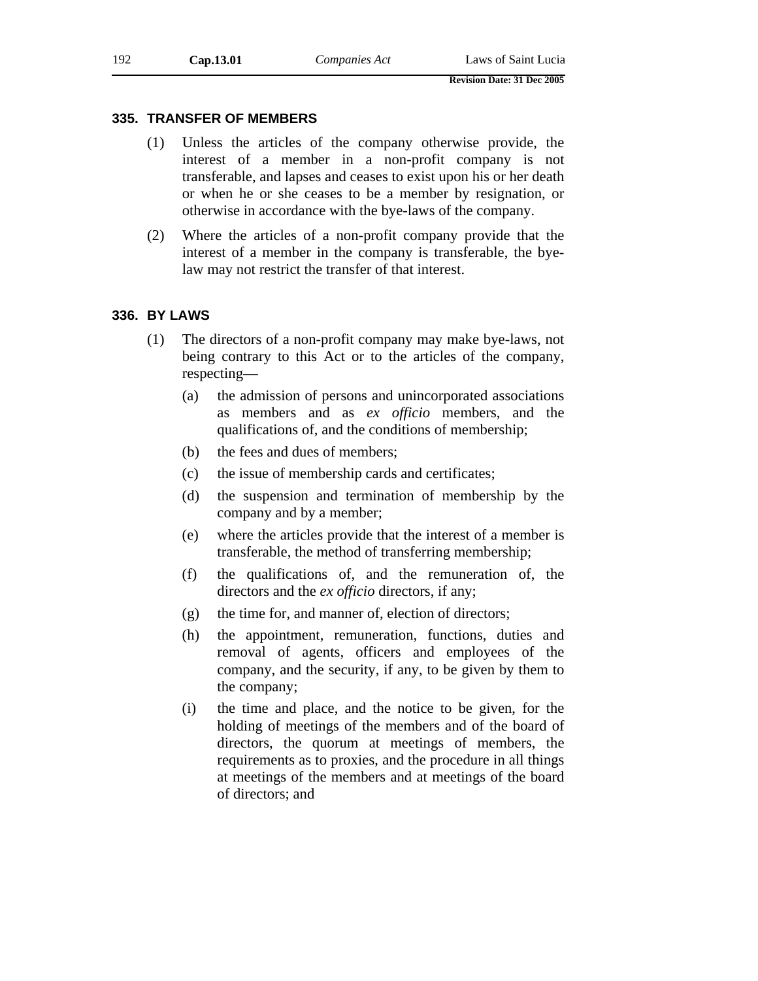## **335. TRANSFER OF MEMBERS**

- (1) Unless the articles of the company otherwise provide, the interest of a member in a non-profit company is not transferable, and lapses and ceases to exist upon his or her death or when he or she ceases to be a member by resignation, or otherwise in accordance with the bye-laws of the company.
- (2) Where the articles of a non-profit company provide that the interest of a member in the company is transferable, the byelaw may not restrict the transfer of that interest.

# **336. BY LAWS**

- (1) The directors of a non-profit company may make bye-laws, not being contrary to this Act or to the articles of the company, respecting—
	- (a) the admission of persons and unincorporated associations as members and as *ex officio* members, and the qualifications of, and the conditions of membership;
	- (b) the fees and dues of members;
	- (c) the issue of membership cards and certificates;
	- (d) the suspension and termination of membership by the company and by a member;
	- (e) where the articles provide that the interest of a member is transferable, the method of transferring membership;
	- (f) the qualifications of, and the remuneration of, the directors and the *ex officio* directors, if any;
	- (g) the time for, and manner of, election of directors;
	- (h) the appointment, remuneration, functions, duties and removal of agents, officers and employees of the company, and the security, if any, to be given by them to the company;
	- (i) the time and place, and the notice to be given, for the holding of meetings of the members and of the board of directors, the quorum at meetings of members, the requirements as to proxies, and the procedure in all things at meetings of the members and at meetings of the board of directors; and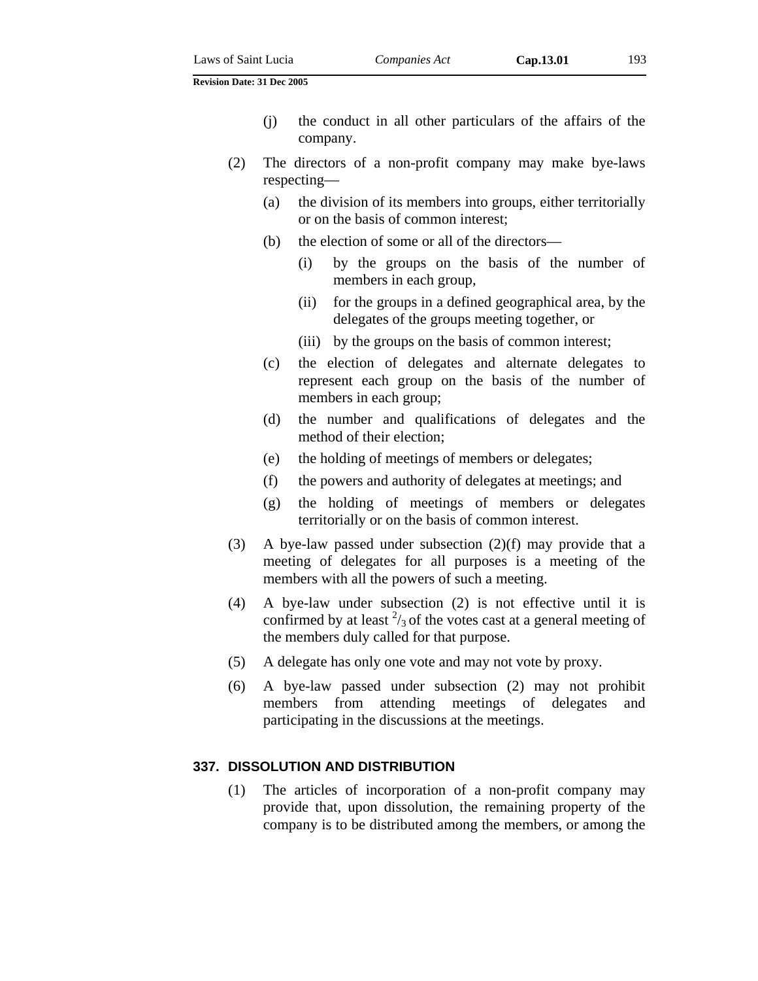- (j) the conduct in all other particulars of the affairs of the company.
- (2) The directors of a non-profit company may make bye-laws respecting—
	- (a) the division of its members into groups, either territorially or on the basis of common interest;
	- (b) the election of some or all of the directors—
		- (i) by the groups on the basis of the number of members in each group,
		- (ii) for the groups in a defined geographical area, by the delegates of the groups meeting together, or
		- (iii) by the groups on the basis of common interest;
	- (c) the election of delegates and alternate delegates to represent each group on the basis of the number of members in each group;
	- (d) the number and qualifications of delegates and the method of their election;
	- (e) the holding of meetings of members or delegates;
	- (f) the powers and authority of delegates at meetings; and
	- (g) the holding of meetings of members or delegates territorially or on the basis of common interest.
- (3) A bye-law passed under subsection (2)(f) may provide that a meeting of delegates for all purposes is a meeting of the members with all the powers of such a meeting.
- (4) A bye-law under subsection (2) is not effective until it is confirmed by at least  $\frac{2}{3}$  of the votes cast at a general meeting of the members duly called for that purpose.
- (5) A delegate has only one vote and may not vote by proxy.
- (6) A bye-law passed under subsection (2) may not prohibit members from attending meetings of delegates and participating in the discussions at the meetings.

#### **337. DISSOLUTION AND DISTRIBUTION**

(1) The articles of incorporation of a non-profit company may provide that, upon dissolution, the remaining property of the company is to be distributed among the members, or among the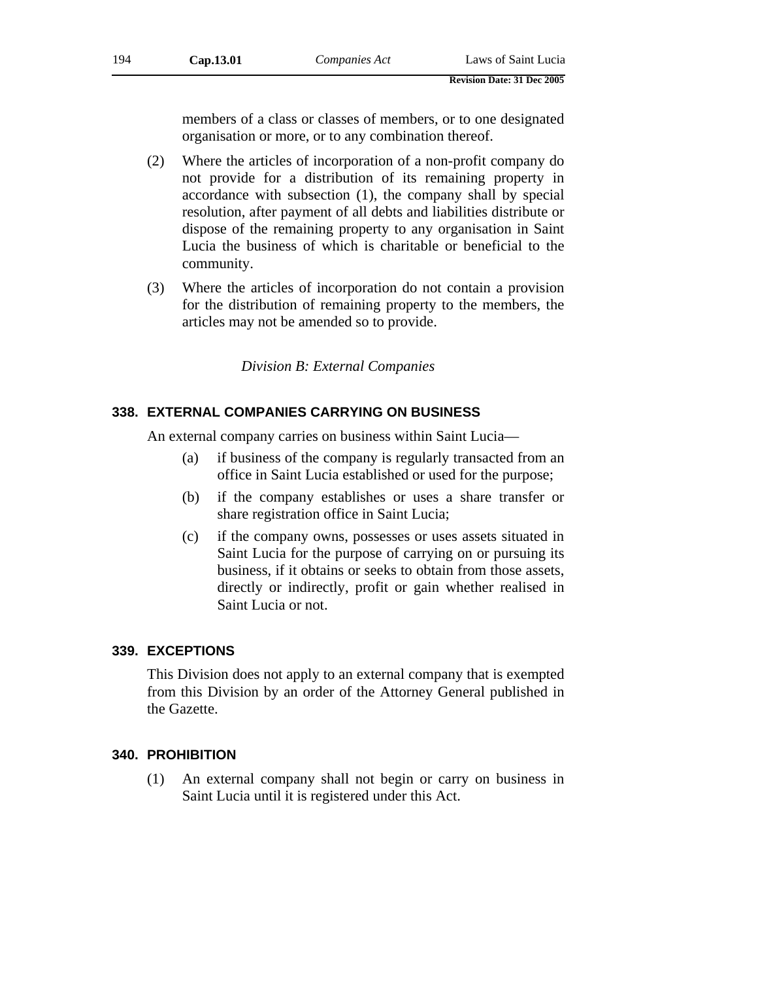members of a class or classes of members, or to one designated organisation or more, or to any combination thereof.

- (2) Where the articles of incorporation of a non-profit company do not provide for a distribution of its remaining property in accordance with subsection (1), the company shall by special resolution, after payment of all debts and liabilities distribute or dispose of the remaining property to any organisation in Saint Lucia the business of which is charitable or beneficial to the community.
- (3) Where the articles of incorporation do not contain a provision for the distribution of remaining property to the members, the articles may not be amended so to provide.

# *Division B: External Companies*

# **338. EXTERNAL COMPANIES CARRYING ON BUSINESS**

An external company carries on business within Saint Lucia—

- (a) if business of the company is regularly transacted from an office in Saint Lucia established or used for the purpose;
- (b) if the company establishes or uses a share transfer or share registration office in Saint Lucia;
- (c) if the company owns, possesses or uses assets situated in Saint Lucia for the purpose of carrying on or pursuing its business, if it obtains or seeks to obtain from those assets, directly or indirectly, profit or gain whether realised in Saint Lucia or not.

# **339. EXCEPTIONS**

This Division does not apply to an external company that is exempted from this Division by an order of the Attorney General published in the Gazette.

# **340. PROHIBITION**

(1) An external company shall not begin or carry on business in Saint Lucia until it is registered under this Act.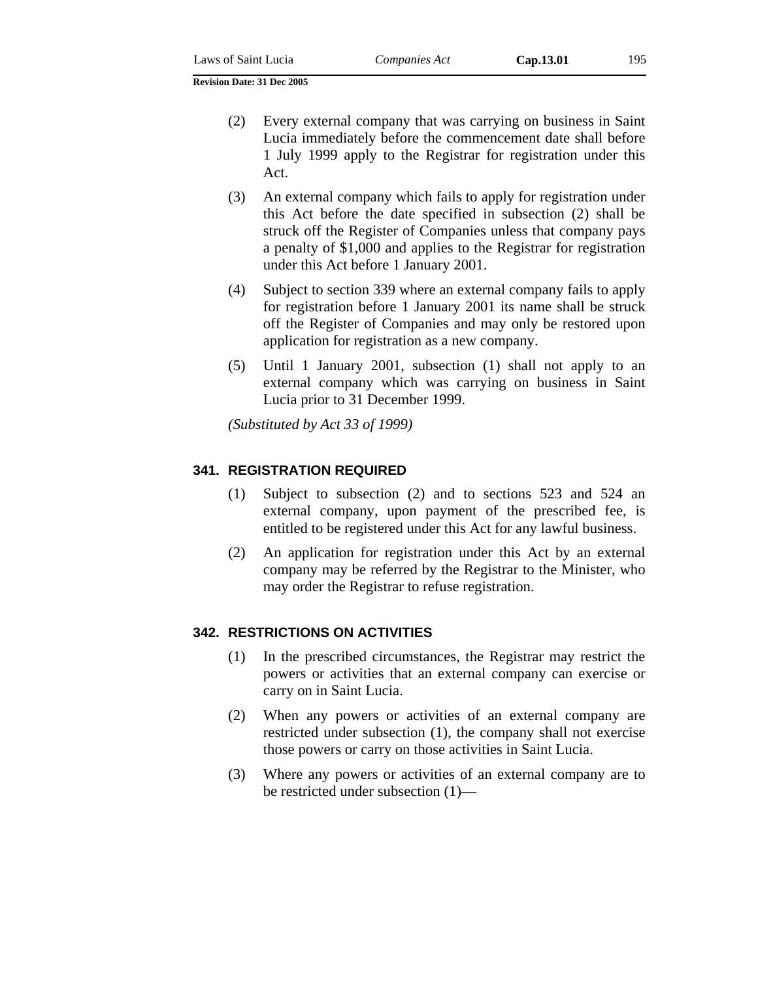- (2) Every external company that was carrying on business in Saint Lucia immediately before the commencement date shall before 1 July 1999 apply to the Registrar for registration under this Act.
- (3) An external company which fails to apply for registration under this Act before the date specified in subsection (2) shall be struck off the Register of Companies unless that company pays a penalty of \$1,000 and applies to the Registrar for registration under this Act before 1 January 2001.
- (4) Subject to section 339 where an external company fails to apply for registration before 1 January 2001 its name shall be struck off the Register of Companies and may only be restored upon application for registration as a new company.
- (5) Until 1 January 2001, subsection (1) shall not apply to an external company which was carrying on business in Saint Lucia prior to 31 December 1999.

*(Substituted by Act 33 of 1999)*

## **341. REGISTRATION REQUIRED**

- (1) Subject to subsection (2) and to sections 523 and 524 an external company, upon payment of the prescribed fee, is entitled to be registered under this Act for any lawful business.
- (2) An application for registration under this Act by an external company may be referred by the Registrar to the Minister, who may order the Registrar to refuse registration.

## **342. RESTRICTIONS ON ACTIVITIES**

- (1) In the prescribed circumstances, the Registrar may restrict the powers or activities that an external company can exercise or carry on in Saint Lucia.
- (2) When any powers or activities of an external company are restricted under subsection (1), the company shall not exercise those powers or carry on those activities in Saint Lucia.
- (3) Where any powers or activities of an external company are to be restricted under subsection (1)—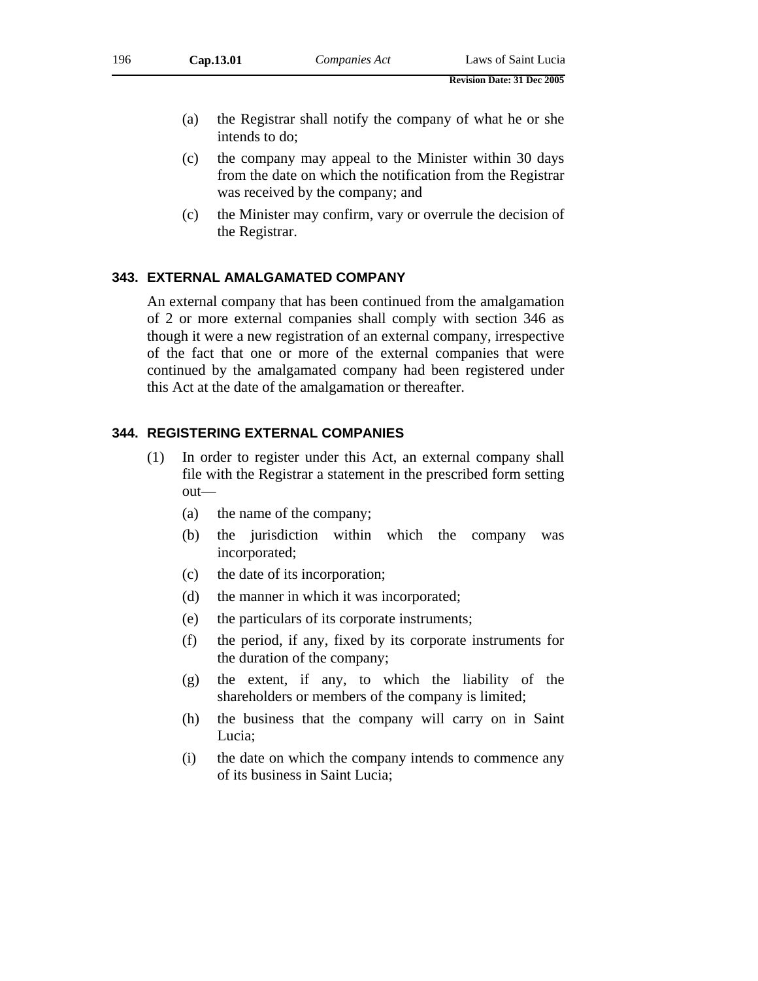- (a) the Registrar shall notify the company of what he or she intends to do;
- (c) the company may appeal to the Minister within 30 days from the date on which the notification from the Registrar was received by the company; and
- (c) the Minister may confirm, vary or overrule the decision of the Registrar.

## **343. EXTERNAL AMALGAMATED COMPANY**

An external company that has been continued from the amalgamation of 2 or more external companies shall comply with section 346 as though it were a new registration of an external company, irrespective of the fact that one or more of the external companies that were continued by the amalgamated company had been registered under this Act at the date of the amalgamation or thereafter.

## **344. REGISTERING EXTERNAL COMPANIES**

- (1) In order to register under this Act, an external company shall file with the Registrar a statement in the prescribed form setting out—
	- (a) the name of the company;
	- (b) the jurisdiction within which the company was incorporated;
	- (c) the date of its incorporation;
	- (d) the manner in which it was incorporated;
	- (e) the particulars of its corporate instruments;
	- (f) the period, if any, fixed by its corporate instruments for the duration of the company;
	- (g) the extent, if any, to which the liability of the shareholders or members of the company is limited;
	- (h) the business that the company will carry on in Saint Lucia;
	- (i) the date on which the company intends to commence any of its business in Saint Lucia;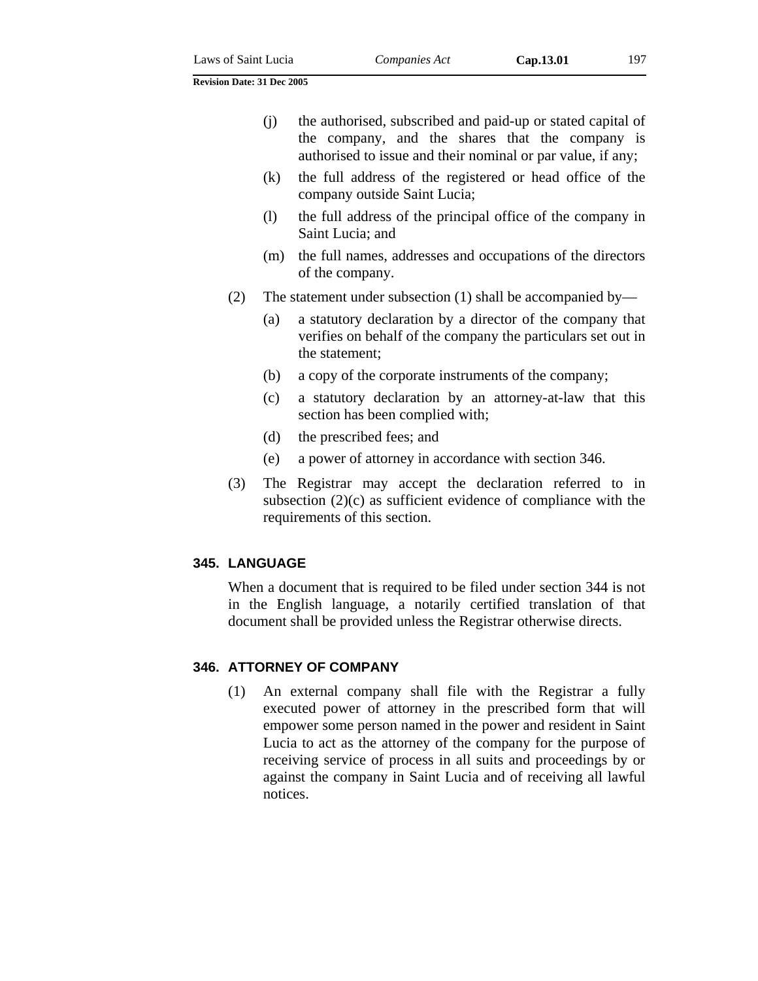- (k) the full address of the registered or head office of the company outside Saint Lucia;
- (l) the full address of the principal office of the company in Saint Lucia; and
- (m) the full names, addresses and occupations of the directors of the company.
- (2) The statement under subsection (1) shall be accompanied by—
	- (a) a statutory declaration by a director of the company that verifies on behalf of the company the particulars set out in the statement;
	- (b) a copy of the corporate instruments of the company;
	- (c) a statutory declaration by an attorney-at-law that this section has been complied with;
	- (d) the prescribed fees; and
	- (e) a power of attorney in accordance with section 346.
- (3) The Registrar may accept the declaration referred to in subsection (2)(c) as sufficient evidence of compliance with the requirements of this section.

# **345. LANGUAGE**

When a document that is required to be filed under section 344 is not in the English language, a notarily certified translation of that document shall be provided unless the Registrar otherwise directs.

# **346. ATTORNEY OF COMPANY**

(1) An external company shall file with the Registrar a fully executed power of attorney in the prescribed form that will empower some person named in the power and resident in Saint Lucia to act as the attorney of the company for the purpose of receiving service of process in all suits and proceedings by or against the company in Saint Lucia and of receiving all lawful notices.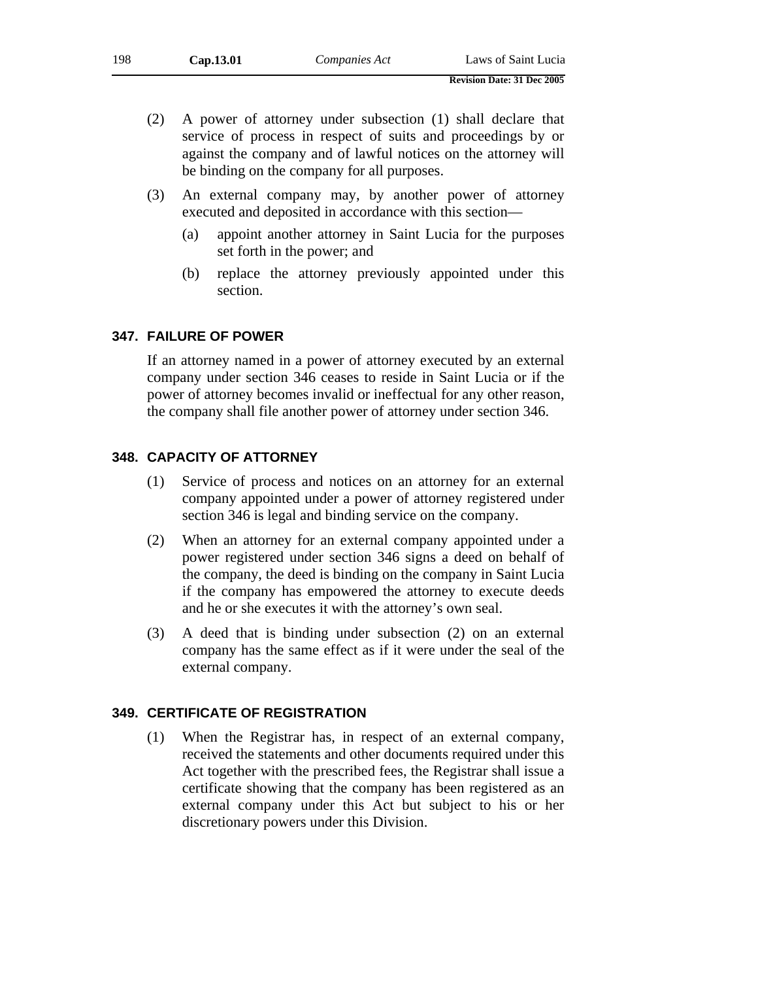- (3) An external company may, by another power of attorney executed and deposited in accordance with this section—
	- (a) appoint another attorney in Saint Lucia for the purposes set forth in the power; and
	- (b) replace the attorney previously appointed under this section.

# **347. FAILURE OF POWER**

If an attorney named in a power of attorney executed by an external company under section 346 ceases to reside in Saint Lucia or if the power of attorney becomes invalid or ineffectual for any other reason, the company shall file another power of attorney under section 346.

# **348. CAPACITY OF ATTORNEY**

- (1) Service of process and notices on an attorney for an external company appointed under a power of attorney registered under section 346 is legal and binding service on the company.
- (2) When an attorney for an external company appointed under a power registered under section 346 signs a deed on behalf of the company, the deed is binding on the company in Saint Lucia if the company has empowered the attorney to execute deeds and he or she executes it with the attorney's own seal.
- (3) A deed that is binding under subsection (2) on an external company has the same effect as if it were under the seal of the external company.

# **349. CERTIFICATE OF REGISTRATION**

(1) When the Registrar has, in respect of an external company, received the statements and other documents required under this Act together with the prescribed fees, the Registrar shall issue a certificate showing that the company has been registered as an external company under this Act but subject to his or her discretionary powers under this Division.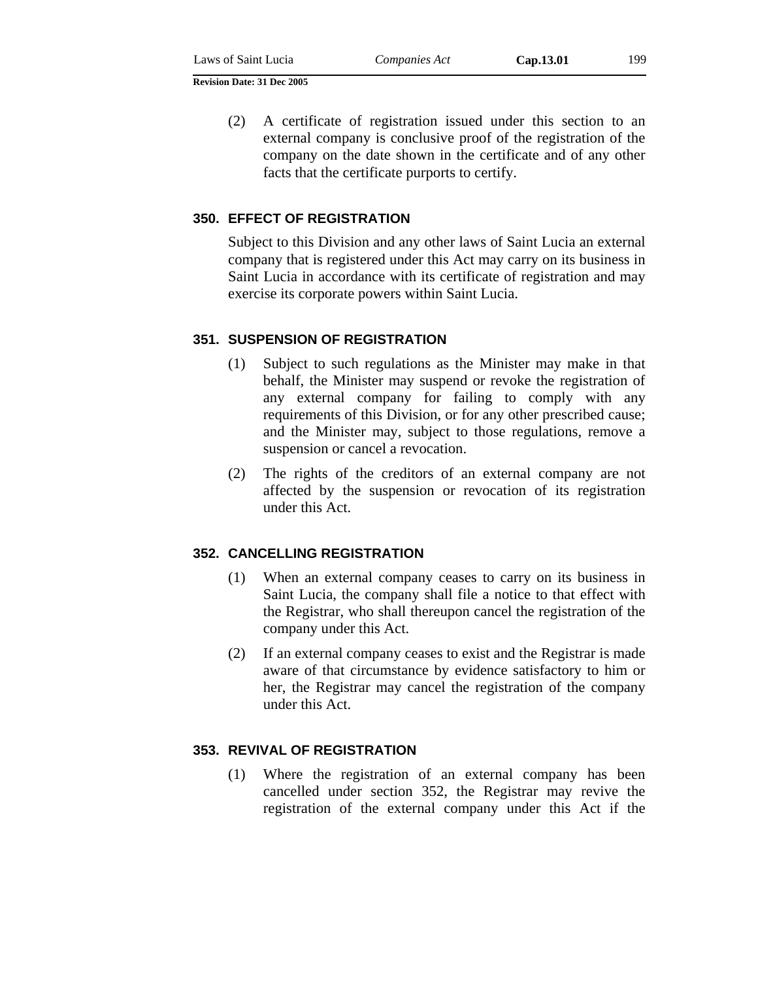(2) A certificate of registration issued under this section to an external company is conclusive proof of the registration of the company on the date shown in the certificate and of any other facts that the certificate purports to certify.

# **350. EFFECT OF REGISTRATION**

Subject to this Division and any other laws of Saint Lucia an external company that is registered under this Act may carry on its business in Saint Lucia in accordance with its certificate of registration and may exercise its corporate powers within Saint Lucia.

#### **351. SUSPENSION OF REGISTRATION**

- (1) Subject to such regulations as the Minister may make in that behalf, the Minister may suspend or revoke the registration of any external company for failing to comply with any requirements of this Division, or for any other prescribed cause; and the Minister may, subject to those regulations, remove a suspension or cancel a revocation.
- (2) The rights of the creditors of an external company are not affected by the suspension or revocation of its registration under this Act.

#### **352. CANCELLING REGISTRATION**

- (1) When an external company ceases to carry on its business in Saint Lucia, the company shall file a notice to that effect with the Registrar, who shall thereupon cancel the registration of the company under this Act.
- (2) If an external company ceases to exist and the Registrar is made aware of that circumstance by evidence satisfactory to him or her, the Registrar may cancel the registration of the company under this Act.

## **353. REVIVAL OF REGISTRATION**

(1) Where the registration of an external company has been cancelled under section 352, the Registrar may revive the registration of the external company under this Act if the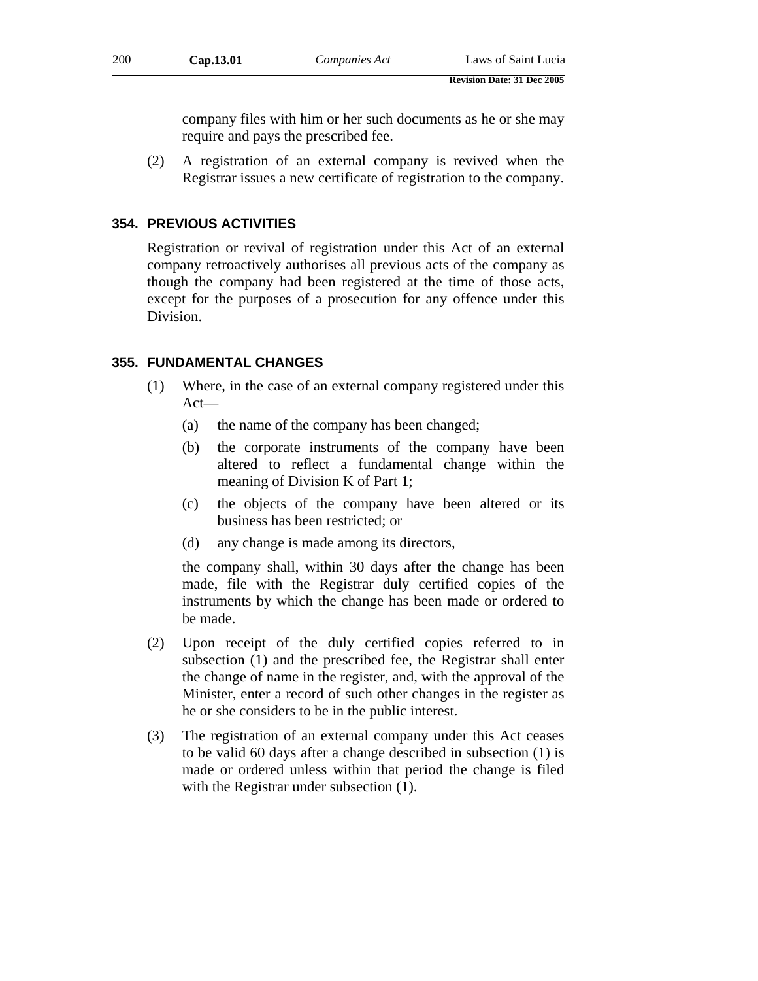company files with him or her such documents as he or she may require and pays the prescribed fee.

(2) A registration of an external company is revived when the Registrar issues a new certificate of registration to the company.

# **354. PREVIOUS ACTIVITIES**

Registration or revival of registration under this Act of an external company retroactively authorises all previous acts of the company as though the company had been registered at the time of those acts, except for the purposes of a prosecution for any offence under this Division.

# **355. FUNDAMENTAL CHANGES**

- (1) Where, in the case of an external company registered under this Act—
	- (a) the name of the company has been changed;
	- (b) the corporate instruments of the company have been altered to reflect a fundamental change within the meaning of Division K of Part 1;
	- (c) the objects of the company have been altered or its business has been restricted; or
	- (d) any change is made among its directors,

the company shall, within 30 days after the change has been made, file with the Registrar duly certified copies of the instruments by which the change has been made or ordered to be made.

- (2) Upon receipt of the duly certified copies referred to in subsection (1) and the prescribed fee, the Registrar shall enter the change of name in the register, and, with the approval of the Minister, enter a record of such other changes in the register as he or she considers to be in the public interest.
- (3) The registration of an external company under this Act ceases to be valid 60 days after a change described in subsection (1) is made or ordered unless within that period the change is filed with the Registrar under subsection  $(1)$ .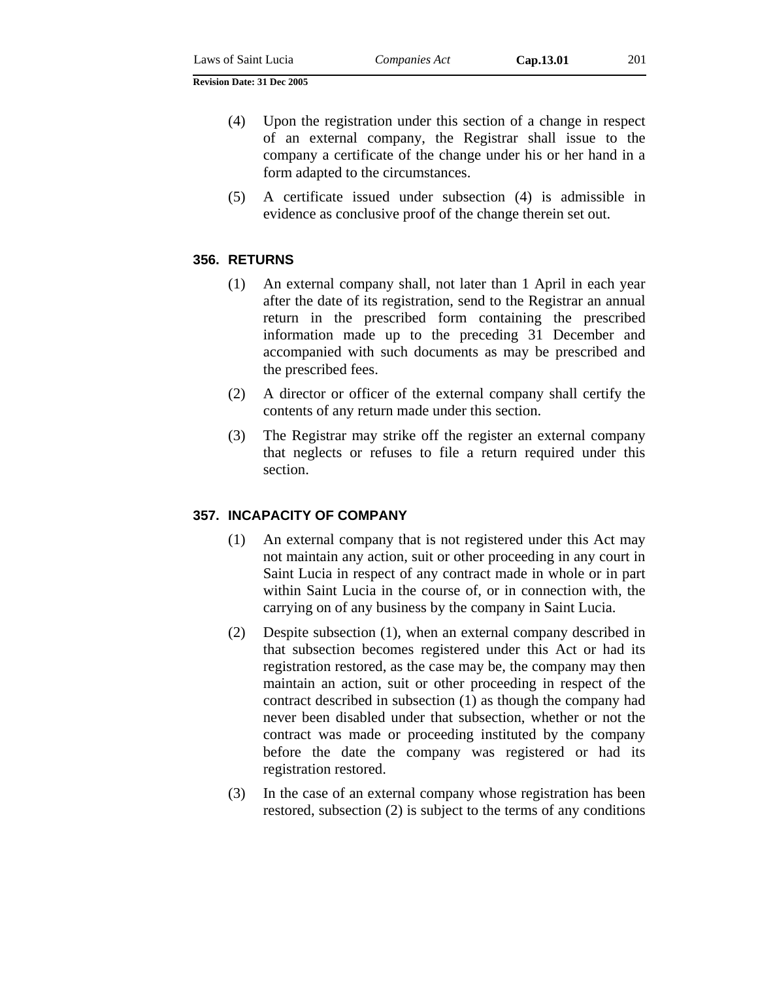- (4) Upon the registration under this section of a change in respect of an external company, the Registrar shall issue to the company a certificate of the change under his or her hand in a form adapted to the circumstances.
- (5) A certificate issued under subsection (4) is admissible in evidence as conclusive proof of the change therein set out.

## **356. RETURNS**

- (1) An external company shall, not later than 1 April in each year after the date of its registration, send to the Registrar an annual return in the prescribed form containing the prescribed information made up to the preceding 31 December and accompanied with such documents as may be prescribed and the prescribed fees.
- (2) A director or officer of the external company shall certify the contents of any return made under this section.
- (3) The Registrar may strike off the register an external company that neglects or refuses to file a return required under this section.

#### **357. INCAPACITY OF COMPANY**

- (1) An external company that is not registered under this Act may not maintain any action, suit or other proceeding in any court in Saint Lucia in respect of any contract made in whole or in part within Saint Lucia in the course of, or in connection with, the carrying on of any business by the company in Saint Lucia.
- (2) Despite subsection (1), when an external company described in that subsection becomes registered under this Act or had its registration restored, as the case may be, the company may then maintain an action, suit or other proceeding in respect of the contract described in subsection (1) as though the company had never been disabled under that subsection, whether or not the contract was made or proceeding instituted by the company before the date the company was registered or had its registration restored.
- (3) In the case of an external company whose registration has been restored, subsection (2) is subject to the terms of any conditions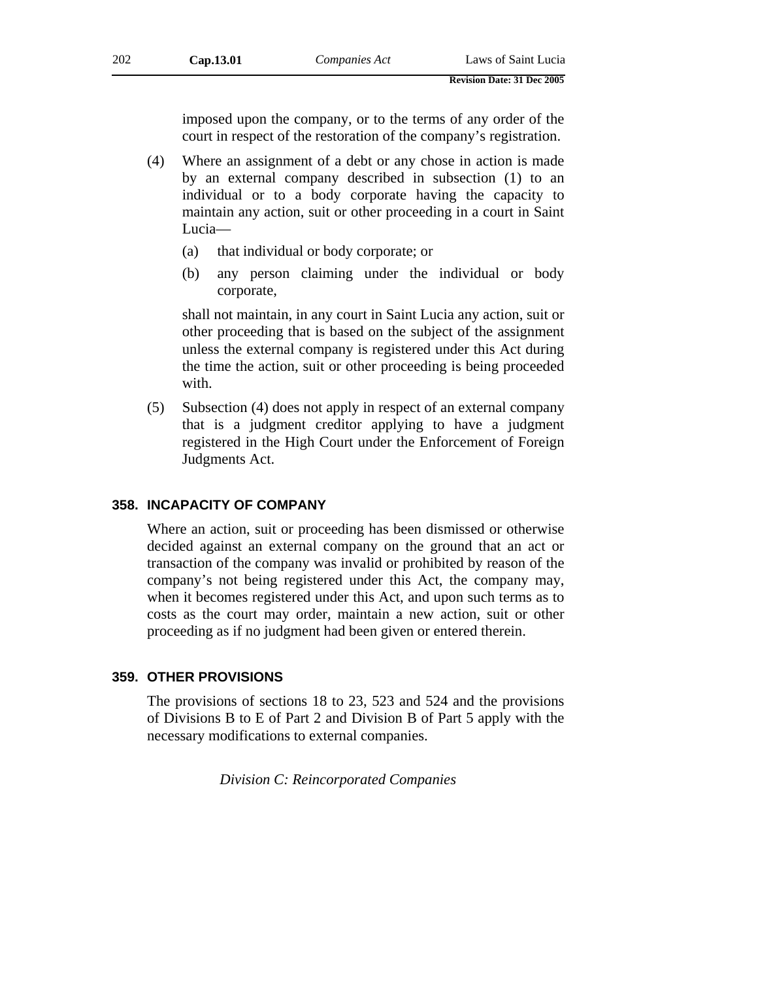imposed upon the company, or to the terms of any order of the court in respect of the restoration of the company's registration.

- (4) Where an assignment of a debt or any chose in action is made by an external company described in subsection (1) to an individual or to a body corporate having the capacity to maintain any action, suit or other proceeding in a court in Saint Lucia—
	- (a) that individual or body corporate; or
	- (b) any person claiming under the individual or body corporate,

shall not maintain, in any court in Saint Lucia any action, suit or other proceeding that is based on the subject of the assignment unless the external company is registered under this Act during the time the action, suit or other proceeding is being proceeded with.

(5) Subsection (4) does not apply in respect of an external company that is a judgment creditor applying to have a judgment registered in the High Court under the Enforcement of Foreign Judgments Act.

# **358. INCAPACITY OF COMPANY**

Where an action, suit or proceeding has been dismissed or otherwise decided against an external company on the ground that an act or transaction of the company was invalid or prohibited by reason of the company's not being registered under this Act, the company may, when it becomes registered under this Act, and upon such terms as to costs as the court may order, maintain a new action, suit or other proceeding as if no judgment had been given or entered therein.

# **359. OTHER PROVISIONS**

The provisions of sections 18 to 23, 523 and 524 and the provisions of Divisions B to E of Part 2 and Division B of Part 5 apply with the necessary modifications to external companies.

*Division C: Reincorporated Companies*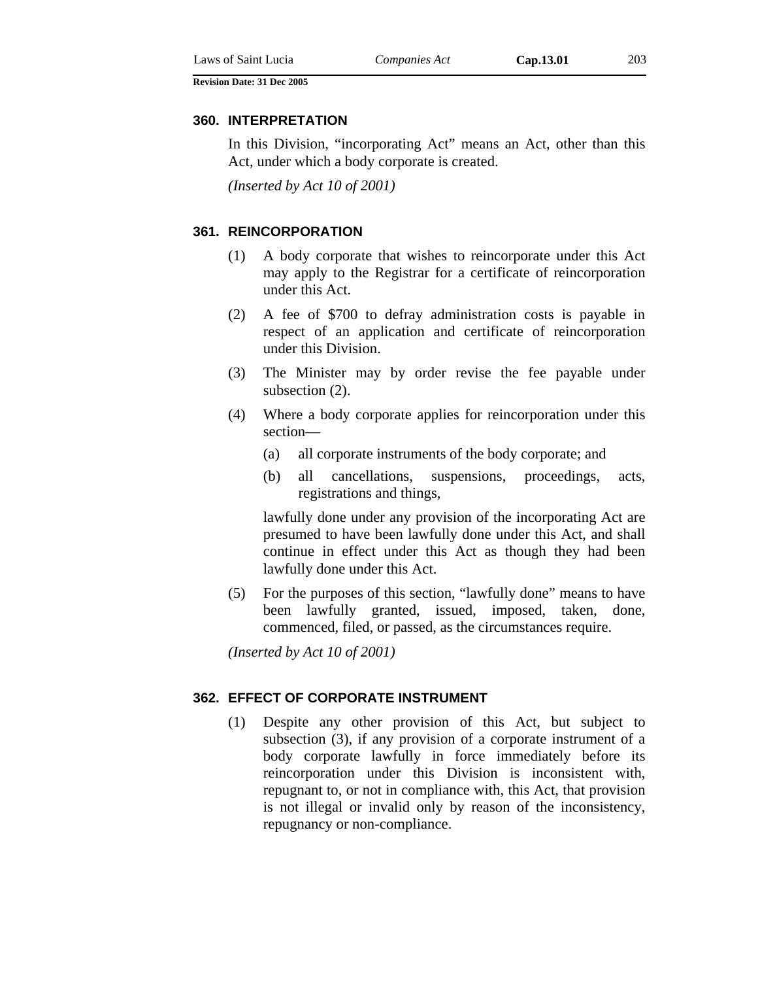#### **360. INTERPRETATION**

In this Division, "incorporating Act" means an Act, other than this Act, under which a body corporate is created.

*(Inserted by Act 10 of 2001)* 

#### **361. REINCORPORATION**

- (1) A body corporate that wishes to reincorporate under this Act may apply to the Registrar for a certificate of reincorporation under this Act.
- (2) A fee of \$700 to defray administration costs is payable in respect of an application and certificate of reincorporation under this Division.
- (3) The Minister may by order revise the fee payable under subsection (2).
- (4) Where a body corporate applies for reincorporation under this section—
	- (a) all corporate instruments of the body corporate; and
	- (b) all cancellations, suspensions, proceedings, acts, registrations and things,

lawfully done under any provision of the incorporating Act are presumed to have been lawfully done under this Act, and shall continue in effect under this Act as though they had been lawfully done under this Act.

(5) For the purposes of this section, "lawfully done" means to have been lawfully granted, issued, imposed, taken, done, commenced, filed, or passed, as the circumstances require.

*(Inserted by Act 10 of 2001)* 

#### **362. EFFECT OF CORPORATE INSTRUMENT**

(1) Despite any other provision of this Act, but subject to subsection (3), if any provision of a corporate instrument of a body corporate lawfully in force immediately before its reincorporation under this Division is inconsistent with, repugnant to, or not in compliance with, this Act, that provision is not illegal or invalid only by reason of the inconsistency, repugnancy or non-compliance.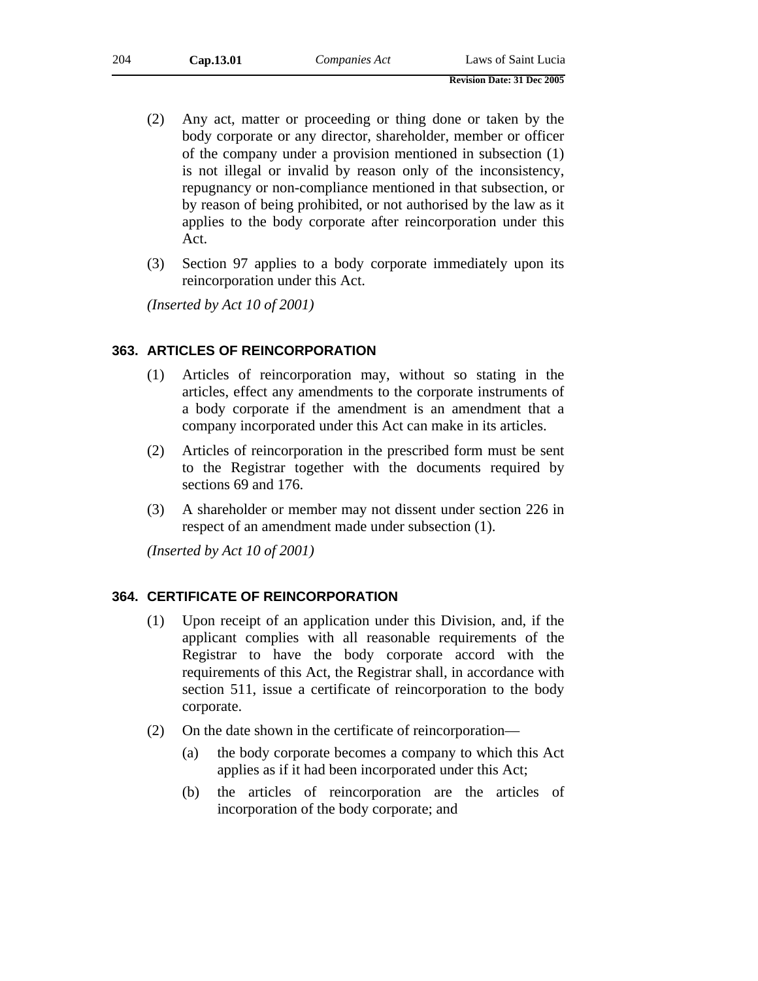| 204 | Cap.13.01 | Companies Act | Laws of Saint Lucia |
|-----|-----------|---------------|---------------------|
|-----|-----------|---------------|---------------------|

- **Revision Date: 31 Dec 2005**
- (2) Any act, matter or proceeding or thing done or taken by the body corporate or any director, shareholder, member or officer of the company under a provision mentioned in subsection (1) is not illegal or invalid by reason only of the inconsistency, repugnancy or non-compliance mentioned in that subsection, or by reason of being prohibited, or not authorised by the law as it applies to the body corporate after reincorporation under this Act.
- (3) Section 97 applies to a body corporate immediately upon its reincorporation under this Act.

*(Inserted by Act 10 of 2001)*

## **363. ARTICLES OF REINCORPORATION**

- (1) Articles of reincorporation may, without so stating in the articles, effect any amendments to the corporate instruments of a body corporate if the amendment is an amendment that a company incorporated under this Act can make in its articles.
- (2) Articles of reincorporation in the prescribed form must be sent to the Registrar together with the documents required by sections 69 and 176.
- (3) A shareholder or member may not dissent under section 226 in respect of an amendment made under subsection (1).

*(Inserted by Act 10 of 2001)*

#### **364. CERTIFICATE OF REINCORPORATION**

- (1) Upon receipt of an application under this Division, and, if the applicant complies with all reasonable requirements of the Registrar to have the body corporate accord with the requirements of this Act, the Registrar shall, in accordance with section 511, issue a certificate of reincorporation to the body corporate.
- (2) On the date shown in the certificate of reincorporation—
	- (a) the body corporate becomes a company to which this Act applies as if it had been incorporated under this Act;
	- (b) the articles of reincorporation are the articles of incorporation of the body corporate; and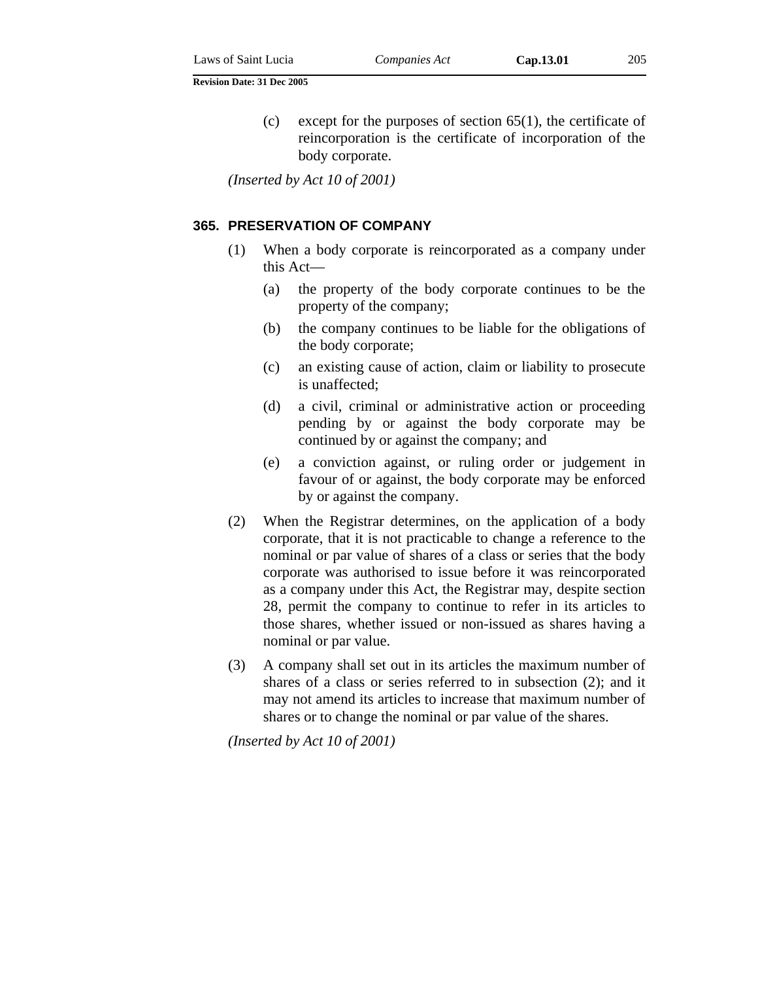(c) except for the purposes of section  $65(1)$ , the certificate of reincorporation is the certificate of incorporation of the body corporate.

*(Inserted by Act 10 of 2001)*

#### **365. PRESERVATION OF COMPANY**

- (1) When a body corporate is reincorporated as a company under this Act—
	- (a) the property of the body corporate continues to be the property of the company;
	- (b) the company continues to be liable for the obligations of the body corporate;
	- (c) an existing cause of action, claim or liability to prosecute is unaffected;
	- (d) a civil, criminal or administrative action or proceeding pending by or against the body corporate may be continued by or against the company; and
	- (e) a conviction against, or ruling order or judgement in favour of or against, the body corporate may be enforced by or against the company.
- (2) When the Registrar determines, on the application of a body corporate, that it is not practicable to change a reference to the nominal or par value of shares of a class or series that the body corporate was authorised to issue before it was reincorporated as a company under this Act, the Registrar may, despite section 28, permit the company to continue to refer in its articles to those shares, whether issued or non-issued as shares having a nominal or par value.
- (3) A company shall set out in its articles the maximum number of shares of a class or series referred to in subsection (2); and it may not amend its articles to increase that maximum number of shares or to change the nominal or par value of the shares.

*(Inserted by Act 10 of 2001)*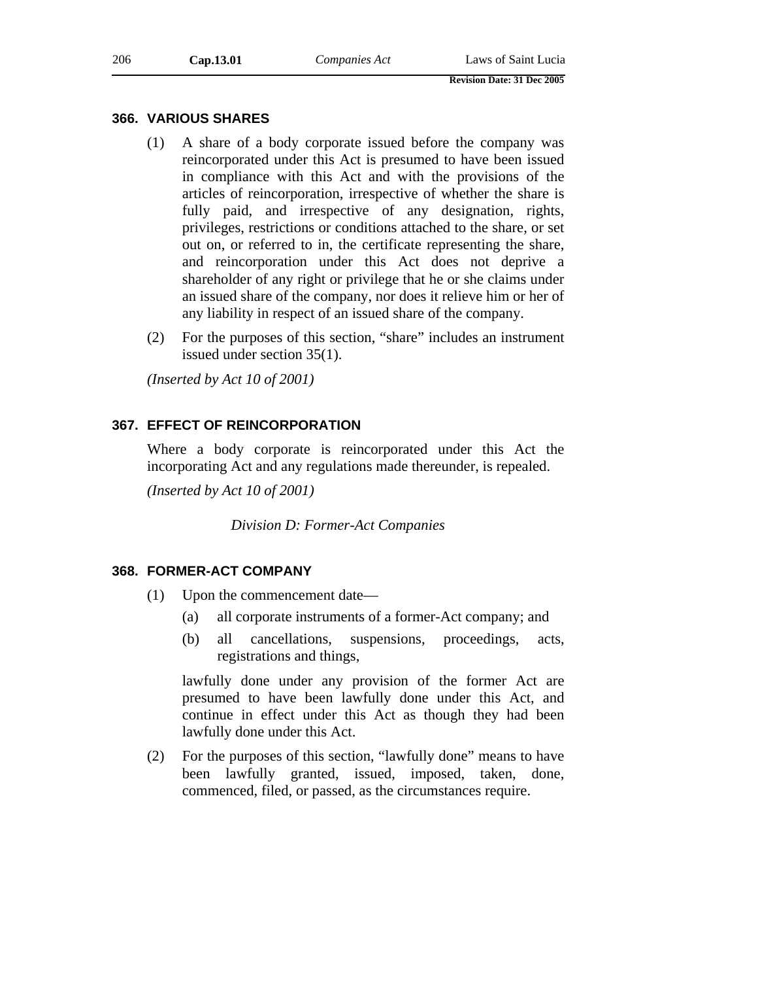#### **366. VARIOUS SHARES**

- (1) A share of a body corporate issued before the company was reincorporated under this Act is presumed to have been issued in compliance with this Act and with the provisions of the articles of reincorporation, irrespective of whether the share is fully paid, and irrespective of any designation, rights, privileges, restrictions or conditions attached to the share, or set out on, or referred to in, the certificate representing the share, and reincorporation under this Act does not deprive a shareholder of any right or privilege that he or she claims under an issued share of the company, nor does it relieve him or her of any liability in respect of an issued share of the company.
- (2) For the purposes of this section, "share" includes an instrument issued under section 35(1).

*(Inserted by Act 10 of 2001)*

## **367. EFFECT OF REINCORPORATION**

Where a body corporate is reincorporated under this Act the incorporating Act and any regulations made thereunder, is repealed.

*(Inserted by Act 10 of 2001)*

*Division D: Former-Act Companies* 

## **368. FORMER-ACT COMPANY**

- (1) Upon the commencement date—
	- (a) all corporate instruments of a former-Act company; and
	- (b) all cancellations, suspensions, proceedings, acts, registrations and things,

lawfully done under any provision of the former Act are presumed to have been lawfully done under this Act, and continue in effect under this Act as though they had been lawfully done under this Act.

(2) For the purposes of this section, "lawfully done" means to have been lawfully granted, issued, imposed, taken, done, commenced, filed, or passed, as the circumstances require.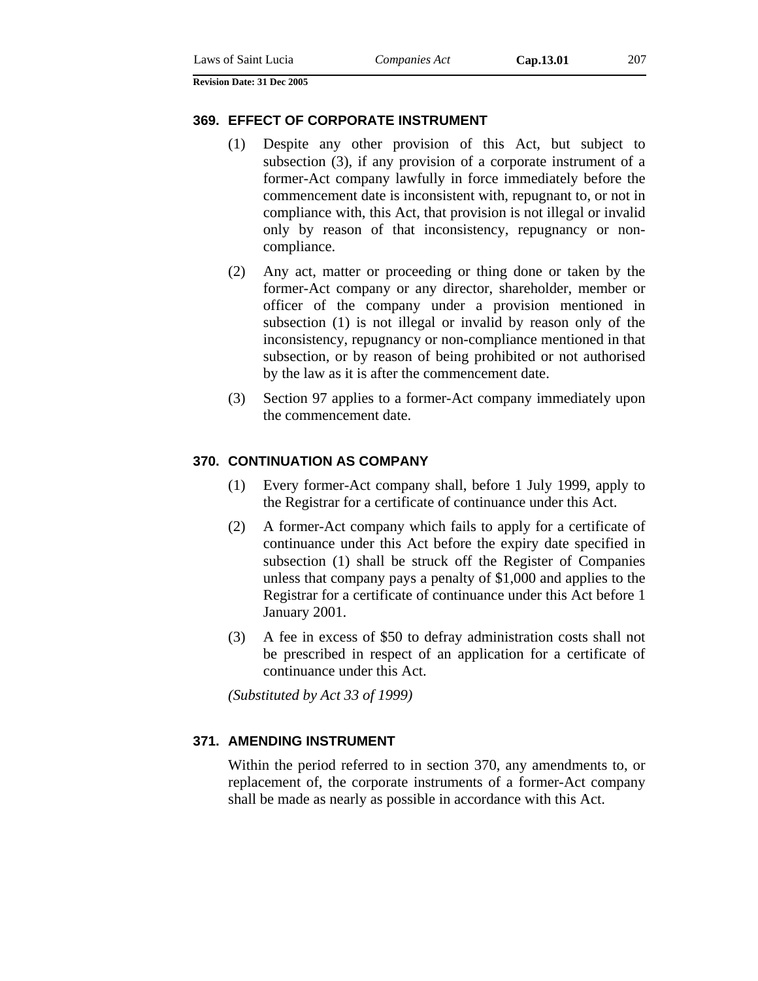#### **369. EFFECT OF CORPORATE INSTRUMENT**

- (1) Despite any other provision of this Act, but subject to subsection (3), if any provision of a corporate instrument of a former-Act company lawfully in force immediately before the commencement date is inconsistent with, repugnant to, or not in compliance with, this Act, that provision is not illegal or invalid only by reason of that inconsistency, repugnancy or noncompliance.
- (2) Any act, matter or proceeding or thing done or taken by the former-Act company or any director, shareholder, member or officer of the company under a provision mentioned in subsection (1) is not illegal or invalid by reason only of the inconsistency, repugnancy or non-compliance mentioned in that subsection, or by reason of being prohibited or not authorised by the law as it is after the commencement date.
- (3) Section 97 applies to a former-Act company immediately upon the commencement date.

#### **370. CONTINUATION AS COMPANY**

- (1) Every former-Act company shall, before 1 July 1999, apply to the Registrar for a certificate of continuance under this Act.
- (2) A former-Act company which fails to apply for a certificate of continuance under this Act before the expiry date specified in subsection (1) shall be struck off the Register of Companies unless that company pays a penalty of \$1,000 and applies to the Registrar for a certificate of continuance under this Act before 1 January 2001.
- (3) A fee in excess of \$50 to defray administration costs shall not be prescribed in respect of an application for a certificate of continuance under this Act.

*(Substituted by Act 33 of 1999)* 

## **371. AMENDING INSTRUMENT**

Within the period referred to in section 370, any amendments to, or replacement of, the corporate instruments of a former-Act company shall be made as nearly as possible in accordance with this Act.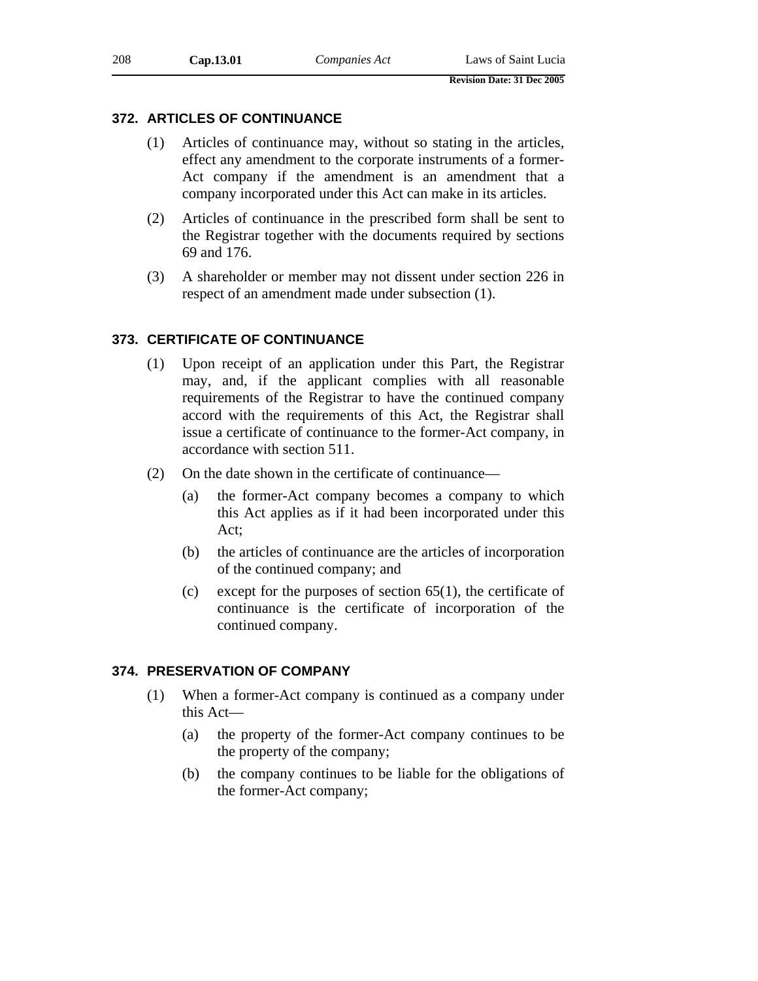## **372. ARTICLES OF CONTINUANCE**

- (1) Articles of continuance may, without so stating in the articles, effect any amendment to the corporate instruments of a former-Act company if the amendment is an amendment that a company incorporated under this Act can make in its articles.
- (2) Articles of continuance in the prescribed form shall be sent to the Registrar together with the documents required by sections 69 and 176.
- (3) A shareholder or member may not dissent under section 226 in respect of an amendment made under subsection (1).

## **373. CERTIFICATE OF CONTINUANCE**

- (1) Upon receipt of an application under this Part, the Registrar may, and, if the applicant complies with all reasonable requirements of the Registrar to have the continued company accord with the requirements of this Act, the Registrar shall issue a certificate of continuance to the former-Act company, in accordance with section 511.
- (2) On the date shown in the certificate of continuance—
	- (a) the former-Act company becomes a company to which this Act applies as if it had been incorporated under this Act;
	- (b) the articles of continuance are the articles of incorporation of the continued company; and
	- (c) except for the purposes of section 65(1), the certificate of continuance is the certificate of incorporation of the continued company.

# **374. PRESERVATION OF COMPANY**

- (1) When a former-Act company is continued as a company under this Act—
	- (a) the property of the former-Act company continues to be the property of the company;
	- (b) the company continues to be liable for the obligations of the former-Act company;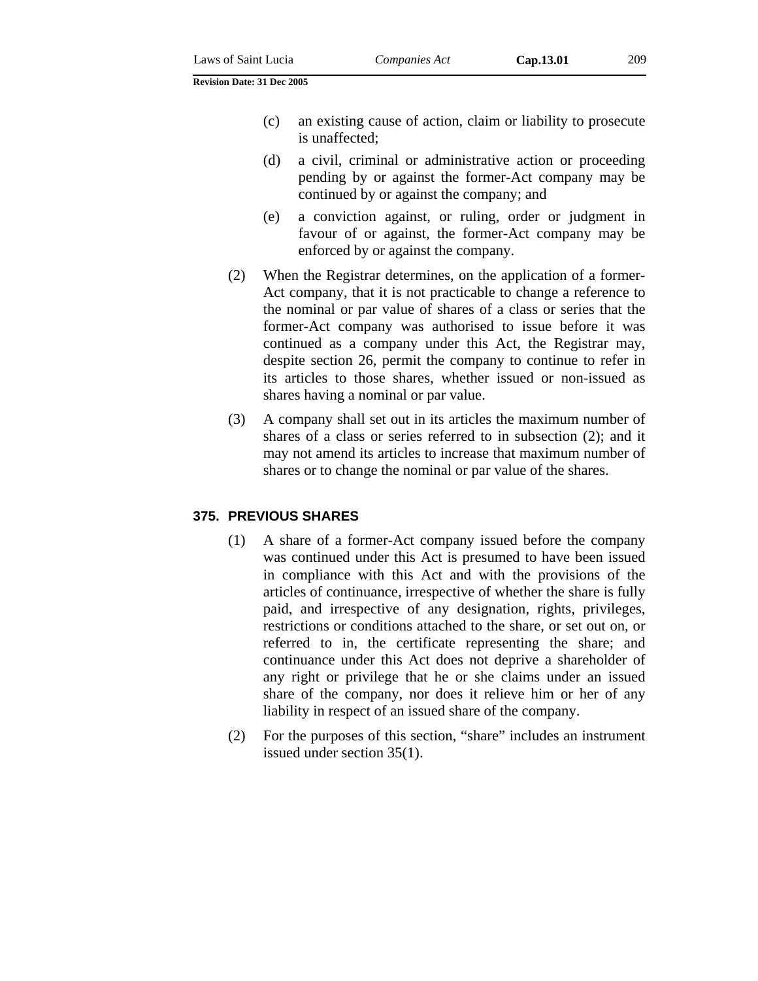- (c) an existing cause of action, claim or liability to prosecute is unaffected;
- (d) a civil, criminal or administrative action or proceeding pending by or against the former-Act company may be continued by or against the company; and
- (e) a conviction against, or ruling, order or judgment in favour of or against, the former-Act company may be enforced by or against the company.
- (2) When the Registrar determines, on the application of a former-Act company, that it is not practicable to change a reference to the nominal or par value of shares of a class or series that the former-Act company was authorised to issue before it was continued as a company under this Act, the Registrar may, despite section 26, permit the company to continue to refer in its articles to those shares, whether issued or non-issued as shares having a nominal or par value.
- (3) A company shall set out in its articles the maximum number of shares of a class or series referred to in subsection (2); and it may not amend its articles to increase that maximum number of shares or to change the nominal or par value of the shares.

## **375. PREVIOUS SHARES**

- (1) A share of a former-Act company issued before the company was continued under this Act is presumed to have been issued in compliance with this Act and with the provisions of the articles of continuance, irrespective of whether the share is fully paid, and irrespective of any designation, rights, privileges, restrictions or conditions attached to the share, or set out on, or referred to in, the certificate representing the share; and continuance under this Act does not deprive a shareholder of any right or privilege that he or she claims under an issued share of the company, nor does it relieve him or her of any liability in respect of an issued share of the company.
- (2) For the purposes of this section, "share" includes an instrument issued under section 35(1).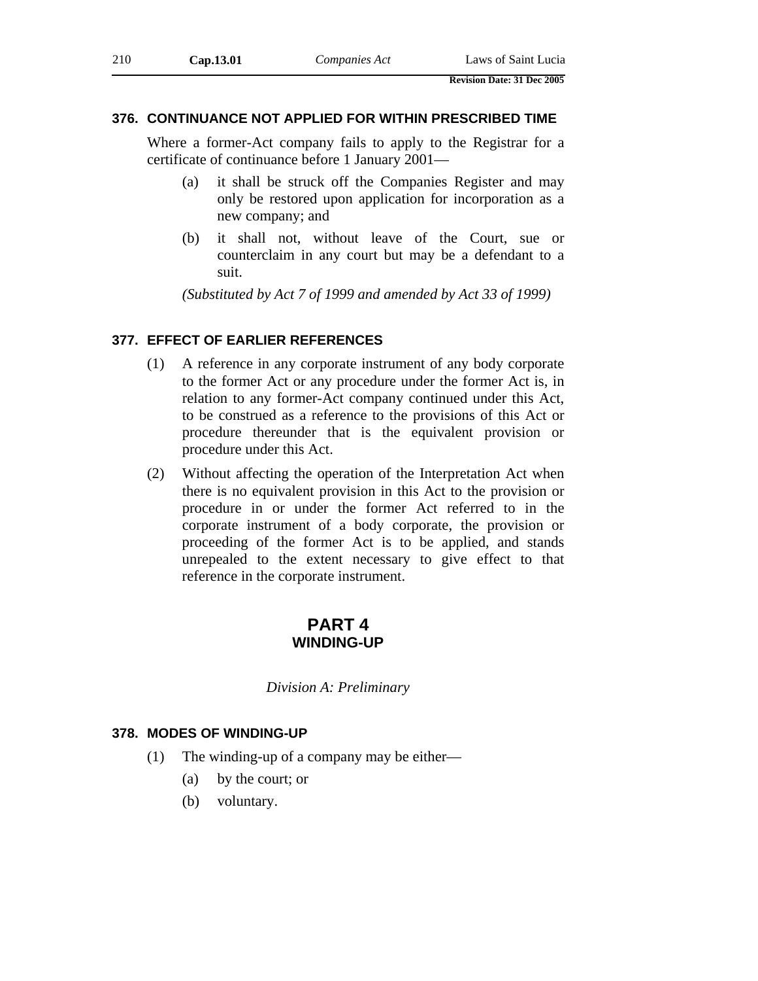## **376. CONTINUANCE NOT APPLIED FOR WITHIN PRESCRIBED TIME**

Where a former-Act company fails to apply to the Registrar for a certificate of continuance before 1 January 2001—

- (a) it shall be struck off the Companies Register and may only be restored upon application for incorporation as a new company; and
- (b) it shall not, without leave of the Court, sue or counterclaim in any court but may be a defendant to a suit.

*(Substituted by Act 7 of 1999 and amended by Act 33 of 1999)* 

## **377. EFFECT OF EARLIER REFERENCES**

- (1) A reference in any corporate instrument of any body corporate to the former Act or any procedure under the former Act is, in relation to any former-Act company continued under this Act, to be construed as a reference to the provisions of this Act or procedure thereunder that is the equivalent provision or procedure under this Act.
- (2) Without affecting the operation of the Interpretation Act when there is no equivalent provision in this Act to the provision or procedure in or under the former Act referred to in the corporate instrument of a body corporate, the provision or proceeding of the former Act is to be applied, and stands unrepealed to the extent necessary to give effect to that reference in the corporate instrument.

# **PART 4 WINDING-UP**

*Division A: Preliminary* 

## **378. MODES OF WINDING-UP**

- (1) The winding-up of a company may be either—
	- (a) by the court; or
	- (b) voluntary.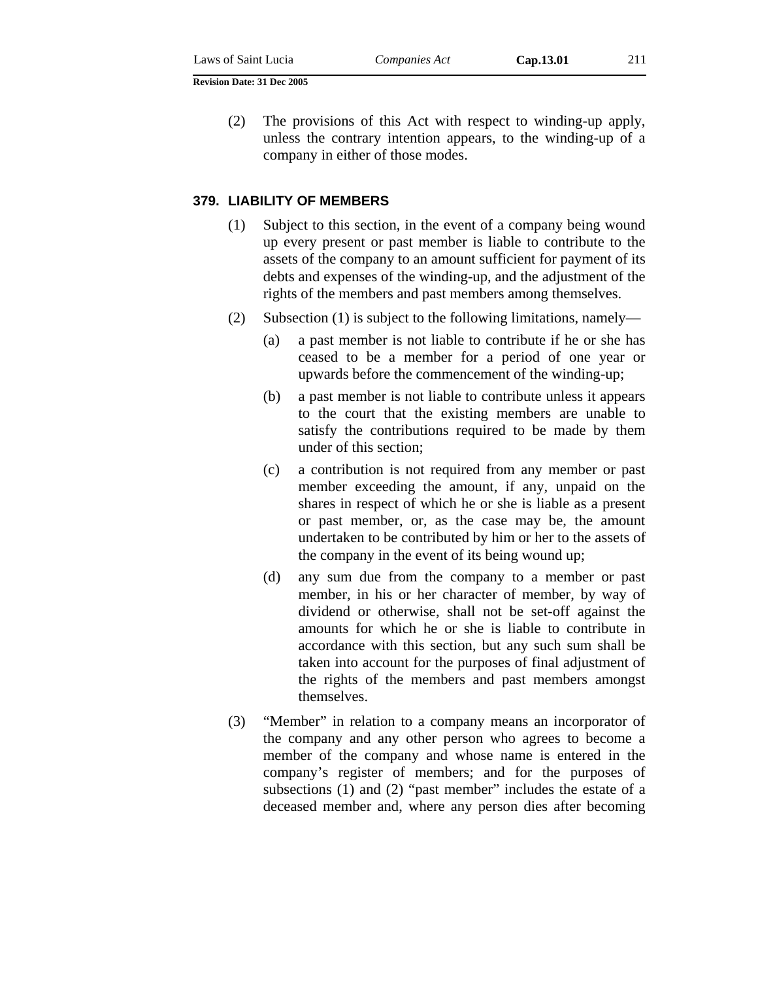(2) The provisions of this Act with respect to winding-up apply, unless the contrary intention appears, to the winding-up of a company in either of those modes.

#### **379. LIABILITY OF MEMBERS**

- (1) Subject to this section, in the event of a company being wound up every present or past member is liable to contribute to the assets of the company to an amount sufficient for payment of its debts and expenses of the winding-up, and the adjustment of the rights of the members and past members among themselves.
- (2) Subsection (1) is subject to the following limitations, namely—
	- (a) a past member is not liable to contribute if he or she has ceased to be a member for a period of one year or upwards before the commencement of the winding-up;
	- (b) a past member is not liable to contribute unless it appears to the court that the existing members are unable to satisfy the contributions required to be made by them under of this section;
	- (c) a contribution is not required from any member or past member exceeding the amount, if any, unpaid on the shares in respect of which he or she is liable as a present or past member, or, as the case may be, the amount undertaken to be contributed by him or her to the assets of the company in the event of its being wound up;
	- (d) any sum due from the company to a member or past member, in his or her character of member, by way of dividend or otherwise, shall not be set-off against the amounts for which he or she is liable to contribute in accordance with this section, but any such sum shall be taken into account for the purposes of final adjustment of the rights of the members and past members amongst themselves.
- (3) "Member" in relation to a company means an incorporator of the company and any other person who agrees to become a member of the company and whose name is entered in the company's register of members; and for the purposes of subsections (1) and (2) "past member" includes the estate of a deceased member and, where any person dies after becoming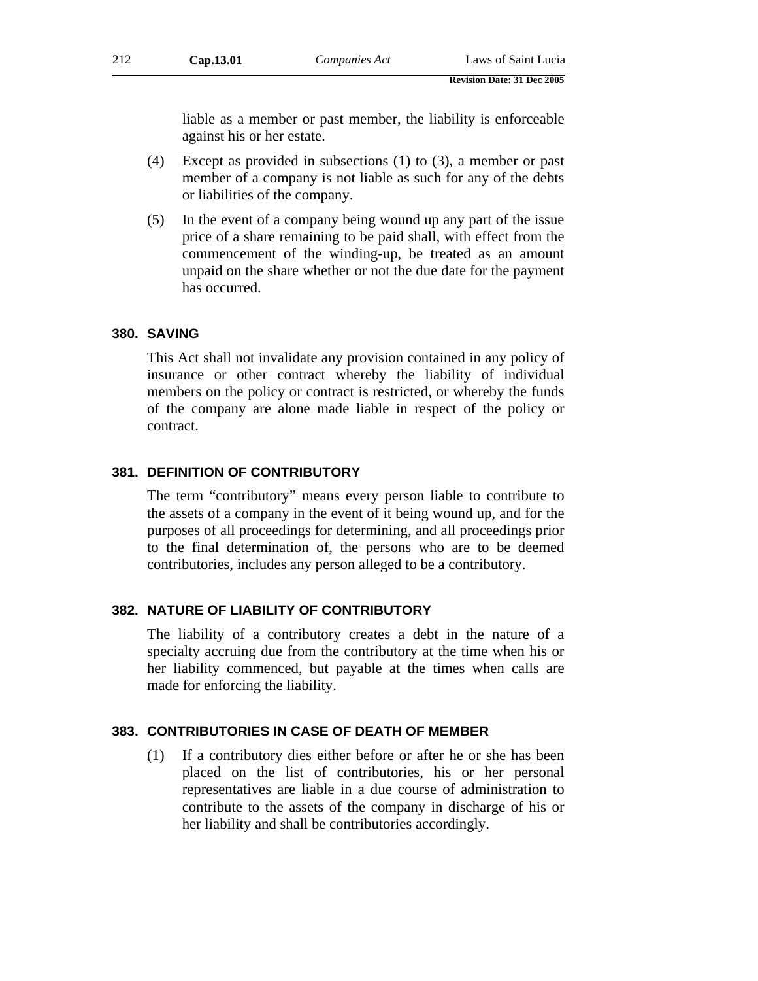liable as a member or past member, the liability is enforceable against his or her estate.

- (4) Except as provided in subsections (1) to (3), a member or past member of a company is not liable as such for any of the debts or liabilities of the company.
- (5) In the event of a company being wound up any part of the issue price of a share remaining to be paid shall, with effect from the commencement of the winding-up, be treated as an amount unpaid on the share whether or not the due date for the payment has occurred.

## **380. SAVING**

This Act shall not invalidate any provision contained in any policy of insurance or other contract whereby the liability of individual members on the policy or contract is restricted, or whereby the funds of the company are alone made liable in respect of the policy or contract.

## **381. DEFINITION OF CONTRIBUTORY**

The term "contributory" means every person liable to contribute to the assets of a company in the event of it being wound up, and for the purposes of all proceedings for determining, and all proceedings prior to the final determination of, the persons who are to be deemed contributories, includes any person alleged to be a contributory.

# **382. NATURE OF LIABILITY OF CONTRIBUTORY**

The liability of a contributory creates a debt in the nature of a specialty accruing due from the contributory at the time when his or her liability commenced, but payable at the times when calls are made for enforcing the liability.

# **383. CONTRIBUTORIES IN CASE OF DEATH OF MEMBER**

(1) If a contributory dies either before or after he or she has been placed on the list of contributories, his or her personal representatives are liable in a due course of administration to contribute to the assets of the company in discharge of his or her liability and shall be contributories accordingly.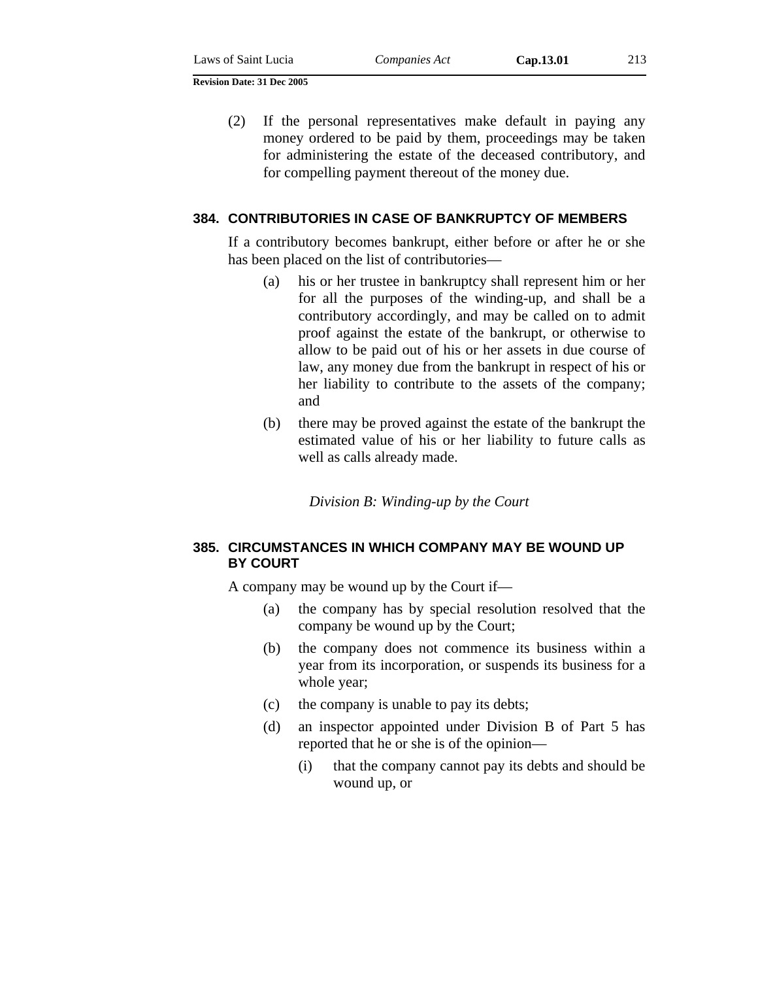(2) If the personal representatives make default in paying any money ordered to be paid by them, proceedings may be taken for administering the estate of the deceased contributory, and for compelling payment thereout of the money due.

## **384. CONTRIBUTORIES IN CASE OF BANKRUPTCY OF MEMBERS**

If a contributory becomes bankrupt, either before or after he or she has been placed on the list of contributories—

- (a) his or her trustee in bankruptcy shall represent him or her for all the purposes of the winding-up, and shall be a contributory accordingly, and may be called on to admit proof against the estate of the bankrupt, or otherwise to allow to be paid out of his or her assets in due course of law, any money due from the bankrupt in respect of his or her liability to contribute to the assets of the company; and
- (b) there may be proved against the estate of the bankrupt the estimated value of his or her liability to future calls as well as calls already made.

*Division B: Winding-up by the Court* 

## **385. CIRCUMSTANCES IN WHICH COMPANY MAY BE WOUND UP BY COURT**

A company may be wound up by the Court if—

- (a) the company has by special resolution resolved that the company be wound up by the Court;
- (b) the company does not commence its business within a year from its incorporation, or suspends its business for a whole year;
- (c) the company is unable to pay its debts;
- (d) an inspector appointed under Division B of Part 5 has reported that he or she is of the opinion—
	- (i) that the company cannot pay its debts and should be wound up, or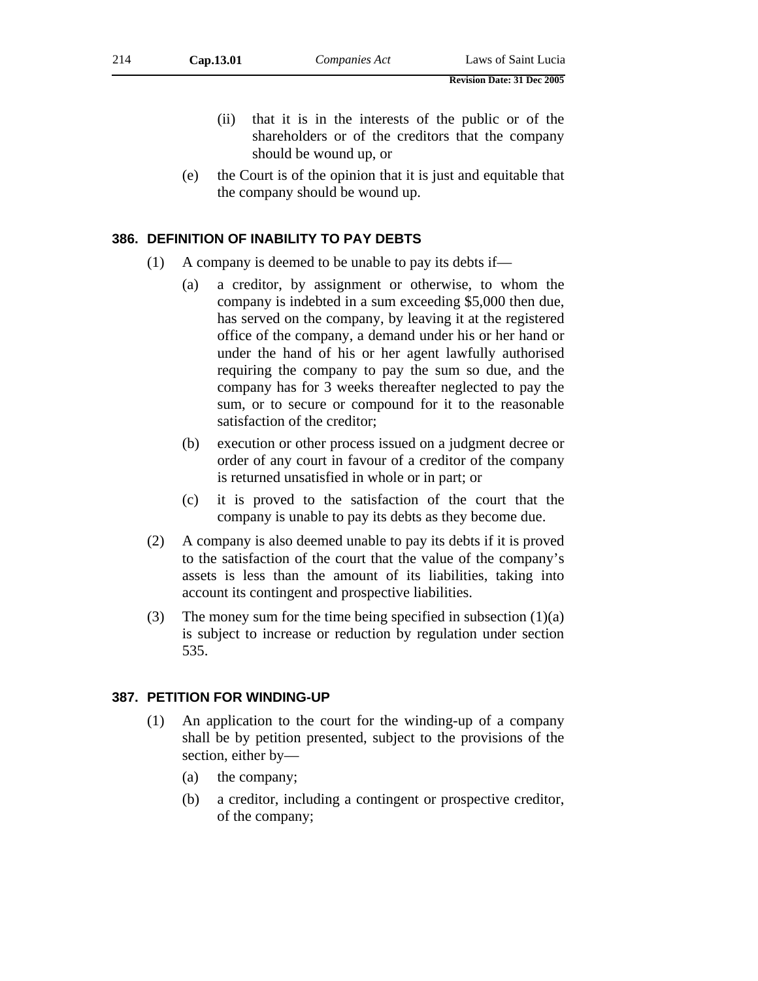- (ii) that it is in the interests of the public or of the shareholders or of the creditors that the company should be wound up, or
- (e) the Court is of the opinion that it is just and equitable that the company should be wound up.

## **386. DEFINITION OF INABILITY TO PAY DEBTS**

- (1) A company is deemed to be unable to pay its debts if—
	- (a) a creditor, by assignment or otherwise, to whom the company is indebted in a sum exceeding \$5,000 then due, has served on the company, by leaving it at the registered office of the company, a demand under his or her hand or under the hand of his or her agent lawfully authorised requiring the company to pay the sum so due, and the company has for 3 weeks thereafter neglected to pay the sum, or to secure or compound for it to the reasonable satisfaction of the creditor;
	- (b) execution or other process issued on a judgment decree or order of any court in favour of a creditor of the company is returned unsatisfied in whole or in part; or
	- (c) it is proved to the satisfaction of the court that the company is unable to pay its debts as they become due.
- (2) A company is also deemed unable to pay its debts if it is proved to the satisfaction of the court that the value of the company's assets is less than the amount of its liabilities, taking into account its contingent and prospective liabilities.
- (3) The money sum for the time being specified in subsection  $(1)(a)$ is subject to increase or reduction by regulation under section 535.

## **387. PETITION FOR WINDING-UP**

- (1) An application to the court for the winding-up of a company shall be by petition presented, subject to the provisions of the section, either by—
	- (a) the company;
	- (b) a creditor, including a contingent or prospective creditor, of the company;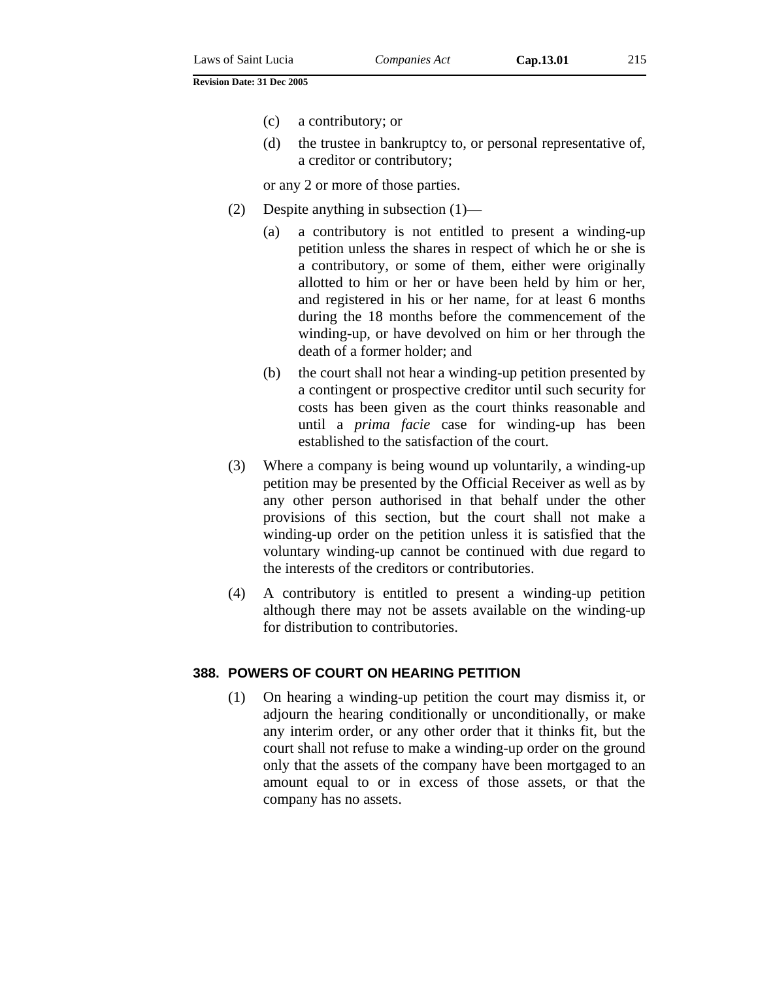- (c) a contributory; or
- (d) the trustee in bankruptcy to, or personal representative of, a creditor or contributory;

or any 2 or more of those parties.

- (2) Despite anything in subsection (1)—
	- (a) a contributory is not entitled to present a winding-up petition unless the shares in respect of which he or she is a contributory, or some of them, either were originally allotted to him or her or have been held by him or her, and registered in his or her name, for at least 6 months during the 18 months before the commencement of the winding-up, or have devolved on him or her through the death of a former holder; and
	- (b) the court shall not hear a winding-up petition presented by a contingent or prospective creditor until such security for costs has been given as the court thinks reasonable and until a *prima facie* case for winding-up has been established to the satisfaction of the court.
- (3) Where a company is being wound up voluntarily, a winding-up petition may be presented by the Official Receiver as well as by any other person authorised in that behalf under the other provisions of this section, but the court shall not make a winding-up order on the petition unless it is satisfied that the voluntary winding-up cannot be continued with due regard to the interests of the creditors or contributories.
- (4) A contributory is entitled to present a winding-up petition although there may not be assets available on the winding-up for distribution to contributories.

#### **388. POWERS OF COURT ON HEARING PETITION**

(1) On hearing a winding-up petition the court may dismiss it, or adjourn the hearing conditionally or unconditionally, or make any interim order, or any other order that it thinks fit, but the court shall not refuse to make a winding-up order on the ground only that the assets of the company have been mortgaged to an amount equal to or in excess of those assets, or that the company has no assets.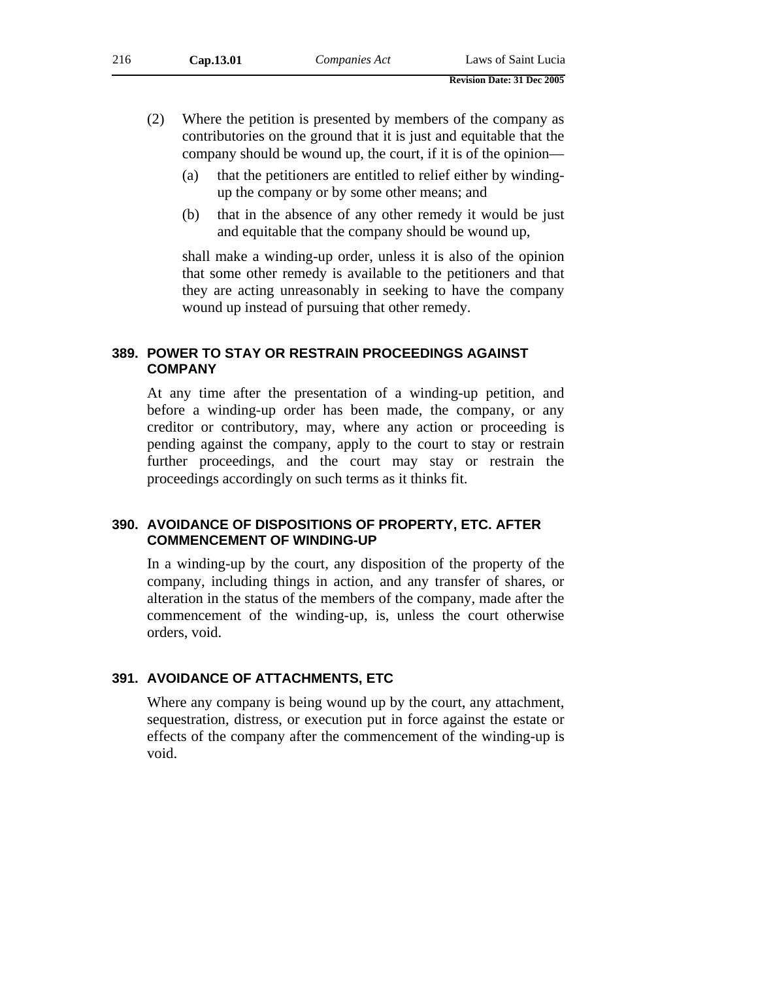- (2) Where the petition is presented by members of the company as contributories on the ground that it is just and equitable that the company should be wound up, the court, if it is of the opinion—
	- (a) that the petitioners are entitled to relief either by windingup the company or by some other means; and
	- (b) that in the absence of any other remedy it would be just and equitable that the company should be wound up,

shall make a winding-up order, unless it is also of the opinion that some other remedy is available to the petitioners and that they are acting unreasonably in seeking to have the company wound up instead of pursuing that other remedy.

## **389. POWER TO STAY OR RESTRAIN PROCEEDINGS AGAINST COMPANY**

At any time after the presentation of a winding-up petition, and before a winding-up order has been made, the company, or any creditor or contributory, may, where any action or proceeding is pending against the company, apply to the court to stay or restrain further proceedings, and the court may stay or restrain the proceedings accordingly on such terms as it thinks fit.

## **390. AVOIDANCE OF DISPOSITIONS OF PROPERTY, ETC. AFTER COMMENCEMENT OF WINDING-UP**

In a winding-up by the court, any disposition of the property of the company, including things in action, and any transfer of shares, or alteration in the status of the members of the company, made after the commencement of the winding-up, is, unless the court otherwise orders, void.

# **391. AVOIDANCE OF ATTACHMENTS, ETC**

Where any company is being wound up by the court, any attachment, sequestration, distress, or execution put in force against the estate or effects of the company after the commencement of the winding-up is void.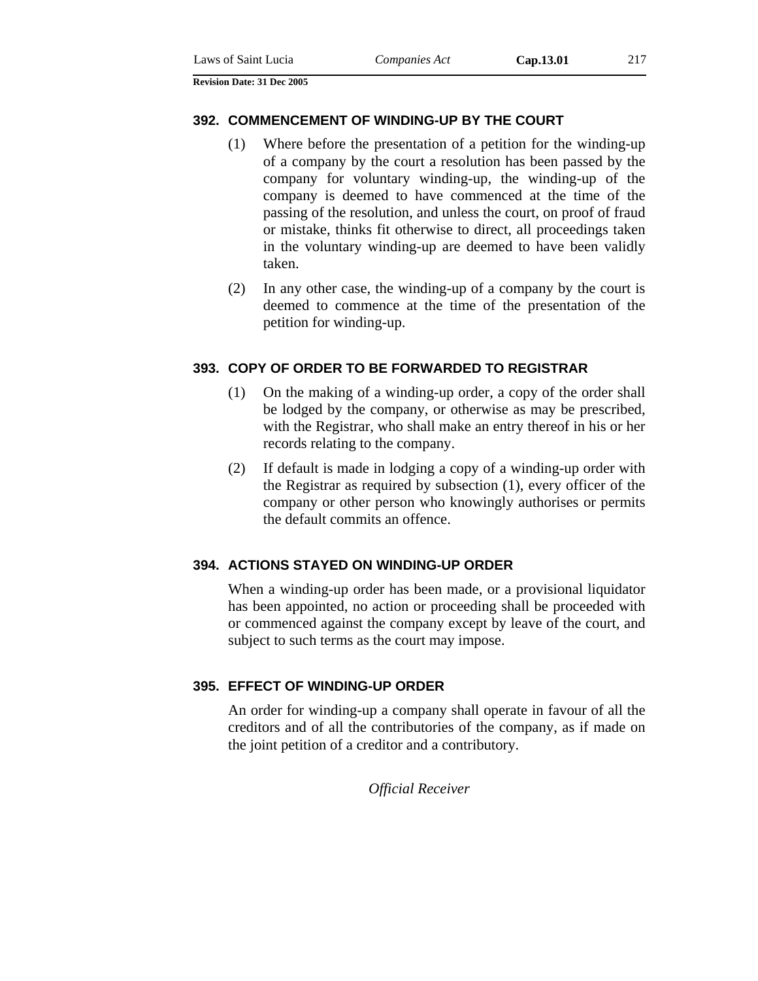#### **392. COMMENCEMENT OF WINDING-UP BY THE COURT**

- (1) Where before the presentation of a petition for the winding-up of a company by the court a resolution has been passed by the company for voluntary winding-up, the winding-up of the company is deemed to have commenced at the time of the passing of the resolution, and unless the court, on proof of fraud or mistake, thinks fit otherwise to direct, all proceedings taken in the voluntary winding-up are deemed to have been validly taken.
- (2) In any other case, the winding-up of a company by the court is deemed to commence at the time of the presentation of the petition for winding-up.

# **393. COPY OF ORDER TO BE FORWARDED TO REGISTRAR**

- (1) On the making of a winding-up order, a copy of the order shall be lodged by the company, or otherwise as may be prescribed, with the Registrar, who shall make an entry thereof in his or her records relating to the company.
- (2) If default is made in lodging a copy of a winding-up order with the Registrar as required by subsection (1), every officer of the company or other person who knowingly authorises or permits the default commits an offence.

### **394. ACTIONS STAYED ON WINDING-UP ORDER**

When a winding-up order has been made, or a provisional liquidator has been appointed, no action or proceeding shall be proceeded with or commenced against the company except by leave of the court, and subject to such terms as the court may impose.

### **395. EFFECT OF WINDING-UP ORDER**

An order for winding-up a company shall operate in favour of all the creditors and of all the contributories of the company, as if made on the joint petition of a creditor and a contributory.

*Official Receiver*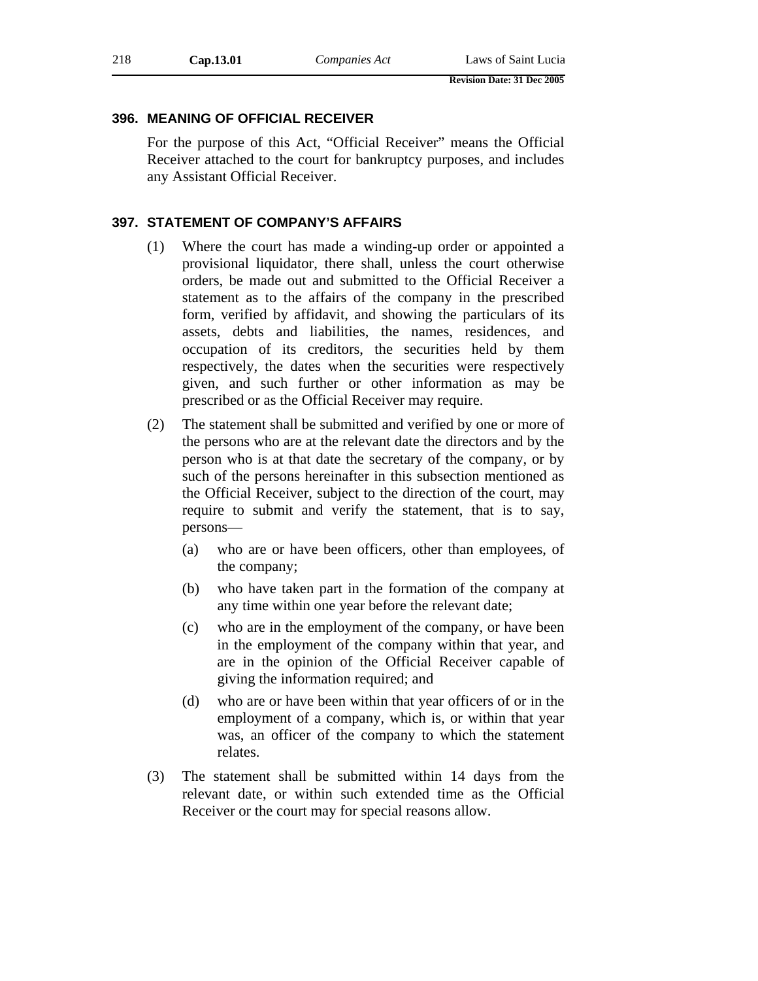# **396. MEANING OF OFFICIAL RECEIVER**

For the purpose of this Act, "Official Receiver" means the Official Receiver attached to the court for bankruptcy purposes, and includes any Assistant Official Receiver.

### **397. STATEMENT OF COMPANY'S AFFAIRS**

- (1) Where the court has made a winding-up order or appointed a provisional liquidator, there shall, unless the court otherwise orders, be made out and submitted to the Official Receiver a statement as to the affairs of the company in the prescribed form, verified by affidavit, and showing the particulars of its assets, debts and liabilities, the names, residences, and occupation of its creditors, the securities held by them respectively, the dates when the securities were respectively given, and such further or other information as may be prescribed or as the Official Receiver may require.
- (2) The statement shall be submitted and verified by one or more of the persons who are at the relevant date the directors and by the person who is at that date the secretary of the company, or by such of the persons hereinafter in this subsection mentioned as the Official Receiver, subject to the direction of the court, may require to submit and verify the statement, that is to say, persons—
	- (a) who are or have been officers, other than employees, of the company;
	- (b) who have taken part in the formation of the company at any time within one year before the relevant date;
	- (c) who are in the employment of the company, or have been in the employment of the company within that year, and are in the opinion of the Official Receiver capable of giving the information required; and
	- (d) who are or have been within that year officers of or in the employment of a company, which is, or within that year was, an officer of the company to which the statement relates.
- (3) The statement shall be submitted within 14 days from the relevant date, or within such extended time as the Official Receiver or the court may for special reasons allow.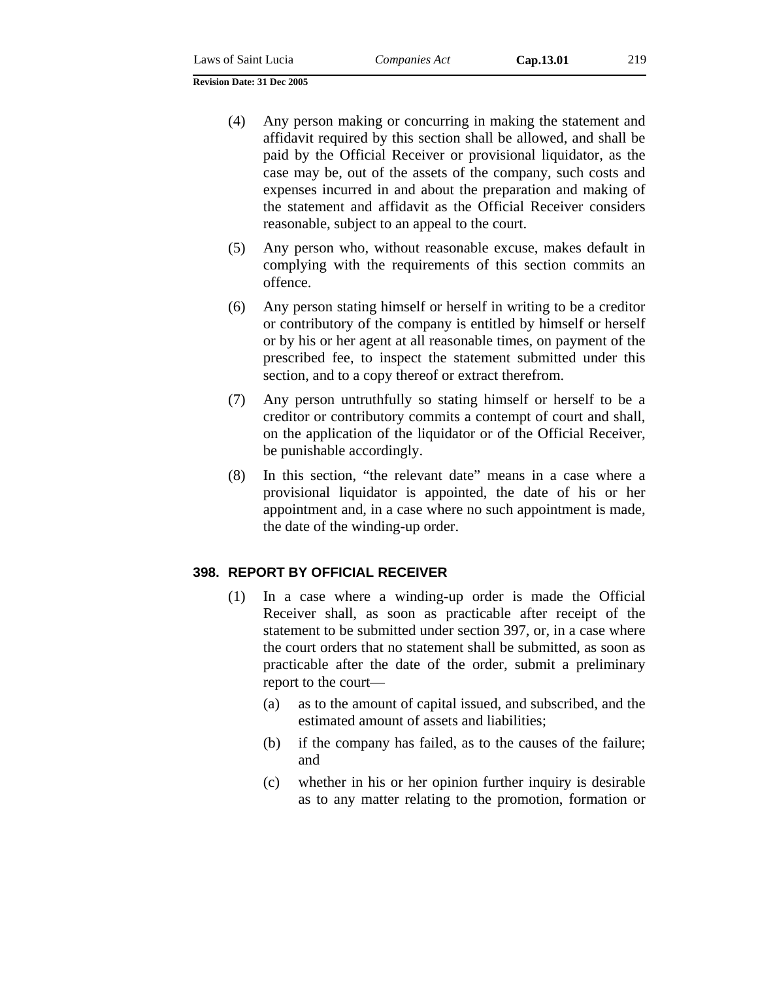- (4) Any person making or concurring in making the statement and affidavit required by this section shall be allowed, and shall be paid by the Official Receiver or provisional liquidator, as the case may be, out of the assets of the company, such costs and expenses incurred in and about the preparation and making of the statement and affidavit as the Official Receiver considers reasonable, subject to an appeal to the court.
- (5) Any person who, without reasonable excuse, makes default in complying with the requirements of this section commits an offence.
- (6) Any person stating himself or herself in writing to be a creditor or contributory of the company is entitled by himself or herself or by his or her agent at all reasonable times, on payment of the prescribed fee, to inspect the statement submitted under this section, and to a copy thereof or extract therefrom.
- (7) Any person untruthfully so stating himself or herself to be a creditor or contributory commits a contempt of court and shall, on the application of the liquidator or of the Official Receiver, be punishable accordingly.
- (8) In this section, "the relevant date" means in a case where a provisional liquidator is appointed, the date of his or her appointment and, in a case where no such appointment is made, the date of the winding-up order.

# **398. REPORT BY OFFICIAL RECEIVER**

- (1) In a case where a winding-up order is made the Official Receiver shall, as soon as practicable after receipt of the statement to be submitted under section 397, or, in a case where the court orders that no statement shall be submitted, as soon as practicable after the date of the order, submit a preliminary report to the court—
	- (a) as to the amount of capital issued, and subscribed, and the estimated amount of assets and liabilities;
	- (b) if the company has failed, as to the causes of the failure; and
	- (c) whether in his or her opinion further inquiry is desirable as to any matter relating to the promotion, formation or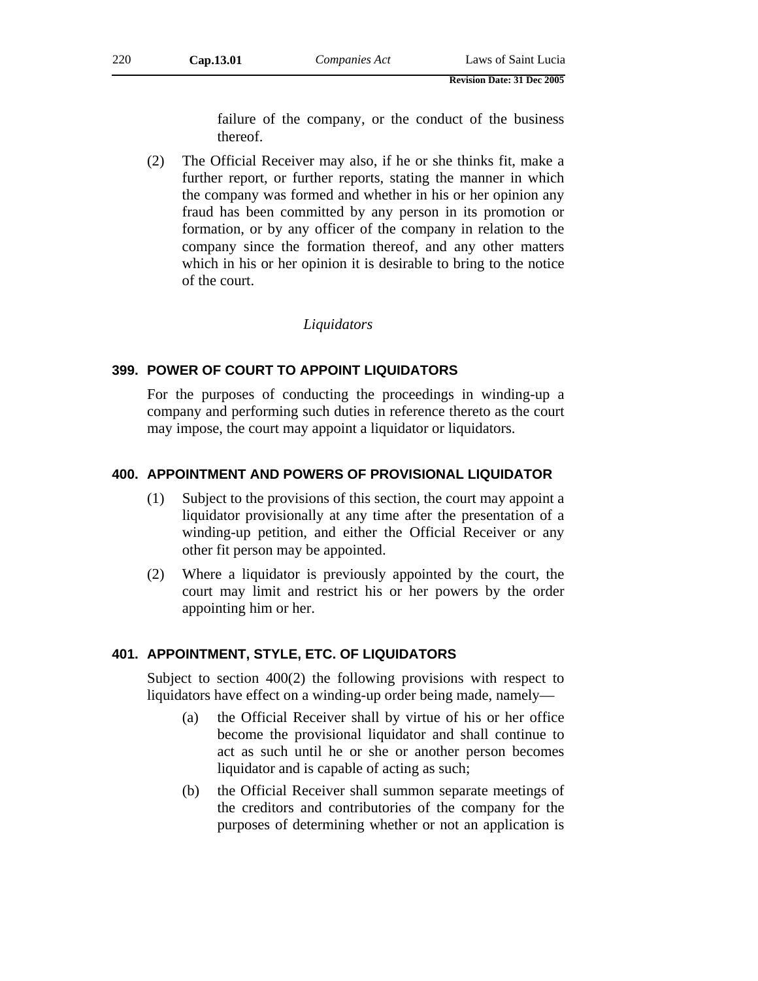failure of the company, or the conduct of the business thereof.

(2) The Official Receiver may also, if he or she thinks fit, make a further report, or further reports, stating the manner in which the company was formed and whether in his or her opinion any fraud has been committed by any person in its promotion or formation, or by any officer of the company in relation to the company since the formation thereof, and any other matters which in his or her opinion it is desirable to bring to the notice of the court.

#### *Liquidators*

#### **399. POWER OF COURT TO APPOINT LIQUIDATORS**

For the purposes of conducting the proceedings in winding-up a company and performing such duties in reference thereto as the court may impose, the court may appoint a liquidator or liquidators.

#### **400. APPOINTMENT AND POWERS OF PROVISIONAL LIQUIDATOR**

- (1) Subject to the provisions of this section, the court may appoint a liquidator provisionally at any time after the presentation of a winding-up petition, and either the Official Receiver or any other fit person may be appointed.
- (2) Where a liquidator is previously appointed by the court, the court may limit and restrict his or her powers by the order appointing him or her.

#### **401. APPOINTMENT, STYLE, ETC. OF LIQUIDATORS**

Subject to section 400(2) the following provisions with respect to liquidators have effect on a winding-up order being made, namely—

- (a) the Official Receiver shall by virtue of his or her office become the provisional liquidator and shall continue to act as such until he or she or another person becomes liquidator and is capable of acting as such;
- (b) the Official Receiver shall summon separate meetings of the creditors and contributories of the company for the purposes of determining whether or not an application is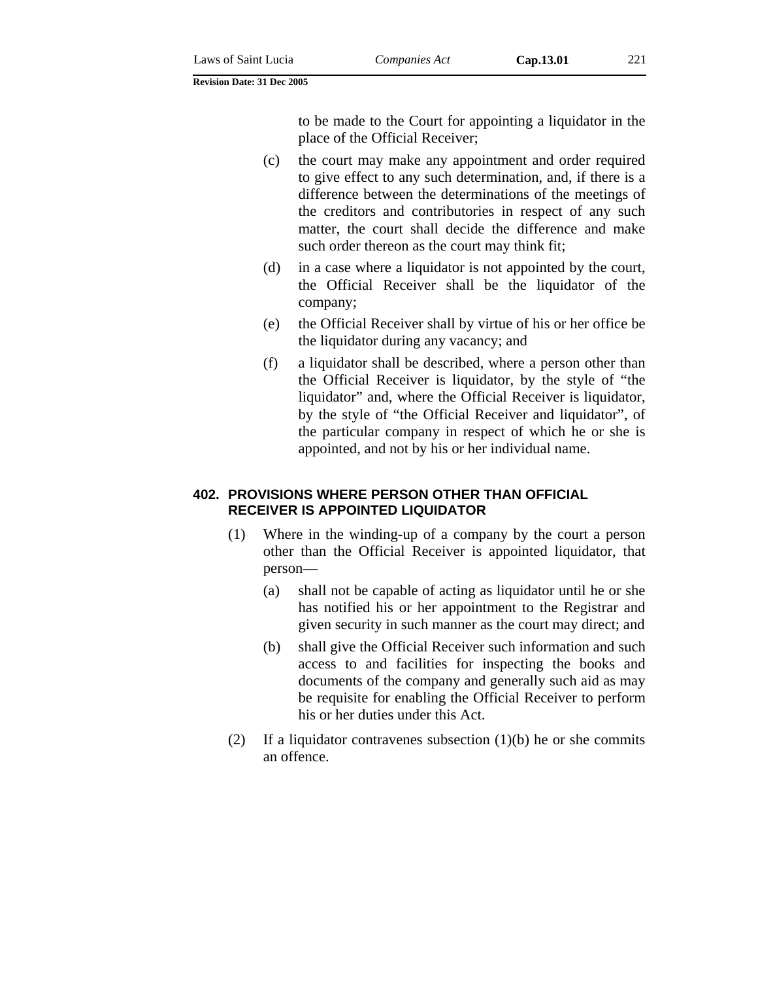to be made to the Court for appointing a liquidator in the place of the Official Receiver;

- (c) the court may make any appointment and order required to give effect to any such determination, and, if there is a difference between the determinations of the meetings of the creditors and contributories in respect of any such matter, the court shall decide the difference and make such order thereon as the court may think fit;
- (d) in a case where a liquidator is not appointed by the court, the Official Receiver shall be the liquidator of the company;
- (e) the Official Receiver shall by virtue of his or her office be the liquidator during any vacancy; and
- (f) a liquidator shall be described, where a person other than the Official Receiver is liquidator, by the style of "the liquidator" and, where the Official Receiver is liquidator, by the style of "the Official Receiver and liquidator", of the particular company in respect of which he or she is appointed, and not by his or her individual name.

### **402. PROVISIONS WHERE PERSON OTHER THAN OFFICIAL RECEIVER IS APPOINTED LIQUIDATOR**

- (1) Where in the winding-up of a company by the court a person other than the Official Receiver is appointed liquidator, that person—
	- (a) shall not be capable of acting as liquidator until he or she has notified his or her appointment to the Registrar and given security in such manner as the court may direct; and
	- (b) shall give the Official Receiver such information and such access to and facilities for inspecting the books and documents of the company and generally such aid as may be requisite for enabling the Official Receiver to perform his or her duties under this Act.
- (2) If a liquidator contravenes subsection  $(1)(b)$  he or she commits an offence.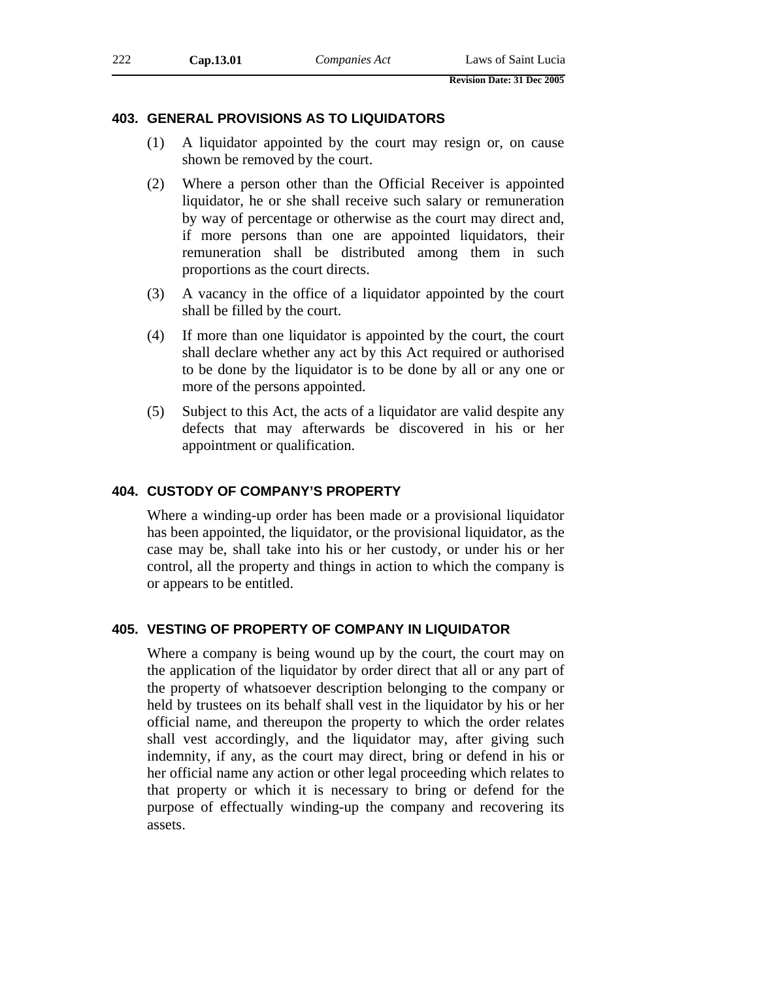#### **403. GENERAL PROVISIONS AS TO LIQUIDATORS**

- (1) A liquidator appointed by the court may resign or, on cause shown be removed by the court.
- (2) Where a person other than the Official Receiver is appointed liquidator, he or she shall receive such salary or remuneration by way of percentage or otherwise as the court may direct and, if more persons than one are appointed liquidators, their remuneration shall be distributed among them in such proportions as the court directs.
- (3) A vacancy in the office of a liquidator appointed by the court shall be filled by the court.
- (4) If more than one liquidator is appointed by the court, the court shall declare whether any act by this Act required or authorised to be done by the liquidator is to be done by all or any one or more of the persons appointed.
- (5) Subject to this Act, the acts of a liquidator are valid despite any defects that may afterwards be discovered in his or her appointment or qualification.

#### **404. CUSTODY OF COMPANY'S PROPERTY**

Where a winding-up order has been made or a provisional liquidator has been appointed, the liquidator, or the provisional liquidator, as the case may be, shall take into his or her custody, or under his or her control, all the property and things in action to which the company is or appears to be entitled.

#### **405. VESTING OF PROPERTY OF COMPANY IN LIQUIDATOR**

Where a company is being wound up by the court, the court may on the application of the liquidator by order direct that all or any part of the property of whatsoever description belonging to the company or held by trustees on its behalf shall vest in the liquidator by his or her official name, and thereupon the property to which the order relates shall vest accordingly, and the liquidator may, after giving such indemnity, if any, as the court may direct, bring or defend in his or her official name any action or other legal proceeding which relates to that property or which it is necessary to bring or defend for the purpose of effectually winding-up the company and recovering its assets.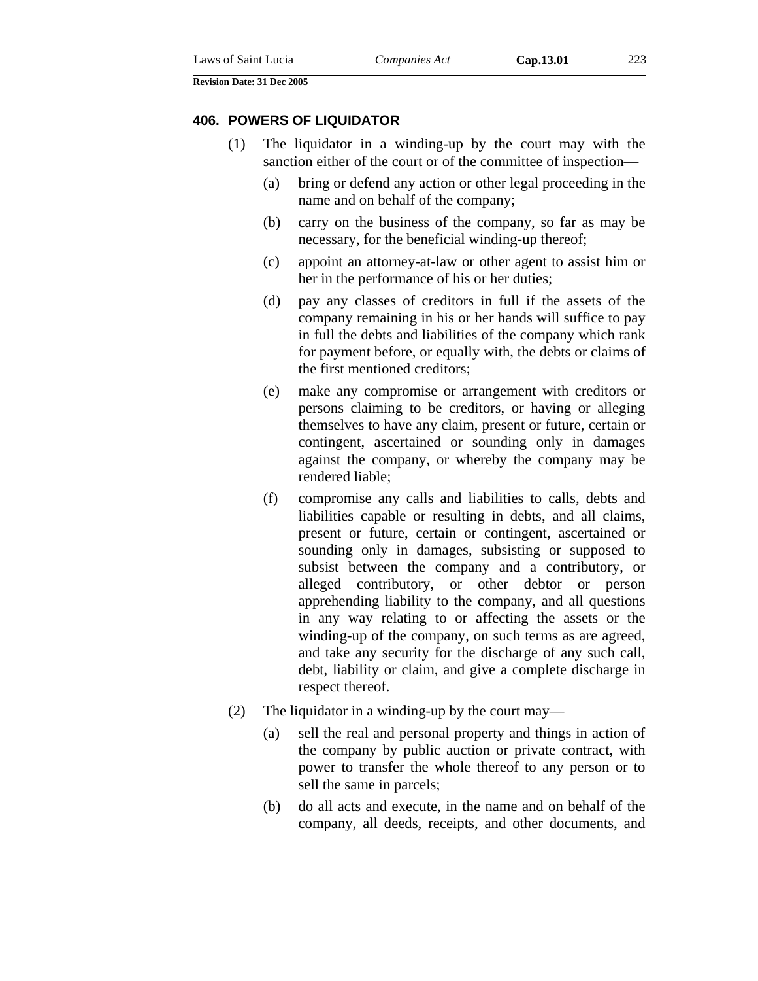#### **406. POWERS OF LIQUIDATOR**

- (1) The liquidator in a winding-up by the court may with the sanction either of the court or of the committee of inspection—
	- (a) bring or defend any action or other legal proceeding in the name and on behalf of the company;
	- (b) carry on the business of the company, so far as may be necessary, for the beneficial winding-up thereof;
	- (c) appoint an attorney-at-law or other agent to assist him or her in the performance of his or her duties;
	- (d) pay any classes of creditors in full if the assets of the company remaining in his or her hands will suffice to pay in full the debts and liabilities of the company which rank for payment before, or equally with, the debts or claims of the first mentioned creditors;
	- (e) make any compromise or arrangement with creditors or persons claiming to be creditors, or having or alleging themselves to have any claim, present or future, certain or contingent, ascertained or sounding only in damages against the company, or whereby the company may be rendered liable;
	- (f) compromise any calls and liabilities to calls, debts and liabilities capable or resulting in debts, and all claims, present or future, certain or contingent, ascertained or sounding only in damages, subsisting or supposed to subsist between the company and a contributory, or alleged contributory, or other debtor or person apprehending liability to the company, and all questions in any way relating to or affecting the assets or the winding-up of the company, on such terms as are agreed, and take any security for the discharge of any such call, debt, liability or claim, and give a complete discharge in respect thereof.
- (2) The liquidator in a winding-up by the court may—
	- (a) sell the real and personal property and things in action of the company by public auction or private contract, with power to transfer the whole thereof to any person or to sell the same in parcels;
	- (b) do all acts and execute, in the name and on behalf of the company, all deeds, receipts, and other documents, and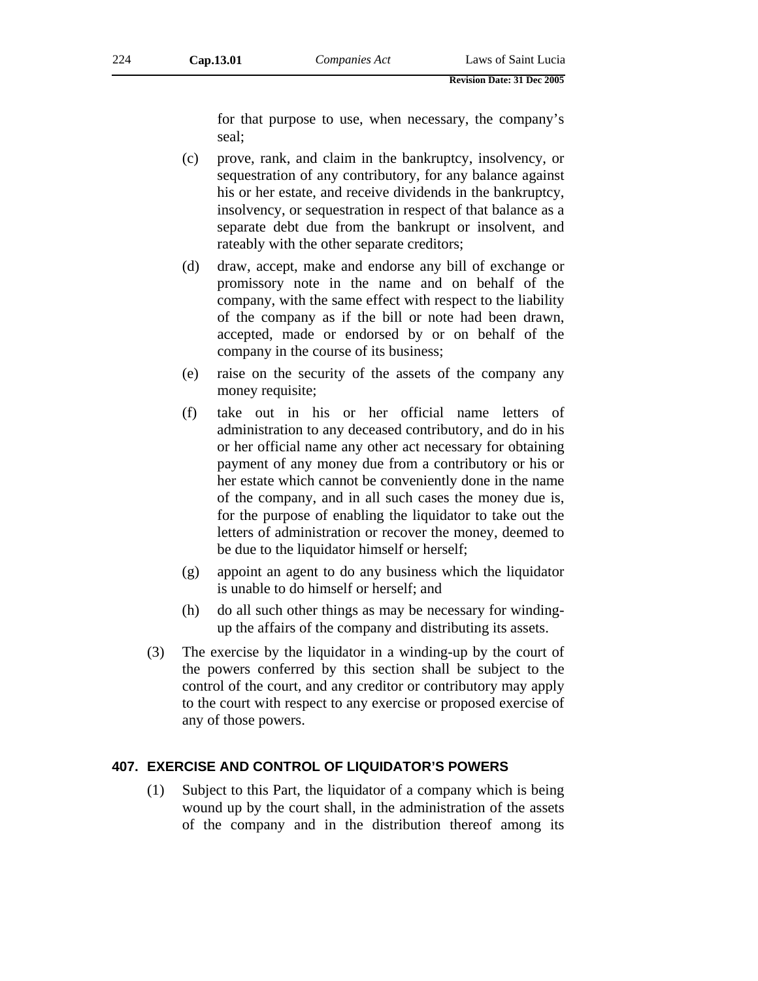for that purpose to use, when necessary, the company's seal;

- (c) prove, rank, and claim in the bankruptcy, insolvency, or sequestration of any contributory, for any balance against his or her estate, and receive dividends in the bankruptcy, insolvency, or sequestration in respect of that balance as a separate debt due from the bankrupt or insolvent, and rateably with the other separate creditors;
- (d) draw, accept, make and endorse any bill of exchange or promissory note in the name and on behalf of the company, with the same effect with respect to the liability of the company as if the bill or note had been drawn, accepted, made or endorsed by or on behalf of the company in the course of its business;
- (e) raise on the security of the assets of the company any money requisite;
- (f) take out in his or her official name letters of administration to any deceased contributory, and do in his or her official name any other act necessary for obtaining payment of any money due from a contributory or his or her estate which cannot be conveniently done in the name of the company, and in all such cases the money due is, for the purpose of enabling the liquidator to take out the letters of administration or recover the money, deemed to be due to the liquidator himself or herself;
- (g) appoint an agent to do any business which the liquidator is unable to do himself or herself; and
- (h) do all such other things as may be necessary for windingup the affairs of the company and distributing its assets.
- (3) The exercise by the liquidator in a winding-up by the court of the powers conferred by this section shall be subject to the control of the court, and any creditor or contributory may apply to the court with respect to any exercise or proposed exercise of any of those powers.

### **407. EXERCISE AND CONTROL OF LIQUIDATOR'S POWERS**

(1) Subject to this Part, the liquidator of a company which is being wound up by the court shall, in the administration of the assets of the company and in the distribution thereof among its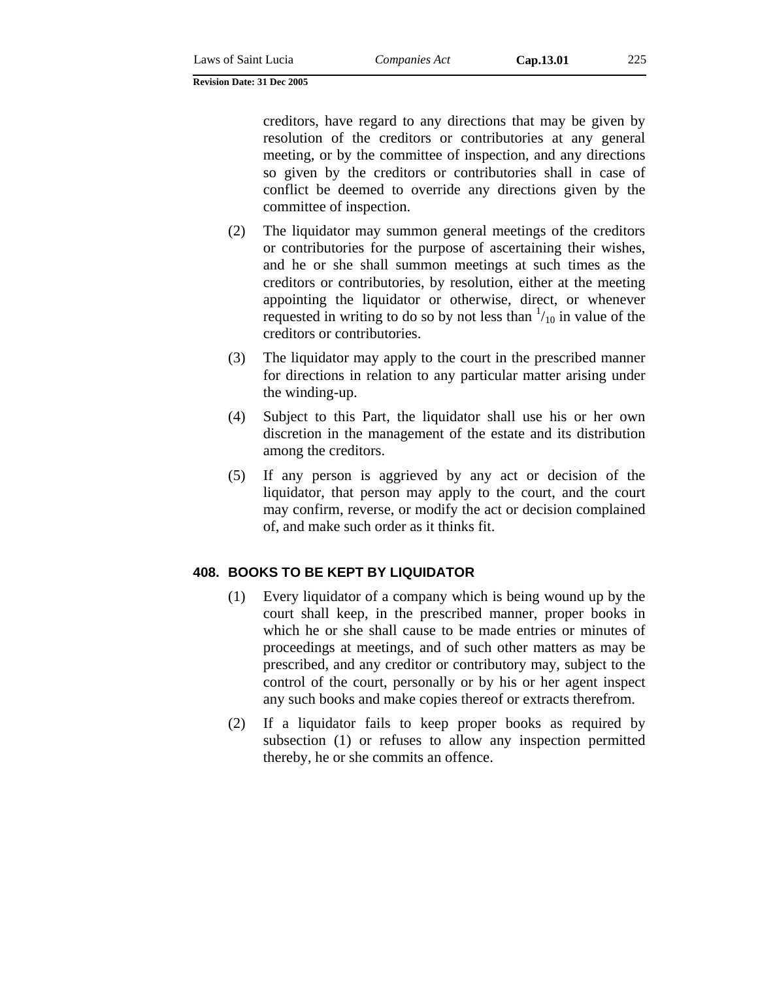creditors, have regard to any directions that may be given by resolution of the creditors or contributories at any general meeting, or by the committee of inspection, and any directions so given by the creditors or contributories shall in case of conflict be deemed to override any directions given by the committee of inspection.

- (2) The liquidator may summon general meetings of the creditors or contributories for the purpose of ascertaining their wishes, and he or she shall summon meetings at such times as the creditors or contributories, by resolution, either at the meeting appointing the liquidator or otherwise, direct, or whenever requested in writing to do so by not less than  $\frac{1}{10}$  in value of the creditors or contributories.
- (3) The liquidator may apply to the court in the prescribed manner for directions in relation to any particular matter arising under the winding-up.
- (4) Subject to this Part, the liquidator shall use his or her own discretion in the management of the estate and its distribution among the creditors.
- (5) If any person is aggrieved by any act or decision of the liquidator, that person may apply to the court, and the court may confirm, reverse, or modify the act or decision complained of, and make such order as it thinks fit.

# **408. BOOKS TO BE KEPT BY LIQUIDATOR**

- (1) Every liquidator of a company which is being wound up by the court shall keep, in the prescribed manner, proper books in which he or she shall cause to be made entries or minutes of proceedings at meetings, and of such other matters as may be prescribed, and any creditor or contributory may, subject to the control of the court, personally or by his or her agent inspect any such books and make copies thereof or extracts therefrom.
- (2) If a liquidator fails to keep proper books as required by subsection (1) or refuses to allow any inspection permitted thereby, he or she commits an offence.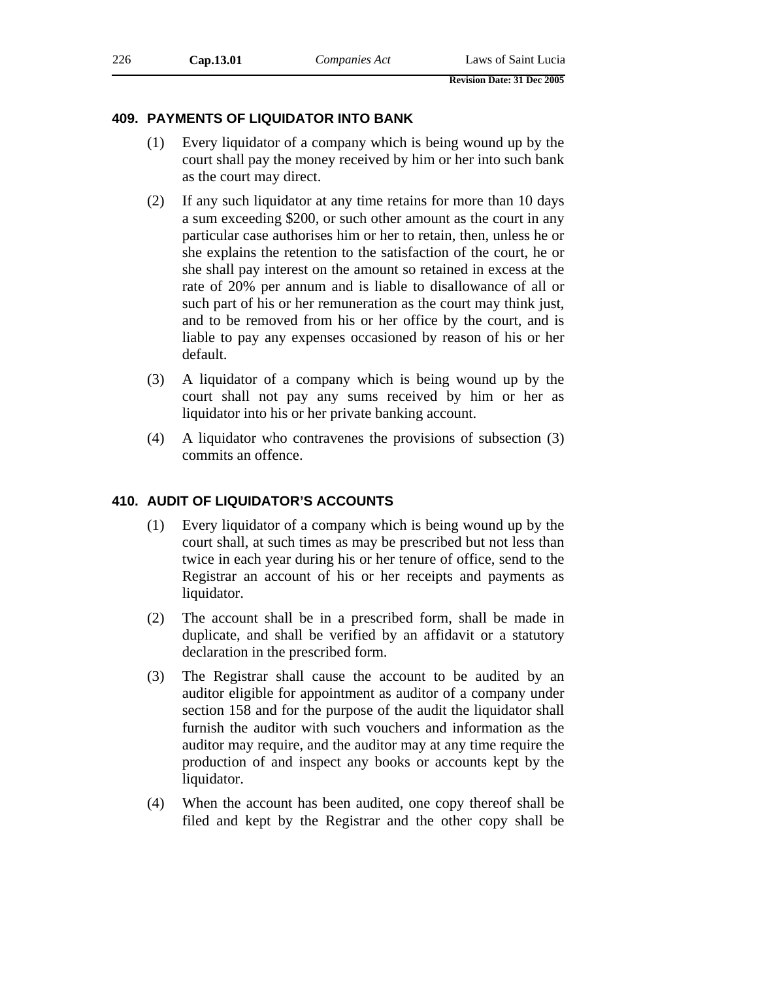### **409. PAYMENTS OF LIQUIDATOR INTO BANK**

- (1) Every liquidator of a company which is being wound up by the court shall pay the money received by him or her into such bank as the court may direct.
- (2) If any such liquidator at any time retains for more than 10 days a sum exceeding \$200, or such other amount as the court in any particular case authorises him or her to retain, then, unless he or she explains the retention to the satisfaction of the court, he or she shall pay interest on the amount so retained in excess at the rate of 20% per annum and is liable to disallowance of all or such part of his or her remuneration as the court may think just, and to be removed from his or her office by the court, and is liable to pay any expenses occasioned by reason of his or her default.
- (3) A liquidator of a company which is being wound up by the court shall not pay any sums received by him or her as liquidator into his or her private banking account.
- (4) A liquidator who contravenes the provisions of subsection (3) commits an offence.

# **410. AUDIT OF LIQUIDATOR'S ACCOUNTS**

- (1) Every liquidator of a company which is being wound up by the court shall, at such times as may be prescribed but not less than twice in each year during his or her tenure of office, send to the Registrar an account of his or her receipts and payments as liquidator.
- (2) The account shall be in a prescribed form, shall be made in duplicate, and shall be verified by an affidavit or a statutory declaration in the prescribed form.
- (3) The Registrar shall cause the account to be audited by an auditor eligible for appointment as auditor of a company under section 158 and for the purpose of the audit the liquidator shall furnish the auditor with such vouchers and information as the auditor may require, and the auditor may at any time require the production of and inspect any books or accounts kept by the liquidator.
- (4) When the account has been audited, one copy thereof shall be filed and kept by the Registrar and the other copy shall be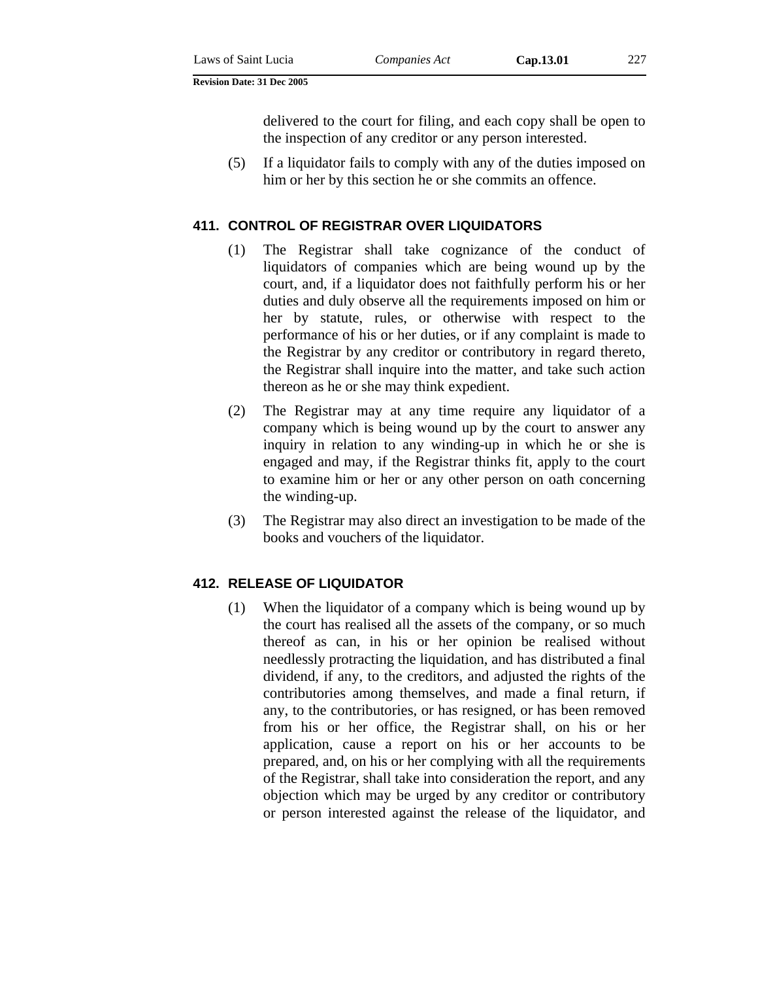delivered to the court for filing, and each copy shall be open to the inspection of any creditor or any person interested.

(5) If a liquidator fails to comply with any of the duties imposed on him or her by this section he or she commits an offence.

#### **411. CONTROL OF REGISTRAR OVER LIQUIDATORS**

- (1) The Registrar shall take cognizance of the conduct of liquidators of companies which are being wound up by the court, and, if a liquidator does not faithfully perform his or her duties and duly observe all the requirements imposed on him or her by statute, rules, or otherwise with respect to the performance of his or her duties, or if any complaint is made to the Registrar by any creditor or contributory in regard thereto, the Registrar shall inquire into the matter, and take such action thereon as he or she may think expedient.
- (2) The Registrar may at any time require any liquidator of a company which is being wound up by the court to answer any inquiry in relation to any winding-up in which he or she is engaged and may, if the Registrar thinks fit, apply to the court to examine him or her or any other person on oath concerning the winding-up.
- (3) The Registrar may also direct an investigation to be made of the books and vouchers of the liquidator.

#### **412. RELEASE OF LIQUIDATOR**

(1) When the liquidator of a company which is being wound up by the court has realised all the assets of the company, or so much thereof as can, in his or her opinion be realised without needlessly protracting the liquidation, and has distributed a final dividend, if any, to the creditors, and adjusted the rights of the contributories among themselves, and made a final return, if any, to the contributories, or has resigned, or has been removed from his or her office, the Registrar shall, on his or her application, cause a report on his or her accounts to be prepared, and, on his or her complying with all the requirements of the Registrar, shall take into consideration the report, and any objection which may be urged by any creditor or contributory or person interested against the release of the liquidator, and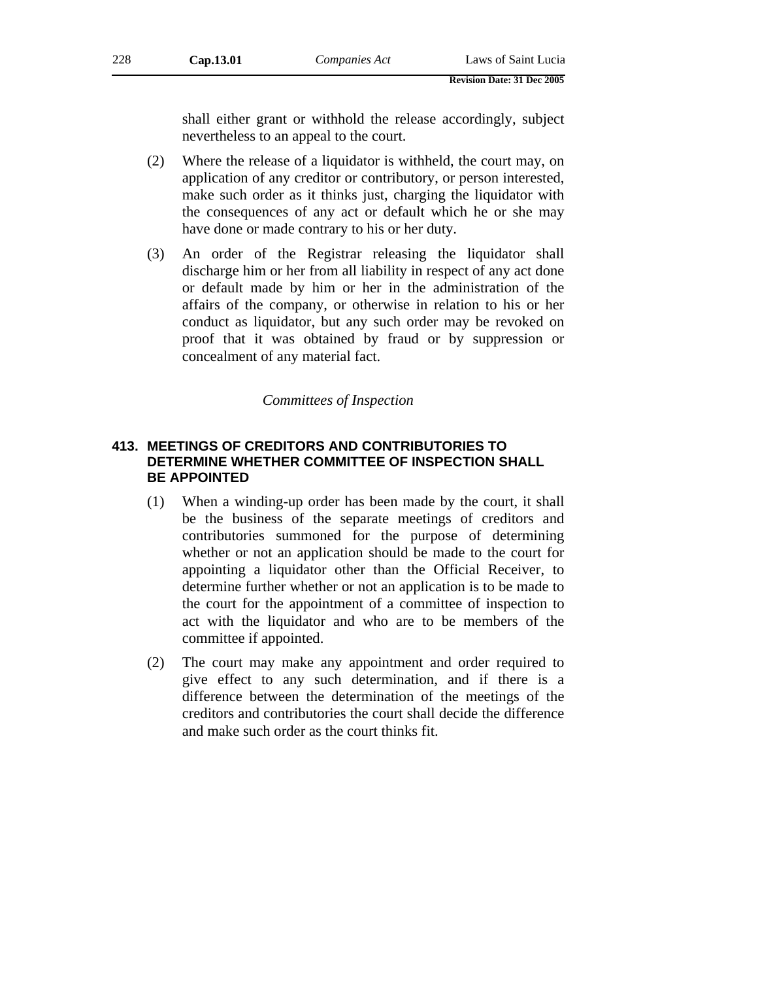shall either grant or withhold the release accordingly, subject nevertheless to an appeal to the court.

- (2) Where the release of a liquidator is withheld, the court may, on application of any creditor or contributory, or person interested, make such order as it thinks just, charging the liquidator with the consequences of any act or default which he or she may have done or made contrary to his or her duty.
- (3) An order of the Registrar releasing the liquidator shall discharge him or her from all liability in respect of any act done or default made by him or her in the administration of the affairs of the company, or otherwise in relation to his or her conduct as liquidator, but any such order may be revoked on proof that it was obtained by fraud or by suppression or concealment of any material fact.

### *Committees of Inspection*

# **413. MEETINGS OF CREDITORS AND CONTRIBUTORIES TO DETERMINE WHETHER COMMITTEE OF INSPECTION SHALL BE APPOINTED**

- (1) When a winding-up order has been made by the court, it shall be the business of the separate meetings of creditors and contributories summoned for the purpose of determining whether or not an application should be made to the court for appointing a liquidator other than the Official Receiver, to determine further whether or not an application is to be made to the court for the appointment of a committee of inspection to act with the liquidator and who are to be members of the committee if appointed.
- (2) The court may make any appointment and order required to give effect to any such determination, and if there is a difference between the determination of the meetings of the creditors and contributories the court shall decide the difference and make such order as the court thinks fit.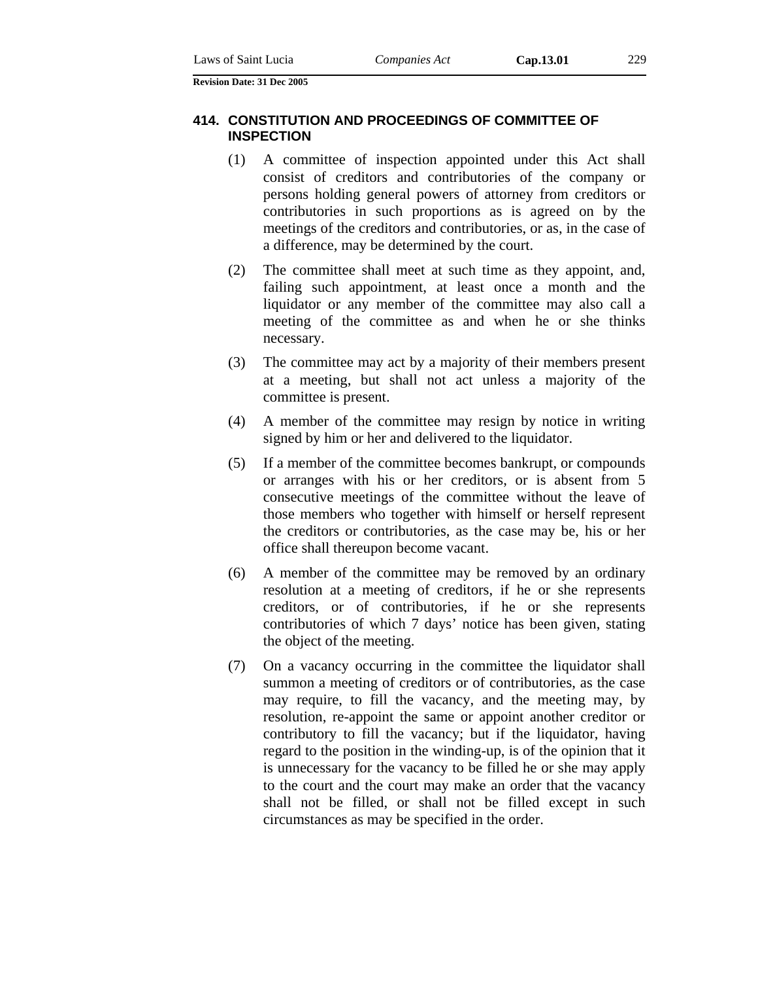### **414. CONSTITUTION AND PROCEEDINGS OF COMMITTEE OF INSPECTION**

- (1) A committee of inspection appointed under this Act shall consist of creditors and contributories of the company or persons holding general powers of attorney from creditors or contributories in such proportions as is agreed on by the meetings of the creditors and contributories, or as, in the case of a difference, may be determined by the court.
- (2) The committee shall meet at such time as they appoint, and, failing such appointment, at least once a month and the liquidator or any member of the committee may also call a meeting of the committee as and when he or she thinks necessary.
- (3) The committee may act by a majority of their members present at a meeting, but shall not act unless a majority of the committee is present.
- (4) A member of the committee may resign by notice in writing signed by him or her and delivered to the liquidator.
- (5) If a member of the committee becomes bankrupt, or compounds or arranges with his or her creditors, or is absent from 5 consecutive meetings of the committee without the leave of those members who together with himself or herself represent the creditors or contributories, as the case may be, his or her office shall thereupon become vacant.
- (6) A member of the committee may be removed by an ordinary resolution at a meeting of creditors, if he or she represents creditors, or of contributories, if he or she represents contributories of which 7 days' notice has been given, stating the object of the meeting.
- (7) On a vacancy occurring in the committee the liquidator shall summon a meeting of creditors or of contributories, as the case may require, to fill the vacancy, and the meeting may, by resolution, re-appoint the same or appoint another creditor or contributory to fill the vacancy; but if the liquidator, having regard to the position in the winding-up, is of the opinion that it is unnecessary for the vacancy to be filled he or she may apply to the court and the court may make an order that the vacancy shall not be filled, or shall not be filled except in such circumstances as may be specified in the order.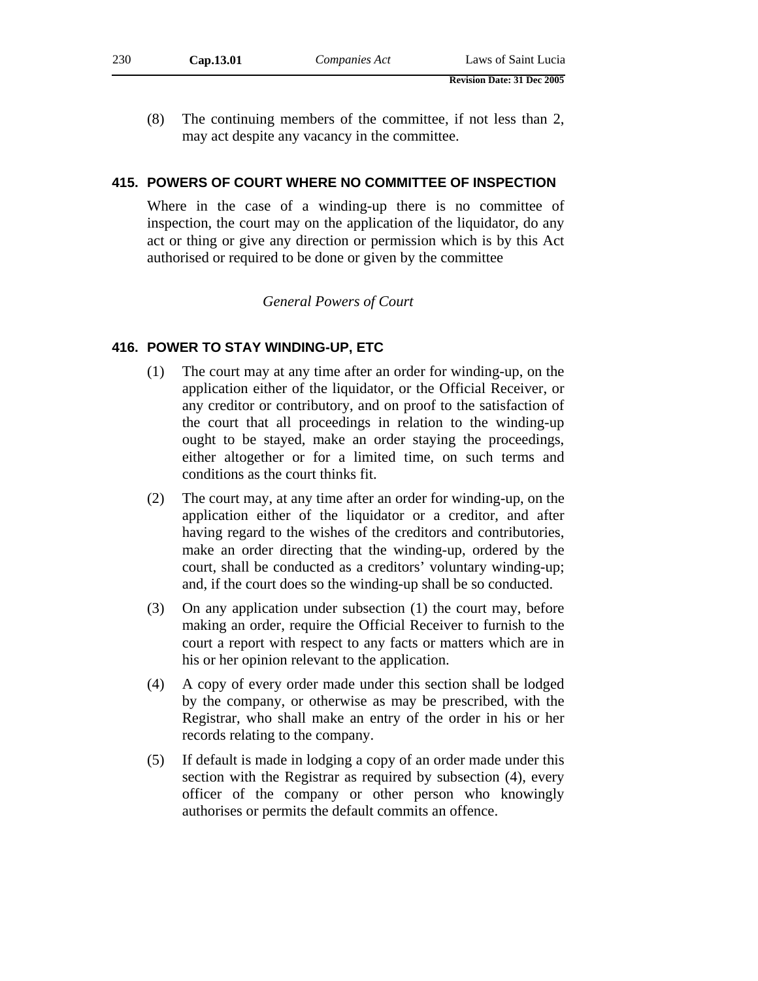- **Revision Date: 31 Dec 2005**
- (8) The continuing members of the committee, if not less than 2, may act despite any vacancy in the committee.

### **415. POWERS OF COURT WHERE NO COMMITTEE OF INSPECTION**

Where in the case of a winding-up there is no committee of inspection, the court may on the application of the liquidator, do any act or thing or give any direction or permission which is by this Act authorised or required to be done or given by the committee

# *General Powers of Court*

# **416. POWER TO STAY WINDING-UP, ETC**

- (1) The court may at any time after an order for winding-up, on the application either of the liquidator, or the Official Receiver, or any creditor or contributory, and on proof to the satisfaction of the court that all proceedings in relation to the winding-up ought to be stayed, make an order staying the proceedings, either altogether or for a limited time, on such terms and conditions as the court thinks fit.
- (2) The court may, at any time after an order for winding-up, on the application either of the liquidator or a creditor, and after having regard to the wishes of the creditors and contributories, make an order directing that the winding-up, ordered by the court, shall be conducted as a creditors' voluntary winding-up; and, if the court does so the winding-up shall be so conducted.
- (3) On any application under subsection (1) the court may, before making an order, require the Official Receiver to furnish to the court a report with respect to any facts or matters which are in his or her opinion relevant to the application.
- (4) A copy of every order made under this section shall be lodged by the company, or otherwise as may be prescribed, with the Registrar, who shall make an entry of the order in his or her records relating to the company.
- (5) If default is made in lodging a copy of an order made under this section with the Registrar as required by subsection (4), every officer of the company or other person who knowingly authorises or permits the default commits an offence.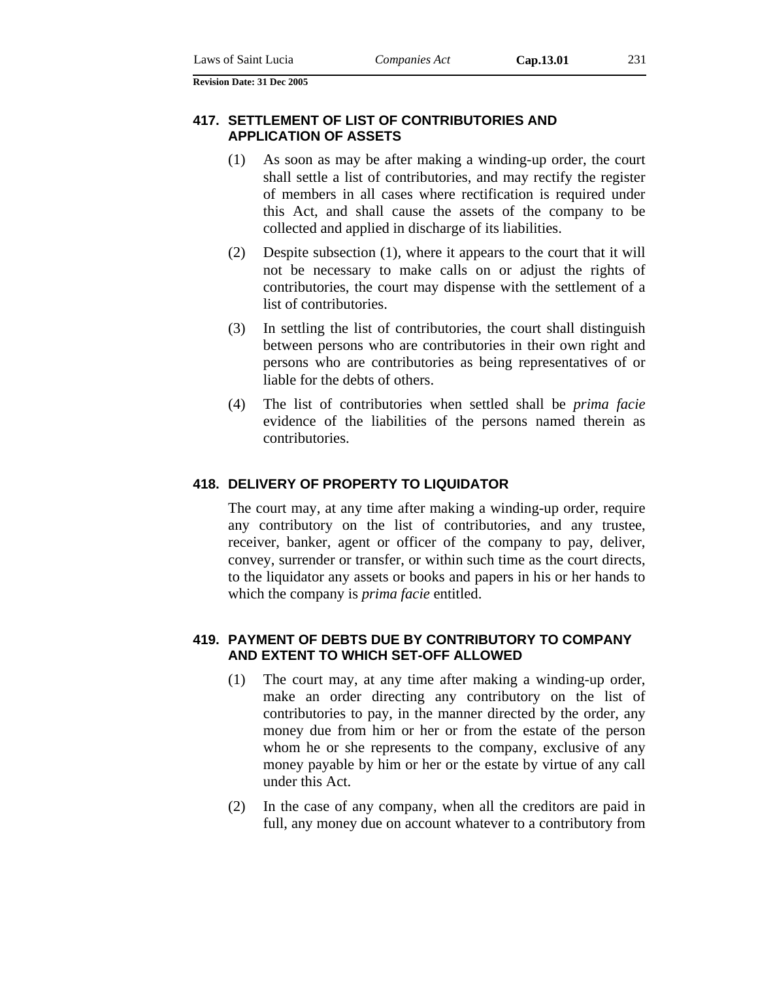### **417. SETTLEMENT OF LIST OF CONTRIBUTORIES AND APPLICATION OF ASSETS**

- (1) As soon as may be after making a winding-up order, the court shall settle a list of contributories, and may rectify the register of members in all cases where rectification is required under this Act, and shall cause the assets of the company to be collected and applied in discharge of its liabilities.
- (2) Despite subsection (1), where it appears to the court that it will not be necessary to make calls on or adjust the rights of contributories, the court may dispense with the settlement of a list of contributories.
- (3) In settling the list of contributories, the court shall distinguish between persons who are contributories in their own right and persons who are contributories as being representatives of or liable for the debts of others.
- (4) The list of contributories when settled shall be *prima facie* evidence of the liabilities of the persons named therein as contributories.

#### **418. DELIVERY OF PROPERTY TO LIQUIDATOR**

The court may, at any time after making a winding-up order, require any contributory on the list of contributories, and any trustee, receiver, banker, agent or officer of the company to pay, deliver, convey, surrender or transfer, or within such time as the court directs, to the liquidator any assets or books and papers in his or her hands to which the company is *prima facie* entitled.

### **419. PAYMENT OF DEBTS DUE BY CONTRIBUTORY TO COMPANY AND EXTENT TO WHICH SET-OFF ALLOWED**

- (1) The court may, at any time after making a winding-up order, make an order directing any contributory on the list of contributories to pay, in the manner directed by the order, any money due from him or her or from the estate of the person whom he or she represents to the company, exclusive of any money payable by him or her or the estate by virtue of any call under this Act.
- (2) In the case of any company, when all the creditors are paid in full, any money due on account whatever to a contributory from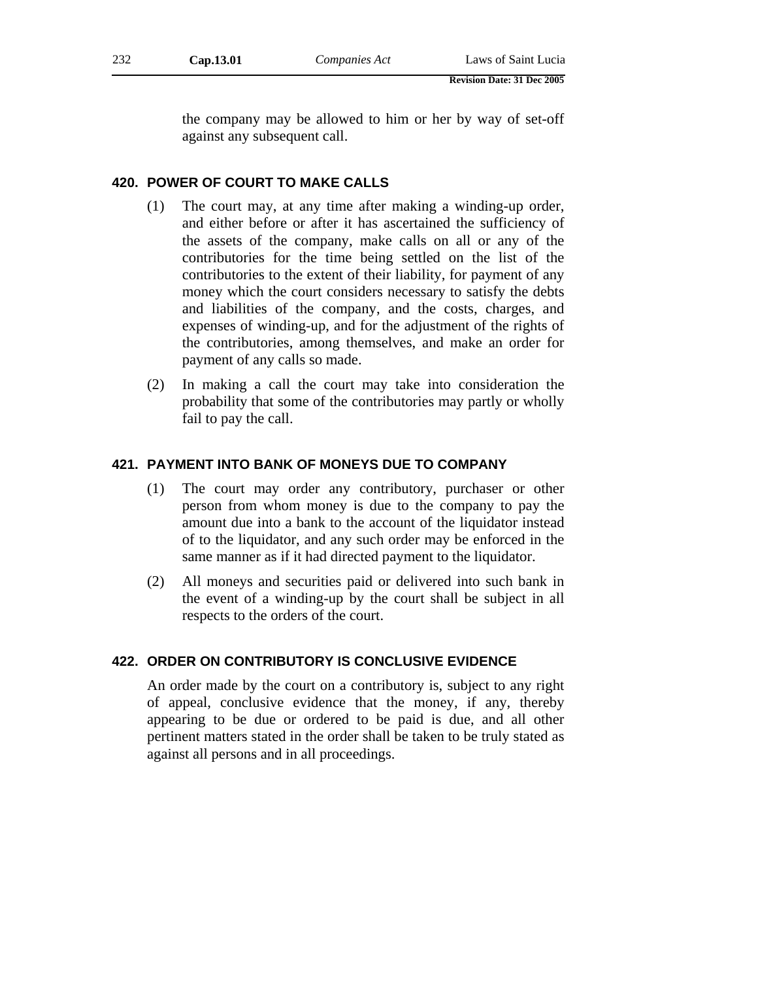the company may be allowed to him or her by way of set-off against any subsequent call.

# **420. POWER OF COURT TO MAKE CALLS**

- (1) The court may, at any time after making a winding-up order, and either before or after it has ascertained the sufficiency of the assets of the company, make calls on all or any of the contributories for the time being settled on the list of the contributories to the extent of their liability, for payment of any money which the court considers necessary to satisfy the debts and liabilities of the company, and the costs, charges, and expenses of winding-up, and for the adjustment of the rights of the contributories, among themselves, and make an order for payment of any calls so made.
- (2) In making a call the court may take into consideration the probability that some of the contributories may partly or wholly fail to pay the call.

### **421. PAYMENT INTO BANK OF MONEYS DUE TO COMPANY**

- (1) The court may order any contributory, purchaser or other person from whom money is due to the company to pay the amount due into a bank to the account of the liquidator instead of to the liquidator, and any such order may be enforced in the same manner as if it had directed payment to the liquidator.
- (2) All moneys and securities paid or delivered into such bank in the event of a winding-up by the court shall be subject in all respects to the orders of the court.

# **422. ORDER ON CONTRIBUTORY IS CONCLUSIVE EVIDENCE**

An order made by the court on a contributory is, subject to any right of appeal, conclusive evidence that the money, if any, thereby appearing to be due or ordered to be paid is due, and all other pertinent matters stated in the order shall be taken to be truly stated as against all persons and in all proceedings.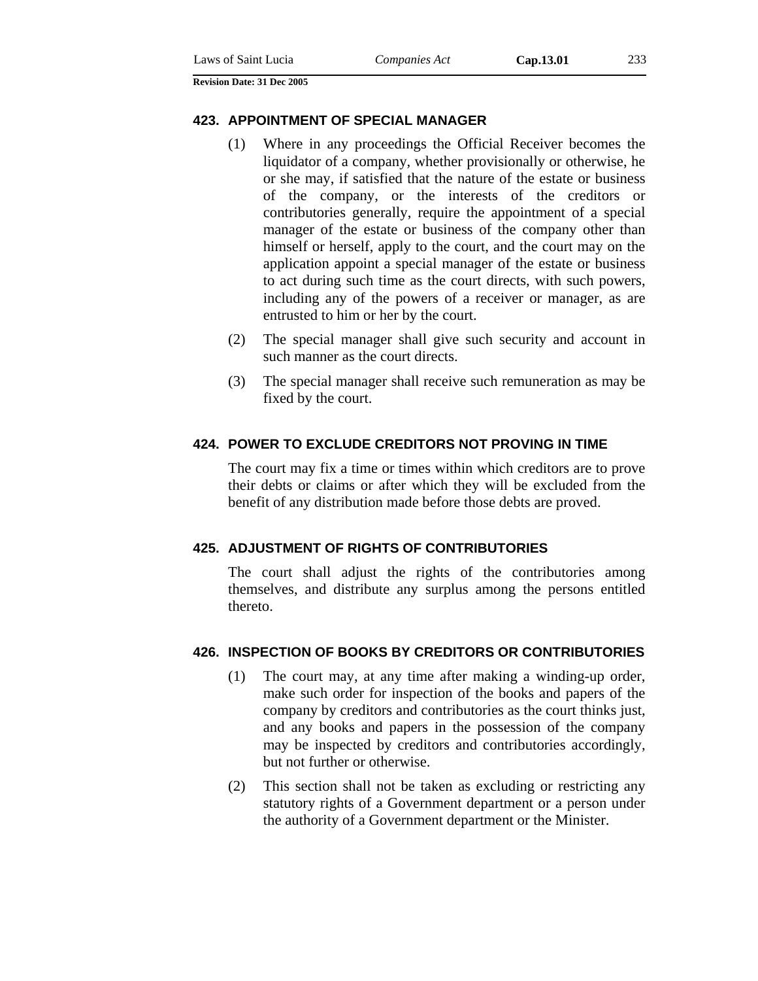#### **423. APPOINTMENT OF SPECIAL MANAGER**

- (1) Where in any proceedings the Official Receiver becomes the liquidator of a company, whether provisionally or otherwise, he or she may, if satisfied that the nature of the estate or business of the company, or the interests of the creditors or contributories generally, require the appointment of a special manager of the estate or business of the company other than himself or herself, apply to the court, and the court may on the application appoint a special manager of the estate or business to act during such time as the court directs, with such powers, including any of the powers of a receiver or manager, as are entrusted to him or her by the court.
- (2) The special manager shall give such security and account in such manner as the court directs.
- (3) The special manager shall receive such remuneration as may be fixed by the court.

#### **424. POWER TO EXCLUDE CREDITORS NOT PROVING IN TIME**

The court may fix a time or times within which creditors are to prove their debts or claims or after which they will be excluded from the benefit of any distribution made before those debts are proved.

#### **425. ADJUSTMENT OF RIGHTS OF CONTRIBUTORIES**

The court shall adjust the rights of the contributories among themselves, and distribute any surplus among the persons entitled thereto.

#### **426. INSPECTION OF BOOKS BY CREDITORS OR CONTRIBUTORIES**

- (1) The court may, at any time after making a winding-up order, make such order for inspection of the books and papers of the company by creditors and contributories as the court thinks just, and any books and papers in the possession of the company may be inspected by creditors and contributories accordingly, but not further or otherwise.
- (2) This section shall not be taken as excluding or restricting any statutory rights of a Government department or a person under the authority of a Government department or the Minister.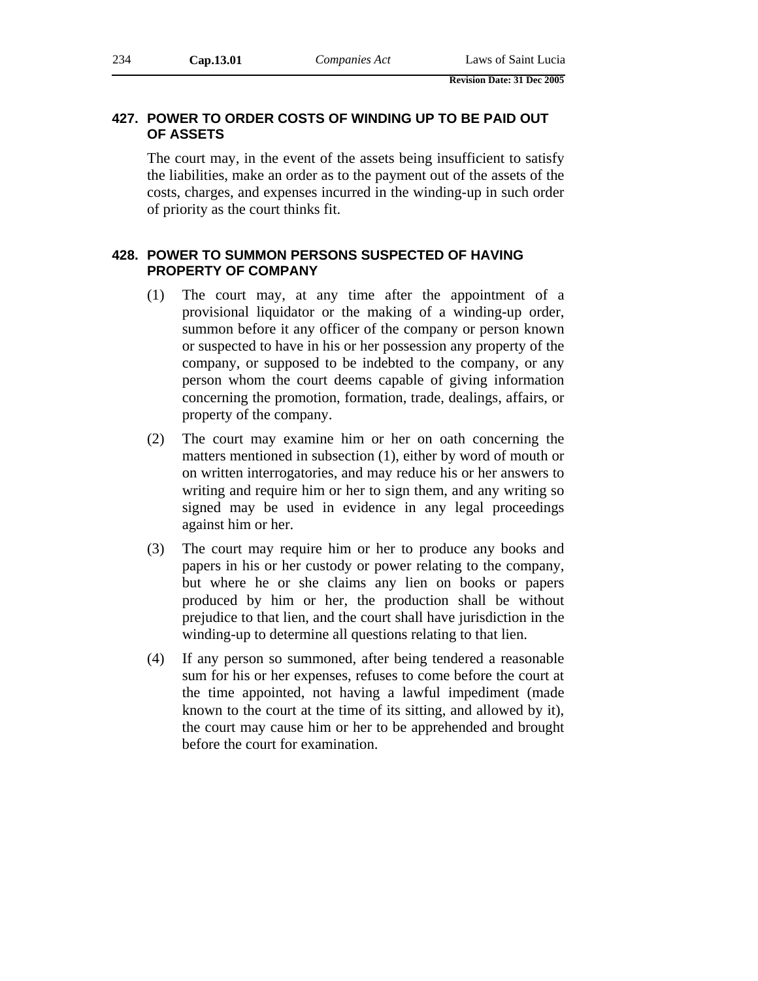# **427. POWER TO ORDER COSTS OF WINDING UP TO BE PAID OUT OF ASSETS**

The court may, in the event of the assets being insufficient to satisfy the liabilities, make an order as to the payment out of the assets of the costs, charges, and expenses incurred in the winding-up in such order of priority as the court thinks fit.

# **428. POWER TO SUMMON PERSONS SUSPECTED OF HAVING PROPERTY OF COMPANY**

- (1) The court may, at any time after the appointment of a provisional liquidator or the making of a winding-up order, summon before it any officer of the company or person known or suspected to have in his or her possession any property of the company, or supposed to be indebted to the company, or any person whom the court deems capable of giving information concerning the promotion, formation, trade, dealings, affairs, or property of the company.
- (2) The court may examine him or her on oath concerning the matters mentioned in subsection (1), either by word of mouth or on written interrogatories, and may reduce his or her answers to writing and require him or her to sign them, and any writing so signed may be used in evidence in any legal proceedings against him or her.
- (3) The court may require him or her to produce any books and papers in his or her custody or power relating to the company, but where he or she claims any lien on books or papers produced by him or her, the production shall be without prejudice to that lien, and the court shall have jurisdiction in the winding-up to determine all questions relating to that lien.
- (4) If any person so summoned, after being tendered a reasonable sum for his or her expenses, refuses to come before the court at the time appointed, not having a lawful impediment (made known to the court at the time of its sitting, and allowed by it), the court may cause him or her to be apprehended and brought before the court for examination.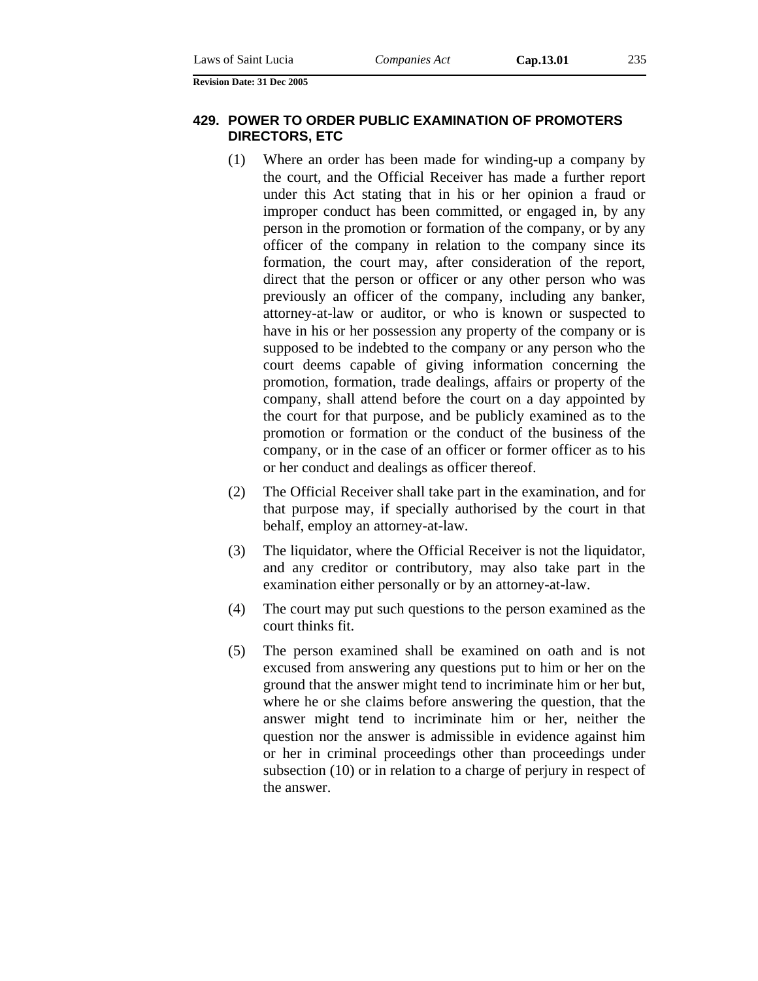### **429. POWER TO ORDER PUBLIC EXAMINATION OF PROMOTERS DIRECTORS, ETC**

- (1) Where an order has been made for winding-up a company by the court, and the Official Receiver has made a further report under this Act stating that in his or her opinion a fraud or improper conduct has been committed, or engaged in, by any person in the promotion or formation of the company, or by any officer of the company in relation to the company since its formation, the court may, after consideration of the report, direct that the person or officer or any other person who was previously an officer of the company, including any banker, attorney-at-law or auditor, or who is known or suspected to have in his or her possession any property of the company or is supposed to be indebted to the company or any person who the court deems capable of giving information concerning the promotion, formation, trade dealings, affairs or property of the company, shall attend before the court on a day appointed by the court for that purpose, and be publicly examined as to the promotion or formation or the conduct of the business of the company, or in the case of an officer or former officer as to his or her conduct and dealings as officer thereof.
- (2) The Official Receiver shall take part in the examination, and for that purpose may, if specially authorised by the court in that behalf, employ an attorney-at-law.
- (3) The liquidator, where the Official Receiver is not the liquidator, and any creditor or contributory, may also take part in the examination either personally or by an attorney-at-law.
- (4) The court may put such questions to the person examined as the court thinks fit.
- (5) The person examined shall be examined on oath and is not excused from answering any questions put to him or her on the ground that the answer might tend to incriminate him or her but, where he or she claims before answering the question, that the answer might tend to incriminate him or her, neither the question nor the answer is admissible in evidence against him or her in criminal proceedings other than proceedings under subsection (10) or in relation to a charge of perjury in respect of the answer.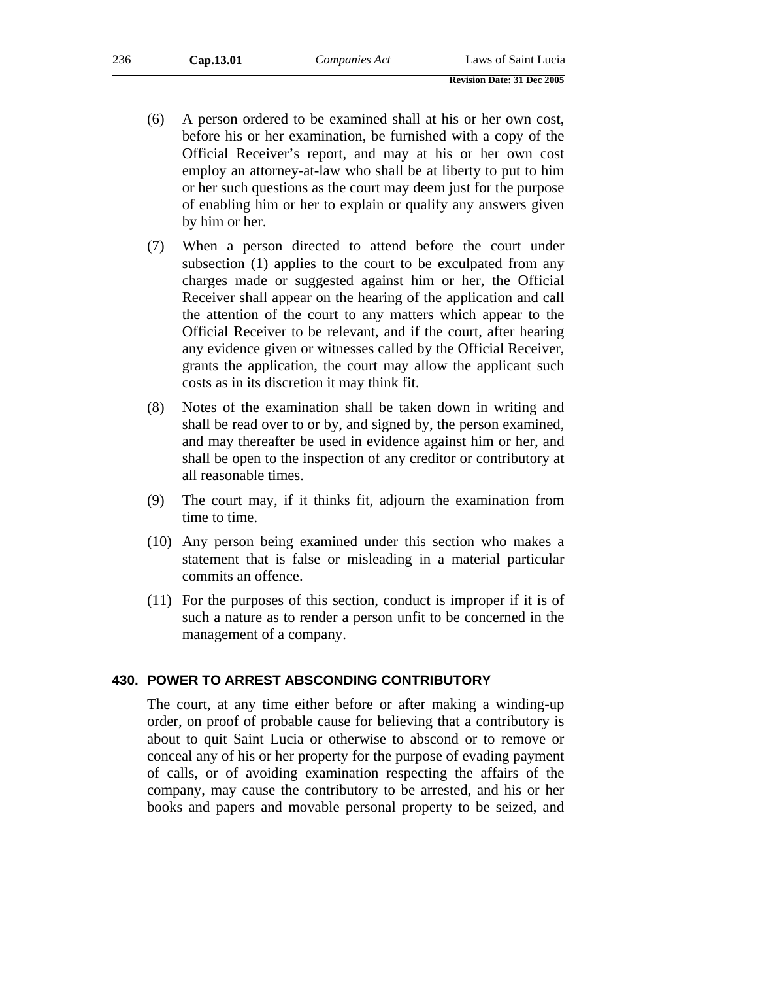| 236 | Cap.13.01 | Companies Act | Laws of Saint Lucia |
|-----|-----------|---------------|---------------------|
|     |           |               |                     |

- (6) A person ordered to be examined shall at his or her own cost, before his or her examination, be furnished with a copy of the Official Receiver's report, and may at his or her own cost employ an attorney-at-law who shall be at liberty to put to him or her such questions as the court may deem just for the purpose of enabling him or her to explain or qualify any answers given by him or her.
- (7) When a person directed to attend before the court under subsection (1) applies to the court to be exculpated from any charges made or suggested against him or her, the Official Receiver shall appear on the hearing of the application and call the attention of the court to any matters which appear to the Official Receiver to be relevant, and if the court, after hearing any evidence given or witnesses called by the Official Receiver, grants the application, the court may allow the applicant such costs as in its discretion it may think fit.
- (8) Notes of the examination shall be taken down in writing and shall be read over to or by, and signed by, the person examined, and may thereafter be used in evidence against him or her, and shall be open to the inspection of any creditor or contributory at all reasonable times.
- (9) The court may, if it thinks fit, adjourn the examination from time to time.
- (10) Any person being examined under this section who makes a statement that is false or misleading in a material particular commits an offence.
- (11) For the purposes of this section, conduct is improper if it is of such a nature as to render a person unfit to be concerned in the management of a company.

### **430. POWER TO ARREST ABSCONDING CONTRIBUTORY**

The court, at any time either before or after making a winding-up order, on proof of probable cause for believing that a contributory is about to quit Saint Lucia or otherwise to abscond or to remove or conceal any of his or her property for the purpose of evading payment of calls, or of avoiding examination respecting the affairs of the company, may cause the contributory to be arrested, and his or her books and papers and movable personal property to be seized, and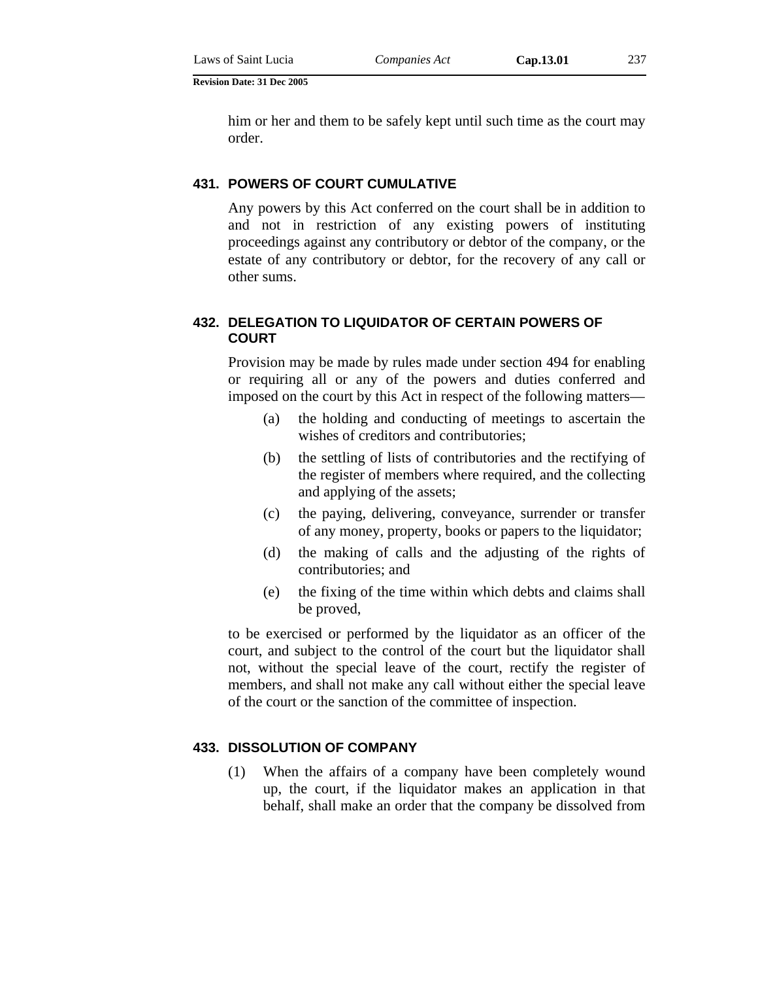him or her and them to be safely kept until such time as the court may order.

#### **431. POWERS OF COURT CUMULATIVE**

Any powers by this Act conferred on the court shall be in addition to and not in restriction of any existing powers of instituting proceedings against any contributory or debtor of the company, or the estate of any contributory or debtor, for the recovery of any call or other sums.

### **432. DELEGATION TO LIQUIDATOR OF CERTAIN POWERS OF COURT**

Provision may be made by rules made under section 494 for enabling or requiring all or any of the powers and duties conferred and imposed on the court by this Act in respect of the following matters—

- (a) the holding and conducting of meetings to ascertain the wishes of creditors and contributories;
- (b) the settling of lists of contributories and the rectifying of the register of members where required, and the collecting and applying of the assets;
- (c) the paying, delivering, conveyance, surrender or transfer of any money, property, books or papers to the liquidator;
- (d) the making of calls and the adjusting of the rights of contributories; and
- (e) the fixing of the time within which debts and claims shall be proved,

to be exercised or performed by the liquidator as an officer of the court, and subject to the control of the court but the liquidator shall not, without the special leave of the court, rectify the register of members, and shall not make any call without either the special leave of the court or the sanction of the committee of inspection.

### **433. DISSOLUTION OF COMPANY**

(1) When the affairs of a company have been completely wound up, the court, if the liquidator makes an application in that behalf, shall make an order that the company be dissolved from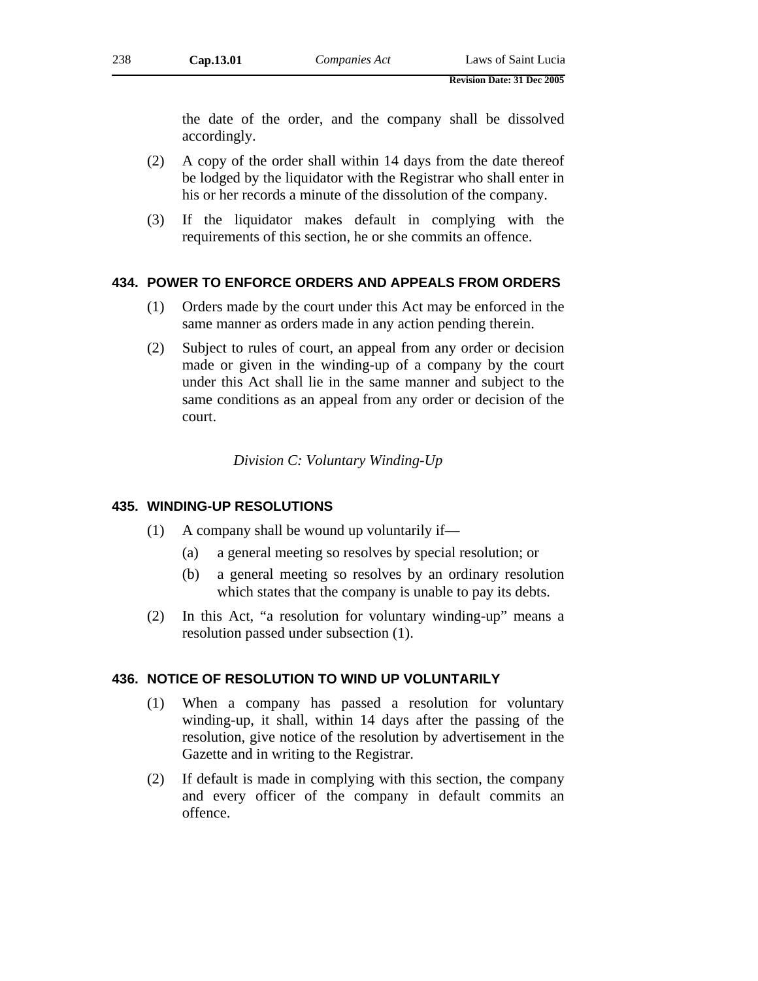the date of the order, and the company shall be dissolved accordingly.

- (2) A copy of the order shall within 14 days from the date thereof be lodged by the liquidator with the Registrar who shall enter in his or her records a minute of the dissolution of the company.
- (3) If the liquidator makes default in complying with the requirements of this section, he or she commits an offence.

### **434. POWER TO ENFORCE ORDERS AND APPEALS FROM ORDERS**

- (1) Orders made by the court under this Act may be enforced in the same manner as orders made in any action pending therein.
- (2) Subject to rules of court, an appeal from any order or decision made or given in the winding-up of a company by the court under this Act shall lie in the same manner and subject to the same conditions as an appeal from any order or decision of the court.

*Division C: Voluntary Winding-Up* 

### **435. WINDING-UP RESOLUTIONS**

- (1) A company shall be wound up voluntarily if—
	- (a) a general meeting so resolves by special resolution; or
	- (b) a general meeting so resolves by an ordinary resolution which states that the company is unable to pay its debts.
- (2) In this Act, "a resolution for voluntary winding-up" means a resolution passed under subsection (1).

#### **436. NOTICE OF RESOLUTION TO WIND UP VOLUNTARILY**

- (1) When a company has passed a resolution for voluntary winding-up, it shall, within 14 days after the passing of the resolution, give notice of the resolution by advertisement in the Gazette and in writing to the Registrar.
- (2) If default is made in complying with this section, the company and every officer of the company in default commits an offence.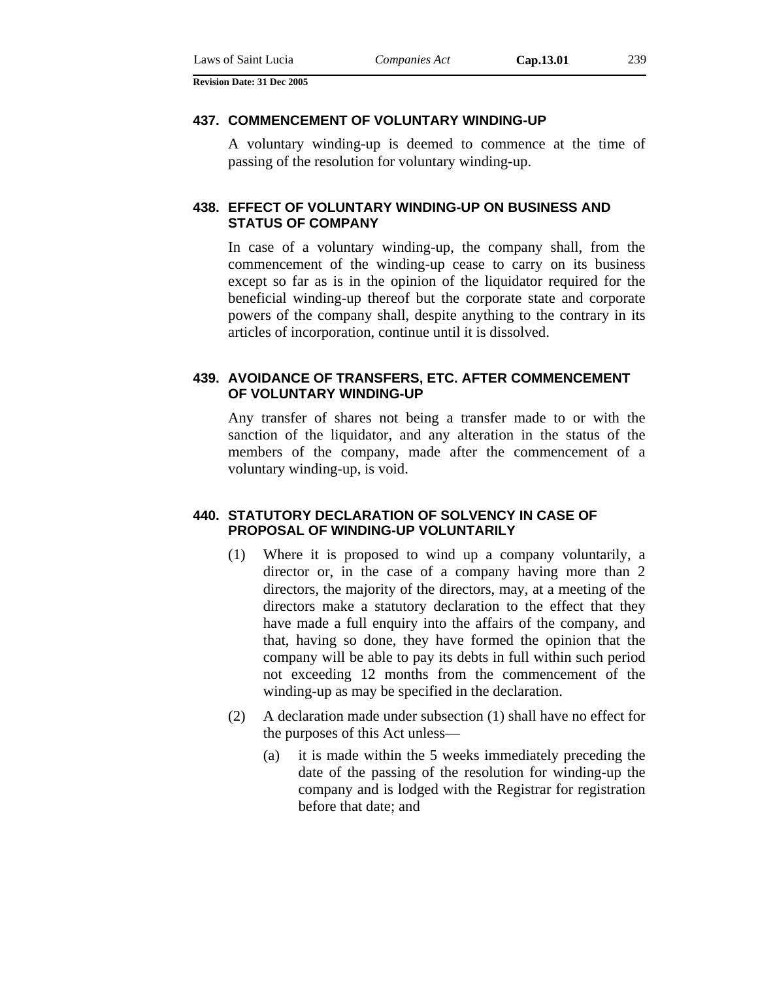#### **437. COMMENCEMENT OF VOLUNTARY WINDING-UP**

A voluntary winding-up is deemed to commence at the time of passing of the resolution for voluntary winding-up.

### **438. EFFECT OF VOLUNTARY WINDING-UP ON BUSINESS AND STATUS OF COMPANY**

In case of a voluntary winding-up, the company shall, from the commencement of the winding-up cease to carry on its business except so far as is in the opinion of the liquidator required for the beneficial winding-up thereof but the corporate state and corporate powers of the company shall, despite anything to the contrary in its articles of incorporation, continue until it is dissolved.

### **439. AVOIDANCE OF TRANSFERS, ETC. AFTER COMMENCEMENT OF VOLUNTARY WINDING-UP**

Any transfer of shares not being a transfer made to or with the sanction of the liquidator, and any alteration in the status of the members of the company, made after the commencement of a voluntary winding-up, is void.

### **440. STATUTORY DECLARATION OF SOLVENCY IN CASE OF PROPOSAL OF WINDING-UP VOLUNTARILY**

- (1) Where it is proposed to wind up a company voluntarily, a director or, in the case of a company having more than 2 directors, the majority of the directors, may, at a meeting of the directors make a statutory declaration to the effect that they have made a full enquiry into the affairs of the company, and that, having so done, they have formed the opinion that the company will be able to pay its debts in full within such period not exceeding 12 months from the commencement of the winding-up as may be specified in the declaration.
- (2) A declaration made under subsection (1) shall have no effect for the purposes of this Act unless—
	- (a) it is made within the 5 weeks immediately preceding the date of the passing of the resolution for winding-up the company and is lodged with the Registrar for registration before that date; and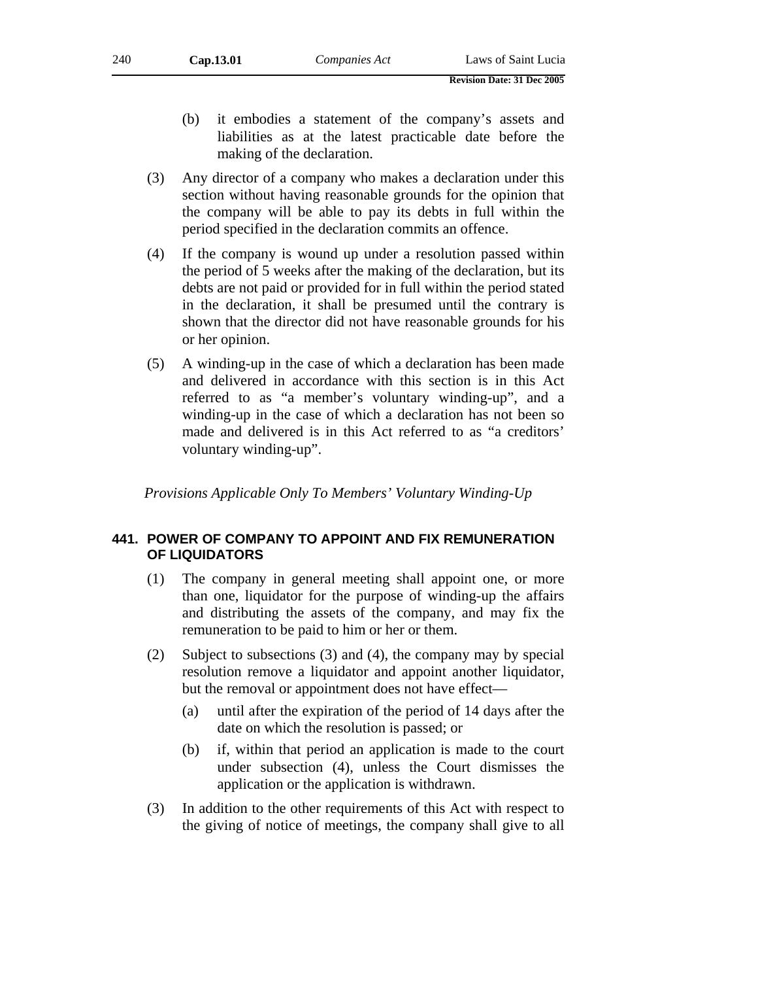- (b) it embodies a statement of the company's assets and liabilities as at the latest practicable date before the making of the declaration.
- (3) Any director of a company who makes a declaration under this section without having reasonable grounds for the opinion that the company will be able to pay its debts in full within the period specified in the declaration commits an offence.
- (4) If the company is wound up under a resolution passed within the period of 5 weeks after the making of the declaration, but its debts are not paid or provided for in full within the period stated in the declaration, it shall be presumed until the contrary is shown that the director did not have reasonable grounds for his or her opinion.
- (5) A winding-up in the case of which a declaration has been made and delivered in accordance with this section is in this Act referred to as "a member's voluntary winding-up", and a winding-up in the case of which a declaration has not been so made and delivered is in this Act referred to as "a creditors' voluntary winding-up".

*Provisions Applicable Only To Members' Voluntary Winding-Up* 

### **441. POWER OF COMPANY TO APPOINT AND FIX REMUNERATION OF LIQUIDATORS**

- (1) The company in general meeting shall appoint one, or more than one, liquidator for the purpose of winding-up the affairs and distributing the assets of the company, and may fix the remuneration to be paid to him or her or them.
- (2) Subject to subsections (3) and (4), the company may by special resolution remove a liquidator and appoint another liquidator, but the removal or appointment does not have effect—
	- (a) until after the expiration of the period of 14 days after the date on which the resolution is passed; or
	- (b) if, within that period an application is made to the court under subsection (4), unless the Court dismisses the application or the application is withdrawn.
- (3) In addition to the other requirements of this Act with respect to the giving of notice of meetings, the company shall give to all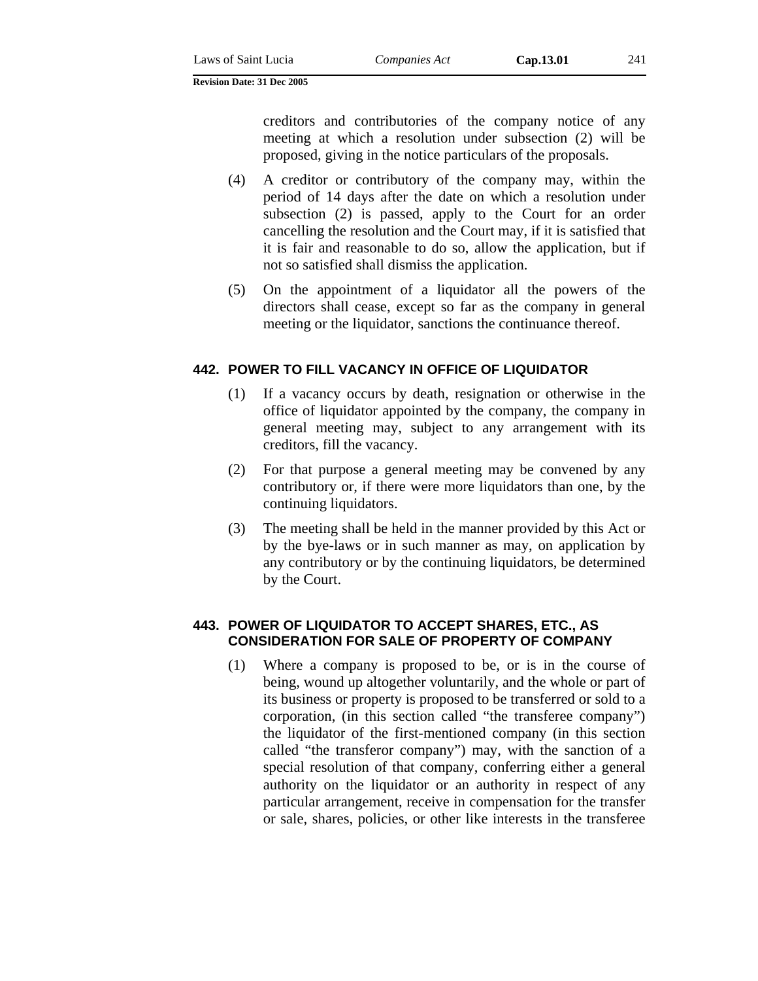creditors and contributories of the company notice of any meeting at which a resolution under subsection (2) will be proposed, giving in the notice particulars of the proposals.

- (4) A creditor or contributory of the company may, within the period of 14 days after the date on which a resolution under subsection (2) is passed, apply to the Court for an order cancelling the resolution and the Court may, if it is satisfied that it is fair and reasonable to do so, allow the application, but if not so satisfied shall dismiss the application.
- (5) On the appointment of a liquidator all the powers of the directors shall cease, except so far as the company in general meeting or the liquidator, sanctions the continuance thereof.

# **442. POWER TO FILL VACANCY IN OFFICE OF LIQUIDATOR**

- (1) If a vacancy occurs by death, resignation or otherwise in the office of liquidator appointed by the company, the company in general meeting may, subject to any arrangement with its creditors, fill the vacancy.
- (2) For that purpose a general meeting may be convened by any contributory or, if there were more liquidators than one, by the continuing liquidators.
- (3) The meeting shall be held in the manner provided by this Act or by the bye-laws or in such manner as may, on application by any contributory or by the continuing liquidators, be determined by the Court.

# **443. POWER OF LIQUIDATOR TO ACCEPT SHARES, ETC., AS CONSIDERATION FOR SALE OF PROPERTY OF COMPANY**

(1) Where a company is proposed to be, or is in the course of being, wound up altogether voluntarily, and the whole or part of its business or property is proposed to be transferred or sold to a corporation, (in this section called "the transferee company") the liquidator of the first-mentioned company (in this section called "the transferor company") may, with the sanction of a special resolution of that company, conferring either a general authority on the liquidator or an authority in respect of any particular arrangement, receive in compensation for the transfer or sale, shares, policies, or other like interests in the transferee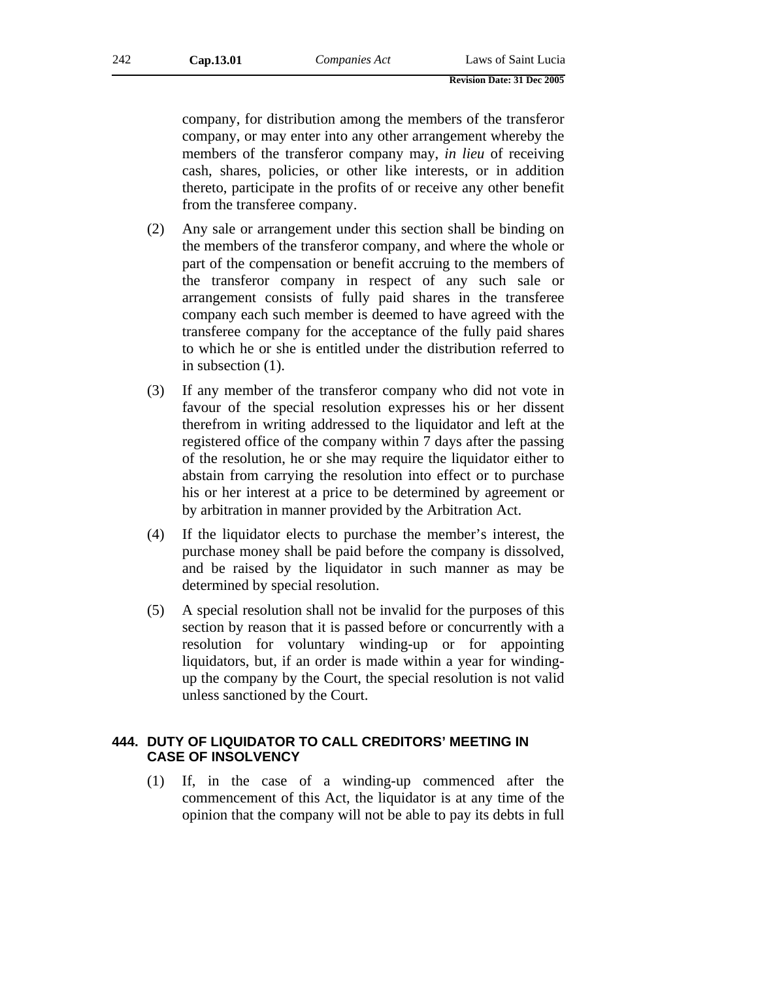company, for distribution among the members of the transferor company, or may enter into any other arrangement whereby the members of the transferor company may, *in lieu* of receiving cash, shares, policies, or other like interests, or in addition thereto, participate in the profits of or receive any other benefit from the transferee company.

- (2) Any sale or arrangement under this section shall be binding on the members of the transferor company, and where the whole or part of the compensation or benefit accruing to the members of the transferor company in respect of any such sale or arrangement consists of fully paid shares in the transferee company each such member is deemed to have agreed with the transferee company for the acceptance of the fully paid shares to which he or she is entitled under the distribution referred to in subsection (1).
- (3) If any member of the transferor company who did not vote in favour of the special resolution expresses his or her dissent therefrom in writing addressed to the liquidator and left at the registered office of the company within 7 days after the passing of the resolution, he or she may require the liquidator either to abstain from carrying the resolution into effect or to purchase his or her interest at a price to be determined by agreement or by arbitration in manner provided by the Arbitration Act.
- (4) If the liquidator elects to purchase the member's interest, the purchase money shall be paid before the company is dissolved, and be raised by the liquidator in such manner as may be determined by special resolution.
- (5) A special resolution shall not be invalid for the purposes of this section by reason that it is passed before or concurrently with a resolution for voluntary winding-up or for appointing liquidators, but, if an order is made within a year for windingup the company by the Court, the special resolution is not valid unless sanctioned by the Court.

### **444. DUTY OF LIQUIDATOR TO CALL CREDITORS' MEETING IN CASE OF INSOLVENCY**

(1) If, in the case of a winding-up commenced after the commencement of this Act, the liquidator is at any time of the opinion that the company will not be able to pay its debts in full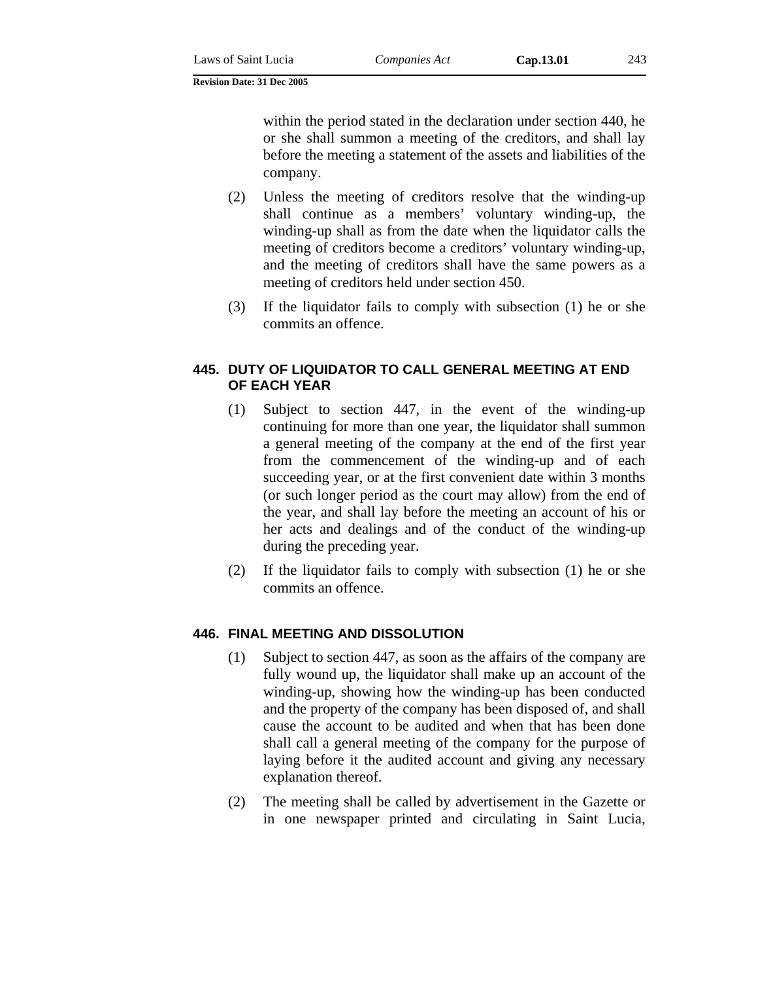within the period stated in the declaration under section 440, he or she shall summon a meeting of the creditors, and shall lay before the meeting a statement of the assets and liabilities of the company.

- (2) Unless the meeting of creditors resolve that the winding-up shall continue as a members' voluntary winding-up, the winding-up shall as from the date when the liquidator calls the meeting of creditors become a creditors' voluntary winding-up, and the meeting of creditors shall have the same powers as a meeting of creditors held under section 450.
- (3) If the liquidator fails to comply with subsection (1) he or she commits an offence.

### **445. DUTY OF LIQUIDATOR TO CALL GENERAL MEETING AT END OF EACH YEAR**

- (1) Subject to section 447, in the event of the winding-up continuing for more than one year, the liquidator shall summon a general meeting of the company at the end of the first year from the commencement of the winding-up and of each succeeding year, or at the first convenient date within 3 months (or such longer period as the court may allow) from the end of the year, and shall lay before the meeting an account of his or her acts and dealings and of the conduct of the winding-up during the preceding year.
- (2) If the liquidator fails to comply with subsection (1) he or she commits an offence.

# **446. FINAL MEETING AND DISSOLUTION**

- (1) Subject to section 447, as soon as the affairs of the company are fully wound up, the liquidator shall make up an account of the winding-up, showing how the winding-up has been conducted and the property of the company has been disposed of, and shall cause the account to be audited and when that has been done shall call a general meeting of the company for the purpose of laying before it the audited account and giving any necessary explanation thereof.
- (2) The meeting shall be called by advertisement in the Gazette or in one newspaper printed and circulating in Saint Lucia,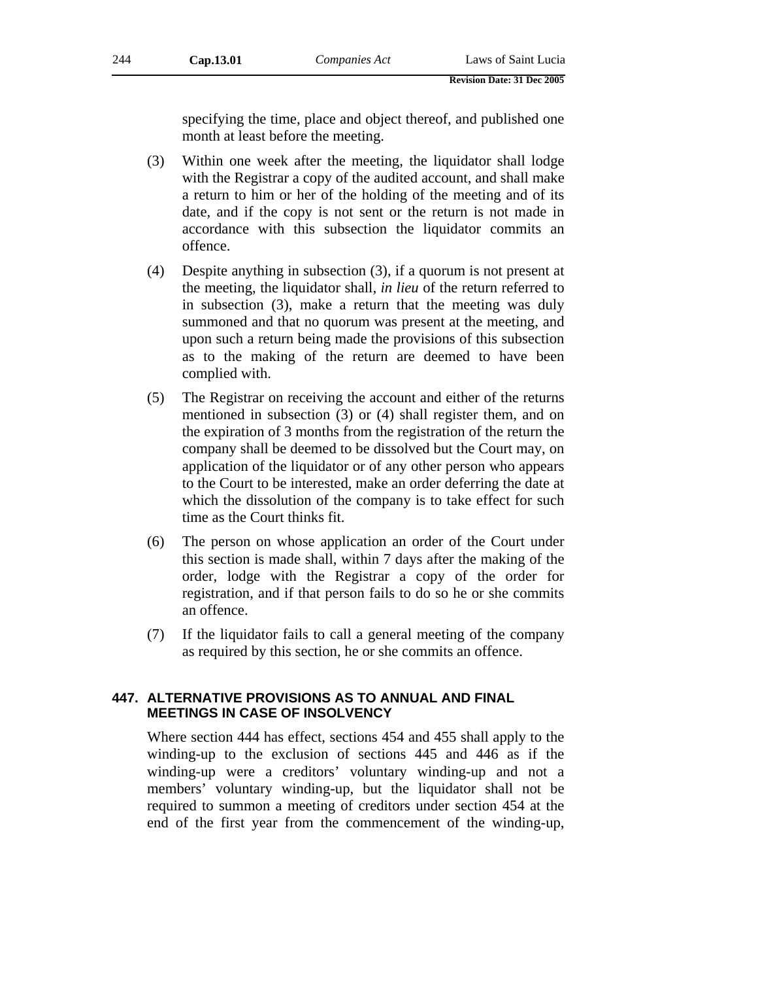specifying the time, place and object thereof, and published one month at least before the meeting.

- (3) Within one week after the meeting, the liquidator shall lodge with the Registrar a copy of the audited account, and shall make a return to him or her of the holding of the meeting and of its date, and if the copy is not sent or the return is not made in accordance with this subsection the liquidator commits an offence.
- (4) Despite anything in subsection (3), if a quorum is not present at the meeting, the liquidator shall, *in lieu* of the return referred to in subsection (3), make a return that the meeting was duly summoned and that no quorum was present at the meeting, and upon such a return being made the provisions of this subsection as to the making of the return are deemed to have been complied with.
- (5) The Registrar on receiving the account and either of the returns mentioned in subsection (3) or (4) shall register them, and on the expiration of 3 months from the registration of the return the company shall be deemed to be dissolved but the Court may, on application of the liquidator or of any other person who appears to the Court to be interested, make an order deferring the date at which the dissolution of the company is to take effect for such time as the Court thinks fit.
- (6) The person on whose application an order of the Court under this section is made shall, within 7 days after the making of the order, lodge with the Registrar a copy of the order for registration, and if that person fails to do so he or she commits an offence.
- (7) If the liquidator fails to call a general meeting of the company as required by this section, he or she commits an offence.

### **447. ALTERNATIVE PROVISIONS AS TO ANNUAL AND FINAL MEETINGS IN CASE OF INSOLVENCY**

Where section 444 has effect, sections 454 and 455 shall apply to the winding-up to the exclusion of sections 445 and 446 as if the winding-up were a creditors' voluntary winding-up and not a members' voluntary winding-up, but the liquidator shall not be required to summon a meeting of creditors under section 454 at the end of the first year from the commencement of the winding-up,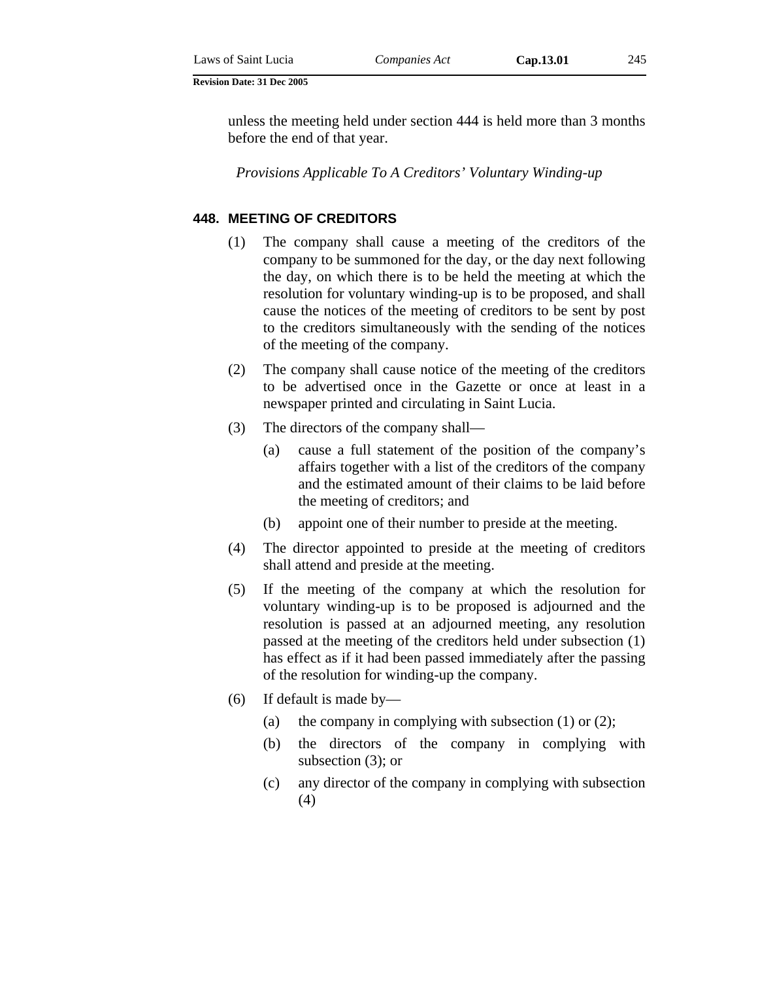unless the meeting held under section 444 is held more than 3 months before the end of that year.

*Provisions Applicable To A Creditors' Voluntary Winding-up* 

### **448. MEETING OF CREDITORS**

- (1) The company shall cause a meeting of the creditors of the company to be summoned for the day, or the day next following the day, on which there is to be held the meeting at which the resolution for voluntary winding-up is to be proposed, and shall cause the notices of the meeting of creditors to be sent by post to the creditors simultaneously with the sending of the notices of the meeting of the company.
- (2) The company shall cause notice of the meeting of the creditors to be advertised once in the Gazette or once at least in a newspaper printed and circulating in Saint Lucia.
- (3) The directors of the company shall—
	- (a) cause a full statement of the position of the company's affairs together with a list of the creditors of the company and the estimated amount of their claims to be laid before the meeting of creditors; and
	- (b) appoint one of their number to preside at the meeting.
- (4) The director appointed to preside at the meeting of creditors shall attend and preside at the meeting.
- (5) If the meeting of the company at which the resolution for voluntary winding-up is to be proposed is adjourned and the resolution is passed at an adjourned meeting, any resolution passed at the meeting of the creditors held under subsection (1) has effect as if it had been passed immediately after the passing of the resolution for winding-up the company.
- (6) If default is made by—
	- (a) the company in complying with subsection  $(1)$  or  $(2)$ ;
	- (b) the directors of the company in complying with subsection (3); or
	- (c) any director of the company in complying with subsection (4)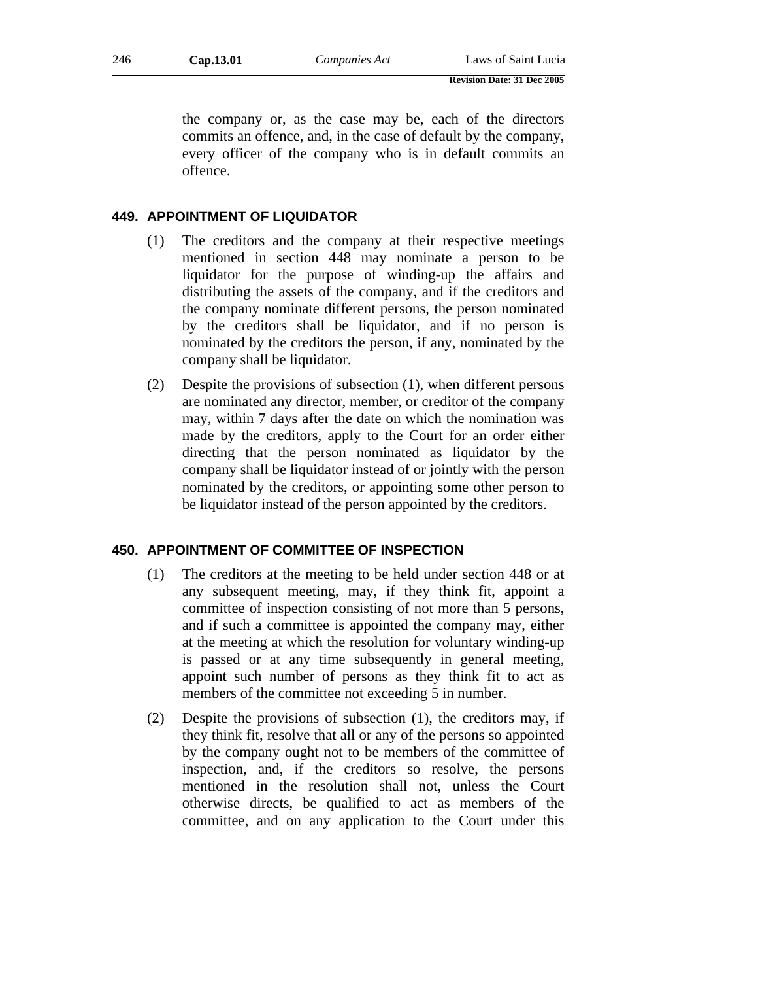the company or, as the case may be, each of the directors commits an offence, and, in the case of default by the company, every officer of the company who is in default commits an offence.

### **449. APPOINTMENT OF LIQUIDATOR**

- (1) The creditors and the company at their respective meetings mentioned in section 448 may nominate a person to be liquidator for the purpose of winding-up the affairs and distributing the assets of the company, and if the creditors and the company nominate different persons, the person nominated by the creditors shall be liquidator, and if no person is nominated by the creditors the person, if any, nominated by the company shall be liquidator.
- (2) Despite the provisions of subsection (1), when different persons are nominated any director, member, or creditor of the company may, within 7 days after the date on which the nomination was made by the creditors, apply to the Court for an order either directing that the person nominated as liquidator by the company shall be liquidator instead of or jointly with the person nominated by the creditors, or appointing some other person to be liquidator instead of the person appointed by the creditors.

# **450. APPOINTMENT OF COMMITTEE OF INSPECTION**

- (1) The creditors at the meeting to be held under section 448 or at any subsequent meeting, may, if they think fit, appoint a committee of inspection consisting of not more than 5 persons, and if such a committee is appointed the company may, either at the meeting at which the resolution for voluntary winding-up is passed or at any time subsequently in general meeting, appoint such number of persons as they think fit to act as members of the committee not exceeding 5 in number.
- (2) Despite the provisions of subsection (1), the creditors may, if they think fit, resolve that all or any of the persons so appointed by the company ought not to be members of the committee of inspection, and, if the creditors so resolve, the persons mentioned in the resolution shall not, unless the Court otherwise directs, be qualified to act as members of the committee, and on any application to the Court under this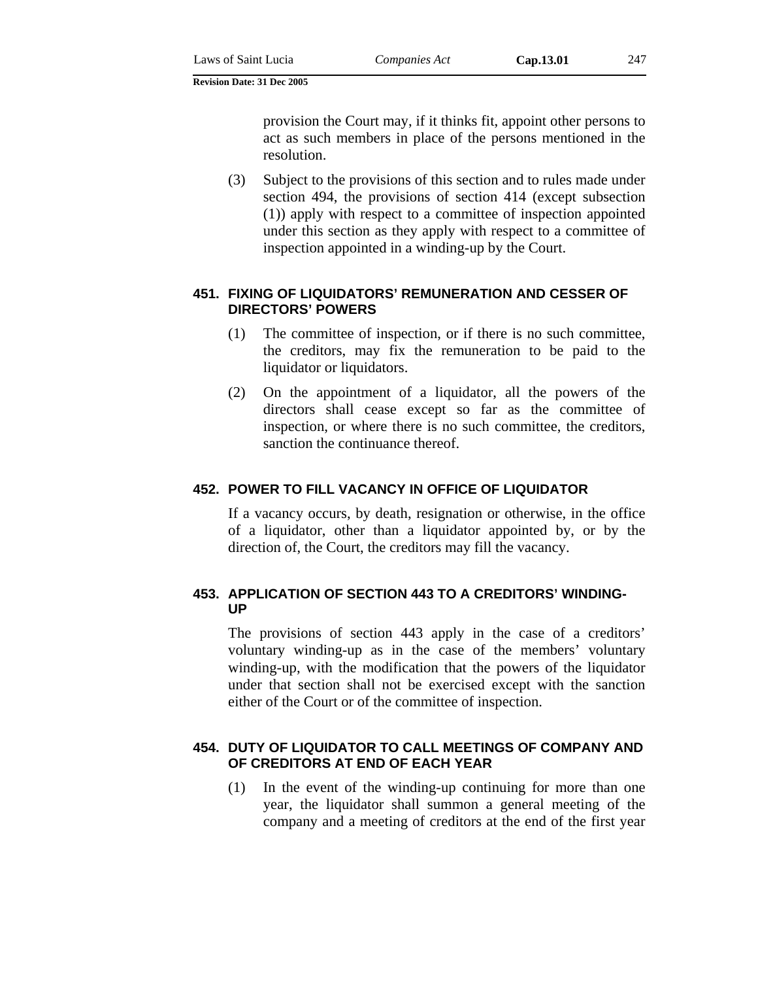provision the Court may, if it thinks fit, appoint other persons to act as such members in place of the persons mentioned in the resolution.

(3) Subject to the provisions of this section and to rules made under section 494, the provisions of section 414 (except subsection (1)) apply with respect to a committee of inspection appointed under this section as they apply with respect to a committee of inspection appointed in a winding-up by the Court.

# **451. FIXING OF LIQUIDATORS' REMUNERATION AND CESSER OF DIRECTORS' POWERS**

- (1) The committee of inspection, or if there is no such committee, the creditors, may fix the remuneration to be paid to the liquidator or liquidators.
- (2) On the appointment of a liquidator, all the powers of the directors shall cease except so far as the committee of inspection, or where there is no such committee, the creditors, sanction the continuance thereof.

# **452. POWER TO FILL VACANCY IN OFFICE OF LIQUIDATOR**

If a vacancy occurs, by death, resignation or otherwise, in the office of a liquidator, other than a liquidator appointed by, or by the direction of, the Court, the creditors may fill the vacancy.

# **453. APPLICATION OF SECTION 443 TO A CREDITORS' WINDING-UP**

The provisions of section 443 apply in the case of a creditors' voluntary winding-up as in the case of the members' voluntary winding-up, with the modification that the powers of the liquidator under that section shall not be exercised except with the sanction either of the Court or of the committee of inspection.

# **454. DUTY OF LIQUIDATOR TO CALL MEETINGS OF COMPANY AND OF CREDITORS AT END OF EACH YEAR**

(1) In the event of the winding-up continuing for more than one year, the liquidator shall summon a general meeting of the company and a meeting of creditors at the end of the first year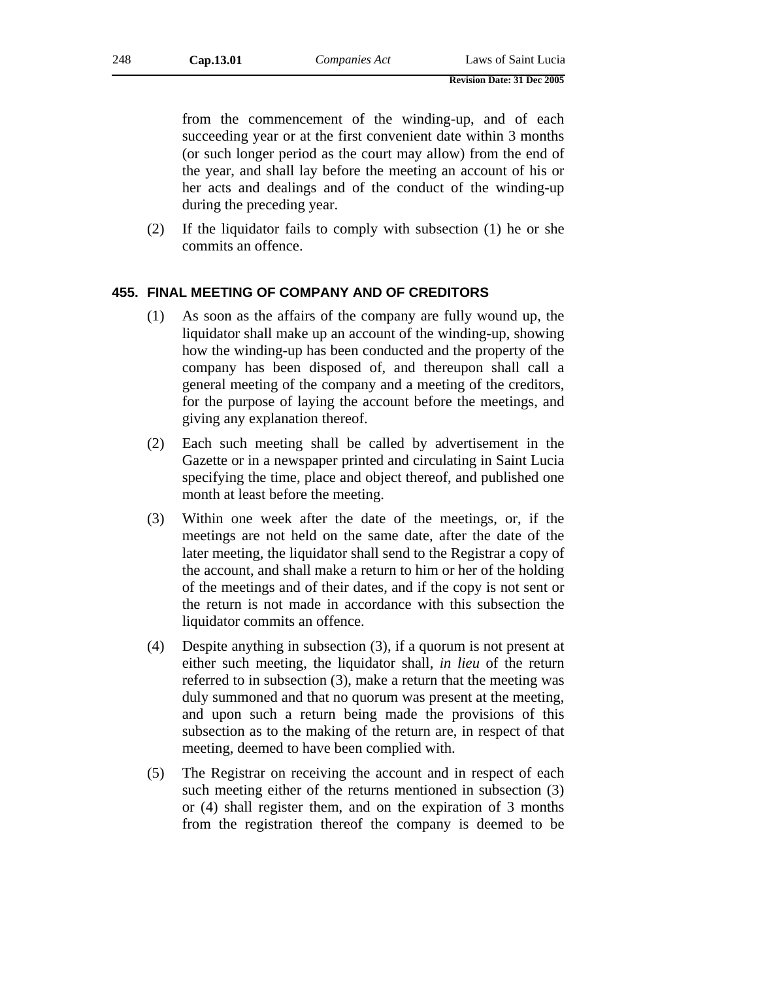from the commencement of the winding-up, and of each succeeding year or at the first convenient date within 3 months (or such longer period as the court may allow) from the end of the year, and shall lay before the meeting an account of his or her acts and dealings and of the conduct of the winding-up during the preceding year.

(2) If the liquidator fails to comply with subsection (1) he or she commits an offence.

### **455. FINAL MEETING OF COMPANY AND OF CREDITORS**

- (1) As soon as the affairs of the company are fully wound up, the liquidator shall make up an account of the winding-up, showing how the winding-up has been conducted and the property of the company has been disposed of, and thereupon shall call a general meeting of the company and a meeting of the creditors, for the purpose of laying the account before the meetings, and giving any explanation thereof.
- (2) Each such meeting shall be called by advertisement in the Gazette or in a newspaper printed and circulating in Saint Lucia specifying the time, place and object thereof, and published one month at least before the meeting.
- (3) Within one week after the date of the meetings, or, if the meetings are not held on the same date, after the date of the later meeting, the liquidator shall send to the Registrar a copy of the account, and shall make a return to him or her of the holding of the meetings and of their dates, and if the copy is not sent or the return is not made in accordance with this subsection the liquidator commits an offence.
- (4) Despite anything in subsection (3), if a quorum is not present at either such meeting, the liquidator shall, *in lieu* of the return referred to in subsection (3), make a return that the meeting was duly summoned and that no quorum was present at the meeting, and upon such a return being made the provisions of this subsection as to the making of the return are, in respect of that meeting, deemed to have been complied with.
- (5) The Registrar on receiving the account and in respect of each such meeting either of the returns mentioned in subsection (3) or (4) shall register them, and on the expiration of 3 months from the registration thereof the company is deemed to be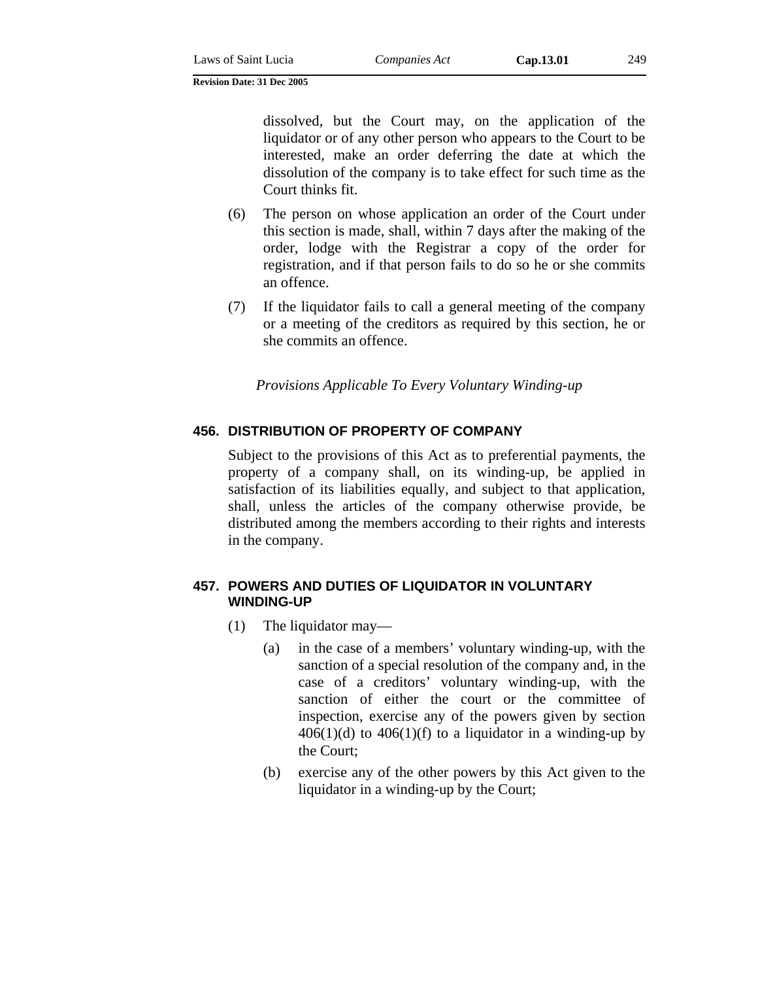dissolved, but the Court may, on the application of the liquidator or of any other person who appears to the Court to be interested, make an order deferring the date at which the dissolution of the company is to take effect for such time as the Court thinks fit.

- (6) The person on whose application an order of the Court under this section is made, shall, within 7 days after the making of the order, lodge with the Registrar a copy of the order for registration, and if that person fails to do so he or she commits an offence.
- (7) If the liquidator fails to call a general meeting of the company or a meeting of the creditors as required by this section, he or she commits an offence.

*Provisions Applicable To Every Voluntary Winding-up* 

# **456. DISTRIBUTION OF PROPERTY OF COMPANY**

Subject to the provisions of this Act as to preferential payments, the property of a company shall, on its winding-up, be applied in satisfaction of its liabilities equally, and subject to that application, shall, unless the articles of the company otherwise provide, be distributed among the members according to their rights and interests in the company.

# **457. POWERS AND DUTIES OF LIQUIDATOR IN VOLUNTARY WINDING-UP**

- (1) The liquidator may—
	- (a) in the case of a members' voluntary winding-up, with the sanction of a special resolution of the company and, in the case of a creditors' voluntary winding-up, with the sanction of either the court or the committee of inspection, exercise any of the powers given by section  $406(1)(d)$  to  $406(1)(f)$  to a liquidator in a winding-up by the Court;
	- (b) exercise any of the other powers by this Act given to the liquidator in a winding-up by the Court;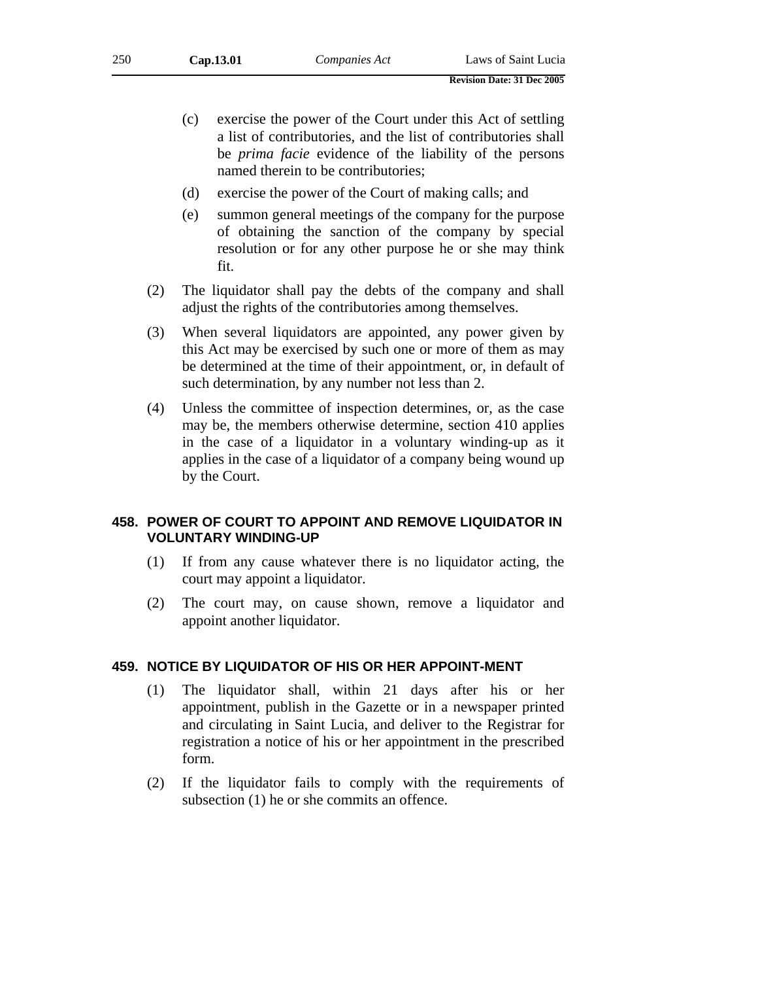- (c) exercise the power of the Court under this Act of settling a list of contributories, and the list of contributories shall be *prima facie* evidence of the liability of the persons named therein to be contributories;
- (d) exercise the power of the Court of making calls; and
- (e) summon general meetings of the company for the purpose of obtaining the sanction of the company by special resolution or for any other purpose he or she may think fit.
- (2) The liquidator shall pay the debts of the company and shall adjust the rights of the contributories among themselves.
- (3) When several liquidators are appointed, any power given by this Act may be exercised by such one or more of them as may be determined at the time of their appointment, or, in default of such determination, by any number not less than 2.
- (4) Unless the committee of inspection determines, or, as the case may be, the members otherwise determine, section 410 applies in the case of a liquidator in a voluntary winding-up as it applies in the case of a liquidator of a company being wound up by the Court.

### **458. POWER OF COURT TO APPOINT AND REMOVE LIQUIDATOR IN VOLUNTARY WINDING-UP**

- (1) If from any cause whatever there is no liquidator acting, the court may appoint a liquidator.
- (2) The court may, on cause shown, remove a liquidator and appoint another liquidator.

### **459. NOTICE BY LIQUIDATOR OF HIS OR HER APPOINT-MENT**

- (1) The liquidator shall, within 21 days after his or her appointment, publish in the Gazette or in a newspaper printed and circulating in Saint Lucia, and deliver to the Registrar for registration a notice of his or her appointment in the prescribed form.
- (2) If the liquidator fails to comply with the requirements of subsection (1) he or she commits an offence.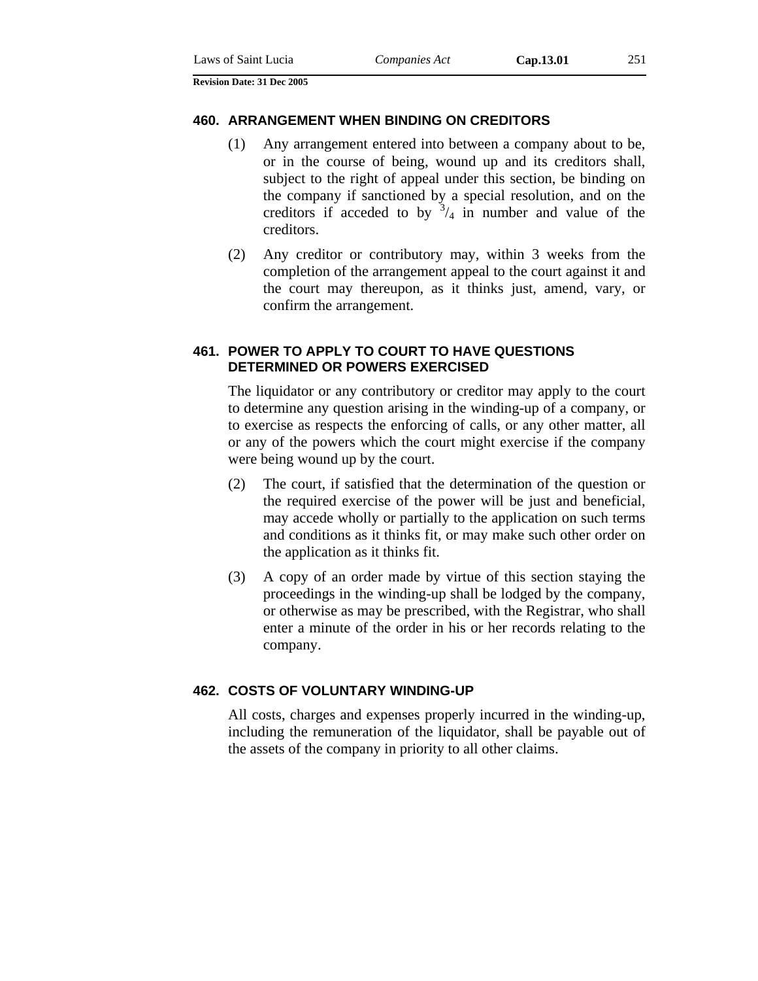#### **460. ARRANGEMENT WHEN BINDING ON CREDITORS**

- (1) Any arrangement entered into between a company about to be, or in the course of being, wound up and its creditors shall, subject to the right of appeal under this section, be binding on the company if sanctioned by a special resolution, and on the creditors if acceded to by  $3/4$  in number and value of the creditors.
- (2) Any creditor or contributory may, within 3 weeks from the completion of the arrangement appeal to the court against it and the court may thereupon, as it thinks just, amend, vary, or confirm the arrangement.

### **461. POWER TO APPLY TO COURT TO HAVE QUESTIONS DETERMINED OR POWERS EXERCISED**

The liquidator or any contributory or creditor may apply to the court to determine any question arising in the winding-up of a company, or to exercise as respects the enforcing of calls, or any other matter, all or any of the powers which the court might exercise if the company were being wound up by the court.

- (2) The court, if satisfied that the determination of the question or the required exercise of the power will be just and beneficial, may accede wholly or partially to the application on such terms and conditions as it thinks fit, or may make such other order on the application as it thinks fit.
- (3) A copy of an order made by virtue of this section staying the proceedings in the winding-up shall be lodged by the company, or otherwise as may be prescribed, with the Registrar, who shall enter a minute of the order in his or her records relating to the company.

### **462. COSTS OF VOLUNTARY WINDING-UP**

All costs, charges and expenses properly incurred in the winding-up, including the remuneration of the liquidator, shall be payable out of the assets of the company in priority to all other claims.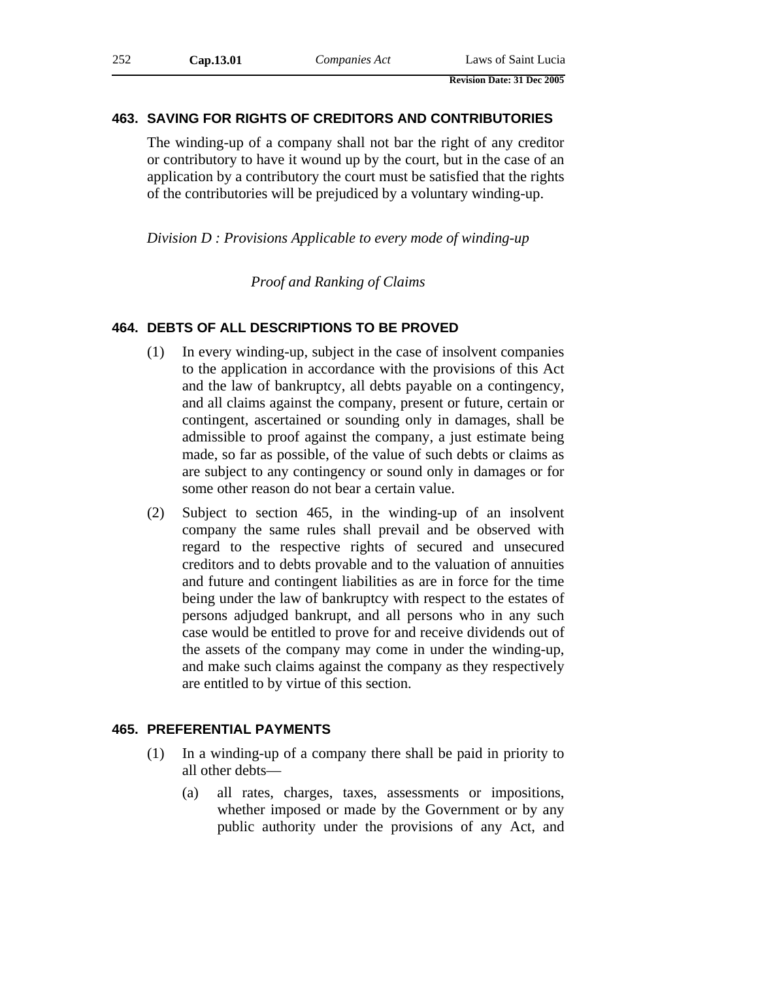### **463. SAVING FOR RIGHTS OF CREDITORS AND CONTRIBUTORIES**

The winding-up of a company shall not bar the right of any creditor or contributory to have it wound up by the court, but in the case of an application by a contributory the court must be satisfied that the rights of the contributories will be prejudiced by a voluntary winding-up.

*Division D : Provisions Applicable to every mode of winding-up* 

*Proof and Ranking of Claims* 

### **464. DEBTS OF ALL DESCRIPTIONS TO BE PROVED**

- (1) In every winding-up, subject in the case of insolvent companies to the application in accordance with the provisions of this Act and the law of bankruptcy, all debts payable on a contingency, and all claims against the company, present or future, certain or contingent, ascertained or sounding only in damages, shall be admissible to proof against the company, a just estimate being made, so far as possible, of the value of such debts or claims as are subject to any contingency or sound only in damages or for some other reason do not bear a certain value.
- (2) Subject to section 465, in the winding-up of an insolvent company the same rules shall prevail and be observed with regard to the respective rights of secured and unsecured creditors and to debts provable and to the valuation of annuities and future and contingent liabilities as are in force for the time being under the law of bankruptcy with respect to the estates of persons adjudged bankrupt, and all persons who in any such case would be entitled to prove for and receive dividends out of the assets of the company may come in under the winding-up, and make such claims against the company as they respectively are entitled to by virtue of this section.

### **465. PREFERENTIAL PAYMENTS**

- (1) In a winding-up of a company there shall be paid in priority to all other debts—
	- (a) all rates, charges, taxes, assessments or impositions, whether imposed or made by the Government or by any public authority under the provisions of any Act, and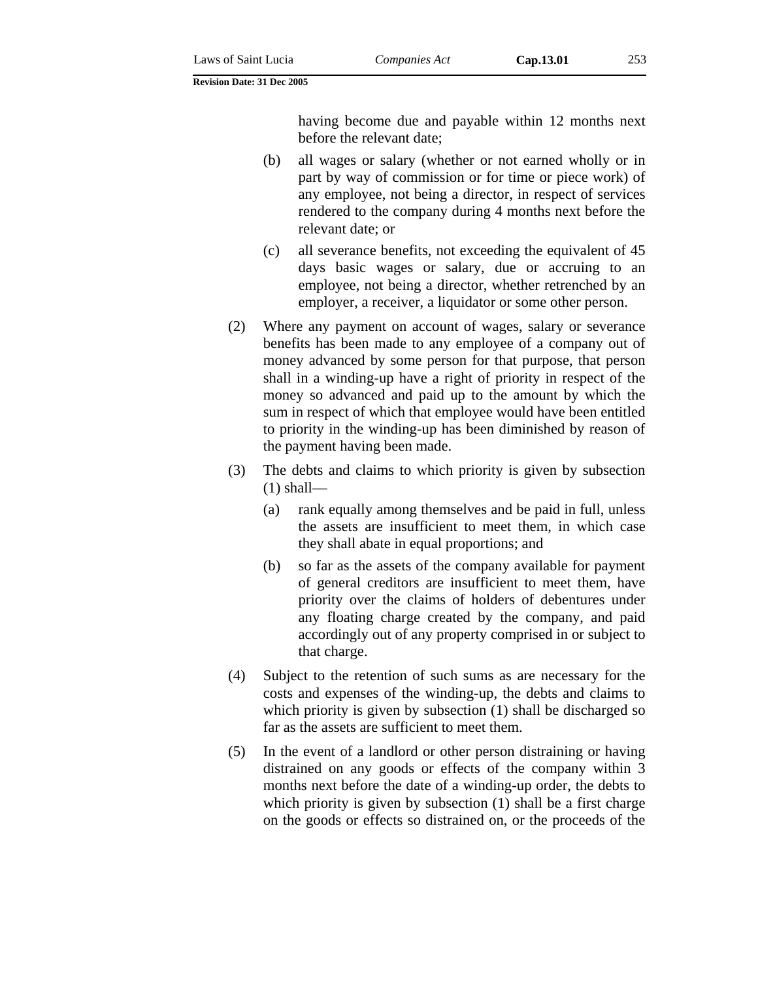having become due and payable within 12 months next before the relevant date;

- (b) all wages or salary (whether or not earned wholly or in part by way of commission or for time or piece work) of any employee, not being a director, in respect of services rendered to the company during 4 months next before the relevant date; or
- (c) all severance benefits, not exceeding the equivalent of 45 days basic wages or salary, due or accruing to an employee, not being a director, whether retrenched by an employer, a receiver, a liquidator or some other person.
- (2) Where any payment on account of wages, salary or severance benefits has been made to any employee of a company out of money advanced by some person for that purpose, that person shall in a winding-up have a right of priority in respect of the money so advanced and paid up to the amount by which the sum in respect of which that employee would have been entitled to priority in the winding-up has been diminished by reason of the payment having been made.
- (3) The debts and claims to which priority is given by subsection  $(1)$  shall—
	- (a) rank equally among themselves and be paid in full, unless the assets are insufficient to meet them, in which case they shall abate in equal proportions; and
	- (b) so far as the assets of the company available for payment of general creditors are insufficient to meet them, have priority over the claims of holders of debentures under any floating charge created by the company, and paid accordingly out of any property comprised in or subject to that charge.
- (4) Subject to the retention of such sums as are necessary for the costs and expenses of the winding-up, the debts and claims to which priority is given by subsection (1) shall be discharged so far as the assets are sufficient to meet them.
- (5) In the event of a landlord or other person distraining or having distrained on any goods or effects of the company within 3 months next before the date of a winding-up order, the debts to which priority is given by subsection (1) shall be a first charge on the goods or effects so distrained on, or the proceeds of the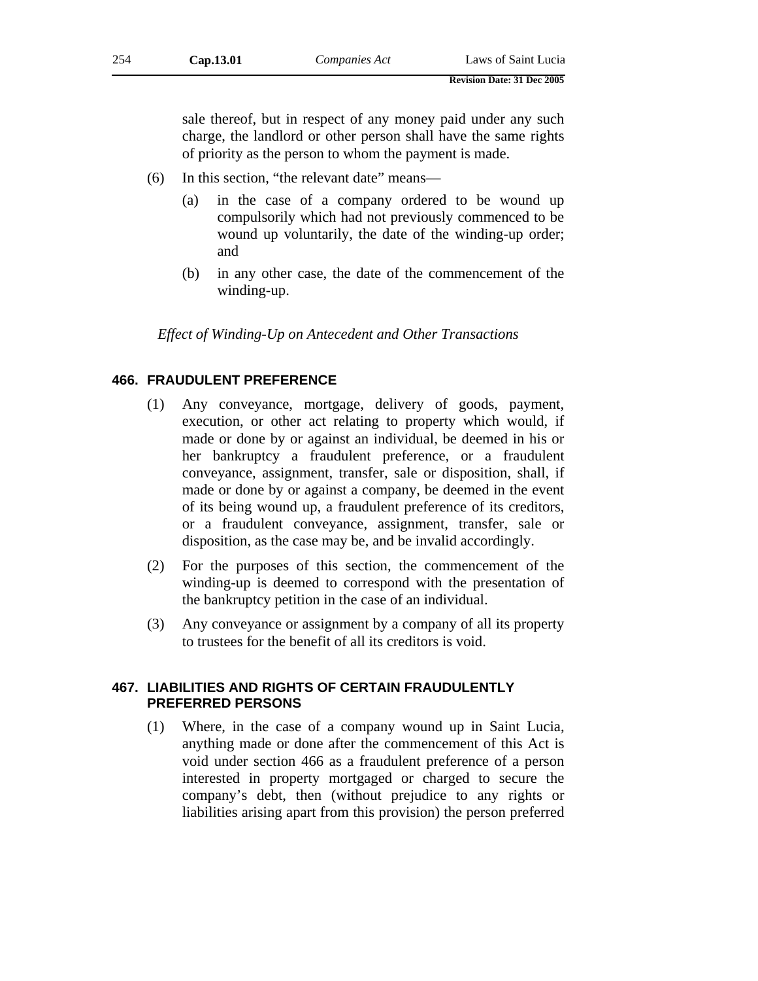sale thereof, but in respect of any money paid under any such charge, the landlord or other person shall have the same rights of priority as the person to whom the payment is made.

- (6) In this section, "the relevant date" means—
	- (a) in the case of a company ordered to be wound up compulsorily which had not previously commenced to be wound up voluntarily, the date of the winding-up order; and
	- (b) in any other case, the date of the commencement of the winding-up.

*Effect of Winding-Up on Antecedent and Other Transactions* 

## **466. FRAUDULENT PREFERENCE**

- (1) Any conveyance, mortgage, delivery of goods, payment, execution, or other act relating to property which would, if made or done by or against an individual, be deemed in his or her bankruptcy a fraudulent preference, or a fraudulent conveyance, assignment, transfer, sale or disposition, shall, if made or done by or against a company, be deemed in the event of its being wound up, a fraudulent preference of its creditors, or a fraudulent conveyance, assignment, transfer, sale or disposition, as the case may be, and be invalid accordingly.
- (2) For the purposes of this section, the commencement of the winding-up is deemed to correspond with the presentation of the bankruptcy petition in the case of an individual.
- (3) Any conveyance or assignment by a company of all its property to trustees for the benefit of all its creditors is void.

## **467. LIABILITIES AND RIGHTS OF CERTAIN FRAUDULENTLY PREFERRED PERSONS**

(1) Where, in the case of a company wound up in Saint Lucia, anything made or done after the commencement of this Act is void under section 466 as a fraudulent preference of a person interested in property mortgaged or charged to secure the company's debt, then (without prejudice to any rights or liabilities arising apart from this provision) the person preferred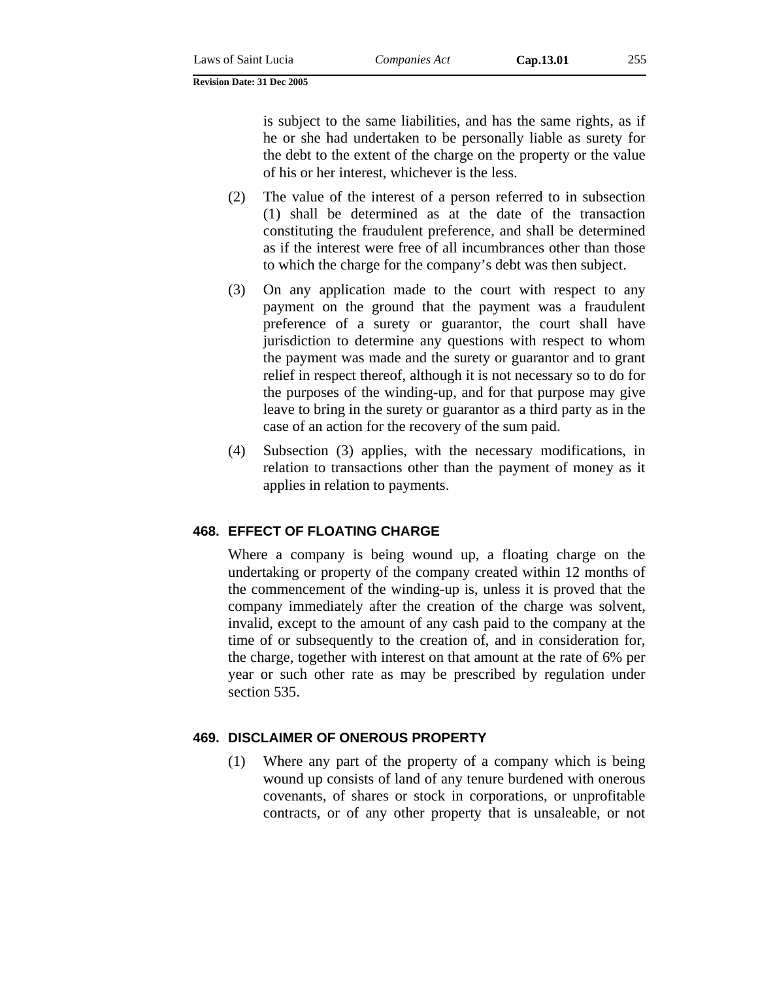is subject to the same liabilities, and has the same rights, as if he or she had undertaken to be personally liable as surety for the debt to the extent of the charge on the property or the value of his or her interest, whichever is the less.

- (2) The value of the interest of a person referred to in subsection (1) shall be determined as at the date of the transaction constituting the fraudulent preference, and shall be determined as if the interest were free of all incumbrances other than those to which the charge for the company's debt was then subject.
- (3) On any application made to the court with respect to any payment on the ground that the payment was a fraudulent preference of a surety or guarantor, the court shall have jurisdiction to determine any questions with respect to whom the payment was made and the surety or guarantor and to grant relief in respect thereof, although it is not necessary so to do for the purposes of the winding-up, and for that purpose may give leave to bring in the surety or guarantor as a third party as in the case of an action for the recovery of the sum paid.
- (4) Subsection (3) applies, with the necessary modifications, in relation to transactions other than the payment of money as it applies in relation to payments.

# **468. EFFECT OF FLOATING CHARGE**

Where a company is being wound up, a floating charge on the undertaking or property of the company created within 12 months of the commencement of the winding-up is, unless it is proved that the company immediately after the creation of the charge was solvent, invalid, except to the amount of any cash paid to the company at the time of or subsequently to the creation of, and in consideration for, the charge, together with interest on that amount at the rate of 6% per year or such other rate as may be prescribed by regulation under section 535.

# **469. DISCLAIMER OF ONEROUS PROPERTY**

(1) Where any part of the property of a company which is being wound up consists of land of any tenure burdened with onerous covenants, of shares or stock in corporations, or unprofitable contracts, or of any other property that is unsaleable, or not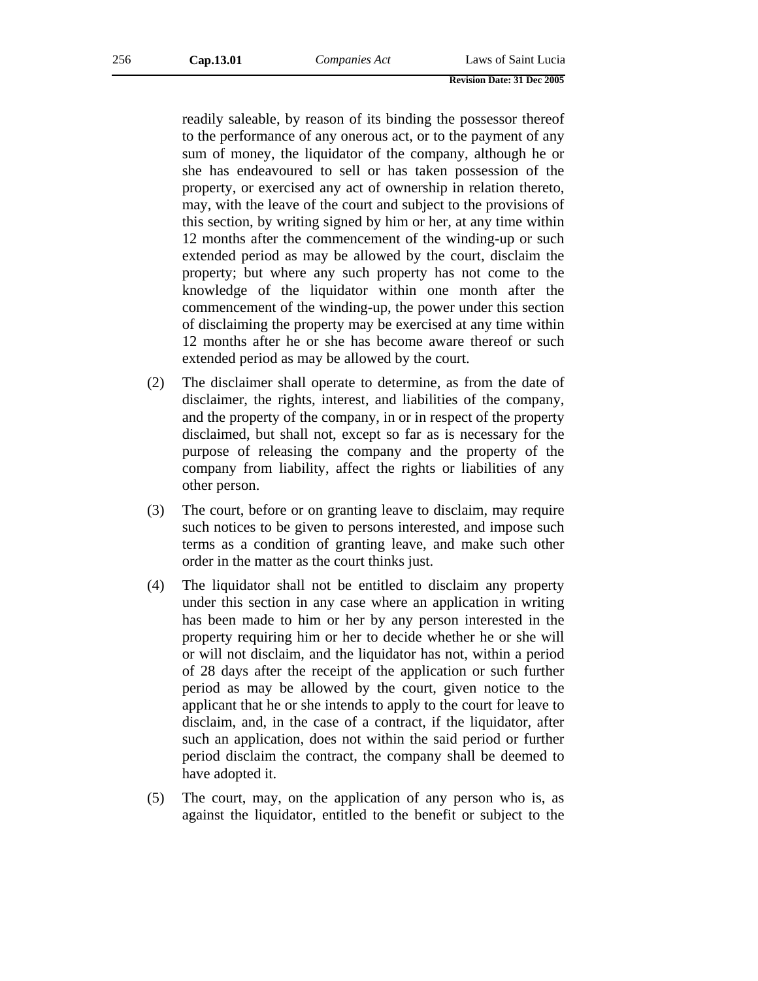readily saleable, by reason of its binding the possessor thereof to the performance of any onerous act, or to the payment of any sum of money, the liquidator of the company, although he or she has endeavoured to sell or has taken possession of the property, or exercised any act of ownership in relation thereto, may, with the leave of the court and subject to the provisions of this section, by writing signed by him or her, at any time within 12 months after the commencement of the winding-up or such extended period as may be allowed by the court, disclaim the property; but where any such property has not come to the knowledge of the liquidator within one month after the commencement of the winding-up, the power under this section of disclaiming the property may be exercised at any time within 12 months after he or she has become aware thereof or such extended period as may be allowed by the court.

- (2) The disclaimer shall operate to determine, as from the date of disclaimer, the rights, interest, and liabilities of the company, and the property of the company, in or in respect of the property disclaimed, but shall not, except so far as is necessary for the purpose of releasing the company and the property of the company from liability, affect the rights or liabilities of any other person.
- (3) The court, before or on granting leave to disclaim, may require such notices to be given to persons interested, and impose such terms as a condition of granting leave, and make such other order in the matter as the court thinks just.
- (4) The liquidator shall not be entitled to disclaim any property under this section in any case where an application in writing has been made to him or her by any person interested in the property requiring him or her to decide whether he or she will or will not disclaim, and the liquidator has not, within a period of 28 days after the receipt of the application or such further period as may be allowed by the court, given notice to the applicant that he or she intends to apply to the court for leave to disclaim, and, in the case of a contract, if the liquidator, after such an application, does not within the said period or further period disclaim the contract, the company shall be deemed to have adopted it.
- (5) The court, may, on the application of any person who is, as against the liquidator, entitled to the benefit or subject to the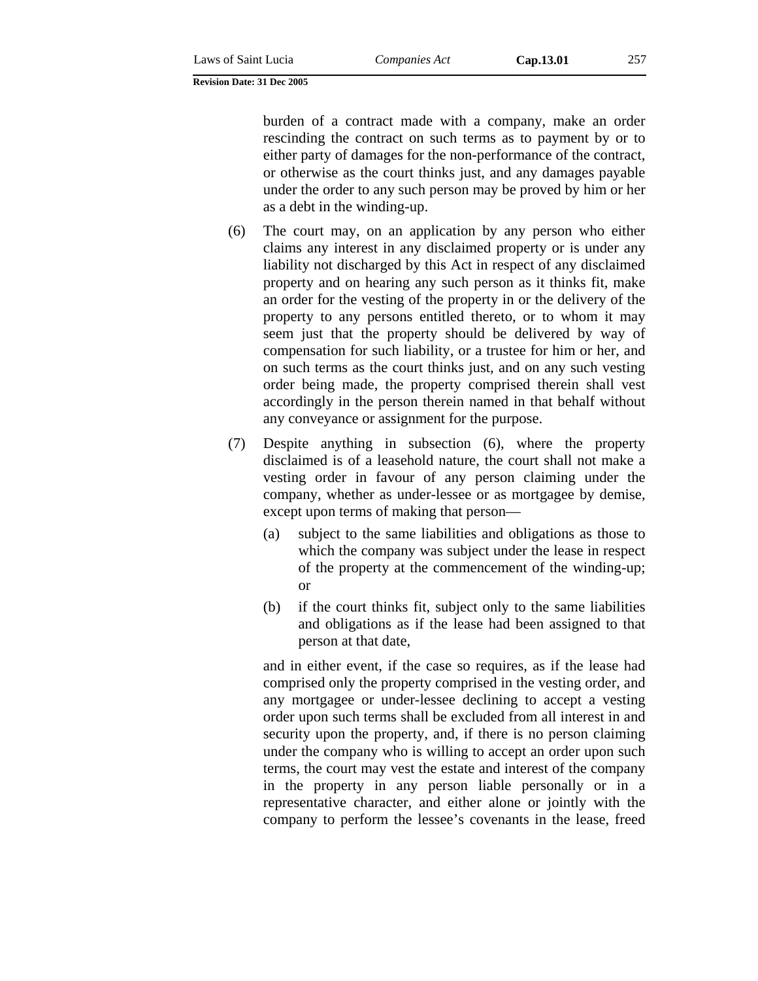burden of a contract made with a company, make an order rescinding the contract on such terms as to payment by or to either party of damages for the non-performance of the contract, or otherwise as the court thinks just, and any damages payable under the order to any such person may be proved by him or her as a debt in the winding-up.

- (6) The court may, on an application by any person who either claims any interest in any disclaimed property or is under any liability not discharged by this Act in respect of any disclaimed property and on hearing any such person as it thinks fit, make an order for the vesting of the property in or the delivery of the property to any persons entitled thereto, or to whom it may seem just that the property should be delivered by way of compensation for such liability, or a trustee for him or her, and on such terms as the court thinks just, and on any such vesting order being made, the property comprised therein shall vest accordingly in the person therein named in that behalf without any conveyance or assignment for the purpose.
- (7) Despite anything in subsection (6), where the property disclaimed is of a leasehold nature, the court shall not make a vesting order in favour of any person claiming under the company, whether as under-lessee or as mortgagee by demise, except upon terms of making that person—
	- (a) subject to the same liabilities and obligations as those to which the company was subject under the lease in respect of the property at the commencement of the winding-up; or
	- (b) if the court thinks fit, subject only to the same liabilities and obligations as if the lease had been assigned to that person at that date,

and in either event, if the case so requires, as if the lease had comprised only the property comprised in the vesting order, and any mortgagee or under-lessee declining to accept a vesting order upon such terms shall be excluded from all interest in and security upon the property, and, if there is no person claiming under the company who is willing to accept an order upon such terms, the court may vest the estate and interest of the company in the property in any person liable personally or in a representative character, and either alone or jointly with the company to perform the lessee's covenants in the lease, freed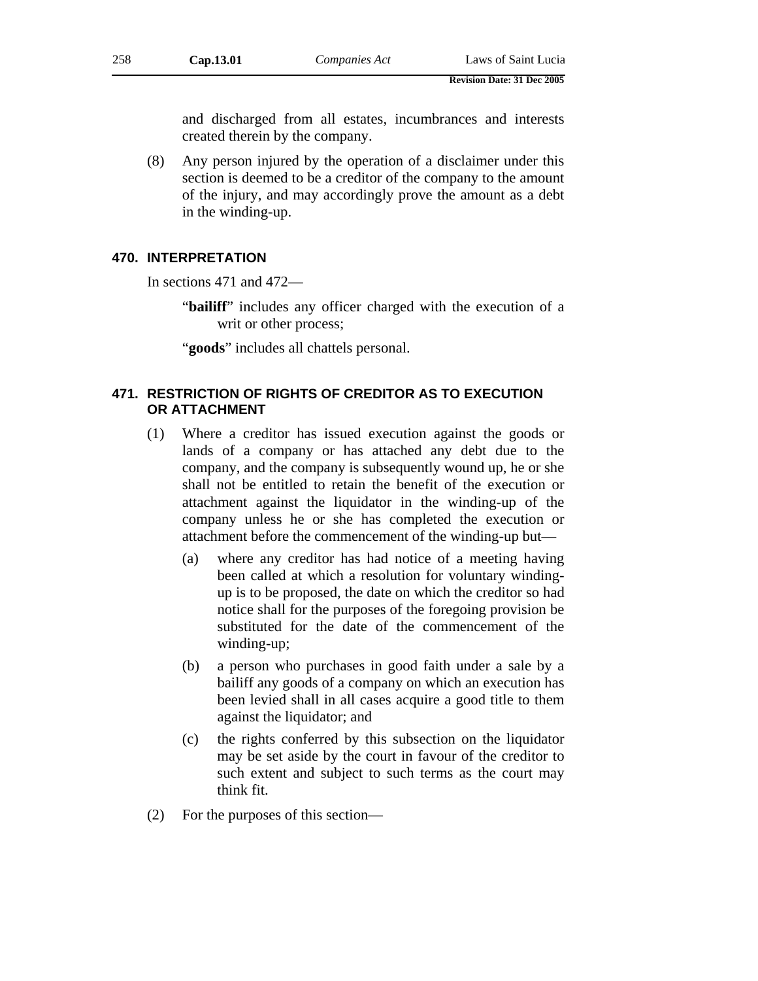and discharged from all estates, incumbrances and interests created therein by the company.

(8) Any person injured by the operation of a disclaimer under this section is deemed to be a creditor of the company to the amount of the injury, and may accordingly prove the amount as a debt in the winding-up.

## **470. INTERPRETATION**

In sections 471 and 472—

"**bailiff**" includes any officer charged with the execution of a writ or other process;

"**goods**" includes all chattels personal.

## **471. RESTRICTION OF RIGHTS OF CREDITOR AS TO EXECUTION OR ATTACHMENT**

- (1) Where a creditor has issued execution against the goods or lands of a company or has attached any debt due to the company, and the company is subsequently wound up, he or she shall not be entitled to retain the benefit of the execution or attachment against the liquidator in the winding-up of the company unless he or she has completed the execution or attachment before the commencement of the winding-up but—
	- (a) where any creditor has had notice of a meeting having been called at which a resolution for voluntary windingup is to be proposed, the date on which the creditor so had notice shall for the purposes of the foregoing provision be substituted for the date of the commencement of the winding-up;
	- (b) a person who purchases in good faith under a sale by a bailiff any goods of a company on which an execution has been levied shall in all cases acquire a good title to them against the liquidator; and
	- (c) the rights conferred by this subsection on the liquidator may be set aside by the court in favour of the creditor to such extent and subject to such terms as the court may think fit.
- (2) For the purposes of this section—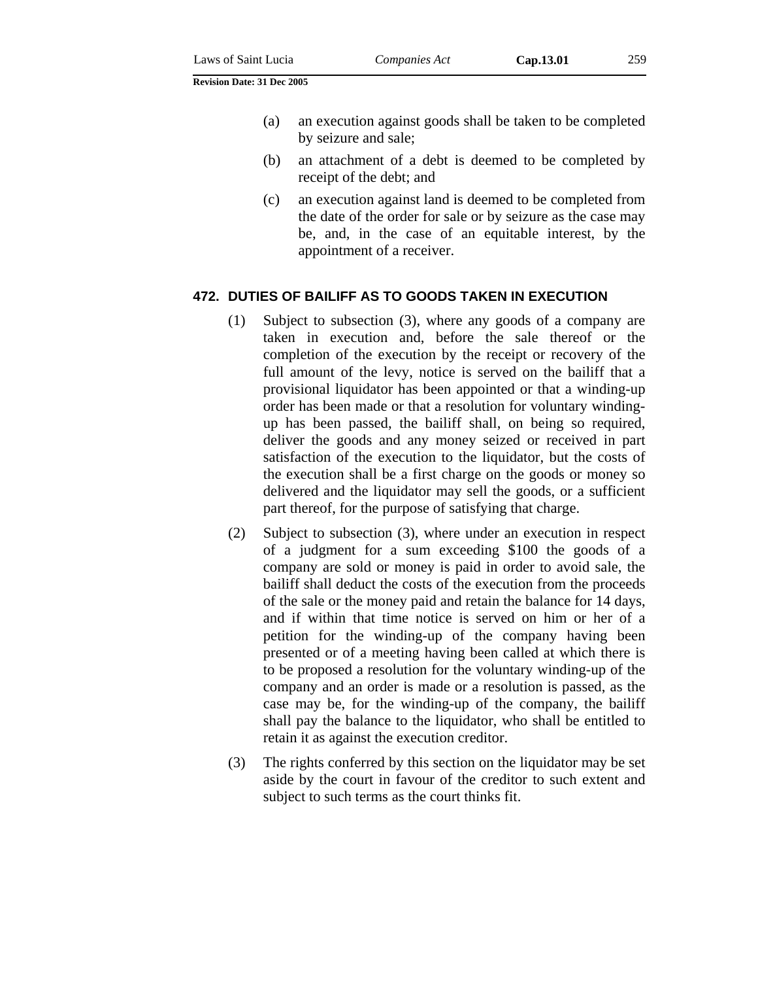(a) an execution against goods shall be taken to be completed by seizure and sale;

- (b) an attachment of a debt is deemed to be completed by receipt of the debt; and
- (c) an execution against land is deemed to be completed from the date of the order for sale or by seizure as the case may be, and, in the case of an equitable interest, by the appointment of a receiver.

### **472. DUTIES OF BAILIFF AS TO GOODS TAKEN IN EXECUTION**

- (1) Subject to subsection (3), where any goods of a company are taken in execution and, before the sale thereof or the completion of the execution by the receipt or recovery of the full amount of the levy, notice is served on the bailiff that a provisional liquidator has been appointed or that a winding-up order has been made or that a resolution for voluntary windingup has been passed, the bailiff shall, on being so required, deliver the goods and any money seized or received in part satisfaction of the execution to the liquidator, but the costs of the execution shall be a first charge on the goods or money so delivered and the liquidator may sell the goods, or a sufficient part thereof, for the purpose of satisfying that charge.
- (2) Subject to subsection (3), where under an execution in respect of a judgment for a sum exceeding \$100 the goods of a company are sold or money is paid in order to avoid sale, the bailiff shall deduct the costs of the execution from the proceeds of the sale or the money paid and retain the balance for 14 days, and if within that time notice is served on him or her of a petition for the winding-up of the company having been presented or of a meeting having been called at which there is to be proposed a resolution for the voluntary winding-up of the company and an order is made or a resolution is passed, as the case may be, for the winding-up of the company, the bailiff shall pay the balance to the liquidator, who shall be entitled to retain it as against the execution creditor.
- (3) The rights conferred by this section on the liquidator may be set aside by the court in favour of the creditor to such extent and subject to such terms as the court thinks fit.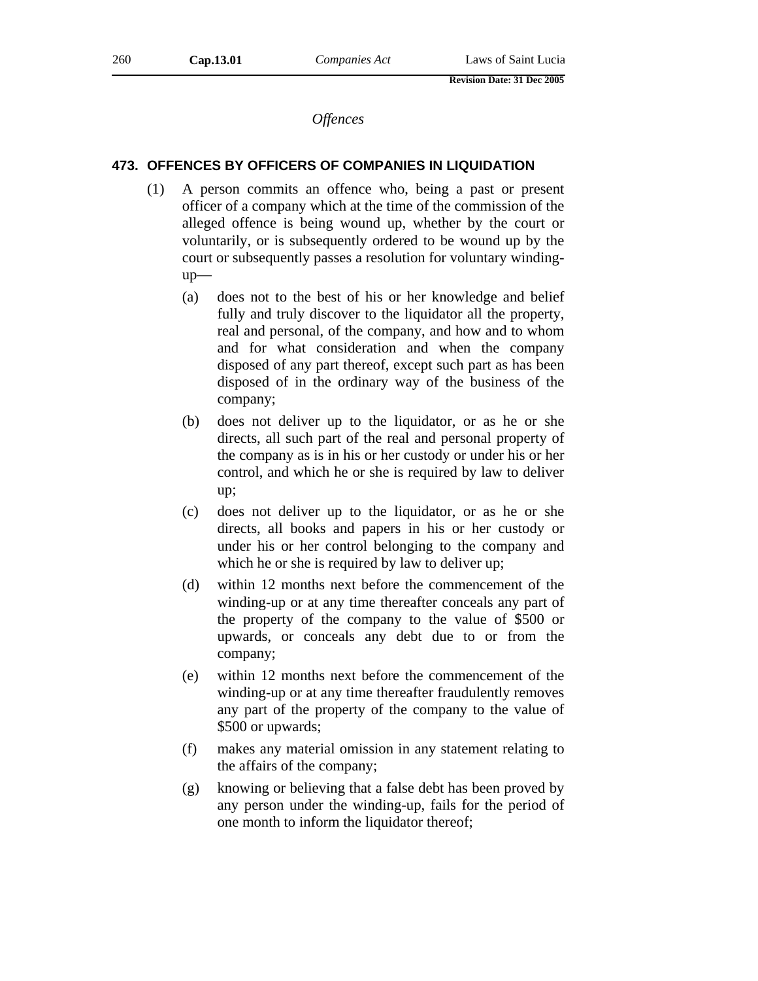*Offences* 

### **473. OFFENCES BY OFFICERS OF COMPANIES IN LIQUIDATION**

- (1) A person commits an offence who, being a past or present officer of a company which at the time of the commission of the alleged offence is being wound up, whether by the court or voluntarily, or is subsequently ordered to be wound up by the court or subsequently passes a resolution for voluntary windingup—
	- (a) does not to the best of his or her knowledge and belief fully and truly discover to the liquidator all the property, real and personal, of the company, and how and to whom and for what consideration and when the company disposed of any part thereof, except such part as has been disposed of in the ordinary way of the business of the company;
	- (b) does not deliver up to the liquidator, or as he or she directs, all such part of the real and personal property of the company as is in his or her custody or under his or her control, and which he or she is required by law to deliver up;
	- (c) does not deliver up to the liquidator, or as he or she directs, all books and papers in his or her custody or under his or her control belonging to the company and which he or she is required by law to deliver up;
	- (d) within 12 months next before the commencement of the winding-up or at any time thereafter conceals any part of the property of the company to the value of \$500 or upwards, or conceals any debt due to or from the company;
	- (e) within 12 months next before the commencement of the winding-up or at any time thereafter fraudulently removes any part of the property of the company to the value of \$500 or upwards;
	- (f) makes any material omission in any statement relating to the affairs of the company;
	- (g) knowing or believing that a false debt has been proved by any person under the winding-up, fails for the period of one month to inform the liquidator thereof;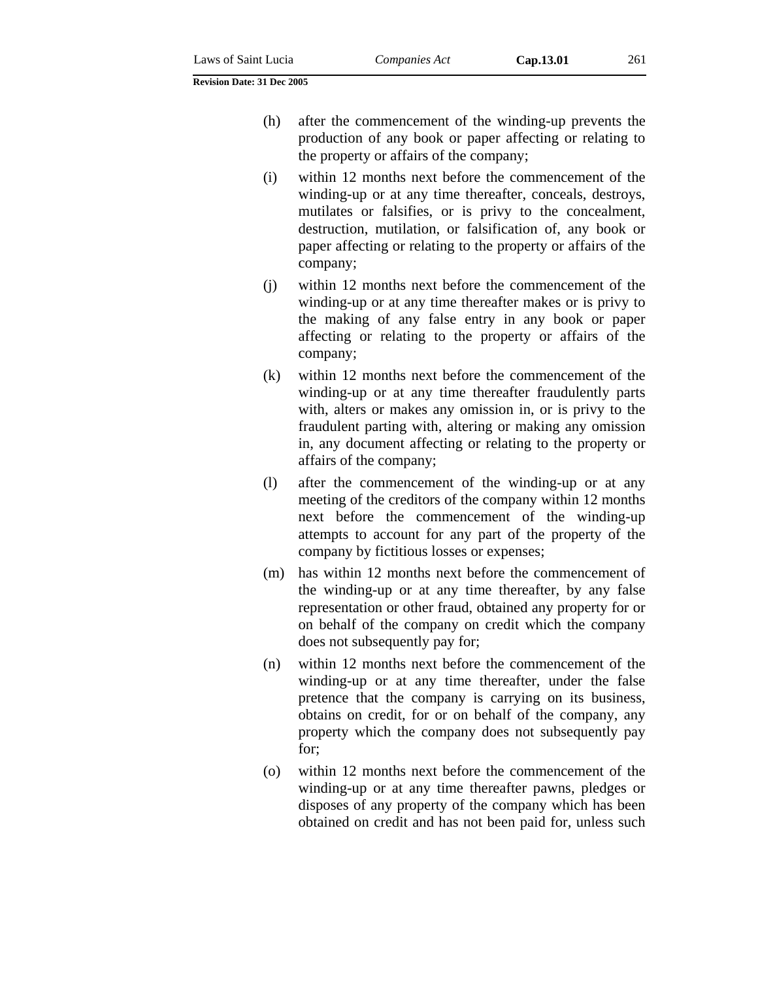- (h) after the commencement of the winding-up prevents the production of any book or paper affecting or relating to the property or affairs of the company;
- (i) within 12 months next before the commencement of the winding-up or at any time thereafter, conceals, destroys, mutilates or falsifies, or is privy to the concealment, destruction, mutilation, or falsification of, any book or paper affecting or relating to the property or affairs of the company;
- (j) within 12 months next before the commencement of the winding-up or at any time thereafter makes or is privy to the making of any false entry in any book or paper affecting or relating to the property or affairs of the company;
- (k) within 12 months next before the commencement of the winding-up or at any time thereafter fraudulently parts with, alters or makes any omission in, or is privy to the fraudulent parting with, altering or making any omission in, any document affecting or relating to the property or affairs of the company;
- (l) after the commencement of the winding-up or at any meeting of the creditors of the company within 12 months next before the commencement of the winding-up attempts to account for any part of the property of the company by fictitious losses or expenses;
- (m) has within 12 months next before the commencement of the winding-up or at any time thereafter, by any false representation or other fraud, obtained any property for or on behalf of the company on credit which the company does not subsequently pay for;
- (n) within 12 months next before the commencement of the winding-up or at any time thereafter, under the false pretence that the company is carrying on its business, obtains on credit, for or on behalf of the company, any property which the company does not subsequently pay for;
- (o) within 12 months next before the commencement of the winding-up or at any time thereafter pawns, pledges or disposes of any property of the company which has been obtained on credit and has not been paid for, unless such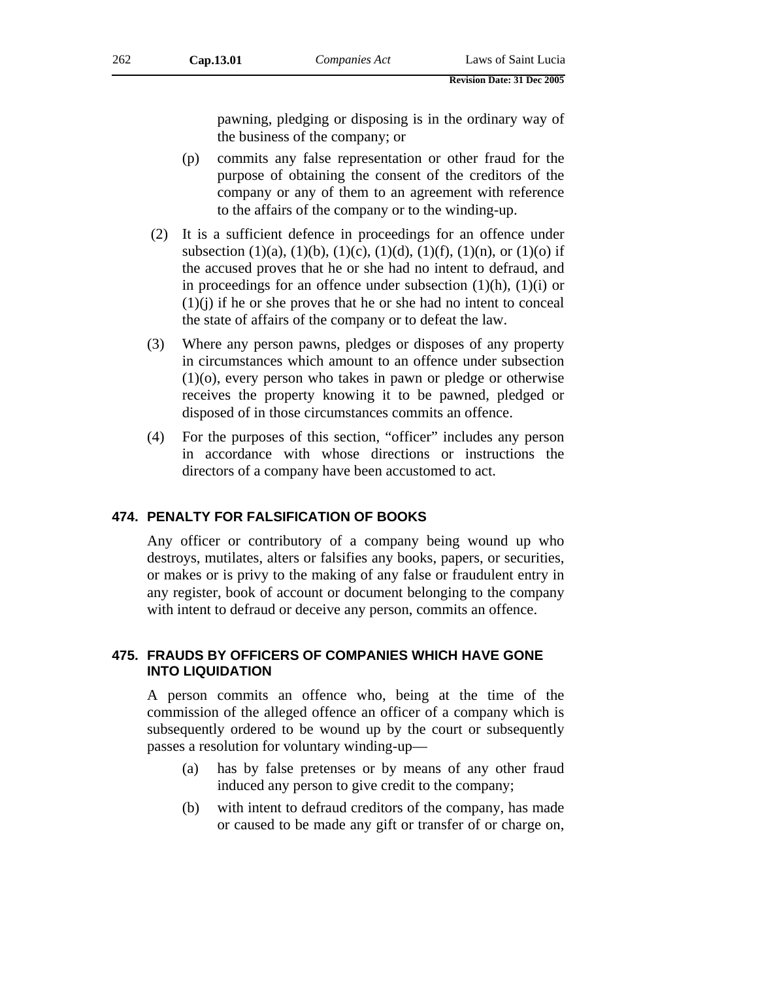pawning, pledging or disposing is in the ordinary way of the business of the company; or

- (p) commits any false representation or other fraud for the purpose of obtaining the consent of the creditors of the company or any of them to an agreement with reference to the affairs of the company or to the winding-up.
- (2) It is a sufficient defence in proceedings for an offence under subsection (1)(a), (1)(b), (1)(c), (1)(d), (1)(f), (1)(n), or (1)(o) if the accused proves that he or she had no intent to defraud, and in proceedings for an offence under subsection  $(1)(h)$ ,  $(1)(i)$  or  $(1)(i)$  if he or she proves that he or she had no intent to conceal the state of affairs of the company or to defeat the law.
- (3) Where any person pawns, pledges or disposes of any property in circumstances which amount to an offence under subsection (1)(o), every person who takes in pawn or pledge or otherwise receives the property knowing it to be pawned, pledged or disposed of in those circumstances commits an offence.
- (4) For the purposes of this section, "officer" includes any person in accordance with whose directions or instructions the directors of a company have been accustomed to act.

### **474. PENALTY FOR FALSIFICATION OF BOOKS**

Any officer or contributory of a company being wound up who destroys, mutilates, alters or falsifies any books, papers, or securities, or makes or is privy to the making of any false or fraudulent entry in any register, book of account or document belonging to the company with intent to defraud or deceive any person, commits an offence.

# **475. FRAUDS BY OFFICERS OF COMPANIES WHICH HAVE GONE INTO LIQUIDATION**

A person commits an offence who, being at the time of the commission of the alleged offence an officer of a company which is subsequently ordered to be wound up by the court or subsequently passes a resolution for voluntary winding-up—

- (a) has by false pretenses or by means of any other fraud induced any person to give credit to the company;
- (b) with intent to defraud creditors of the company, has made or caused to be made any gift or transfer of or charge on,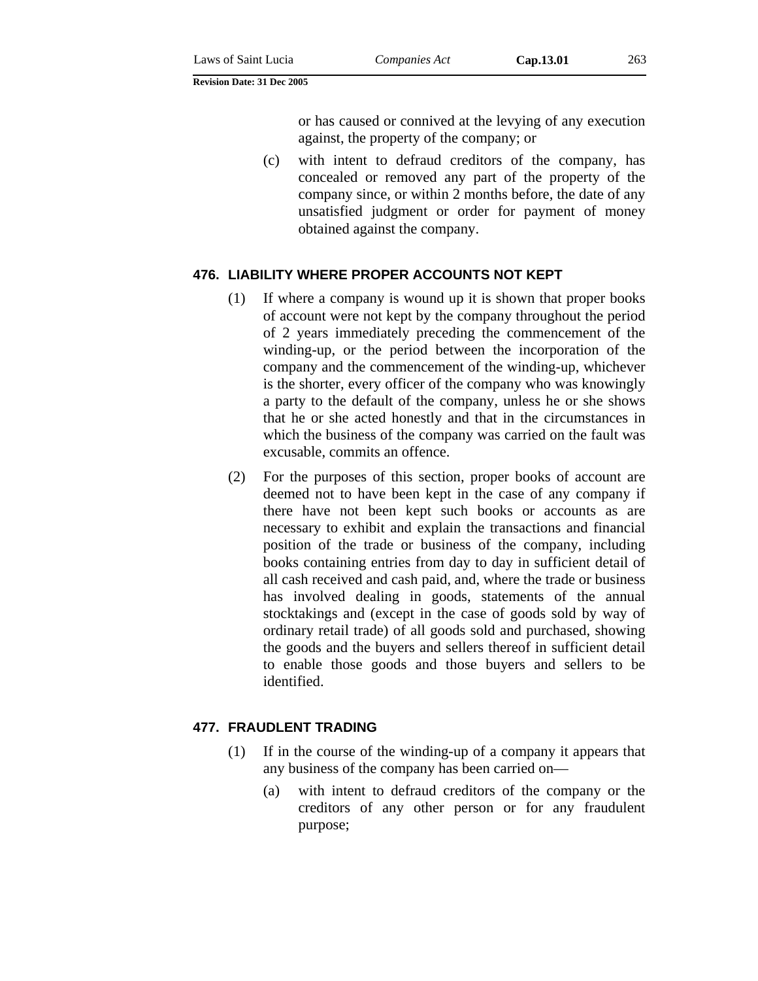or has caused or connived at the levying of any execution against, the property of the company; or

(c) with intent to defraud creditors of the company, has concealed or removed any part of the property of the company since, or within 2 months before, the date of any unsatisfied judgment or order for payment of money obtained against the company.

### **476. LIABILITY WHERE PROPER ACCOUNTS NOT KEPT**

- (1) If where a company is wound up it is shown that proper books of account were not kept by the company throughout the period of 2 years immediately preceding the commencement of the winding-up, or the period between the incorporation of the company and the commencement of the winding-up, whichever is the shorter, every officer of the company who was knowingly a party to the default of the company, unless he or she shows that he or she acted honestly and that in the circumstances in which the business of the company was carried on the fault was excusable, commits an offence.
- (2) For the purposes of this section, proper books of account are deemed not to have been kept in the case of any company if there have not been kept such books or accounts as are necessary to exhibit and explain the transactions and financial position of the trade or business of the company, including books containing entries from day to day in sufficient detail of all cash received and cash paid, and, where the trade or business has involved dealing in goods, statements of the annual stocktakings and (except in the case of goods sold by way of ordinary retail trade) of all goods sold and purchased, showing the goods and the buyers and sellers thereof in sufficient detail to enable those goods and those buyers and sellers to be identified.

### **477. FRAUDLENT TRADING**

- (1) If in the course of the winding-up of a company it appears that any business of the company has been carried on—
	- (a) with intent to defraud creditors of the company or the creditors of any other person or for any fraudulent purpose;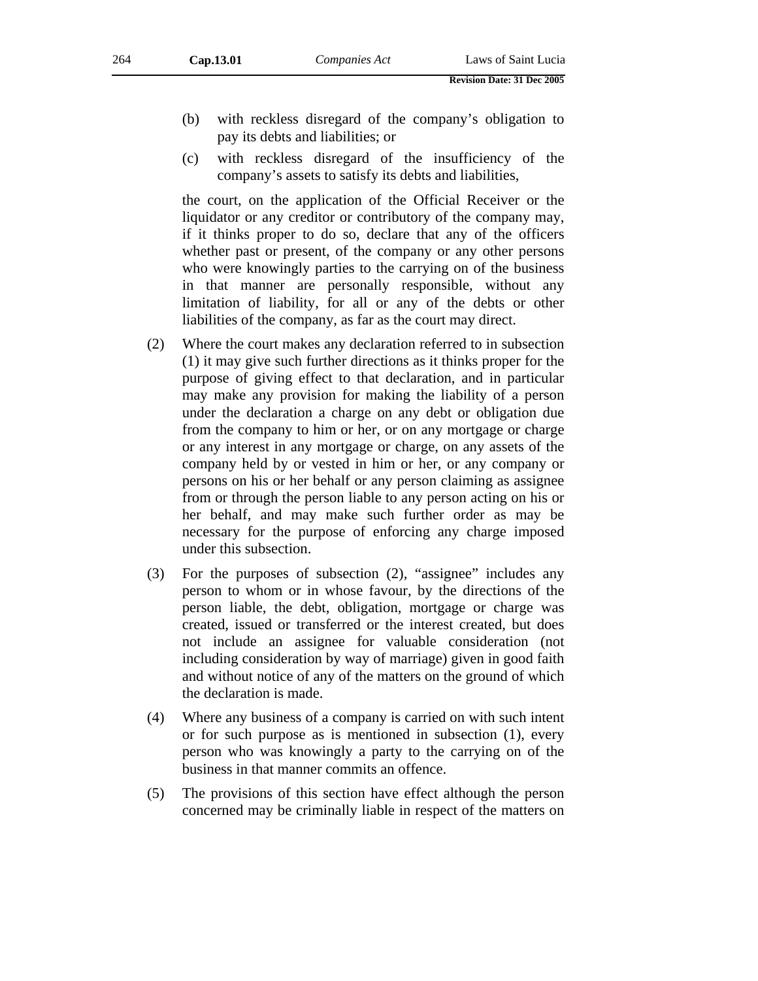- (b) with reckless disregard of the company's obligation to pay its debts and liabilities; or
- (c) with reckless disregard of the insufficiency of the company's assets to satisfy its debts and liabilities,

the court, on the application of the Official Receiver or the liquidator or any creditor or contributory of the company may, if it thinks proper to do so, declare that any of the officers whether past or present, of the company or any other persons who were knowingly parties to the carrying on of the business in that manner are personally responsible, without any limitation of liability, for all or any of the debts or other liabilities of the company, as far as the court may direct.

- (2) Where the court makes any declaration referred to in subsection (1) it may give such further directions as it thinks proper for the purpose of giving effect to that declaration, and in particular may make any provision for making the liability of a person under the declaration a charge on any debt or obligation due from the company to him or her, or on any mortgage or charge or any interest in any mortgage or charge, on any assets of the company held by or vested in him or her, or any company or persons on his or her behalf or any person claiming as assignee from or through the person liable to any person acting on his or her behalf, and may make such further order as may be necessary for the purpose of enforcing any charge imposed under this subsection.
- (3) For the purposes of subsection (2), "assignee" includes any person to whom or in whose favour, by the directions of the person liable, the debt, obligation, mortgage or charge was created, issued or transferred or the interest created, but does not include an assignee for valuable consideration (not including consideration by way of marriage) given in good faith and without notice of any of the matters on the ground of which the declaration is made.
- (4) Where any business of a company is carried on with such intent or for such purpose as is mentioned in subsection (1), every person who was knowingly a party to the carrying on of the business in that manner commits an offence.
- (5) The provisions of this section have effect although the person concerned may be criminally liable in respect of the matters on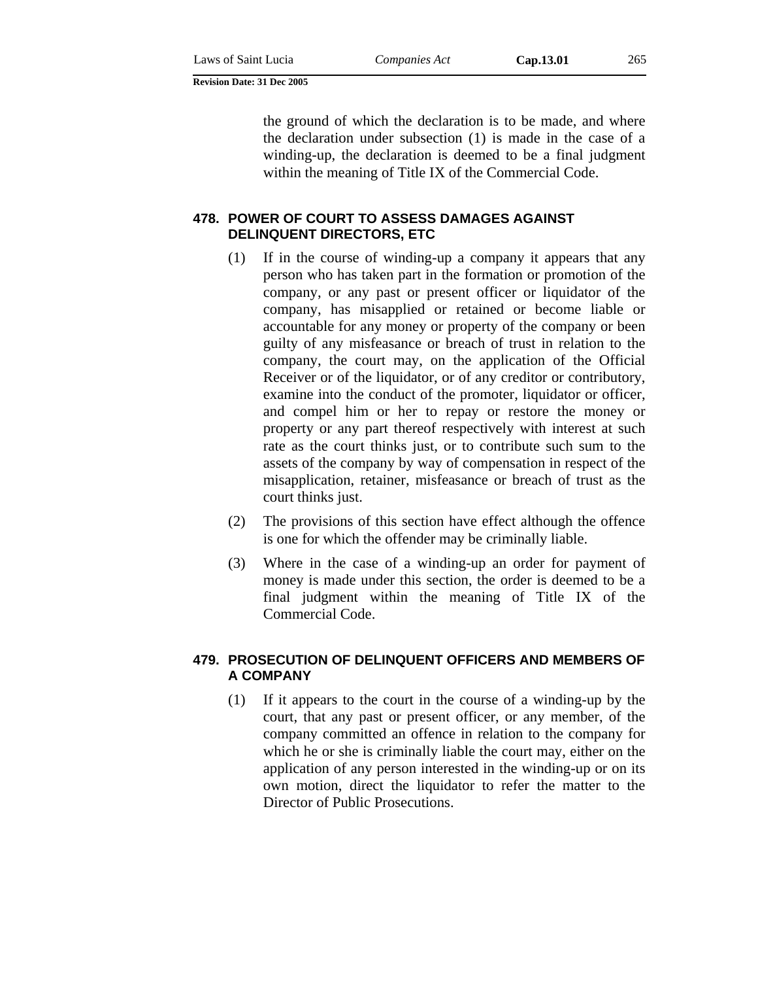the ground of which the declaration is to be made, and where the declaration under subsection (1) is made in the case of a winding-up, the declaration is deemed to be a final judgment within the meaning of Title IX of the Commercial Code.

# **478. POWER OF COURT TO ASSESS DAMAGES AGAINST DELINQUENT DIRECTORS, ETC**

- (1) If in the course of winding-up a company it appears that any person who has taken part in the formation or promotion of the company, or any past or present officer or liquidator of the company, has misapplied or retained or become liable or accountable for any money or property of the company or been guilty of any misfeasance or breach of trust in relation to the company, the court may, on the application of the Official Receiver or of the liquidator, or of any creditor or contributory, examine into the conduct of the promoter, liquidator or officer, and compel him or her to repay or restore the money or property or any part thereof respectively with interest at such rate as the court thinks just, or to contribute such sum to the assets of the company by way of compensation in respect of the misapplication, retainer, misfeasance or breach of trust as the court thinks just.
- (2) The provisions of this section have effect although the offence is one for which the offender may be criminally liable.
- (3) Where in the case of a winding-up an order for payment of money is made under this section, the order is deemed to be a final judgment within the meaning of Title IX of the Commercial Code.

### **479. PROSECUTION OF DELINQUENT OFFICERS AND MEMBERS OF A COMPANY**

(1) If it appears to the court in the course of a winding-up by the court, that any past or present officer, or any member, of the company committed an offence in relation to the company for which he or she is criminally liable the court may, either on the application of any person interested in the winding-up or on its own motion, direct the liquidator to refer the matter to the Director of Public Prosecutions.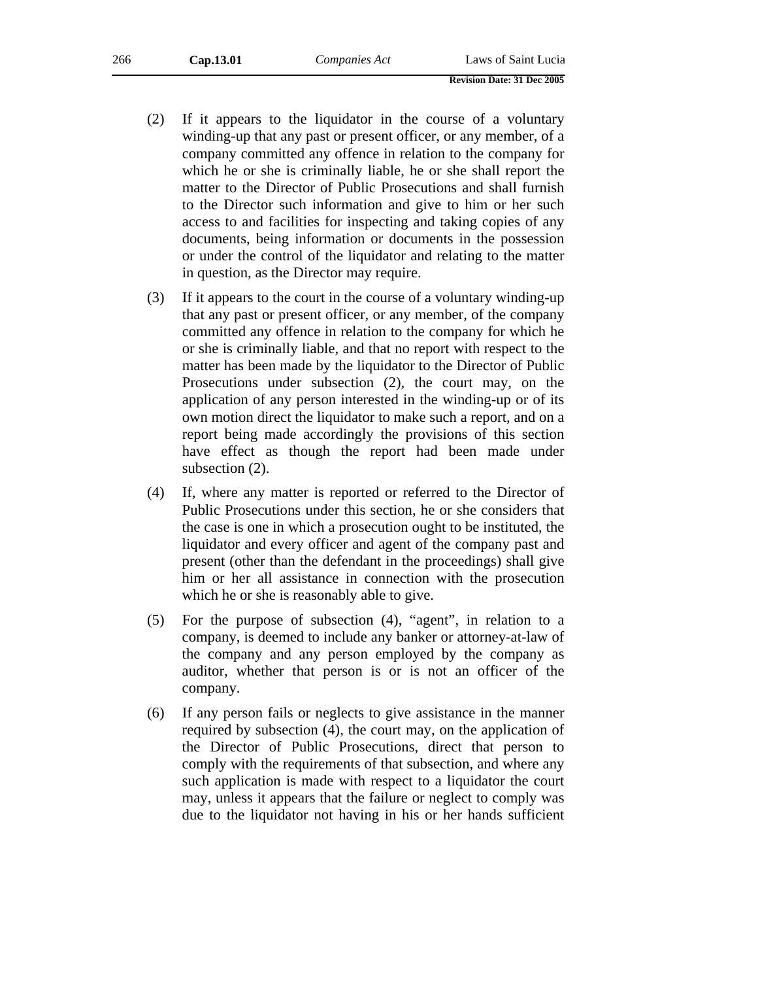| 266 | Cap.13.01 | Companies Act | Laws of Saint Lucia |
|-----|-----------|---------------|---------------------|
|     |           |               |                     |

|  | <b>Revision Date: 31 Dec 2005</b> |
|--|-----------------------------------|

- (2) If it appears to the liquidator in the course of a voluntary winding-up that any past or present officer, or any member, of a company committed any offence in relation to the company for which he or she is criminally liable, he or she shall report the matter to the Director of Public Prosecutions and shall furnish to the Director such information and give to him or her such access to and facilities for inspecting and taking copies of any documents, being information or documents in the possession or under the control of the liquidator and relating to the matter in question, as the Director may require.
- (3) If it appears to the court in the course of a voluntary winding-up that any past or present officer, or any member, of the company committed any offence in relation to the company for which he or she is criminally liable, and that no report with respect to the matter has been made by the liquidator to the Director of Public Prosecutions under subsection (2), the court may, on the application of any person interested in the winding-up or of its own motion direct the liquidator to make such a report, and on a report being made accordingly the provisions of this section have effect as though the report had been made under subsection (2).
- (4) If, where any matter is reported or referred to the Director of Public Prosecutions under this section, he or she considers that the case is one in which a prosecution ought to be instituted, the liquidator and every officer and agent of the company past and present (other than the defendant in the proceedings) shall give him or her all assistance in connection with the prosecution which he or she is reasonably able to give.
- (5) For the purpose of subsection (4), "agent", in relation to a company, is deemed to include any banker or attorney-at-law of the company and any person employed by the company as auditor, whether that person is or is not an officer of the company.
- (6) If any person fails or neglects to give assistance in the manner required by subsection (4), the court may, on the application of the Director of Public Prosecutions, direct that person to comply with the requirements of that subsection, and where any such application is made with respect to a liquidator the court may, unless it appears that the failure or neglect to comply was due to the liquidator not having in his or her hands sufficient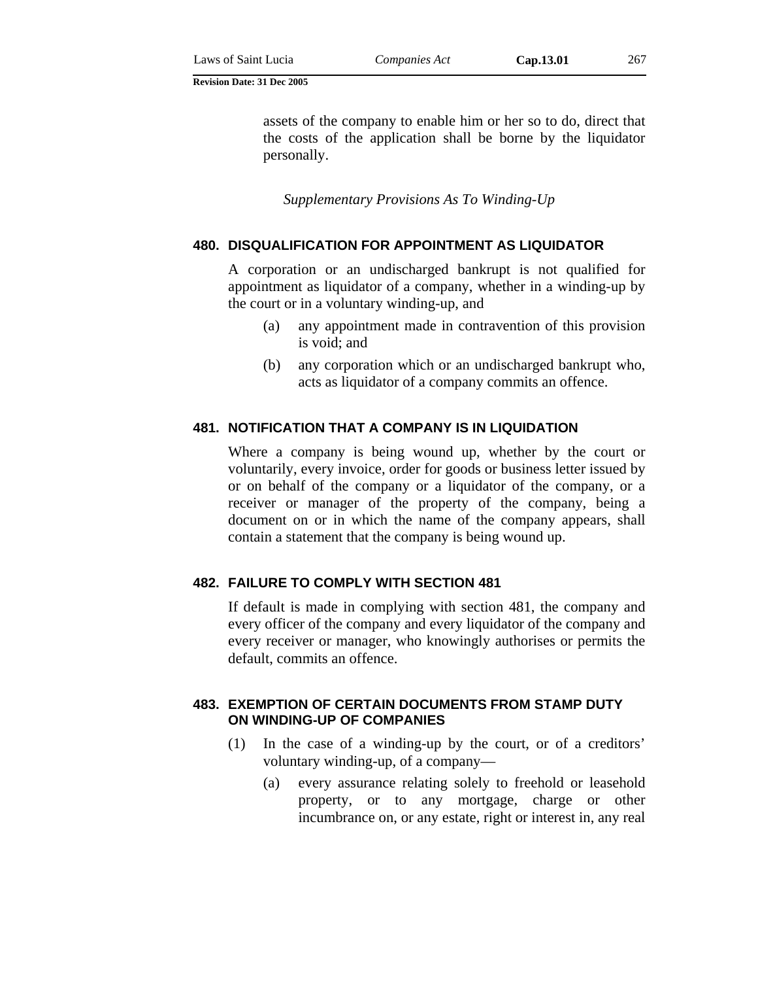assets of the company to enable him or her so to do, direct that the costs of the application shall be borne by the liquidator personally.

*Supplementary Provisions As To Winding-Up* 

# **480. DISQUALIFICATION FOR APPOINTMENT AS LIQUIDATOR**

A corporation or an undischarged bankrupt is not qualified for appointment as liquidator of a company, whether in a winding-up by the court or in a voluntary winding-up, and

- (a) any appointment made in contravention of this provision is void; and
- (b) any corporation which or an undischarged bankrupt who, acts as liquidator of a company commits an offence.

### **481. NOTIFICATION THAT A COMPANY IS IN LIQUIDATION**

Where a company is being wound up, whether by the court or voluntarily, every invoice, order for goods or business letter issued by or on behalf of the company or a liquidator of the company, or a receiver or manager of the property of the company, being a document on or in which the name of the company appears, shall contain a statement that the company is being wound up.

### **482. FAILURE TO COMPLY WITH SECTION 481**

If default is made in complying with section 481, the company and every officer of the company and every liquidator of the company and every receiver or manager, who knowingly authorises or permits the default, commits an offence.

### **483. EXEMPTION OF CERTAIN DOCUMENTS FROM STAMP DUTY ON WINDING-UP OF COMPANIES**

- (1) In the case of a winding-up by the court, or of a creditors' voluntary winding-up, of a company—
	- (a) every assurance relating solely to freehold or leasehold property, or to any mortgage, charge or other incumbrance on, or any estate, right or interest in, any real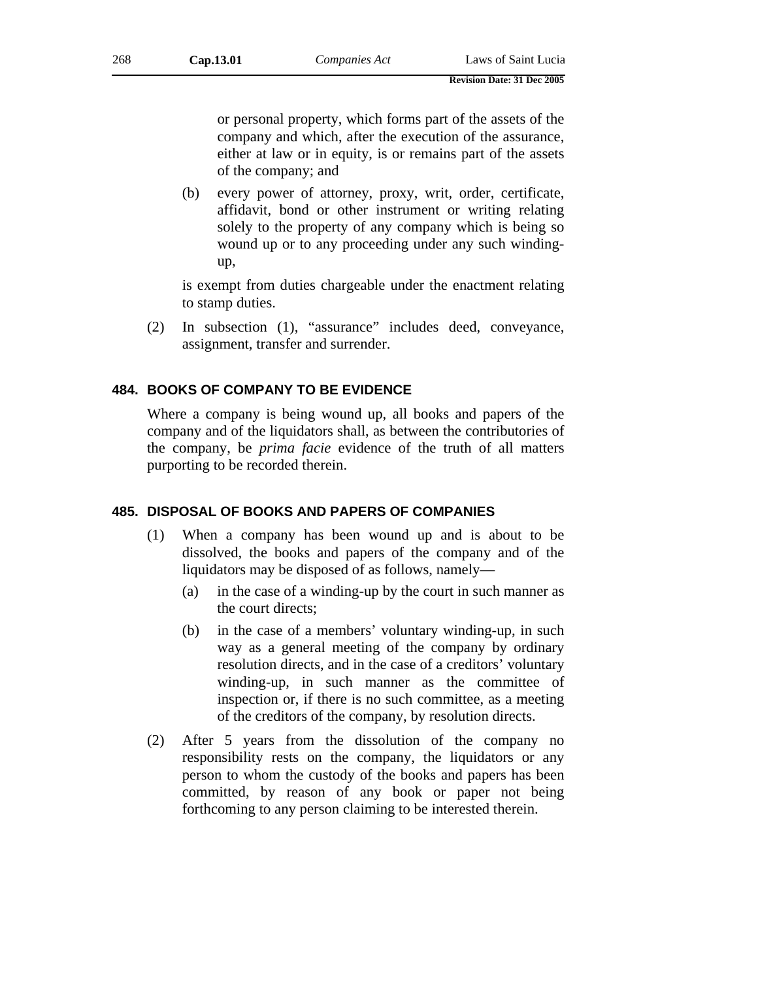or personal property, which forms part of the assets of the company and which, after the execution of the assurance, either at law or in equity, is or remains part of the assets of the company; and

(b) every power of attorney, proxy, writ, order, certificate, affidavit, bond or other instrument or writing relating solely to the property of any company which is being so wound up or to any proceeding under any such windingup,

is exempt from duties chargeable under the enactment relating to stamp duties.

(2) In subsection (1), "assurance" includes deed, conveyance, assignment, transfer and surrender.

### **484. BOOKS OF COMPANY TO BE EVIDENCE**

Where a company is being wound up, all books and papers of the company and of the liquidators shall, as between the contributories of the company, be *prima facie* evidence of the truth of all matters purporting to be recorded therein.

### **485. DISPOSAL OF BOOKS AND PAPERS OF COMPANIES**

- (1) When a company has been wound up and is about to be dissolved, the books and papers of the company and of the liquidators may be disposed of as follows, namely—
	- (a) in the case of a winding-up by the court in such manner as the court directs;
	- (b) in the case of a members' voluntary winding-up, in such way as a general meeting of the company by ordinary resolution directs, and in the case of a creditors' voluntary winding-up, in such manner as the committee of inspection or, if there is no such committee, as a meeting of the creditors of the company, by resolution directs.
- (2) After 5 years from the dissolution of the company no responsibility rests on the company, the liquidators or any person to whom the custody of the books and papers has been committed, by reason of any book or paper not being forthcoming to any person claiming to be interested therein.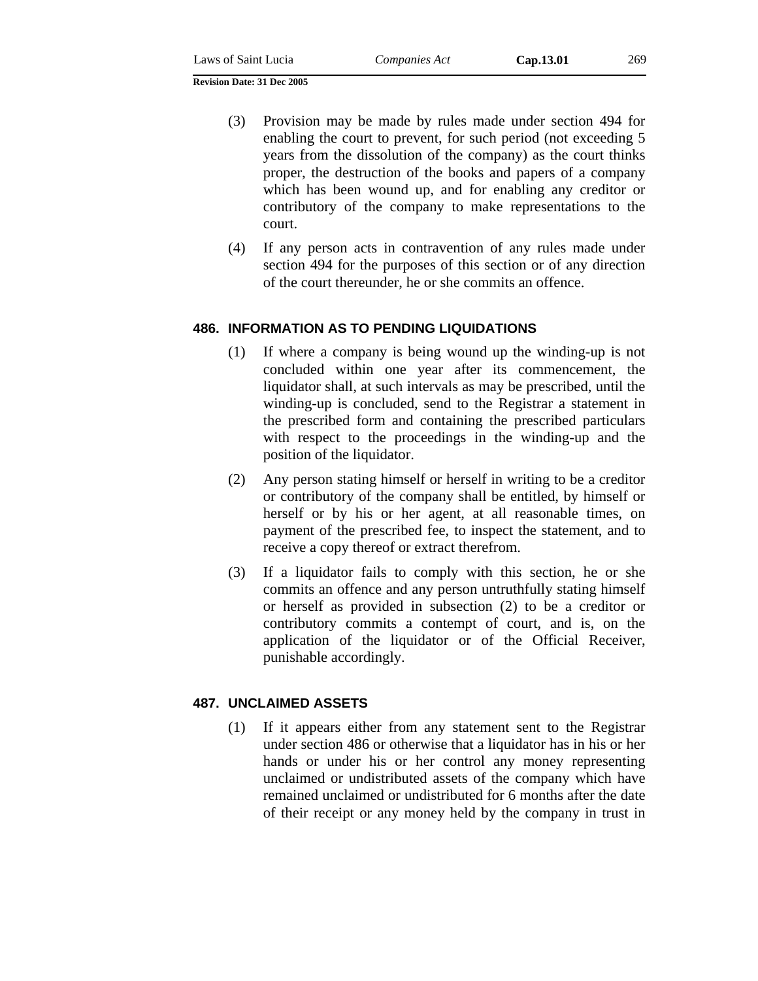- (3) Provision may be made by rules made under section 494 for enabling the court to prevent, for such period (not exceeding 5 years from the dissolution of the company) as the court thinks proper, the destruction of the books and papers of a company which has been wound up, and for enabling any creditor or contributory of the company to make representations to the court.
- (4) If any person acts in contravention of any rules made under section 494 for the purposes of this section or of any direction of the court thereunder, he or she commits an offence.

# **486. INFORMATION AS TO PENDING LIQUIDATIONS**

- (1) If where a company is being wound up the winding-up is not concluded within one year after its commencement, the liquidator shall, at such intervals as may be prescribed, until the winding-up is concluded, send to the Registrar a statement in the prescribed form and containing the prescribed particulars with respect to the proceedings in the winding-up and the position of the liquidator.
- (2) Any person stating himself or herself in writing to be a creditor or contributory of the company shall be entitled, by himself or herself or by his or her agent, at all reasonable times, on payment of the prescribed fee, to inspect the statement, and to receive a copy thereof or extract therefrom.
- (3) If a liquidator fails to comply with this section, he or she commits an offence and any person untruthfully stating himself or herself as provided in subsection (2) to be a creditor or contributory commits a contempt of court, and is, on the application of the liquidator or of the Official Receiver, punishable accordingly.

# **487. UNCLAIMED ASSETS**

(1) If it appears either from any statement sent to the Registrar under section 486 or otherwise that a liquidator has in his or her hands or under his or her control any money representing unclaimed or undistributed assets of the company which have remained unclaimed or undistributed for 6 months after the date of their receipt or any money held by the company in trust in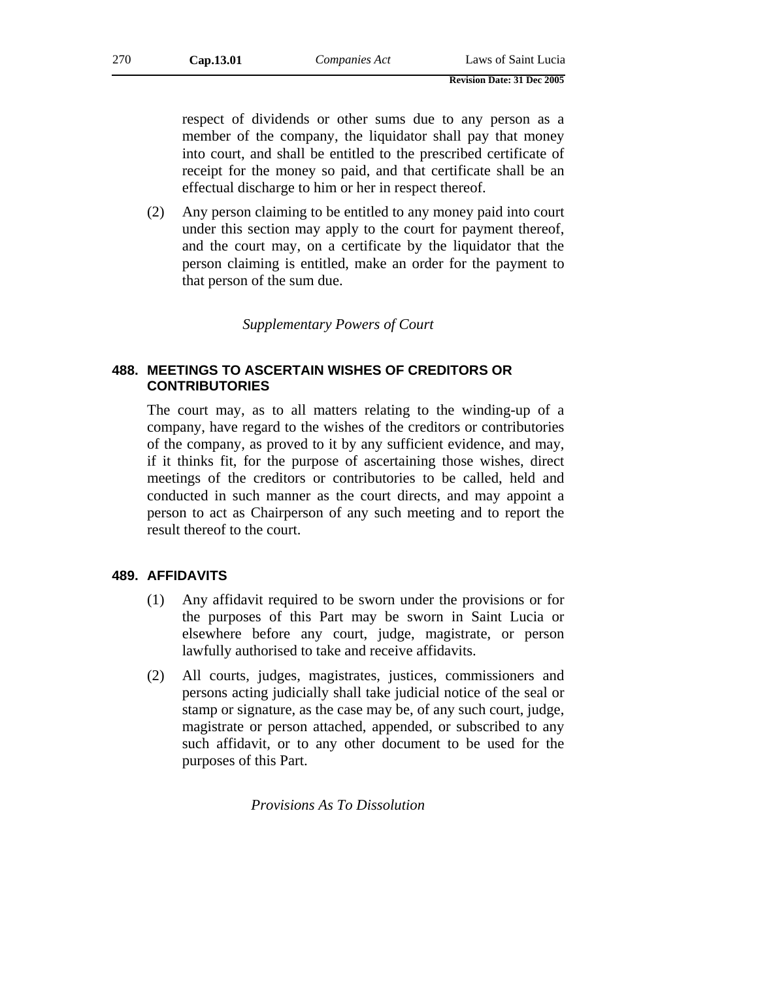respect of dividends or other sums due to any person as a member of the company, the liquidator shall pay that money into court, and shall be entitled to the prescribed certificate of receipt for the money so paid, and that certificate shall be an effectual discharge to him or her in respect thereof.

(2) Any person claiming to be entitled to any money paid into court under this section may apply to the court for payment thereof, and the court may, on a certificate by the liquidator that the person claiming is entitled, make an order for the payment to that person of the sum due.

*Supplementary Powers of Court* 

### **488. MEETINGS TO ASCERTAIN WISHES OF CREDITORS OR CONTRIBUTORIES**

The court may, as to all matters relating to the winding-up of a company, have regard to the wishes of the creditors or contributories of the company, as proved to it by any sufficient evidence, and may, if it thinks fit, for the purpose of ascertaining those wishes, direct meetings of the creditors or contributories to be called, held and conducted in such manner as the court directs, and may appoint a person to act as Chairperson of any such meeting and to report the result thereof to the court.

### **489. AFFIDAVITS**

- (1) Any affidavit required to be sworn under the provisions or for the purposes of this Part may be sworn in Saint Lucia or elsewhere before any court, judge, magistrate, or person lawfully authorised to take and receive affidavits.
- (2) All courts, judges, magistrates, justices, commissioners and persons acting judicially shall take judicial notice of the seal or stamp or signature, as the case may be, of any such court, judge, magistrate or person attached, appended, or subscribed to any such affidavit, or to any other document to be used for the purposes of this Part.

*Provisions As To Dissolution*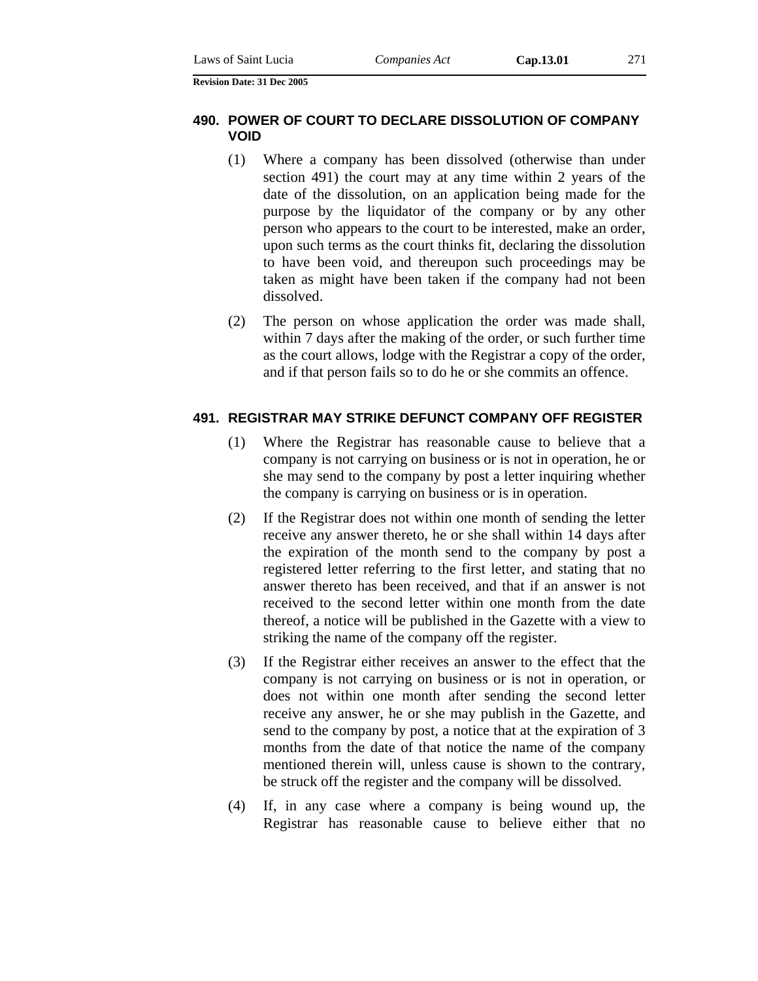### **490. POWER OF COURT TO DECLARE DISSOLUTION OF COMPANY VOID**

- (1) Where a company has been dissolved (otherwise than under section 491) the court may at any time within 2 years of the date of the dissolution, on an application being made for the purpose by the liquidator of the company or by any other person who appears to the court to be interested, make an order, upon such terms as the court thinks fit, declaring the dissolution to have been void, and thereupon such proceedings may be taken as might have been taken if the company had not been dissolved.
- (2) The person on whose application the order was made shall, within 7 days after the making of the order, or such further time as the court allows, lodge with the Registrar a copy of the order, and if that person fails so to do he or she commits an offence.

### **491. REGISTRAR MAY STRIKE DEFUNCT COMPANY OFF REGISTER**

- (1) Where the Registrar has reasonable cause to believe that a company is not carrying on business or is not in operation, he or she may send to the company by post a letter inquiring whether the company is carrying on business or is in operation.
- (2) If the Registrar does not within one month of sending the letter receive any answer thereto, he or she shall within 14 days after the expiration of the month send to the company by post a registered letter referring to the first letter, and stating that no answer thereto has been received, and that if an answer is not received to the second letter within one month from the date thereof, a notice will be published in the Gazette with a view to striking the name of the company off the register.
- (3) If the Registrar either receives an answer to the effect that the company is not carrying on business or is not in operation, or does not within one month after sending the second letter receive any answer, he or she may publish in the Gazette, and send to the company by post, a notice that at the expiration of 3 months from the date of that notice the name of the company mentioned therein will, unless cause is shown to the contrary, be struck off the register and the company will be dissolved.
- (4) If, in any case where a company is being wound up, the Registrar has reasonable cause to believe either that no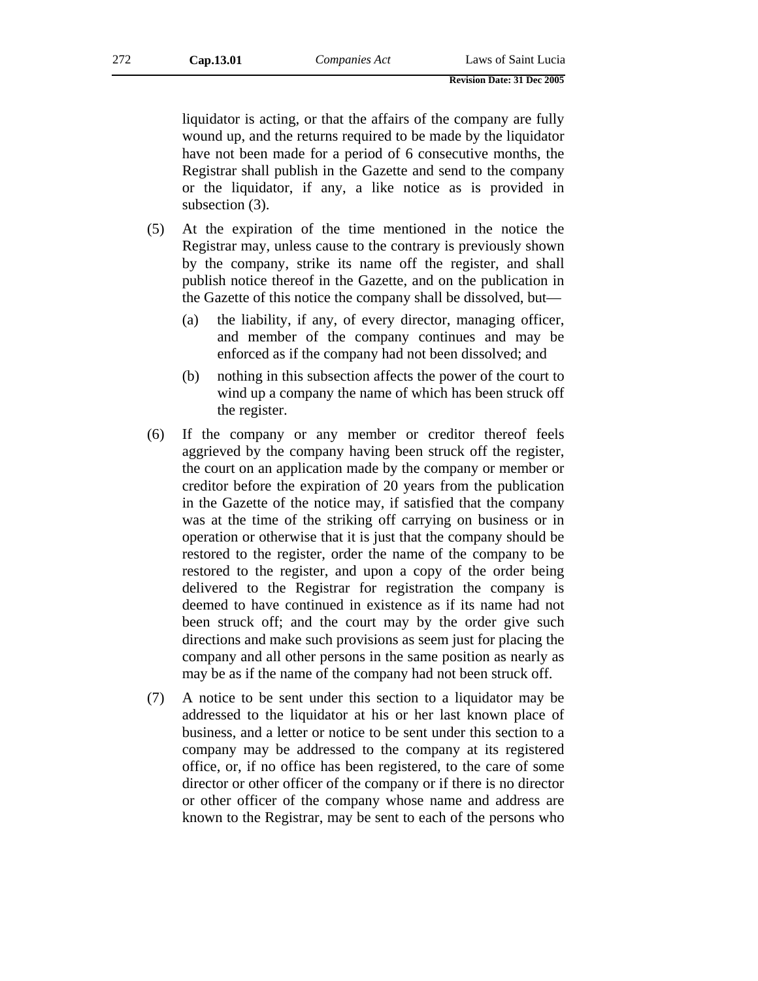liquidator is acting, or that the affairs of the company are fully wound up, and the returns required to be made by the liquidator have not been made for a period of 6 consecutive months, the Registrar shall publish in the Gazette and send to the company or the liquidator, if any, a like notice as is provided in subsection (3).

- (5) At the expiration of the time mentioned in the notice the Registrar may, unless cause to the contrary is previously shown by the company, strike its name off the register, and shall publish notice thereof in the Gazette, and on the publication in the Gazette of this notice the company shall be dissolved, but—
	- (a) the liability, if any, of every director, managing officer, and member of the company continues and may be enforced as if the company had not been dissolved; and
	- (b) nothing in this subsection affects the power of the court to wind up a company the name of which has been struck off the register.
- (6) If the company or any member or creditor thereof feels aggrieved by the company having been struck off the register, the court on an application made by the company or member or creditor before the expiration of 20 years from the publication in the Gazette of the notice may, if satisfied that the company was at the time of the striking off carrying on business or in operation or otherwise that it is just that the company should be restored to the register, order the name of the company to be restored to the register, and upon a copy of the order being delivered to the Registrar for registration the company is deemed to have continued in existence as if its name had not been struck off; and the court may by the order give such directions and make such provisions as seem just for placing the company and all other persons in the same position as nearly as may be as if the name of the company had not been struck off.
- (7) A notice to be sent under this section to a liquidator may be addressed to the liquidator at his or her last known place of business, and a letter or notice to be sent under this section to a company may be addressed to the company at its registered office, or, if no office has been registered, to the care of some director or other officer of the company or if there is no director or other officer of the company whose name and address are known to the Registrar, may be sent to each of the persons who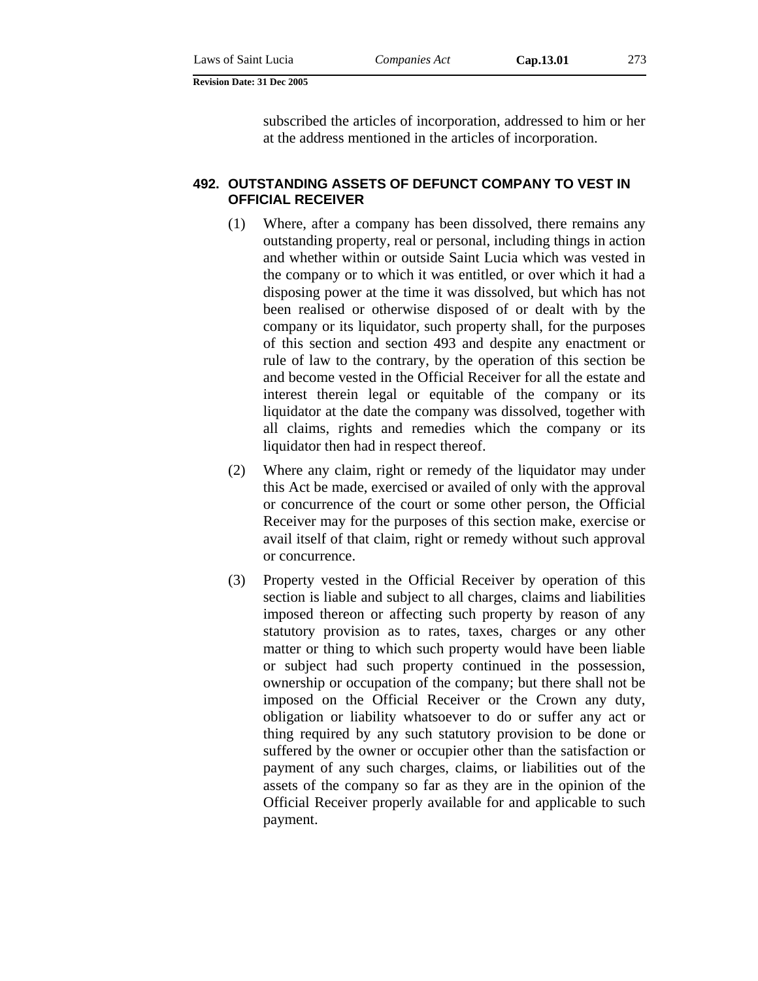subscribed the articles of incorporation, addressed to him or her at the address mentioned in the articles of incorporation.

### **492. OUTSTANDING ASSETS OF DEFUNCT COMPANY TO VEST IN OFFICIAL RECEIVER**

- (1) Where, after a company has been dissolved, there remains any outstanding property, real or personal, including things in action and whether within or outside Saint Lucia which was vested in the company or to which it was entitled, or over which it had a disposing power at the time it was dissolved, but which has not been realised or otherwise disposed of or dealt with by the company or its liquidator, such property shall, for the purposes of this section and section 493 and despite any enactment or rule of law to the contrary, by the operation of this section be and become vested in the Official Receiver for all the estate and interest therein legal or equitable of the company or its liquidator at the date the company was dissolved, together with all claims, rights and remedies which the company or its liquidator then had in respect thereof.
- (2) Where any claim, right or remedy of the liquidator may under this Act be made, exercised or availed of only with the approval or concurrence of the court or some other person, the Official Receiver may for the purposes of this section make, exercise or avail itself of that claim, right or remedy without such approval or concurrence.
- (3) Property vested in the Official Receiver by operation of this section is liable and subject to all charges, claims and liabilities imposed thereon or affecting such property by reason of any statutory provision as to rates, taxes, charges or any other matter or thing to which such property would have been liable or subject had such property continued in the possession, ownership or occupation of the company; but there shall not be imposed on the Official Receiver or the Crown any duty, obligation or liability whatsoever to do or suffer any act or thing required by any such statutory provision to be done or suffered by the owner or occupier other than the satisfaction or payment of any such charges, claims, or liabilities out of the assets of the company so far as they are in the opinion of the Official Receiver properly available for and applicable to such payment.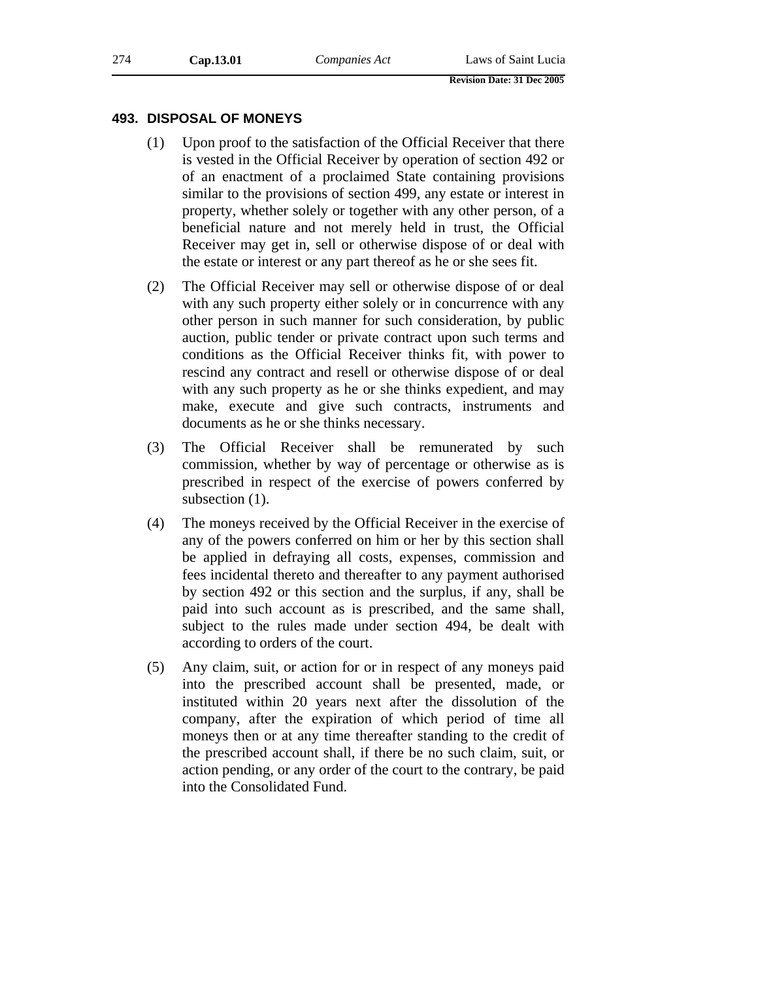### **493. DISPOSAL OF MONEYS**

- (1) Upon proof to the satisfaction of the Official Receiver that there is vested in the Official Receiver by operation of section 492 or of an enactment of a proclaimed State containing provisions similar to the provisions of section 499, any estate or interest in property, whether solely or together with any other person, of a beneficial nature and not merely held in trust, the Official Receiver may get in, sell or otherwise dispose of or deal with the estate or interest or any part thereof as he or she sees fit.
- (2) The Official Receiver may sell or otherwise dispose of or deal with any such property either solely or in concurrence with any other person in such manner for such consideration, by public auction, public tender or private contract upon such terms and conditions as the Official Receiver thinks fit, with power to rescind any contract and resell or otherwise dispose of or deal with any such property as he or she thinks expedient, and may make, execute and give such contracts, instruments and documents as he or she thinks necessary.
- (3) The Official Receiver shall be remunerated by such commission, whether by way of percentage or otherwise as is prescribed in respect of the exercise of powers conferred by subsection  $(1)$ .
- (4) The moneys received by the Official Receiver in the exercise of any of the powers conferred on him or her by this section shall be applied in defraying all costs, expenses, commission and fees incidental thereto and thereafter to any payment authorised by section 492 or this section and the surplus, if any, shall be paid into such account as is prescribed, and the same shall, subject to the rules made under section 494, be dealt with according to orders of the court.
- (5) Any claim, suit, or action for or in respect of any moneys paid into the prescribed account shall be presented, made, or instituted within 20 years next after the dissolution of the company, after the expiration of which period of time all moneys then or at any time thereafter standing to the credit of the prescribed account shall, if there be no such claim, suit, or action pending, or any order of the court to the contrary, be paid into the Consolidated Fund.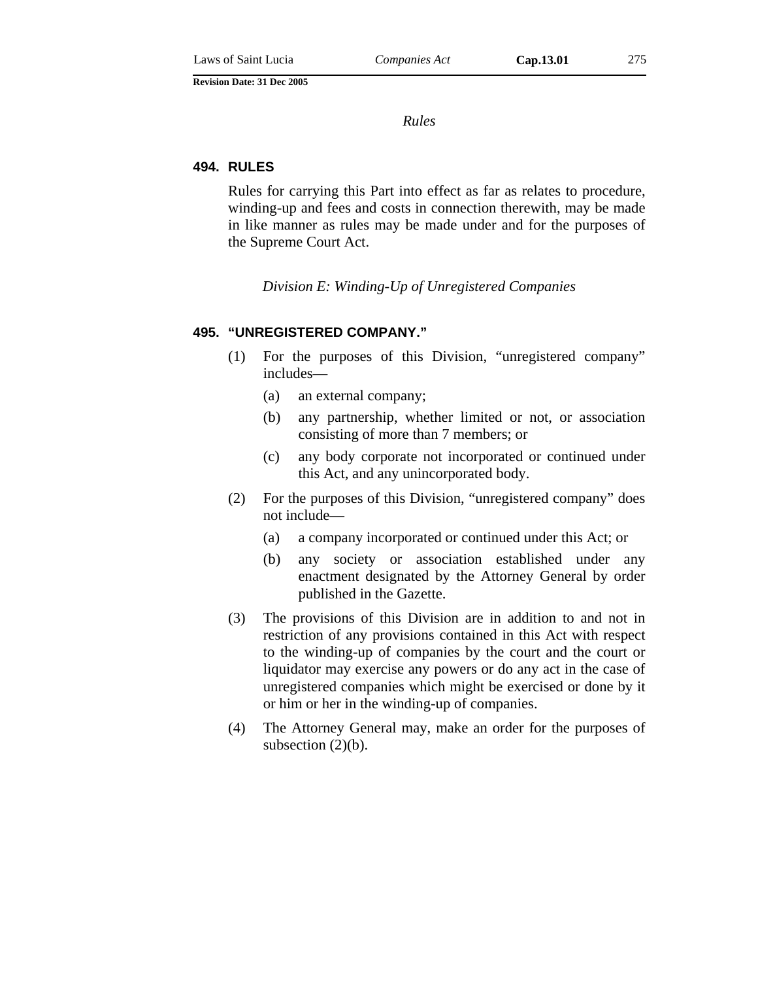*Rules* 

#### **494. RULES**

Rules for carrying this Part into effect as far as relates to procedure, winding-up and fees and costs in connection therewith, may be made in like manner as rules may be made under and for the purposes of the Supreme Court Act.

*Division E: Winding-Up of Unregistered Companies* 

#### **495. "UNREGISTERED COMPANY."**

- (1) For the purposes of this Division, "unregistered company" includes—
	- (a) an external company;
	- (b) any partnership, whether limited or not, or association consisting of more than 7 members; or
	- (c) any body corporate not incorporated or continued under this Act, and any unincorporated body.
- (2) For the purposes of this Division, "unregistered company" does not include—
	- (a) a company incorporated or continued under this Act; or
	- (b) any society or association established under any enactment designated by the Attorney General by order published in the Gazette.
- (3) The provisions of this Division are in addition to and not in restriction of any provisions contained in this Act with respect to the winding-up of companies by the court and the court or liquidator may exercise any powers or do any act in the case of unregistered companies which might be exercised or done by it or him or her in the winding-up of companies.
- (4) The Attorney General may, make an order for the purposes of subsection  $(2)(b)$ .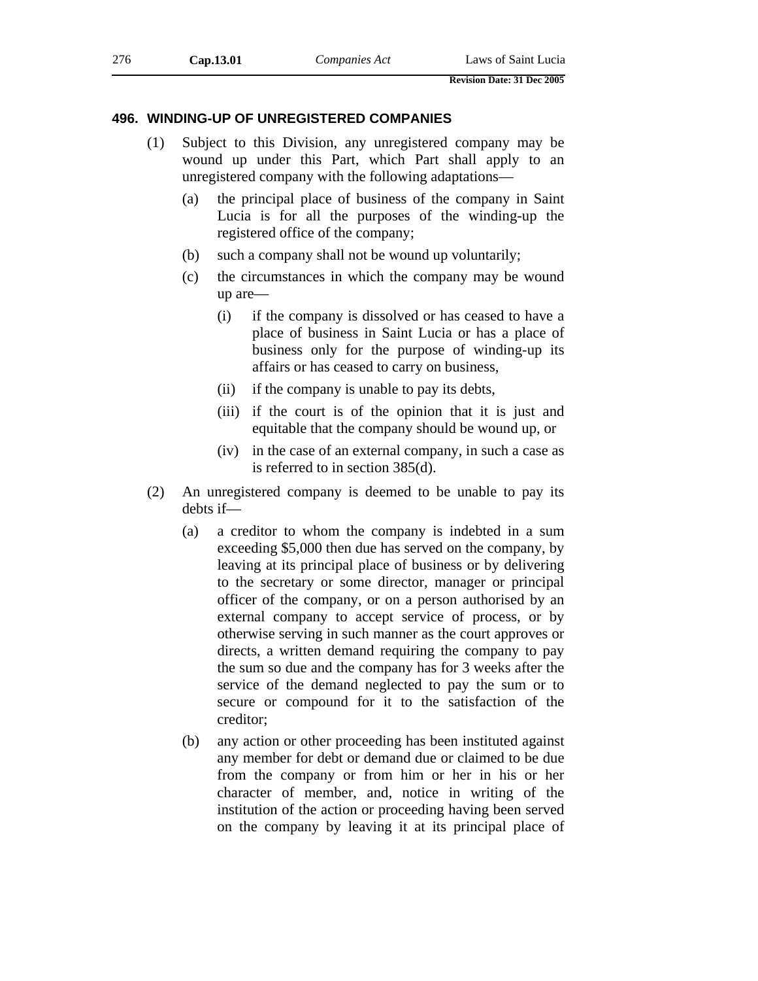### **496. WINDING-UP OF UNREGISTERED COMPANIES**

- (1) Subject to this Division, any unregistered company may be wound up under this Part, which Part shall apply to an unregistered company with the following adaptations—
	- (a) the principal place of business of the company in Saint Lucia is for all the purposes of the winding-up the registered office of the company;
	- (b) such a company shall not be wound up voluntarily;
	- (c) the circumstances in which the company may be wound up are—
		- (i) if the company is dissolved or has ceased to have a place of business in Saint Lucia or has a place of business only for the purpose of winding-up its affairs or has ceased to carry on business,
		- (ii) if the company is unable to pay its debts,
		- (iii) if the court is of the opinion that it is just and equitable that the company should be wound up, or
		- (iv) in the case of an external company, in such a case as is referred to in section 385(d).
- (2) An unregistered company is deemed to be unable to pay its debts if—
	- (a) a creditor to whom the company is indebted in a sum exceeding \$5,000 then due has served on the company, by leaving at its principal place of business or by delivering to the secretary or some director, manager or principal officer of the company, or on a person authorised by an external company to accept service of process, or by otherwise serving in such manner as the court approves or directs, a written demand requiring the company to pay the sum so due and the company has for 3 weeks after the service of the demand neglected to pay the sum or to secure or compound for it to the satisfaction of the creditor;
	- (b) any action or other proceeding has been instituted against any member for debt or demand due or claimed to be due from the company or from him or her in his or her character of member, and, notice in writing of the institution of the action or proceeding having been served on the company by leaving it at its principal place of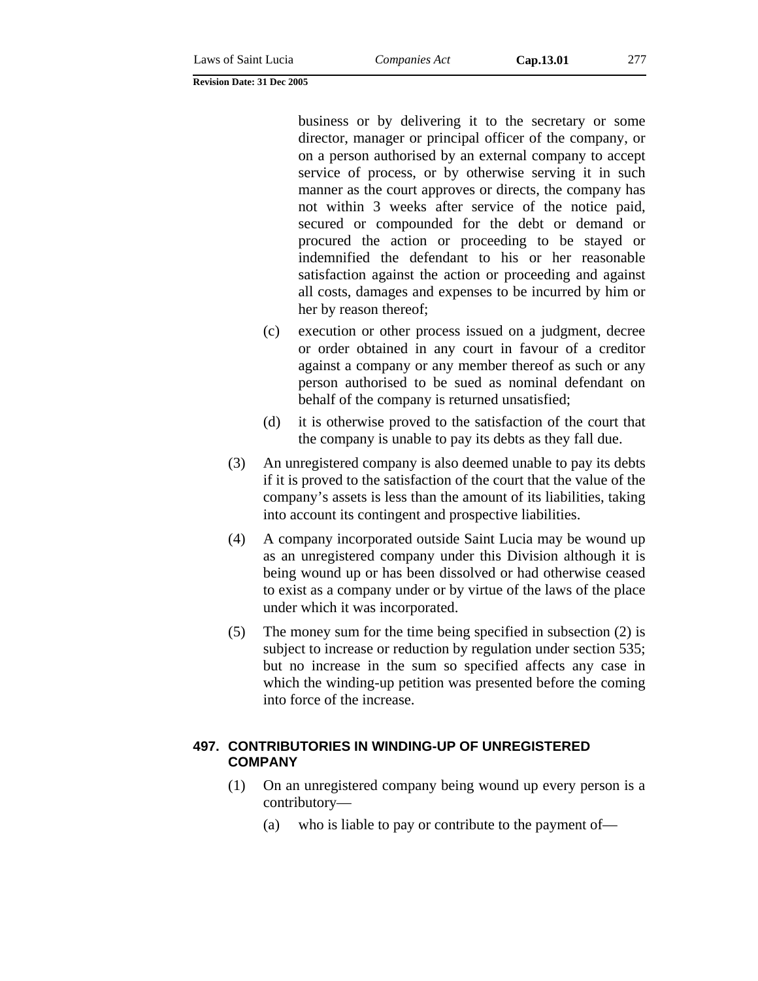business or by delivering it to the secretary or some director, manager or principal officer of the company, or on a person authorised by an external company to accept service of process, or by otherwise serving it in such manner as the court approves or directs, the company has not within 3 weeks after service of the notice paid, secured or compounded for the debt or demand or procured the action or proceeding to be stayed or indemnified the defendant to his or her reasonable satisfaction against the action or proceeding and against all costs, damages and expenses to be incurred by him or her by reason thereof;

- (c) execution or other process issued on a judgment, decree or order obtained in any court in favour of a creditor against a company or any member thereof as such or any person authorised to be sued as nominal defendant on behalf of the company is returned unsatisfied;
- (d) it is otherwise proved to the satisfaction of the court that the company is unable to pay its debts as they fall due.
- (3) An unregistered company is also deemed unable to pay its debts if it is proved to the satisfaction of the court that the value of the company's assets is less than the amount of its liabilities, taking into account its contingent and prospective liabilities.
- (4) A company incorporated outside Saint Lucia may be wound up as an unregistered company under this Division although it is being wound up or has been dissolved or had otherwise ceased to exist as a company under or by virtue of the laws of the place under which it was incorporated.
- (5) The money sum for the time being specified in subsection (2) is subject to increase or reduction by regulation under section 535; but no increase in the sum so specified affects any case in which the winding-up petition was presented before the coming into force of the increase.

### **497. CONTRIBUTORIES IN WINDING-UP OF UNREGISTERED COMPANY**

- (1) On an unregistered company being wound up every person is a contributory—
	- (a) who is liable to pay or contribute to the payment of—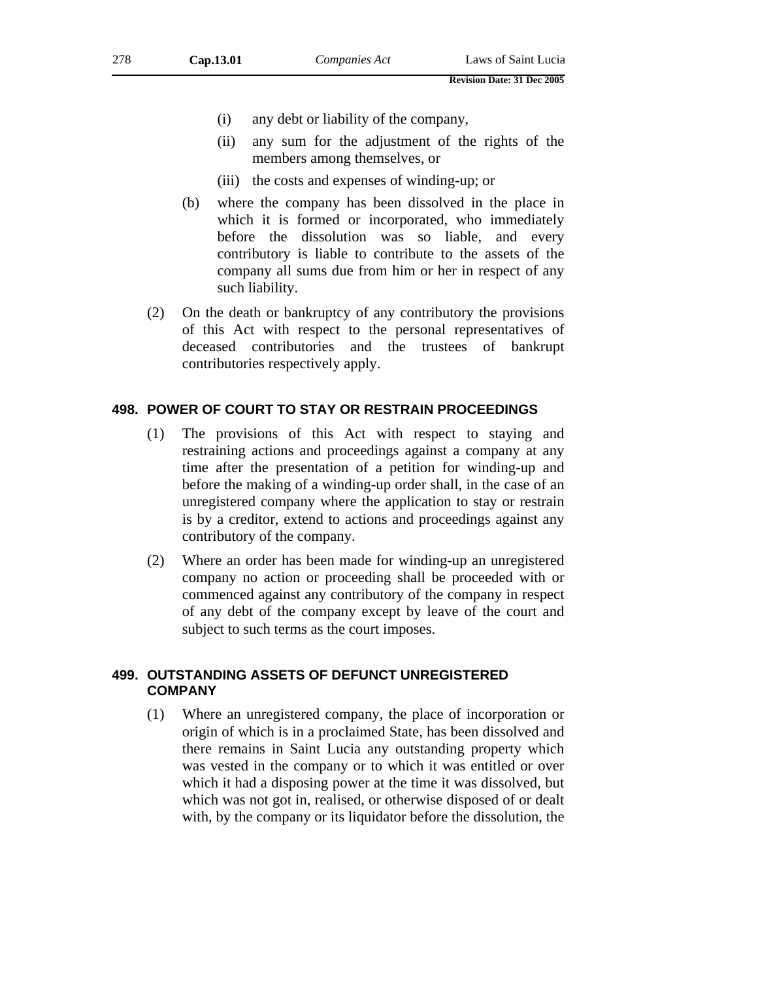- (i) any debt or liability of the company,
- (ii) any sum for the adjustment of the rights of the members among themselves, or
- (iii) the costs and expenses of winding-up; or
- (b) where the company has been dissolved in the place in which it is formed or incorporated, who immediately before the dissolution was so liable, and every contributory is liable to contribute to the assets of the company all sums due from him or her in respect of any such liability.
- (2) On the death or bankruptcy of any contributory the provisions of this Act with respect to the personal representatives of deceased contributories and the trustees of bankrupt contributories respectively apply.

### **498. POWER OF COURT TO STAY OR RESTRAIN PROCEEDINGS**

- (1) The provisions of this Act with respect to staying and restraining actions and proceedings against a company at any time after the presentation of a petition for winding-up and before the making of a winding-up order shall, in the case of an unregistered company where the application to stay or restrain is by a creditor, extend to actions and proceedings against any contributory of the company.
- (2) Where an order has been made for winding-up an unregistered company no action or proceeding shall be proceeded with or commenced against any contributory of the company in respect of any debt of the company except by leave of the court and subject to such terms as the court imposes.

## **499. OUTSTANDING ASSETS OF DEFUNCT UNREGISTERED COMPANY**

(1) Where an unregistered company, the place of incorporation or origin of which is in a proclaimed State, has been dissolved and there remains in Saint Lucia any outstanding property which was vested in the company or to which it was entitled or over which it had a disposing power at the time it was dissolved, but which was not got in, realised, or otherwise disposed of or dealt with, by the company or its liquidator before the dissolution, the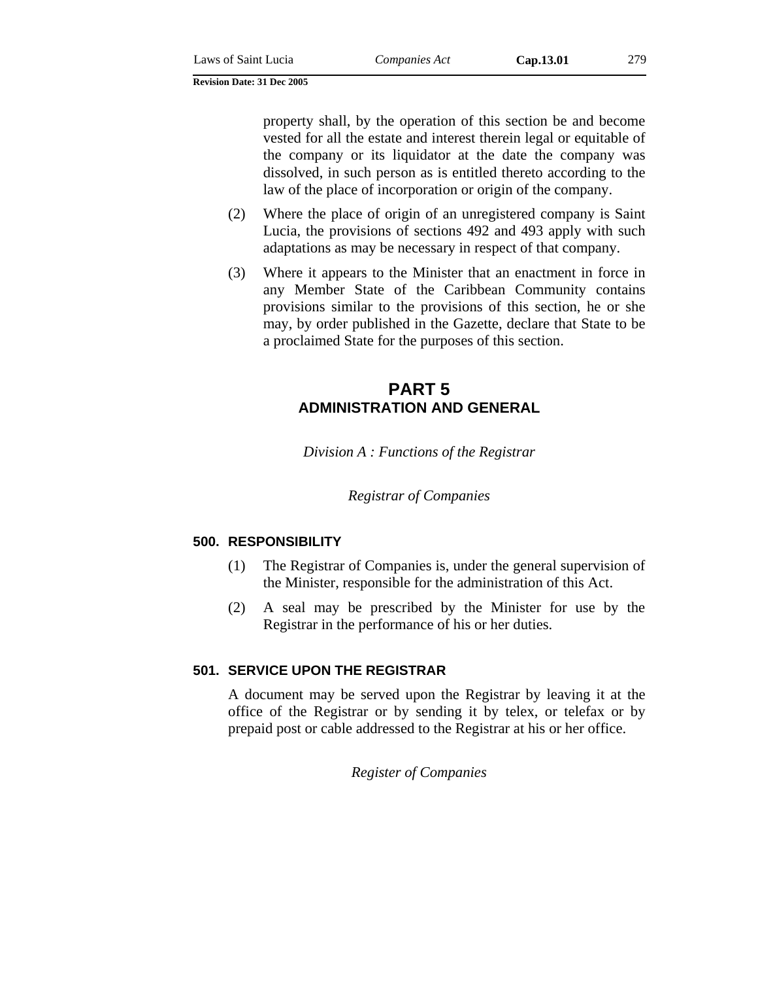property shall, by the operation of this section be and become vested for all the estate and interest therein legal or equitable of the company or its liquidator at the date the company was dissolved, in such person as is entitled thereto according to the law of the place of incorporation or origin of the company.

- (2) Where the place of origin of an unregistered company is Saint Lucia, the provisions of sections 492 and 493 apply with such adaptations as may be necessary in respect of that company.
- (3) Where it appears to the Minister that an enactment in force in any Member State of the Caribbean Community contains provisions similar to the provisions of this section, he or she may, by order published in the Gazette, declare that State to be a proclaimed State for the purposes of this section.

# **PART 5 ADMINISTRATION AND GENERAL**

*Division A : Functions of the Registrar* 

*Registrar of Companies* 

# **500. RESPONSIBILITY**

- (1) The Registrar of Companies is, under the general supervision of the Minister, responsible for the administration of this Act.
- (2) A seal may be prescribed by the Minister for use by the Registrar in the performance of his or her duties.

# **501. SERVICE UPON THE REGISTRAR**

A document may be served upon the Registrar by leaving it at the office of the Registrar or by sending it by telex, or telefax or by prepaid post or cable addressed to the Registrar at his or her office.

*Register of Companies*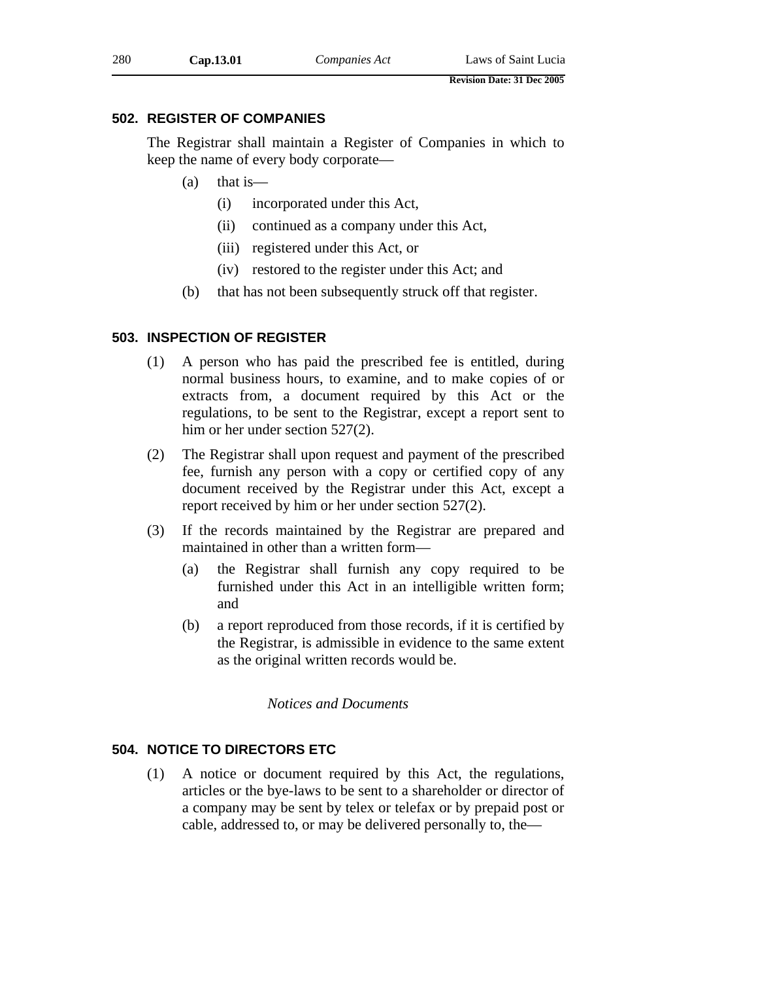# **502. REGISTER OF COMPANIES**

The Registrar shall maintain a Register of Companies in which to keep the name of every body corporate—

- $(a)$  that is
	- (i) incorporated under this Act,
	- (ii) continued as a company under this Act,
	- (iii) registered under this Act, or
	- (iv) restored to the register under this Act; and
- (b) that has not been subsequently struck off that register.

## **503. INSPECTION OF REGISTER**

- (1) A person who has paid the prescribed fee is entitled, during normal business hours, to examine, and to make copies of or extracts from, a document required by this Act or the regulations, to be sent to the Registrar, except a report sent to him or her under section 527(2).
- (2) The Registrar shall upon request and payment of the prescribed fee, furnish any person with a copy or certified copy of any document received by the Registrar under this Act, except a report received by him or her under section 527(2).
- (3) If the records maintained by the Registrar are prepared and maintained in other than a written form—
	- (a) the Registrar shall furnish any copy required to be furnished under this Act in an intelligible written form; and
	- (b) a report reproduced from those records, if it is certified by the Registrar, is admissible in evidence to the same extent as the original written records would be.

### *Notices and Documents*

# **504. NOTICE TO DIRECTORS ETC**

(1) A notice or document required by this Act, the regulations, articles or the bye-laws to be sent to a shareholder or director of a company may be sent by telex or telefax or by prepaid post or cable, addressed to, or may be delivered personally to, the—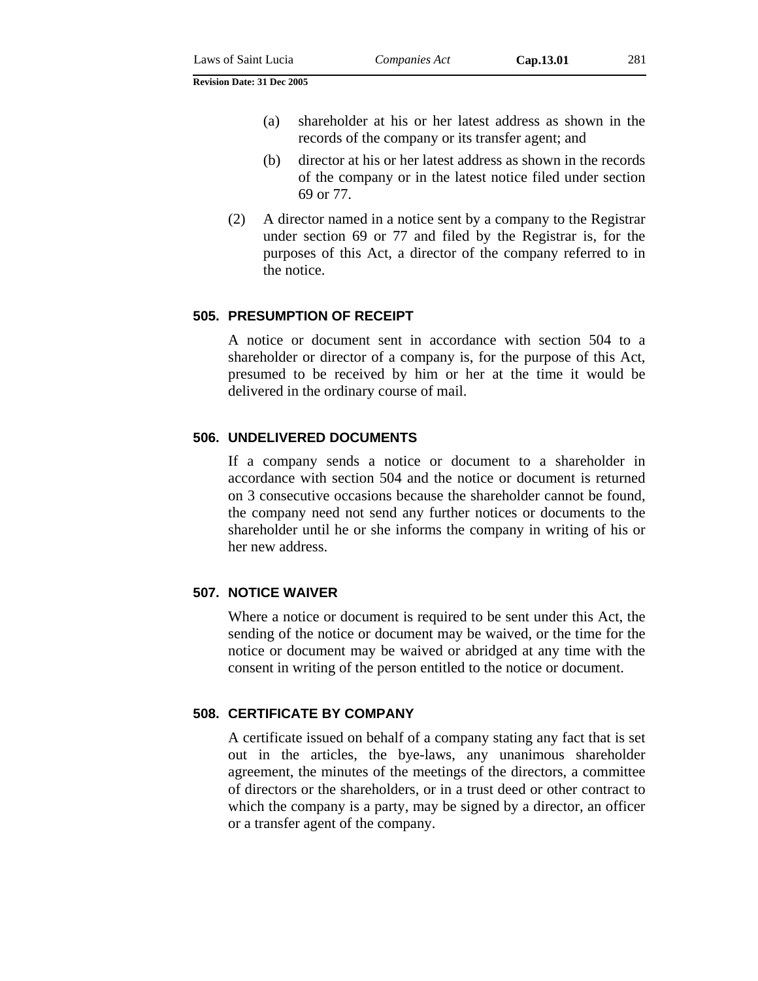- (a) shareholder at his or her latest address as shown in the records of the company or its transfer agent; and
- (b) director at his or her latest address as shown in the records of the company or in the latest notice filed under section 69 or 77.
- (2) A director named in a notice sent by a company to the Registrar under section 69 or 77 and filed by the Registrar is, for the purposes of this Act, a director of the company referred to in the notice.

### **505. PRESUMPTION OF RECEIPT**

A notice or document sent in accordance with section 504 to a shareholder or director of a company is, for the purpose of this Act, presumed to be received by him or her at the time it would be delivered in the ordinary course of mail.

### **506. UNDELIVERED DOCUMENTS**

If a company sends a notice or document to a shareholder in accordance with section 504 and the notice or document is returned on 3 consecutive occasions because the shareholder cannot be found, the company need not send any further notices or documents to the shareholder until he or she informs the company in writing of his or her new address.

### **507. NOTICE WAIVER**

Where a notice or document is required to be sent under this Act, the sending of the notice or document may be waived, or the time for the notice or document may be waived or abridged at any time with the consent in writing of the person entitled to the notice or document.

# **508. CERTIFICATE BY COMPANY**

A certificate issued on behalf of a company stating any fact that is set out in the articles, the bye-laws, any unanimous shareholder agreement, the minutes of the meetings of the directors, a committee of directors or the shareholders, or in a trust deed or other contract to which the company is a party, may be signed by a director, an officer or a transfer agent of the company.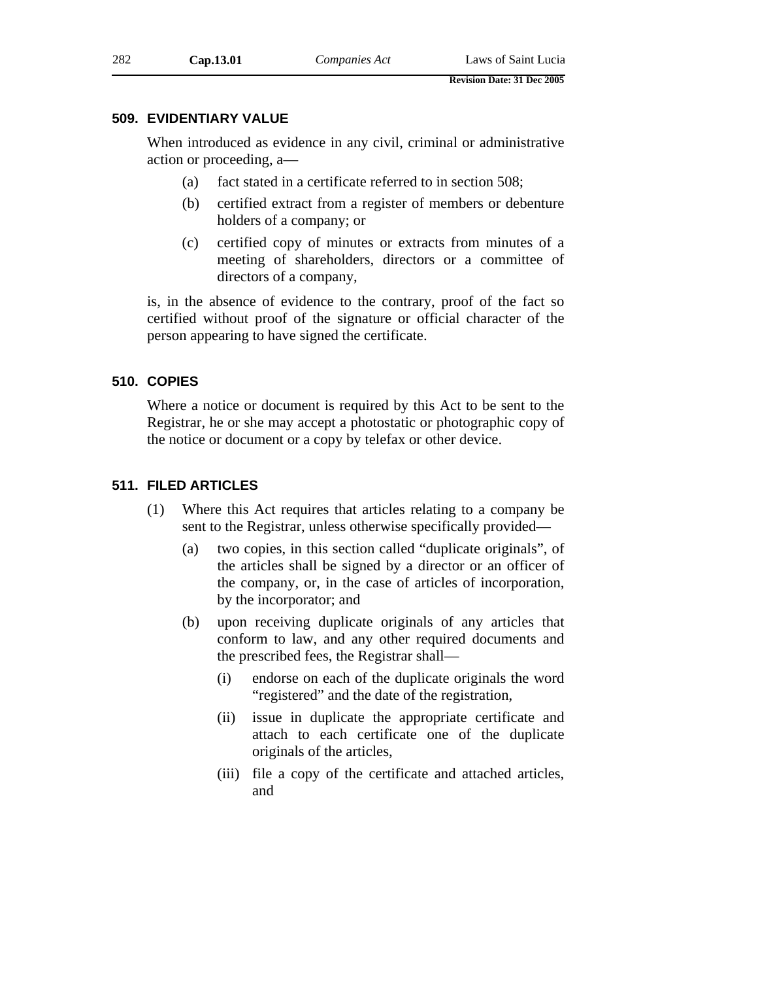## **509. EVIDENTIARY VALUE**

When introduced as evidence in any civil, criminal or administrative action or proceeding, a—

- (a) fact stated in a certificate referred to in section 508;
- (b) certified extract from a register of members or debenture holders of a company; or
- (c) certified copy of minutes or extracts from minutes of a meeting of shareholders, directors or a committee of directors of a company,

is, in the absence of evidence to the contrary, proof of the fact so certified without proof of the signature or official character of the person appearing to have signed the certificate.

## **510. COPIES**

Where a notice or document is required by this Act to be sent to the Registrar, he or she may accept a photostatic or photographic copy of the notice or document or a copy by telefax or other device.

# **511. FILED ARTICLES**

- (1) Where this Act requires that articles relating to a company be sent to the Registrar, unless otherwise specifically provided—
	- (a) two copies, in this section called "duplicate originals", of the articles shall be signed by a director or an officer of the company, or, in the case of articles of incorporation, by the incorporator; and
	- (b) upon receiving duplicate originals of any articles that conform to law, and any other required documents and the prescribed fees, the Registrar shall—
		- (i) endorse on each of the duplicate originals the word "registered" and the date of the registration,
		- (ii) issue in duplicate the appropriate certificate and attach to each certificate one of the duplicate originals of the articles,
		- (iii) file a copy of the certificate and attached articles, and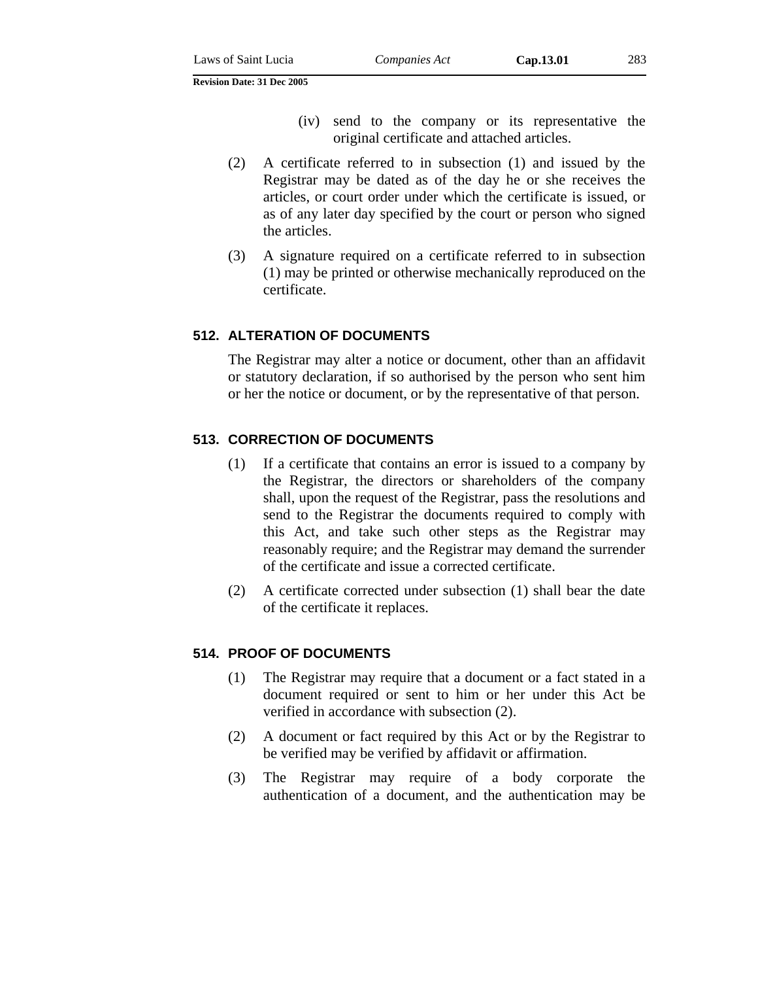- (iv) send to the company or its representative the original certificate and attached articles.
- (2) A certificate referred to in subsection (1) and issued by the Registrar may be dated as of the day he or she receives the articles, or court order under which the certificate is issued, or as of any later day specified by the court or person who signed the articles.
- (3) A signature required on a certificate referred to in subsection (1) may be printed or otherwise mechanically reproduced on the certificate.

## **512. ALTERATION OF DOCUMENTS**

The Registrar may alter a notice or document, other than an affidavit or statutory declaration, if so authorised by the person who sent him or her the notice or document, or by the representative of that person.

## **513. CORRECTION OF DOCUMENTS**

- (1) If a certificate that contains an error is issued to a company by the Registrar, the directors or shareholders of the company shall, upon the request of the Registrar, pass the resolutions and send to the Registrar the documents required to comply with this Act, and take such other steps as the Registrar may reasonably require; and the Registrar may demand the surrender of the certificate and issue a corrected certificate.
- (2) A certificate corrected under subsection (1) shall bear the date of the certificate it replaces.

# **514. PROOF OF DOCUMENTS**

- (1) The Registrar may require that a document or a fact stated in a document required or sent to him or her under this Act be verified in accordance with subsection (2).
- (2) A document or fact required by this Act or by the Registrar to be verified may be verified by affidavit or affirmation.
- (3) The Registrar may require of a body corporate the authentication of a document, and the authentication may be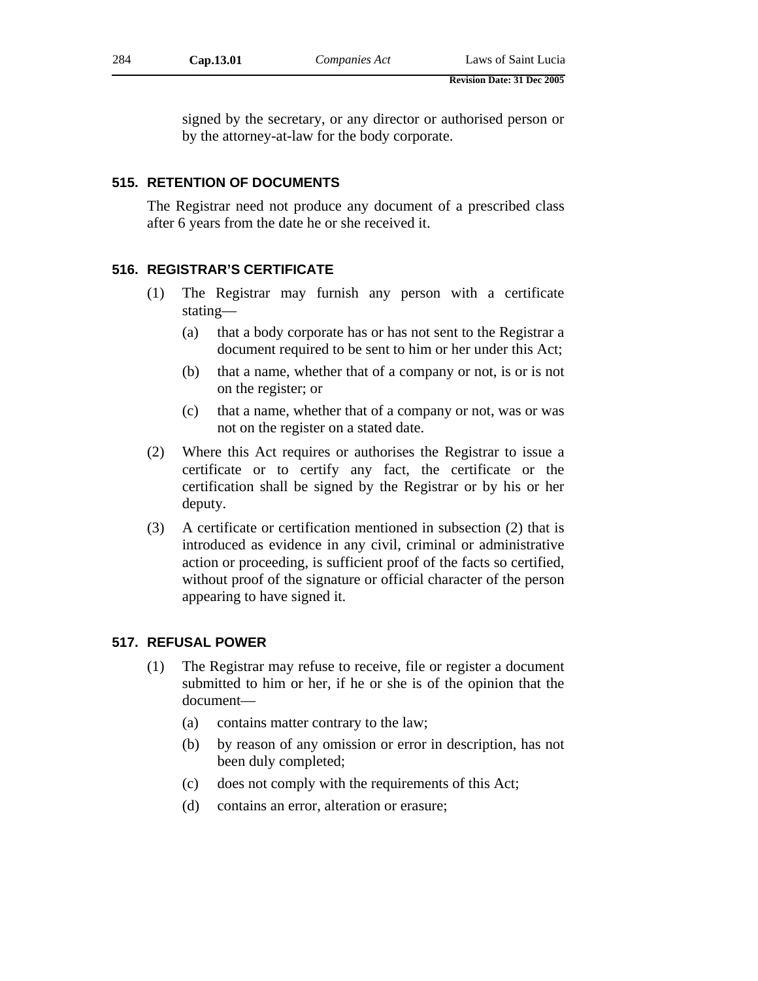signed by the secretary, or any director or authorised person or by the attorney-at-law for the body corporate.

# **515. RETENTION OF DOCUMENTS**

The Registrar need not produce any document of a prescribed class after 6 years from the date he or she received it.

# **516. REGISTRAR'S CERTIFICATE**

- (1) The Registrar may furnish any person with a certificate stating—
	- (a) that a body corporate has or has not sent to the Registrar a document required to be sent to him or her under this Act;
	- (b) that a name, whether that of a company or not, is or is not on the register; or
	- (c) that a name, whether that of a company or not, was or was not on the register on a stated date.
- (2) Where this Act requires or authorises the Registrar to issue a certificate or to certify any fact, the certificate or the certification shall be signed by the Registrar or by his or her deputy.
- (3) A certificate or certification mentioned in subsection (2) that is introduced as evidence in any civil, criminal or administrative action or proceeding, is sufficient proof of the facts so certified, without proof of the signature or official character of the person appearing to have signed it.

# **517. REFUSAL POWER**

- (1) The Registrar may refuse to receive, file or register a document submitted to him or her, if he or she is of the opinion that the document—
	- (a) contains matter contrary to the law;
	- (b) by reason of any omission or error in description, has not been duly completed;
	- (c) does not comply with the requirements of this Act;
	- (d) contains an error, alteration or erasure;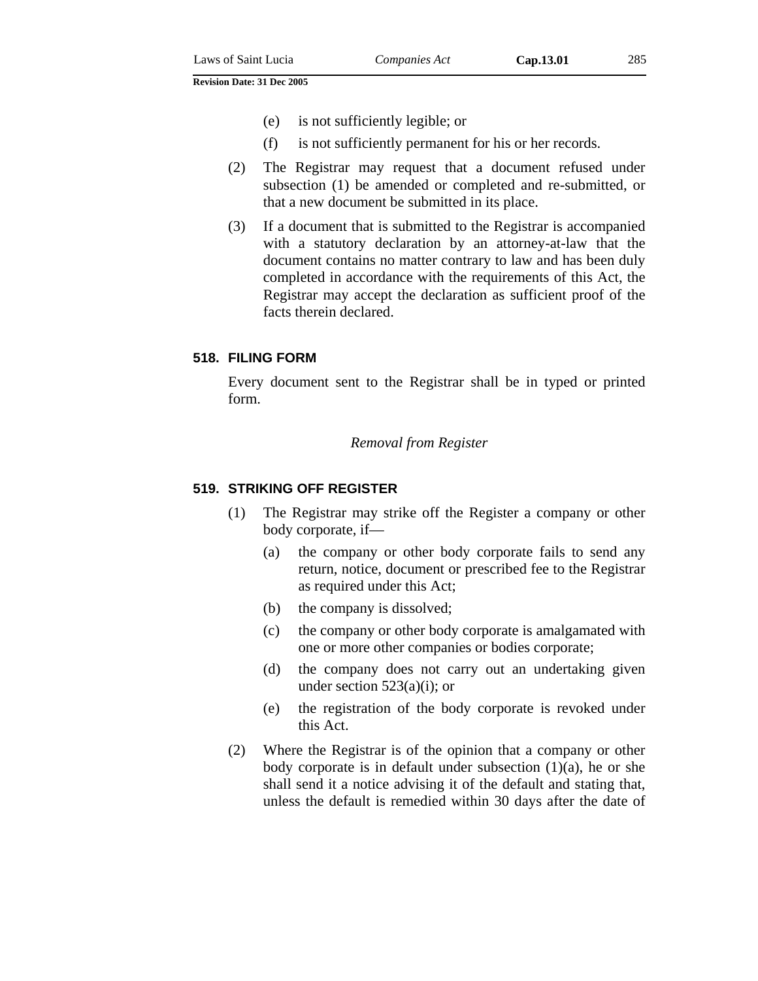- (f) is not sufficiently permanent for his or her records.
- (2) The Registrar may request that a document refused under subsection (1) be amended or completed and re-submitted, or that a new document be submitted in its place.
- (3) If a document that is submitted to the Registrar is accompanied with a statutory declaration by an attorney-at-law that the document contains no matter contrary to law and has been duly completed in accordance with the requirements of this Act, the Registrar may accept the declaration as sufficient proof of the facts therein declared.

# **518. FILING FORM**

Every document sent to the Registrar shall be in typed or printed form.

### *Removal from Register*

### **519. STRIKING OFF REGISTER**

- (1) The Registrar may strike off the Register a company or other body corporate, if—
	- (a) the company or other body corporate fails to send any return, notice, document or prescribed fee to the Registrar as required under this Act;
	- (b) the company is dissolved;
	- (c) the company or other body corporate is amalgamated with one or more other companies or bodies corporate;
	- (d) the company does not carry out an undertaking given under section  $523(a)(i)$ ; or
	- (e) the registration of the body corporate is revoked under this Act.
- (2) Where the Registrar is of the opinion that a company or other body corporate is in default under subsection  $(1)(a)$ , he or she shall send it a notice advising it of the default and stating that, unless the default is remedied within 30 days after the date of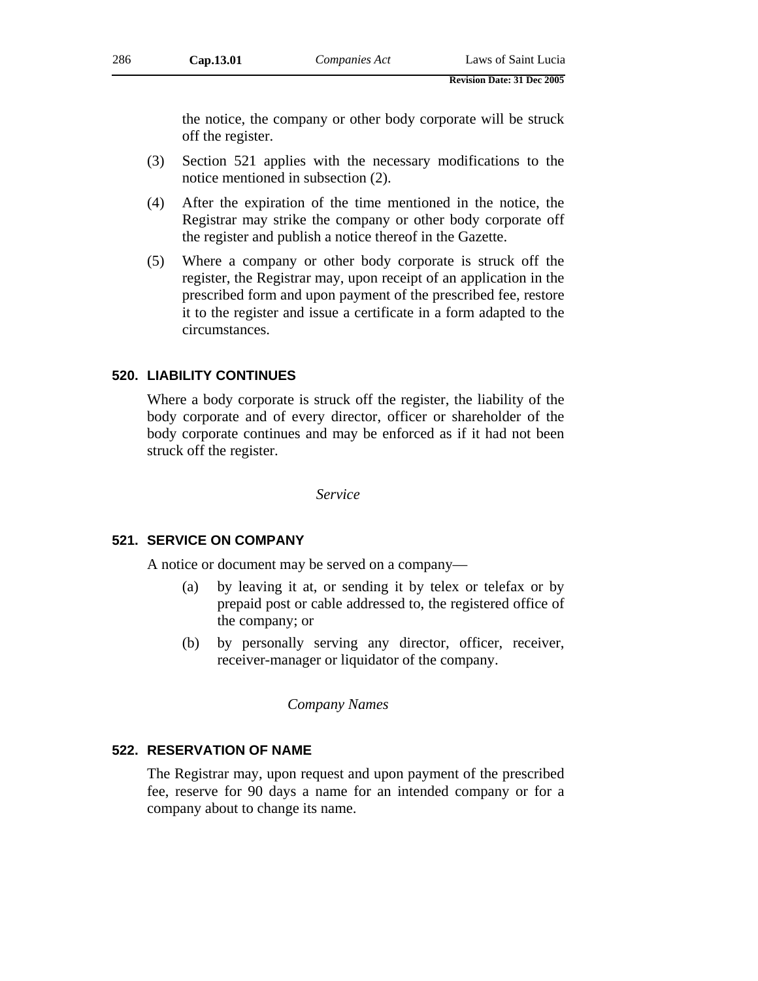the notice, the company or other body corporate will be struck off the register.

- (3) Section 521 applies with the necessary modifications to the notice mentioned in subsection (2).
- (4) After the expiration of the time mentioned in the notice, the Registrar may strike the company or other body corporate off the register and publish a notice thereof in the Gazette.
- (5) Where a company or other body corporate is struck off the register, the Registrar may, upon receipt of an application in the prescribed form and upon payment of the prescribed fee, restore it to the register and issue a certificate in a form adapted to the circumstances.

# **520. LIABILITY CONTINUES**

Where a body corporate is struck off the register, the liability of the body corporate and of every director, officer or shareholder of the body corporate continues and may be enforced as if it had not been struck off the register.

*Service* 

### **521. SERVICE ON COMPANY**

A notice or document may be served on a company—

- (a) by leaving it at, or sending it by telex or telefax or by prepaid post or cable addressed to, the registered office of the company; or
- (b) by personally serving any director, officer, receiver, receiver-manager or liquidator of the company.

### *Company Names*

### **522. RESERVATION OF NAME**

The Registrar may, upon request and upon payment of the prescribed fee, reserve for 90 days a name for an intended company or for a company about to change its name.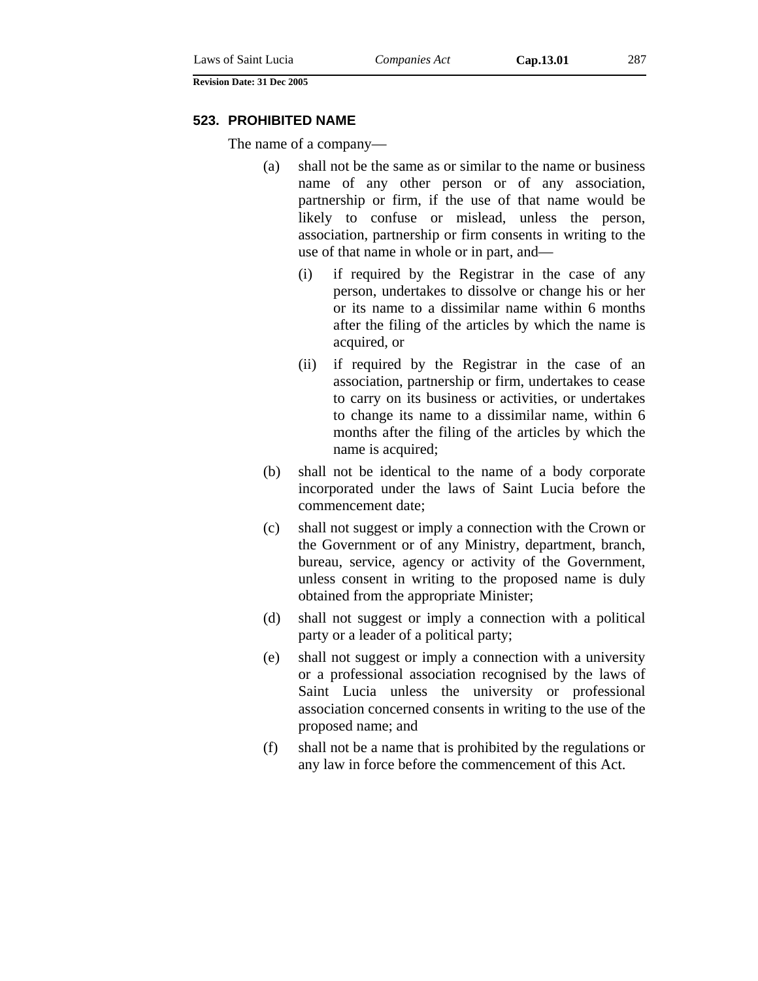### **523. PROHIBITED NAME**

The name of a company—

- (a) shall not be the same as or similar to the name or business name of any other person or of any association, partnership or firm, if the use of that name would be likely to confuse or mislead, unless the person, association, partnership or firm consents in writing to the use of that name in whole or in part, and—
	- (i) if required by the Registrar in the case of any person, undertakes to dissolve or change his or her or its name to a dissimilar name within 6 months after the filing of the articles by which the name is acquired, or
	- (ii) if required by the Registrar in the case of an association, partnership or firm, undertakes to cease to carry on its business or activities, or undertakes to change its name to a dissimilar name, within 6 months after the filing of the articles by which the name is acquired;
- (b) shall not be identical to the name of a body corporate incorporated under the laws of Saint Lucia before the commencement date;
- (c) shall not suggest or imply a connection with the Crown or the Government or of any Ministry, department, branch, bureau, service, agency or activity of the Government, unless consent in writing to the proposed name is duly obtained from the appropriate Minister;
- (d) shall not suggest or imply a connection with a political party or a leader of a political party;
- (e) shall not suggest or imply a connection with a university or a professional association recognised by the laws of Saint Lucia unless the university or professional association concerned consents in writing to the use of the proposed name; and
- (f) shall not be a name that is prohibited by the regulations or any law in force before the commencement of this Act.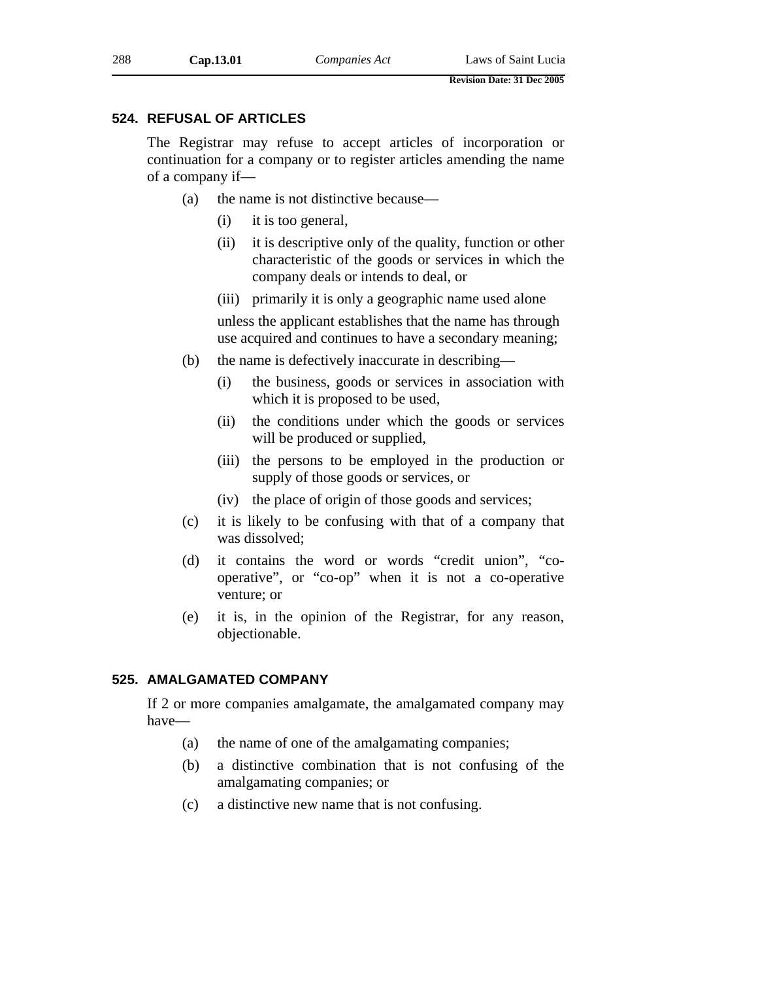# **524. REFUSAL OF ARTICLES**

The Registrar may refuse to accept articles of incorporation or continuation for a company or to register articles amending the name of a company if—

- (a) the name is not distinctive because—
	- (i) it is too general,
	- (ii) it is descriptive only of the quality, function or other characteristic of the goods or services in which the company deals or intends to deal, or
	- (iii) primarily it is only a geographic name used alone

unless the applicant establishes that the name has through use acquired and continues to have a secondary meaning;

- (b) the name is defectively inaccurate in describing—
	- (i) the business, goods or services in association with which it is proposed to be used,
	- (ii) the conditions under which the goods or services will be produced or supplied,
	- (iii) the persons to be employed in the production or supply of those goods or services, or
	- (iv) the place of origin of those goods and services;
- (c) it is likely to be confusing with that of a company that was dissolved;
- (d) it contains the word or words "credit union", "cooperative", or "co-op" when it is not a co-operative venture; or
- (e) it is, in the opinion of the Registrar, for any reason, objectionable.

# **525. AMALGAMATED COMPANY**

If 2 or more companies amalgamate, the amalgamated company may have—

- (a) the name of one of the amalgamating companies;
- (b) a distinctive combination that is not confusing of the amalgamating companies; or
- (c) a distinctive new name that is not confusing.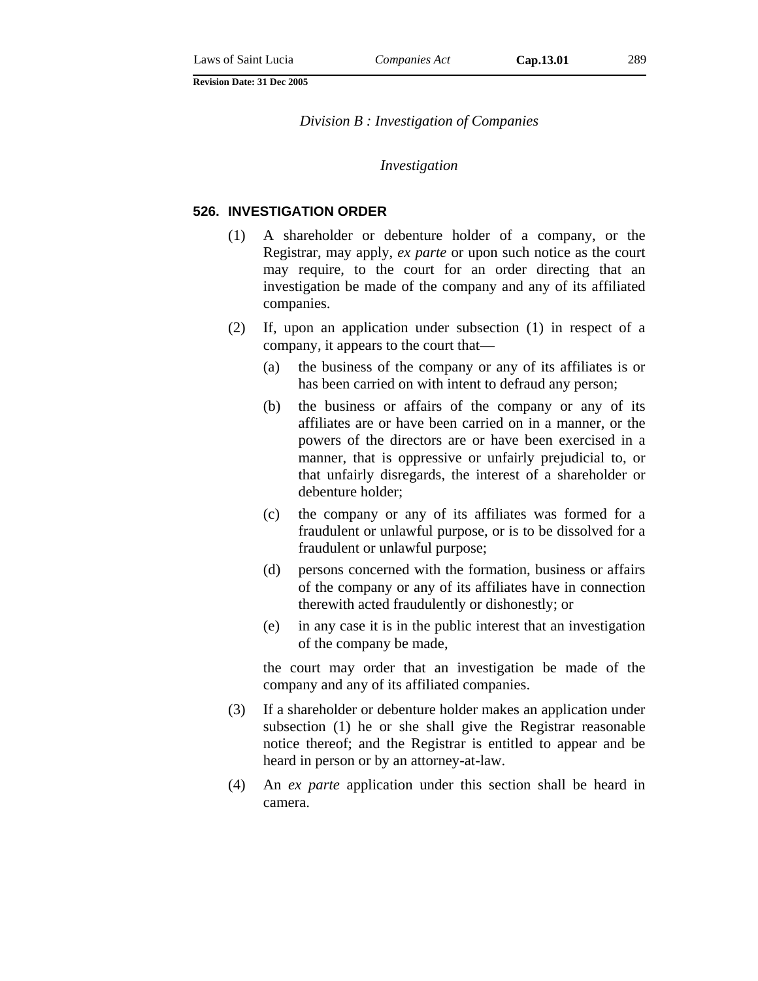*Division B : Investigation of Companies* 

#### *Investigation*

### **526. INVESTIGATION ORDER**

- (1) A shareholder or debenture holder of a company, or the Registrar, may apply, *ex parte* or upon such notice as the court may require, to the court for an order directing that an investigation be made of the company and any of its affiliated companies.
- (2) If, upon an application under subsection (1) in respect of a company, it appears to the court that—
	- (a) the business of the company or any of its affiliates is or has been carried on with intent to defraud any person;
	- (b) the business or affairs of the company or any of its affiliates are or have been carried on in a manner, or the powers of the directors are or have been exercised in a manner, that is oppressive or unfairly prejudicial to, or that unfairly disregards, the interest of a shareholder or debenture holder;
	- (c) the company or any of its affiliates was formed for a fraudulent or unlawful purpose, or is to be dissolved for a fraudulent or unlawful purpose;
	- (d) persons concerned with the formation, business or affairs of the company or any of its affiliates have in connection therewith acted fraudulently or dishonestly; or
	- (e) in any case it is in the public interest that an investigation of the company be made,

the court may order that an investigation be made of the company and any of its affiliated companies.

- (3) If a shareholder or debenture holder makes an application under subsection (1) he or she shall give the Registrar reasonable notice thereof; and the Registrar is entitled to appear and be heard in person or by an attorney-at-law.
- (4) An *ex parte* application under this section shall be heard in camera.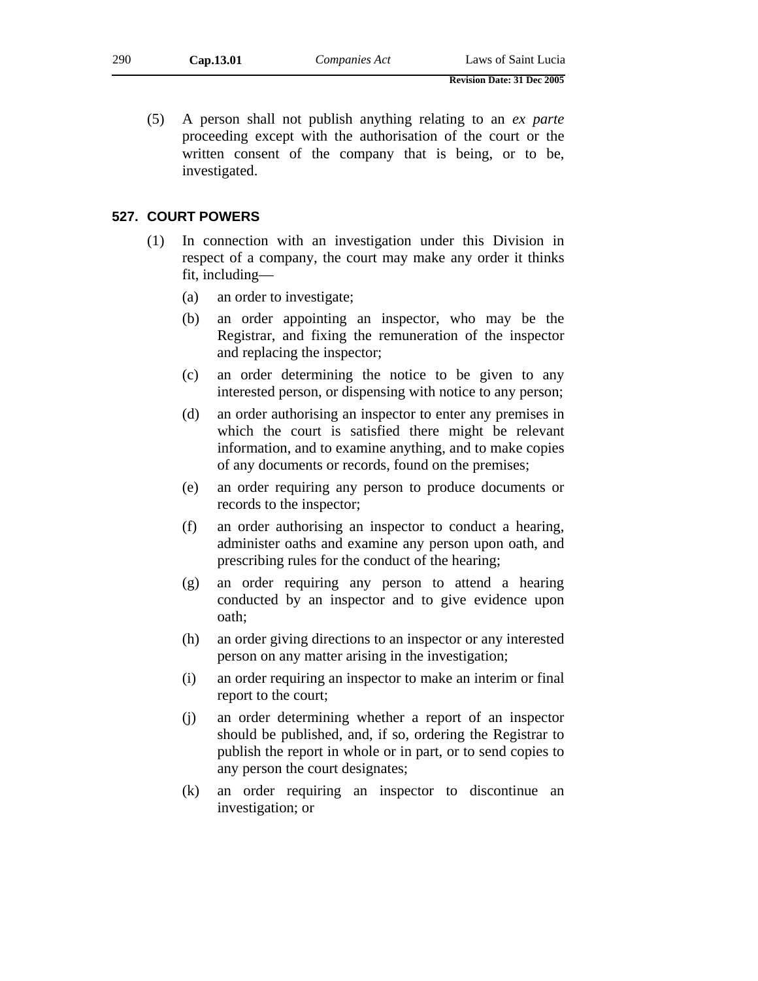(5) A person shall not publish anything relating to an *ex parte* proceeding except with the authorisation of the court or the written consent of the company that is being, or to be, investigated.

### **527. COURT POWERS**

- (1) In connection with an investigation under this Division in respect of a company, the court may make any order it thinks fit, including—
	- (a) an order to investigate;
	- (b) an order appointing an inspector, who may be the Registrar, and fixing the remuneration of the inspector and replacing the inspector;
	- (c) an order determining the notice to be given to any interested person, or dispensing with notice to any person;
	- (d) an order authorising an inspector to enter any premises in which the court is satisfied there might be relevant information, and to examine anything, and to make copies of any documents or records, found on the premises;
	- (e) an order requiring any person to produce documents or records to the inspector;
	- (f) an order authorising an inspector to conduct a hearing, administer oaths and examine any person upon oath, and prescribing rules for the conduct of the hearing;
	- (g) an order requiring any person to attend a hearing conducted by an inspector and to give evidence upon oath;
	- (h) an order giving directions to an inspector or any interested person on any matter arising in the investigation;
	- (i) an order requiring an inspector to make an interim or final report to the court;
	- (j) an order determining whether a report of an inspector should be published, and, if so, ordering the Registrar to publish the report in whole or in part, or to send copies to any person the court designates;
	- (k) an order requiring an inspector to discontinue an investigation; or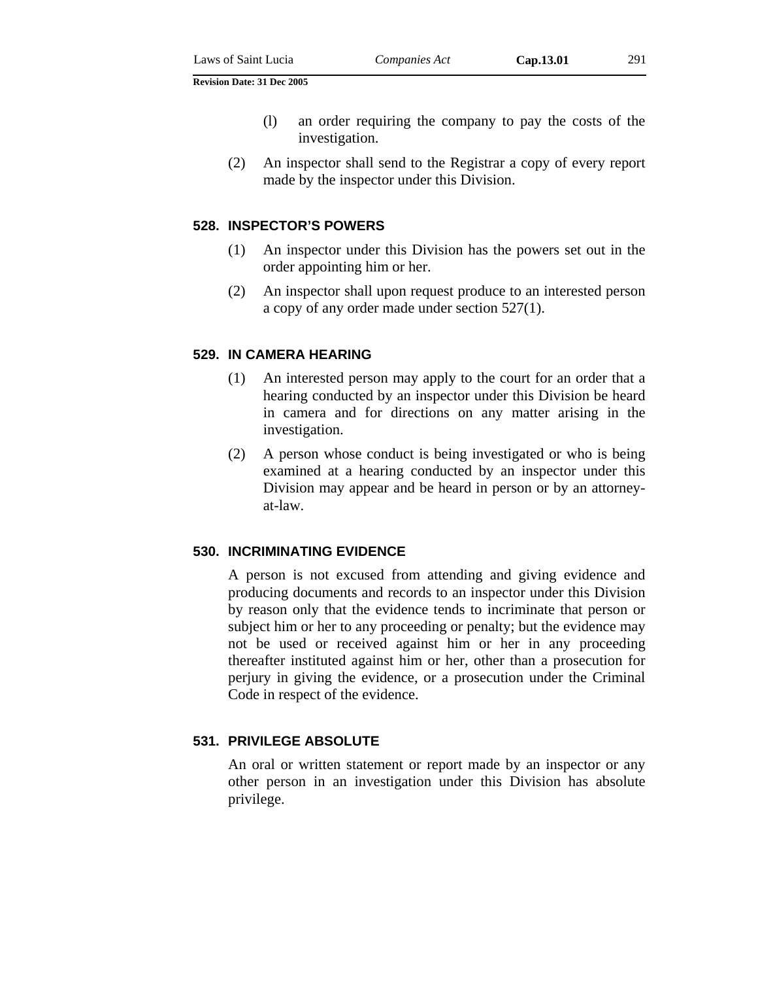- (l) an order requiring the company to pay the costs of the
- (2) An inspector shall send to the Registrar a copy of every report made by the inspector under this Division.

#### **528. INSPECTOR'S POWERS**

investigation.

- (1) An inspector under this Division has the powers set out in the order appointing him or her.
- (2) An inspector shall upon request produce to an interested person a copy of any order made under section 527(1).

#### **529. IN CAMERA HEARING**

- (1) An interested person may apply to the court for an order that a hearing conducted by an inspector under this Division be heard in camera and for directions on any matter arising in the investigation.
- (2) A person whose conduct is being investigated or who is being examined at a hearing conducted by an inspector under this Division may appear and be heard in person or by an attorneyat-law.

### **530. INCRIMINATING EVIDENCE**

A person is not excused from attending and giving evidence and producing documents and records to an inspector under this Division by reason only that the evidence tends to incriminate that person or subject him or her to any proceeding or penalty; but the evidence may not be used or received against him or her in any proceeding thereafter instituted against him or her, other than a prosecution for perjury in giving the evidence, or a prosecution under the Criminal Code in respect of the evidence.

### **531. PRIVILEGE ABSOLUTE**

An oral or written statement or report made by an inspector or any other person in an investigation under this Division has absolute privilege.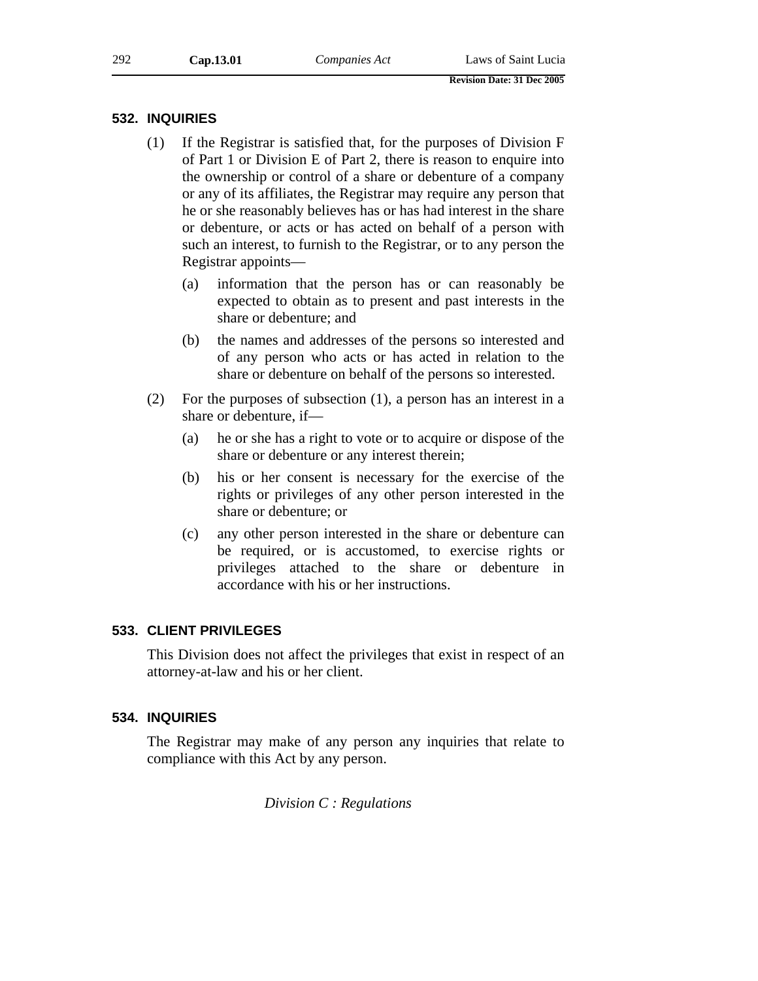## **532. INQUIRIES**

- (1) If the Registrar is satisfied that, for the purposes of Division F of Part 1 or Division E of Part 2, there is reason to enquire into the ownership or control of a share or debenture of a company or any of its affiliates, the Registrar may require any person that he or she reasonably believes has or has had interest in the share or debenture, or acts or has acted on behalf of a person with such an interest, to furnish to the Registrar, or to any person the Registrar appoints—
	- (a) information that the person has or can reasonably be expected to obtain as to present and past interests in the share or debenture; and
	- (b) the names and addresses of the persons so interested and of any person who acts or has acted in relation to the share or debenture on behalf of the persons so interested.
- (2) For the purposes of subsection (1), a person has an interest in a share or debenture, if—
	- (a) he or she has a right to vote or to acquire or dispose of the share or debenture or any interest therein;
	- (b) his or her consent is necessary for the exercise of the rights or privileges of any other person interested in the share or debenture; or
	- (c) any other person interested in the share or debenture can be required, or is accustomed, to exercise rights or privileges attached to the share or debenture in accordance with his or her instructions.

## **533. CLIENT PRIVILEGES**

This Division does not affect the privileges that exist in respect of an attorney-at-law and his or her client.

## **534. INQUIRIES**

The Registrar may make of any person any inquiries that relate to compliance with this Act by any person.

*Division C : Regulations*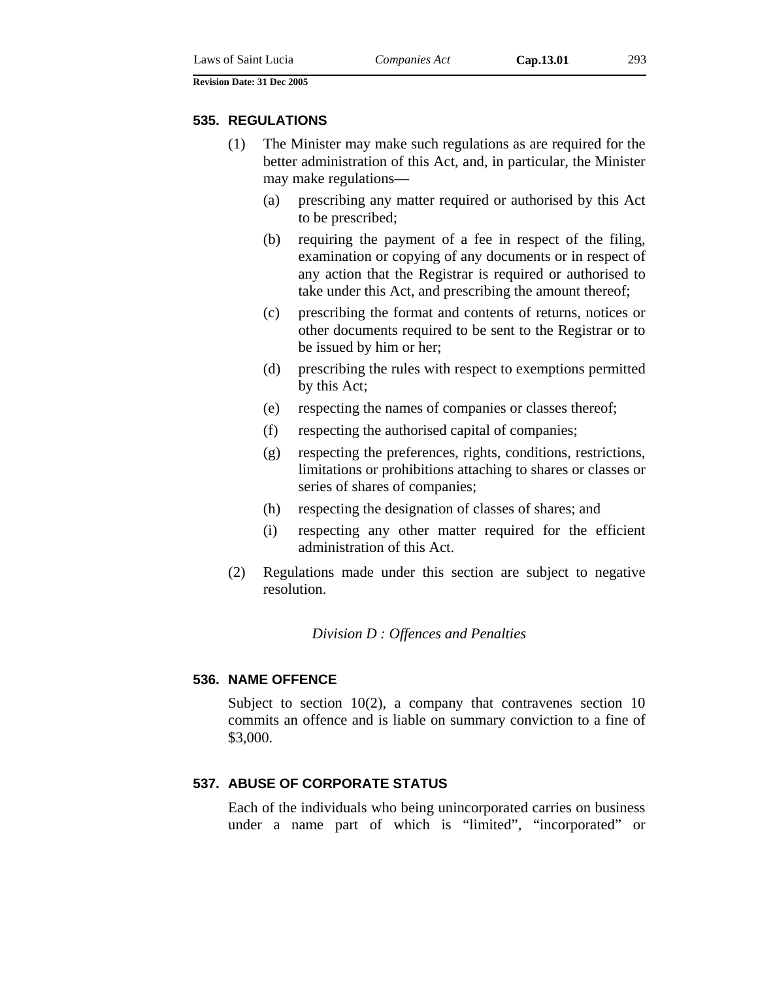### **535. REGULATIONS**

- (1) The Minister may make such regulations as are required for the better administration of this Act, and, in particular, the Minister may make regulations—
	- (a) prescribing any matter required or authorised by this Act to be prescribed;
	- (b) requiring the payment of a fee in respect of the filing, examination or copying of any documents or in respect of any action that the Registrar is required or authorised to take under this Act, and prescribing the amount thereof;
	- (c) prescribing the format and contents of returns, notices or other documents required to be sent to the Registrar or to be issued by him or her;
	- (d) prescribing the rules with respect to exemptions permitted by this Act;
	- (e) respecting the names of companies or classes thereof;
	- (f) respecting the authorised capital of companies;
	- (g) respecting the preferences, rights, conditions, restrictions, limitations or prohibitions attaching to shares or classes or series of shares of companies;
	- (h) respecting the designation of classes of shares; and
	- (i) respecting any other matter required for the efficient administration of this Act.
- (2) Regulations made under this section are subject to negative resolution.

*Division D : Offences and Penalties* 

### **536. NAME OFFENCE**

Subject to section 10(2), a company that contravenes section 10 commits an offence and is liable on summary conviction to a fine of \$3,000.

## **537. ABUSE OF CORPORATE STATUS**

Each of the individuals who being unincorporated carries on business under a name part of which is "limited", "incorporated" or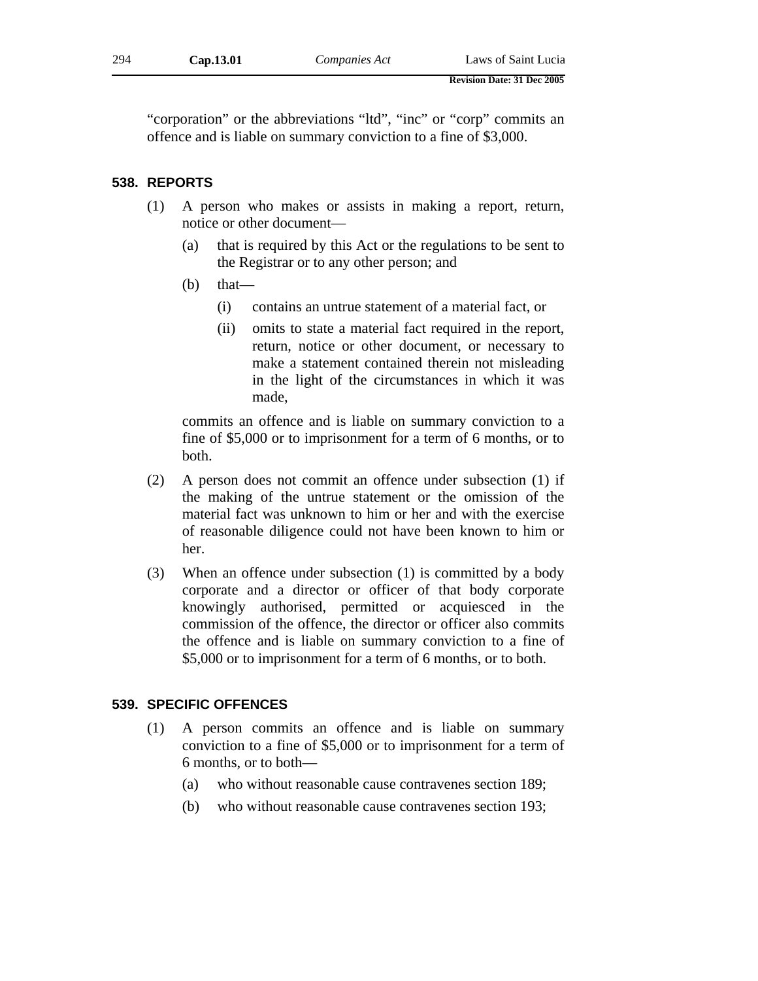"corporation" or the abbreviations "ltd", "inc" or "corp" commits an offence and is liable on summary conviction to a fine of \$3,000.

## **538. REPORTS**

- (1) A person who makes or assists in making a report, return, notice or other document—
	- (a) that is required by this Act or the regulations to be sent to the Registrar or to any other person; and
	- $(b)$  that—
		- (i) contains an untrue statement of a material fact, or
		- (ii) omits to state a material fact required in the report, return, notice or other document, or necessary to make a statement contained therein not misleading in the light of the circumstances in which it was made,

commits an offence and is liable on summary conviction to a fine of \$5,000 or to imprisonment for a term of 6 months, or to both.

- (2) A person does not commit an offence under subsection (1) if the making of the untrue statement or the omission of the material fact was unknown to him or her and with the exercise of reasonable diligence could not have been known to him or her.
- (3) When an offence under subsection (1) is committed by a body corporate and a director or officer of that body corporate knowingly authorised, permitted or acquiesced in the commission of the offence, the director or officer also commits the offence and is liable on summary conviction to a fine of \$5,000 or to imprisonment for a term of 6 months, or to both.

### **539. SPECIFIC OFFENCES**

- (1) A person commits an offence and is liable on summary conviction to a fine of \$5,000 or to imprisonment for a term of 6 months, or to both—
	- (a) who without reasonable cause contravenes section 189;
	- (b) who without reasonable cause contravenes section 193;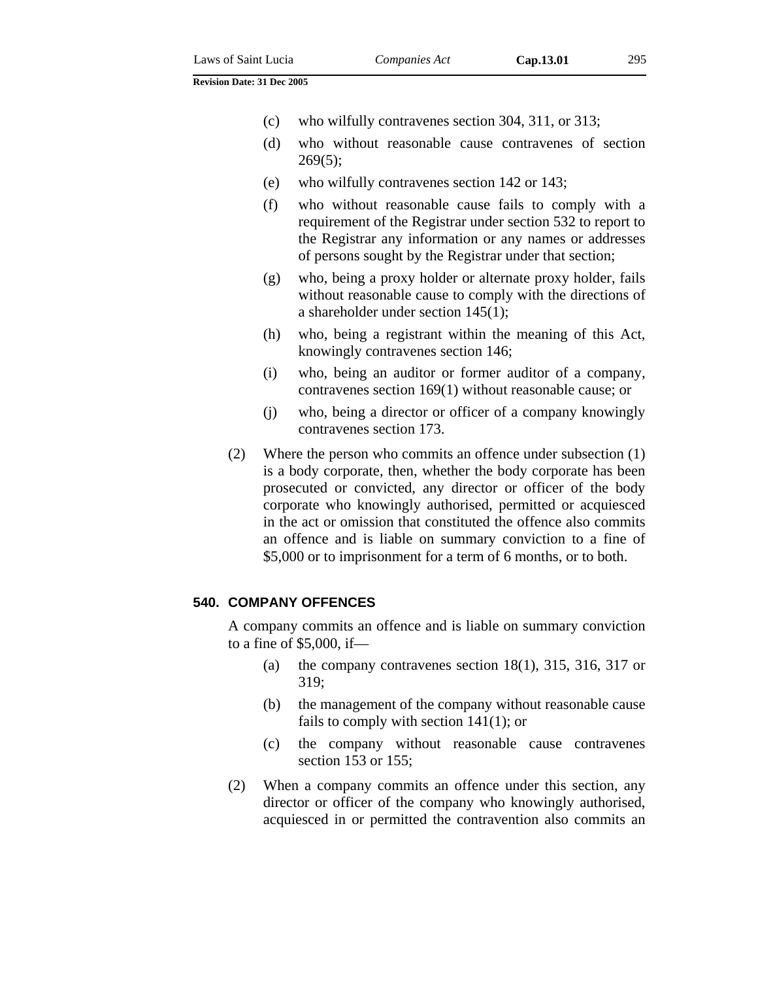- (c) who wilfully contravenes section 304, 311, or 313;
- (d) who without reasonable cause contravenes of section  $269(5);$
- (e) who wilfully contravenes section 142 or 143;
- (f) who without reasonable cause fails to comply with a requirement of the Registrar under section 532 to report to the Registrar any information or any names or addresses of persons sought by the Registrar under that section;
- (g) who, being a proxy holder or alternate proxy holder, fails without reasonable cause to comply with the directions of a shareholder under section 145(1);
- (h) who, being a registrant within the meaning of this Act, knowingly contravenes section 146;
- (i) who, being an auditor or former auditor of a company, contravenes section 169(1) without reasonable cause; or
- (j) who, being a director or officer of a company knowingly contravenes section 173.
- (2) Where the person who commits an offence under subsection (1) is a body corporate, then, whether the body corporate has been prosecuted or convicted, any director or officer of the body corporate who knowingly authorised, permitted or acquiesced in the act or omission that constituted the offence also commits an offence and is liable on summary conviction to a fine of \$5,000 or to imprisonment for a term of 6 months, or to both.

### **540. COMPANY OFFENCES**

A company commits an offence and is liable on summary conviction to a fine of \$5,000, if—

- (a) the company contravenes section  $18(1)$ , 315, 316, 317 or 319;
- (b) the management of the company without reasonable cause fails to comply with section 141(1); or
- (c) the company without reasonable cause contravenes section 153 or 155;
- (2) When a company commits an offence under this section, any director or officer of the company who knowingly authorised, acquiesced in or permitted the contravention also commits an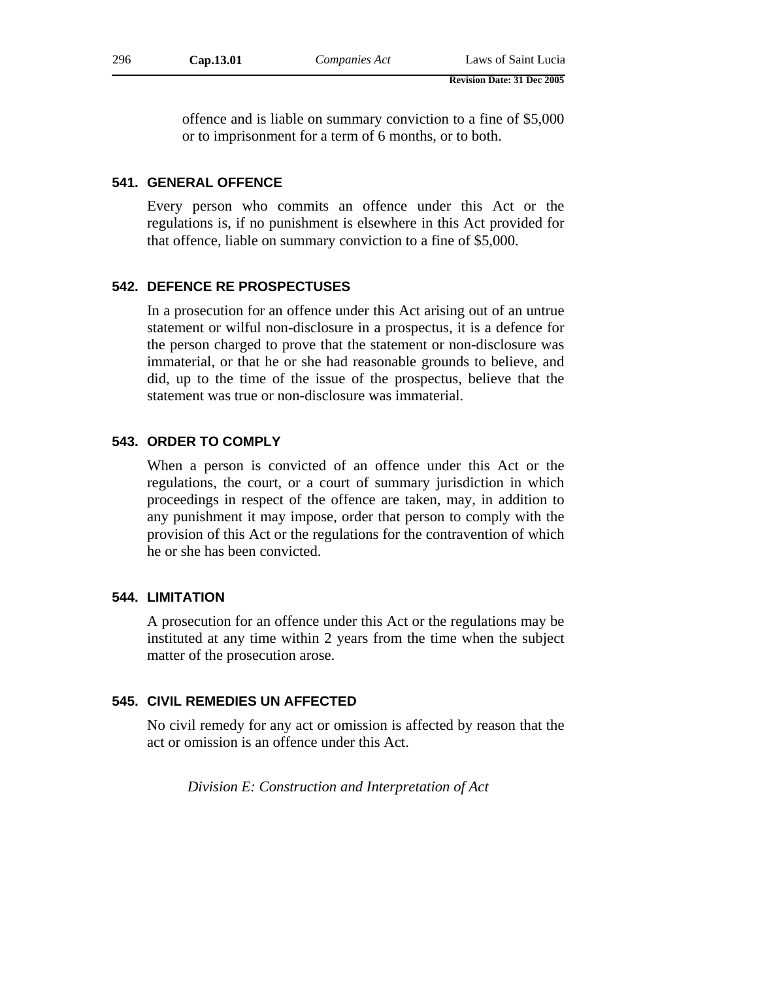offence and is liable on summary conviction to a fine of \$5,000 or to imprisonment for a term of 6 months, or to both.

### **541. GENERAL OFFENCE**

Every person who commits an offence under this Act or the regulations is, if no punishment is elsewhere in this Act provided for that offence, liable on summary conviction to a fine of \$5,000.

## **542. DEFENCE RE PROSPECTUSES**

In a prosecution for an offence under this Act arising out of an untrue statement or wilful non-disclosure in a prospectus, it is a defence for the person charged to prove that the statement or non-disclosure was immaterial, or that he or she had reasonable grounds to believe, and did, up to the time of the issue of the prospectus, believe that the statement was true or non-disclosure was immaterial.

### **543. ORDER TO COMPLY**

When a person is convicted of an offence under this Act or the regulations, the court, or a court of summary jurisdiction in which proceedings in respect of the offence are taken, may, in addition to any punishment it may impose, order that person to comply with the provision of this Act or the regulations for the contravention of which he or she has been convicted.

### **544. LIMITATION**

A prosecution for an offence under this Act or the regulations may be instituted at any time within 2 years from the time when the subject matter of the prosecution arose.

### **545. CIVIL REMEDIES UN AFFECTED**

No civil remedy for any act or omission is affected by reason that the act or omission is an offence under this Act.

*Division E: Construction and Interpretation of Act*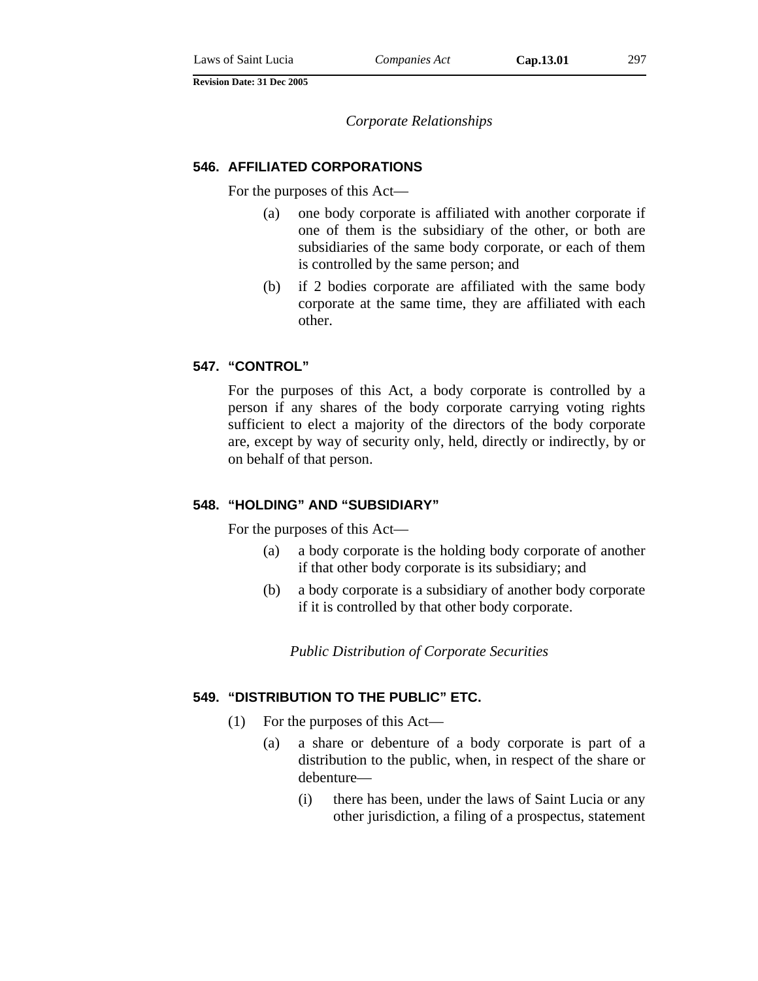*Corporate Relationships* 

#### **546. AFFILIATED CORPORATIONS**

For the purposes of this Act—

- (a) one body corporate is affiliated with another corporate if one of them is the subsidiary of the other, or both are subsidiaries of the same body corporate, or each of them is controlled by the same person; and
- (b) if 2 bodies corporate are affiliated with the same body corporate at the same time, they are affiliated with each other.

### **547. "CONTROL"**

For the purposes of this Act, a body corporate is controlled by a person if any shares of the body corporate carrying voting rights sufficient to elect a majority of the directors of the body corporate are, except by way of security only, held, directly or indirectly, by or on behalf of that person.

## **548. "HOLDING" AND "SUBSIDIARY"**

For the purposes of this Act—

- (a) a body corporate is the holding body corporate of another if that other body corporate is its subsidiary; and
- (b) a body corporate is a subsidiary of another body corporate if it is controlled by that other body corporate.

*Public Distribution of Corporate Securities* 

### **549. "DISTRIBUTION TO THE PUBLIC" ETC.**

- (1) For the purposes of this Act—
	- (a) a share or debenture of a body corporate is part of a distribution to the public, when, in respect of the share or debenture—
		- (i) there has been, under the laws of Saint Lucia or any other jurisdiction, a filing of a prospectus, statement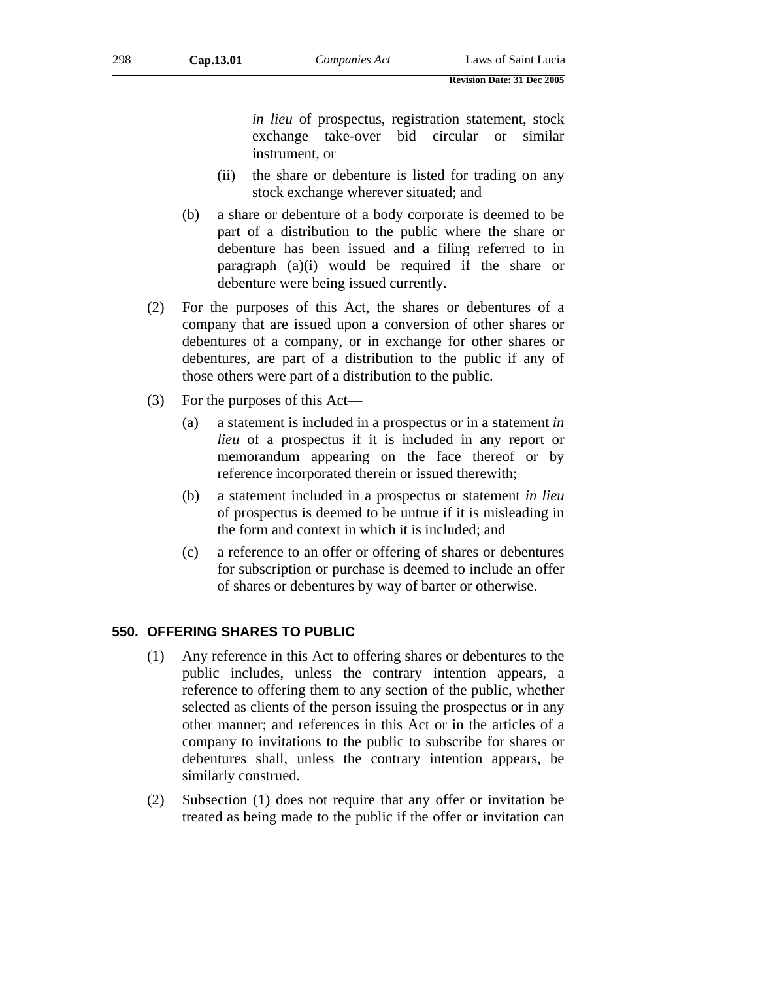*in lieu* of prospectus, registration statement, stock exchange take-over bid circular or similar instrument, or

- (ii) the share or debenture is listed for trading on any stock exchange wherever situated; and
- (b) a share or debenture of a body corporate is deemed to be part of a distribution to the public where the share or debenture has been issued and a filing referred to in paragraph (a)(i) would be required if the share or debenture were being issued currently.
- (2) For the purposes of this Act, the shares or debentures of a company that are issued upon a conversion of other shares or debentures of a company, or in exchange for other shares or debentures, are part of a distribution to the public if any of those others were part of a distribution to the public.
- (3) For the purposes of this Act—
	- (a) a statement is included in a prospectus or in a statement *in lieu* of a prospectus if it is included in any report or memorandum appearing on the face thereof or by reference incorporated therein or issued therewith;
	- (b) a statement included in a prospectus or statement *in lieu* of prospectus is deemed to be untrue if it is misleading in the form and context in which it is included; and
	- (c) a reference to an offer or offering of shares or debentures for subscription or purchase is deemed to include an offer of shares or debentures by way of barter or otherwise.

#### **550. OFFERING SHARES TO PUBLIC**

- (1) Any reference in this Act to offering shares or debentures to the public includes, unless the contrary intention appears, a reference to offering them to any section of the public, whether selected as clients of the person issuing the prospectus or in any other manner; and references in this Act or in the articles of a company to invitations to the public to subscribe for shares or debentures shall, unless the contrary intention appears, be similarly construed.
- (2) Subsection (1) does not require that any offer or invitation be treated as being made to the public if the offer or invitation can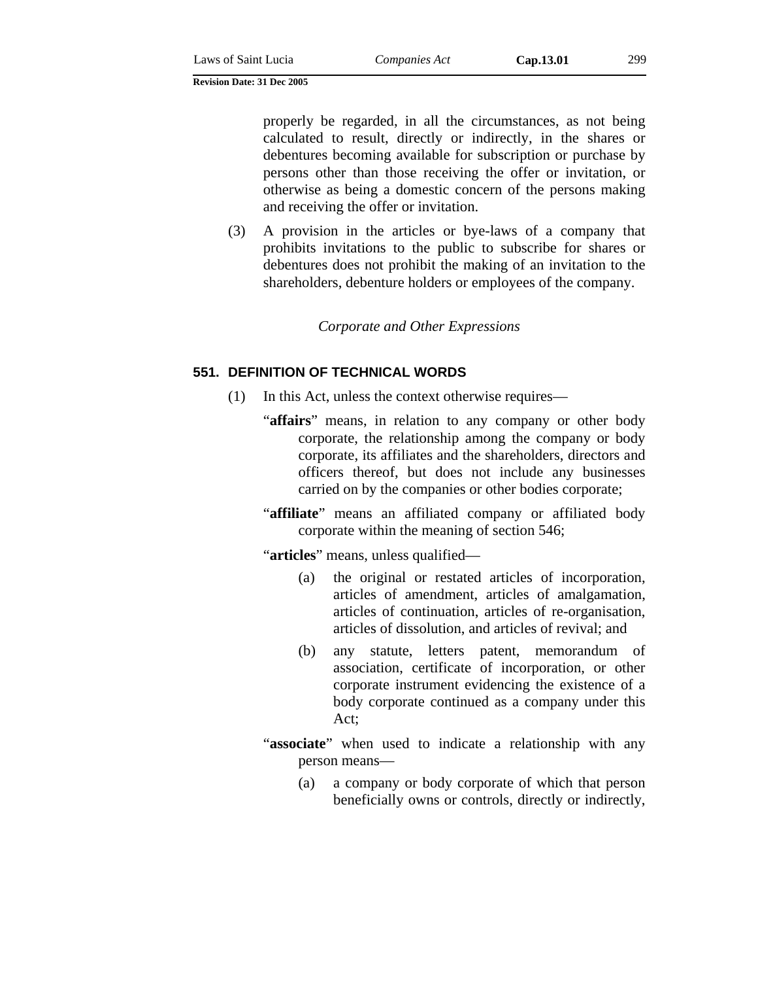properly be regarded, in all the circumstances, as not being calculated to result, directly or indirectly, in the shares or debentures becoming available for subscription or purchase by persons other than those receiving the offer or invitation, or otherwise as being a domestic concern of the persons making and receiving the offer or invitation.

(3) A provision in the articles or bye-laws of a company that prohibits invitations to the public to subscribe for shares or debentures does not prohibit the making of an invitation to the shareholders, debenture holders or employees of the company.

*Corporate and Other Expressions* 

#### **551. DEFINITION OF TECHNICAL WORDS**

- (1) In this Act, unless the context otherwise requires—
	- "**affairs**" means, in relation to any company or other body corporate, the relationship among the company or body corporate, its affiliates and the shareholders, directors and officers thereof, but does not include any businesses carried on by the companies or other bodies corporate;
	- "**affiliate**" means an affiliated company or affiliated body corporate within the meaning of section 546;

"**articles**" means, unless qualified—

- (a) the original or restated articles of incorporation, articles of amendment, articles of amalgamation, articles of continuation, articles of re-organisation, articles of dissolution, and articles of revival; and
- (b) any statute, letters patent, memorandum of association, certificate of incorporation, or other corporate instrument evidencing the existence of a body corporate continued as a company under this Act;
- "associate" when used to indicate a relationship with any person means—
	- (a) a company or body corporate of which that person beneficially owns or controls, directly or indirectly,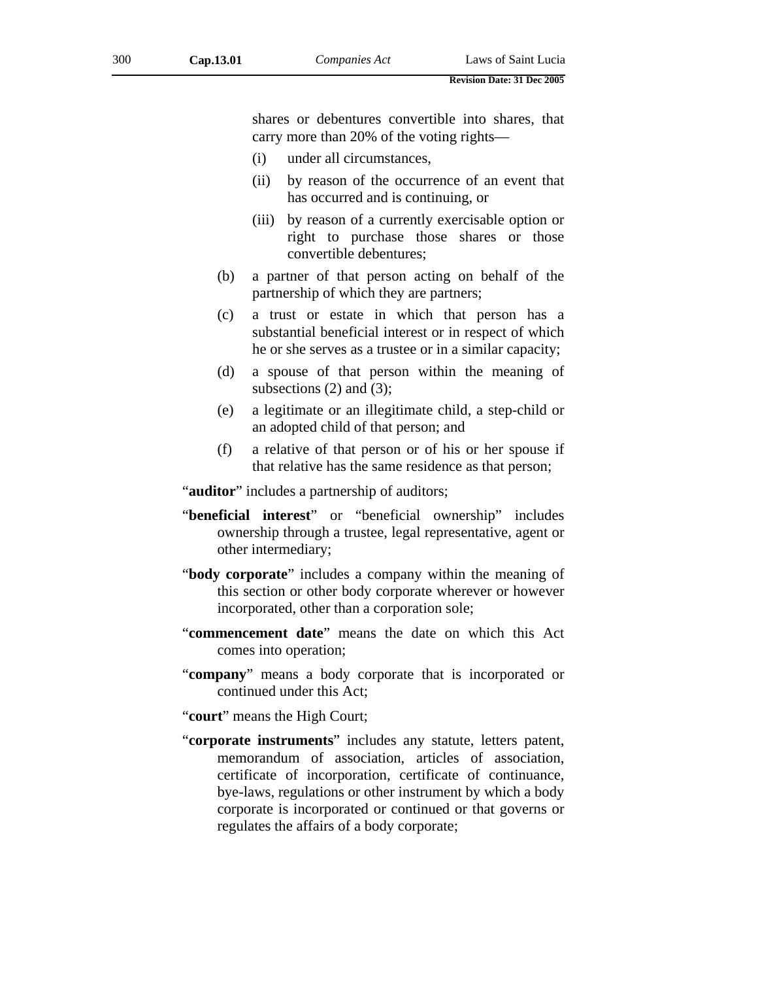shares or debentures convertible into shares, that carry more than 20% of the voting rights—

- (i) under all circumstances,
- (ii) by reason of the occurrence of an event that has occurred and is continuing, or
- (iii) by reason of a currently exercisable option or right to purchase those shares or those convertible debentures;
- (b) a partner of that person acting on behalf of the partnership of which they are partners;
- (c) a trust or estate in which that person has a substantial beneficial interest or in respect of which he or she serves as a trustee or in a similar capacity;
- (d) a spouse of that person within the meaning of subsections  $(2)$  and  $(3)$ ;
- (e) a legitimate or an illegitimate child, a step-child or an adopted child of that person; and
- (f) a relative of that person or of his or her spouse if that relative has the same residence as that person;

"**auditor**" includes a partnership of auditors;

- "**beneficial interest**" or "beneficial ownership" includes ownership through a trustee, legal representative, agent or other intermediary;
- "**body corporate**" includes a company within the meaning of this section or other body corporate wherever or however incorporated, other than a corporation sole;
- "**commencement date**" means the date on which this Act comes into operation;
- "**company**" means a body corporate that is incorporated or continued under this Act;

"**court**" means the High Court;

"**corporate instruments**" includes any statute, letters patent, memorandum of association, articles of association, certificate of incorporation, certificate of continuance, bye-laws, regulations or other instrument by which a body corporate is incorporated or continued or that governs or regulates the affairs of a body corporate;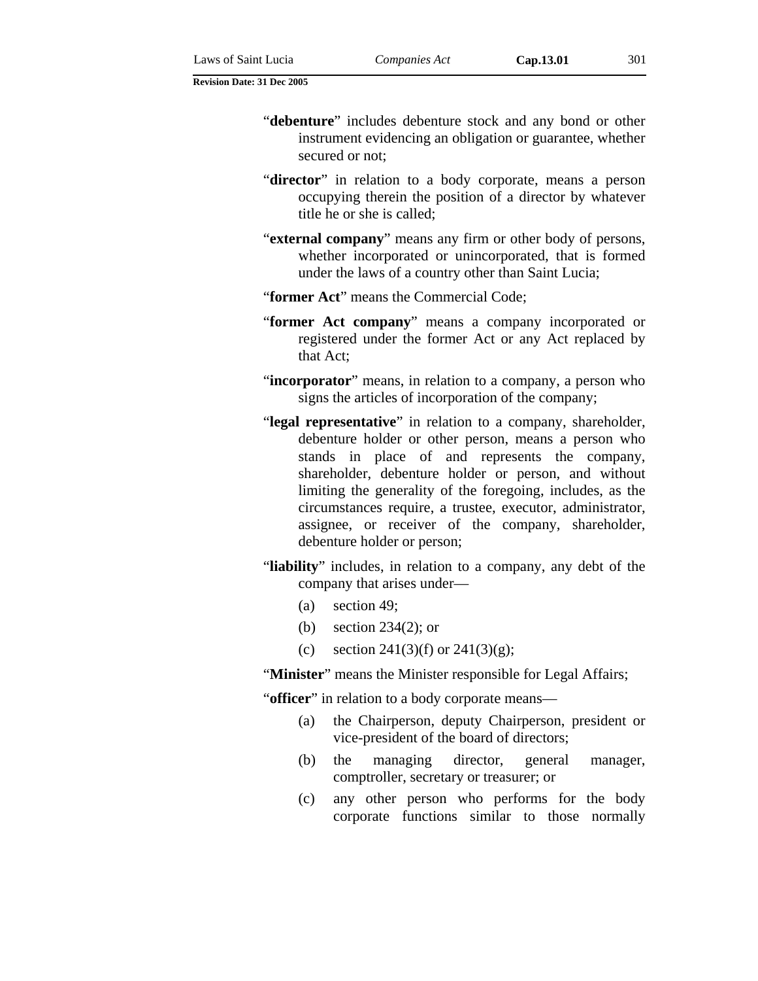- "**debenture**" includes debenture stock and any bond or other instrument evidencing an obligation or guarantee, whether secured or not;
- "**director**" in relation to a body corporate, means a person occupying therein the position of a director by whatever title he or she is called;
- "**external company**" means any firm or other body of persons, whether incorporated or unincorporated, that is formed under the laws of a country other than Saint Lucia;
- "**former Act**" means the Commercial Code;
- "**former Act company**" means a company incorporated or registered under the former Act or any Act replaced by that Act;
- "**incorporator**" means, in relation to a company, a person who signs the articles of incorporation of the company;
- "**legal representative**" in relation to a company, shareholder, debenture holder or other person, means a person who stands in place of and represents the company, shareholder, debenture holder or person, and without limiting the generality of the foregoing, includes, as the circumstances require, a trustee, executor, administrator, assignee, or receiver of the company, shareholder, debenture holder or person;
- "**liability**" includes, in relation to a company, any debt of the company that arises under—
	- (a) section 49;
	- (b) section 234(2); or
	- (c) section 241(3)(f) or 241(3)(g);

"**Minister**" means the Minister responsible for Legal Affairs;

"**officer**" in relation to a body corporate means—

- (a) the Chairperson, deputy Chairperson, president or vice-president of the board of directors;
- (b) the managing director, general manager, comptroller, secretary or treasurer; or
- (c) any other person who performs for the body corporate functions similar to those normally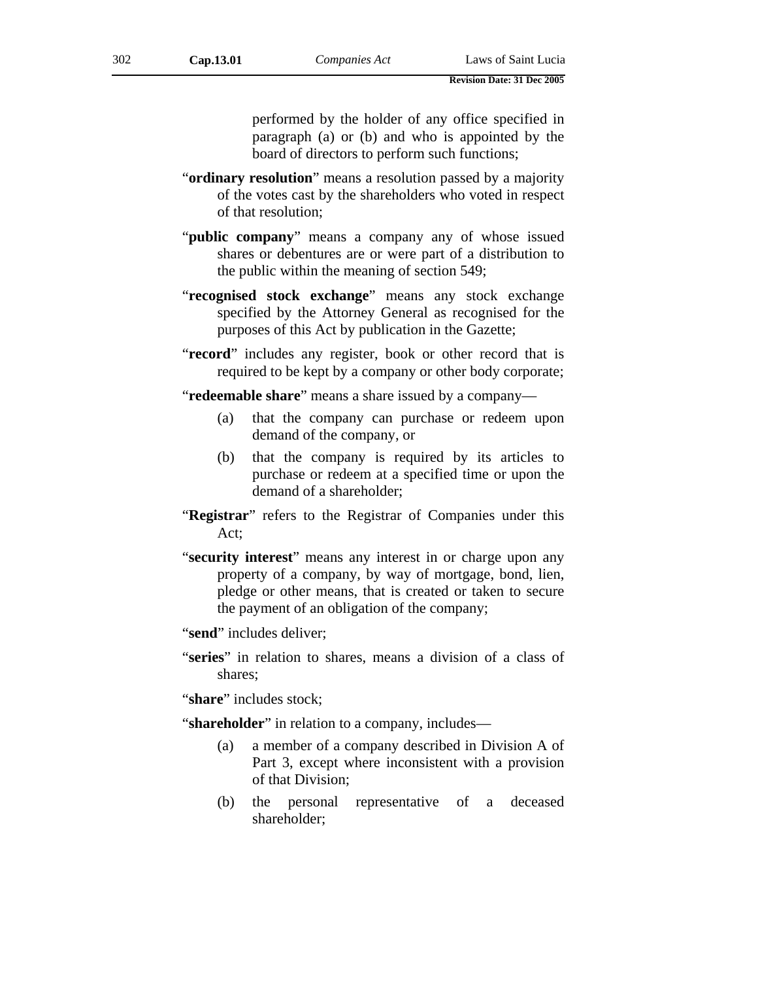performed by the holder of any office specified in paragraph (a) or (b) and who is appointed by the board of directors to perform such functions;

- "**ordinary resolution**" means a resolution passed by a majority of the votes cast by the shareholders who voted in respect of that resolution;
- "**public company**" means a company any of whose issued shares or debentures are or were part of a distribution to the public within the meaning of section 549;
- "**recognised stock exchange**" means any stock exchange specified by the Attorney General as recognised for the purposes of this Act by publication in the Gazette;
- "**record**" includes any register, book or other record that is required to be kept by a company or other body corporate;

"**redeemable share**" means a share issued by a company—

- (a) that the company can purchase or redeem upon demand of the company, or
- (b) that the company is required by its articles to purchase or redeem at a specified time or upon the demand of a shareholder;
- "**Registrar**" refers to the Registrar of Companies under this Act;
- "**security interest**" means any interest in or charge upon any property of a company, by way of mortgage, bond, lien, pledge or other means, that is created or taken to secure the payment of an obligation of the company;

"**send**" includes deliver;

"**series**" in relation to shares, means a division of a class of shares;

"share" includes stock;

"**shareholder**" in relation to a company, includes—

- (a) a member of a company described in Division A of Part 3, except where inconsistent with a provision of that Division;
- (b) the personal representative of a deceased shareholder;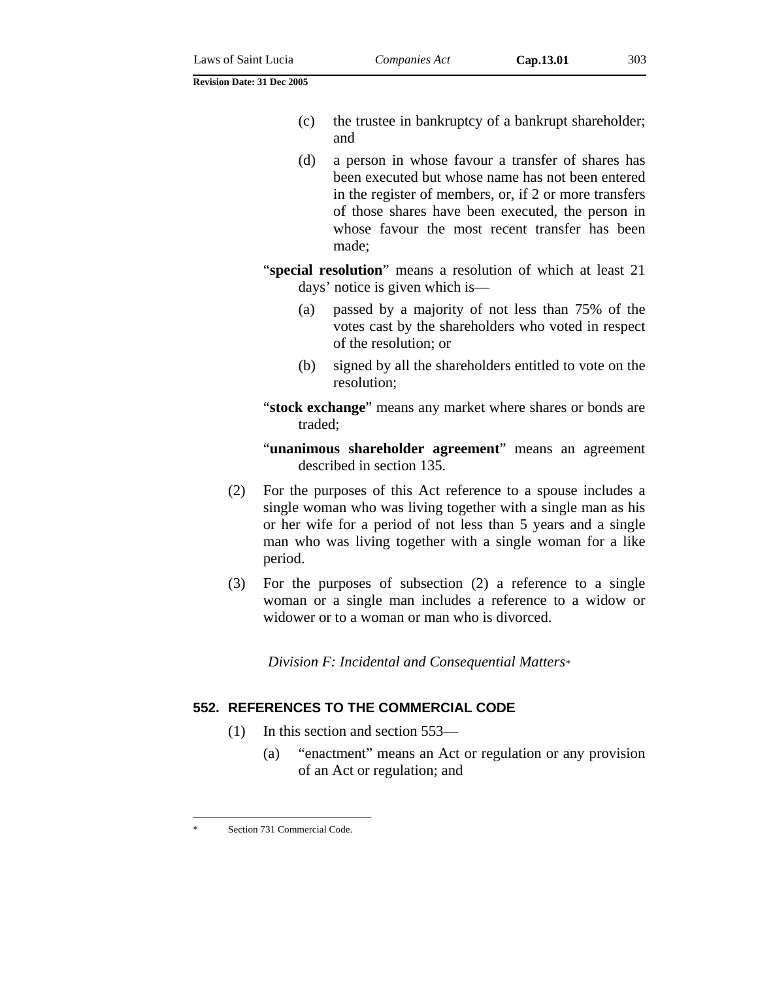- (c) the trustee in bankruptcy of a bankrupt shareholder; and
- (d) a person in whose favour a transfer of shares has been executed but whose name has not been entered in the register of members, or, if 2 or more transfers of those shares have been executed, the person in whose favour the most recent transfer has been made;
- "**special resolution**" means a resolution of which at least 21 days' notice is given which is—
	- (a) passed by a majority of not less than 75% of the votes cast by the shareholders who voted in respect of the resolution; or
	- (b) signed by all the shareholders entitled to vote on the resolution;
- "**stock exchange**" means any market where shares or bonds are traded;
- "**unanimous shareholder agreement**" means an agreement described in section 135.
- (2) For the purposes of this Act reference to a spouse includes a single woman who was living together with a single man as his or her wife for a period of not less than 5 years and a single man who was living together with a single woman for a like period.
- (3) For the purposes of subsection (2) a reference to a single woman or a single man includes a reference to a widow or widower or to a woman or man who is divorced.

*Division F: Incidental and Consequential Matters\**

## **552. REFERENCES TO THE COMMERCIAL CODE**

- (1) In this section and section 553—
	- (a) "enactment" means an Act or regulation or any provision of an Act or regulation; and

 $\overline{a}$ 

Section 731 Commercial Code.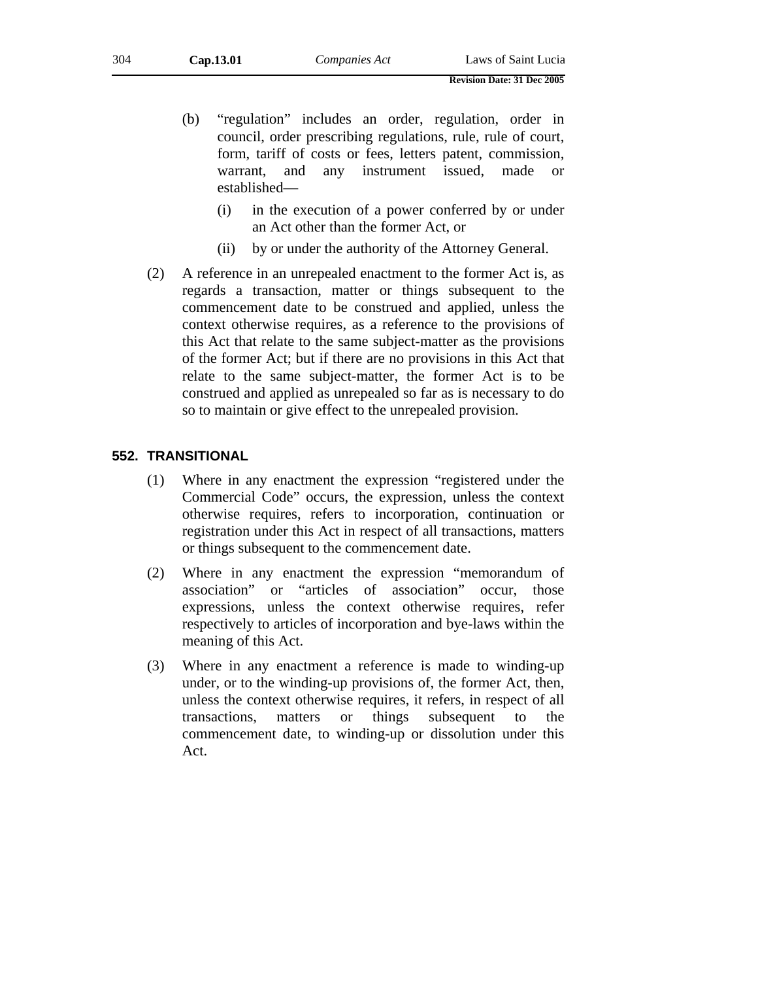- (b) "regulation" includes an order, regulation, order in council, order prescribing regulations, rule, rule of court, form, tariff of costs or fees, letters patent, commission, warrant, and any instrument issued, made or established—
	- (i) in the execution of a power conferred by or under an Act other than the former Act, or
	- (ii) by or under the authority of the Attorney General.
- (2) A reference in an unrepealed enactment to the former Act is, as regards a transaction, matter or things subsequent to the commencement date to be construed and applied, unless the context otherwise requires, as a reference to the provisions of this Act that relate to the same subject-matter as the provisions of the former Act; but if there are no provisions in this Act that relate to the same subject-matter, the former Act is to be construed and applied as unrepealed so far as is necessary to do so to maintain or give effect to the unrepealed provision.

## **552. TRANSITIONAL**

- (1) Where in any enactment the expression "registered under the Commercial Code" occurs, the expression, unless the context otherwise requires, refers to incorporation, continuation or registration under this Act in respect of all transactions, matters or things subsequent to the commencement date.
- (2) Where in any enactment the expression "memorandum of association" or "articles of association" occur, those expressions, unless the context otherwise requires, refer respectively to articles of incorporation and bye-laws within the meaning of this Act.
- (3) Where in any enactment a reference is made to winding-up under, or to the winding-up provisions of, the former Act, then, unless the context otherwise requires, it refers, in respect of all transactions, matters or things subsequent to the commencement date, to winding-up or dissolution under this Act.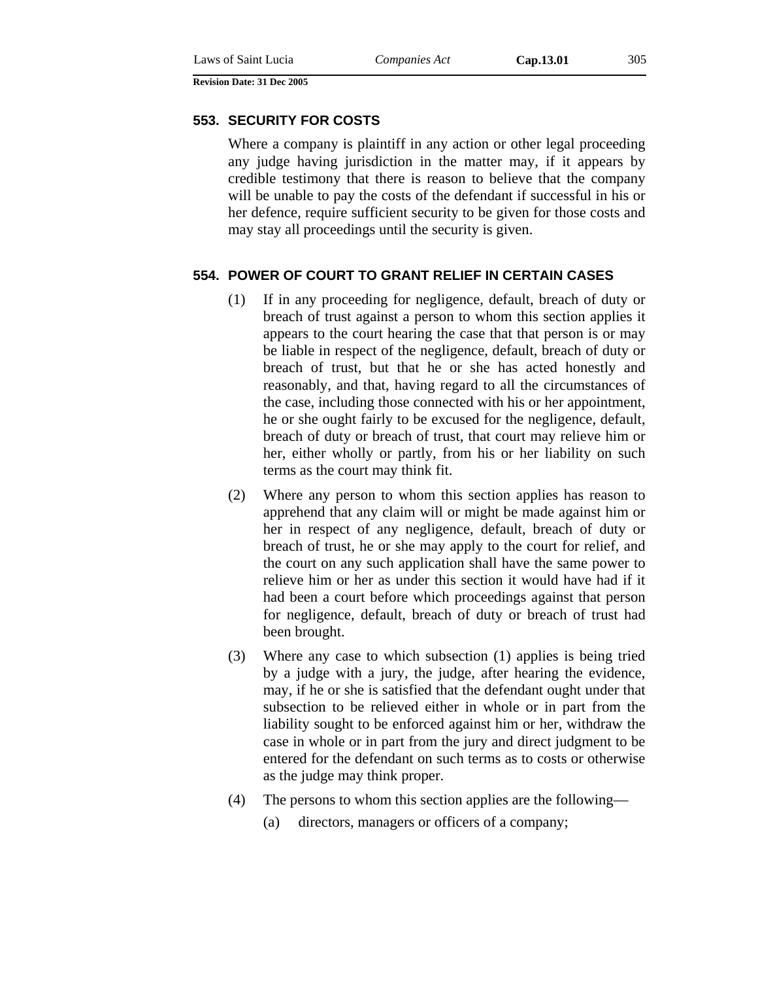### **553. SECURITY FOR COSTS**

Where a company is plaintiff in any action or other legal proceeding any judge having jurisdiction in the matter may, if it appears by credible testimony that there is reason to believe that the company will be unable to pay the costs of the defendant if successful in his or her defence, require sufficient security to be given for those costs and may stay all proceedings until the security is given.

### **554. POWER OF COURT TO GRANT RELIEF IN CERTAIN CASES**

- (1) If in any proceeding for negligence, default, breach of duty or breach of trust against a person to whom this section applies it appears to the court hearing the case that that person is or may be liable in respect of the negligence, default, breach of duty or breach of trust, but that he or she has acted honestly and reasonably, and that, having regard to all the circumstances of the case, including those connected with his or her appointment, he or she ought fairly to be excused for the negligence, default, breach of duty or breach of trust, that court may relieve him or her, either wholly or partly, from his or her liability on such terms as the court may think fit.
- (2) Where any person to whom this section applies has reason to apprehend that any claim will or might be made against him or her in respect of any negligence, default, breach of duty or breach of trust, he or she may apply to the court for relief, and the court on any such application shall have the same power to relieve him or her as under this section it would have had if it had been a court before which proceedings against that person for negligence, default, breach of duty or breach of trust had been brought.
- (3) Where any case to which subsection (1) applies is being tried by a judge with a jury, the judge, after hearing the evidence, may, if he or she is satisfied that the defendant ought under that subsection to be relieved either in whole or in part from the liability sought to be enforced against him or her, withdraw the case in whole or in part from the jury and direct judgment to be entered for the defendant on such terms as to costs or otherwise as the judge may think proper.
- (4) The persons to whom this section applies are the following—
	- (a) directors, managers or officers of a company;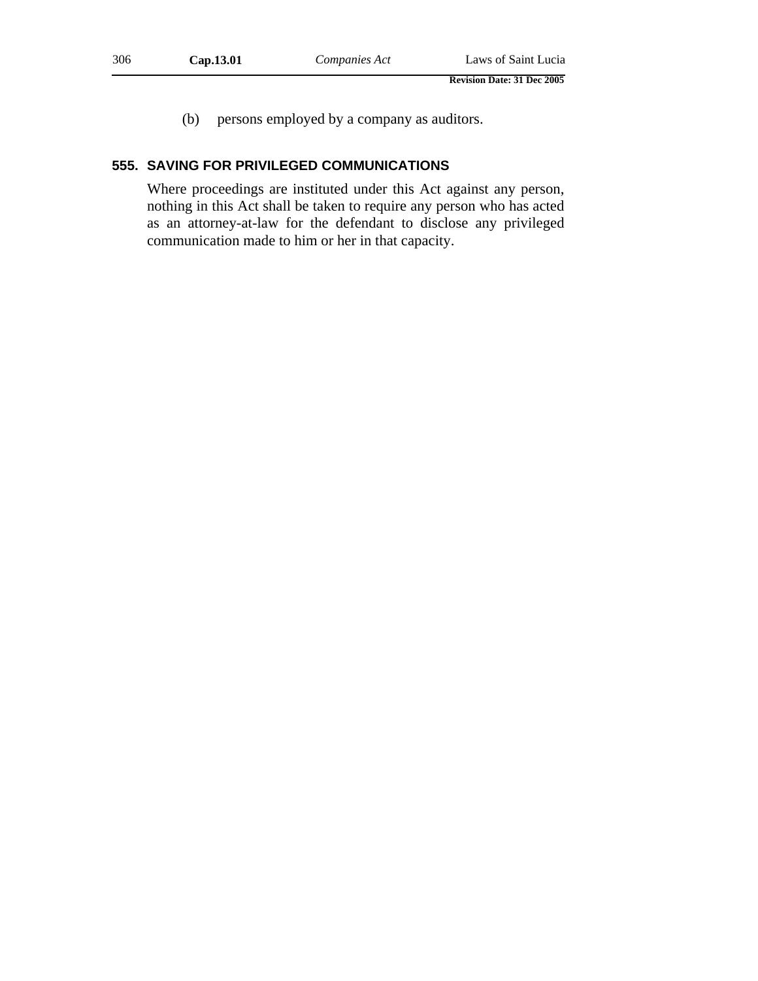- **Revision Date: 31 Dec 2005**
- (b) persons employed by a company as auditors.

## **555. SAVING FOR PRIVILEGED COMMUNICATIONS**

Where proceedings are instituted under this Act against any person, nothing in this Act shall be taken to require any person who has acted as an attorney-at-law for the defendant to disclose any privileged communication made to him or her in that capacity.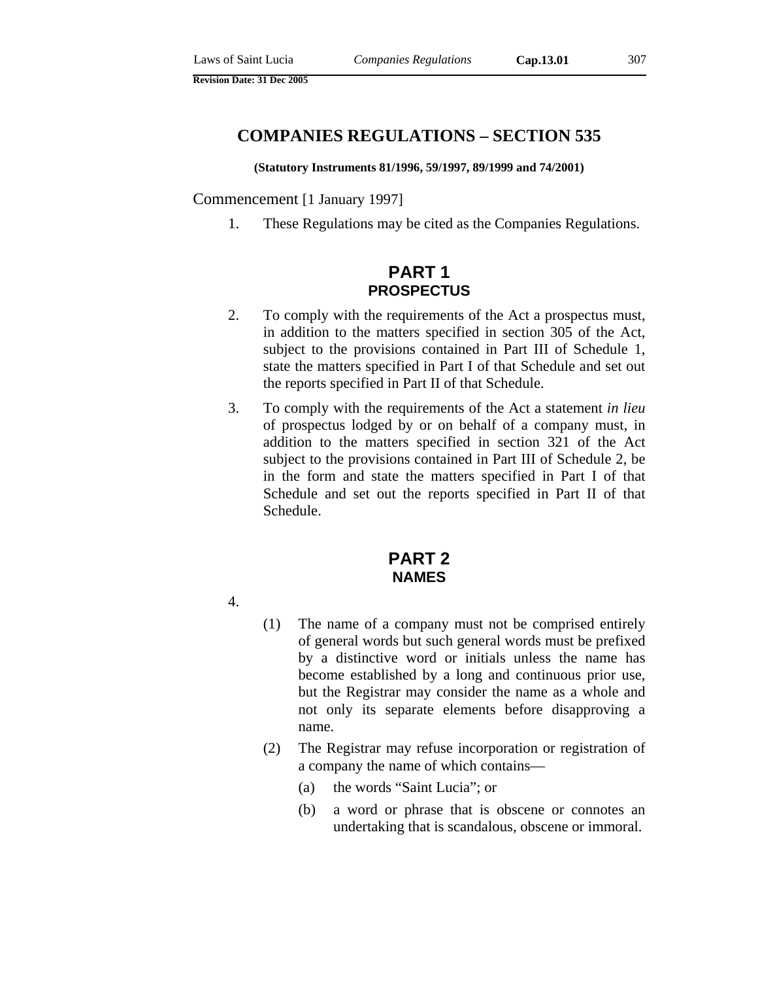# **COMPANIES REGULATIONS – SECTION 535**

#### **(Statutory Instruments 81/1996, 59/1997, 89/1999 and 74/2001)**

Commencement [1 January 1997]

1. These Regulations may be cited as the Companies Regulations.

# **PART 1 PROSPECTUS**

- 2. To comply with the requirements of the Act a prospectus must, in addition to the matters specified in section 305 of the Act, subject to the provisions contained in Part III of Schedule 1, state the matters specified in Part I of that Schedule and set out the reports specified in Part II of that Schedule.
- 3. To comply with the requirements of the Act a statement *in lieu* of prospectus lodged by or on behalf of a company must, in addition to the matters specified in section 321 of the Act subject to the provisions contained in Part III of Schedule 2, be in the form and state the matters specified in Part I of that Schedule and set out the reports specified in Part II of that Schedule.

# **PART 2 NAMES**

- 4.
- (1) The name of a company must not be comprised entirely of general words but such general words must be prefixed by a distinctive word or initials unless the name has become established by a long and continuous prior use, but the Registrar may consider the name as a whole and not only its separate elements before disapproving a name.
- (2) The Registrar may refuse incorporation or registration of a company the name of which contains—
	- (a) the words "Saint Lucia"; or
	- (b) a word or phrase that is obscene or connotes an undertaking that is scandalous, obscene or immoral.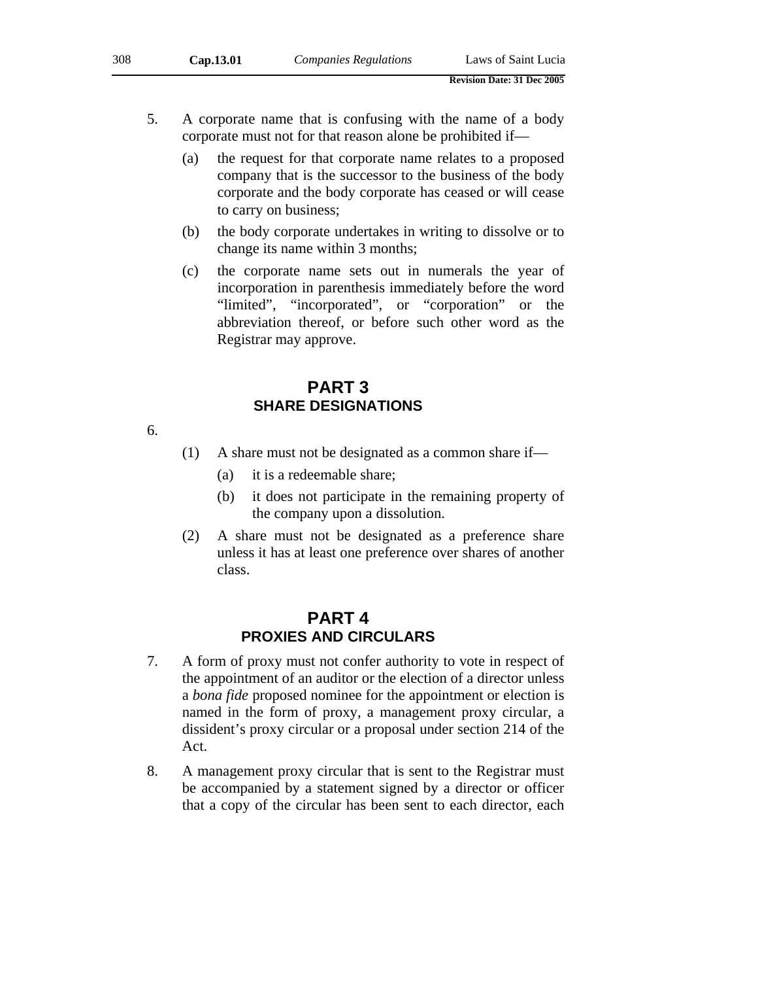- 5. A corporate name that is confusing with the name of a body corporate must not for that reason alone be prohibited if—
	- (a) the request for that corporate name relates to a proposed company that is the successor to the business of the body corporate and the body corporate has ceased or will cease to carry on business;
	- (b) the body corporate undertakes in writing to dissolve or to change its name within 3 months;
	- (c) the corporate name sets out in numerals the year of incorporation in parenthesis immediately before the word "limited", "incorporated", or "corporation" or the abbreviation thereof, or before such other word as the Registrar may approve.

## **PART 3 SHARE DESIGNATIONS**

6.

- (1) A share must not be designated as a common share if—
	- (a) it is a redeemable share;
	- (b) it does not participate in the remaining property of the company upon a dissolution.
- (2) A share must not be designated as a preference share unless it has at least one preference over shares of another class.

# **PART 4 PROXIES AND CIRCULARS**

- 7. A form of proxy must not confer authority to vote in respect of the appointment of an auditor or the election of a director unless a *bona fide* proposed nominee for the appointment or election is named in the form of proxy, a management proxy circular, a dissident's proxy circular or a proposal under section 214 of the Act.
- 8. A management proxy circular that is sent to the Registrar must be accompanied by a statement signed by a director or officer that a copy of the circular has been sent to each director, each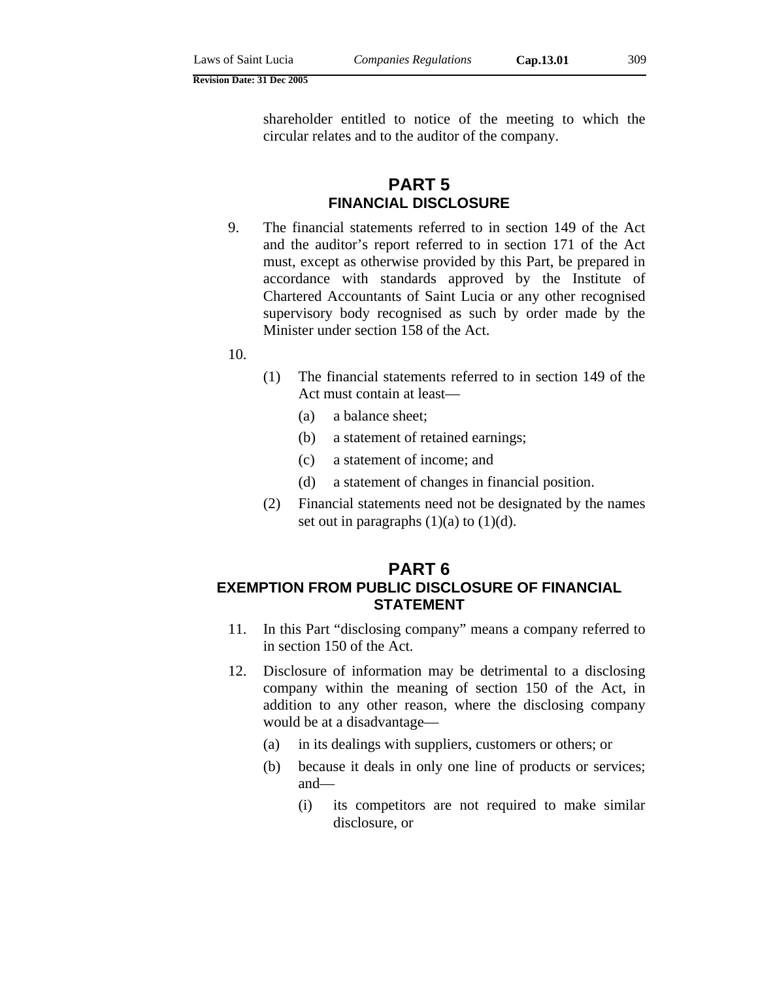shareholder entitled to notice of the meeting to which the circular relates and to the auditor of the company.

# **PART 5 FINANCIAL DISCLOSURE**

- 9. The financial statements referred to in section 149 of the Act and the auditor's report referred to in section 171 of the Act must, except as otherwise provided by this Part, be prepared in accordance with standards approved by the Institute of Chartered Accountants of Saint Lucia or any other recognised supervisory body recognised as such by order made by the Minister under section 158 of the Act.
- 10.
- (1) The financial statements referred to in section 149 of the Act must contain at least—
	- (a) a balance sheet;
	- (b) a statement of retained earnings;
	- (c) a statement of income; and
	- (d) a statement of changes in financial position.
- (2) Financial statements need not be designated by the names set out in paragraphs  $(1)(a)$  to  $(1)(d)$ .

## **PART 6 EXEMPTION FROM PUBLIC DISCLOSURE OF FINANCIAL STATEMENT**

- 11. In this Part "disclosing company" means a company referred to in section 150 of the Act.
- 12. Disclosure of information may be detrimental to a disclosing company within the meaning of section 150 of the Act, in addition to any other reason, where the disclosing company would be at a disadvantage—
	- (a) in its dealings with suppliers, customers or others; or
	- (b) because it deals in only one line of products or services; and—
		- (i) its competitors are not required to make similar disclosure, or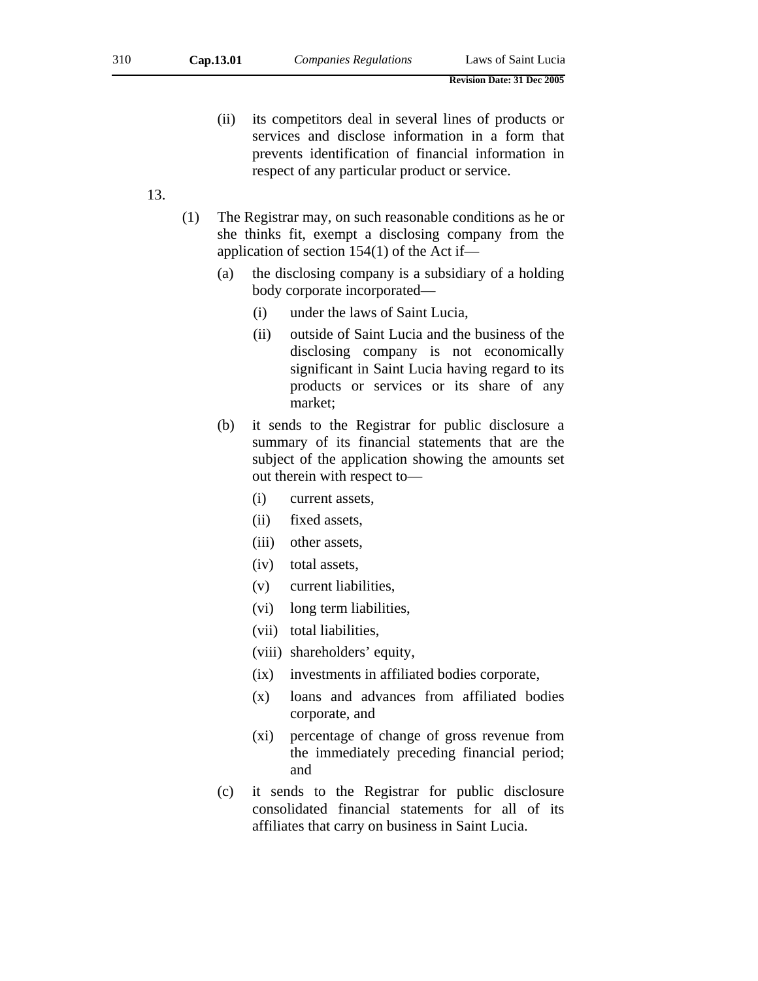- (ii) its competitors deal in several lines of products or services and disclose information in a form that prevents identification of financial information in respect of any particular product or service.
- 13.
- (1) The Registrar may, on such reasonable conditions as he or she thinks fit, exempt a disclosing company from the application of section 154(1) of the Act if—
	- (a) the disclosing company is a subsidiary of a holding body corporate incorporated—
		- (i) under the laws of Saint Lucia,
		- (ii) outside of Saint Lucia and the business of the disclosing company is not economically significant in Saint Lucia having regard to its products or services or its share of any market;
	- (b) it sends to the Registrar for public disclosure a summary of its financial statements that are the subject of the application showing the amounts set out therein with respect to—
		- (i) current assets,
		- (ii) fixed assets,
		- (iii) other assets,
		- (iv) total assets,
		- (v) current liabilities,
		- (vi) long term liabilities,
		- (vii) total liabilities,
		- (viii) shareholders' equity,
		- (ix) investments in affiliated bodies corporate,
		- (x) loans and advances from affiliated bodies corporate, and
		- (xi) percentage of change of gross revenue from the immediately preceding financial period; and
	- (c) it sends to the Registrar for public disclosure consolidated financial statements for all of its affiliates that carry on business in Saint Lucia.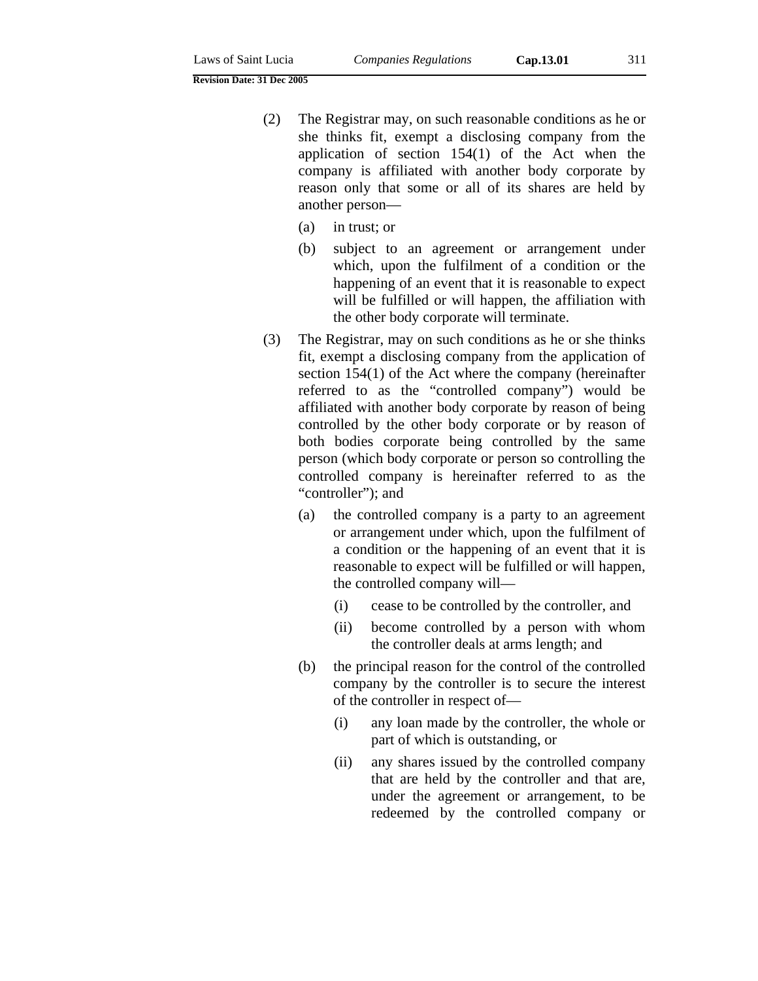- (2) The Registrar may, on such reasonable conditions as he or she thinks fit, exempt a disclosing company from the application of section 154(1) of the Act when the company is affiliated with another body corporate by reason only that some or all of its shares are held by another person—
	- (a) in trust; or
	- (b) subject to an agreement or arrangement under which, upon the fulfilment of a condition or the happening of an event that it is reasonable to expect will be fulfilled or will happen, the affiliation with the other body corporate will terminate.
- (3) The Registrar, may on such conditions as he or she thinks fit, exempt a disclosing company from the application of section 154(1) of the Act where the company (hereinafter referred to as the "controlled company") would be affiliated with another body corporate by reason of being controlled by the other body corporate or by reason of both bodies corporate being controlled by the same person (which body corporate or person so controlling the controlled company is hereinafter referred to as the "controller"); and
	- (a) the controlled company is a party to an agreement or arrangement under which, upon the fulfilment of a condition or the happening of an event that it is reasonable to expect will be fulfilled or will happen, the controlled company will—
		- (i) cease to be controlled by the controller, and
		- (ii) become controlled by a person with whom the controller deals at arms length; and
	- (b) the principal reason for the control of the controlled company by the controller is to secure the interest of the controller in respect of—
		- (i) any loan made by the controller, the whole or part of which is outstanding, or
		- (ii) any shares issued by the controlled company that are held by the controller and that are, under the agreement or arrangement, to be redeemed by the controlled company or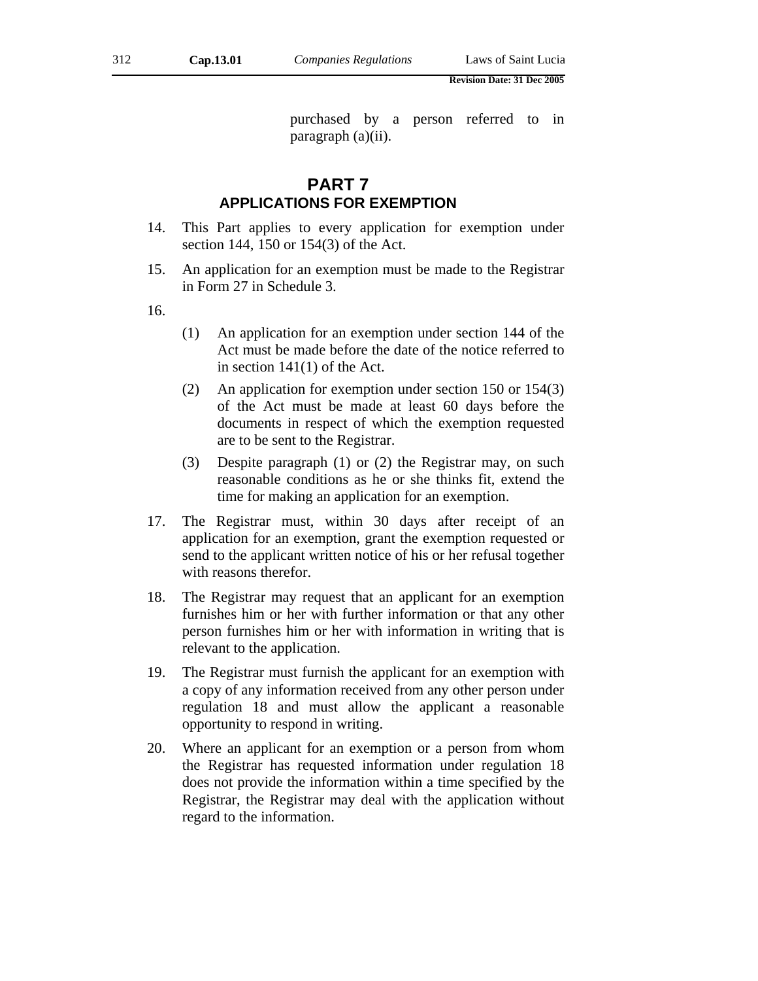purchased by a person referred to in paragraph (a)(ii).

# **PART 7 APPLICATIONS FOR EXEMPTION**

- 14. This Part applies to every application for exemption under section 144, 150 or 154(3) of the Act.
- 15. An application for an exemption must be made to the Registrar in Form 27 in Schedule 3.
- 16.
- (1) An application for an exemption under section 144 of the Act must be made before the date of the notice referred to in section 141(1) of the Act.
- (2) An application for exemption under section 150 or 154(3) of the Act must be made at least 60 days before the documents in respect of which the exemption requested are to be sent to the Registrar.
- (3) Despite paragraph (1) or (2) the Registrar may, on such reasonable conditions as he or she thinks fit, extend the time for making an application for an exemption.
- 17. The Registrar must, within 30 days after receipt of an application for an exemption, grant the exemption requested or send to the applicant written notice of his or her refusal together with reasons therefor.
- 18. The Registrar may request that an applicant for an exemption furnishes him or her with further information or that any other person furnishes him or her with information in writing that is relevant to the application.
- 19. The Registrar must furnish the applicant for an exemption with a copy of any information received from any other person under regulation 18 and must allow the applicant a reasonable opportunity to respond in writing.
- 20. Where an applicant for an exemption or a person from whom the Registrar has requested information under regulation 18 does not provide the information within a time specified by the Registrar, the Registrar may deal with the application without regard to the information.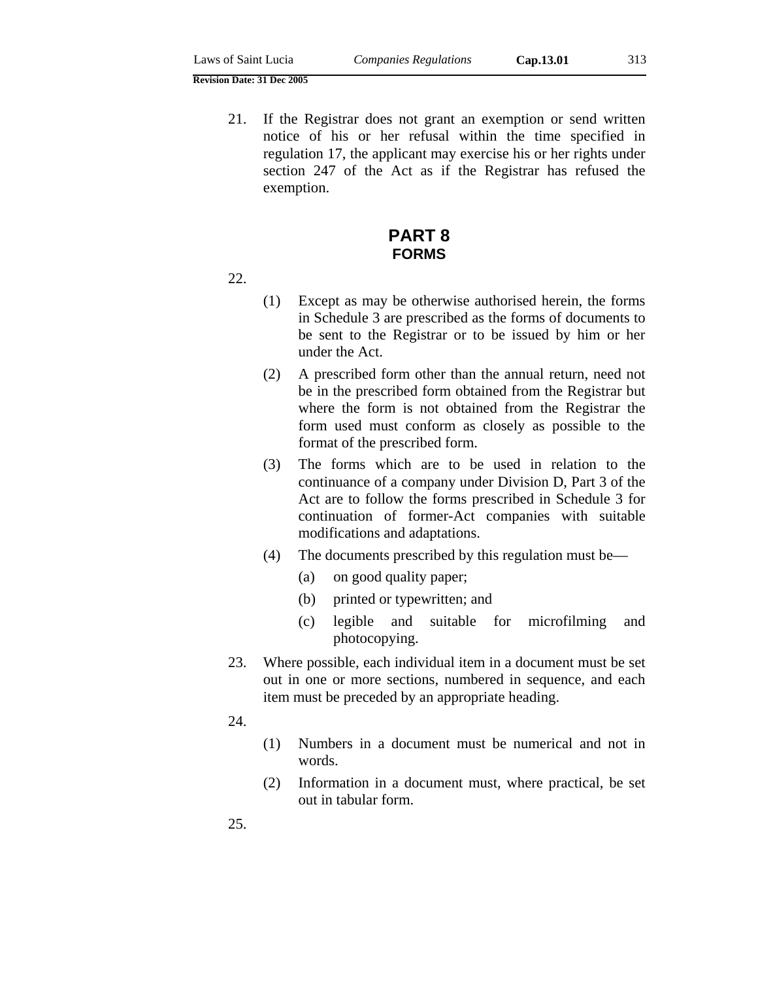21. If the Registrar does not grant an exemption or send written notice of his or her refusal within the time specified in regulation 17, the applicant may exercise his or her rights under section 247 of the Act as if the Registrar has refused the exemption.

# **PART 8 FORMS**

### 22.

- (1) Except as may be otherwise authorised herein, the forms in Schedule 3 are prescribed as the forms of documents to be sent to the Registrar or to be issued by him or her under the Act.
- (2) A prescribed form other than the annual return, need not be in the prescribed form obtained from the Registrar but where the form is not obtained from the Registrar the form used must conform as closely as possible to the format of the prescribed form.
- (3) The forms which are to be used in relation to the continuance of a company under Division D, Part 3 of the Act are to follow the forms prescribed in Schedule 3 for continuation of former-Act companies with suitable modifications and adaptations.
- (4) The documents prescribed by this regulation must be—
	- (a) on good quality paper;
	- (b) printed or typewritten; and
	- (c) legible and suitable for microfilming and photocopying.
- 23. Where possible, each individual item in a document must be set out in one or more sections, numbered in sequence, and each item must be preceded by an appropriate heading.
- 24.
- (1) Numbers in a document must be numerical and not in words.
- (2) Information in a document must, where practical, be set out in tabular form.

25.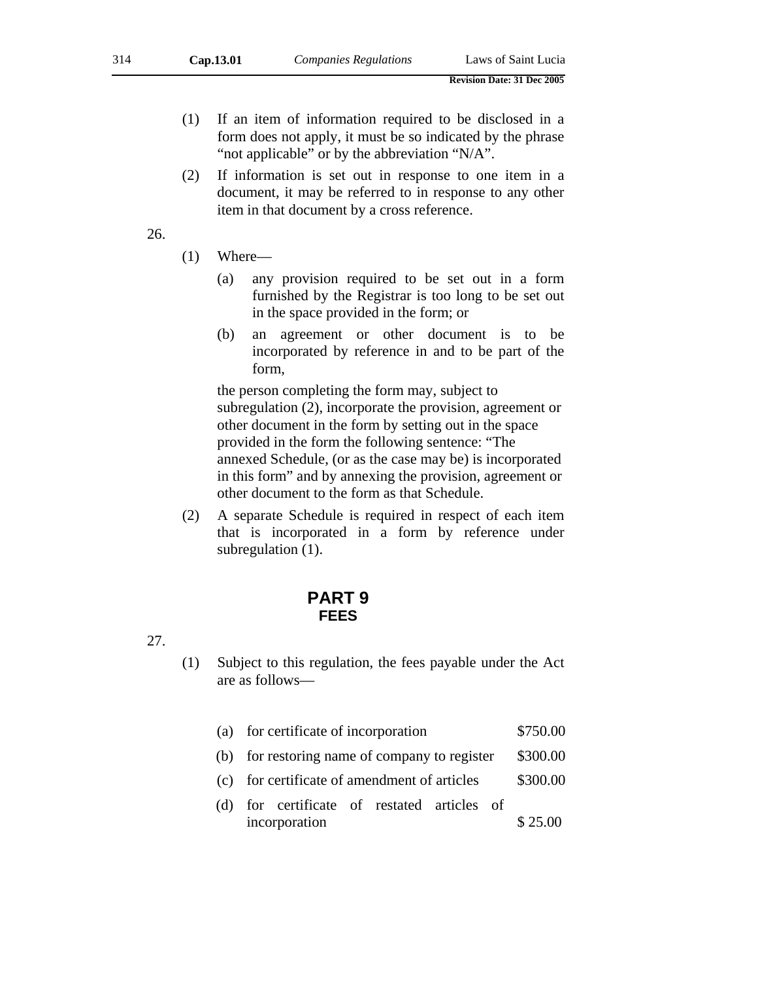- (1) If an item of information required to be disclosed in a form does not apply, it must be so indicated by the phrase "not applicable" or by the abbreviation "N/A".
- (2) If information is set out in response to one item in a document, it may be referred to in response to any other item in that document by a cross reference.

26.

- (1) Where—
	- (a) any provision required to be set out in a form furnished by the Registrar is too long to be set out in the space provided in the form; or
	- (b) an agreement or other document is to be incorporated by reference in and to be part of the form,

the person completing the form may, subject to subregulation (2), incorporate the provision, agreement or other document in the form by setting out in the space provided in the form the following sentence: "The annexed Schedule, (or as the case may be) is incorporated in this form" and by annexing the provision, agreement or other document to the form as that Schedule.

(2) A separate Schedule is required in respect of each item that is incorporated in a form by reference under subregulation (1).

# **PART 9 FEES**

27.

(1) Subject to this regulation, the fees payable under the Act are as follows—

|  | (a) for certificate of incorporation | \$750.00 |
|--|--------------------------------------|----------|
|--|--------------------------------------|----------|

- (b) for restoring name of company to register \$300.00
- (c) for certificate of amendment of articles \$300.00
- (d) for certificate of restated articles of incorporation \$25.00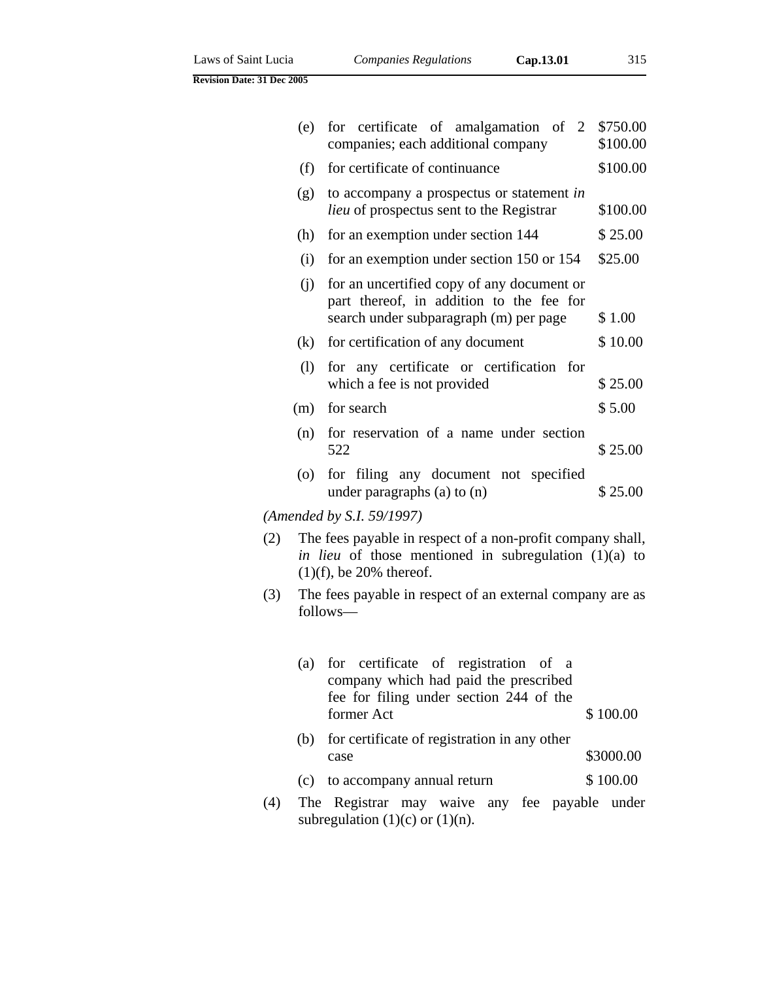|  | Laws of Saint Lucia |
|--|---------------------|
|  |                     |

| (e) | for certificate of amalgamation of 2<br>companies; each additional company                                                       | \$750.00<br>\$100.00 |
|-----|----------------------------------------------------------------------------------------------------------------------------------|----------------------|
| (f) | for certificate of continuance                                                                                                   | \$100.00             |
| (g) | to accompany a prospectus or statement in<br><i>lieu</i> of prospectus sent to the Registrar                                     | \$100.00             |
| (h) | for an exemption under section 144                                                                                               | \$25.00              |
| (i) | for an exemption under section 150 or 154                                                                                        | \$25.00              |
| (i) | for an uncertified copy of any document or<br>part thereof, in addition to the fee for<br>search under subparagraph (m) per page | \$1.00               |
| (k) | for certification of any document                                                                                                | \$10.00              |
| (1) | for any certificate or certification for<br>which a fee is not provided                                                          | \$25.00              |
| (m) | for search                                                                                                                       | \$5.00               |
| (n) | for reservation of a name under section<br>522                                                                                   | \$25.00              |
| (0) | for filing any document not specified<br>under paragraphs $(a)$ to $(n)$                                                         | \$25.00              |

*(Amended by S.I. 59/1997)* 

- (2) The fees payable in respect of a non-profit company shall, *in lieu* of those mentioned in subregulation (1)(a) to  $(1)(f)$ , be 20% thereof.
- (3) The fees payable in respect of an external company are as follows—

|     | (a) | for certificate of registration of a<br>company which had paid the prescribed<br>fee for filing under section 244 of the<br>former Act | \$100.00  |
|-----|-----|----------------------------------------------------------------------------------------------------------------------------------------|-----------|
|     | (b) | for certificate of registration in any other                                                                                           |           |
|     |     | case                                                                                                                                   | \$3000.00 |
|     | (c) | to accompany annual return                                                                                                             | \$100.00  |
| (4) |     | The Registrar may waive any fee payable under                                                                                          |           |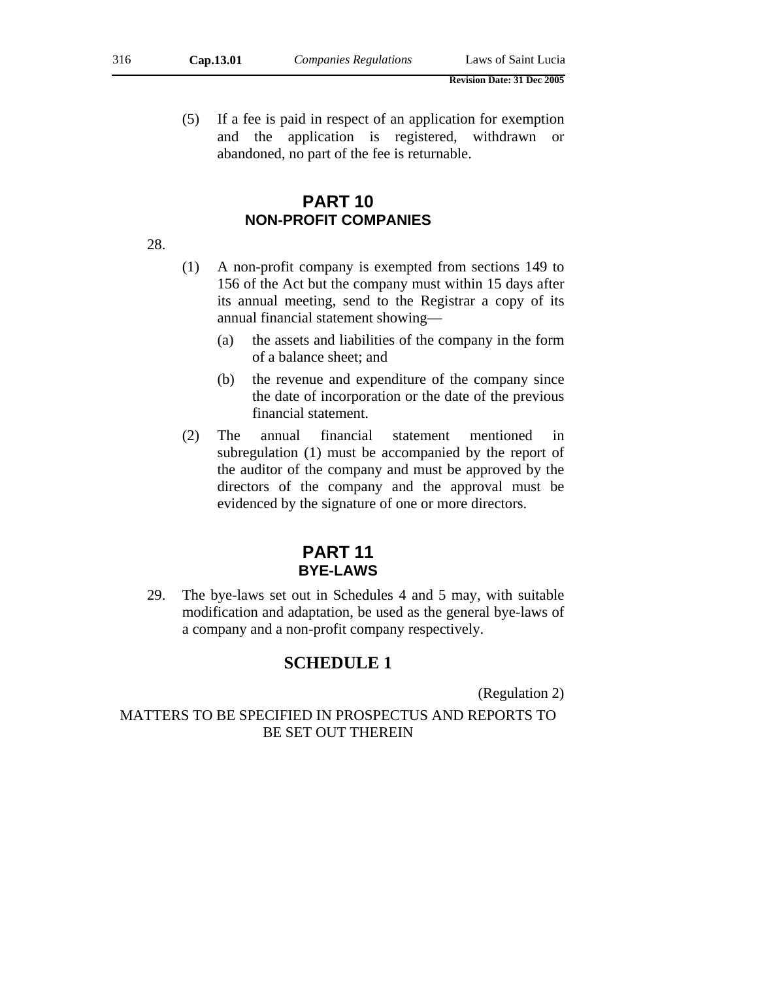(5) If a fee is paid in respect of an application for exemption and the application is registered, withdrawn or abandoned, no part of the fee is returnable.

# **PART 10 NON-PROFIT COMPANIES**

28.

- (1) A non-profit company is exempted from sections 149 to 156 of the Act but the company must within 15 days after its annual meeting, send to the Registrar a copy of its annual financial statement showing—
	- (a) the assets and liabilities of the company in the form of a balance sheet; and
	- (b) the revenue and expenditure of the company since the date of incorporation or the date of the previous financial statement.
- (2) The annual financial statement mentioned in subregulation (1) must be accompanied by the report of the auditor of the company and must be approved by the directors of the company and the approval must be evidenced by the signature of one or more directors.

# **PART 11 BYE-LAWS**

29. The bye-laws set out in Schedules 4 and 5 may, with suitable modification and adaptation, be used as the general bye-laws of a company and a non-profit company respectively.

# **SCHEDULE 1**

(Regulation 2)

MATTERS TO BE SPECIFIED IN PROSPECTUS AND REPORTS TO BE SET OUT THEREIN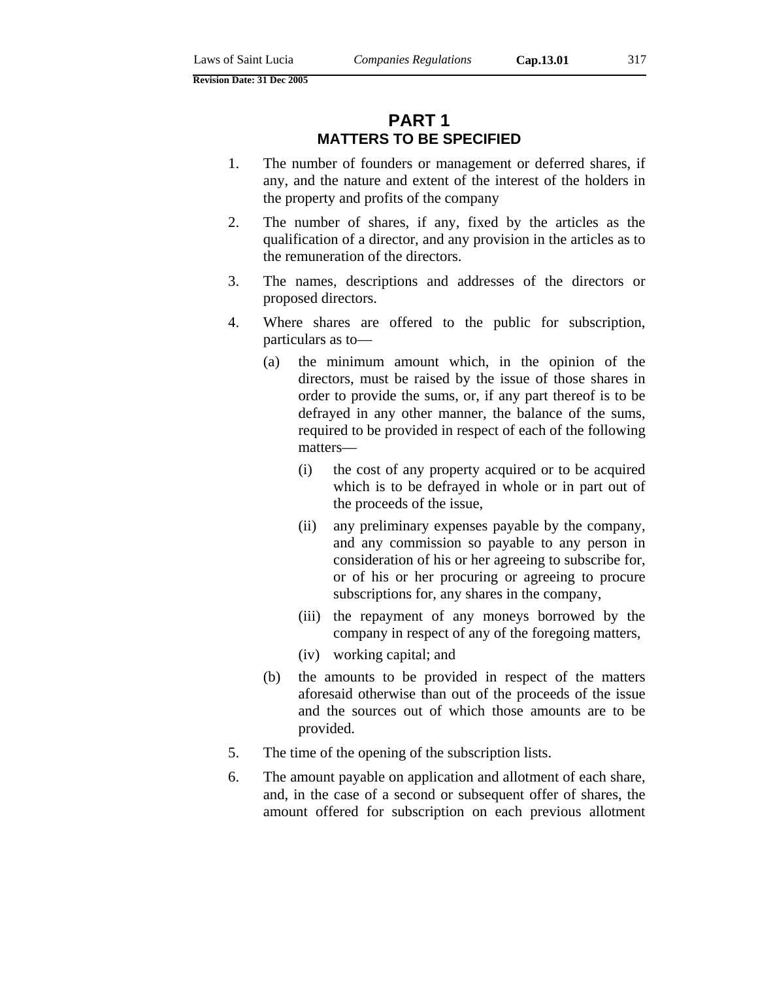# **PART 1 MATTERS TO BE SPECIFIED**

- 1. The number of founders or management or deferred shares, if any, and the nature and extent of the interest of the holders in the property and profits of the company
- 2. The number of shares, if any, fixed by the articles as the qualification of a director, and any provision in the articles as to the remuneration of the directors.
- 3. The names, descriptions and addresses of the directors or proposed directors.
- 4. Where shares are offered to the public for subscription, particulars as to—
	- (a) the minimum amount which, in the opinion of the directors, must be raised by the issue of those shares in order to provide the sums, or, if any part thereof is to be defrayed in any other manner, the balance of the sums, required to be provided in respect of each of the following matters—
		- (i) the cost of any property acquired or to be acquired which is to be defrayed in whole or in part out of the proceeds of the issue,
		- (ii) any preliminary expenses payable by the company, and any commission so payable to any person in consideration of his or her agreeing to subscribe for, or of his or her procuring or agreeing to procure subscriptions for, any shares in the company,
		- (iii) the repayment of any moneys borrowed by the company in respect of any of the foregoing matters,
		- (iv) working capital; and
	- (b) the amounts to be provided in respect of the matters aforesaid otherwise than out of the proceeds of the issue and the sources out of which those amounts are to be provided.
- 5. The time of the opening of the subscription lists.
- 6. The amount payable on application and allotment of each share, and, in the case of a second or subsequent offer of shares, the amount offered for subscription on each previous allotment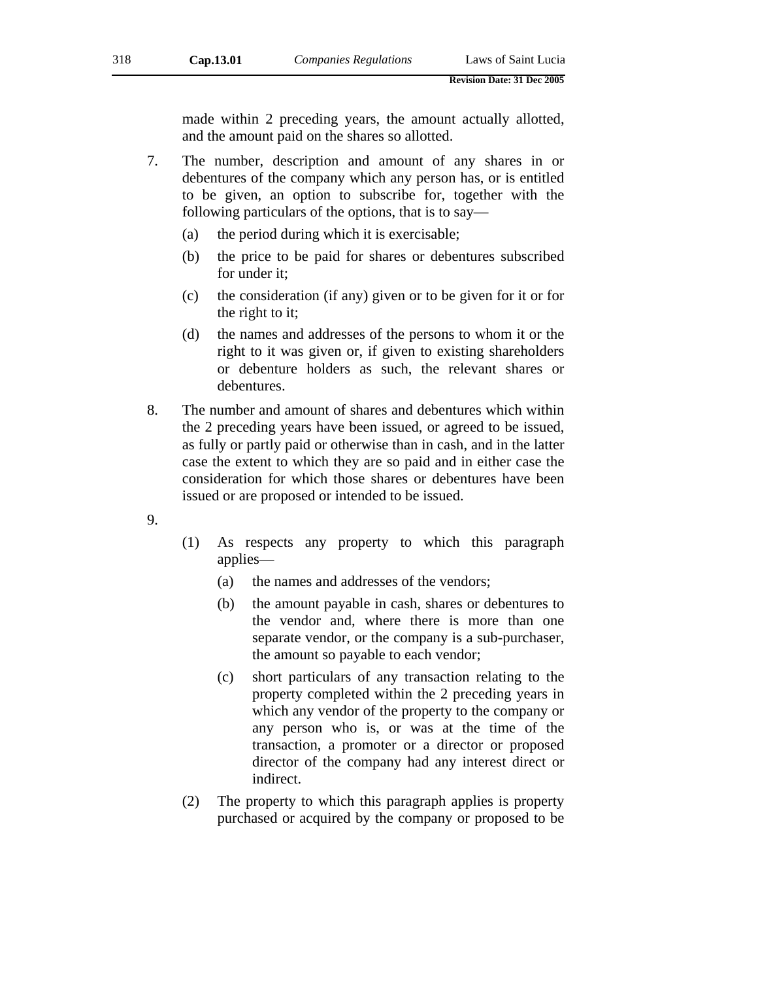made within 2 preceding years, the amount actually allotted, and the amount paid on the shares so allotted.

- 7. The number, description and amount of any shares in or debentures of the company which any person has, or is entitled to be given, an option to subscribe for, together with the following particulars of the options, that is to say—
	- (a) the period during which it is exercisable;
	- (b) the price to be paid for shares or debentures subscribed for under it;
	- (c) the consideration (if any) given or to be given for it or for the right to it;
	- (d) the names and addresses of the persons to whom it or the right to it was given or, if given to existing shareholders or debenture holders as such, the relevant shares or debentures.
- 8. The number and amount of shares and debentures which within the 2 preceding years have been issued, or agreed to be issued, as fully or partly paid or otherwise than in cash, and in the latter case the extent to which they are so paid and in either case the consideration for which those shares or debentures have been issued or are proposed or intended to be issued.
- 9.
- (1) As respects any property to which this paragraph applies—
	- (a) the names and addresses of the vendors;
	- (b) the amount payable in cash, shares or debentures to the vendor and, where there is more than one separate vendor, or the company is a sub-purchaser, the amount so payable to each vendor;
	- (c) short particulars of any transaction relating to the property completed within the 2 preceding years in which any vendor of the property to the company or any person who is, or was at the time of the transaction, a promoter or a director or proposed director of the company had any interest direct or indirect.
- (2) The property to which this paragraph applies is property purchased or acquired by the company or proposed to be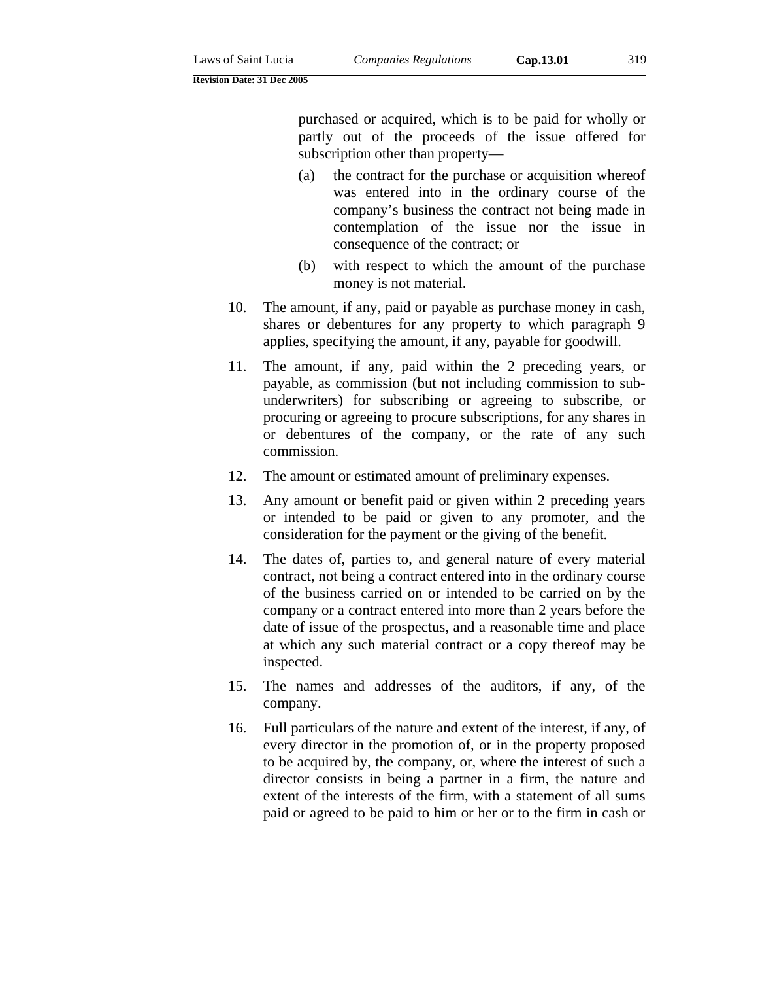purchased or acquired, which is to be paid for wholly or partly out of the proceeds of the issue offered for subscription other than property—

- (a) the contract for the purchase or acquisition whereof was entered into in the ordinary course of the company's business the contract not being made in contemplation of the issue nor the issue in consequence of the contract; or
- (b) with respect to which the amount of the purchase money is not material.
- 10. The amount, if any, paid or payable as purchase money in cash, shares or debentures for any property to which paragraph 9 applies, specifying the amount, if any, payable for goodwill.
- 11. The amount, if any, paid within the 2 preceding years, or payable, as commission (but not including commission to subunderwriters) for subscribing or agreeing to subscribe, or procuring or agreeing to procure subscriptions, for any shares in or debentures of the company, or the rate of any such commission.
- 12. The amount or estimated amount of preliminary expenses.
- 13. Any amount or benefit paid or given within 2 preceding years or intended to be paid or given to any promoter, and the consideration for the payment or the giving of the benefit.
- 14. The dates of, parties to, and general nature of every material contract, not being a contract entered into in the ordinary course of the business carried on or intended to be carried on by the company or a contract entered into more than 2 years before the date of issue of the prospectus, and a reasonable time and place at which any such material contract or a copy thereof may be inspected.
- 15. The names and addresses of the auditors, if any, of the company.
- 16. Full particulars of the nature and extent of the interest, if any, of every director in the promotion of, or in the property proposed to be acquired by, the company, or, where the interest of such a director consists in being a partner in a firm, the nature and extent of the interests of the firm, with a statement of all sums paid or agreed to be paid to him or her or to the firm in cash or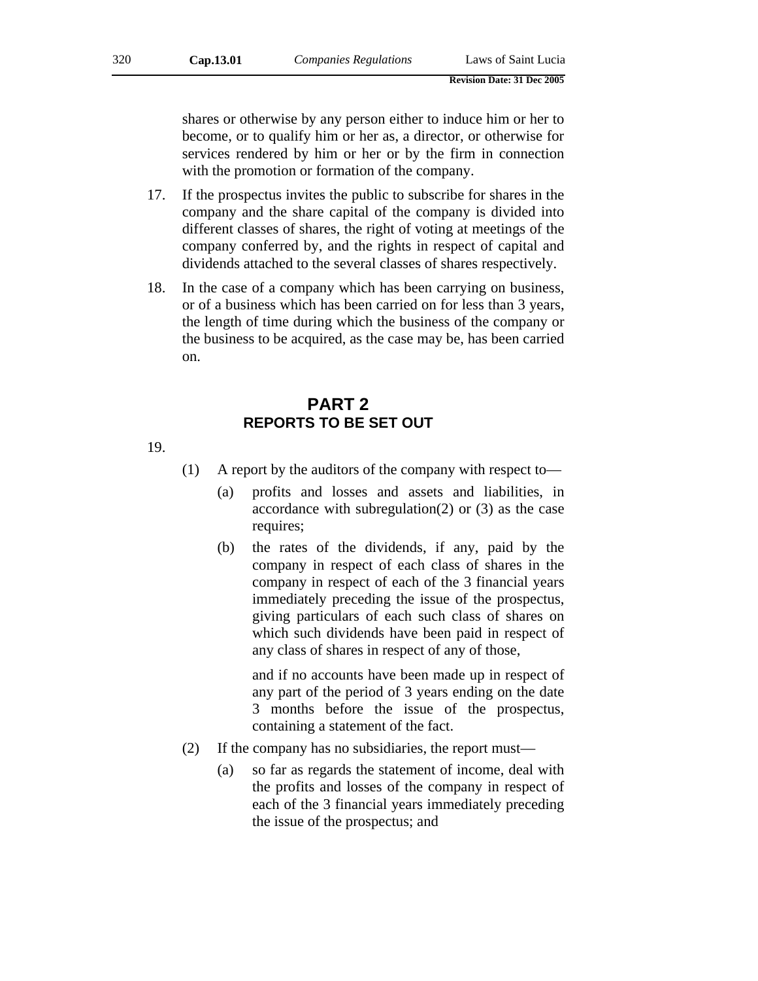shares or otherwise by any person either to induce him or her to become, or to qualify him or her as, a director, or otherwise for services rendered by him or her or by the firm in connection with the promotion or formation of the company.

- 17. If the prospectus invites the public to subscribe for shares in the company and the share capital of the company is divided into different classes of shares, the right of voting at meetings of the company conferred by, and the rights in respect of capital and dividends attached to the several classes of shares respectively.
- 18. In the case of a company which has been carrying on business, or of a business which has been carried on for less than 3 years, the length of time during which the business of the company or the business to be acquired, as the case may be, has been carried on.

# **PART 2 REPORTS TO BE SET OUT**

19.

- (1) A report by the auditors of the company with respect to—
	- (a) profits and losses and assets and liabilities, in accordance with subregulation(2) or (3) as the case requires;
	- (b) the rates of the dividends, if any, paid by the company in respect of each class of shares in the company in respect of each of the 3 financial years immediately preceding the issue of the prospectus, giving particulars of each such class of shares on which such dividends have been paid in respect of any class of shares in respect of any of those,

and if no accounts have been made up in respect of any part of the period of 3 years ending on the date 3 months before the issue of the prospectus, containing a statement of the fact.

- (2) If the company has no subsidiaries, the report must—
	- (a) so far as regards the statement of income, deal with the profits and losses of the company in respect of each of the 3 financial years immediately preceding the issue of the prospectus; and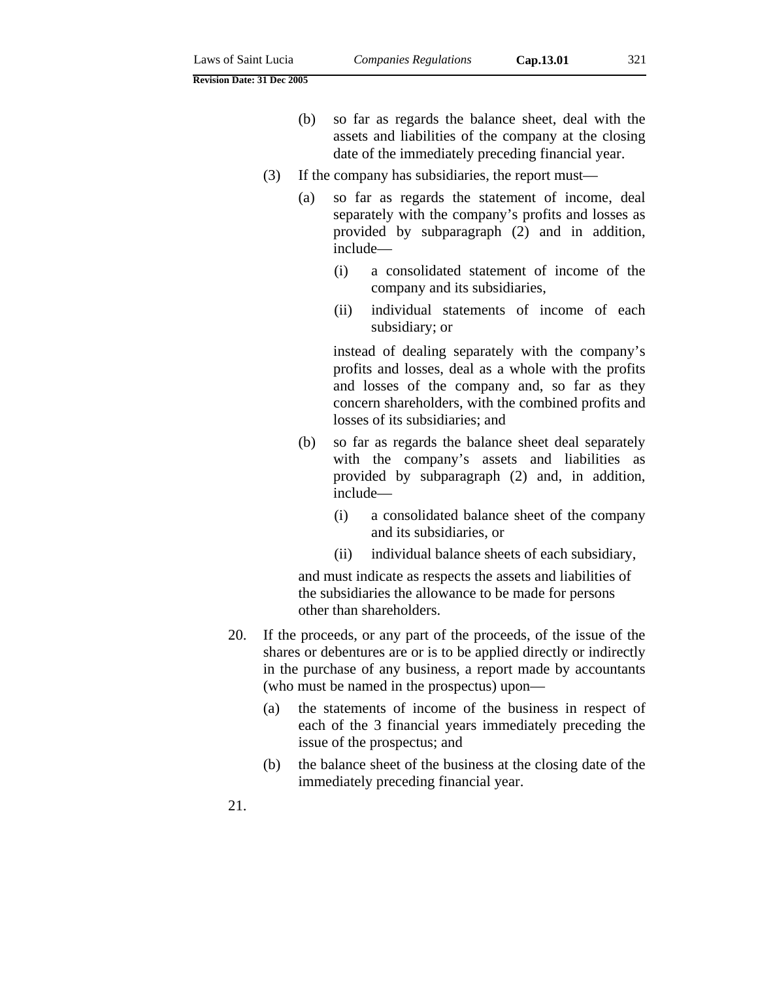- (b) so far as regards the balance sheet, deal with the assets and liabilities of the company at the closing date of the immediately preceding financial year.
- (3) If the company has subsidiaries, the report must—
	- (a) so far as regards the statement of income, deal separately with the company's profits and losses as provided by subparagraph (2) and in addition, include—
		- (i) a consolidated statement of income of the company and its subsidiaries,
		- (ii) individual statements of income of each subsidiary; or

instead of dealing separately with the company's profits and losses, deal as a whole with the profits and losses of the company and, so far as they concern shareholders, with the combined profits and losses of its subsidiaries; and

- (b) so far as regards the balance sheet deal separately with the company's assets and liabilities as provided by subparagraph (2) and, in addition, include—
	- (i) a consolidated balance sheet of the company and its subsidiaries, or
	- (ii) individual balance sheets of each subsidiary,

and must indicate as respects the assets and liabilities of the subsidiaries the allowance to be made for persons other than shareholders.

- 20. If the proceeds, or any part of the proceeds, of the issue of the shares or debentures are or is to be applied directly or indirectly in the purchase of any business, a report made by accountants (who must be named in the prospectus) upon—
	- (a) the statements of income of the business in respect of each of the 3 financial years immediately preceding the issue of the prospectus; and
	- (b) the balance sheet of the business at the closing date of the immediately preceding financial year.

21.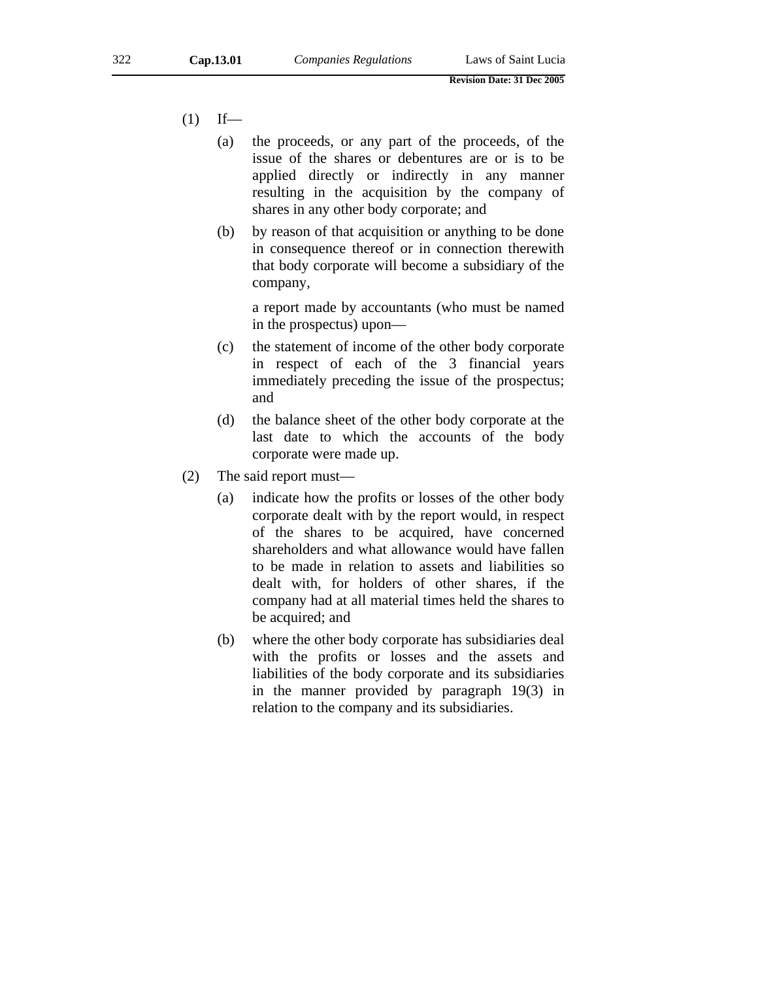- $(1)$  If—
	- (a) the proceeds, or any part of the proceeds, of the issue of the shares or debentures are or is to be applied directly or indirectly in any manner resulting in the acquisition by the company of shares in any other body corporate; and
	- (b) by reason of that acquisition or anything to be done in consequence thereof or in connection therewith that body corporate will become a subsidiary of the company,

a report made by accountants (who must be named in the prospectus) upon—

- (c) the statement of income of the other body corporate in respect of each of the 3 financial years immediately preceding the issue of the prospectus; and
- (d) the balance sheet of the other body corporate at the last date to which the accounts of the body corporate were made up.
- (2) The said report must—
	- (a) indicate how the profits or losses of the other body corporate dealt with by the report would, in respect of the shares to be acquired, have concerned shareholders and what allowance would have fallen to be made in relation to assets and liabilities so dealt with, for holders of other shares, if the company had at all material times held the shares to be acquired; and
	- (b) where the other body corporate has subsidiaries deal with the profits or losses and the assets and liabilities of the body corporate and its subsidiaries in the manner provided by paragraph 19(3) in relation to the company and its subsidiaries.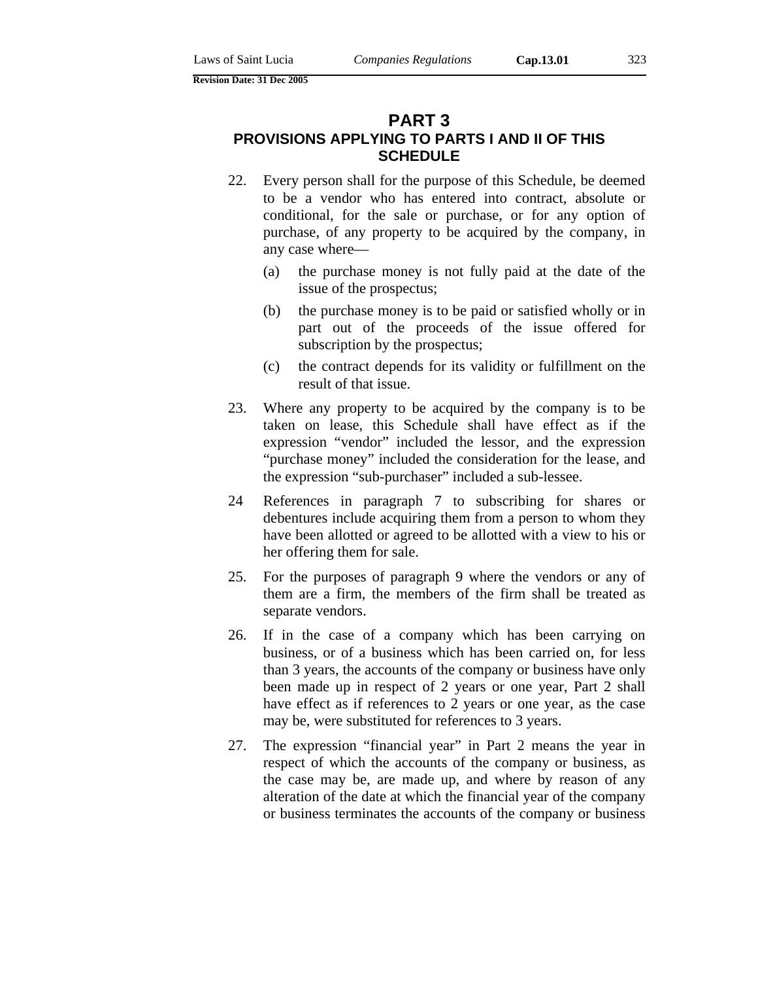# **PART 3**

# **PROVISIONS APPLYING TO PARTS I AND II OF THIS SCHEDULE**

- 22. Every person shall for the purpose of this Schedule, be deemed to be a vendor who has entered into contract, absolute or conditional, for the sale or purchase, or for any option of purchase, of any property to be acquired by the company, in any case where—
	- (a) the purchase money is not fully paid at the date of the issue of the prospectus;
	- (b) the purchase money is to be paid or satisfied wholly or in part out of the proceeds of the issue offered for subscription by the prospectus;
	- (c) the contract depends for its validity or fulfillment on the result of that issue.
- 23. Where any property to be acquired by the company is to be taken on lease, this Schedule shall have effect as if the expression "vendor" included the lessor, and the expression "purchase money" included the consideration for the lease, and the expression "sub-purchaser" included a sub-lessee.
- 24 References in paragraph 7 to subscribing for shares or debentures include acquiring them from a person to whom they have been allotted or agreed to be allotted with a view to his or her offering them for sale.
- 25. For the purposes of paragraph 9 where the vendors or any of them are a firm, the members of the firm shall be treated as separate vendors.
- 26. If in the case of a company which has been carrying on business, or of a business which has been carried on, for less than 3 years, the accounts of the company or business have only been made up in respect of 2 years or one year, Part 2 shall have effect as if references to 2 years or one year, as the case may be, were substituted for references to 3 years.
- 27. The expression "financial year" in Part 2 means the year in respect of which the accounts of the company or business, as the case may be, are made up, and where by reason of any alteration of the date at which the financial year of the company or business terminates the accounts of the company or business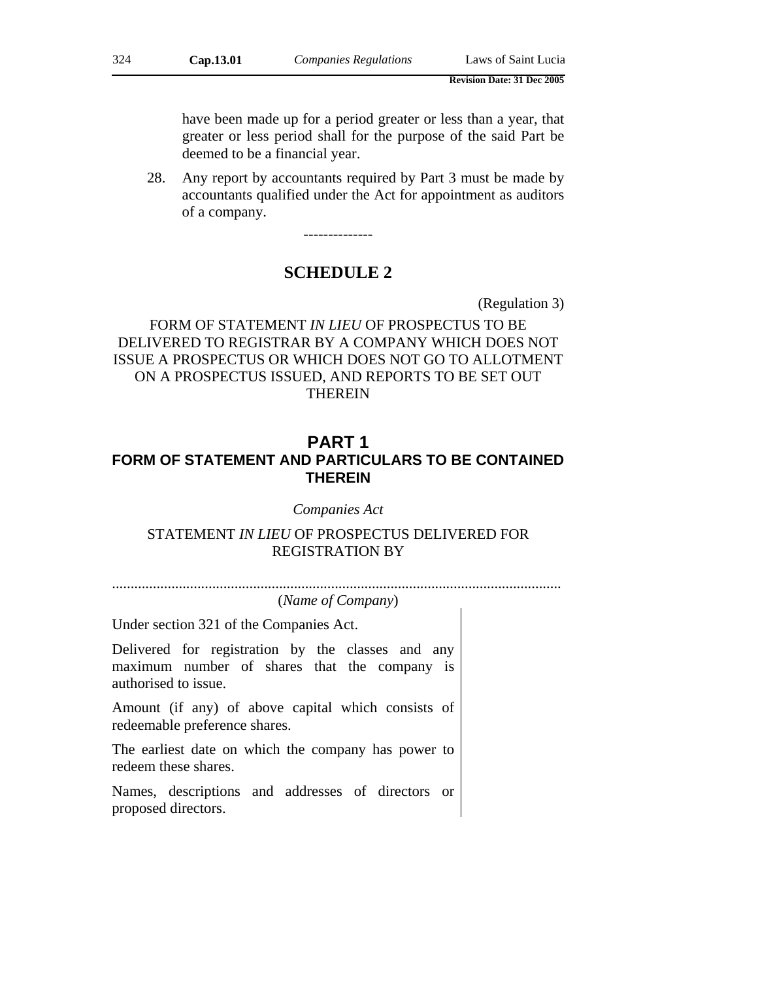have been made up for a period greater or less than a year, that greater or less period shall for the purpose of the said Part be deemed to be a financial year.

28. Any report by accountants required by Part 3 must be made by accountants qualified under the Act for appointment as auditors of a company.

--------------

# **SCHEDULE 2**

(Regulation 3)

FORM OF STATEMENT *IN LIEU* OF PROSPECTUS TO BE DELIVERED TO REGISTRAR BY A COMPANY WHICH DOES NOT ISSUE A PROSPECTUS OR WHICH DOES NOT GO TO ALLOTMENT ON A PROSPECTUS ISSUED, AND REPORTS TO BE SET OUT THEREIN

# **PART 1 FORM OF STATEMENT AND PARTICULARS TO BE CONTAINED THEREIN**

*Companies Act* 

# STATEMENT *IN LIEU* OF PROSPECTUS DELIVERED FOR REGISTRATION BY

.........................................................................................................................

(*Name of Company*)

Under section 321 of the Companies Act.

Delivered for registration by the classes and any maximum number of shares that the company is authorised to issue.

Amount (if any) of above capital which consists of redeemable preference shares.

The earliest date on which the company has power to redeem these shares.

Names, descriptions and addresses of directors or proposed directors.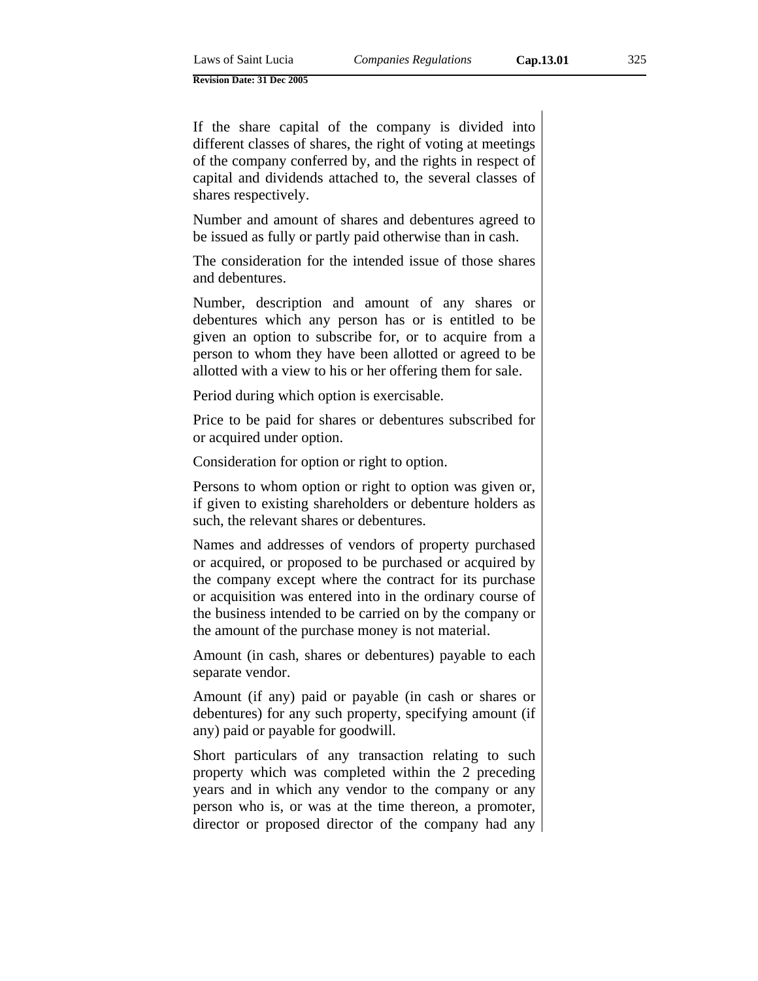If the share capital of the company is divided into different classes of shares, the right of voting at meetings of the company conferred by, and the rights in respect of capital and dividends attached to, the several classes of shares respectively.

Number and amount of shares and debentures agreed to be issued as fully or partly paid otherwise than in cash.

The consideration for the intended issue of those shares and debentures.

Number, description and amount of any shares or debentures which any person has or is entitled to be given an option to subscribe for, or to acquire from a person to whom they have been allotted or agreed to be allotted with a view to his or her offering them for sale.

Period during which option is exercisable.

Price to be paid for shares or debentures subscribed for or acquired under option.

Consideration for option or right to option.

Persons to whom option or right to option was given or, if given to existing shareholders or debenture holders as such, the relevant shares or debentures.

Names and addresses of vendors of property purchased or acquired, or proposed to be purchased or acquired by the company except where the contract for its purchase or acquisition was entered into in the ordinary course of the business intended to be carried on by the company or the amount of the purchase money is not material.

Amount (in cash, shares or debentures) payable to each separate vendor.

Amount (if any) paid or payable (in cash or shares or debentures) for any such property, specifying amount (if any) paid or payable for goodwill.

Short particulars of any transaction relating to such property which was completed within the 2 preceding years and in which any vendor to the company or any person who is, or was at the time thereon, a promoter, director or proposed director of the company had any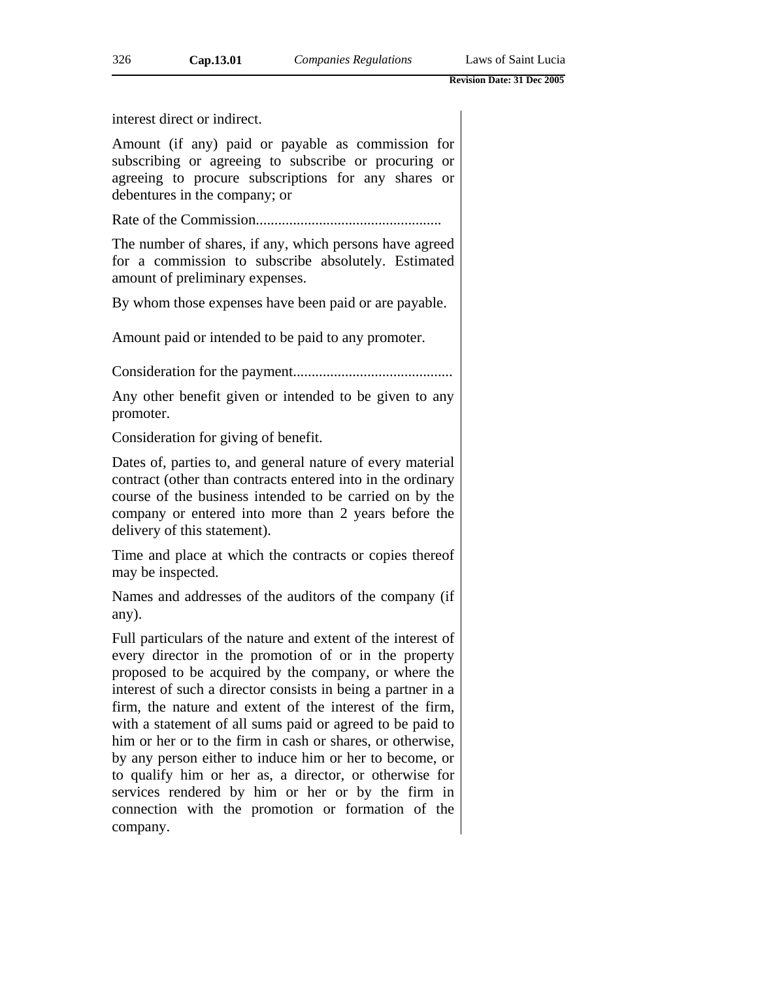interest direct or indirect.

Amount (if any) paid or payable as commission for subscribing or agreeing to subscribe or procuring or agreeing to procure subscriptions for any shares or debentures in the company; or

Rate of the Commission..................................................

The number of shares, if any, which persons have agreed for a commission to subscribe absolutely. Estimated amount of preliminary expenses.

By whom those expenses have been paid or are payable.

Amount paid or intended to be paid to any promoter.

Consideration for the payment...........................................

Any other benefit given or intended to be given to any promoter.

Consideration for giving of benefit.

Dates of, parties to, and general nature of every material contract (other than contracts entered into in the ordinary course of the business intended to be carried on by the company or entered into more than 2 years before the delivery of this statement).

Time and place at which the contracts or copies thereof may be inspected.

Names and addresses of the auditors of the company (if any).

Full particulars of the nature and extent of the interest of every director in the promotion of or in the property proposed to be acquired by the company, or where the interest of such a director consists in being a partner in a firm, the nature and extent of the interest of the firm, with a statement of all sums paid or agreed to be paid to him or her or to the firm in cash or shares, or otherwise, by any person either to induce him or her to become, or to qualify him or her as, a director, or otherwise for services rendered by him or her or by the firm in connection with the promotion or formation of the company.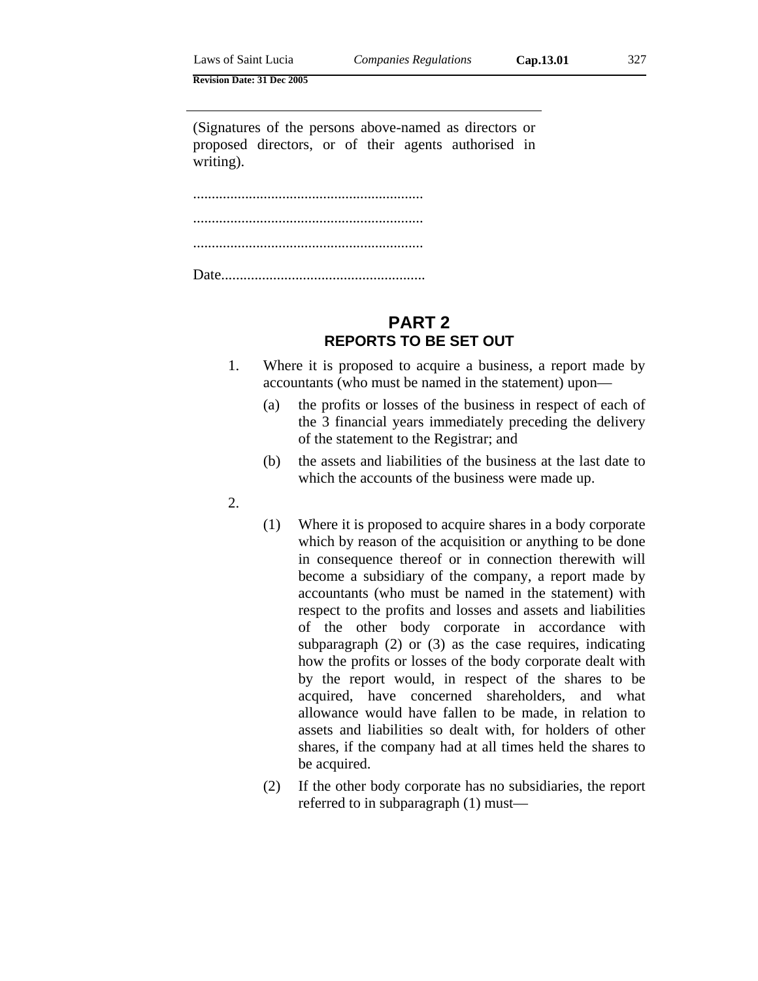(Signatures of the persons above-named as directors or proposed directors, or of their agents authorised in writing).

.............................................................. .............................................................. .............................................................. Date.......................................................

# **PART 2 REPORTS TO BE SET OUT**

- 1. Where it is proposed to acquire a business, a report made by accountants (who must be named in the statement) upon—
	- (a) the profits or losses of the business in respect of each of the 3 financial years immediately preceding the delivery of the statement to the Registrar; and
	- (b) the assets and liabilities of the business at the last date to which the accounts of the business were made up.
- 2.
- (1) Where it is proposed to acquire shares in a body corporate which by reason of the acquisition or anything to be done in consequence thereof or in connection therewith will become a subsidiary of the company, a report made by accountants (who must be named in the statement) with respect to the profits and losses and assets and liabilities of the other body corporate in accordance with subparagraph (2) or (3) as the case requires, indicating how the profits or losses of the body corporate dealt with by the report would, in respect of the shares to be acquired, have concerned shareholders, and what allowance would have fallen to be made, in relation to assets and liabilities so dealt with, for holders of other shares, if the company had at all times held the shares to be acquired.
- (2) If the other body corporate has no subsidiaries, the report referred to in subparagraph (1) must—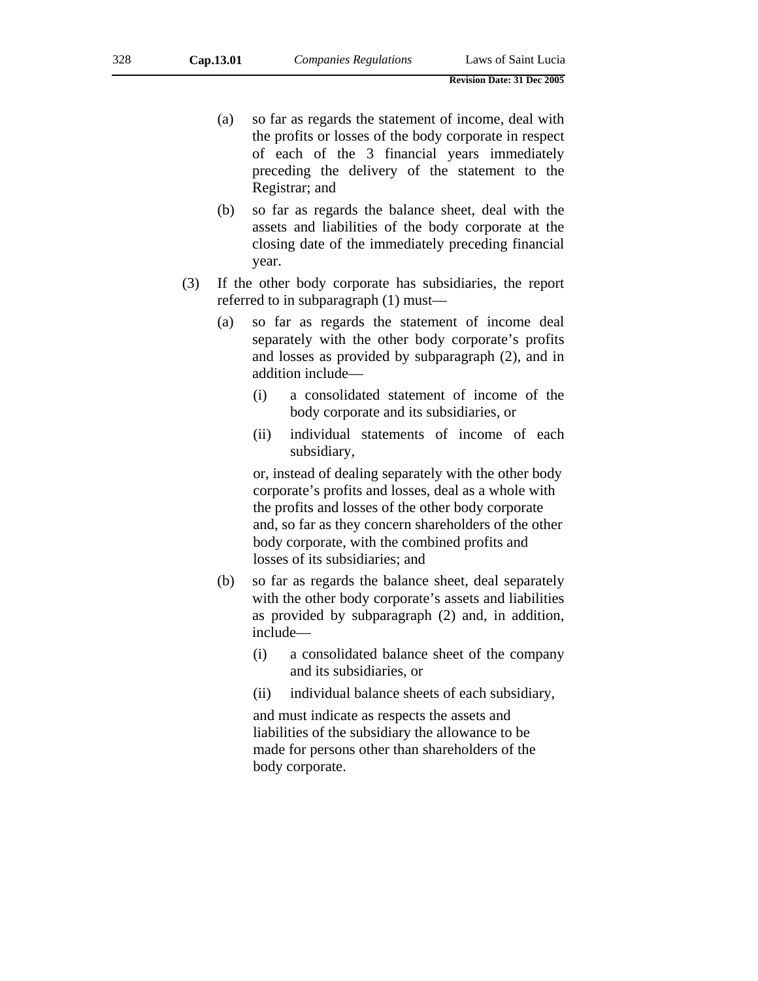- (a) so far as regards the statement of income, deal with the profits or losses of the body corporate in respect of each of the 3 financial years immediately preceding the delivery of the statement to the Registrar; and
- (b) so far as regards the balance sheet, deal with the assets and liabilities of the body corporate at the closing date of the immediately preceding financial year.
- (3) If the other body corporate has subsidiaries, the report referred to in subparagraph (1) must—
	- (a) so far as regards the statement of income deal separately with the other body corporate's profits and losses as provided by subparagraph (2), and in addition include—
		- (i) a consolidated statement of income of the body corporate and its subsidiaries, or
		- (ii) individual statements of income of each subsidiary,

or, instead of dealing separately with the other body corporate's profits and losses, deal as a whole with the profits and losses of the other body corporate and, so far as they concern shareholders of the other body corporate, with the combined profits and losses of its subsidiaries; and

- (b) so far as regards the balance sheet, deal separately with the other body corporate's assets and liabilities as provided by subparagraph (2) and, in addition, include—
	- (i) a consolidated balance sheet of the company and its subsidiaries, or
	- (ii) individual balance sheets of each subsidiary,

and must indicate as respects the assets and liabilities of the subsidiary the allowance to be made for persons other than shareholders of the body corporate.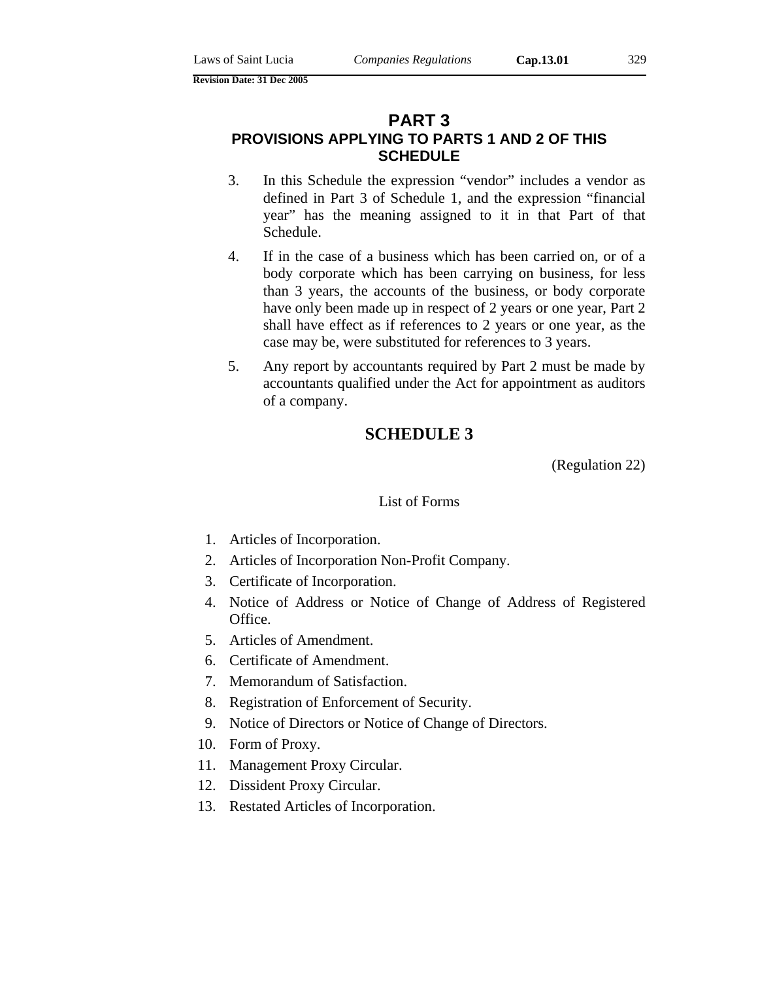# **PART 3**

# **PROVISIONS APPLYING TO PARTS 1 AND 2 OF THIS SCHEDULE**

- 3. In this Schedule the expression "vendor" includes a vendor as defined in Part 3 of Schedule 1, and the expression "financial year" has the meaning assigned to it in that Part of that Schedule.
- 4. If in the case of a business which has been carried on, or of a body corporate which has been carrying on business, for less than 3 years, the accounts of the business, or body corporate have only been made up in respect of 2 years or one year, Part 2 shall have effect as if references to 2 years or one year, as the case may be, were substituted for references to 3 years.
- 5. Any report by accountants required by Part 2 must be made by accountants qualified under the Act for appointment as auditors of a company.

# **SCHEDULE 3**

(Regulation 22)

### List of Forms

- 1. Articles of Incorporation.
- 2. Articles of Incorporation Non-Profit Company.
- 3. Certificate of Incorporation.
- 4. Notice of Address or Notice of Change of Address of Registered Office.
- 5. Articles of Amendment.
- 6. Certificate of Amendment.
- 7. Memorandum of Satisfaction.
- 8. Registration of Enforcement of Security.
- 9. Notice of Directors or Notice of Change of Directors.
- 10. Form of Proxy.
- 11. Management Proxy Circular.
- 12. Dissident Proxy Circular.
- 13. Restated Articles of Incorporation.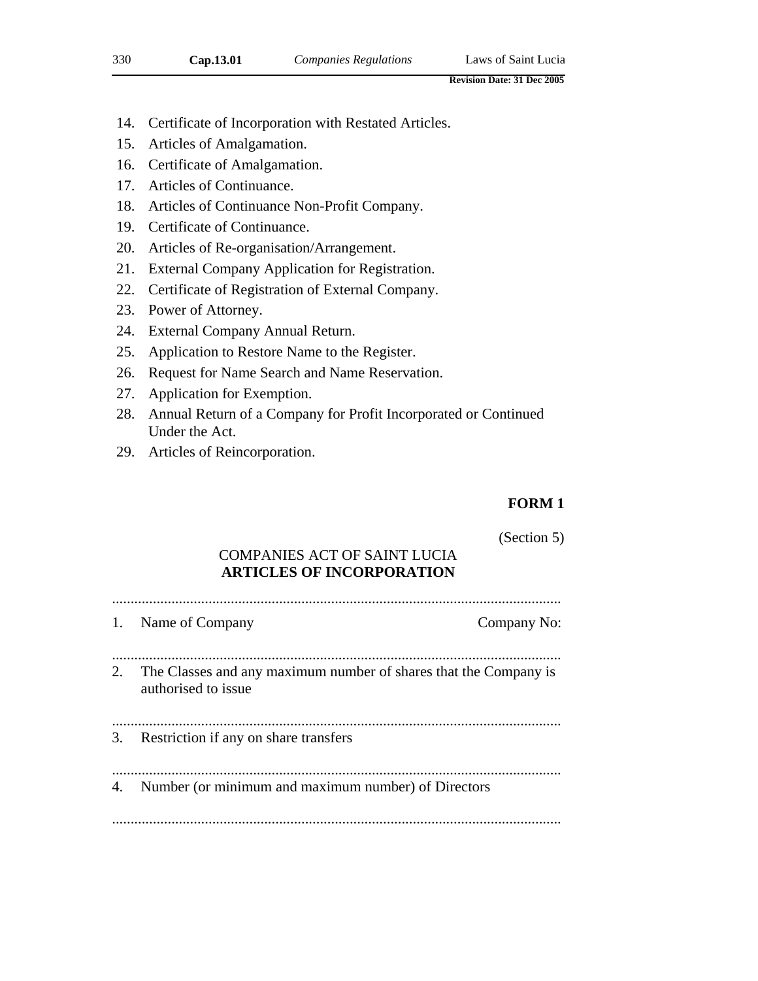- 14. Certificate of Incorporation with Restated Articles.
- 15. Articles of Amalgamation.
- 16. Certificate of Amalgamation.
- 17. Articles of Continuance.
- 18. Articles of Continuance Non-Profit Company.
- 19. Certificate of Continuance.
- 20. Articles of Re-organisation/Arrangement.
- 21. External Company Application for Registration.
- 22. Certificate of Registration of External Company.
- 23. Power of Attorney.
- 24. External Company Annual Return.
- 25. Application to Restore Name to the Register.
- 26. Request for Name Search and Name Reservation.
- 27. Application for Exemption.
- 28. Annual Return of a Company for Profit Incorporated or Continued Under the Act.
- 29. Articles of Reincorporation.

## **FORM 1**

(Section 5)

# COMPANIES ACT OF SAINT LUCIA **ARTICLES OF INCORPORATION**

......................................................................................................................... 1. Name of Company  $\blacksquare$ 

......................................................................................................................... 2. The Classes and any maximum number of shares that the Company is authorised to issue

.........................................................................................................................

3. Restriction if any on share transfers

......................................................................................................................... 4. Number (or minimum and maximum number) of Directors

.........................................................................................................................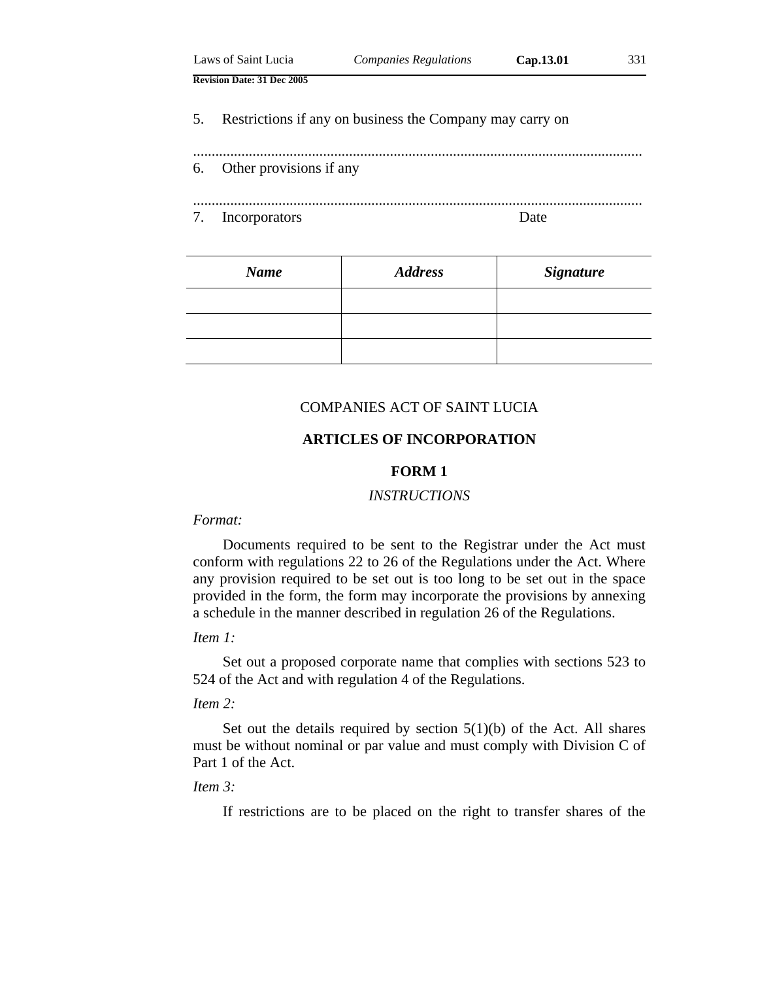|    | Laws of Saint Lucia               | <b>Companies Regulations</b>                             | Cap.13.01 | 331 |
|----|-----------------------------------|----------------------------------------------------------|-----------|-----|
|    | <b>Revision Date: 31 Dec 2005</b> |                                                          |           |     |
| 5. |                                   | Restrictions if any on business the Company may carry on |           |     |
| 6. | Other provisions if any           |                                                          |           |     |
| 7. | Incorporators                     |                                                          | Date      |     |

| <b>Name</b> | <b>Address</b> | <b>Signature</b> |
|-------------|----------------|------------------|
|             |                |                  |
|             |                |                  |
|             |                |                  |

### COMPANIES ACT OF SAINT LUCIA

## **ARTICLES OF INCORPORATION**

#### **FORM 1**

### *INSTRUCTIONS*

### *Format:*

Documents required to be sent to the Registrar under the Act must conform with regulations 22 to 26 of the Regulations under the Act. Where any provision required to be set out is too long to be set out in the space provided in the form, the form may incorporate the provisions by annexing a schedule in the manner described in regulation 26 of the Regulations.

### *Item 1:*

Set out a proposed corporate name that complies with sections 523 to 524 of the Act and with regulation 4 of the Regulations.

### *Item 2:*

Set out the details required by section  $5(1)(b)$  of the Act. All shares must be without nominal or par value and must comply with Division C of Part 1 of the Act.

## *Item 3:*

If restrictions are to be placed on the right to transfer shares of the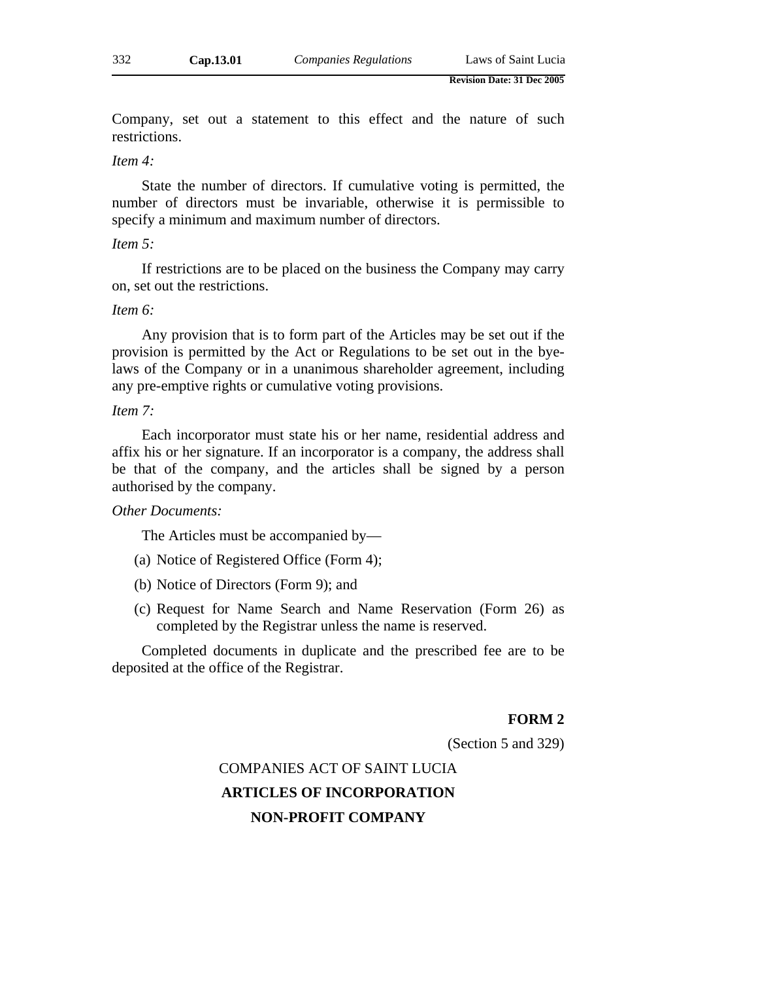Company, set out a statement to this effect and the nature of such restrictions.

#### *Item 4:*

State the number of directors. If cumulative voting is permitted, the number of directors must be invariable, otherwise it is permissible to specify a minimum and maximum number of directors.

#### *Item 5:*

If restrictions are to be placed on the business the Company may carry on, set out the restrictions.

#### *Item 6:*

Any provision that is to form part of the Articles may be set out if the provision is permitted by the Act or Regulations to be set out in the byelaws of the Company or in a unanimous shareholder agreement, including any pre-emptive rights or cumulative voting provisions.

#### *Item 7:*

Each incorporator must state his or her name, residential address and affix his or her signature. If an incorporator is a company, the address shall be that of the company, and the articles shall be signed by a person authorised by the company.

### *Other Documents:*

The Articles must be accompanied by—

- (a) Notice of Registered Office (Form 4);
- (b) Notice of Directors (Form 9); and
- (c) Request for Name Search and Name Reservation (Form 26) as completed by the Registrar unless the name is reserved.

Completed documents in duplicate and the prescribed fee are to be deposited at the office of the Registrar.

#### **FORM 2**

(Section 5 and 329)

# COMPANIES ACT OF SAINT LUCIA **ARTICLES OF INCORPORATION NON-PROFIT COMPANY**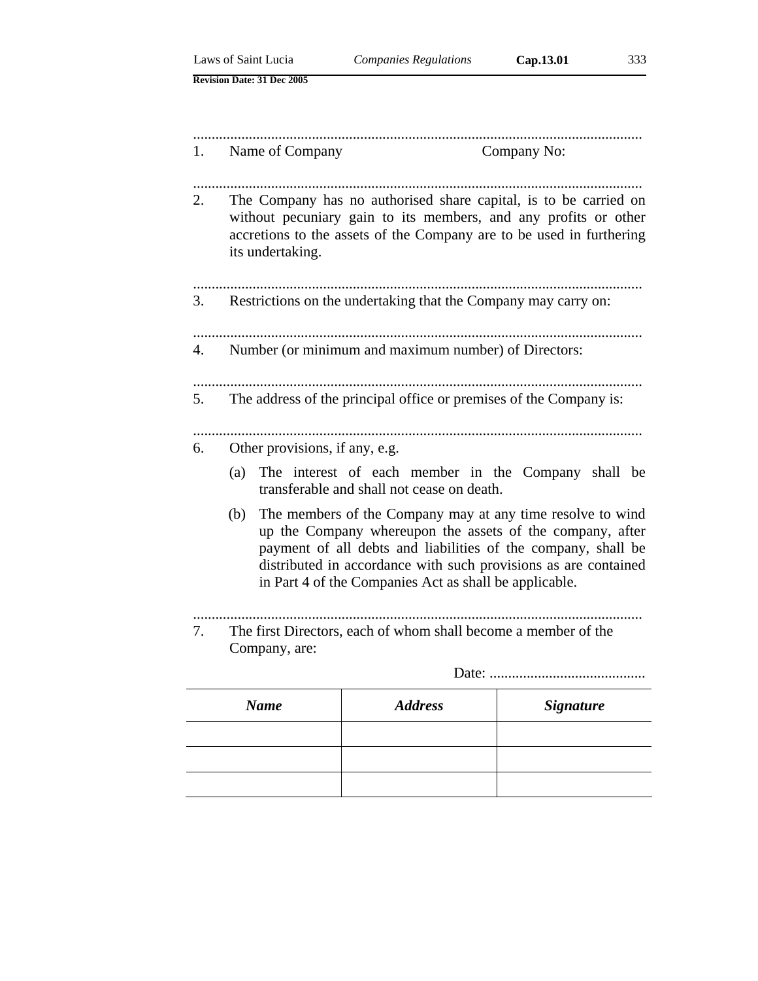|    |                                                                                                                                                                                                                                                                                                                              | Laws of Saint Lucia               | <b>Companies Regulations</b>                                                                                                                                                                                | Cap.13.01<br>333 |
|----|------------------------------------------------------------------------------------------------------------------------------------------------------------------------------------------------------------------------------------------------------------------------------------------------------------------------------|-----------------------------------|-------------------------------------------------------------------------------------------------------------------------------------------------------------------------------------------------------------|------------------|
|    |                                                                                                                                                                                                                                                                                                                              | <b>Revision Date: 31 Dec 2005</b> |                                                                                                                                                                                                             |                  |
|    |                                                                                                                                                                                                                                                                                                                              |                                   |                                                                                                                                                                                                             |                  |
| 1. |                                                                                                                                                                                                                                                                                                                              | Name of Company                   |                                                                                                                                                                                                             | Company No:      |
| 2. |                                                                                                                                                                                                                                                                                                                              | its undertaking.                  | The Company has no authorised share capital, is to be carried on<br>without pecuniary gain to its members, and any profits or other<br>accretions to the assets of the Company are to be used in furthering |                  |
| 3. |                                                                                                                                                                                                                                                                                                                              |                                   | Restrictions on the undertaking that the Company may carry on:                                                                                                                                              |                  |
| 4. |                                                                                                                                                                                                                                                                                                                              |                                   | Number (or minimum and maximum number) of Directors:                                                                                                                                                        |                  |
| 5. |                                                                                                                                                                                                                                                                                                                              |                                   | The address of the principal office or premises of the Company is:                                                                                                                                          |                  |
| 6. |                                                                                                                                                                                                                                                                                                                              | Other provisions, if any, e.g.    |                                                                                                                                                                                                             |                  |
|    | (a)                                                                                                                                                                                                                                                                                                                          |                                   | The interest of each member in the Company shall be<br>transferable and shall not cease on death.                                                                                                           |                  |
|    | The members of the Company may at any time resolve to wind<br>(b)<br>up the Company whereupon the assets of the company, after<br>payment of all debts and liabilities of the company, shall be<br>distributed in accordance with such provisions as are contained<br>in Part 4 of the Companies Act as shall be applicable. |                                   |                                                                                                                                                                                                             |                  |
| 7. |                                                                                                                                                                                                                                                                                                                              | Company, are:                     | The first Directors, each of whom shall become a member of the                                                                                                                                              |                  |
|    |                                                                                                                                                                                                                                                                                                                              |                                   |                                                                                                                                                                                                             | Date:            |
|    |                                                                                                                                                                                                                                                                                                                              | <b>Name</b>                       | <b>Address</b>                                                                                                                                                                                              | <b>Signature</b> |
|    |                                                                                                                                                                                                                                                                                                                              |                                   |                                                                                                                                                                                                             |                  |

| <b>Name</b> | <i><b>Address</b></i> | <b>Signature</b> |
|-------------|-----------------------|------------------|
|             |                       |                  |
|             |                       |                  |
|             |                       |                  |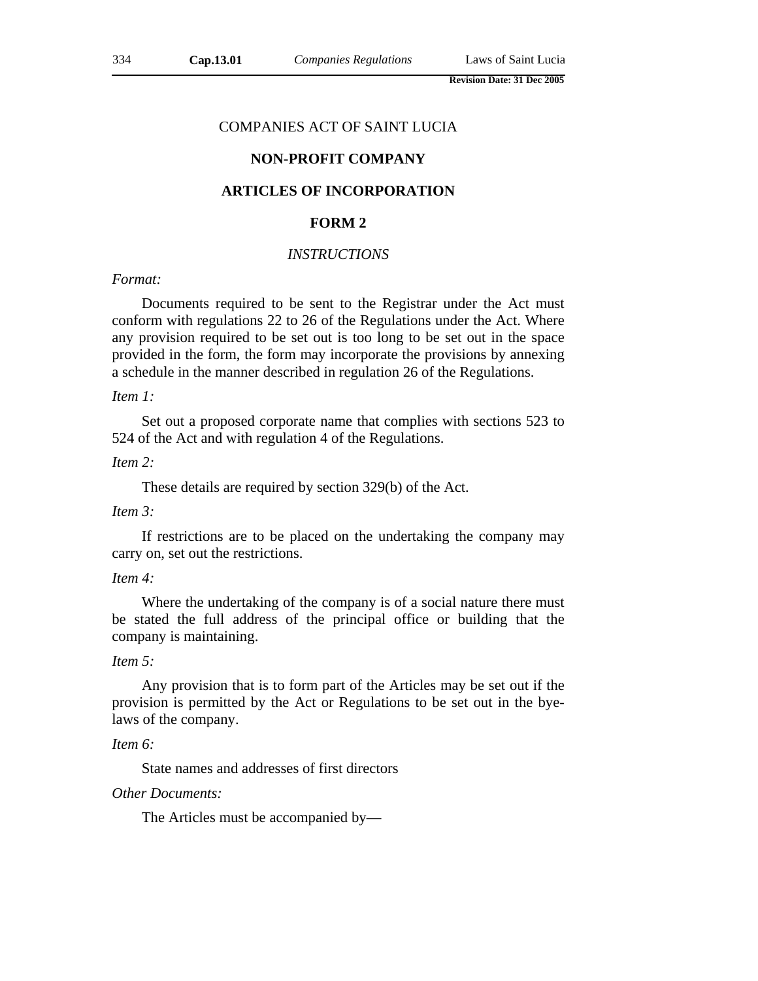### COMPANIES ACT OF SAINT LUCIA

## **NON-PROFIT COMPANY**

## **ARTICLES OF INCORPORATION**

#### **FORM 2**

# *INSTRUCTIONS*

## *Format:*

Documents required to be sent to the Registrar under the Act must conform with regulations 22 to 26 of the Regulations under the Act. Where any provision required to be set out is too long to be set out in the space provided in the form, the form may incorporate the provisions by annexing a schedule in the manner described in regulation 26 of the Regulations.

*Item 1:*

Set out a proposed corporate name that complies with sections 523 to 524 of the Act and with regulation 4 of the Regulations.

#### *Item 2:*

These details are required by section 329(b) of the Act.

## *Item 3:*

If restrictions are to be placed on the undertaking the company may carry on, set out the restrictions.

#### *Item 4:*

Where the undertaking of the company is of a social nature there must be stated the full address of the principal office or building that the company is maintaining.

### *Item 5:*

Any provision that is to form part of the Articles may be set out if the provision is permitted by the Act or Regulations to be set out in the byelaws of the company.

#### *Item 6:*

State names and addresses of first directors

### *Other Documents:*

The Articles must be accompanied by—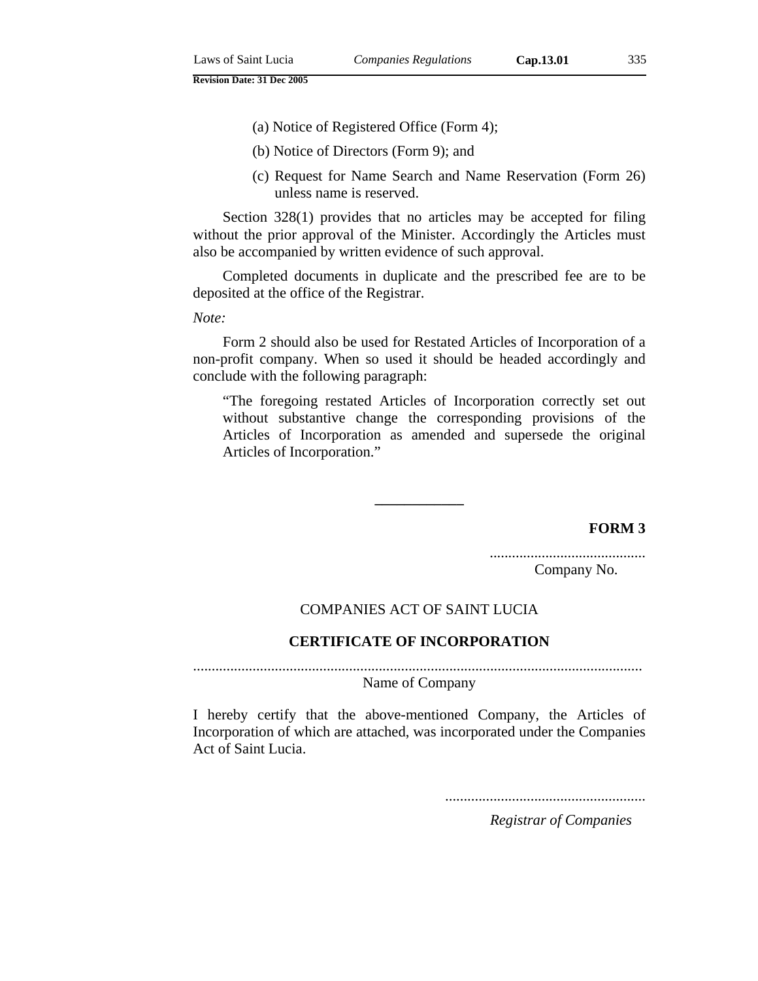- (a) Notice of Registered Office (Form 4);
- (b) Notice of Directors (Form 9); and
- (c) Request for Name Search and Name Reservation (Form 26) unless name is reserved.

Section 328(1) provides that no articles may be accepted for filing without the prior approval of the Minister. Accordingly the Articles must also be accompanied by written evidence of such approval.

Completed documents in duplicate and the prescribed fee are to be deposited at the office of the Registrar.

*Note:*

Form 2 should also be used for Restated Articles of Incorporation of a non-profit company. When so used it should be headed accordingly and conclude with the following paragraph:

"The foregoing restated Articles of Incorporation correctly set out without substantive change the corresponding provisions of the Articles of Incorporation as amended and supersede the original Articles of Incorporation."

**FORM 3**

.......................................... Company No.

### COMPANIES ACT OF SAINT LUCIA

**––––––––––––** 

### **CERTIFICATE OF INCORPORATION**

.........................................................................................................................

Name of Company

I hereby certify that the above-mentioned Company, the Articles of Incorporation of which are attached, was incorporated under the Companies Act of Saint Lucia.

......................................................

*Registrar of Companies*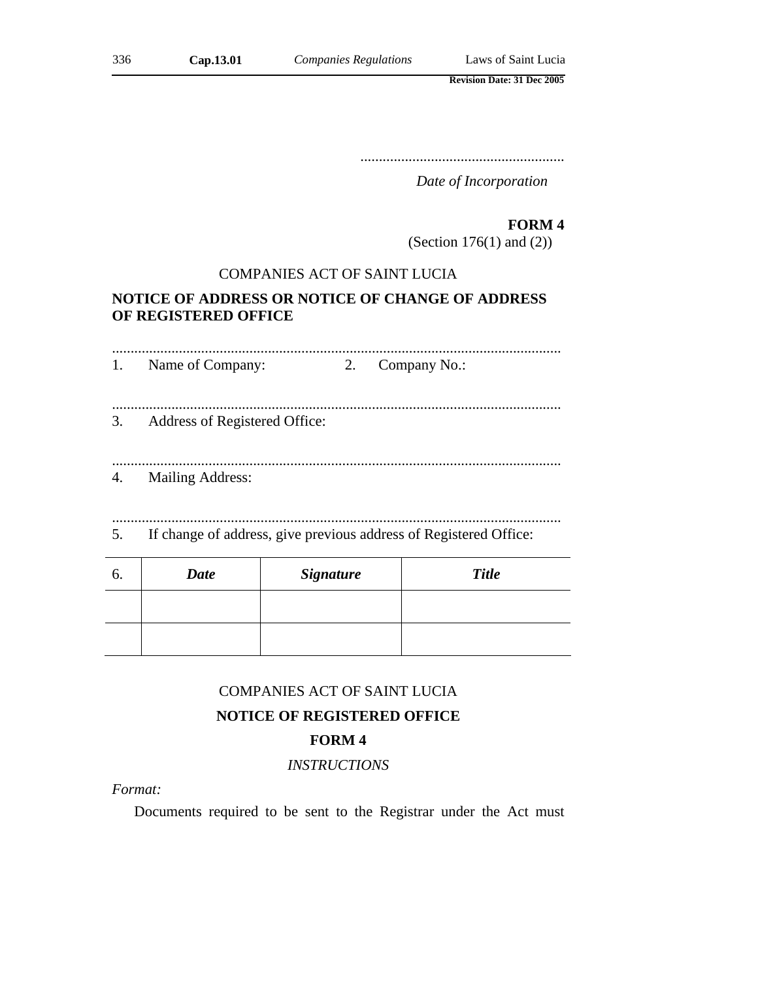.......................................................

*Date of Incorporation*

# **FORM 4**

(Section 176(1) and (2))

# COMPANIES ACT OF SAINT LUCIA

# **NOTICE OF ADDRESS OR NOTICE OF CHANGE OF ADDRESS OF REGISTERED OFFICE**

| 6  | Date                          | Sionature |    | Title                                                             |  |
|----|-------------------------------|-----------|----|-------------------------------------------------------------------|--|
| 5. |                               |           |    | If change of address, give previous address of Registered Office: |  |
| 4. | Mailing Address:              |           |    |                                                                   |  |
| 3. | Address of Registered Office: |           |    |                                                                   |  |
| 1. | Name of Company:              |           | 2. | Company No.:                                                      |  |
|    |                               |           |    |                                                                   |  |

| O. | <b>Date</b> | <b>Signature</b> | <b>Title</b> |
|----|-------------|------------------|--------------|
|    |             |                  |              |
|    |             |                  |              |
|    |             |                  |              |

# COMPANIES ACT OF SAINT LUCIA

# **NOTICE OF REGISTERED OFFICE**

# **FORM 4**

# *INSTRUCTIONS*

*Format:*

Documents required to be sent to the Registrar under the Act must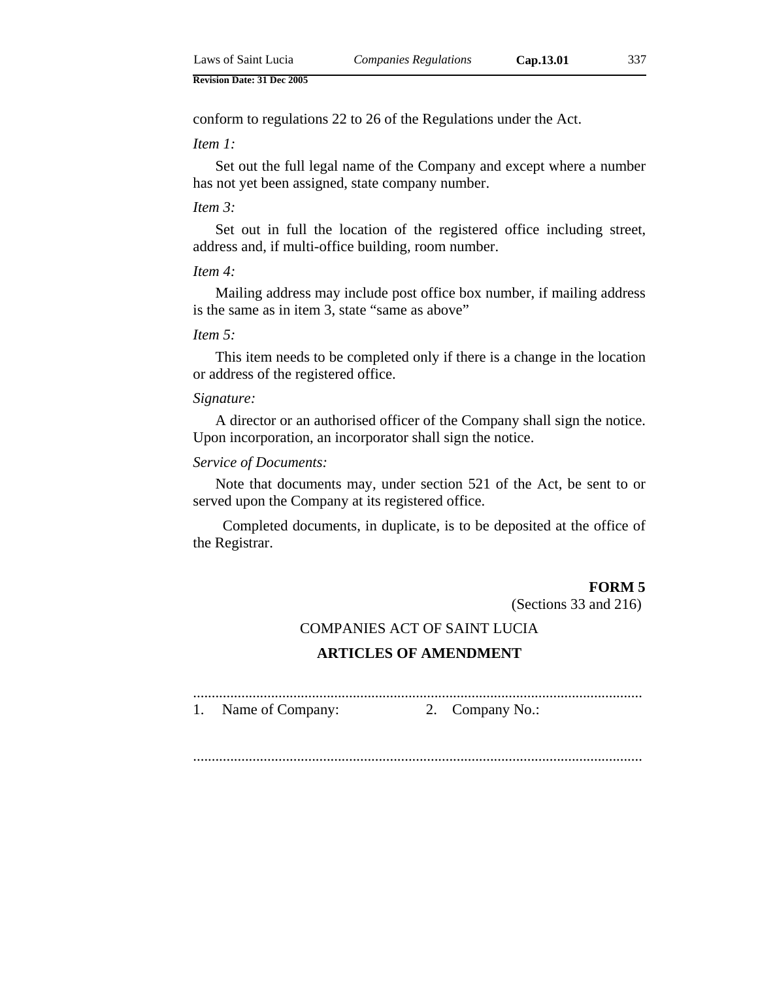conform to regulations 22 to 26 of the Regulations under the Act.

*Item 1:*

Set out the full legal name of the Company and except where a number has not yet been assigned, state company number.

#### *Item 3:*

Set out in full the location of the registered office including street, address and, if multi-office building, room number.

#### *Item 4:*

Mailing address may include post office box number, if mailing address is the same as in item 3, state "same as above"

#### *Item 5:*

This item needs to be completed only if there is a change in the location or address of the registered office.

#### *Signature:*

A director or an authorised officer of the Company shall sign the notice. Upon incorporation, an incorporator shall sign the notice.

## *Service of Documents:*

Note that documents may, under section 521 of the Act, be sent to or served upon the Company at its registered office.

Completed documents, in duplicate, is to be deposited at the office of the Registrar.

#### **FORM 5**

(Sections 33 and 216)

### COMPANIES ACT OF SAINT LUCIA

### **ARTICLES OF AMENDMENT**

......................................................................................................................... 1. Name of Company: 2. Company No.:

.........................................................................................................................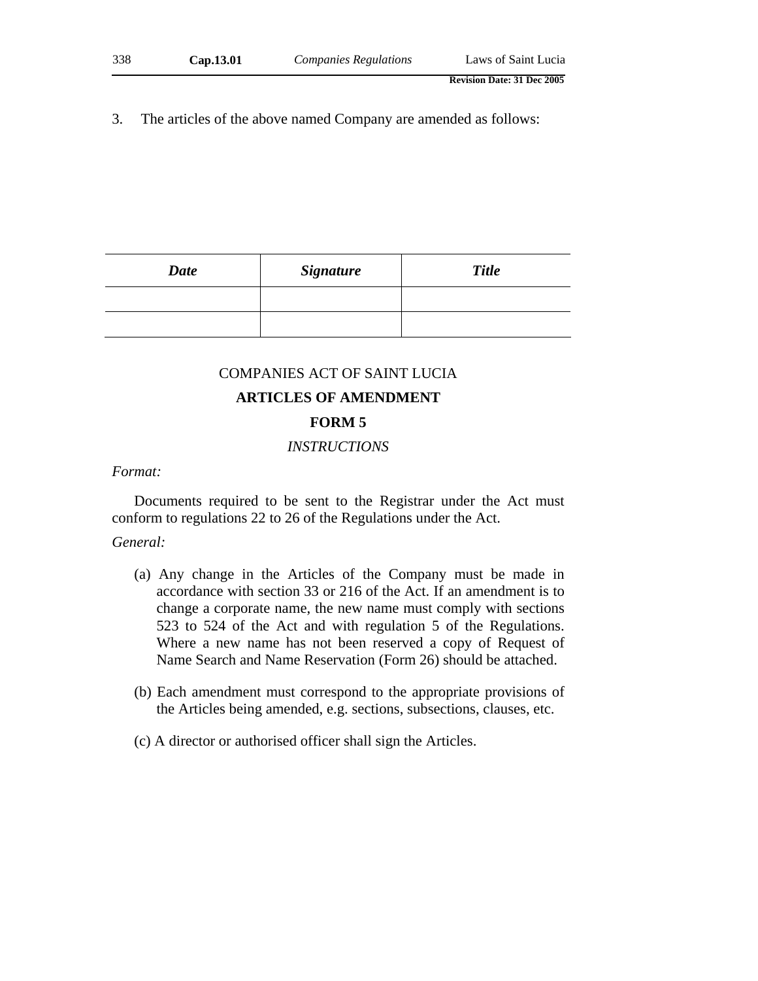3. The articles of the above named Company are amended as follows:

| <b>Date</b> | <b>Signature</b> | <b>Title</b> |
|-------------|------------------|--------------|
|             |                  |              |
|             |                  |              |

#### COMPANIES ACT OF SAINT LUCIA

# **ARTICLES OF AMENDMENT**

## **FORM 5**

## *INSTRUCTIONS*

#### *Format:*

Documents required to be sent to the Registrar under the Act must conform to regulations 22 to 26 of the Regulations under the Act.

#### *General:*

- (a) Any change in the Articles of the Company must be made in accordance with section 33 or 216 of the Act. If an amendment is to change a corporate name, the new name must comply with sections 523 to 524 of the Act and with regulation 5 of the Regulations. Where a new name has not been reserved a copy of Request of Name Search and Name Reservation (Form 26) should be attached.
- (b) Each amendment must correspond to the appropriate provisions of the Articles being amended, e.g. sections, subsections, clauses, etc.
- (c) A director or authorised officer shall sign the Articles.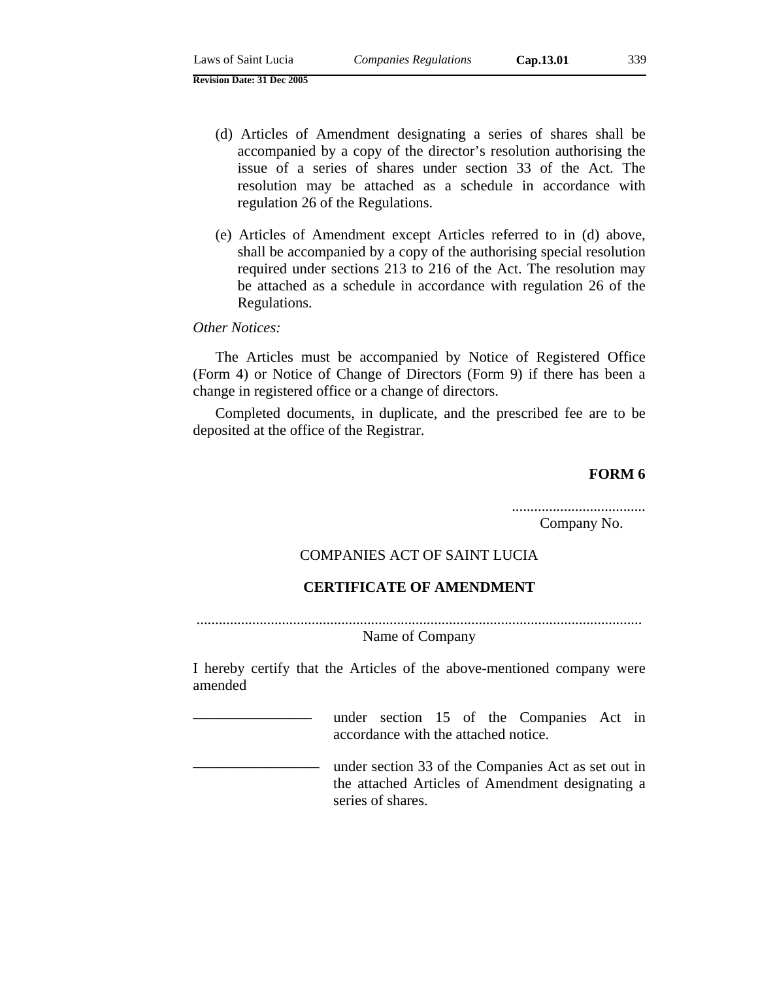- (d) Articles of Amendment designating a series of shares shall be accompanied by a copy of the director's resolution authorising the issue of a series of shares under section 33 of the Act. The resolution may be attached as a schedule in accordance with regulation 26 of the Regulations.
- (e) Articles of Amendment except Articles referred to in (d) above, shall be accompanied by a copy of the authorising special resolution required under sections 213 to 216 of the Act. The resolution may be attached as a schedule in accordance with regulation 26 of the Regulations.

### *Other Notices:*

The Articles must be accompanied by Notice of Registered Office (Form 4) or Notice of Change of Directors (Form 9) if there has been a change in registered office or a change of directors.

Completed documents, in duplicate, and the prescribed fee are to be deposited at the office of the Registrar.

### **FORM 6**

.................................... Company No.

# COMPANIES ACT OF SAINT LUCIA

### **CERTIFICATE OF AMENDMENT**

........................................................................................................................ Name of Company

I hereby certify that the Articles of the above-mentioned company were amended

> under section 15 of the Companies Act in accordance with the attached notice.

under section 33 of the Companies Act as set out in the attached Articles of Amendment designating a series of shares.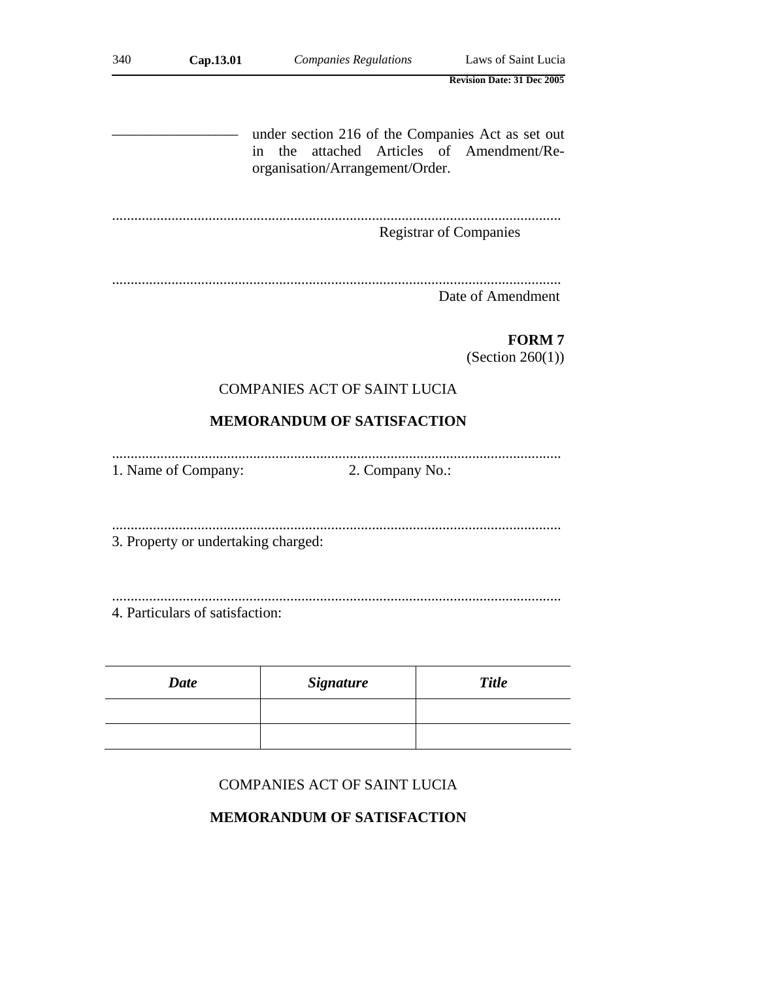| 340 | Cap.13.01                           | <b>Companies Regulations</b>                                                                                                      | Laws of Saint Lucia                 |
|-----|-------------------------------------|-----------------------------------------------------------------------------------------------------------------------------------|-------------------------------------|
|     |                                     |                                                                                                                                   | <b>Revision Date: 31 Dec 2005</b>   |
|     | in                                  | under section 216 of the Companies Act as set out<br>attached Articles of Amendment/Re-<br>the<br>organisation/Arrangement/Order. |                                     |
|     |                                     |                                                                                                                                   | <b>Registrar of Companies</b>       |
|     |                                     |                                                                                                                                   | Date of Amendment                   |
|     |                                     |                                                                                                                                   | <b>FORM7</b><br>(Section $260(1)$ ) |
|     |                                     | <b>COMPANIES ACT OF SAINT LUCIA</b>                                                                                               |                                     |
|     |                                     | <b>MEMORANDUM OF SATISFACTION</b>                                                                                                 |                                     |
|     | 1. Name of Company:                 | 2. Company No.:                                                                                                                   |                                     |
|     | 3. Property or undertaking charged: |                                                                                                                                   |                                     |
|     | 4. Particulars of satisfaction:     |                                                                                                                                   |                                     |
|     | <b>Date</b>                         | <b>Signature</b>                                                                                                                  | <b>Title</b>                        |
|     |                                     |                                                                                                                                   |                                     |
|     |                                     |                                                                                                                                   |                                     |

# **MEMORANDUM OF SATISFACTION**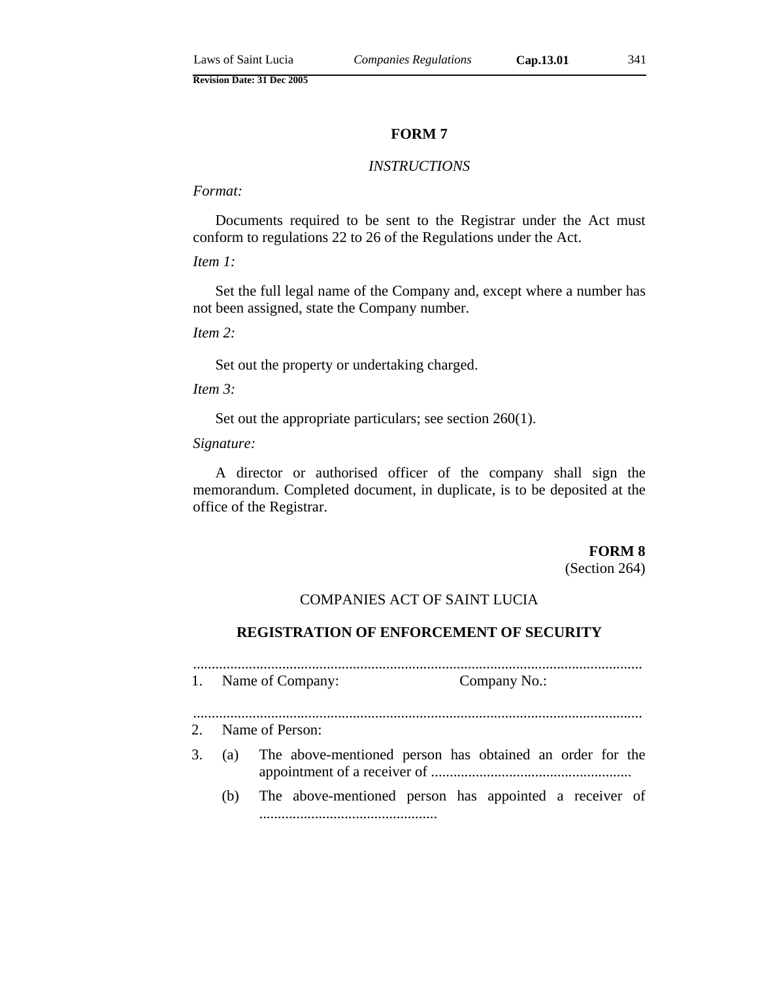#### *INSTRUCTIONS*

# *Format:*

Documents required to be sent to the Registrar under the Act must conform to regulations 22 to 26 of the Regulations under the Act.

#### *Item 1:*

Set the full legal name of the Company and, except where a number has not been assigned, state the Company number.

*Item 2:*

Set out the property or undertaking charged.

*Item 3:*

Set out the appropriate particulars; see section 260(1).

*Signature:*

A director or authorised officer of the company shall sign the memorandum. Completed document, in duplicate, is to be deposited at the office of the Registrar.

**FORM 8**

(Section 264)

# COMPANIES ACT OF SAINT LUCIA

#### **REGISTRATION OF ENFORCEMENT OF SECURITY**

......................................................................................................................... 1. Name of Company: Company No.: ......................................................................................................................... 2. Name of Person: 3. (a) The above-mentioned person has obtained an order for the appointment of a receiver of ...................................................... (b) The above-mentioned person has appointed a receiver of ................................................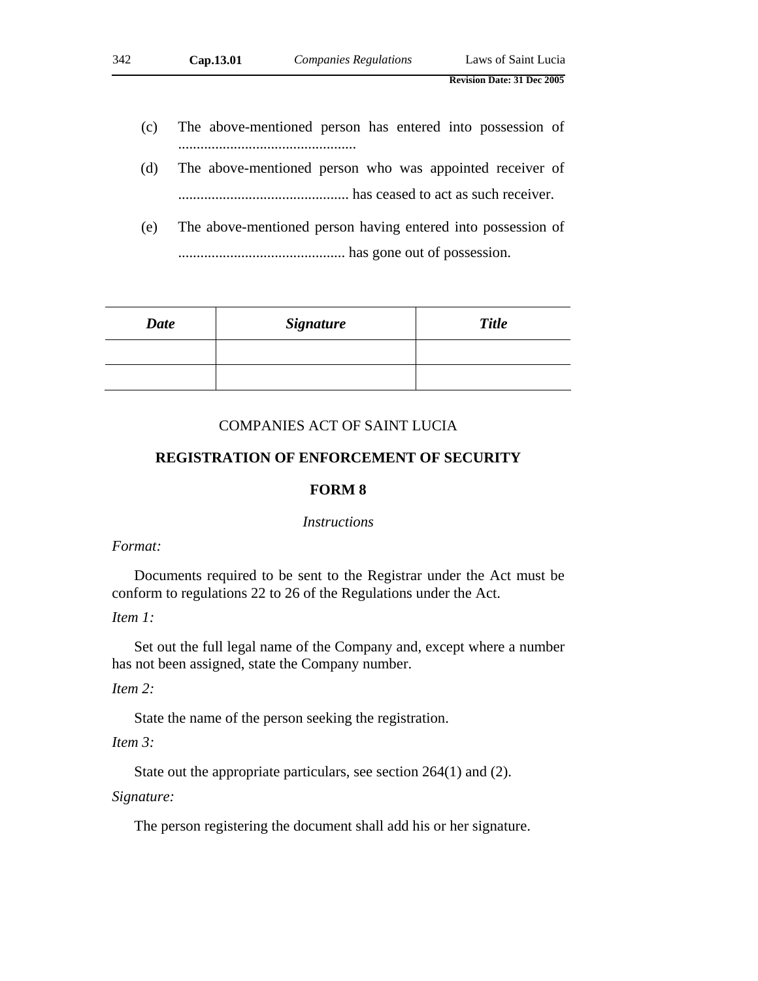- (c) The above-mentioned person has entered into possession of ................................................
- (d) The above-mentioned person who was appointed receiver of .............................................. has ceased to act as such receiver.
- (e) The above-mentioned person having entered into possession of ............................................. has gone out of possession.

| <b>Date</b> | <b>Signature</b> | <b>Title</b> |
|-------------|------------------|--------------|
|             |                  |              |
|             |                  |              |

## COMPANIES ACT OF SAINT LUCIA

# **REGISTRATION OF ENFORCEMENT OF SECURITY**

# **FORM 8**

#### *Instructions*

### *Format:*

Documents required to be sent to the Registrar under the Act must be conform to regulations 22 to 26 of the Regulations under the Act.

## *Item 1:*

Set out the full legal name of the Company and, except where a number has not been assigned, state the Company number.

# *Item 2:*

State the name of the person seeking the registration.

# *Item 3:*

State out the appropriate particulars, see section 264(1) and (2).

### *Signature:*

The person registering the document shall add his or her signature.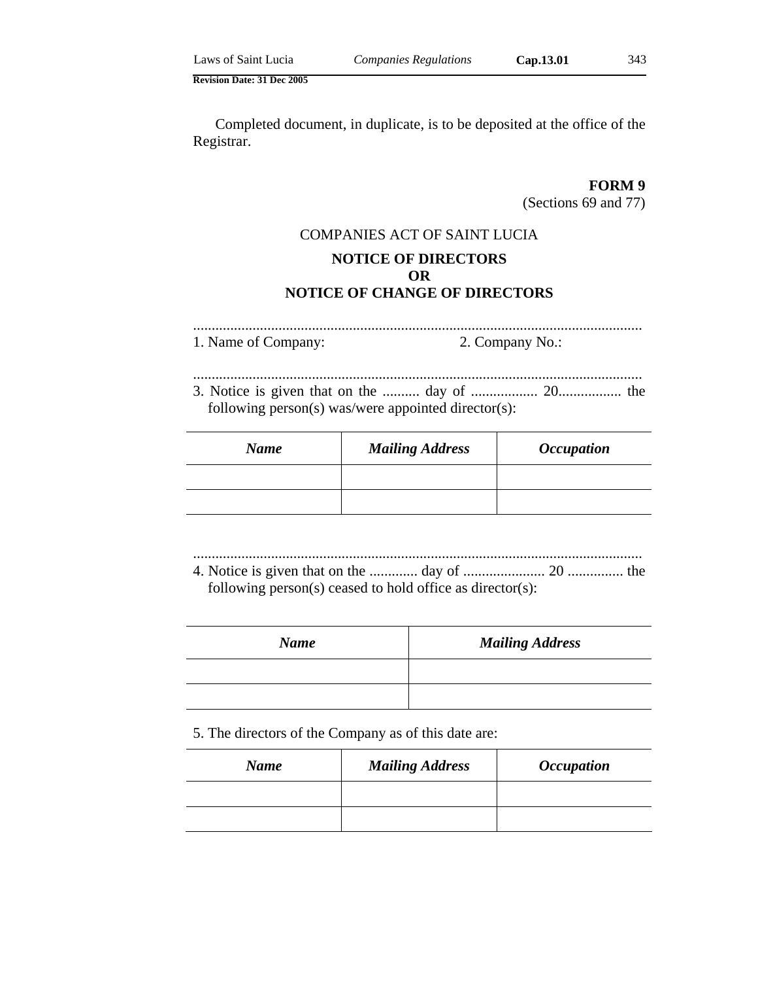Completed document, in duplicate, is to be deposited at the office of the Registrar.

# **FORM 9**

(Sections 69 and 77)

# COMPANIES ACT OF SAINT LUCIA **NOTICE OF DIRECTORS OR NOTICE OF CHANGE OF DIRECTORS**

......................................................................................................................... 1. Name of Company: 2. Company No.:

......................................................................................................................... 3. Notice is given that on the .......... day of .................. 20................. the following person(s) was/were appointed director(s):

| <b>Name</b> | <b>Mailing Address</b> | <i><b>Occupation</b></i> |
|-------------|------------------------|--------------------------|
|             |                        |                          |
|             |                        |                          |

......................................................................................................................... 4. Notice is given that on the ............. day of ...................... 20 ............... the following person(s) ceased to hold office as director(s):

| <b>Name</b> | <b>Mailing Address</b> |
|-------------|------------------------|
|             |                        |
|             |                        |

### 5. The directors of the Company as of this date are:

| <b>Name</b> | <b>Mailing Address</b> | <i><b>Occupation</b></i> |
|-------------|------------------------|--------------------------|
|             |                        |                          |
|             |                        |                          |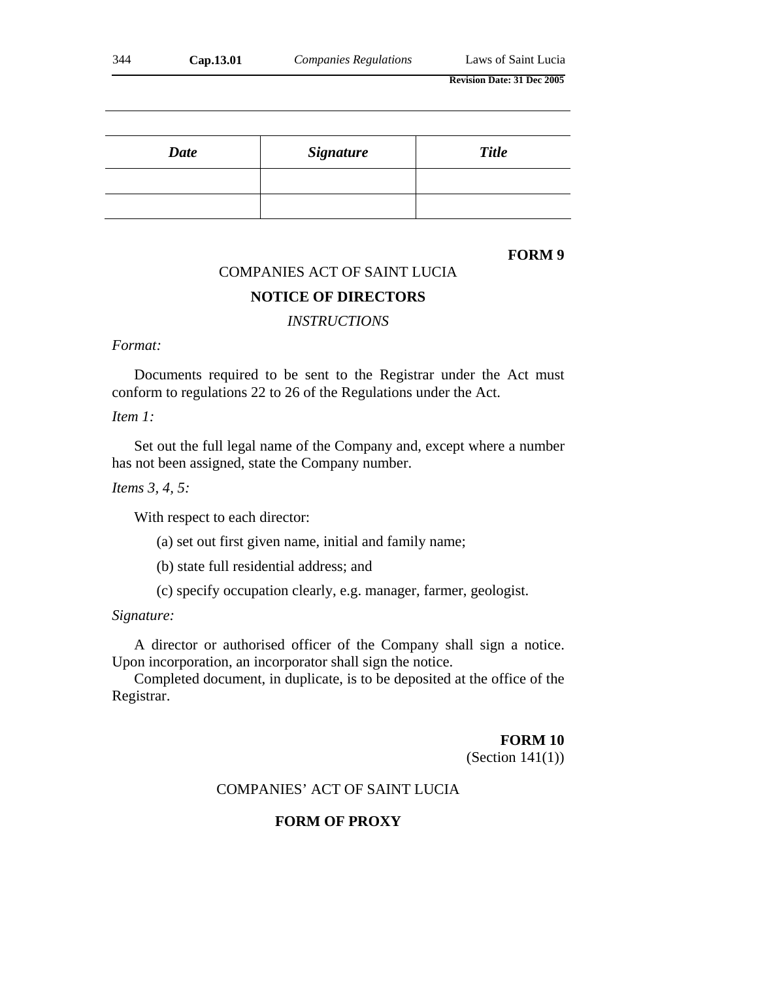| 344<br>Cap.13.01 | <b>Companies Regulations</b> | Laws of Saint Lucia |
|------------------|------------------------------|---------------------|
|------------------|------------------------------|---------------------|

| <b>Date</b> | <b>Signature</b> | <b>Title</b> |
|-------------|------------------|--------------|
|             |                  |              |
|             |                  |              |

# **FORM 9**

# COMPANIES ACT OF SAINT LUCIA

## **NOTICE OF DIRECTORS**

# *INSTRUCTIONS*

### *Format:*

Documents required to be sent to the Registrar under the Act must conform to regulations 22 to 26 of the Regulations under the Act.

# *Item 1:*

Set out the full legal name of the Company and, except where a number has not been assigned, state the Company number.

*Items 3, 4, 5:*

With respect to each director:

(a) set out first given name, initial and family name;

(b) state full residential address; and

(c) specify occupation clearly, e.g. manager, farmer, geologist.

## *Signature:*

A director or authorised officer of the Company shall sign a notice. Upon incorporation, an incorporator shall sign the notice.

Completed document, in duplicate, is to be deposited at the office of the Registrar.

#### **FORM 10**

(Section 141(1))

# COMPANIES' ACT OF SAINT LUCIA

# **FORM OF PROXY**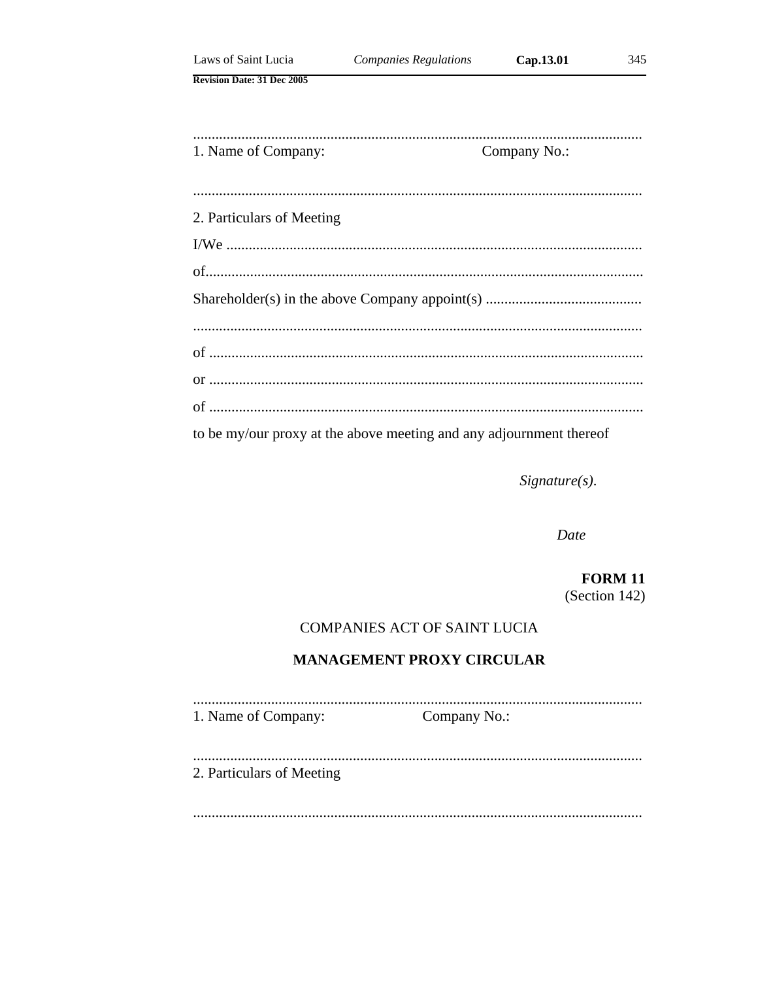| Laws of Saint Lucia               | <b>Companies Regulations</b>                                        | Cap.13.01    | 345 |
|-----------------------------------|---------------------------------------------------------------------|--------------|-----|
| <b>Revision Date: 31 Dec 2005</b> |                                                                     |              |     |
|                                   |                                                                     |              |     |
| 1. Name of Company:               |                                                                     | Company No.: |     |
|                                   |                                                                     |              |     |
| 2. Particulars of Meeting         |                                                                     |              |     |
|                                   |                                                                     |              |     |
|                                   |                                                                     |              |     |
|                                   |                                                                     |              |     |
|                                   |                                                                     |              |     |
|                                   |                                                                     |              |     |
|                                   |                                                                     |              |     |
|                                   |                                                                     |              |     |
|                                   | to be my/our proxy at the above meeting and any adjournment thereof |              |     |

 $Signature(s)$ .

Date

**FORM 11** (Section 142)

# **COMPANIES ACT OF SAINT LUCIA**

# **MANAGEMENT PROXY CIRCULAR**

1. Name of Company: Company No.:

2. Particulars of Meeting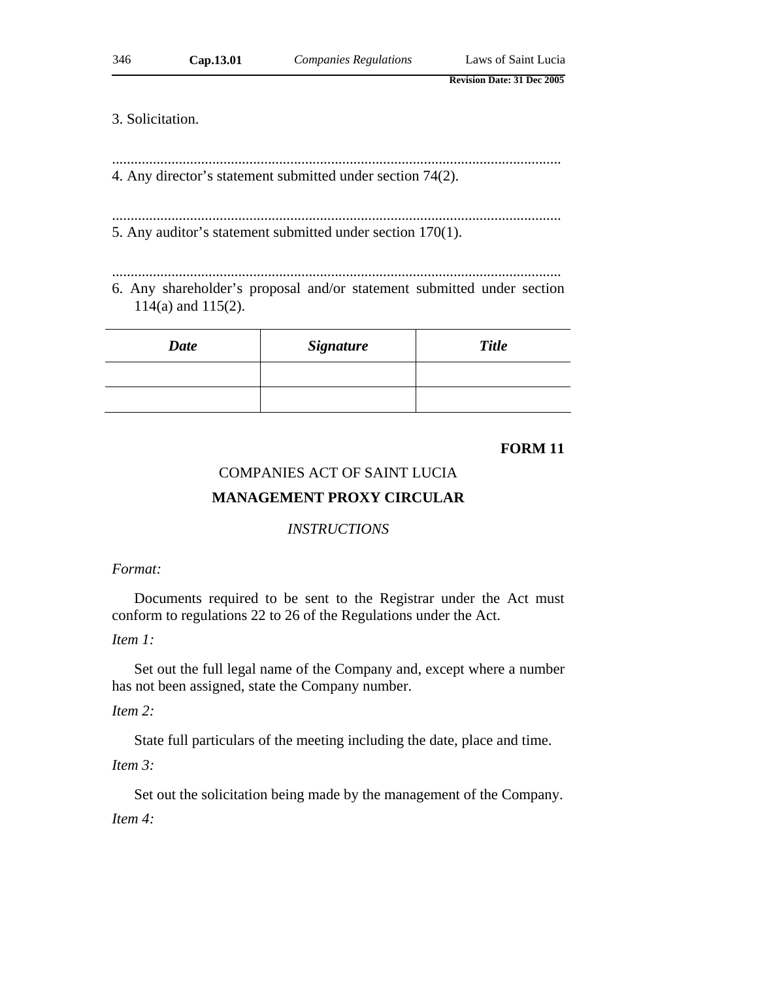### 3. Solicitation.

4. Any director's statement submitted under section 74(2).

......................................................................................................................... 5. Any auditor's statement submitted under section 170(1).

.........................................................................................................................

......................................................................................................................... 6. Any shareholder's proposal and/or statement submitted under section 114(a) and 115(2).

| <b>Date</b> | <b>Signature</b> | <b>Title</b> |
|-------------|------------------|--------------|
|             |                  |              |
|             |                  |              |

### **FORM 11**

# COMPANIES ACT OF SAINT LUCIA

## **MANAGEMENT PROXY CIRCULAR**

#### *INSTRUCTIONS*

#### *Format:*

Documents required to be sent to the Registrar under the Act must conform to regulations 22 to 26 of the Regulations under the Act.

## *Item 1:*

Set out the full legal name of the Company and, except where a number has not been assigned, state the Company number.

#### *Item 2:*

State full particulars of the meeting including the date, place and time.

*Item 3:*

Set out the solicitation being made by the management of the Company.

*Item 4:*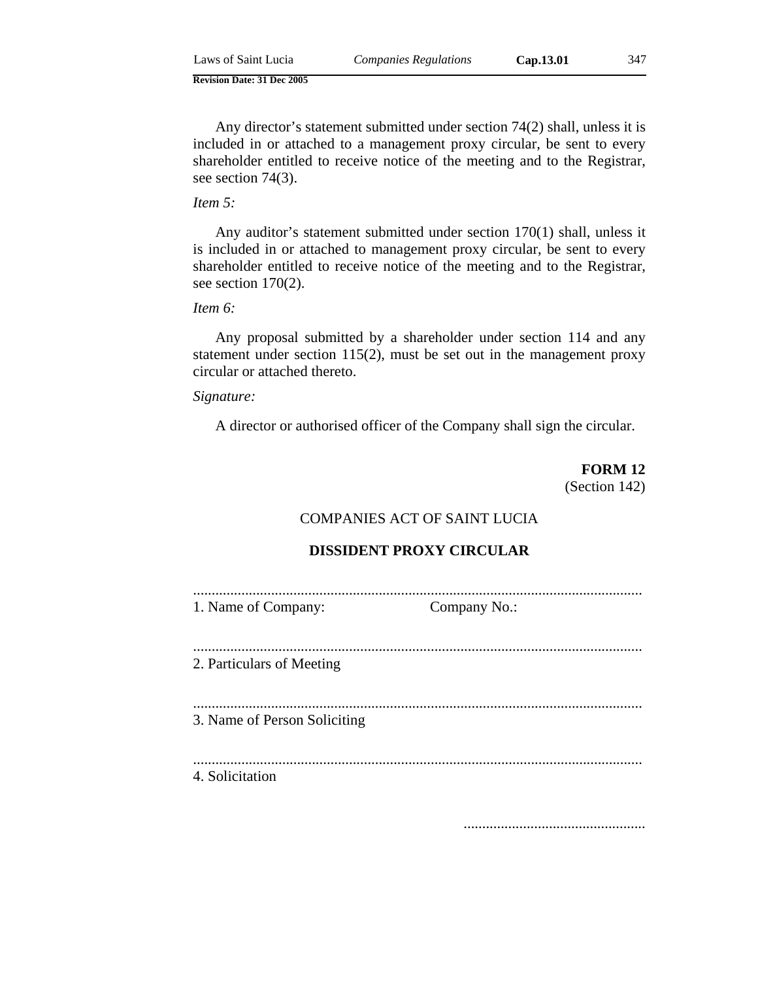Any director's statement submitted under section 74(2) shall, unless it is included in or attached to a management proxy circular, be sent to every shareholder entitled to receive notice of the meeting and to the Registrar, see section 74(3).

# *Item 5:*

Any auditor's statement submitted under section 170(1) shall, unless it is included in or attached to management proxy circular, be sent to every shareholder entitled to receive notice of the meeting and to the Registrar, see section 170(2).

*Item 6:*

Any proposal submitted by a shareholder under section 114 and any statement under section 115(2), must be set out in the management proxy circular or attached thereto.

### *Signature:*

A director or authorised officer of the Company shall sign the circular.

**FORM 12** (Section 142)

# COMPANIES ACT OF SAINT LUCIA

#### **DISSIDENT PROXY CIRCULAR**

| 1. Name of Company: | Company No.: |
|---------------------|--------------|

......................................................................................................................... 2. Particulars of Meeting

......................................................................................................................... 3. Name of Person Soliciting

.........................................................................................................................

4. Solicitation

.................................................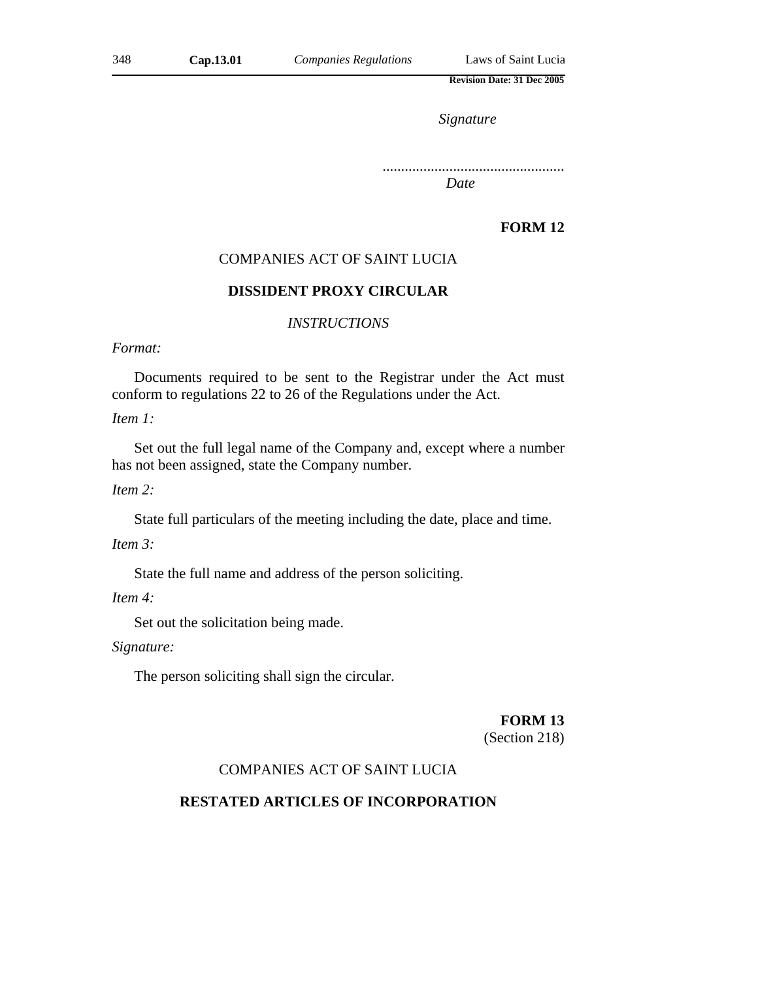*Signature*

.................................................

*Date*

# **FORM 12**

## COMPANIES ACT OF SAINT LUCIA

### **DISSIDENT PROXY CIRCULAR**

### *INSTRUCTIONS*

### *Format:*

Documents required to be sent to the Registrar under the Act must conform to regulations 22 to 26 of the Regulations under the Act.

*Item 1:*

Set out the full legal name of the Company and, except where a number has not been assigned, state the Company number.

*Item 2:*

State full particulars of the meeting including the date, place and time.

*Item 3:*

State the full name and address of the person soliciting.

*Item 4:*

Set out the solicitation being made.

*Signature:*

The person soliciting shall sign the circular.

#### **FORM 13**

(Section 218)

## COMPANIES ACT OF SAINT LUCIA

#### **RESTATED ARTICLES OF INCORPORATION**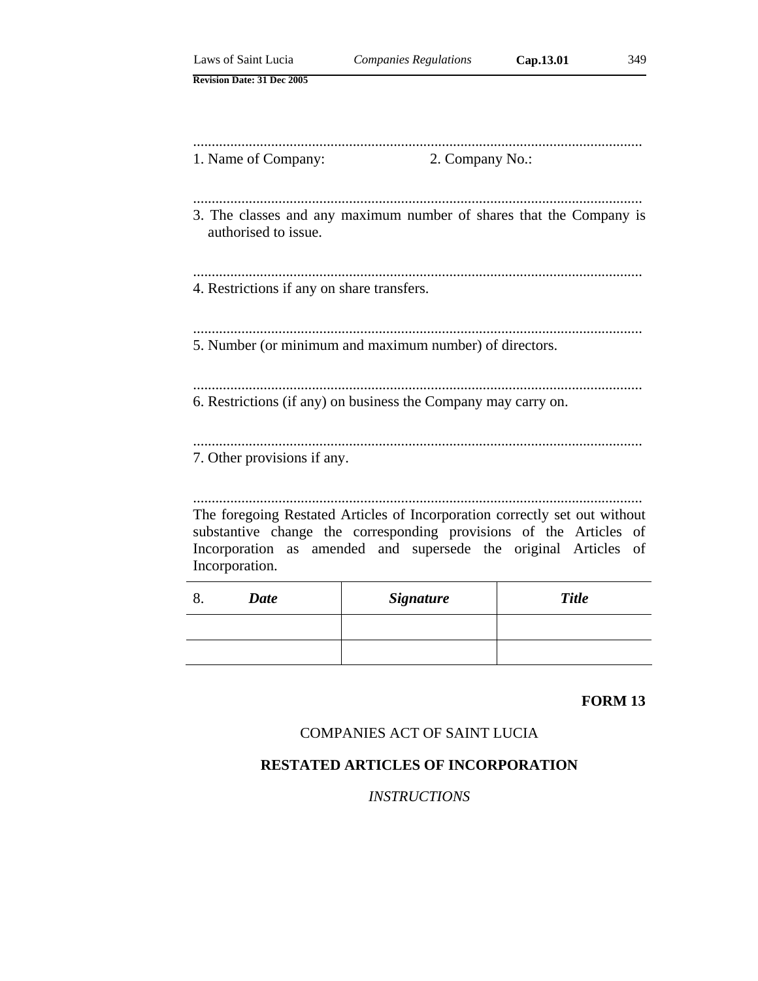| Laws of Saint Lucia                        | <b>Companies Regulations</b>                                               | Cap.13.01<br>349 |
|--------------------------------------------|----------------------------------------------------------------------------|------------------|
| <b>Revision Date: 31 Dec 2005</b>          |                                                                            |                  |
|                                            |                                                                            |                  |
|                                            |                                                                            |                  |
| 1. Name of Company:                        | 2. Company No.:                                                            |                  |
|                                            |                                                                            |                  |
|                                            |                                                                            |                  |
| authorised to issue.                       | 3. The classes and any maximum number of shares that the Company is        |                  |
|                                            |                                                                            |                  |
|                                            |                                                                            |                  |
| 4. Restrictions if any on share transfers. |                                                                            |                  |
|                                            |                                                                            |                  |
|                                            | 5. Number (or minimum and maximum number) of directors.                    |                  |
|                                            |                                                                            |                  |
|                                            |                                                                            |                  |
|                                            | 6. Restrictions (if any) on business the Company may carry on.             |                  |
|                                            |                                                                            |                  |
| 7. Other provisions if any.                |                                                                            |                  |
|                                            |                                                                            |                  |
|                                            | The foregoing Restated Articles of Incorporation correctly set out without |                  |
|                                            | substantive change the corresponding provisions of the Articles of         |                  |
|                                            | Incorporation as amended and supersede the original Articles of            |                  |
| Incorporation.                             |                                                                            |                  |
| 8.<br><b>Date</b>                          | <b>Signature</b>                                                           | <b>Title</b>     |

### **FORM 13**

# COMPANIES ACT OF SAINT LUCIA

# **RESTATED ARTICLES OF INCORPORATION**

# *INSTRUCTIONS*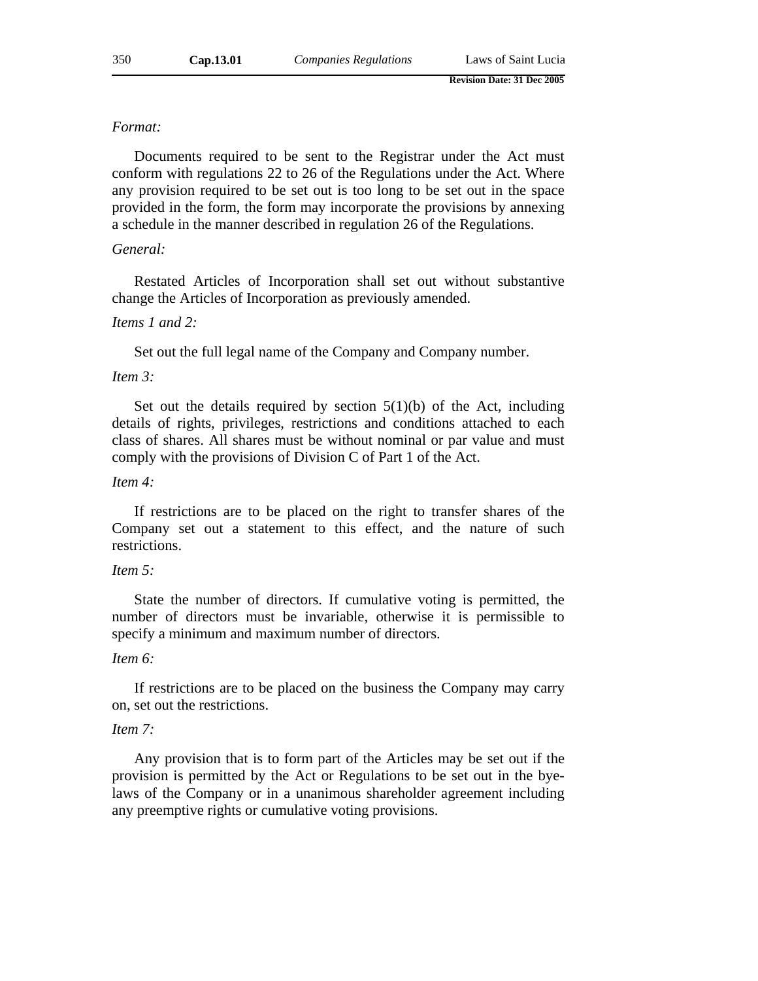#### *Format:*

Documents required to be sent to the Registrar under the Act must conform with regulations 22 to 26 of the Regulations under the Act. Where any provision required to be set out is too long to be set out in the space provided in the form, the form may incorporate the provisions by annexing a schedule in the manner described in regulation 26 of the Regulations.

## *General:*

Restated Articles of Incorporation shall set out without substantive change the Articles of Incorporation as previously amended.

#### *Items 1 and 2:*

Set out the full legal name of the Company and Company number.

#### *Item 3:*

Set out the details required by section  $5(1)(b)$  of the Act, including details of rights, privileges, restrictions and conditions attached to each class of shares. All shares must be without nominal or par value and must comply with the provisions of Division C of Part 1 of the Act.

#### *Item 4:*

If restrictions are to be placed on the right to transfer shares of the Company set out a statement to this effect, and the nature of such restrictions.

#### *Item 5:*

State the number of directors. If cumulative voting is permitted, the number of directors must be invariable, otherwise it is permissible to specify a minimum and maximum number of directors.

### *Item 6:*

If restrictions are to be placed on the business the Company may carry on, set out the restrictions.

#### *Item 7:*

Any provision that is to form part of the Articles may be set out if the provision is permitted by the Act or Regulations to be set out in the byelaws of the Company or in a unanimous shareholder agreement including any preemptive rights or cumulative voting provisions.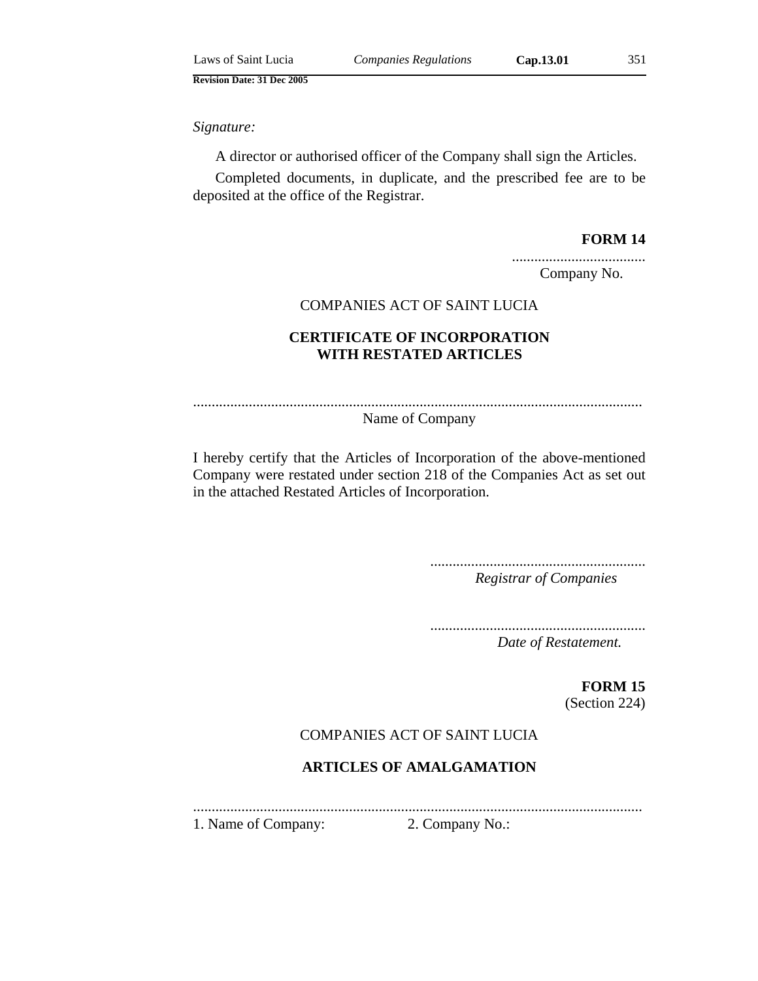*Signature:*

A director or authorised officer of the Company shall sign the Articles.

Completed documents, in duplicate, and the prescribed fee are to be deposited at the office of the Registrar.

### **FORM 14**

.................................... Company No.

### COMPANIES ACT OF SAINT LUCIA

# **CERTIFICATE OF INCORPORATION WITH RESTATED ARTICLES**

.........................................................................................................................

Name of Company

I hereby certify that the Articles of Incorporation of the above-mentioned Company were restated under section 218 of the Companies Act as set out in the attached Restated Articles of Incorporation.

> .......................................................... *Registrar of Companies*

> ..........................................................

*Date of Restatement.*

**FORM 15** (Section 224)

# COMPANIES ACT OF SAINT LUCIA

# **ARTICLES OF AMALGAMATION**

......................................................................................................................... 1. Name of Company: 2. Company No.: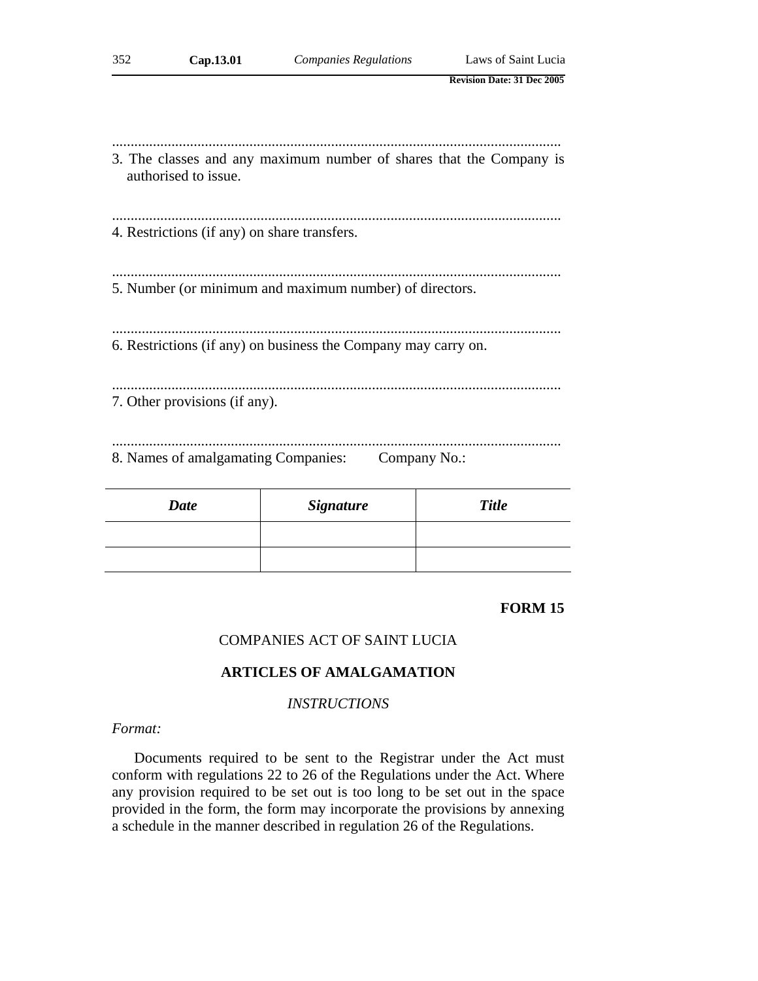| 352 | Cap.13.01                                    | <b>Companies Regulations</b>                                        | Laws of Saint Lucia               |
|-----|----------------------------------------------|---------------------------------------------------------------------|-----------------------------------|
|     |                                              |                                                                     | <b>Revision Date: 31 Dec 2005</b> |
|     |                                              |                                                                     |                                   |
|     | authorised to issue.                         | 3. The classes and any maximum number of shares that the Company is |                                   |
|     | 4. Restrictions (if any) on share transfers. |                                                                     |                                   |
|     |                                              | 5. Number (or minimum and maximum number) of directors.             |                                   |
|     |                                              | 6. Restrictions (if any) on business the Company may carry on.      |                                   |
|     | 7. Other provisions (if any).                |                                                                     |                                   |
|     | 8. Names of amalgamating Companies:          |                                                                     | Company No.:                      |

| <b>Date</b> | <b>Signature</b> | <b>Title</b> |
|-------------|------------------|--------------|
|             |                  |              |
|             |                  |              |

# **FORM 15**

### COMPANIES ACT OF SAINT LUCIA

### **ARTICLES OF AMALGAMATION**

# *INSTRUCTIONS*

#### *Format:*

Documents required to be sent to the Registrar under the Act must conform with regulations 22 to 26 of the Regulations under the Act. Where any provision required to be set out is too long to be set out in the space provided in the form, the form may incorporate the provisions by annexing a schedule in the manner described in regulation 26 of the Regulations.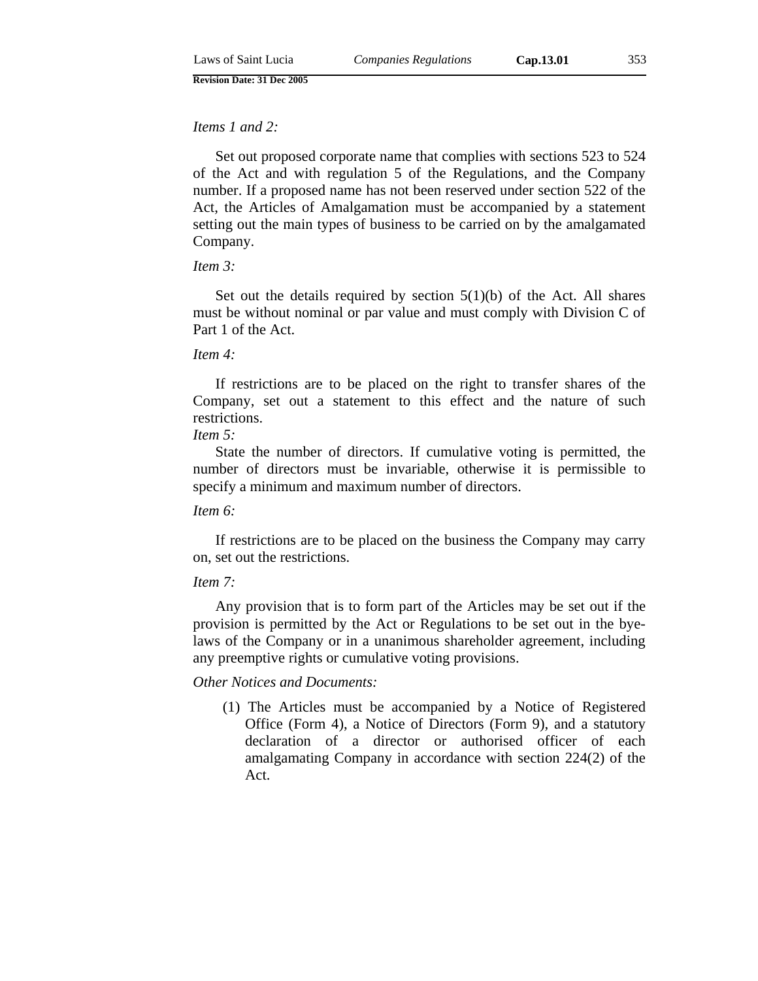## *Items 1 and 2:*

Set out proposed corporate name that complies with sections 523 to 524 of the Act and with regulation 5 of the Regulations, and the Company number. If a proposed name has not been reserved under section 522 of the Act, the Articles of Amalgamation must be accompanied by a statement setting out the main types of business to be carried on by the amalgamated Company.

#### *Item 3:*

Set out the details required by section  $5(1)(b)$  of the Act. All shares must be without nominal or par value and must comply with Division C of Part 1 of the Act.

#### *Item 4:*

If restrictions are to be placed on the right to transfer shares of the Company, set out a statement to this effect and the nature of such restrictions.

### *Item 5:*

State the number of directors. If cumulative voting is permitted, the number of directors must be invariable, otherwise it is permissible to specify a minimum and maximum number of directors.

#### *Item 6:*

If restrictions are to be placed on the business the Company may carry on, set out the restrictions.

### *Item 7:*

Any provision that is to form part of the Articles may be set out if the provision is permitted by the Act or Regulations to be set out in the byelaws of the Company or in a unanimous shareholder agreement, including any preemptive rights or cumulative voting provisions.

#### *Other Notices and Documents:*

(1) The Articles must be accompanied by a Notice of Registered Office (Form 4), a Notice of Directors (Form 9), and a statutory declaration of a director or authorised officer of each amalgamating Company in accordance with section 224(2) of the Act.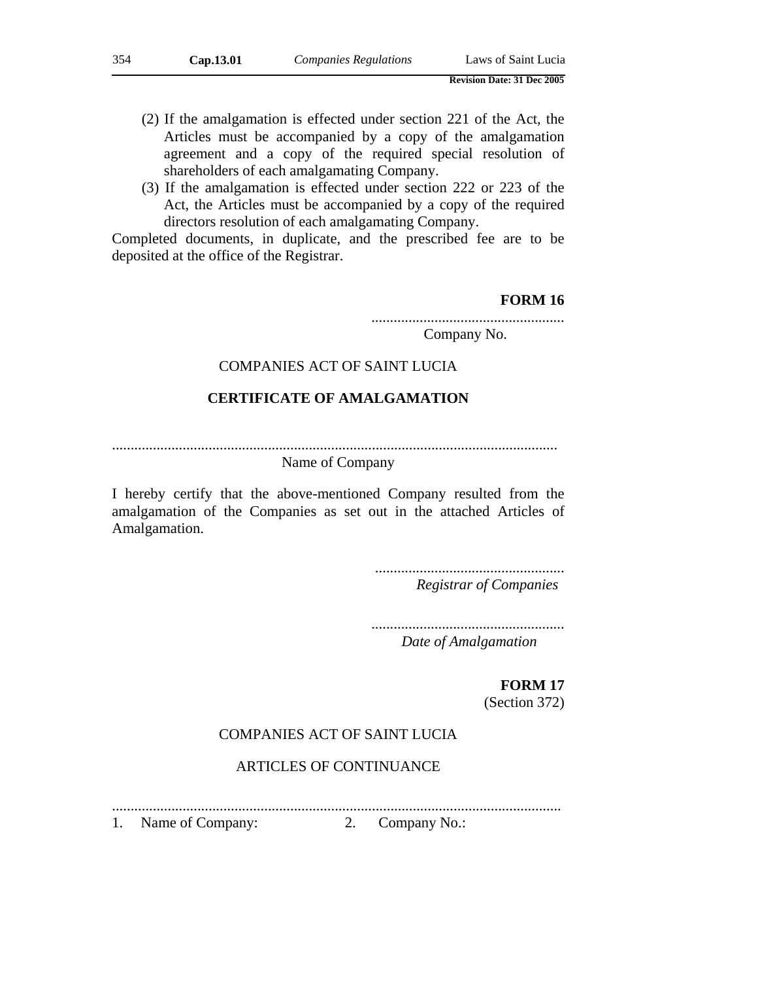- (2) If the amalgamation is effected under section 221 of the Act, the Articles must be accompanied by a copy of the amalgamation agreement and a copy of the required special resolution of shareholders of each amalgamating Company.
- (3) If the amalgamation is effected under section 222 or 223 of the Act, the Articles must be accompanied by a copy of the required directors resolution of each amalgamating Company.

Completed documents, in duplicate, and the prescribed fee are to be deposited at the office of the Registrar.

## **FORM 16**

.................................................... Company No.

### COMPANIES ACT OF SAINT LUCIA

# **CERTIFICATE OF AMALGAMATION**

........................................................................................................................

# Name of Company

I hereby certify that the above-mentioned Company resulted from the amalgamation of the Companies as set out in the attached Articles of Amalgamation.

> ................................................... *Registrar of Companies*

....................................................

*Date of Amalgamation*

# **FORM 17**

(Section 372)

### COMPANIES ACT OF SAINT LUCIA

# ARTICLES OF CONTINUANCE

.........................................................................................................................

1. Name of Company: 2. Company No.: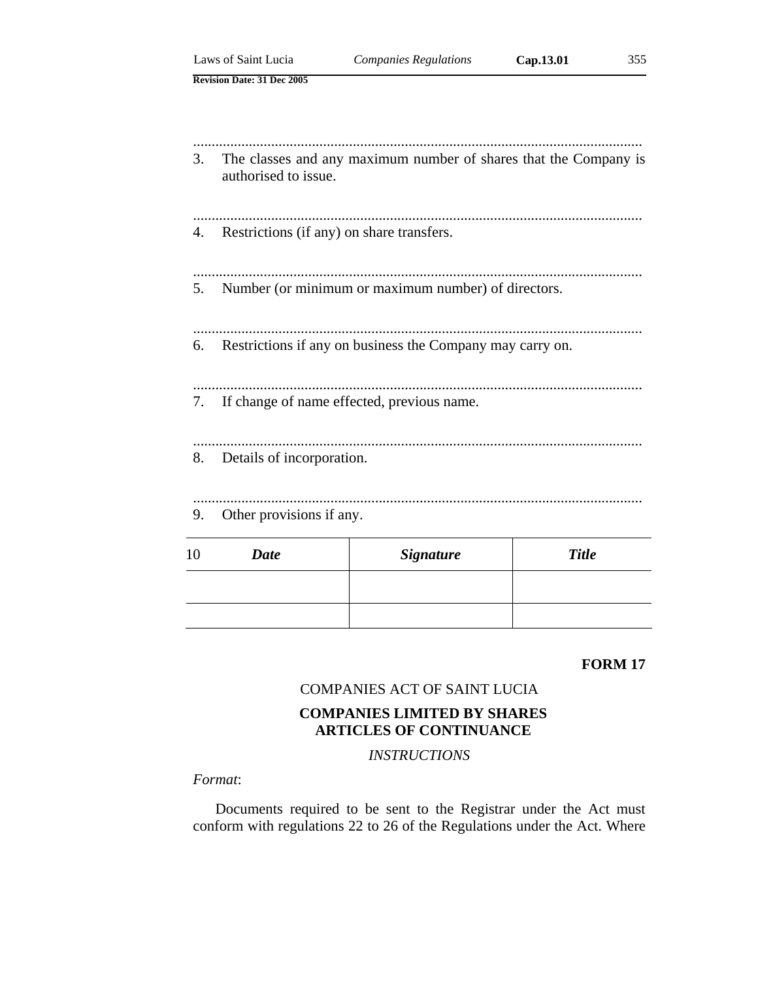|    | Laws of Saint Lucia                       | <b>Companies Regulations</b>                                     | Cap.13.01    | 355 |
|----|-------------------------------------------|------------------------------------------------------------------|--------------|-----|
|    | <b>Revision Date: 31 Dec 2005</b>         |                                                                  |              |     |
|    |                                           |                                                                  |              |     |
|    |                                           |                                                                  |              |     |
| 3. | authorised to issue.                      | The classes and any maximum number of shares that the Company is |              |     |
|    |                                           |                                                                  |              |     |
| 4. | Restrictions (if any) on share transfers. |                                                                  |              |     |
|    |                                           |                                                                  |              |     |
| 5. |                                           | Number (or minimum or maximum number) of directors.              |              |     |
|    |                                           |                                                                  |              |     |
|    |                                           | 6. Restrictions if any on business the Company may carry on.     |              |     |
|    |                                           |                                                                  |              |     |
| 7. |                                           | If change of name effected, previous name.                       |              |     |
|    |                                           |                                                                  |              |     |
| 8. | Details of incorporation.                 |                                                                  |              |     |
|    |                                           |                                                                  |              |     |
| 9. | Other provisions if any.                  |                                                                  |              |     |
|    |                                           |                                                                  |              |     |
| 10 | <b>Date</b>                               | <b>Signature</b>                                                 | <b>Title</b> |     |
|    |                                           |                                                                  |              |     |
|    |                                           |                                                                  |              |     |

### **FORM 17**

# COMPANIES ACT OF SAINT LUCIA

# **COMPANIES LIMITED BY SHARES ARTICLES OF CONTINUANCE**

*INSTRUCTIONS* 

## *Format*:

Documents required to be sent to the Registrar under the Act must conform with regulations 22 to 26 of the Regulations under the Act. Where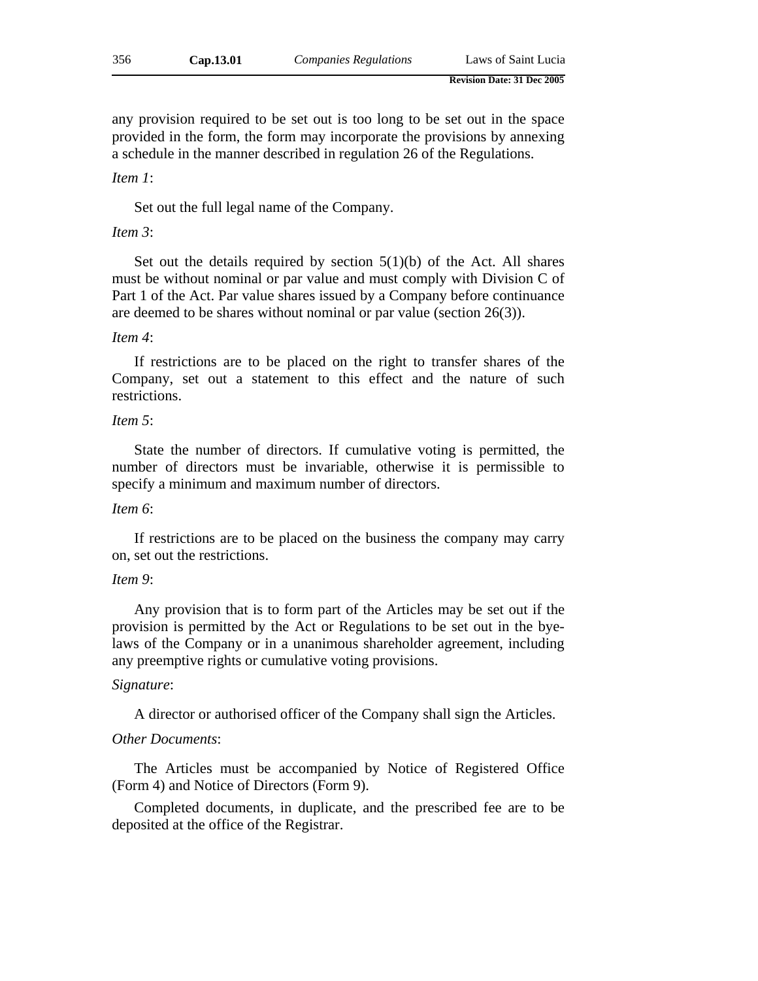any provision required to be set out is too long to be set out in the space provided in the form, the form may incorporate the provisions by annexing a schedule in the manner described in regulation 26 of the Regulations.

#### *Item 1*:

Set out the full legal name of the Company.

### *Item 3*:

Set out the details required by section  $5(1)(b)$  of the Act. All shares must be without nominal or par value and must comply with Division C of Part 1 of the Act. Par value shares issued by a Company before continuance are deemed to be shares without nominal or par value (section 26(3)).

#### *Item 4*:

If restrictions are to be placed on the right to transfer shares of the Company, set out a statement to this effect and the nature of such restrictions.

### *Item 5*:

State the number of directors. If cumulative voting is permitted, the number of directors must be invariable, otherwise it is permissible to specify a minimum and maximum number of directors.

#### *Item 6*:

If restrictions are to be placed on the business the company may carry on, set out the restrictions.

#### *Item 9*:

Any provision that is to form part of the Articles may be set out if the provision is permitted by the Act or Regulations to be set out in the byelaws of the Company or in a unanimous shareholder agreement, including any preemptive rights or cumulative voting provisions.

#### *Signature*:

A director or authorised officer of the Company shall sign the Articles.

#### *Other Documents*:

The Articles must be accompanied by Notice of Registered Office (Form 4) and Notice of Directors (Form 9).

Completed documents, in duplicate, and the prescribed fee are to be deposited at the office of the Registrar.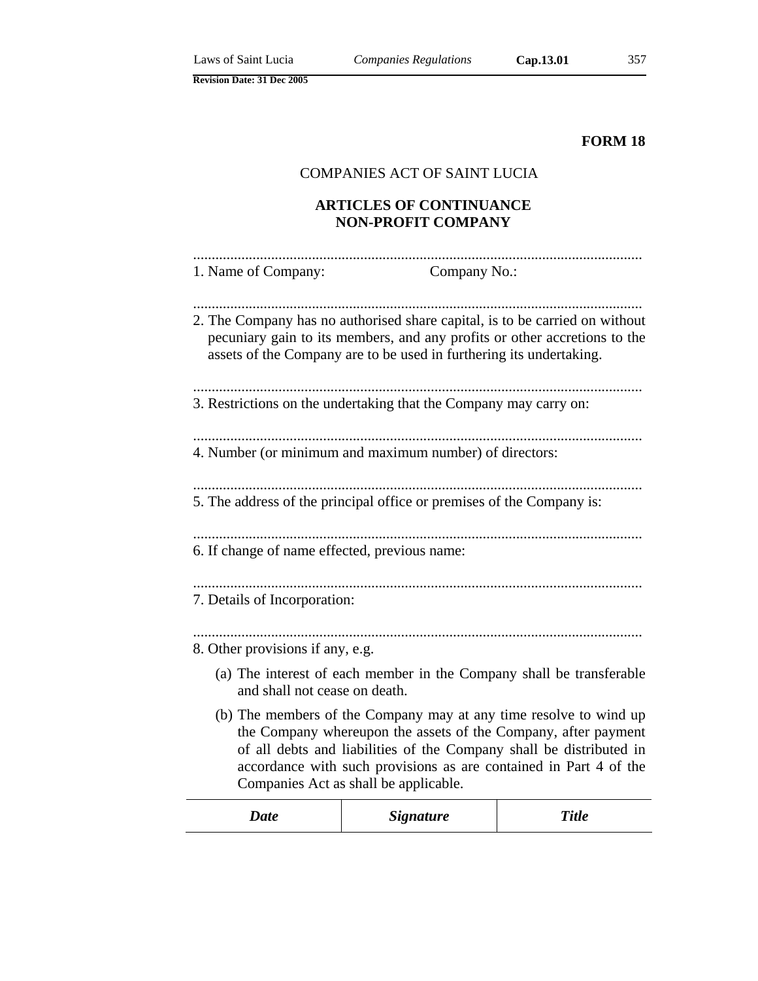**FORM 18**

# COMPANIES ACT OF SAINT LUCIA

# **ARTICLES OF CONTINUANCE NON-PROFIT COMPANY**

| 1. Name of Company:                           | Company No.:                                                                                                                                                                                                                                                                                                             |              |
|-----------------------------------------------|--------------------------------------------------------------------------------------------------------------------------------------------------------------------------------------------------------------------------------------------------------------------------------------------------------------------------|--------------|
|                                               | 2. The Company has no authorised share capital, is to be carried on without<br>pecuniary gain to its members, and any profits or other accretions to the<br>assets of the Company are to be used in furthering its undertaking.                                                                                          |              |
|                                               | 3. Restrictions on the undertaking that the Company may carry on:                                                                                                                                                                                                                                                        |              |
|                                               | 4. Number (or minimum and maximum number) of directors:                                                                                                                                                                                                                                                                  |              |
|                                               | 5. The address of the principal office or premises of the Company is:                                                                                                                                                                                                                                                    |              |
| 6. If change of name effected, previous name: |                                                                                                                                                                                                                                                                                                                          |              |
| 7. Details of Incorporation:                  |                                                                                                                                                                                                                                                                                                                          |              |
| 8. Other provisions if any, e.g.              |                                                                                                                                                                                                                                                                                                                          |              |
| and shall not cease on death.                 | (a) The interest of each member in the Company shall be transferable                                                                                                                                                                                                                                                     |              |
|                                               | (b) The members of the Company may at any time resolve to wind up<br>the Company whereupon the assets of the Company, after payment<br>of all debts and liabilities of the Company shall be distributed in<br>accordance with such provisions as are contained in Part 4 of the<br>Companies Act as shall be applicable. |              |
| <b>Date</b>                                   | <b>Signature</b>                                                                                                                                                                                                                                                                                                         | <b>Title</b> |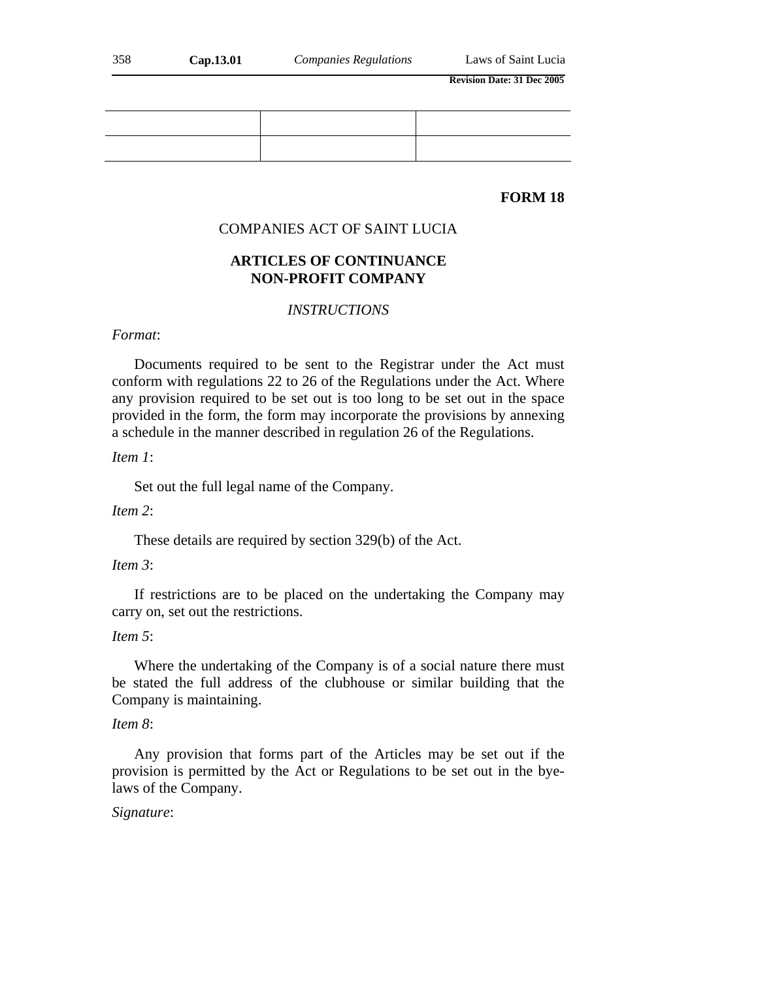## **FORM 18**

#### COMPANIES ACT OF SAINT LUCIA

# **ARTICLES OF CONTINUANCE NON-PROFIT COMPANY**

### *INSTRUCTIONS*

#### *Format*:

Documents required to be sent to the Registrar under the Act must conform with regulations 22 to 26 of the Regulations under the Act. Where any provision required to be set out is too long to be set out in the space provided in the form, the form may incorporate the provisions by annexing a schedule in the manner described in regulation 26 of the Regulations.

### *Item 1*:

Set out the full legal name of the Company.

#### *Item 2*:

These details are required by section 329(b) of the Act.

### *Item 3*:

If restrictions are to be placed on the undertaking the Company may carry on, set out the restrictions.

### *Item 5*:

Where the undertaking of the Company is of a social nature there must be stated the full address of the clubhouse or similar building that the Company is maintaining.

#### *Item 8*:

Any provision that forms part of the Articles may be set out if the provision is permitted by the Act or Regulations to be set out in the byelaws of the Company.

#### *Signature*: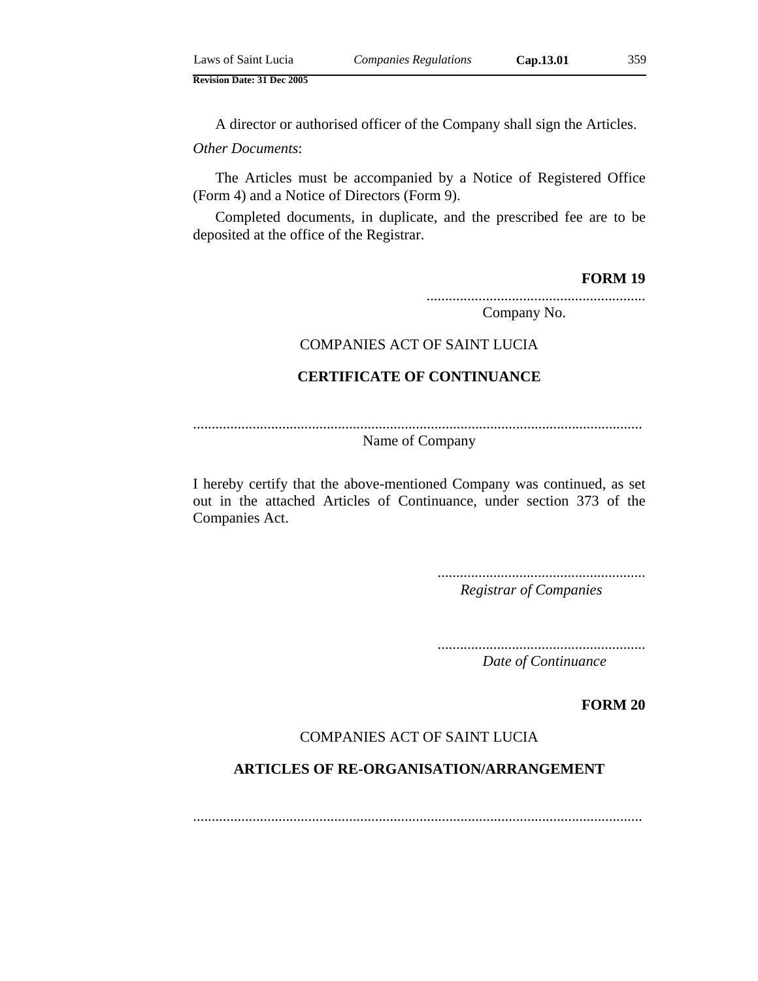| Laws of Saint Lucia | <b>Companies Regulations</b> | Cap.13.01 | 359 |
|---------------------|------------------------------|-----------|-----|
|                     |                              |           |     |

A director or authorised officer of the Company shall sign the Articles.

*Other Documents*:

The Articles must be accompanied by a Notice of Registered Office (Form 4) and a Notice of Directors (Form 9).

Completed documents, in duplicate, and the prescribed fee are to be deposited at the office of the Registrar.

**FORM 19**

...........................................................

Company No.

## COMPANIES ACT OF SAINT LUCIA

# **CERTIFICATE OF CONTINUANCE**

.........................................................................................................................

Name of Company

I hereby certify that the above-mentioned Company was continued, as set out in the attached Articles of Continuance, under section 373 of the Companies Act.

> ........................................................ *Registrar of Companies*

> ........................................................ *Date of Continuance*

> > **FORM 20**

## COMPANIES ACT OF SAINT LUCIA

# **ARTICLES OF RE-ORGANISATION/ARRANGEMENT**

.........................................................................................................................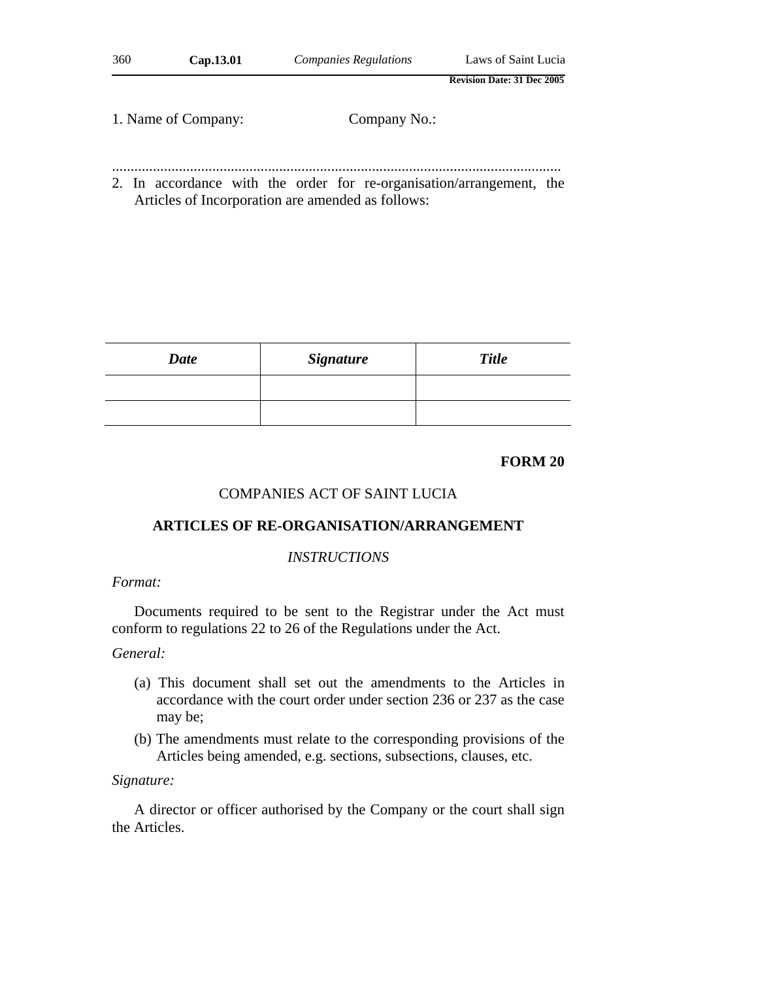| 360 | Cap.13.01           | <b>Companies Regulations</b>                                                                                              | Laws of Saint Lucia               |
|-----|---------------------|---------------------------------------------------------------------------------------------------------------------------|-----------------------------------|
|     |                     |                                                                                                                           | <b>Revision Date: 31 Dec 2005</b> |
|     | 1. Name of Company: | Company No.:                                                                                                              |                                   |
|     |                     | 2. In accordance with the order for re-organisation/arrangement, the<br>Articles of Incorporation are amended as follows: |                                   |

| Date | <b>Signature</b> | <b>Title</b> |
|------|------------------|--------------|
|      |                  |              |
|      |                  |              |

#### **FORM 20**

## COMPANIES ACT OF SAINT LUCIA

# **ARTICLES OF RE-ORGANISATION/ARRANGEMENT**

#### *INSTRUCTIONS*

## *Format:*

Documents required to be sent to the Registrar under the Act must conform to regulations 22 to 26 of the Regulations under the Act.

#### *General:*

- (a) This document shall set out the amendments to the Articles in accordance with the court order under section 236 or 237 as the case may be;
- (b) The amendments must relate to the corresponding provisions of the Articles being amended, e.g. sections, subsections, clauses, etc.

### *Signature:*

A director or officer authorised by the Company or the court shall sign the Articles.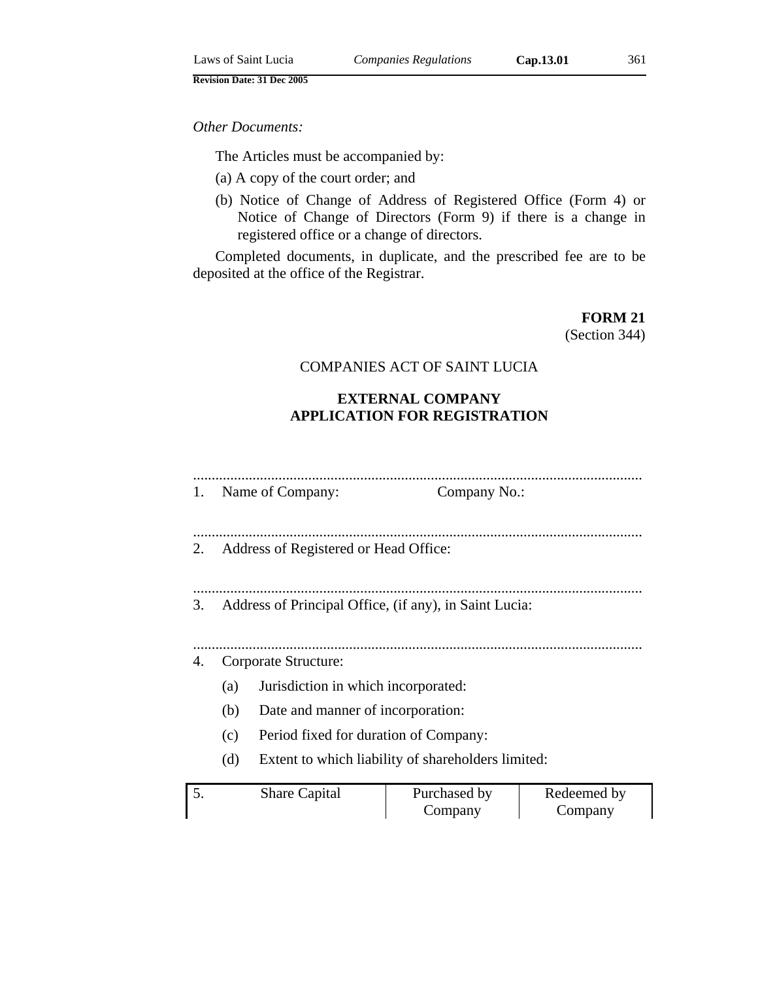### *Other Documents:*

The Articles must be accompanied by:

- (a) A copy of the court order; and
- (b) Notice of Change of Address of Registered Office (Form 4) or Notice of Change of Directors (Form 9) if there is a change in registered office or a change of directors.

Completed documents, in duplicate, and the prescribed fee are to be deposited at the office of the Registrar.

**FORM 21**

(Section 344)

# COMPANIES ACT OF SAINT LUCIA

# **EXTERNAL COMPANY APPLICATION FOR REGISTRATION**

| 1.                                                        |                                       | Name of Company:                                       | Company No.: |             |  |
|-----------------------------------------------------------|---------------------------------------|--------------------------------------------------------|--------------|-------------|--|
|                                                           |                                       |                                                        |              |             |  |
| 2.                                                        | Address of Registered or Head Office: |                                                        |              |             |  |
|                                                           |                                       |                                                        |              |             |  |
|                                                           |                                       |                                                        |              |             |  |
| 3.                                                        |                                       | Address of Principal Office, (if any), in Saint Lucia: |              |             |  |
|                                                           |                                       |                                                        |              |             |  |
|                                                           |                                       |                                                        |              |             |  |
|                                                           | Corporate Structure:<br>4.            |                                                        |              |             |  |
|                                                           | (a)                                   | Jurisdiction in which incorporated:                    |              |             |  |
|                                                           | (b)                                   | Date and manner of incorporation:                      |              |             |  |
| (c)<br>Period fixed for duration of Company:              |                                       |                                                        |              |             |  |
| (d)<br>Extent to which liability of shareholders limited: |                                       |                                                        |              |             |  |
|                                                           |                                       |                                                        |              |             |  |
| 5.                                                        |                                       | <b>Share Capital</b>                                   | Purchased by | Redeemed by |  |
|                                                           |                                       |                                                        | Company      | Company     |  |
|                                                           |                                       |                                                        |              |             |  |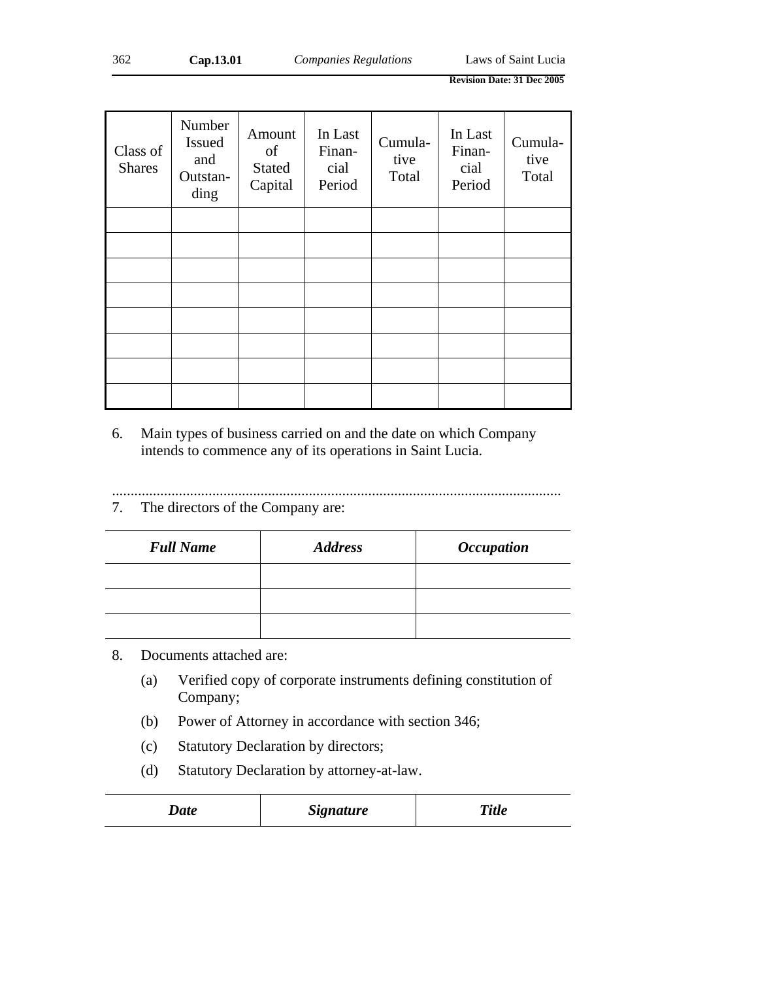| Class of<br><b>Shares</b> | Number<br><b>Issued</b><br>and<br>Outstan-<br>ding | Amount<br>of<br><b>Stated</b><br>Capital | In Last<br>Finan-<br>cial<br>Period | Cumula-<br>tive<br>Total | In Last<br>Finan-<br>cial<br>Period | Cumula-<br>tive<br>Total |
|---------------------------|----------------------------------------------------|------------------------------------------|-------------------------------------|--------------------------|-------------------------------------|--------------------------|
|                           |                                                    |                                          |                                     |                          |                                     |                          |
|                           |                                                    |                                          |                                     |                          |                                     |                          |
|                           |                                                    |                                          |                                     |                          |                                     |                          |
|                           |                                                    |                                          |                                     |                          |                                     |                          |
|                           |                                                    |                                          |                                     |                          |                                     |                          |
|                           |                                                    |                                          |                                     |                          |                                     |                          |
|                           |                                                    |                                          |                                     |                          |                                     |                          |
|                           |                                                    |                                          |                                     |                          |                                     |                          |

6. Main types of business carried on and the date on which Company intends to commence any of its operations in Saint Lucia.

.........................................................................................................................

7. The directors of the Company are:

| <b>Full Name</b> | <b>Address</b> | <i><b>Occupation</b></i> |
|------------------|----------------|--------------------------|
|                  |                |                          |
|                  |                |                          |
|                  |                |                          |

# 8. Documents attached are:

- (a) Verified copy of corporate instruments defining constitution of Company;
- (b) Power of Attorney in accordance with section 346;
- (c) Statutory Declaration by directors;
- (d) Statutory Declaration by attorney-at-law.

| <b>Title</b><br><i><b>Signature</b></i><br>$\boldsymbol{\mathcal{Q}}$ ate |  |
|---------------------------------------------------------------------------|--|
|---------------------------------------------------------------------------|--|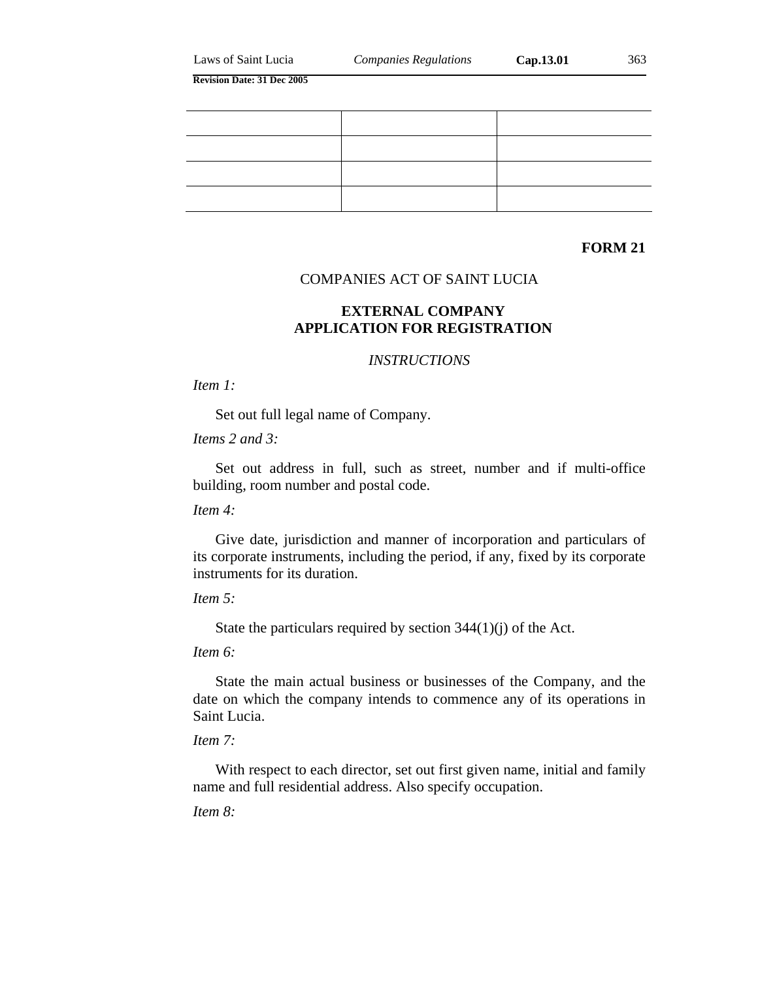| Laws of Saint Lucia |  |
|---------------------|--|
|---------------------|--|

# **FORM 21**

## COMPANIES ACT OF SAINT LUCIA

### **EXTERNAL COMPANY APPLICATION FOR REGISTRATION**

#### *INSTRUCTIONS*

*Item 1:*

Set out full legal name of Company.

*Items 2 and 3:*

Set out address in full, such as street, number and if multi-office building, room number and postal code.

*Item 4:*

Give date, jurisdiction and manner of incorporation and particulars of its corporate instruments, including the period, if any, fixed by its corporate instruments for its duration.

*Item 5:*

State the particulars required by section 344(1)(j) of the Act.

*Item 6:*

State the main actual business or businesses of the Company, and the date on which the company intends to commence any of its operations in Saint Lucia.

*Item 7:*

With respect to each director, set out first given name, initial and family name and full residential address. Also specify occupation.

*Item 8:*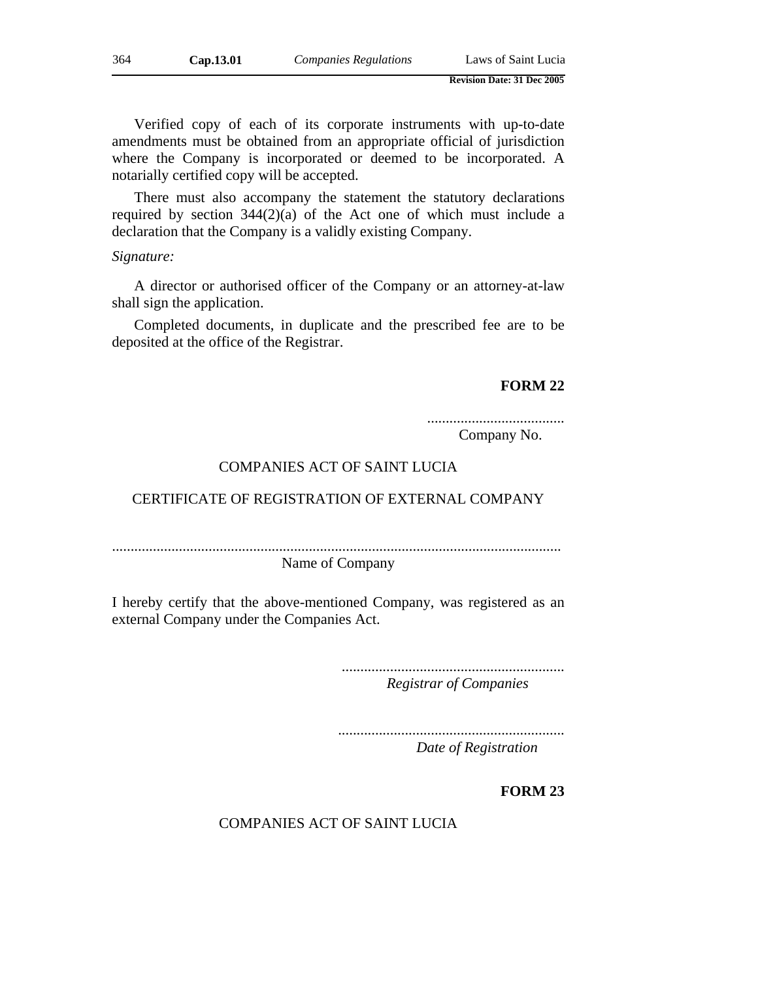Verified copy of each of its corporate instruments with up-to-date amendments must be obtained from an appropriate official of jurisdiction where the Company is incorporated or deemed to be incorporated. A notarially certified copy will be accepted.

There must also accompany the statement the statutory declarations required by section 344(2)(a) of the Act one of which must include a declaration that the Company is a validly existing Company.

#### *Signature:*

A director or authorised officer of the Company or an attorney-at-law shall sign the application.

Completed documents, in duplicate and the prescribed fee are to be deposited at the office of the Registrar.

#### **FORM 22**

.....................................

Company No.

### COMPANIES ACT OF SAINT LUCIA

# CERTIFICATE OF REGISTRATION OF EXTERNAL COMPANY

.........................................................................................................................

Name of Company

I hereby certify that the above-mentioned Company, was registered as an external Company under the Companies Act.

> ............................................................ *Registrar of Companies*

............................................................. *Date of Registration*

**FORM 23** 

COMPANIES ACT OF SAINT LUCIA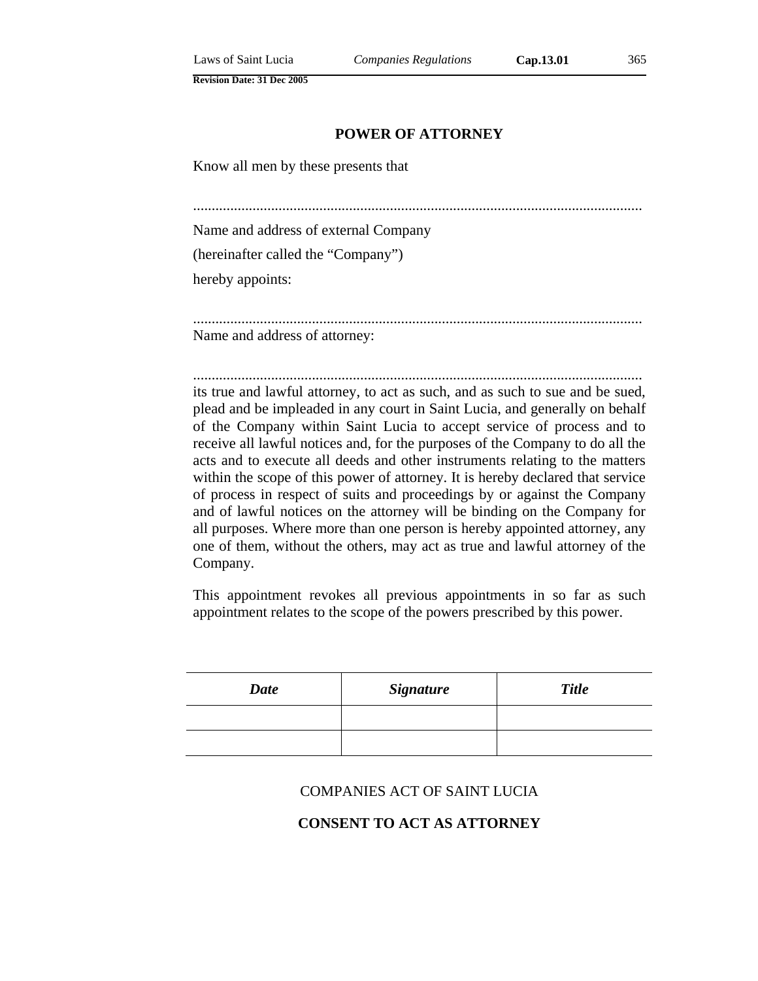### **POWER OF ATTORNEY**

Know all men by these presents that

.........................................................................................................................

Name and address of external Company

(hereinafter called the "Company")

hereby appoints:

......................................................................................................................... Name and address of attorney:

......................................................................................................................... its true and lawful attorney, to act as such, and as such to sue and be sued, plead and be impleaded in any court in Saint Lucia, and generally on behalf of the Company within Saint Lucia to accept service of process and to receive all lawful notices and, for the purposes of the Company to do all the acts and to execute all deeds and other instruments relating to the matters within the scope of this power of attorney. It is hereby declared that service of process in respect of suits and proceedings by or against the Company and of lawful notices on the attorney will be binding on the Company for all purposes. Where more than one person is hereby appointed attorney, any one of them, without the others, may act as true and lawful attorney of the Company.

This appointment revokes all previous appointments in so far as such appointment relates to the scope of the powers prescribed by this power.

| <b>Date</b> | <b>Signature</b> | <b>Title</b> |
|-------------|------------------|--------------|
|             |                  |              |
|             |                  |              |

#### COMPANIES ACT OF SAINT LUCIA

### **CONSENT TO ACT AS ATTORNEY**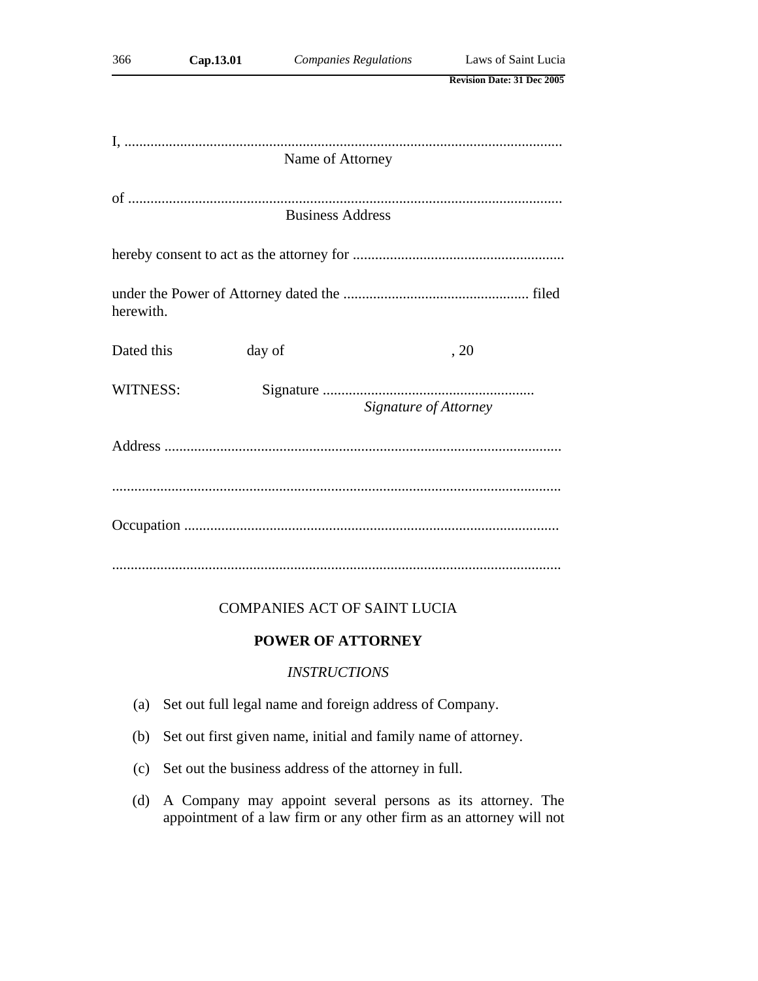| 366             | Cap.13.01 | <b>Companies Regulations</b> | Laws of Saint Lucia               |
|-----------------|-----------|------------------------------|-----------------------------------|
|                 |           |                              | <b>Revision Date: 31 Dec 2005</b> |
|                 |           |                              |                                   |
|                 |           |                              |                                   |
|                 |           | Name of Attorney             |                                   |
|                 |           |                              |                                   |
|                 |           | <b>Business Address</b>      |                                   |
|                 |           |                              |                                   |
| herewith.       |           |                              |                                   |
| Dated this      |           | day of                       | , 20                              |
| <b>WITNESS:</b> |           |                              | Signature of Attorney             |
|                 |           |                              |                                   |
|                 |           |                              |                                   |
|                 |           |                              |                                   |
|                 |           |                              |                                   |

# COMPANIES ACT OF SAINT LUCIA

# **POWER OF ATTORNEY**

# *INSTRUCTIONS*

- (a) Set out full legal name and foreign address of Company.
- (b) Set out first given name, initial and family name of attorney.
- (c) Set out the business address of the attorney in full.
- (d) A Company may appoint several persons as its attorney. The appointment of a law firm or any other firm as an attorney will not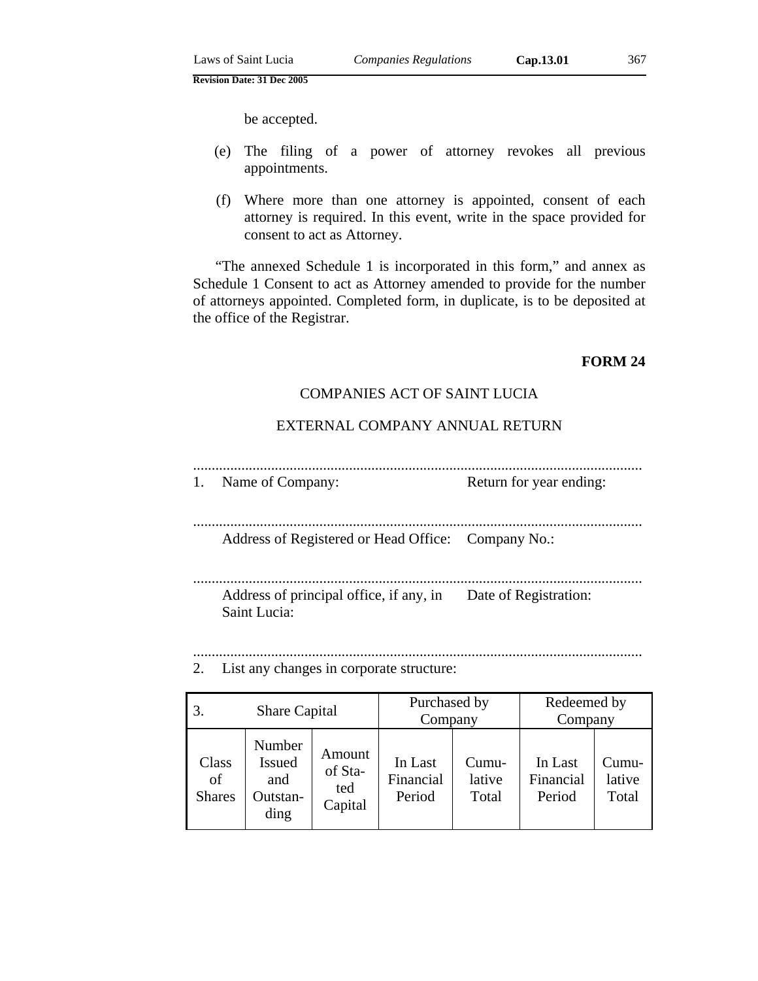- (e) The filing of a power of attorney revokes all previous appointments.
- (f) Where more than one attorney is appointed, consent of each attorney is required. In this event, write in the space provided for consent to act as Attorney.

"The annexed Schedule 1 is incorporated in this form," and annex as Schedule 1 Consent to act as Attorney amended to provide for the number of attorneys appointed. Completed form, in duplicate, is to be deposited at the office of the Registrar.

# **FORM 24**

# COMPANIES ACT OF SAINT LUCIA

# EXTERNAL COMPANY ANNUAL RETURN

- ......................................................................................................................... 1. Name of Company: Return for year ending:
- .........................................................................................................................

Address of Registered or Head Office: Company No.:

......................................................................................................................... Address of principal office, if any, in Date of Registration: Saint Lucia:

......................................................................................................................... 2. List any changes in corporate structure:

| 3.<br><b>Share Capital</b>   |                                                    | Purchased by<br>Company             |                                | Redeemed by<br>Company   |                                |                            |
|------------------------------|----------------------------------------------------|-------------------------------------|--------------------------------|--------------------------|--------------------------------|----------------------------|
| Class<br>of<br><b>Shares</b> | Number<br><b>Issued</b><br>and<br>Outstan-<br>ding | Amount<br>of Sta-<br>ted<br>Capital | In Last<br>Financial<br>Period | Cumu-<br>lative<br>Total | In Last<br>Financial<br>Period | $Cumu-$<br>lative<br>Total |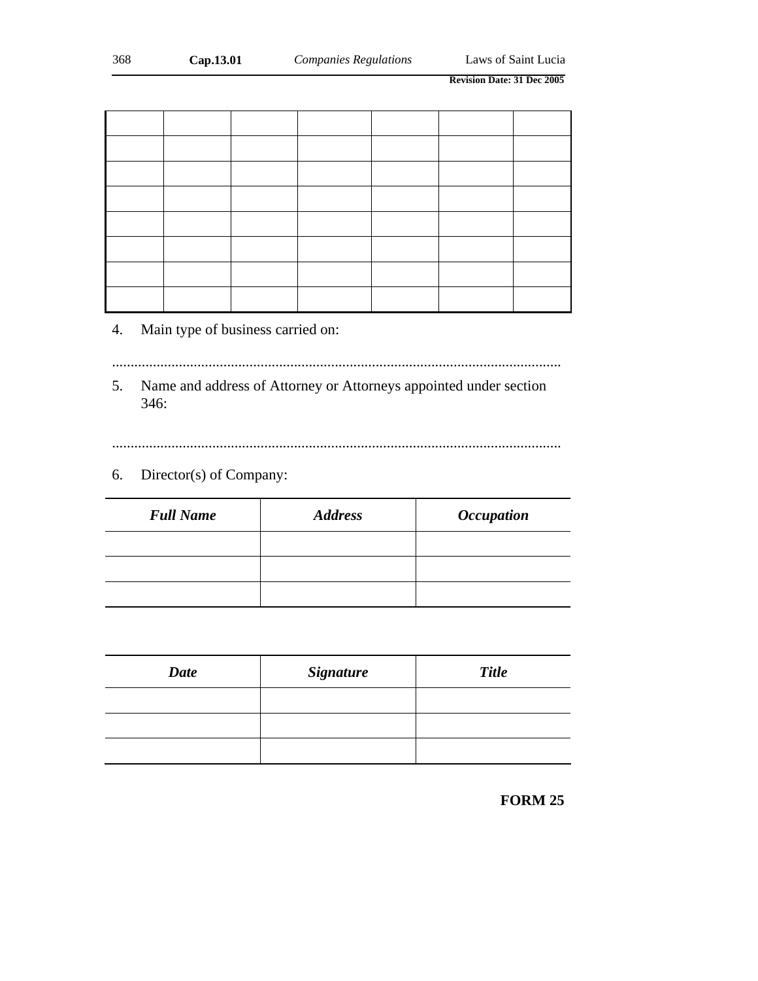# 4. Main type of business carried on:

.........................................................................................................................

5. Name and address of Attorney or Attorneys appointed under section 346:

.........................................................................................................................

# 6. Director(s) of Company:

| <b>Full Name</b> | <b>Address</b> | <i><b>Occupation</b></i> |
|------------------|----------------|--------------------------|
|                  |                |                          |
|                  |                |                          |
|                  |                |                          |

| <b>Date</b> | <b>Signature</b> | <b>Title</b> |
|-------------|------------------|--------------|
|             |                  |              |
|             |                  |              |
|             |                  |              |

**FORM 25**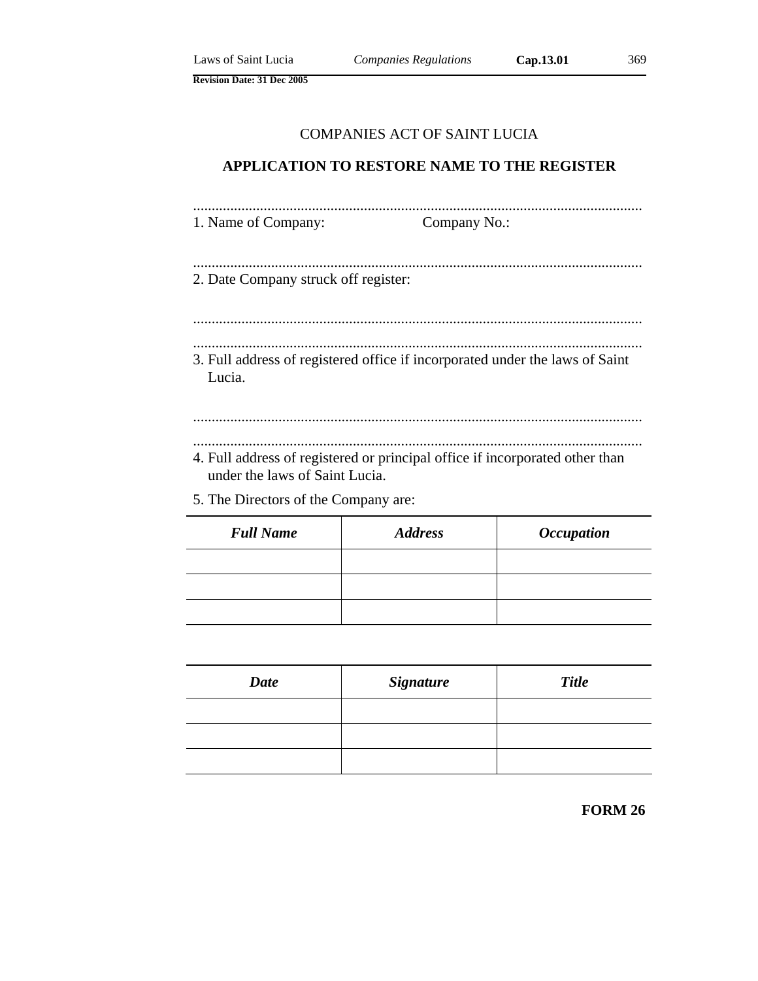# COMPANIES ACT OF SAINT LUCIA

# **APPLICATION TO RESTORE NAME TO THE REGISTER**

| 1. Name of Company: | Company No.: |
|---------------------|--------------|

- ......................................................................................................................... 2. Date Company struck off register:
- ......................................................................................................................... .........................................................................................................................
- 3. Full address of registered office if incorporated under the laws of Saint Lucia.

# ......................................................................................................................... .........................................................................................................................

- 4. Full address of registered or principal office if incorporated other than under the laws of Saint Lucia.
- 5. The Directors of the Company are:

| <b>Full Name</b> | <b>Address</b> | <i><b>Occupation</b></i> |
|------------------|----------------|--------------------------|
|                  |                |                          |
|                  |                |                          |
|                  |                |                          |

| <b>Date</b> | <b>Signature</b> | <b>Title</b> |
|-------------|------------------|--------------|
|             |                  |              |
|             |                  |              |
|             |                  |              |

**FORM 26**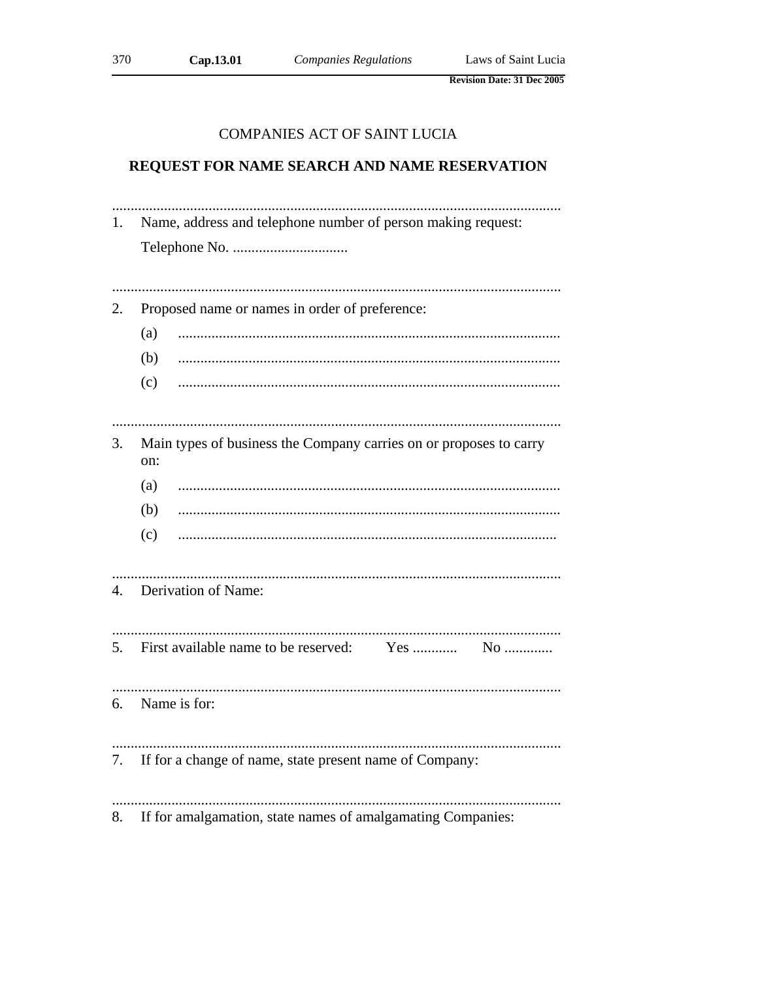370

**Revision Date: 31 Dec 2005** 

### **COMPANIES ACT OF SAINT LUCIA**

### REQUEST FOR NAME SEARCH AND NAME RESERVATION

1. Name, address and telephone number of person making request: Proposed name or names in order of preference:  $2.$  $(a)$ (b)  $(c)$ Main types of business the Company carries on or proposes to carry 3. on: (a)  $(b)$  $(c)$ 4. Derivation of Name: First available name to be reserved: 5.  $Yes$  ............. No ............. 6. Name is for: 7. If for a change of name, state present name of Company: If for amalgamation, state names of amalgamating Companies: 8.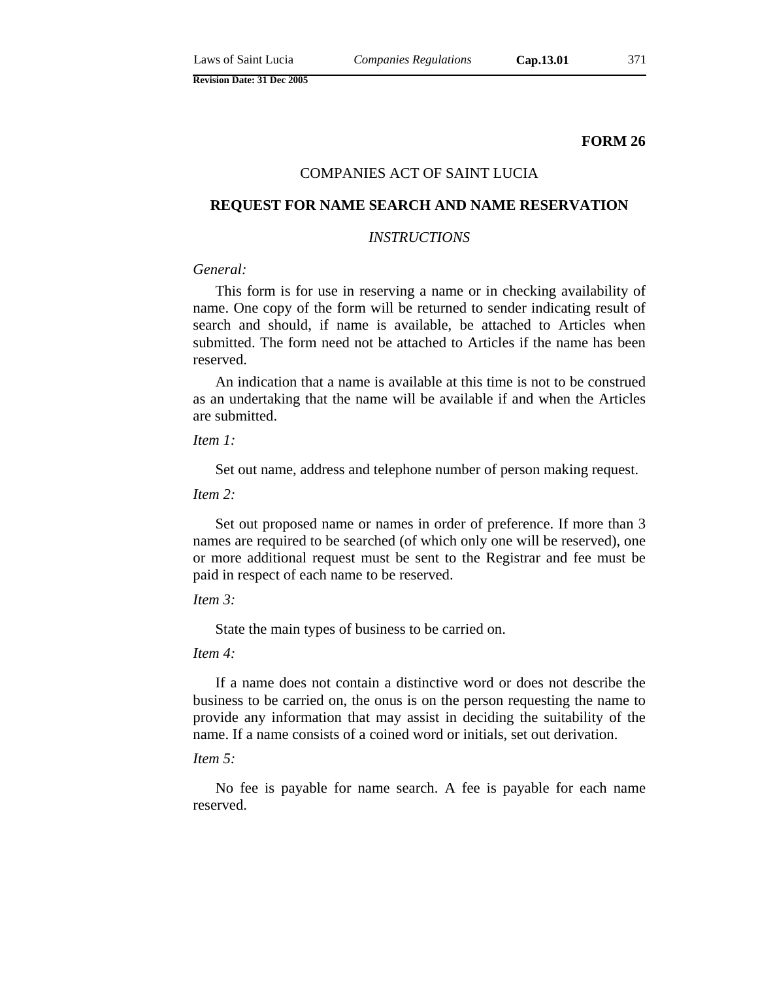**FORM 26**

### COMPANIES ACT OF SAINT LUCIA

### **REQUEST FOR NAME SEARCH AND NAME RESERVATION**

### *INSTRUCTIONS*

### *General:*

This form is for use in reserving a name or in checking availability of name. One copy of the form will be returned to sender indicating result of search and should, if name is available, be attached to Articles when submitted. The form need not be attached to Articles if the name has been reserved.

An indication that a name is available at this time is not to be construed as an undertaking that the name will be available if and when the Articles are submitted.

*Item 1:*

Set out name, address and telephone number of person making request.

*Item 2:*

Set out proposed name or names in order of preference. If more than 3 names are required to be searched (of which only one will be reserved), one or more additional request must be sent to the Registrar and fee must be paid in respect of each name to be reserved.

*Item 3:*

State the main types of business to be carried on.

*Item 4:*

If a name does not contain a distinctive word or does not describe the business to be carried on, the onus is on the person requesting the name to provide any information that may assist in deciding the suitability of the name. If a name consists of a coined word or initials, set out derivation.

### *Item 5:*

No fee is payable for name search. A fee is payable for each name reserved.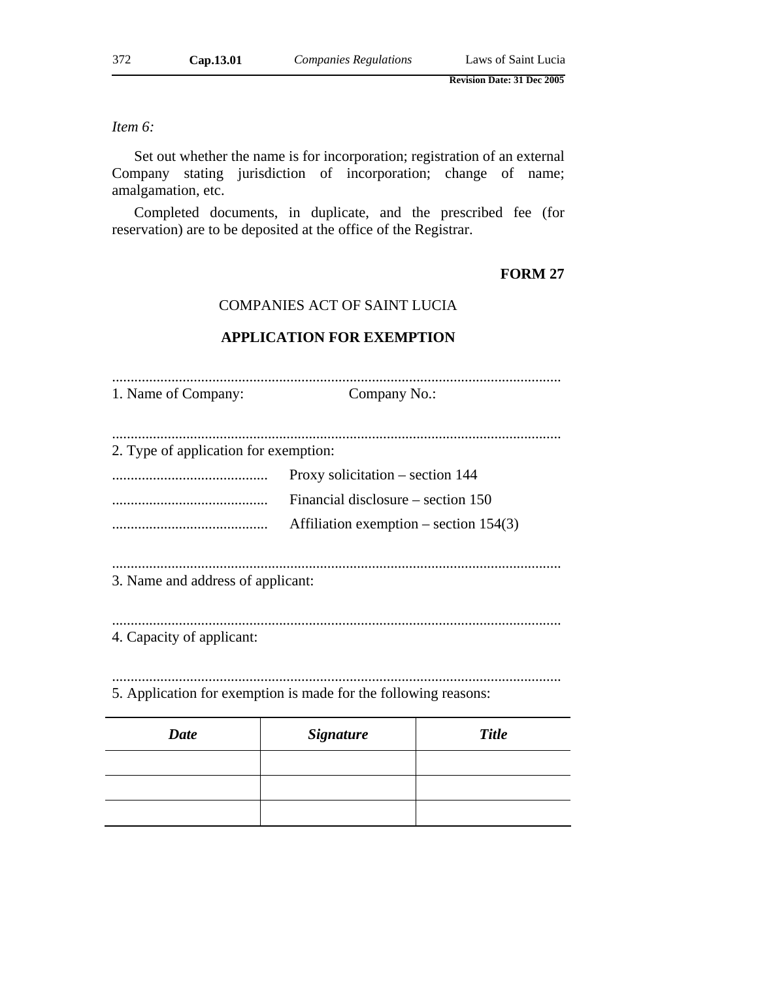# *Item 6:*

Set out whether the name is for incorporation; registration of an external Company stating jurisdiction of incorporation; change of name; amalgamation, etc.

Completed documents, in duplicate, and the prescribed fee (for reservation) are to be deposited at the office of the Registrar.

# **FORM 27**

### COMPANIES ACT OF SAINT LUCIA

### **APPLICATION FOR EXEMPTION**

......................................................................................................................... 1. Name of Company: Company No.: ......................................................................................................................... 2. Type of application for exemption: .......................................... Proxy solicitation – section 144 .......................................... Financial disclosure – section 150 .......................................... Affiliation exemption – section 154(3) ......................................................................................................................... 3. Name and address of applicant: .........................................................................................................................

4. Capacity of applicant:

......................................................................................................................... 5. Application for exemption is made for the following reasons:

| <b>Date</b> | <b>Signature</b> | <b>Title</b> |  |
|-------------|------------------|--------------|--|
|             |                  |              |  |
|             |                  |              |  |
|             |                  |              |  |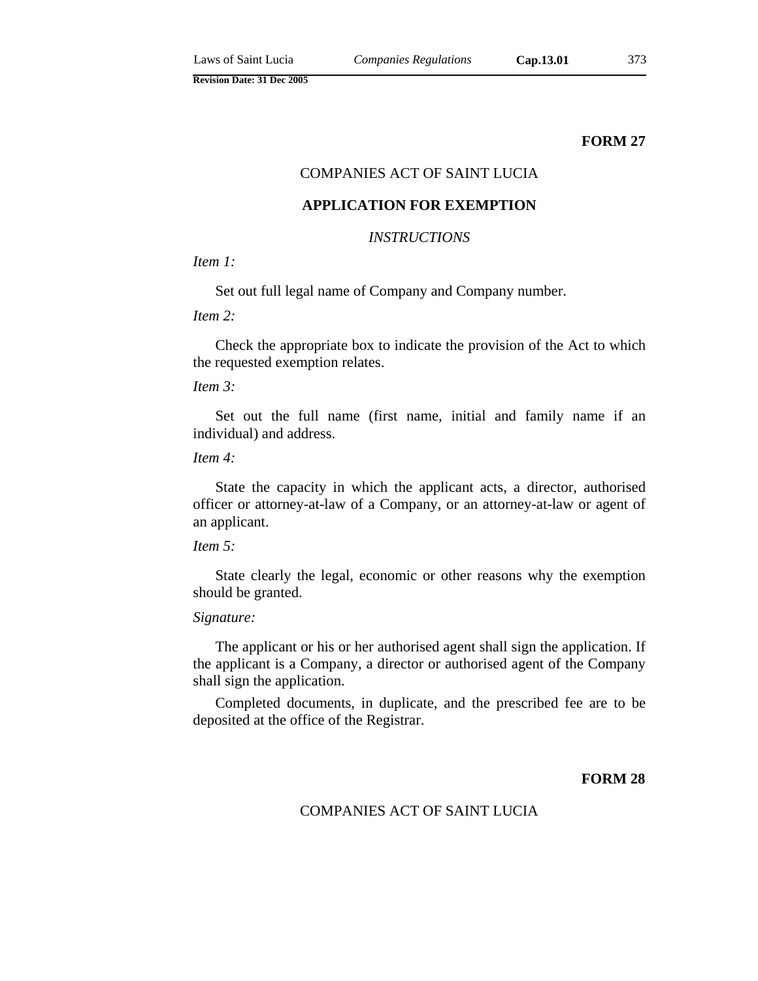### **FORM 27**

# COMPANIES ACT OF SAINT LUCIA

### **APPLICATION FOR EXEMPTION**

### *INSTRUCTIONS*

### *Item 1:*

Set out full legal name of Company and Company number.

*Item 2:*

Check the appropriate box to indicate the provision of the Act to which the requested exemption relates.

## *Item 3:*

Set out the full name (first name, initial and family name if an individual) and address.

### *Item 4:*

State the capacity in which the applicant acts, a director, authorised officer or attorney-at-law of a Company, or an attorney-at-law or agent of an applicant.

### *Item 5:*

State clearly the legal, economic or other reasons why the exemption should be granted.

#### *Signature:*

The applicant or his or her authorised agent shall sign the application. If the applicant is a Company, a director or authorised agent of the Company shall sign the application.

Completed documents, in duplicate, and the prescribed fee are to be deposited at the office of the Registrar.

### **FORM 28**

### COMPANIES ACT OF SAINT LUCIA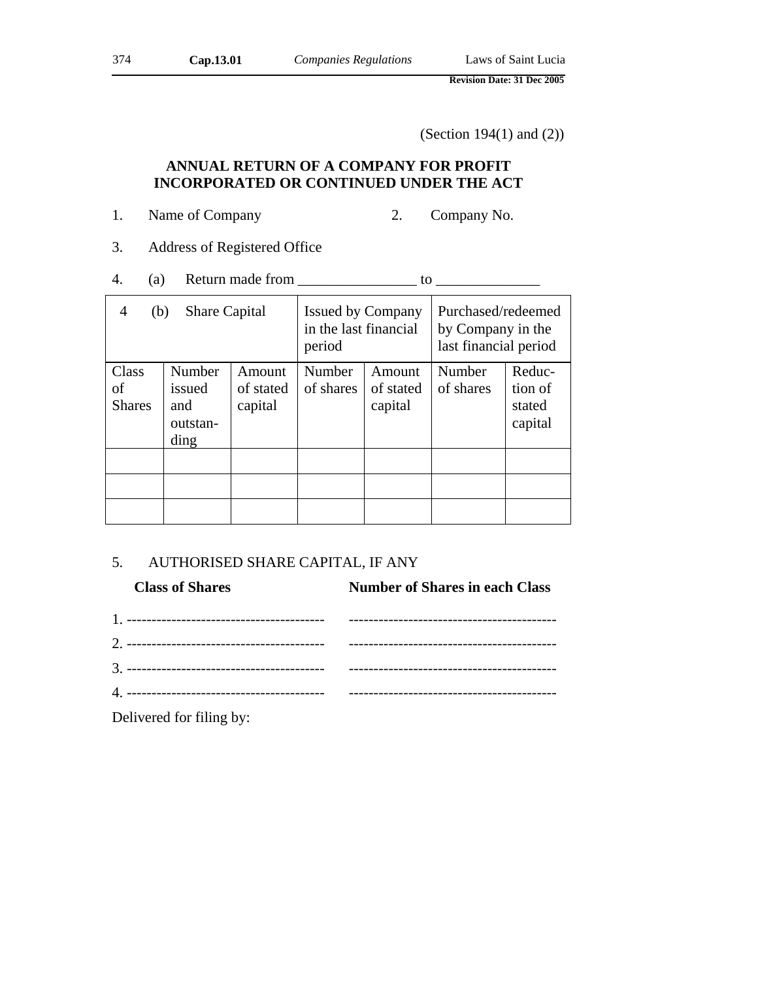(Section 194(1) and (2))

# **ANNUAL RETURN OF A COMPANY FOR PROFIT INCORPORATED OR CONTINUED UNDER THE ACT**

- 1. Name of Company 2. Company No.
- 3. Address of Registered Office
- 4. (a) Return made from  $\frac{1}{\sqrt{1-\frac{1}{2}}}\$  to  $\frac{1}{\sqrt{1-\frac{1}{2}}}\$

| <b>Share Capital</b><br>4<br>(b) |                                             | <b>Issued by Company</b><br>in the last financial<br>period |                     | Purchased/redeemed<br>by Company in the<br>last financial period |                     |                                        |
|----------------------------------|---------------------------------------------|-------------------------------------------------------------|---------------------|------------------------------------------------------------------|---------------------|----------------------------------------|
| Class<br>of<br><b>Shares</b>     | Number<br>issued<br>and<br>outstan-<br>ding | Amount<br>of stated<br>capital                              | Number<br>of shares | Amount<br>of stated<br>capital                                   | Number<br>of shares | Reduc-<br>tion of<br>stated<br>capital |
|                                  |                                             |                                                             |                     |                                                                  |                     |                                        |
|                                  |                                             |                                                             |                     |                                                                  |                     |                                        |

# 5. AUTHORISED SHARE CAPITAL, IF ANY

| <b>Class of Shares</b> | <b>Number of Shares in each Class</b> |  |  |
|------------------------|---------------------------------------|--|--|
|                        |                                       |  |  |
|                        |                                       |  |  |
|                        |                                       |  |  |
|                        |                                       |  |  |
|                        |                                       |  |  |

Delivered for filing by: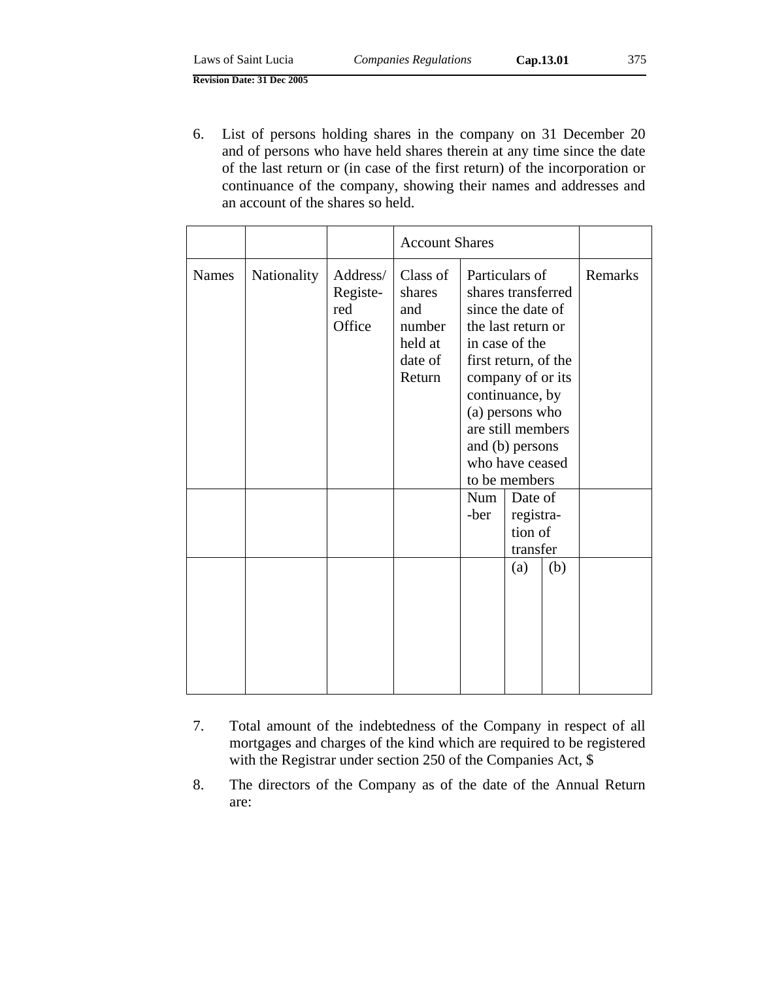| Laws of Saint Lucia               | <b>Companies Regulations</b> | Cap.13.01 | 375 |
|-----------------------------------|------------------------------|-----------|-----|
| <b>Revision Date: 31 Dec 2005</b> |                              |           |     |

6. List of persons holding shares in the company on 31 December 20 and of persons who have held shares therein at any time since the date of the last return or (in case of the first return) of the incorporation or continuance of the company, showing their names and addresses and an account of the shares so held.

|              |             |                                       | <b>Account Shares</b>                                               |                                                                                                                                                                                                                                                                                        |                                 |     |         |
|--------------|-------------|---------------------------------------|---------------------------------------------------------------------|----------------------------------------------------------------------------------------------------------------------------------------------------------------------------------------------------------------------------------------------------------------------------------------|---------------------------------|-----|---------|
| <b>Names</b> | Nationality | Address/<br>Registe-<br>red<br>Office | Class of<br>shares<br>and<br>number<br>held at<br>date of<br>Return | Particulars of<br>shares transferred<br>since the date of<br>the last return or<br>in case of the<br>first return, of the<br>company of or its<br>continuance, by<br>(a) persons who<br>are still members<br>and (b) persons<br>who have ceased<br>to be members<br><b>Num</b><br>-ber | Date of<br>registra-<br>tion of |     | Remarks |
|              |             |                                       |                                                                     |                                                                                                                                                                                                                                                                                        | transfer                        |     |         |
|              |             |                                       |                                                                     |                                                                                                                                                                                                                                                                                        | (a)                             | (b) |         |

- 7. Total amount of the indebtedness of the Company in respect of all mortgages and charges of the kind which are required to be registered with the Registrar under section 250 of the Companies Act, \$
- 8. The directors of the Company as of the date of the Annual Return are: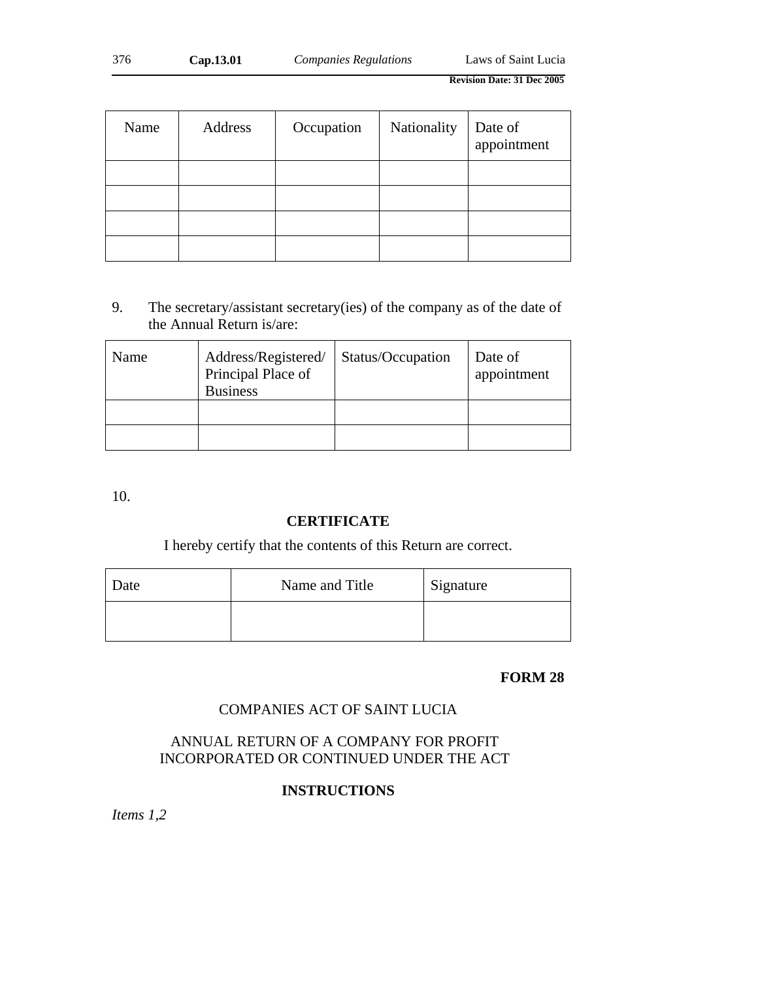| 376 | Cap.13.01 | <i>Companies Regulations</i> | Laws of Saint Lucia |
|-----|-----------|------------------------------|---------------------|
|     |           |                              |                     |

| Name | Address | Occupation | Nationality | Date of<br>appointment |
|------|---------|------------|-------------|------------------------|
|      |         |            |             |                        |
|      |         |            |             |                        |
|      |         |            |             |                        |
|      |         |            |             |                        |

9. The secretary/assistant secretary(ies) of the company as of the date of the Annual Return is/are:

| Name | Address/Registered/<br>Principal Place of<br><b>Business</b> | Status/Occupation | Date of<br>appointment |
|------|--------------------------------------------------------------|-------------------|------------------------|
|      |                                                              |                   |                        |
|      |                                                              |                   |                        |

10.

# **CERTIFICATE**

I hereby certify that the contents of this Return are correct.

| Date | Name and Title | Signature |
|------|----------------|-----------|
|      |                |           |

# **FORM 28**

# COMPANIES ACT OF SAINT LUCIA

# ANNUAL RETURN OF A COMPANY FOR PROFIT INCORPORATED OR CONTINUED UNDER THE ACT

# **INSTRUCTIONS**

*Items 1,2*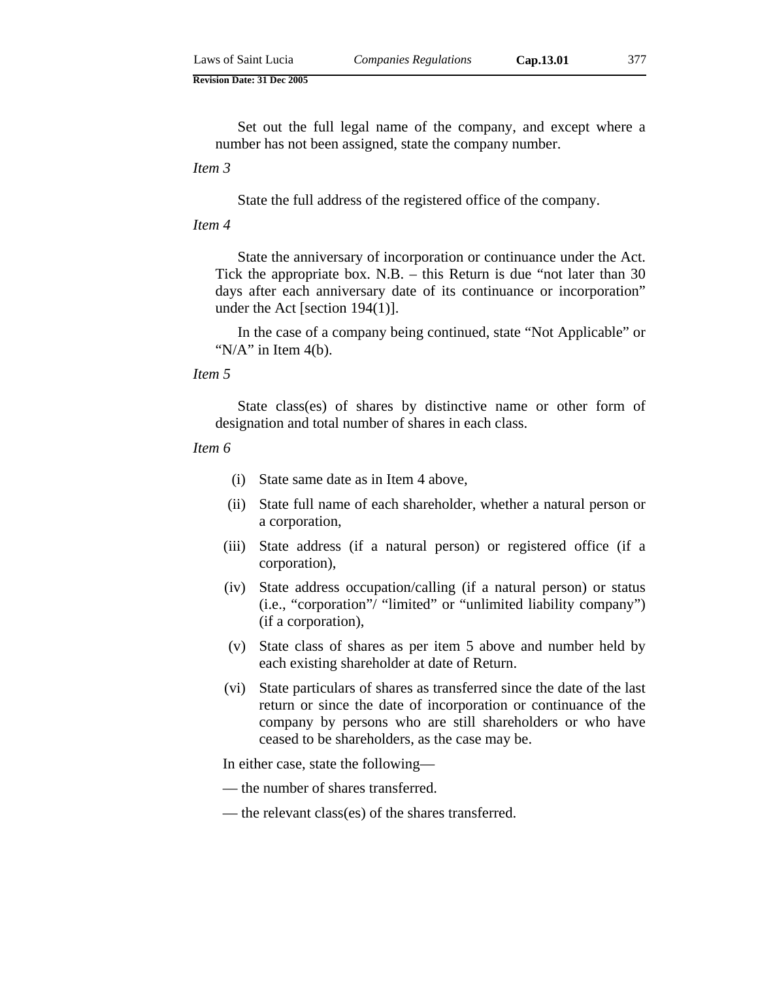Set out the full legal name of the company, and except where a number has not been assigned, state the company number.

*Item 3* 

State the full address of the registered office of the company.

### *Item 4*

State the anniversary of incorporation or continuance under the Act. Tick the appropriate box. N.B. – this Return is due "not later than 30 days after each anniversary date of its continuance or incorporation" under the Act [section 194(1)].

In the case of a company being continued, state "Not Applicable" or " $N/A$ " in Item 4(b).

*Item 5* 

State class(es) of shares by distinctive name or other form of designation and total number of shares in each class.

#### *Item 6*

- (i) State same date as in Item 4 above,
- (ii) State full name of each shareholder, whether a natural person or a corporation,
- (iii) State address (if a natural person) or registered office (if a corporation),
- (iv) State address occupation/calling (if a natural person) or status (i.e., "corporation"/ "limited" or "unlimited liability company") (if a corporation),
- (v) State class of shares as per item 5 above and number held by each existing shareholder at date of Return.
- (vi) State particulars of shares as transferred since the date of the last return or since the date of incorporation or continuance of the company by persons who are still shareholders or who have ceased to be shareholders, as the case may be.

In either case, state the following—

- the number of shares transferred.
- the relevant class(es) of the shares transferred.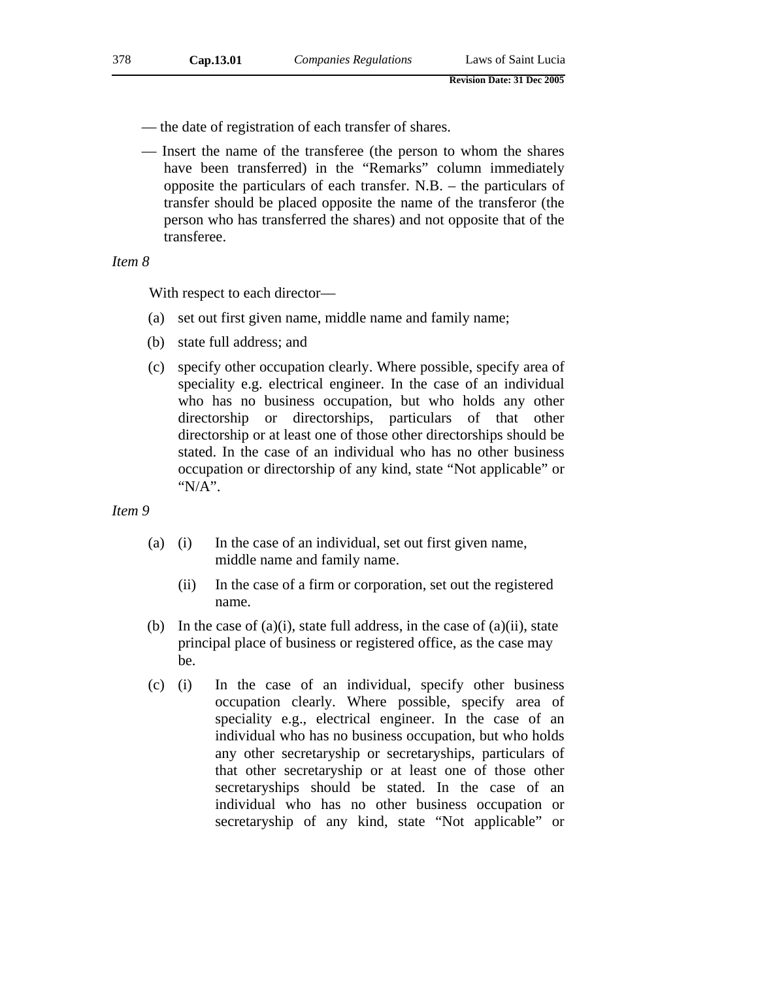- the date of registration of each transfer of shares.
- Insert the name of the transferee (the person to whom the shares have been transferred) in the "Remarks" column immediately opposite the particulars of each transfer. N.B. – the particulars of transfer should be placed opposite the name of the transferor (the person who has transferred the shares) and not opposite that of the transferee.

*Item 8* 

With respect to each director—

- (a) set out first given name, middle name and family name;
- (b) state full address; and
- (c) specify other occupation clearly. Where possible, specify area of speciality e.g. electrical engineer. In the case of an individual who has no business occupation, but who holds any other directorship or directorships, particulars of that other directorship or at least one of those other directorships should be stated. In the case of an individual who has no other business occupation or directorship of any kind, state "Not applicable" or "N/A".

*Item 9*

- (a) (i) In the case of an individual, set out first given name, middle name and family name.
	- (ii) In the case of a firm or corporation, set out the registered name.
- (b) In the case of  $(a)(i)$ , state full address, in the case of  $(a)(ii)$ , state principal place of business or registered office, as the case may be.
- (c) (i) In the case of an individual, specify other business occupation clearly. Where possible, specify area of speciality e.g., electrical engineer. In the case of an individual who has no business occupation, but who holds any other secretaryship or secretaryships, particulars of that other secretaryship or at least one of those other secretaryships should be stated. In the case of an individual who has no other business occupation or secretaryship of any kind, state "Not applicable" or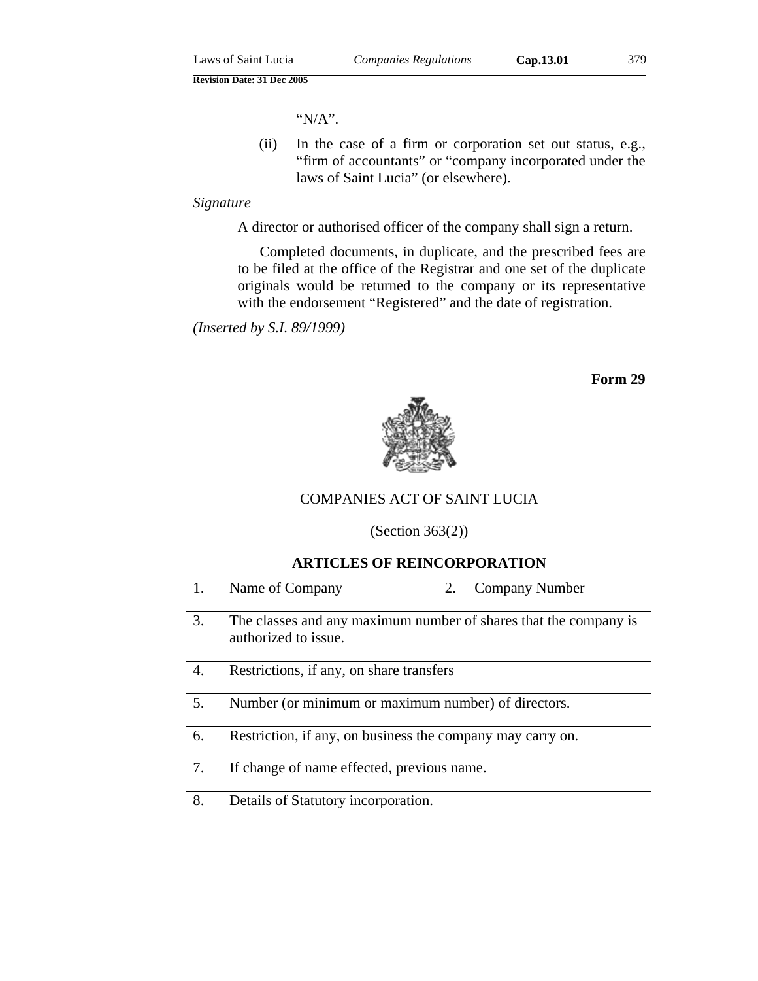"N/A".

 (ii) In the case of a firm or corporation set out status, e.g., "firm of accountants" or "company incorporated under the laws of Saint Lucia" (or elsewhere).

### *Signature*

A director or authorised officer of the company shall sign a return.

Completed documents, in duplicate, and the prescribed fees are to be filed at the office of the Registrar and one set of the duplicate originals would be returned to the company or its representative with the endorsement "Registered" and the date of registration.

*(Inserted by S.I. 89/1999)* 

**Form 29**



# COMPANIES ACT OF SAINT LUCIA

(Section 363(2))

### **ARTICLES OF REINCORPORATION**

| 1. | Name of Company<br>Company Number<br>2.                                                  |
|----|------------------------------------------------------------------------------------------|
| 3. | The classes and any maximum number of shares that the company is<br>authorized to issue. |
| 4. | Restrictions, if any, on share transfers                                                 |
| 5. | Number (or minimum or maximum number) of directors.                                      |
| 6. | Restriction, if any, on business the company may carry on.                               |
| 7. | If change of name effected, previous name.                                               |
| 8. | Details of Statutory incorporation.                                                      |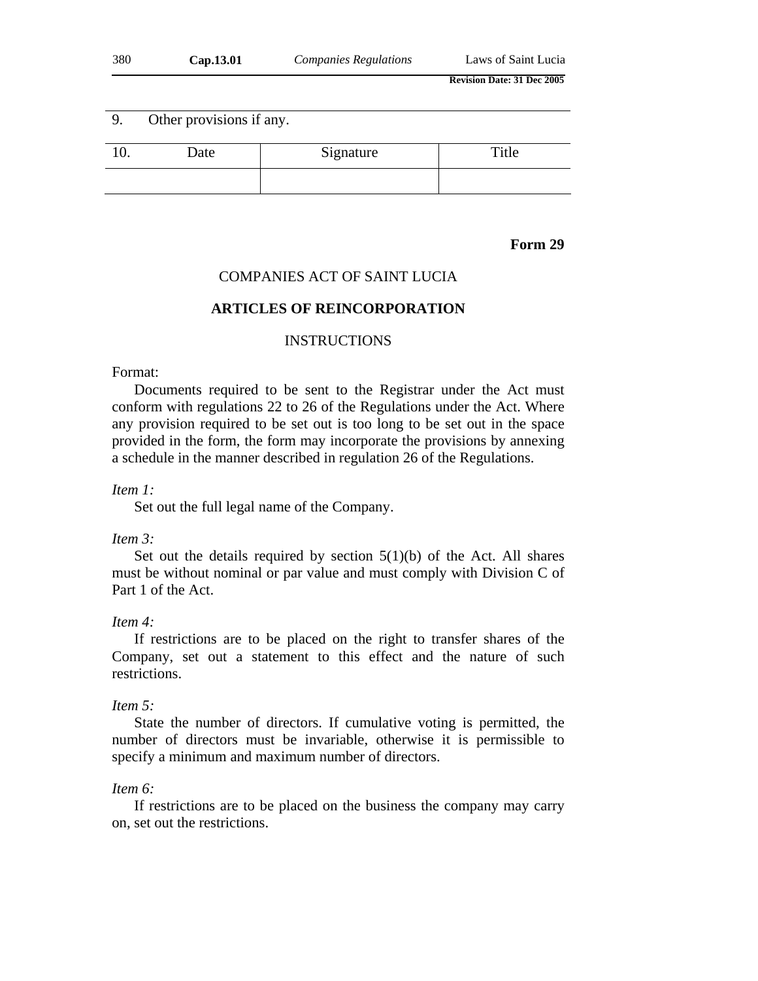| 380 | Cap.13.01 | <b>Companies Regulations</b> | Laws of Saint Lucia               |
|-----|-----------|------------------------------|-----------------------------------|
|     |           |                              | <b>Revision Date: 31 Dec 2005</b> |

| -9. | Other provisions if any. |           |       |  |
|-----|--------------------------|-----------|-------|--|
|     | Date                     | Signature | Title |  |
|     |                          |           |       |  |

### **Form 29**

### COMPANIES ACT OF SAINT LUCIA

### **ARTICLES OF REINCORPORATION**

### INSTRUCTIONS

### Format:

Documents required to be sent to the Registrar under the Act must conform with regulations 22 to 26 of the Regulations under the Act. Where any provision required to be set out is too long to be set out in the space provided in the form, the form may incorporate the provisions by annexing a schedule in the manner described in regulation 26 of the Regulations.

### *Item 1:*

Set out the full legal name of the Company.

### *Item 3:*

Set out the details required by section  $5(1)(b)$  of the Act. All shares must be without nominal or par value and must comply with Division C of Part 1 of the Act.

#### *Item 4:*

If restrictions are to be placed on the right to transfer shares of the Company, set out a statement to this effect and the nature of such restrictions.

#### *Item 5:*

State the number of directors. If cumulative voting is permitted, the number of directors must be invariable, otherwise it is permissible to specify a minimum and maximum number of directors.

#### *Item 6:*

If restrictions are to be placed on the business the company may carry on, set out the restrictions.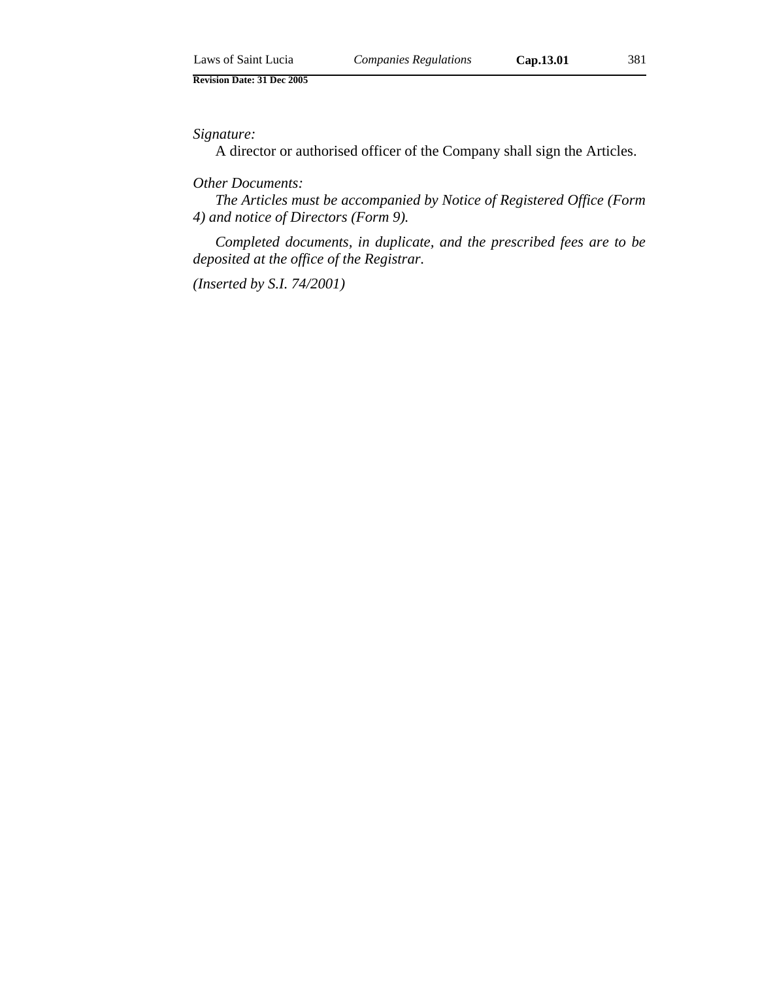### *Signature:*

A director or authorised officer of the Company shall sign the Articles.

### *Other Documents:*

*The Articles must be accompanied by Notice of Registered Office (Form 4) and notice of Directors (Form 9).* 

*Completed documents, in duplicate, and the prescribed fees are to be deposited at the office of the Registrar.* 

*(Inserted by S.I. 74/2001)*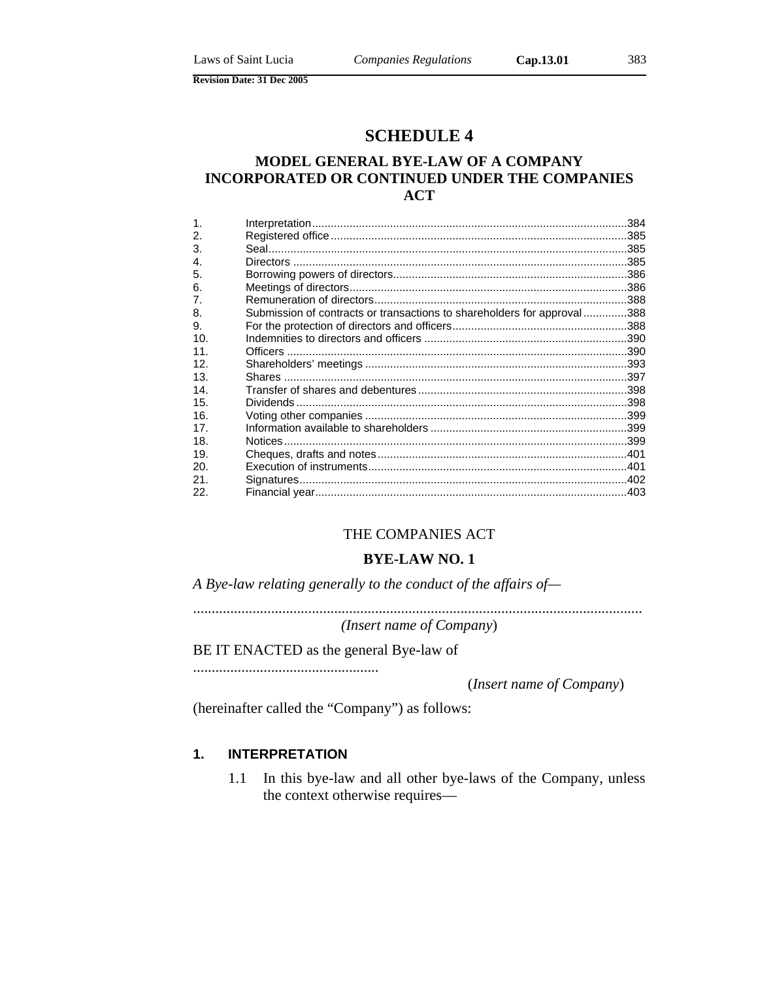# **SCHEDULE 4**

# **MODEL GENERAL BYE-LAW OF A COMPANY INCORPORATED OR CONTINUED UNDER THE COMPANIES ACT**

| $\mathbf 1$     |                                                                         |  |
|-----------------|-------------------------------------------------------------------------|--|
| 2.              |                                                                         |  |
| 3.              |                                                                         |  |
| $\mathbf{4}$    |                                                                         |  |
| 5.              |                                                                         |  |
| 6.              |                                                                         |  |
| 7.              |                                                                         |  |
| 8.              | Submission of contracts or transactions to shareholders for approval388 |  |
| 9.              |                                                                         |  |
| 10.             |                                                                         |  |
| 11.             |                                                                         |  |
| 12.             |                                                                         |  |
| 13.             |                                                                         |  |
| 14.             |                                                                         |  |
| 15.             |                                                                         |  |
| 16.             |                                                                         |  |
| 17 <sub>1</sub> |                                                                         |  |
| 18.             |                                                                         |  |
| 19.             |                                                                         |  |
| 20.             |                                                                         |  |
| 21.             |                                                                         |  |
| 22.             |                                                                         |  |

### THE COMPANIES ACT

### **BYE-LAW NO. 1**

*A Bye-law relating generally to the conduct of the affairs of—* 

......................................................................................................................... *(Insert name of Company*)

BE IT ENACTED as the general Bye-law of

..................................................

(*Insert name of Company*)

(hereinafter called the "Company") as follows:

### **1. INTERPRETATION**

1.1 In this bye-law and all other bye-laws of the Company, unless the context otherwise requires—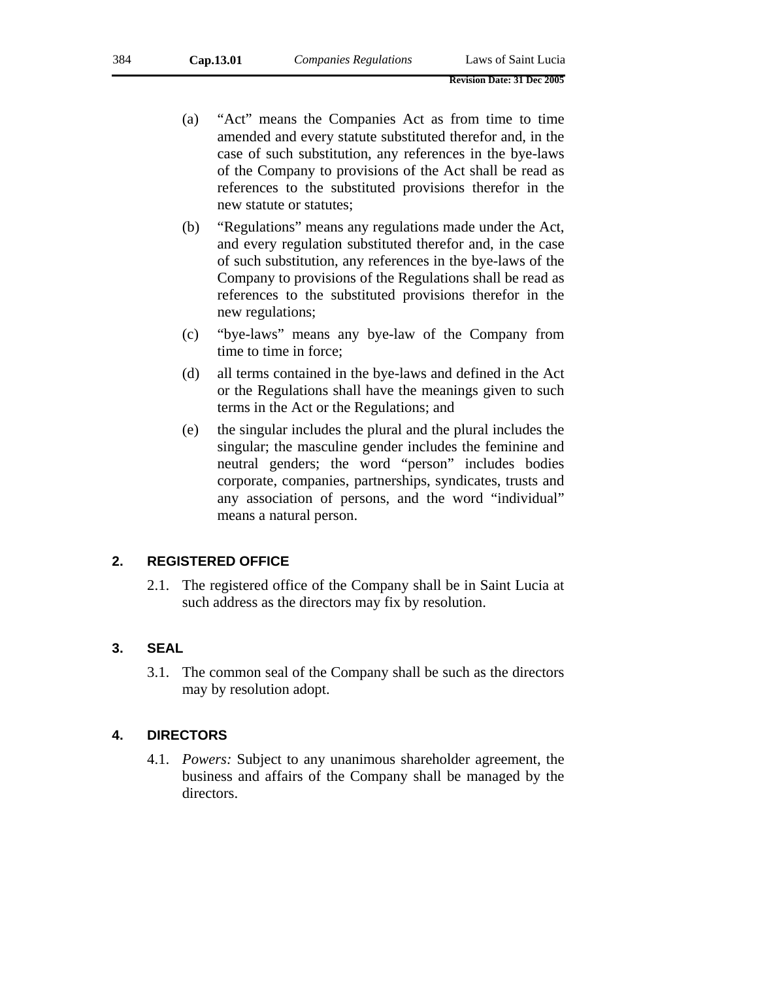- (a) "Act" means the Companies Act as from time to time amended and every statute substituted therefor and, in the case of such substitution, any references in the bye-laws of the Company to provisions of the Act shall be read as references to the substituted provisions therefor in the new statute or statutes;
- (b) "Regulations" means any regulations made under the Act, and every regulation substituted therefor and, in the case of such substitution, any references in the bye-laws of the Company to provisions of the Regulations shall be read as references to the substituted provisions therefor in the new regulations;
- (c) "bye-laws" means any bye-law of the Company from time to time in force;
- (d) all terms contained in the bye-laws and defined in the Act or the Regulations shall have the meanings given to such terms in the Act or the Regulations; and
- (e) the singular includes the plural and the plural includes the singular; the masculine gender includes the feminine and neutral genders; the word "person" includes bodies corporate, companies, partnerships, syndicates, trusts and any association of persons, and the word "individual" means a natural person.

### **2. REGISTERED OFFICE**

2.1. The registered office of the Company shall be in Saint Lucia at such address as the directors may fix by resolution.

# **3. SEAL**

3.1. The common seal of the Company shall be such as the directors may by resolution adopt.

### **4. DIRECTORS**

4.1. *Powers:* Subject to any unanimous shareholder agreement, the business and affairs of the Company shall be managed by the directors.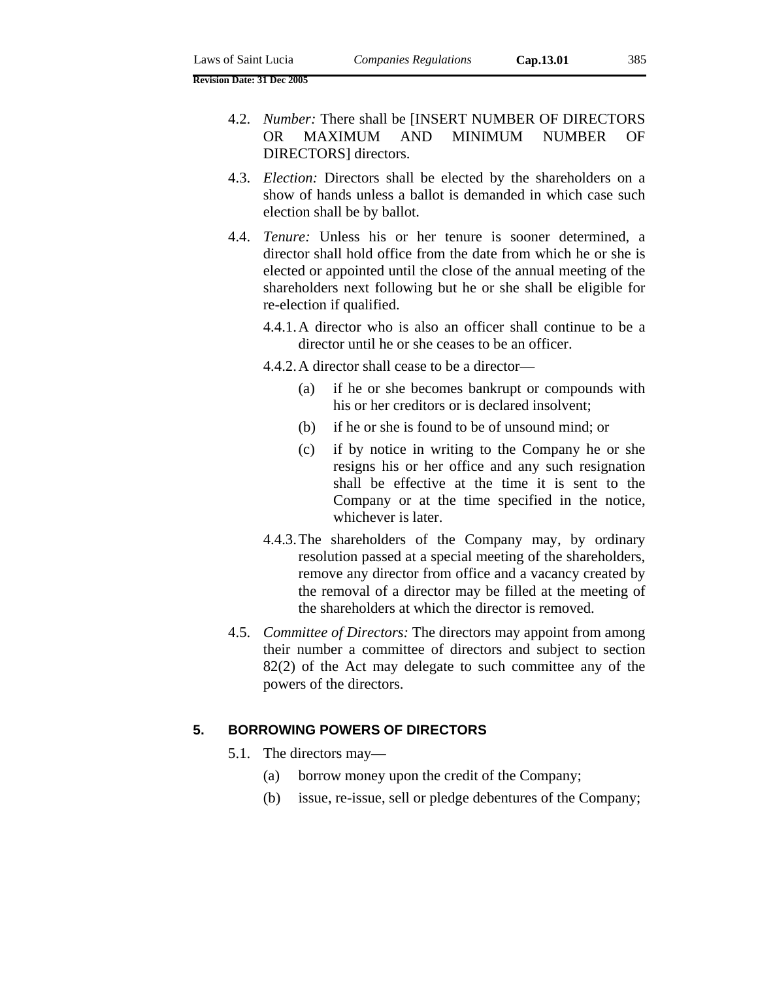- 4.3. *Election:* Directors shall be elected by the shareholders on a show of hands unless a ballot is demanded in which case such election shall be by ballot.
- 4.4. *Tenure:* Unless his or her tenure is sooner determined, a director shall hold office from the date from which he or she is elected or appointed until the close of the annual meeting of the shareholders next following but he or she shall be eligible for re-election if qualified.
	- 4.4.1. A director who is also an officer shall continue to be a director until he or she ceases to be an officer.
	- 4.4.2. A director shall cease to be a director—
		- (a) if he or she becomes bankrupt or compounds with his or her creditors or is declared insolvent;
		- (b) if he or she is found to be of unsound mind; or
		- (c) if by notice in writing to the Company he or she resigns his or her office and any such resignation shall be effective at the time it is sent to the Company or at the time specified in the notice, whichever is later.
	- 4.4.3. The shareholders of the Company may, by ordinary resolution passed at a special meeting of the shareholders, remove any director from office and a vacancy created by the removal of a director may be filled at the meeting of the shareholders at which the director is removed.
- 4.5. *Committee of Directors:* The directors may appoint from among their number a committee of directors and subject to section 82(2) of the Act may delegate to such committee any of the powers of the directors.

#### **5. BORROWING POWERS OF DIRECTORS**

- 5.1. The directors may—
	- (a) borrow money upon the credit of the Company;
	- (b) issue, re-issue, sell or pledge debentures of the Company;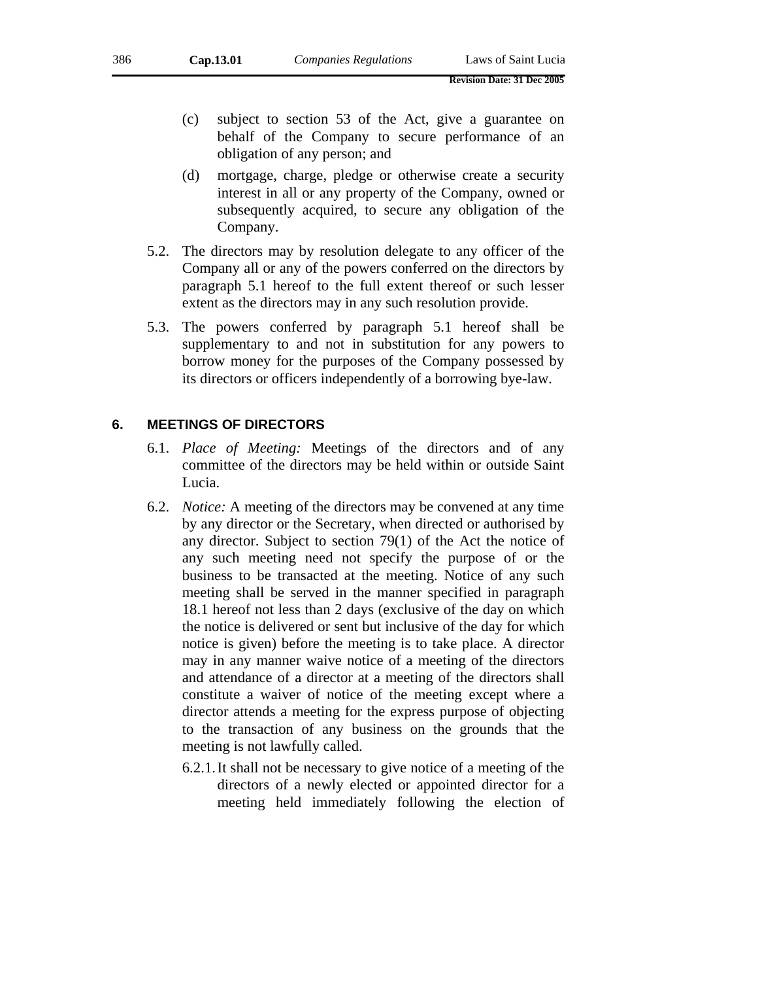- (c) subject to section 53 of the Act, give a guarantee on behalf of the Company to secure performance of an obligation of any person; and
- (d) mortgage, charge, pledge or otherwise create a security interest in all or any property of the Company, owned or subsequently acquired, to secure any obligation of the Company.
- 5.2. The directors may by resolution delegate to any officer of the Company all or any of the powers conferred on the directors by paragraph 5.1 hereof to the full extent thereof or such lesser extent as the directors may in any such resolution provide.
- 5.3. The powers conferred by paragraph 5.1 hereof shall be supplementary to and not in substitution for any powers to borrow money for the purposes of the Company possessed by its directors or officers independently of a borrowing bye-law.

### **6. MEETINGS OF DIRECTORS**

- 6.1. *Place of Meeting:* Meetings of the directors and of any committee of the directors may be held within or outside Saint Lucia.
- 6.2. *Notice:* A meeting of the directors may be convened at any time by any director or the Secretary, when directed or authorised by any director. Subject to section 79(1) of the Act the notice of any such meeting need not specify the purpose of or the business to be transacted at the meeting. Notice of any such meeting shall be served in the manner specified in paragraph 18.1 hereof not less than 2 days (exclusive of the day on which the notice is delivered or sent but inclusive of the day for which notice is given) before the meeting is to take place. A director may in any manner waive notice of a meeting of the directors and attendance of a director at a meeting of the directors shall constitute a waiver of notice of the meeting except where a director attends a meeting for the express purpose of objecting to the transaction of any business on the grounds that the meeting is not lawfully called.
	- 6.2.1. It shall not be necessary to give notice of a meeting of the directors of a newly elected or appointed director for a meeting held immediately following the election of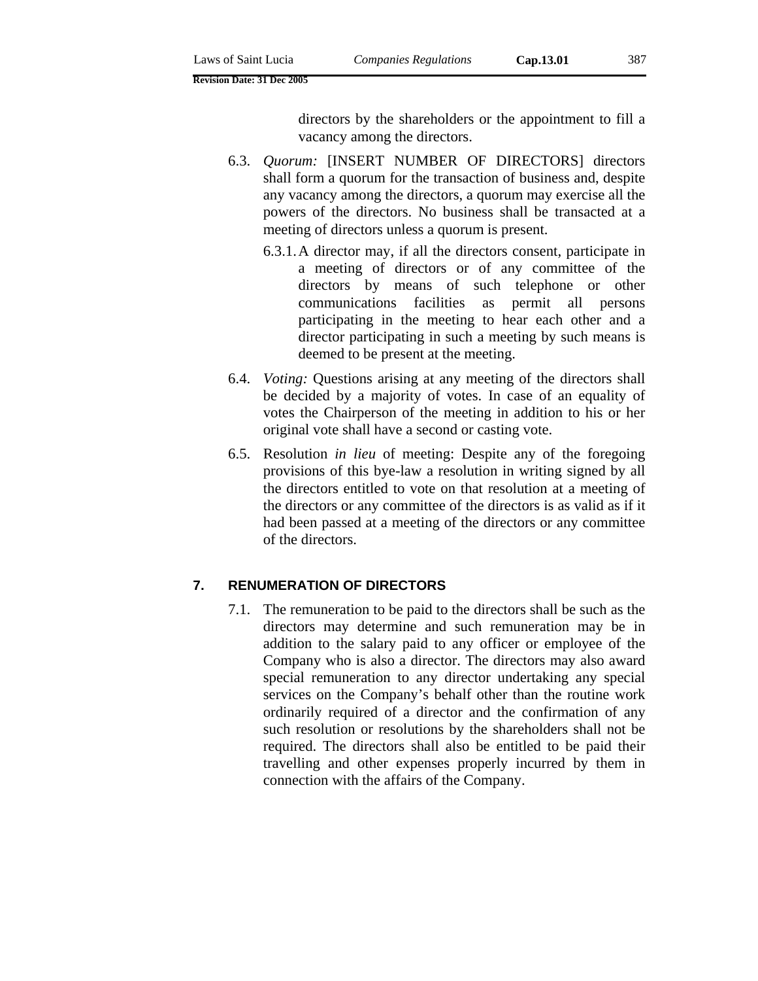directors by the shareholders or the appointment to fill a vacancy among the directors.

- 6.3. *Quorum:* [INSERT NUMBER OF DIRECTORS] directors shall form a quorum for the transaction of business and, despite any vacancy among the directors, a quorum may exercise all the powers of the directors. No business shall be transacted at a meeting of directors unless a quorum is present.
	- 6.3.1. A director may, if all the directors consent, participate in a meeting of directors or of any committee of the directors by means of such telephone or other communications facilities as permit all persons participating in the meeting to hear each other and a director participating in such a meeting by such means is deemed to be present at the meeting.
- 6.4. *Voting:* Questions arising at any meeting of the directors shall be decided by a majority of votes. In case of an equality of votes the Chairperson of the meeting in addition to his or her original vote shall have a second or casting vote.
- 6.5. Resolution *in lieu* of meeting: Despite any of the foregoing provisions of this bye-law a resolution in writing signed by all the directors entitled to vote on that resolution at a meeting of the directors or any committee of the directors is as valid as if it had been passed at a meeting of the directors or any committee of the directors.

### **7. RENUMERATION OF DIRECTORS**

7.1. The remuneration to be paid to the directors shall be such as the directors may determine and such remuneration may be in addition to the salary paid to any officer or employee of the Company who is also a director. The directors may also award special remuneration to any director undertaking any special services on the Company's behalf other than the routine work ordinarily required of a director and the confirmation of any such resolution or resolutions by the shareholders shall not be required. The directors shall also be entitled to be paid their travelling and other expenses properly incurred by them in connection with the affairs of the Company.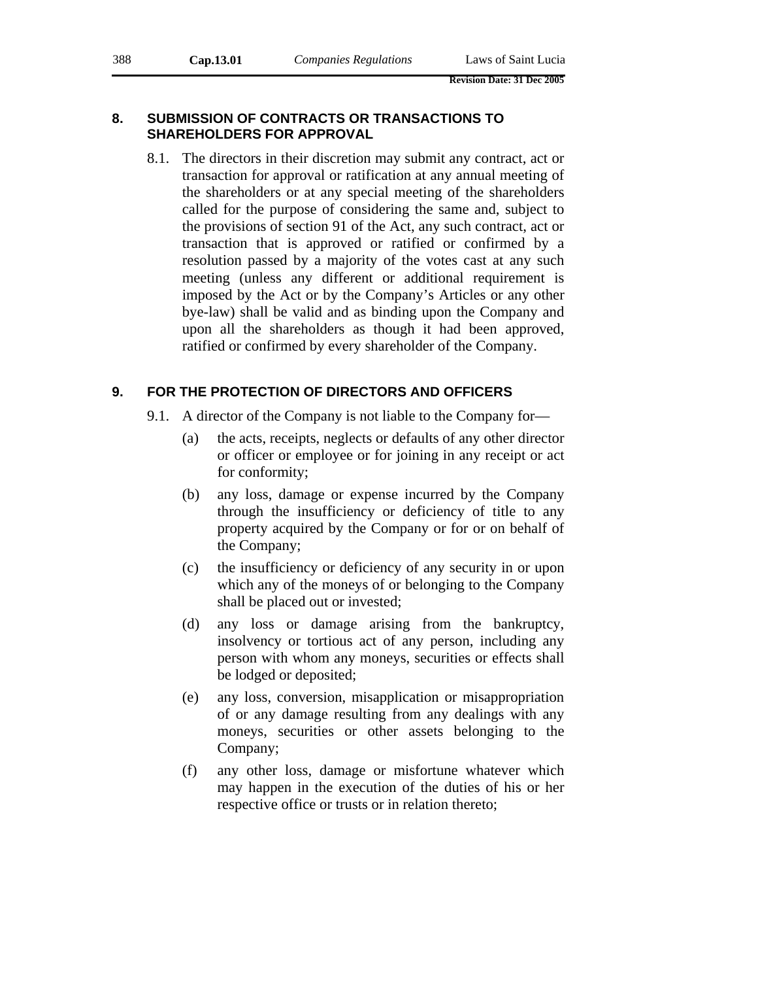# **8. SUBMISSION OF CONTRACTS OR TRANSACTIONS TO SHAREHOLDERS FOR APPROVAL**

8.1. The directors in their discretion may submit any contract, act or transaction for approval or ratification at any annual meeting of the shareholders or at any special meeting of the shareholders called for the purpose of considering the same and, subject to the provisions of section 91 of the Act, any such contract, act or transaction that is approved or ratified or confirmed by a resolution passed by a majority of the votes cast at any such meeting (unless any different or additional requirement is imposed by the Act or by the Company's Articles or any other bye-law) shall be valid and as binding upon the Company and upon all the shareholders as though it had been approved, ratified or confirmed by every shareholder of the Company.

# **9. FOR THE PROTECTION OF DIRECTORS AND OFFICERS**

- 9.1. A director of the Company is not liable to the Company for—
	- (a) the acts, receipts, neglects or defaults of any other director or officer or employee or for joining in any receipt or act for conformity;
	- (b) any loss, damage or expense incurred by the Company through the insufficiency or deficiency of title to any property acquired by the Company or for or on behalf of the Company;
	- (c) the insufficiency or deficiency of any security in or upon which any of the moneys of or belonging to the Company shall be placed out or invested;
	- (d) any loss or damage arising from the bankruptcy, insolvency or tortious act of any person, including any person with whom any moneys, securities or effects shall be lodged or deposited;
	- (e) any loss, conversion, misapplication or misappropriation of or any damage resulting from any dealings with any moneys, securities or other assets belonging to the Company;
	- (f) any other loss, damage or misfortune whatever which may happen in the execution of the duties of his or her respective office or trusts or in relation thereto;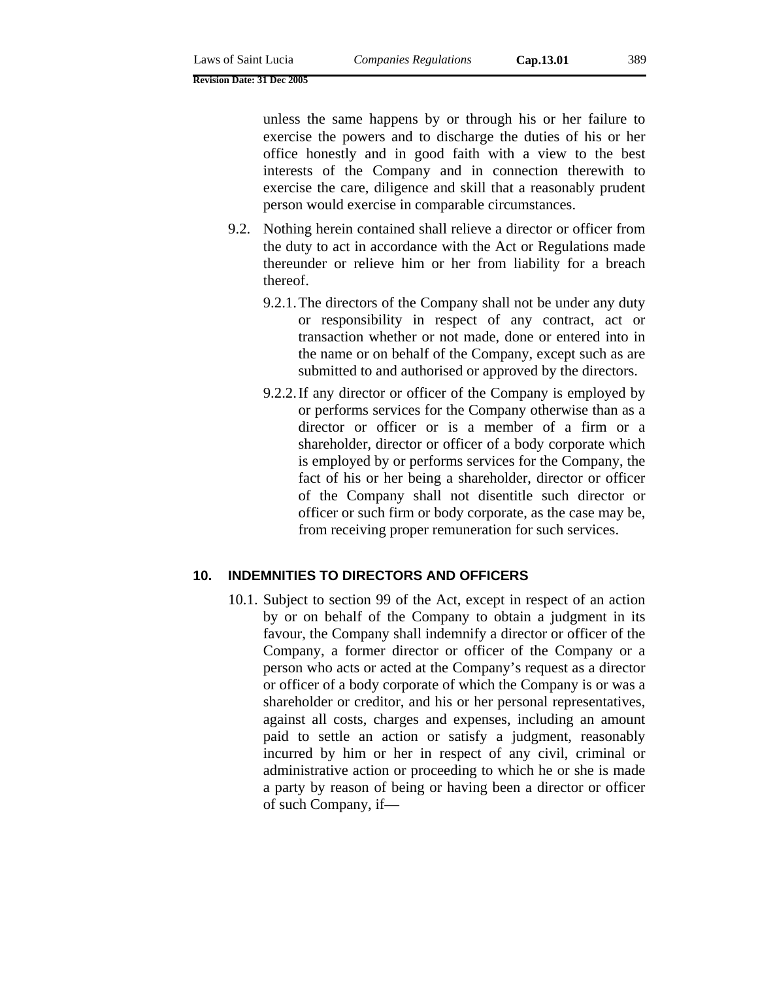unless the same happens by or through his or her failure to exercise the powers and to discharge the duties of his or her office honestly and in good faith with a view to the best interests of the Company and in connection therewith to exercise the care, diligence and skill that a reasonably prudent person would exercise in comparable circumstances.

- 9.2. Nothing herein contained shall relieve a director or officer from the duty to act in accordance with the Act or Regulations made thereunder or relieve him or her from liability for a breach thereof.
	- 9.2.1. The directors of the Company shall not be under any duty or responsibility in respect of any contract, act or transaction whether or not made, done or entered into in the name or on behalf of the Company, except such as are submitted to and authorised or approved by the directors.
	- 9.2.2. If any director or officer of the Company is employed by or performs services for the Company otherwise than as a director or officer or is a member of a firm or a shareholder, director or officer of a body corporate which is employed by or performs services for the Company, the fact of his or her being a shareholder, director or officer of the Company shall not disentitle such director or officer or such firm or body corporate, as the case may be, from receiving proper remuneration for such services.

#### **10. INDEMNITIES TO DIRECTORS AND OFFICERS**

10.1. Subject to section 99 of the Act, except in respect of an action by or on behalf of the Company to obtain a judgment in its favour, the Company shall indemnify a director or officer of the Company, a former director or officer of the Company or a person who acts or acted at the Company's request as a director or officer of a body corporate of which the Company is or was a shareholder or creditor, and his or her personal representatives, against all costs, charges and expenses, including an amount paid to settle an action or satisfy a judgment, reasonably incurred by him or her in respect of any civil, criminal or administrative action or proceeding to which he or she is made a party by reason of being or having been a director or officer of such Company, if—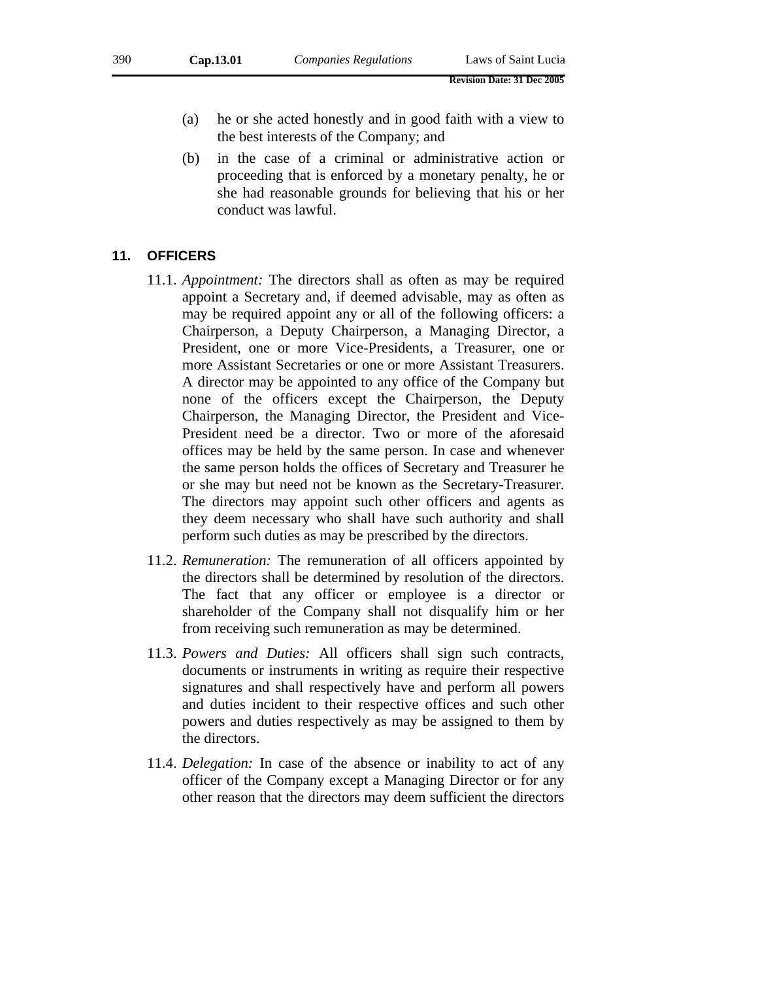- (a) he or she acted honestly and in good faith with a view to the best interests of the Company; and
- (b) in the case of a criminal or administrative action or proceeding that is enforced by a monetary penalty, he or she had reasonable grounds for believing that his or her conduct was lawful.

#### **11. OFFICERS**

- 11.1. *Appointment:* The directors shall as often as may be required appoint a Secretary and, if deemed advisable, may as often as may be required appoint any or all of the following officers: a Chairperson, a Deputy Chairperson, a Managing Director, a President, one or more Vice-Presidents, a Treasurer, one or more Assistant Secretaries or one or more Assistant Treasurers. A director may be appointed to any office of the Company but none of the officers except the Chairperson, the Deputy Chairperson, the Managing Director, the President and Vice-President need be a director. Two or more of the aforesaid offices may be held by the same person. In case and whenever the same person holds the offices of Secretary and Treasurer he or she may but need not be known as the Secretary-Treasurer. The directors may appoint such other officers and agents as they deem necessary who shall have such authority and shall perform such duties as may be prescribed by the directors.
- 11.2. *Remuneration:* The remuneration of all officers appointed by the directors shall be determined by resolution of the directors. The fact that any officer or employee is a director or shareholder of the Company shall not disqualify him or her from receiving such remuneration as may be determined.
- 11.3. *Powers and Duties:* All officers shall sign such contracts, documents or instruments in writing as require their respective signatures and shall respectively have and perform all powers and duties incident to their respective offices and such other powers and duties respectively as may be assigned to them by the directors.
- 11.4. *Delegation:* In case of the absence or inability to act of any officer of the Company except a Managing Director or for any other reason that the directors may deem sufficient the directors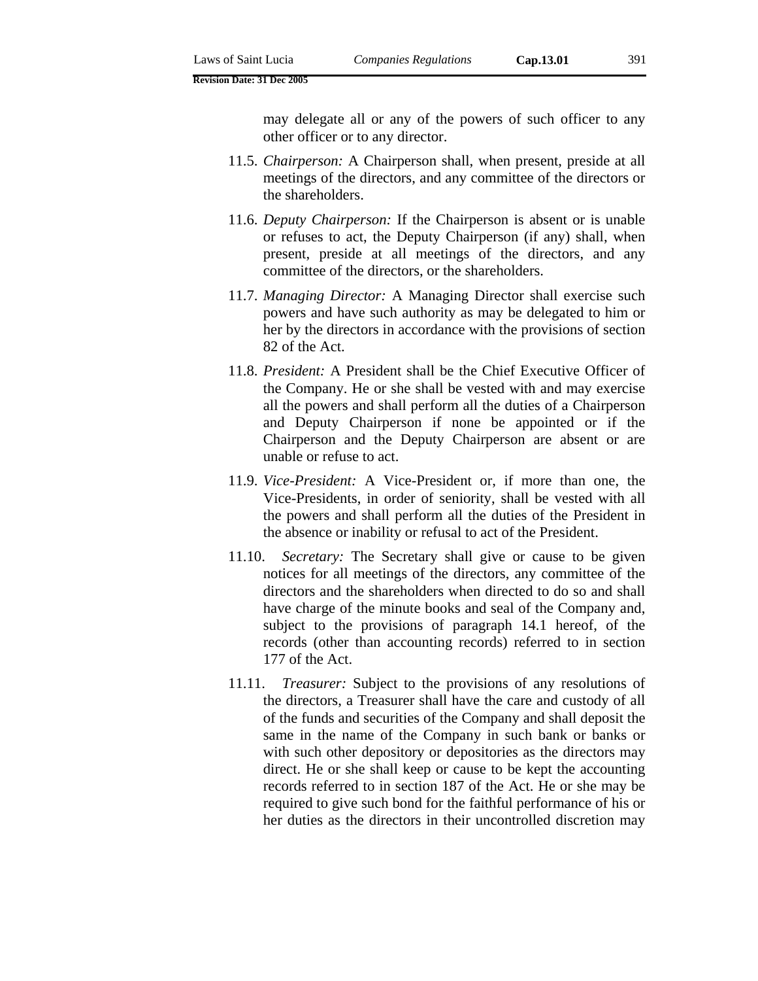may delegate all or any of the powers of such officer to any other officer or to any director.

- 11.5. *Chairperson:* A Chairperson shall, when present, preside at all meetings of the directors, and any committee of the directors or the shareholders.
- 11.6. *Deputy Chairperson:* If the Chairperson is absent or is unable or refuses to act, the Deputy Chairperson (if any) shall, when present, preside at all meetings of the directors, and any committee of the directors, or the shareholders.
- 11.7. *Managing Director:* A Managing Director shall exercise such powers and have such authority as may be delegated to him or her by the directors in accordance with the provisions of section 82 of the Act.
- 11.8. *President:* A President shall be the Chief Executive Officer of the Company. He or she shall be vested with and may exercise all the powers and shall perform all the duties of a Chairperson and Deputy Chairperson if none be appointed or if the Chairperson and the Deputy Chairperson are absent or are unable or refuse to act.
- 11.9. *Vice-President:* A Vice-President or, if more than one, the Vice-Presidents, in order of seniority, shall be vested with all the powers and shall perform all the duties of the President in the absence or inability or refusal to act of the President.
- 11.10. *Secretary:* The Secretary shall give or cause to be given notices for all meetings of the directors, any committee of the directors and the shareholders when directed to do so and shall have charge of the minute books and seal of the Company and, subject to the provisions of paragraph 14.1 hereof, of the records (other than accounting records) referred to in section 177 of the Act.
- 11.11. *Treasurer:* Subject to the provisions of any resolutions of the directors, a Treasurer shall have the care and custody of all of the funds and securities of the Company and shall deposit the same in the name of the Company in such bank or banks or with such other depository or depositories as the directors may direct. He or she shall keep or cause to be kept the accounting records referred to in section 187 of the Act. He or she may be required to give such bond for the faithful performance of his or her duties as the directors in their uncontrolled discretion may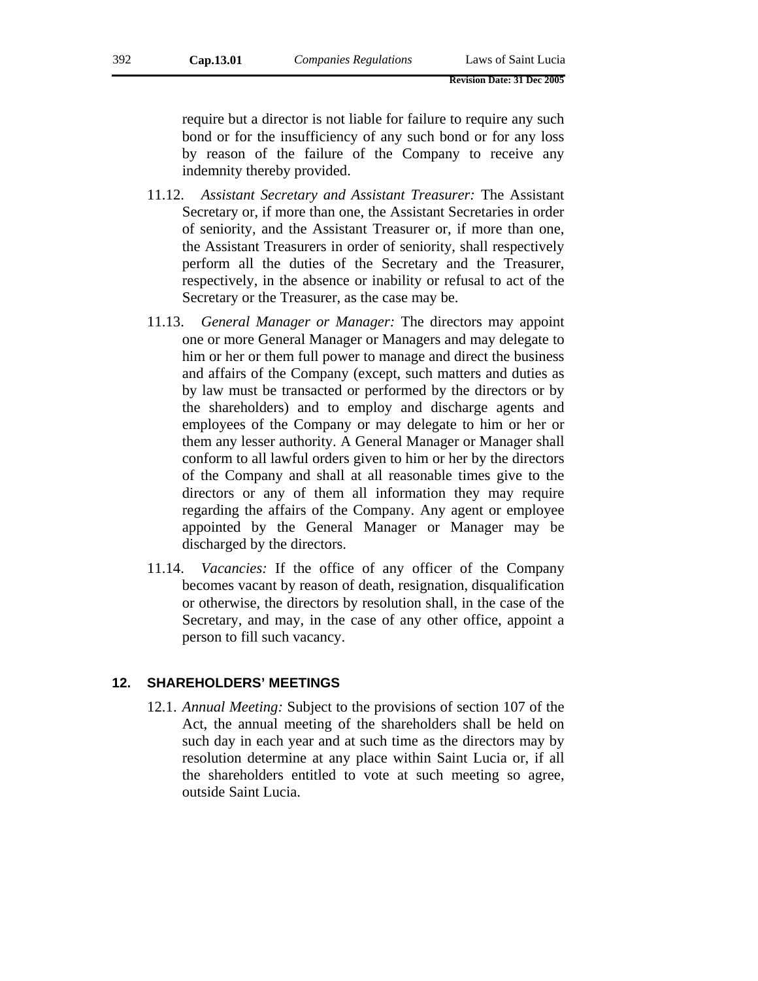require but a director is not liable for failure to require any such bond or for the insufficiency of any such bond or for any loss by reason of the failure of the Company to receive any indemnity thereby provided.

- 11.12. *Assistant Secretary and Assistant Treasurer:* The Assistant Secretary or, if more than one, the Assistant Secretaries in order of seniority, and the Assistant Treasurer or, if more than one, the Assistant Treasurers in order of seniority, shall respectively perform all the duties of the Secretary and the Treasurer, respectively, in the absence or inability or refusal to act of the Secretary or the Treasurer, as the case may be.
- 11.13. *General Manager or Manager:* The directors may appoint one or more General Manager or Managers and may delegate to him or her or them full power to manage and direct the business and affairs of the Company (except, such matters and duties as by law must be transacted or performed by the directors or by the shareholders) and to employ and discharge agents and employees of the Company or may delegate to him or her or them any lesser authority. A General Manager or Manager shall conform to all lawful orders given to him or her by the directors of the Company and shall at all reasonable times give to the directors or any of them all information they may require regarding the affairs of the Company. Any agent or employee appointed by the General Manager or Manager may be discharged by the directors.
- 11.14. *Vacancies:* If the office of any officer of the Company becomes vacant by reason of death, resignation, disqualification or otherwise, the directors by resolution shall, in the case of the Secretary, and may, in the case of any other office, appoint a person to fill such vacancy.

### **12. SHAREHOLDERS' MEETINGS**

12.1. *Annual Meeting:* Subject to the provisions of section 107 of the Act, the annual meeting of the shareholders shall be held on such day in each year and at such time as the directors may by resolution determine at any place within Saint Lucia or, if all the shareholders entitled to vote at such meeting so agree, outside Saint Lucia.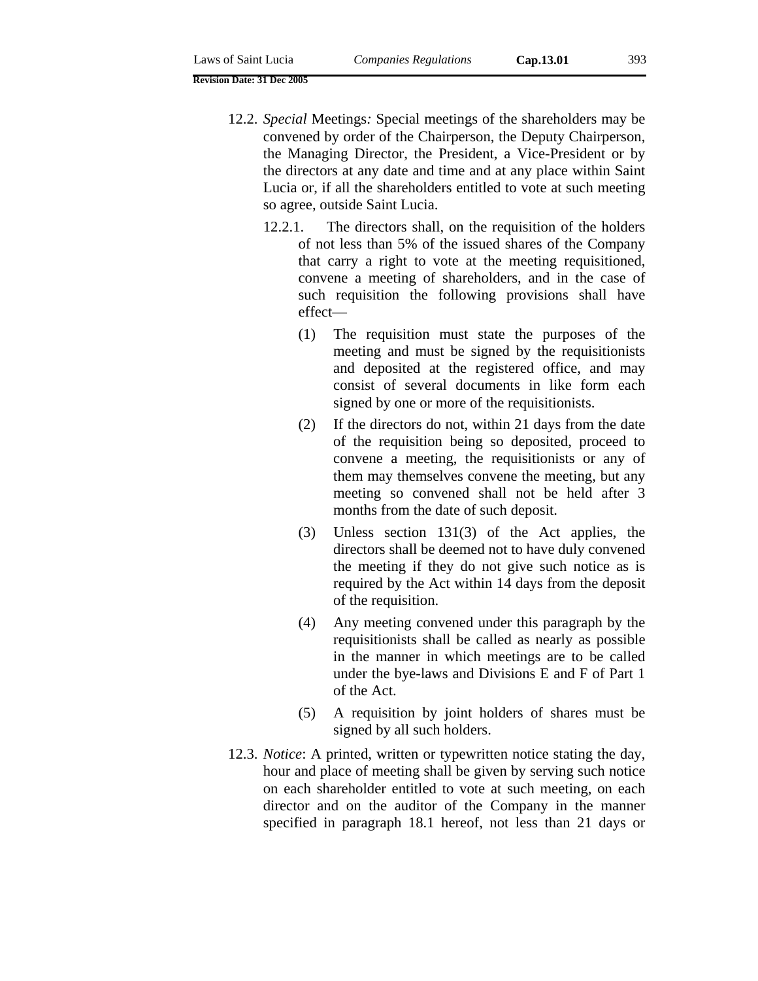- 12.2. *Special* Meetings*:* Special meetings of the shareholders may be convened by order of the Chairperson, the Deputy Chairperson, the Managing Director, the President, a Vice-President or by the directors at any date and time and at any place within Saint Lucia or, if all the shareholders entitled to vote at such meeting so agree, outside Saint Lucia.
	- 12.2.1. The directors shall, on the requisition of the holders of not less than 5% of the issued shares of the Company that carry a right to vote at the meeting requisitioned, convene a meeting of shareholders, and in the case of such requisition the following provisions shall have effect—
		- (1) The requisition must state the purposes of the meeting and must be signed by the requisitionists and deposited at the registered office, and may consist of several documents in like form each signed by one or more of the requisitionists.
		- (2) If the directors do not, within 21 days from the date of the requisition being so deposited, proceed to convene a meeting, the requisitionists or any of them may themselves convene the meeting, but any meeting so convened shall not be held after 3 months from the date of such deposit.
		- (3) Unless section 131(3) of the Act applies, the directors shall be deemed not to have duly convened the meeting if they do not give such notice as is required by the Act within 14 days from the deposit of the requisition.
		- (4) Any meeting convened under this paragraph by the requisitionists shall be called as nearly as possible in the manner in which meetings are to be called under the bye-laws and Divisions E and F of Part 1 of the Act.
		- (5) A requisition by joint holders of shares must be signed by all such holders.
- 12.3. *Notice*: A printed, written or typewritten notice stating the day, hour and place of meeting shall be given by serving such notice on each shareholder entitled to vote at such meeting, on each director and on the auditor of the Company in the manner specified in paragraph 18.1 hereof, not less than 21 days or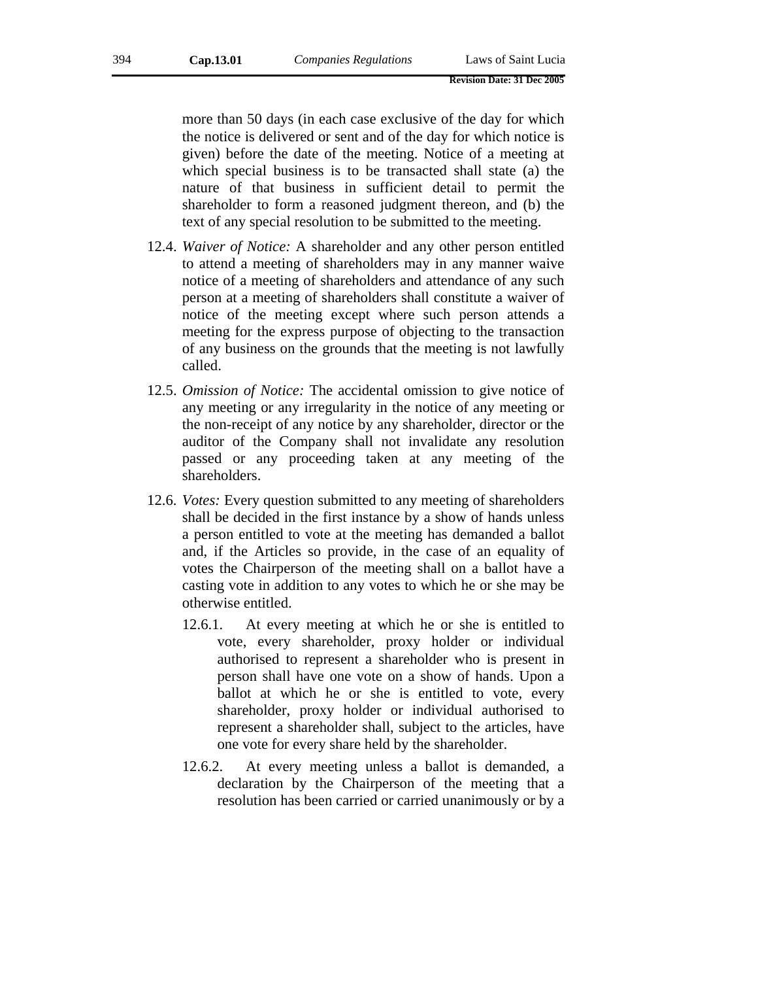more than 50 days (in each case exclusive of the day for which the notice is delivered or sent and of the day for which notice is given) before the date of the meeting. Notice of a meeting at which special business is to be transacted shall state (a) the nature of that business in sufficient detail to permit the shareholder to form a reasoned judgment thereon, and (b) the text of any special resolution to be submitted to the meeting.

- 12.4. *Waiver of Notice:* A shareholder and any other person entitled to attend a meeting of shareholders may in any manner waive notice of a meeting of shareholders and attendance of any such person at a meeting of shareholders shall constitute a waiver of notice of the meeting except where such person attends a meeting for the express purpose of objecting to the transaction of any business on the grounds that the meeting is not lawfully called.
- 12.5. *Omission of Notice:* The accidental omission to give notice of any meeting or any irregularity in the notice of any meeting or the non-receipt of any notice by any shareholder, director or the auditor of the Company shall not invalidate any resolution passed or any proceeding taken at any meeting of the shareholders.
- 12.6. *Votes:* Every question submitted to any meeting of shareholders shall be decided in the first instance by a show of hands unless a person entitled to vote at the meeting has demanded a ballot and, if the Articles so provide, in the case of an equality of votes the Chairperson of the meeting shall on a ballot have a casting vote in addition to any votes to which he or she may be otherwise entitled.
	- 12.6.1. At every meeting at which he or she is entitled to vote, every shareholder, proxy holder or individual authorised to represent a shareholder who is present in person shall have one vote on a show of hands. Upon a ballot at which he or she is entitled to vote, every shareholder, proxy holder or individual authorised to represent a shareholder shall, subject to the articles, have one vote for every share held by the shareholder.
	- 12.6.2. At every meeting unless a ballot is demanded, a declaration by the Chairperson of the meeting that a resolution has been carried or carried unanimously or by a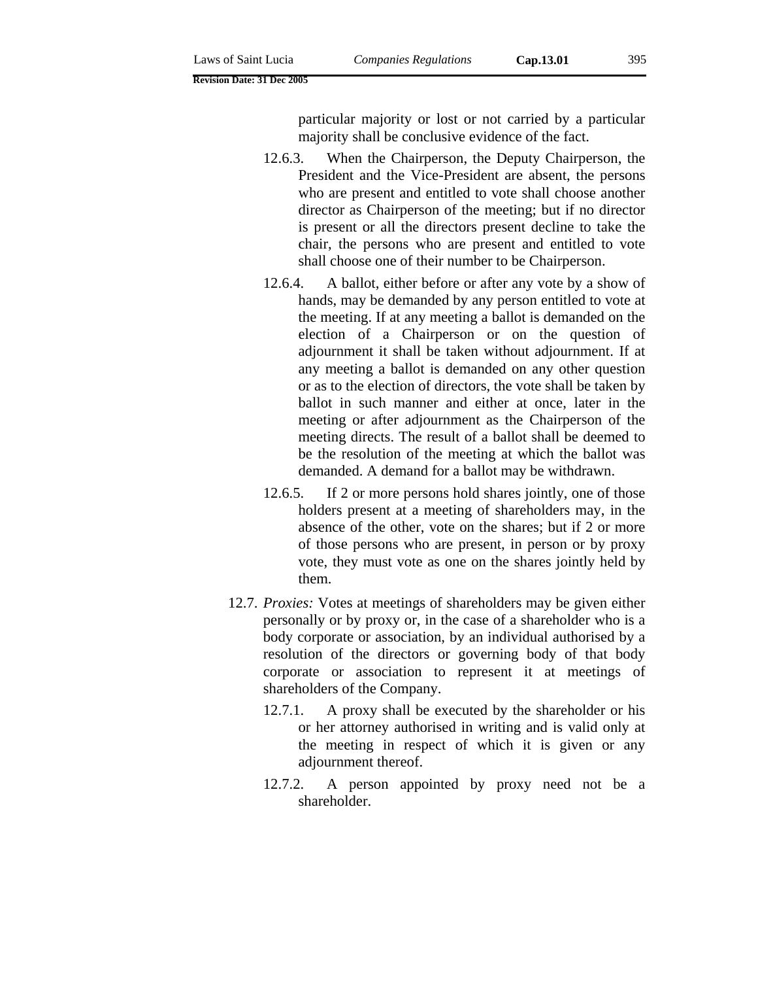particular majority or lost or not carried by a particular majority shall be conclusive evidence of the fact.

- 12.6.3. When the Chairperson, the Deputy Chairperson, the President and the Vice-President are absent, the persons who are present and entitled to vote shall choose another director as Chairperson of the meeting; but if no director is present or all the directors present decline to take the chair, the persons who are present and entitled to vote shall choose one of their number to be Chairperson.
- 12.6.4. A ballot, either before or after any vote by a show of hands, may be demanded by any person entitled to vote at the meeting. If at any meeting a ballot is demanded on the election of a Chairperson or on the question of adjournment it shall be taken without adjournment. If at any meeting a ballot is demanded on any other question or as to the election of directors, the vote shall be taken by ballot in such manner and either at once, later in the meeting or after adjournment as the Chairperson of the meeting directs. The result of a ballot shall be deemed to be the resolution of the meeting at which the ballot was demanded. A demand for a ballot may be withdrawn.
- 12.6.5. If 2 or more persons hold shares jointly, one of those holders present at a meeting of shareholders may, in the absence of the other, vote on the shares; but if 2 or more of those persons who are present, in person or by proxy vote, they must vote as one on the shares jointly held by them.
- 12.7. *Proxies:* Votes at meetings of shareholders may be given either personally or by proxy or, in the case of a shareholder who is a body corporate or association, by an individual authorised by a resolution of the directors or governing body of that body corporate or association to represent it at meetings of shareholders of the Company.
	- 12.7.1. A proxy shall be executed by the shareholder or his or her attorney authorised in writing and is valid only at the meeting in respect of which it is given or any adjournment thereof.
	- 12.7.2. A person appointed by proxy need not be a shareholder.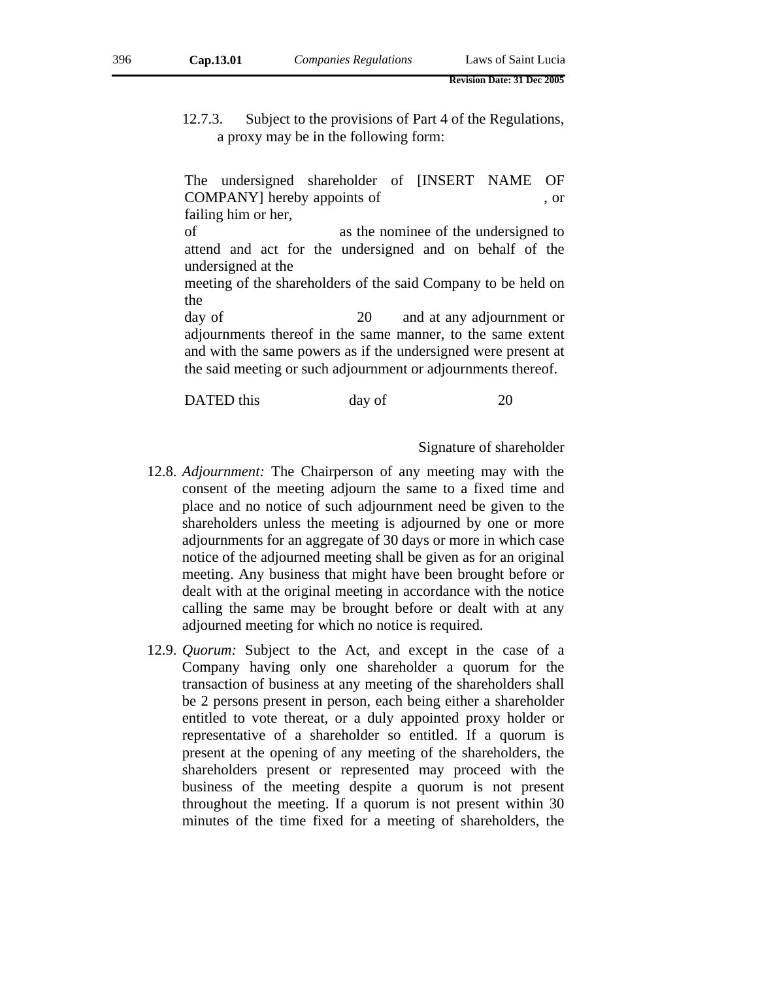12.7.3. Subject to the provisions of Part 4 of the Regulations, a proxy may be in the following form:

The undersigned shareholder of [INSERT NAME OF COMPANY] hereby appoints of , or failing him or her,

of as the nominee of the undersigned to attend and act for the undersigned and on behalf of the undersigned at the

meeting of the shareholders of the said Company to be held on the

day of 20 and at any adjournment or adjournments thereof in the same manner, to the same extent and with the same powers as if the undersigned were present at the said meeting or such adjournment or adjournments thereof.

DATED this day of 20

Signature of shareholder

- 12.8. *Adjournment:* The Chairperson of any meeting may with the consent of the meeting adjourn the same to a fixed time and place and no notice of such adjournment need be given to the shareholders unless the meeting is adjourned by one or more adjournments for an aggregate of 30 days or more in which case notice of the adjourned meeting shall be given as for an original meeting. Any business that might have been brought before or dealt with at the original meeting in accordance with the notice calling the same may be brought before or dealt with at any adjourned meeting for which no notice is required.
- 12.9. *Quorum:* Subject to the Act, and except in the case of a Company having only one shareholder a quorum for the transaction of business at any meeting of the shareholders shall be 2 persons present in person, each being either a shareholder entitled to vote thereat, or a duly appointed proxy holder or representative of a shareholder so entitled. If a quorum is present at the opening of any meeting of the shareholders, the shareholders present or represented may proceed with the business of the meeting despite a quorum is not present throughout the meeting. If a quorum is not present within 30 minutes of the time fixed for a meeting of shareholders, the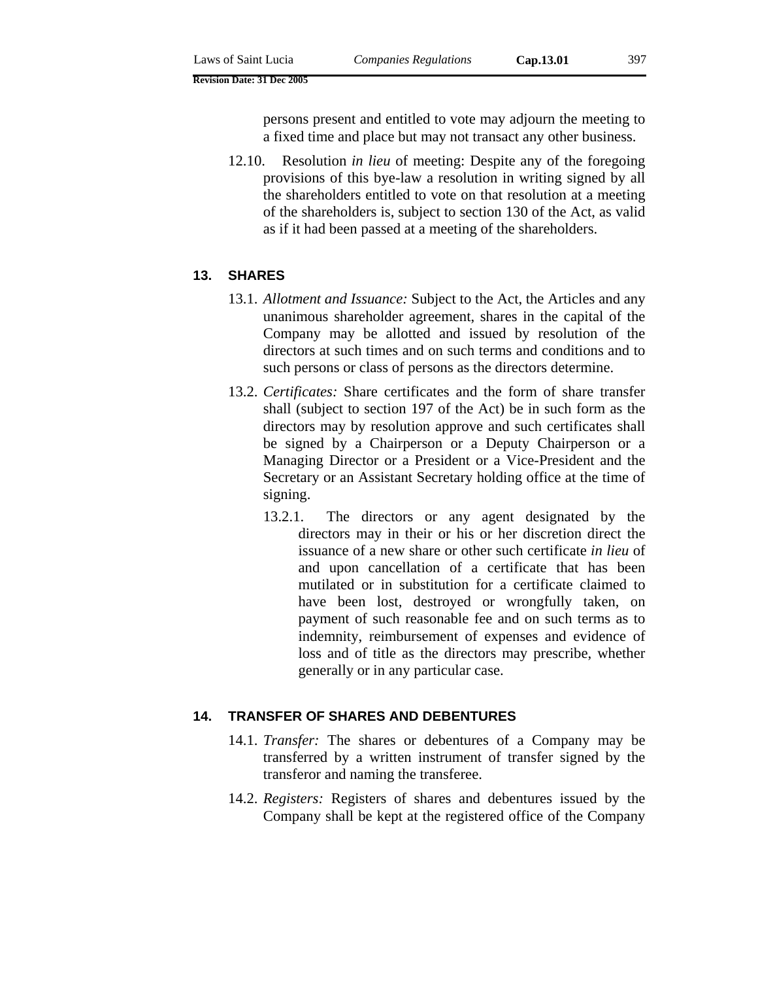persons present and entitled to vote may adjourn the meeting to a fixed time and place but may not transact any other business.

12.10. Resolution *in lieu* of meeting: Despite any of the foregoing provisions of this bye-law a resolution in writing signed by all the shareholders entitled to vote on that resolution at a meeting of the shareholders is, subject to section 130 of the Act, as valid as if it had been passed at a meeting of the shareholders.

# **13. SHARES**

- 13.1. *Allotment and Issuance:* Subject to the Act, the Articles and any unanimous shareholder agreement, shares in the capital of the Company may be allotted and issued by resolution of the directors at such times and on such terms and conditions and to such persons or class of persons as the directors determine.
- 13.2. *Certificates:* Share certificates and the form of share transfer shall (subject to section 197 of the Act) be in such form as the directors may by resolution approve and such certificates shall be signed by a Chairperson or a Deputy Chairperson or a Managing Director or a President or a Vice-President and the Secretary or an Assistant Secretary holding office at the time of signing.
	- 13.2.1. The directors or any agent designated by the directors may in their or his or her discretion direct the issuance of a new share or other such certificate *in lieu* of and upon cancellation of a certificate that has been mutilated or in substitution for a certificate claimed to have been lost, destroyed or wrongfully taken, on payment of such reasonable fee and on such terms as to indemnity, reimbursement of expenses and evidence of loss and of title as the directors may prescribe, whether generally or in any particular case.

#### **14. TRANSFER OF SHARES AND DEBENTURES**

- 14.1. *Transfer:* The shares or debentures of a Company may be transferred by a written instrument of transfer signed by the transferor and naming the transferee.
- 14.2. *Registers:* Registers of shares and debentures issued by the Company shall be kept at the registered office of the Company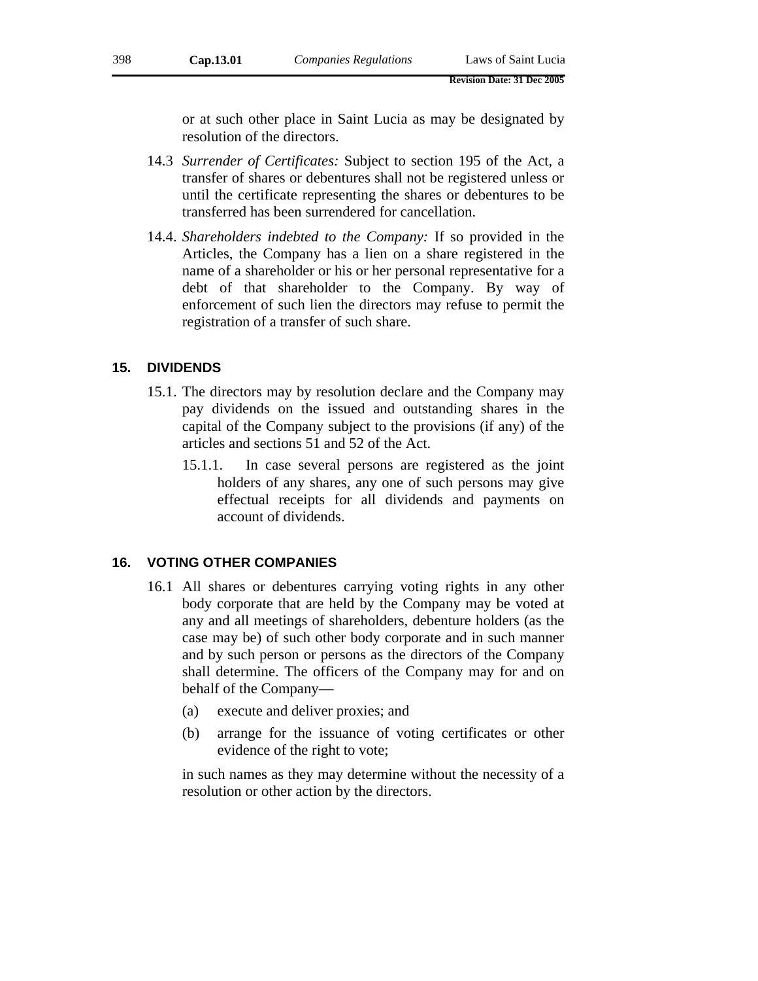or at such other place in Saint Lucia as may be designated by resolution of the directors.

- 14.3 *Surrender of Certificates:* Subject to section 195 of the Act, a transfer of shares or debentures shall not be registered unless or until the certificate representing the shares or debentures to be transferred has been surrendered for cancellation.
- 14.4. *Shareholders indebted to the Company:* If so provided in the Articles, the Company has a lien on a share registered in the name of a shareholder or his or her personal representative for a debt of that shareholder to the Company. By way of enforcement of such lien the directors may refuse to permit the registration of a transfer of such share.

# **15. DIVIDENDS**

- 15.1. The directors may by resolution declare and the Company may pay dividends on the issued and outstanding shares in the capital of the Company subject to the provisions (if any) of the articles and sections 51 and 52 of the Act.
	- 15.1.1. In case several persons are registered as the joint holders of any shares, any one of such persons may give effectual receipts for all dividends and payments on account of dividends.

## **16. VOTING OTHER COMPANIES**

- 16.1 All shares or debentures carrying voting rights in any other body corporate that are held by the Company may be voted at any and all meetings of shareholders, debenture holders (as the case may be) of such other body corporate and in such manner and by such person or persons as the directors of the Company shall determine. The officers of the Company may for and on behalf of the Company—
	- (a) execute and deliver proxies; and
	- (b) arrange for the issuance of voting certificates or other evidence of the right to vote;

in such names as they may determine without the necessity of a resolution or other action by the directors.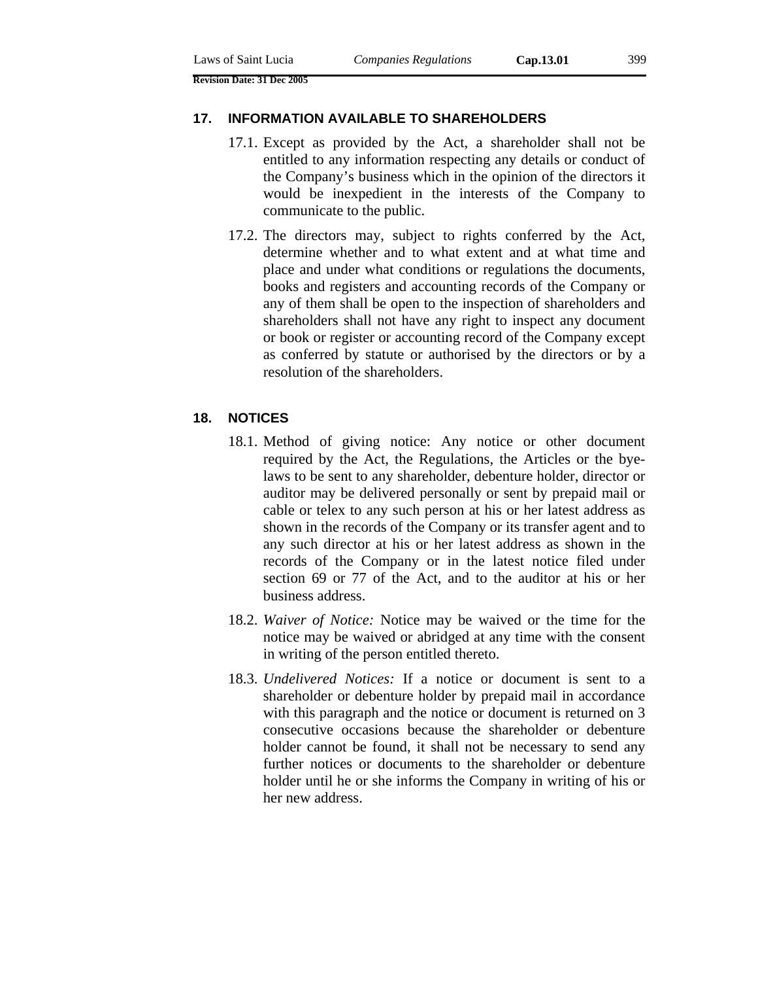# **17. INFORMATION AVAILABLE TO SHAREHOLDERS**

- 17.1. Except as provided by the Act, a shareholder shall not be entitled to any information respecting any details or conduct of the Company's business which in the opinion of the directors it would be inexpedient in the interests of the Company to communicate to the public.
- 17.2. The directors may, subject to rights conferred by the Act, determine whether and to what extent and at what time and place and under what conditions or regulations the documents, books and registers and accounting records of the Company or any of them shall be open to the inspection of shareholders and shareholders shall not have any right to inspect any document or book or register or accounting record of the Company except as conferred by statute or authorised by the directors or by a resolution of the shareholders.

# **18. NOTICES**

- 18.1. Method of giving notice: Any notice or other document required by the Act, the Regulations, the Articles or the byelaws to be sent to any shareholder, debenture holder, director or auditor may be delivered personally or sent by prepaid mail or cable or telex to any such person at his or her latest address as shown in the records of the Company or its transfer agent and to any such director at his or her latest address as shown in the records of the Company or in the latest notice filed under section 69 or 77 of the Act, and to the auditor at his or her business address.
- 18.2. *Waiver of Notice:* Notice may be waived or the time for the notice may be waived or abridged at any time with the consent in writing of the person entitled thereto.
- 18.3. *Undelivered Notices:* If a notice or document is sent to a shareholder or debenture holder by prepaid mail in accordance with this paragraph and the notice or document is returned on 3 consecutive occasions because the shareholder or debenture holder cannot be found, it shall not be necessary to send any further notices or documents to the shareholder or debenture holder until he or she informs the Company in writing of his or her new address.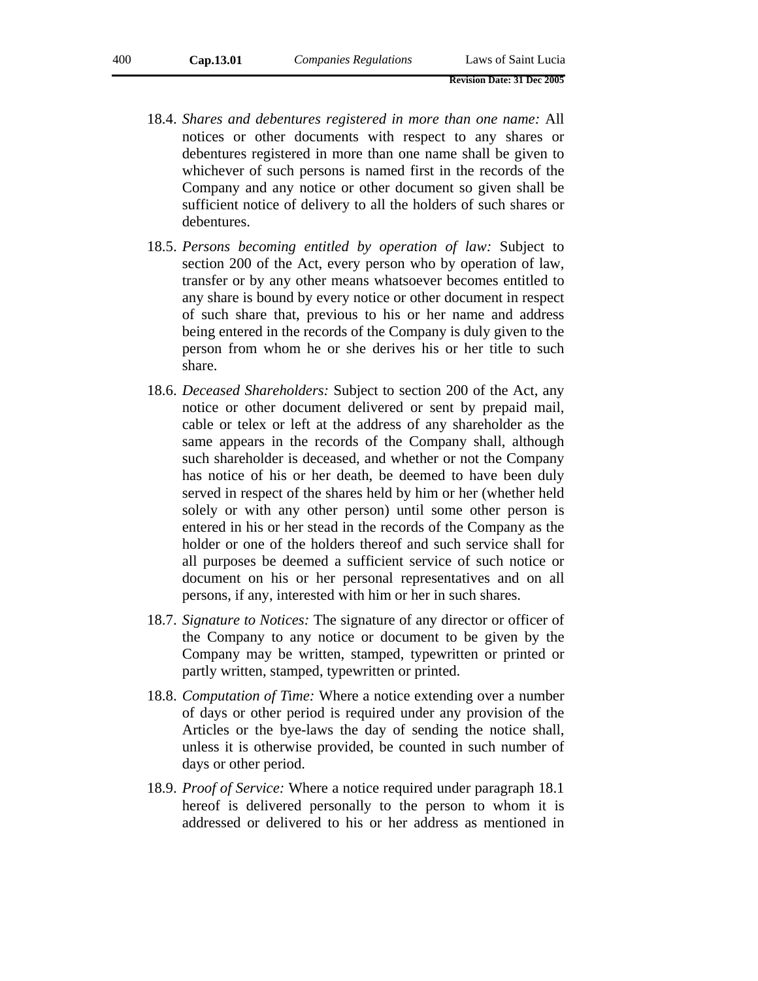- 18.4. *Shares and debentures registered in more than one name:* All notices or other documents with respect to any shares or debentures registered in more than one name shall be given to whichever of such persons is named first in the records of the Company and any notice or other document so given shall be sufficient notice of delivery to all the holders of such shares or debentures.
- 18.5. *Persons becoming entitled by operation of law:* Subject to section 200 of the Act, every person who by operation of law, transfer or by any other means whatsoever becomes entitled to any share is bound by every notice or other document in respect of such share that, previous to his or her name and address being entered in the records of the Company is duly given to the person from whom he or she derives his or her title to such share.
- 18.6. *Deceased Shareholders:* Subject to section 200 of the Act, any notice or other document delivered or sent by prepaid mail, cable or telex or left at the address of any shareholder as the same appears in the records of the Company shall, although such shareholder is deceased, and whether or not the Company has notice of his or her death, be deemed to have been duly served in respect of the shares held by him or her (whether held solely or with any other person) until some other person is entered in his or her stead in the records of the Company as the holder or one of the holders thereof and such service shall for all purposes be deemed a sufficient service of such notice or document on his or her personal representatives and on all persons, if any, interested with him or her in such shares.
- 18.7. *Signature to Notices:* The signature of any director or officer of the Company to any notice or document to be given by the Company may be written, stamped, typewritten or printed or partly written, stamped, typewritten or printed.
- 18.8. *Computation of T*i*me:* Where a notice extending over a number of days or other period is required under any provision of the Articles or the bye-laws the day of sending the notice shall, unless it is otherwise provided, be counted in such number of days or other period.
- 18.9. *Proof of Service:* Where a notice required under paragraph 18.1 hereof is delivered personally to the person to whom it is addressed or delivered to his or her address as mentioned in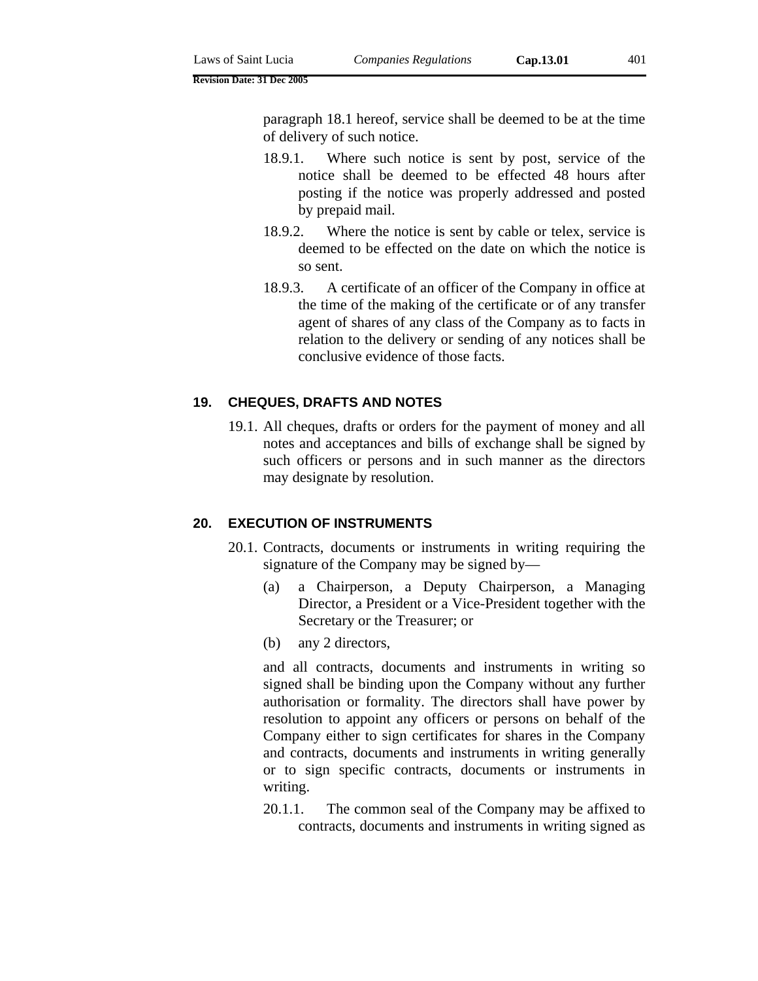paragraph 18.1 hereof, service shall be deemed to be at the time of delivery of such notice.

- 18.9.1. Where such notice is sent by post, service of the notice shall be deemed to be effected 48 hours after posting if the notice was properly addressed and posted by prepaid mail.
- 18.9.2. Where the notice is sent by cable or telex, service is deemed to be effected on the date on which the notice is so sent.
- 18.9.3. A certificate of an officer of the Company in office at the time of the making of the certificate or of any transfer agent of shares of any class of the Company as to facts in relation to the delivery or sending of any notices shall be conclusive evidence of those facts.

## **19. CHEQUES, DRAFTS AND NOTES**

19.1. All cheques, drafts or orders for the payment of money and all notes and acceptances and bills of exchange shall be signed by such officers or persons and in such manner as the directors may designate by resolution.

# **20. EXECUTION OF INSTRUMENTS**

- 20.1. Contracts, documents or instruments in writing requiring the signature of the Company may be signed by—
	- (a) a Chairperson, a Deputy Chairperson, a Managing Director, a President or a Vice-President together with the Secretary or the Treasurer; or
	- (b) any 2 directors,

and all contracts, documents and instruments in writing so signed shall be binding upon the Company without any further authorisation or formality. The directors shall have power by resolution to appoint any officers or persons on behalf of the Company either to sign certificates for shares in the Company and contracts, documents and instruments in writing generally or to sign specific contracts, documents or instruments in writing.

20.1.1. The common seal of the Company may be affixed to contracts, documents and instruments in writing signed as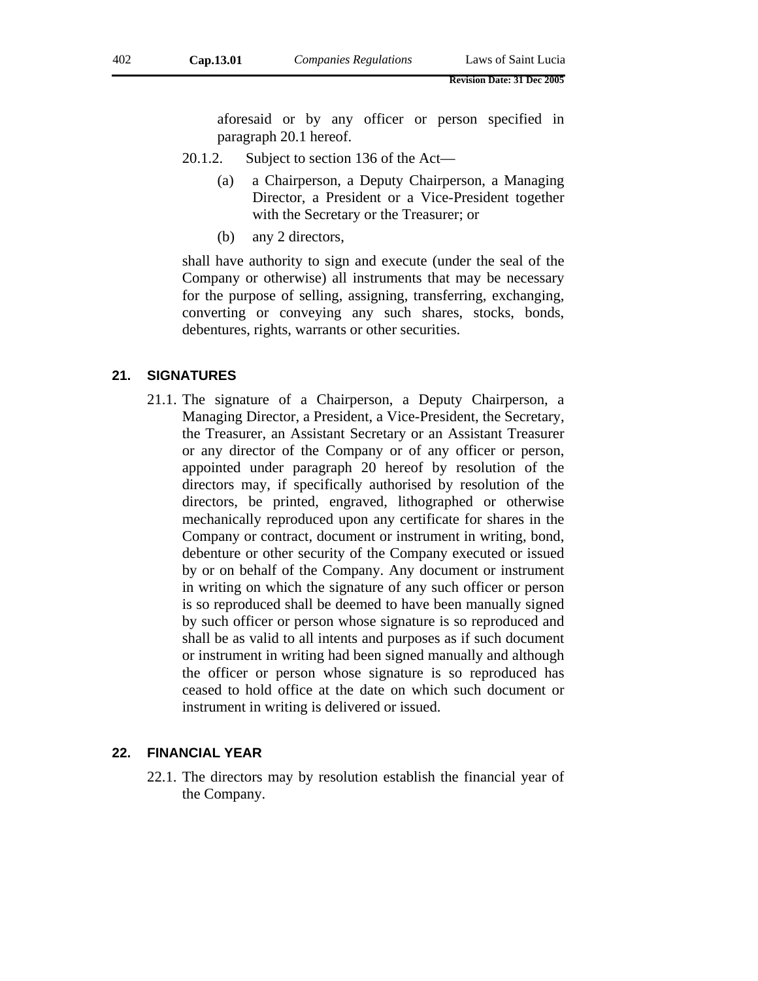aforesaid or by any officer or person specified in paragraph 20.1 hereof.

- 20.1.2. Subject to section 136 of the Act—
	- (a) a Chairperson, a Deputy Chairperson, a Managing Director, a President or a Vice-President together with the Secretary or the Treasurer; or
	- (b) any 2 directors,

shall have authority to sign and execute (under the seal of the Company or otherwise) all instruments that may be necessary for the purpose of selling, assigning, transferring, exchanging, converting or conveying any such shares, stocks, bonds, debentures, rights, warrants or other securities.

## **21. SIGNATURES**

21.1. The signature of a Chairperson, a Deputy Chairperson, a Managing Director, a President, a Vice-President, the Secretary, the Treasurer, an Assistant Secretary or an Assistant Treasurer or any director of the Company or of any officer or person, appointed under paragraph 20 hereof by resolution of the directors may, if specifically authorised by resolution of the directors, be printed, engraved, lithographed or otherwise mechanically reproduced upon any certificate for shares in the Company or contract, document or instrument in writing, bond, debenture or other security of the Company executed or issued by or on behalf of the Company. Any document or instrument in writing on which the signature of any such officer or person is so reproduced shall be deemed to have been manually signed by such officer or person whose signature is so reproduced and shall be as valid to all intents and purposes as if such document or instrument in writing had been signed manually and although the officer or person whose signature is so reproduced has ceased to hold office at the date on which such document or instrument in writing is delivered or issued.

#### **22. FINANCIAL YEAR**

22.1. The directors may by resolution establish the financial year of the Company.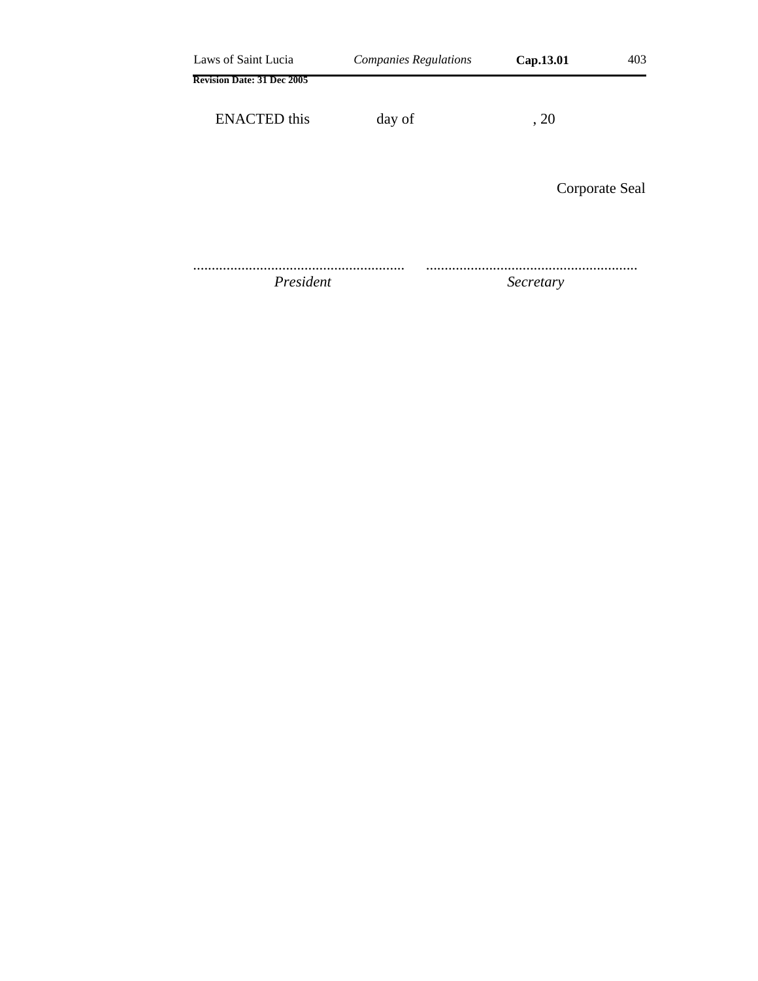| Laws of Saint Lucia               | <b>Companies Regulations</b> | Cap.13.01 | 403            |
|-----------------------------------|------------------------------|-----------|----------------|
| <b>Revision Date: 31 Dec 2005</b> |                              |           |                |
| <b>ENACTED</b> this               | day of                       | , 20      |                |
|                                   |                              |           | Corporate Seal |
| President                         |                              | Secretary |                |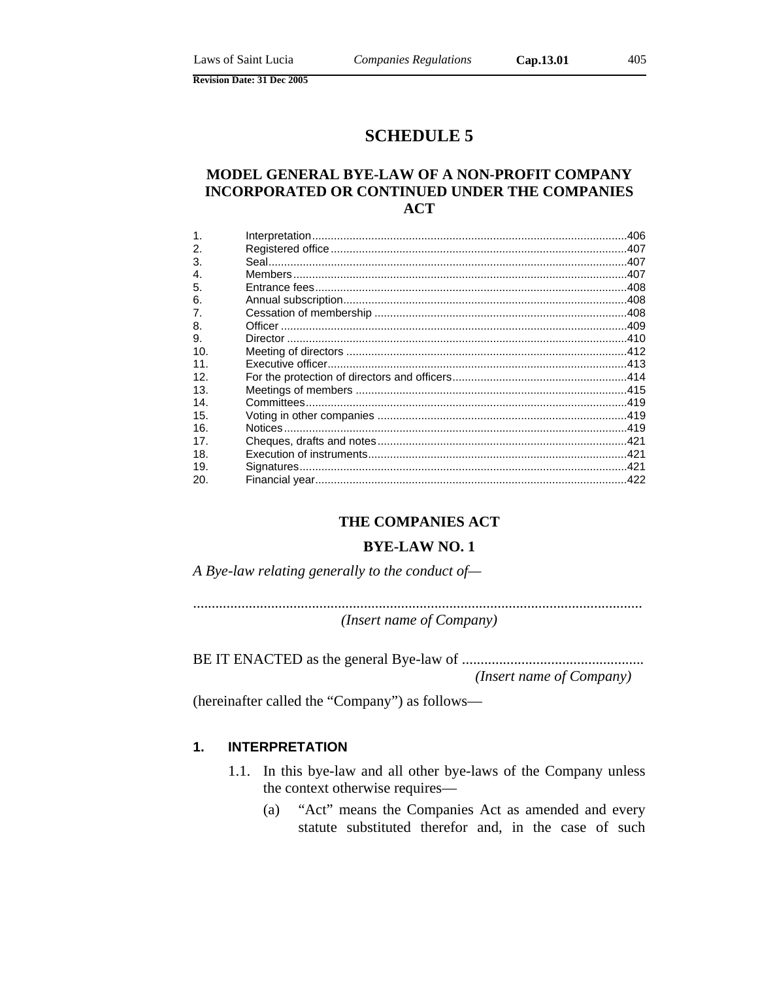# **SCHEDULE 5**

# MODEL GENERAL BYE-LAW OF A NON-PROFIT COMPANY **INCORPORATED OR CONTINUED UNDER THE COMPANIES ACT**

| $\mathbf 1$    |  |
|----------------|--|
| 2.             |  |
| 3.             |  |
| $\mathbf{4}$   |  |
| 5.             |  |
| 6.             |  |
| 7 <sub>1</sub> |  |
| 8.             |  |
| 9.             |  |
| 10.            |  |
| 11             |  |
| 12.            |  |
| 13.            |  |
| 14.            |  |
| 15.            |  |
| 16.            |  |
| 17             |  |
| 18.            |  |
| 19.            |  |
| 20.            |  |

# THE COMPANIES ACT

#### **BYE-LAW NO. 1**

A Bye-law relating generally to the conduct of-

(Insert name of Company)

(Insert name of Company)

(hereinafter called the "Company") as follows—

#### $1.$ **INTERPRETATION**

- 1.1. In this bye-law and all other bye-laws of the Company unless the context otherwise requires—
	- "Act" means the Companies Act as amended and every  $(a)$ statute substituted therefor and, in the case of such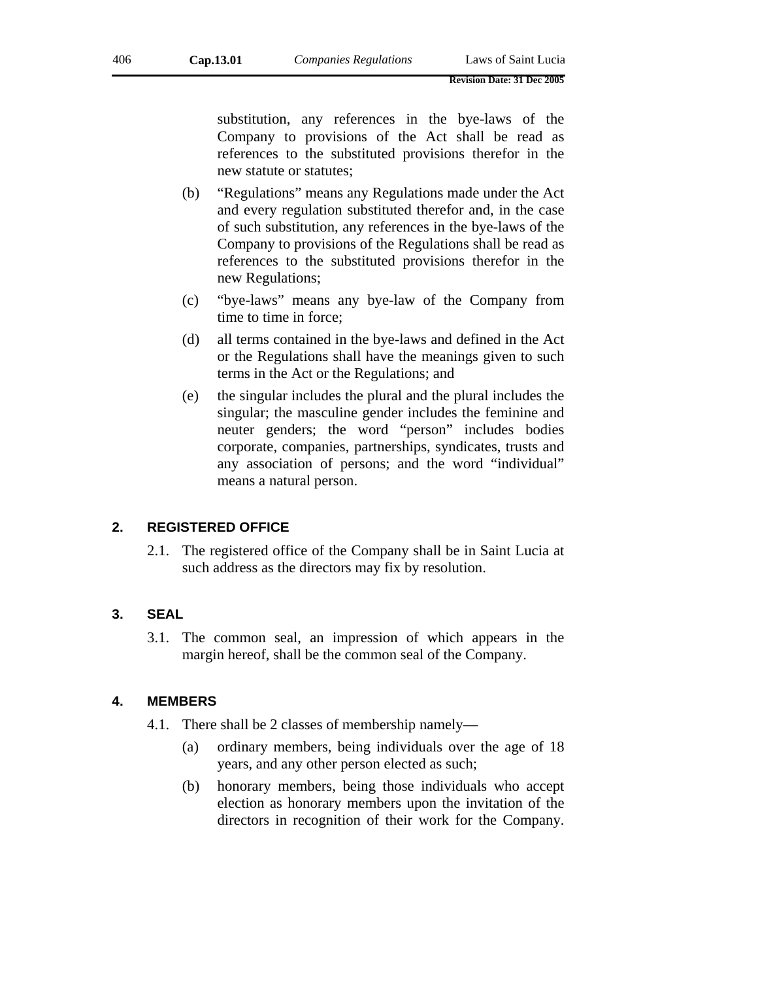substitution, any references in the bye-laws of the Company to provisions of the Act shall be read as references to the substituted provisions therefor in the new statute or statutes;

- (b) "Regulations" means any Regulations made under the Act and every regulation substituted therefor and, in the case of such substitution, any references in the bye-laws of the Company to provisions of the Regulations shall be read as references to the substituted provisions therefor in the new Regulations;
- (c) "bye-laws" means any bye-law of the Company from time to time in force;
- (d) all terms contained in the bye-laws and defined in the Act or the Regulations shall have the meanings given to such terms in the Act or the Regulations; and
- (e) the singular includes the plural and the plural includes the singular; the masculine gender includes the feminine and neuter genders; the word "person" includes bodies corporate, companies, partnerships, syndicates, trusts and any association of persons; and the word "individual" means a natural person.

# **2. REGISTERED OFFICE**

2.1. The registered office of the Company shall be in Saint Lucia at such address as the directors may fix by resolution.

# **3. SEAL**

3.1. The common seal, an impression of which appears in the margin hereof, shall be the common seal of the Company.

# **4. MEMBERS**

- 4.1. There shall be 2 classes of membership namely—
	- (a) ordinary members, being individuals over the age of 18 years, and any other person elected as such;
	- (b) honorary members, being those individuals who accept election as honorary members upon the invitation of the directors in recognition of their work for the Company.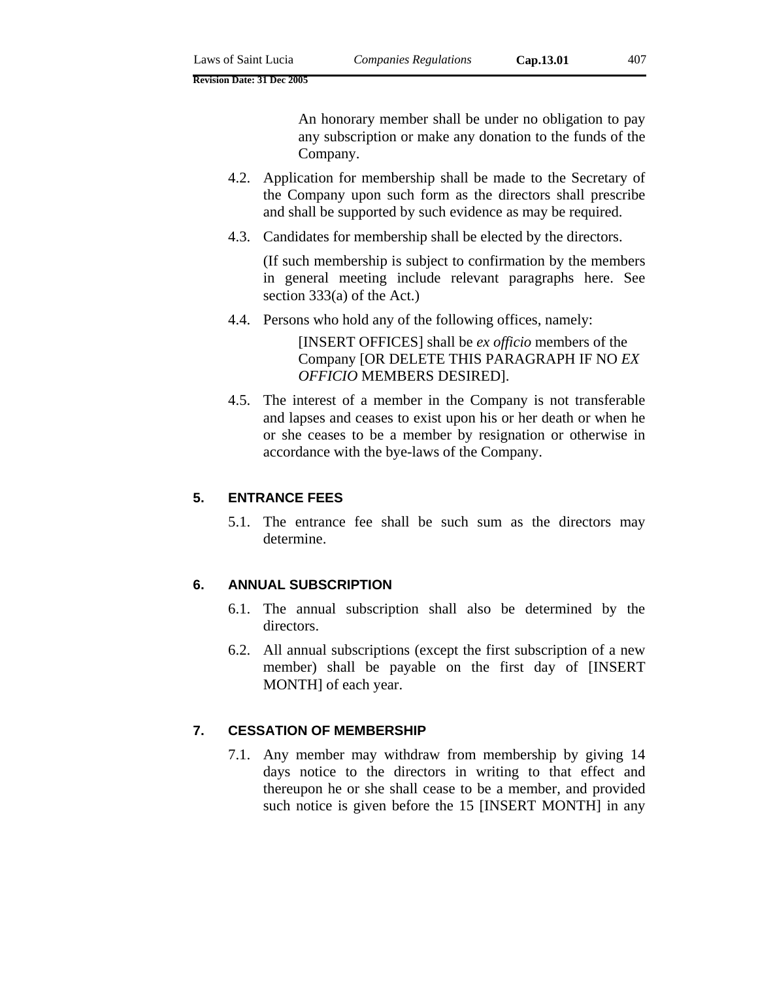An honorary member shall be under no obligation to pay any subscription or make any donation to the funds of the Company.

- 4.2. Application for membership shall be made to the Secretary of the Company upon such form as the directors shall prescribe and shall be supported by such evidence as may be required.
- 4.3. Candidates for membership shall be elected by the directors.

(If such membership is subject to confirmation by the members in general meeting include relevant paragraphs here. See section 333(a) of the Act.)

4.4. Persons who hold any of the following offices, namely:

[INSERT OFFICES] shall be *ex officio* members of the Company [OR DELETE THIS PARAGRAPH IF NO *EX OFFICIO* MEMBERS DESIRED].

4.5. The interest of a member in the Company is not transferable and lapses and ceases to exist upon his or her death or when he or she ceases to be a member by resignation or otherwise in accordance with the bye-laws of the Company.

# **5. ENTRANCE FEES**

5.1. The entrance fee shall be such sum as the directors may determine.

# **6. ANNUAL SUBSCRIPTION**

- 6.1. The annual subscription shall also be determined by the directors.
- 6.2. All annual subscriptions (except the first subscription of a new member) shall be payable on the first day of [INSERT MONTH] of each year.

# **7. CESSATION OF MEMBERSHIP**

7.1. Any member may withdraw from membership by giving 14 days notice to the directors in writing to that effect and thereupon he or she shall cease to be a member, and provided such notice is given before the 15 [INSERT MONTH] in any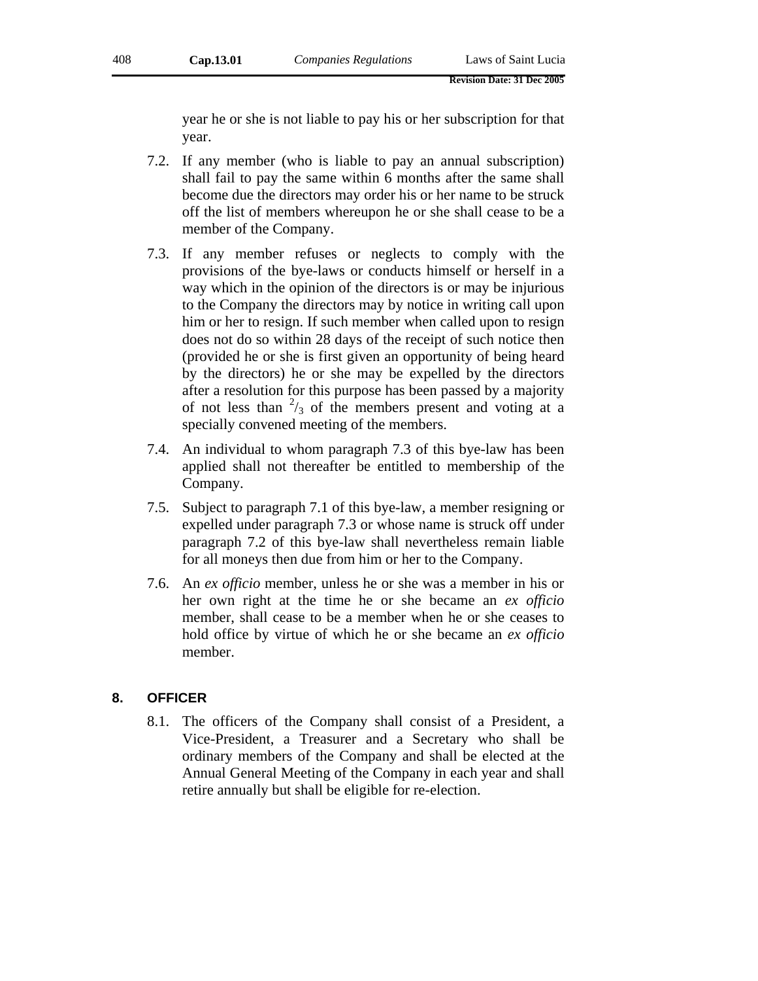year he or she is not liable to pay his or her subscription for that year.

- 7.2. If any member (who is liable to pay an annual subscription) shall fail to pay the same within 6 months after the same shall become due the directors may order his or her name to be struck off the list of members whereupon he or she shall cease to be a member of the Company.
- 7.3. If any member refuses or neglects to comply with the provisions of the bye-laws or conducts himself or herself in a way which in the opinion of the directors is or may be injurious to the Company the directors may by notice in writing call upon him or her to resign. If such member when called upon to resign does not do so within 28 days of the receipt of such notice then (provided he or she is first given an opportunity of being heard by the directors) he or she may be expelled by the directors after a resolution for this purpose has been passed by a majority of not less than  $\frac{2}{3}$  of the members present and voting at a specially convened meeting of the members.
- 7.4. An individual to whom paragraph 7.3 of this bye-law has been applied shall not thereafter be entitled to membership of the Company.
- 7.5. Subject to paragraph 7.1 of this bye-law, a member resigning or expelled under paragraph 7.3 or whose name is struck off under paragraph 7.2 of this bye-law shall nevertheless remain liable for all moneys then due from him or her to the Company.
- 7.6. An *ex officio* member, unless he or she was a member in his or her own right at the time he or she became an *ex officio* member, shall cease to be a member when he or she ceases to hold office by virtue of which he or she became an *ex officio* member.

# **8. OFFICER**

8.1. The officers of the Company shall consist of a President, a Vice-President, a Treasurer and a Secretary who shall be ordinary members of the Company and shall be elected at the Annual General Meeting of the Company in each year and shall retire annually but shall be eligible for re-election.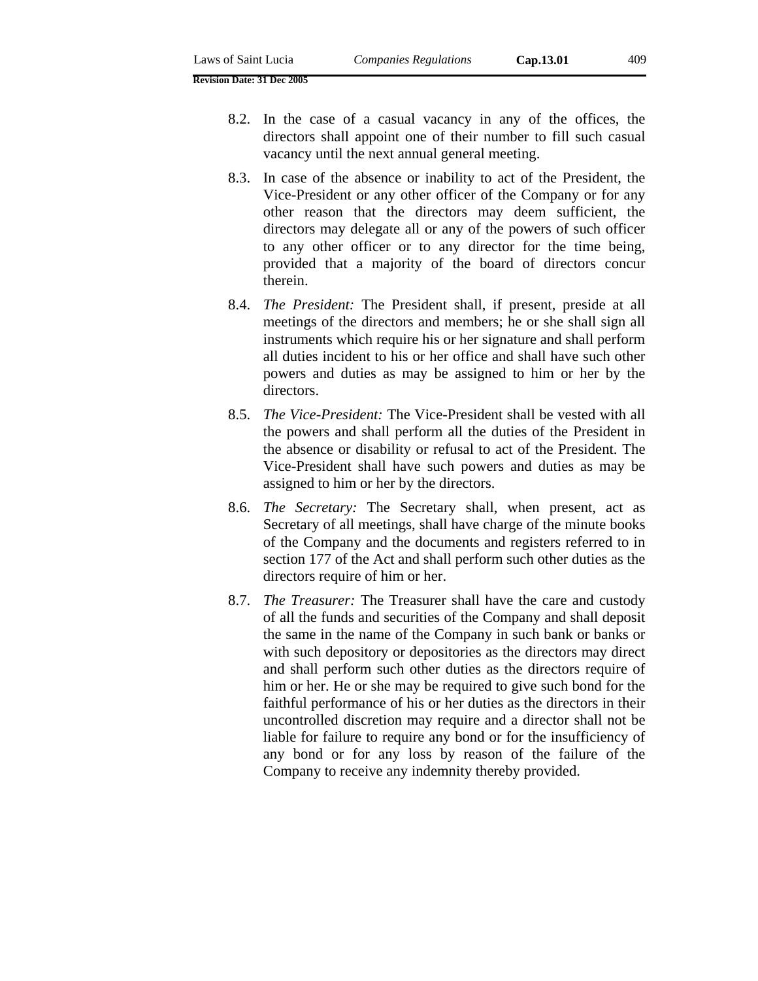- 8.2. In the case of a casual vacancy in any of the offices, the directors shall appoint one of their number to fill such casual vacancy until the next annual general meeting.
- 8.3. In case of the absence or inability to act of the President, the Vice-President or any other officer of the Company or for any other reason that the directors may deem sufficient, the directors may delegate all or any of the powers of such officer to any other officer or to any director for the time being, provided that a majority of the board of directors concur therein.
- 8.4. *The President:* The President shall, if present, preside at all meetings of the directors and members; he or she shall sign all instruments which require his or her signature and shall perform all duties incident to his or her office and shall have such other powers and duties as may be assigned to him or her by the directors.
- 8.5. *The Vice-President:* The Vice-President shall be vested with all the powers and shall perform all the duties of the President in the absence or disability or refusal to act of the President. The Vice-President shall have such powers and duties as may be assigned to him or her by the directors.
- 8.6. *The Secretary:* The Secretary shall, when present, act as Secretary of all meetings, shall have charge of the minute books of the Company and the documents and registers referred to in section 177 of the Act and shall perform such other duties as the directors require of him or her.
- 8.7. *The Treasurer:* The Treasurer shall have the care and custody of all the funds and securities of the Company and shall deposit the same in the name of the Company in such bank or banks or with such depository or depositories as the directors may direct and shall perform such other duties as the directors require of him or her. He or she may be required to give such bond for the faithful performance of his or her duties as the directors in their uncontrolled discretion may require and a director shall not be liable for failure to require any bond or for the insufficiency of any bond or for any loss by reason of the failure of the Company to receive any indemnity thereby provided.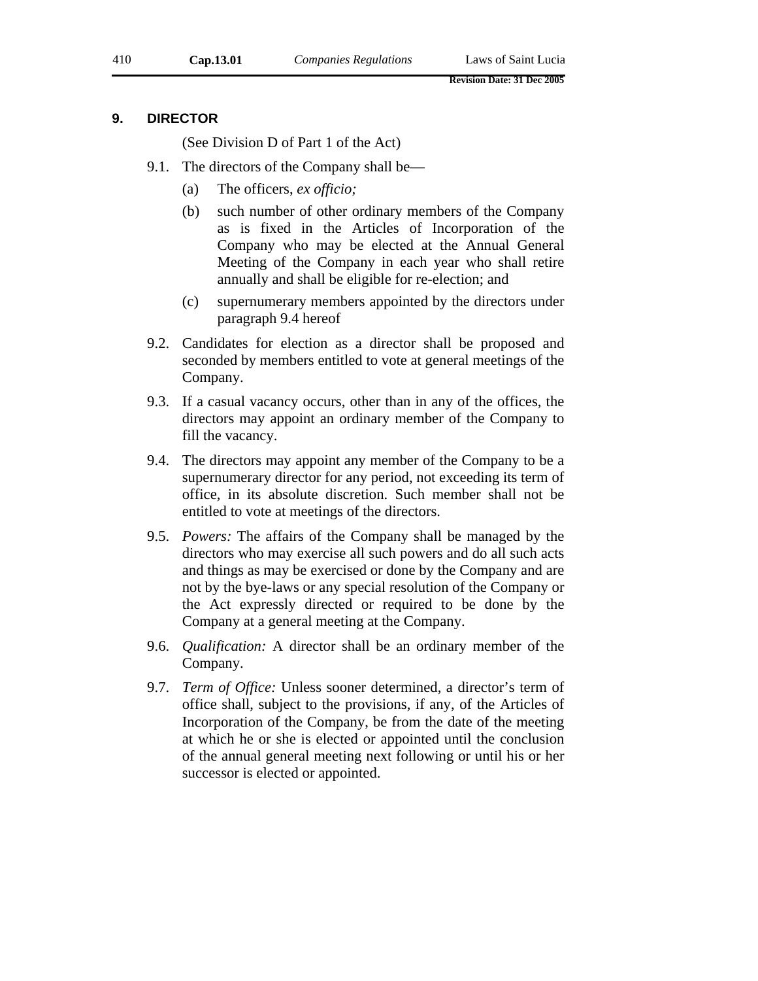## **9. DIRECTOR**

(See Division D of Part 1 of the Act)

- 9.1. The directors of the Company shall be—
	- (a) The officers, *ex officio;*
	- (b) such number of other ordinary members of the Company as is fixed in the Articles of Incorporation of the Company who may be elected at the Annual General Meeting of the Company in each year who shall retire annually and shall be eligible for re-election; and
	- (c) supernumerary members appointed by the directors under paragraph 9.4 hereof
- 9.2. Candidates for election as a director shall be proposed and seconded by members entitled to vote at general meetings of the Company.
- 9.3. If a casual vacancy occurs, other than in any of the offices, the directors may appoint an ordinary member of the Company to fill the vacancy.
- 9.4. The directors may appoint any member of the Company to be a supernumerary director for any period, not exceeding its term of office, in its absolute discretion. Such member shall not be entitled to vote at meetings of the directors.
- 9.5. *Powers:* The affairs of the Company shall be managed by the directors who may exercise all such powers and do all such acts and things as may be exercised or done by the Company and are not by the bye-laws or any special resolution of the Company or the Act expressly directed or required to be done by the Company at a general meeting at the Company.
- 9.6. *Qualification:* A director shall be an ordinary member of the Company.
- 9.7. *Term of Office:* Unless sooner determined, a director's term of office shall, subject to the provisions, if any, of the Articles of Incorporation of the Company, be from the date of the meeting at which he or she is elected or appointed until the conclusion of the annual general meeting next following or until his or her successor is elected or appointed.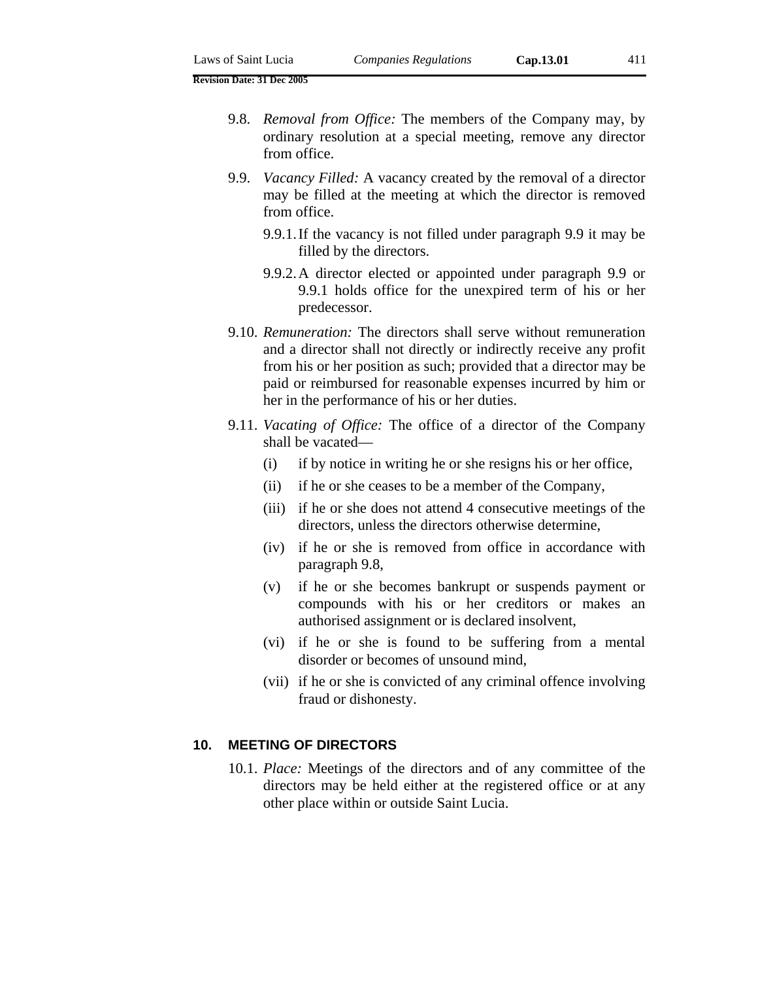- 9.9. *Vacancy Filled:* A vacancy created by the removal of a director may be filled at the meeting at which the director is removed from office.
	- 9.9.1. If the vacancy is not filled under paragraph 9.9 it may be filled by the directors.
	- 9.9.2. A director elected or appointed under paragraph 9.9 or 9.9.1 holds office for the unexpired term of his or her predecessor.
- 9.10. *Remuneration:* The directors shall serve without remuneration and a director shall not directly or indirectly receive any profit from his or her position as such; provided that a director may be paid or reimbursed for reasonable expenses incurred by him or her in the performance of his or her duties.
- 9.11. *Vacating of Office:* The office of a director of the Company shall be vacated—
	- (i) if by notice in writing he or she resigns his or her office,
	- (ii) if he or she ceases to be a member of the Company,
	- (iii) if he or she does not attend 4 consecutive meetings of the directors, unless the directors otherwise determine,
	- (iv) if he or she is removed from office in accordance with paragraph 9.8,
	- (v) if he or she becomes bankrupt or suspends payment or compounds with his or her creditors or makes an authorised assignment or is declared insolvent,
	- (vi) if he or she is found to be suffering from a mental disorder or becomes of unsound mind,
	- (vii) if he or she is convicted of any criminal offence involving fraud or dishonesty.

## **10. MEETING OF DIRECTORS**

10.1. *Place:* Meetings of the directors and of any committee of the directors may be held either at the registered office or at any other place within or outside Saint Lucia.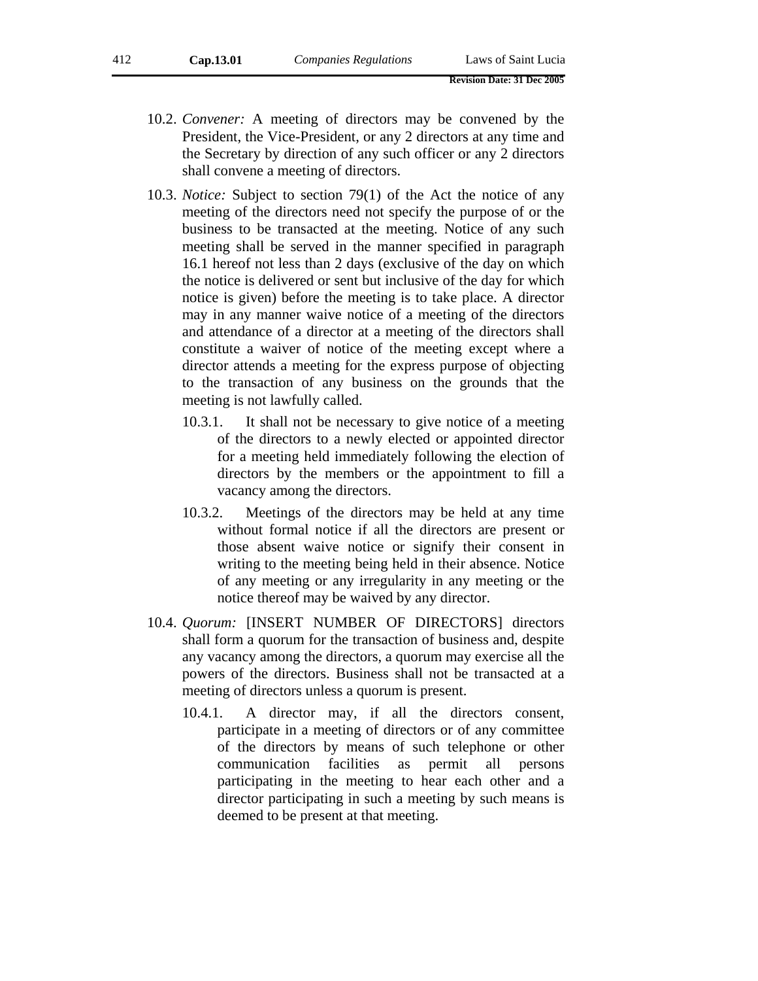- 10.2. *Convener:* A meeting of directors may be convened by the President, the Vice-President, or any 2 directors at any time and the Secretary by direction of any such officer or any 2 directors shall convene a meeting of directors.
- 10.3. *Notice:* Subject to section 79(1) of the Act the notice of any meeting of the directors need not specify the purpose of or the business to be transacted at the meeting. Notice of any such meeting shall be served in the manner specified in paragraph 16.1 hereof not less than 2 days (exclusive of the day on which the notice is delivered or sent but inclusive of the day for which notice is given) before the meeting is to take place. A director may in any manner waive notice of a meeting of the directors and attendance of a director at a meeting of the directors shall constitute a waiver of notice of the meeting except where a director attends a meeting for the express purpose of objecting to the transaction of any business on the grounds that the meeting is not lawfully called.
	- 10.3.1. It shall not be necessary to give notice of a meeting of the directors to a newly elected or appointed director for a meeting held immediately following the election of directors by the members or the appointment to fill a vacancy among the directors.
	- 10.3.2. Meetings of the directors may be held at any time without formal notice if all the directors are present or those absent waive notice or signify their consent in writing to the meeting being held in their absence. Notice of any meeting or any irregularity in any meeting or the notice thereof may be waived by any director.
- 10.4. *Quorum:* [INSERT NUMBER OF DIRECTORS] directors shall form a quorum for the transaction of business and, despite any vacancy among the directors, a quorum may exercise all the powers of the directors. Business shall not be transacted at a meeting of directors unless a quorum is present.
	- 10.4.1. A director may, if all the directors consent, participate in a meeting of directors or of any committee of the directors by means of such telephone or other communication facilities as permit all persons participating in the meeting to hear each other and a director participating in such a meeting by such means is deemed to be present at that meeting.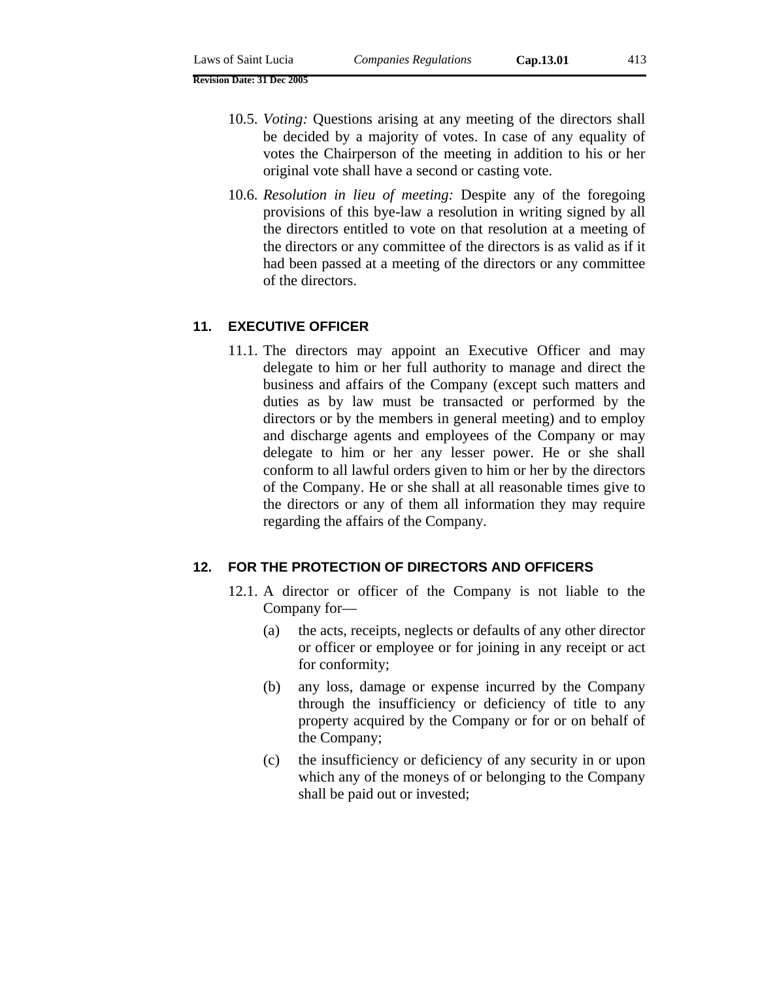- 10.5. *Voting:* Questions arising at any meeting of the directors shall be decided by a majority of votes. In case of any equality of votes the Chairperson of the meeting in addition to his or her original vote shall have a second or casting vote.
- 10.6. *Resolution in lieu of meeting:* Despite any of the foregoing provisions of this bye-law a resolution in writing signed by all the directors entitled to vote on that resolution at a meeting of the directors or any committee of the directors is as valid as if it had been passed at a meeting of the directors or any committee of the directors.

# **11. EXECUTIVE OFFICER**

11.1. The directors may appoint an Executive Officer and may delegate to him or her full authority to manage and direct the business and affairs of the Company (except such matters and duties as by law must be transacted or performed by the directors or by the members in general meeting) and to employ and discharge agents and employees of the Company or may delegate to him or her any lesser power. He or she shall conform to all lawful orders given to him or her by the directors of the Company. He or she shall at all reasonable times give to the directors or any of them all information they may require regarding the affairs of the Company.

# **12. FOR THE PROTECTION OF DIRECTORS AND OFFICERS**

- 12.1. A director or officer of the Company is not liable to the Company for—
	- (a) the acts, receipts, neglects or defaults of any other director or officer or employee or for joining in any receipt or act for conformity;
	- (b) any loss, damage or expense incurred by the Company through the insufficiency or deficiency of title to any property acquired by the Company or for or on behalf of the Company;
	- (c) the insufficiency or deficiency of any security in or upon which any of the moneys of or belonging to the Company shall be paid out or invested;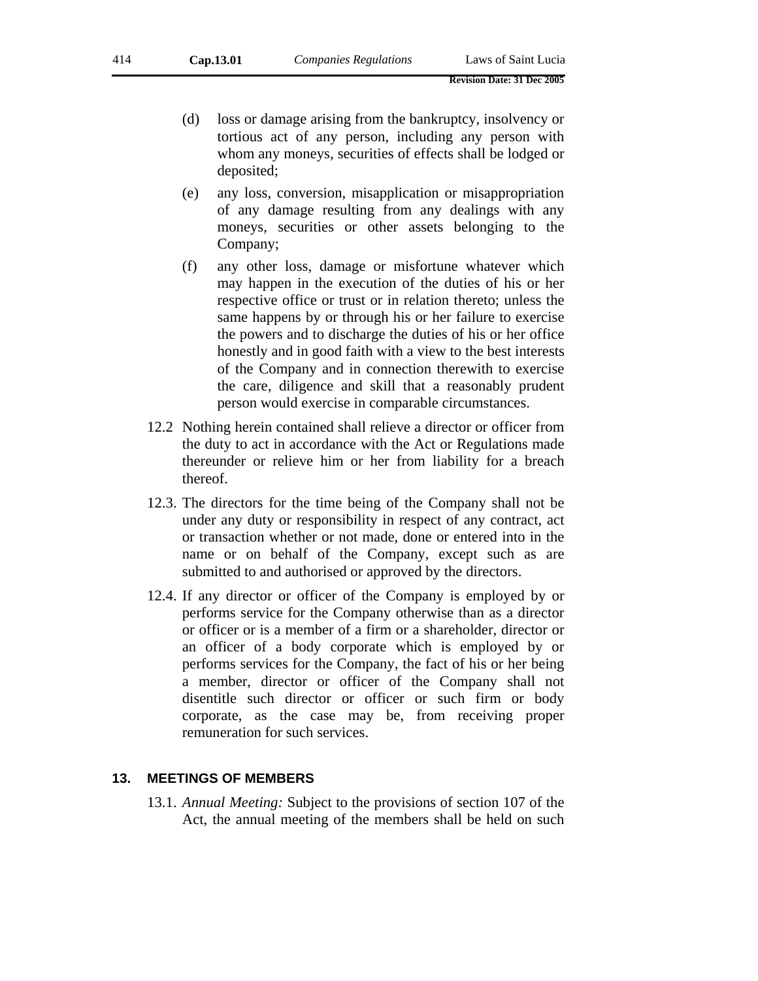- (d) loss or damage arising from the bankruptcy, insolvency or tortious act of any person, including any person with whom any moneys, securities of effects shall be lodged or deposited;
- (e) any loss, conversion, misapplication or misappropriation of any damage resulting from any dealings with any moneys, securities or other assets belonging to the Company;
- (f) any other loss, damage or misfortune whatever which may happen in the execution of the duties of his or her respective office or trust or in relation thereto; unless the same happens by or through his or her failure to exercise the powers and to discharge the duties of his or her office honestly and in good faith with a view to the best interests of the Company and in connection therewith to exercise the care, diligence and skill that a reasonably prudent person would exercise in comparable circumstances.
- 12.2 Nothing herein contained shall relieve a director or officer from the duty to act in accordance with the Act or Regulations made thereunder or relieve him or her from liability for a breach thereof.
- 12.3. The directors for the time being of the Company shall not be under any duty or responsibility in respect of any contract, act or transaction whether or not made, done or entered into in the name or on behalf of the Company, except such as are submitted to and authorised or approved by the directors.
- 12.4. If any director or officer of the Company is employed by or performs service for the Company otherwise than as a director or officer or is a member of a firm or a shareholder, director or an officer of a body corporate which is employed by or performs services for the Company, the fact of his or her being a member, director or officer of the Company shall not disentitle such director or officer or such firm or body corporate, as the case may be, from receiving proper remuneration for such services.

# **13. MEETINGS OF MEMBERS**

13.1. *Annual Meeting:* Subject to the provisions of section 107 of the Act, the annual meeting of the members shall be held on such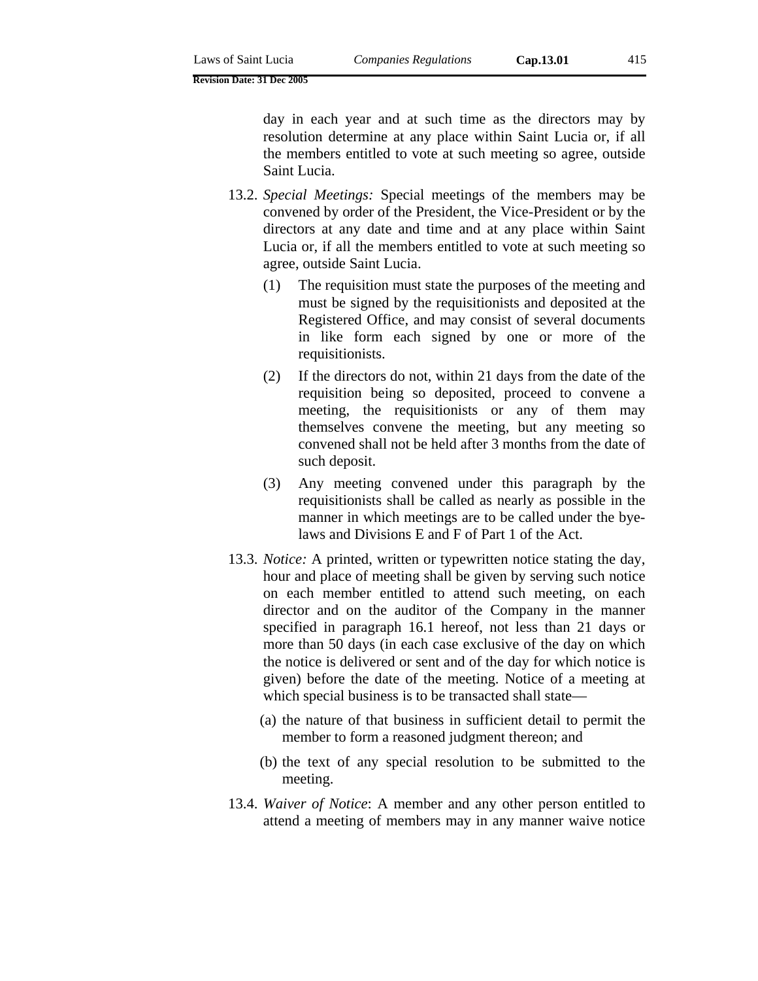day in each year and at such time as the directors may by resolution determine at any place within Saint Lucia or, if all the members entitled to vote at such meeting so agree, outside Saint Lucia.

- 13.2. *Special Meetings:* Special meetings of the members may be convened by order of the President, the Vice-President or by the directors at any date and time and at any place within Saint Lucia or, if all the members entitled to vote at such meeting so agree, outside Saint Lucia.
	- (1) The requisition must state the purposes of the meeting and must be signed by the requisitionists and deposited at the Registered Office, and may consist of several documents in like form each signed by one or more of the requisitionists.
	- (2) If the directors do not, within 21 days from the date of the requisition being so deposited, proceed to convene a meeting, the requisitionists or any of them may themselves convene the meeting, but any meeting so convened shall not be held after 3 months from the date of such deposit.
	- (3) Any meeting convened under this paragraph by the requisitionists shall be called as nearly as possible in the manner in which meetings are to be called under the byelaws and Divisions E and F of Part 1 of the Act.
- 13.3. *Notice:* A printed, written or typewritten notice stating the day, hour and place of meeting shall be given by serving such notice on each member entitled to attend such meeting, on each director and on the auditor of the Company in the manner specified in paragraph 16.1 hereof, not less than 21 days or more than 50 days (in each case exclusive of the day on which the notice is delivered or sent and of the day for which notice is given) before the date of the meeting. Notice of a meeting at which special business is to be transacted shall state—
	- (a) the nature of that business in sufficient detail to permit the member to form a reasoned judgment thereon; and
	- (b) the text of any special resolution to be submitted to the meeting.
- 13.4. *Waiver of Notice*: A member and any other person entitled to attend a meeting of members may in any manner waive notice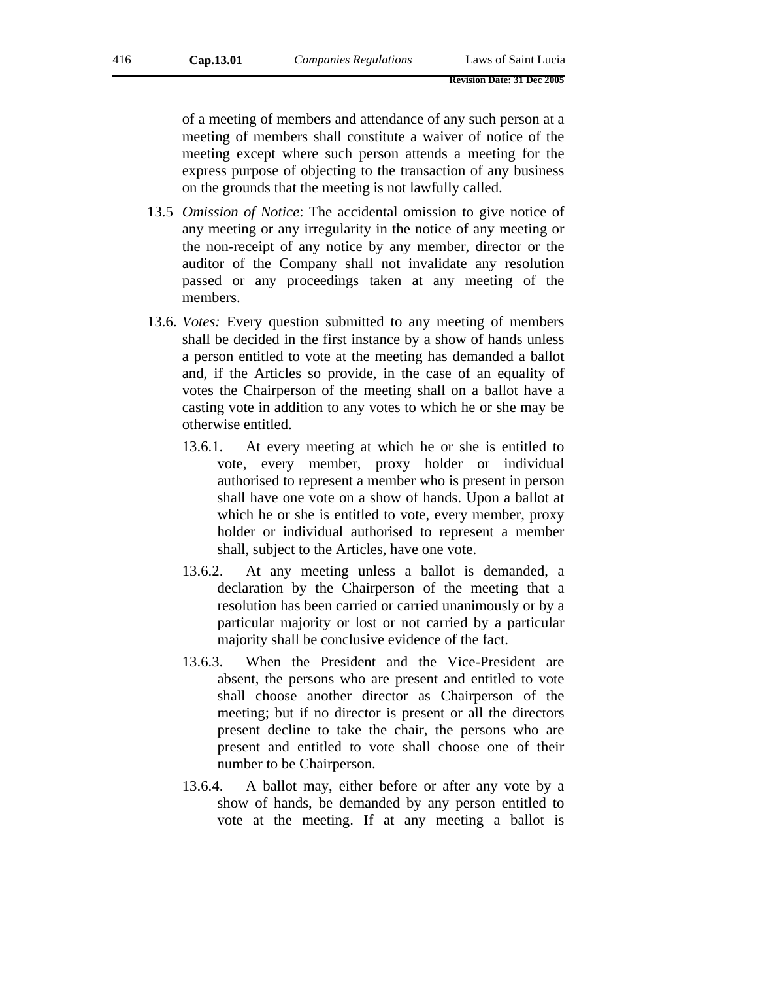of a meeting of members and attendance of any such person at a meeting of members shall constitute a waiver of notice of the meeting except where such person attends a meeting for the express purpose of objecting to the transaction of any business on the grounds that the meeting is not lawfully called.

- 13.5 *Omission of Notice*: The accidental omission to give notice of any meeting or any irregularity in the notice of any meeting or the non-receipt of any notice by any member, director or the auditor of the Company shall not invalidate any resolution passed or any proceedings taken at any meeting of the members.
- 13.6. *Votes:* Every question submitted to any meeting of members shall be decided in the first instance by a show of hands unless a person entitled to vote at the meeting has demanded a ballot and, if the Articles so provide, in the case of an equality of votes the Chairperson of the meeting shall on a ballot have a casting vote in addition to any votes to which he or she may be otherwise entitled.
	- 13.6.1. At every meeting at which he or she is entitled to vote, every member, proxy holder or individual authorised to represent a member who is present in person shall have one vote on a show of hands. Upon a ballot at which he or she is entitled to vote, every member, proxy holder or individual authorised to represent a member shall, subject to the Articles, have one vote.
	- 13.6.2. At any meeting unless a ballot is demanded, a declaration by the Chairperson of the meeting that a resolution has been carried or carried unanimously or by a particular majority or lost or not carried by a particular majority shall be conclusive evidence of the fact.
	- 13.6.3. When the President and the Vice-President are absent, the persons who are present and entitled to vote shall choose another director as Chairperson of the meeting; but if no director is present or all the directors present decline to take the chair, the persons who are present and entitled to vote shall choose one of their number to be Chairperson.
	- 13.6.4. A ballot may, either before or after any vote by a show of hands, be demanded by any person entitled to vote at the meeting. If at any meeting a ballot is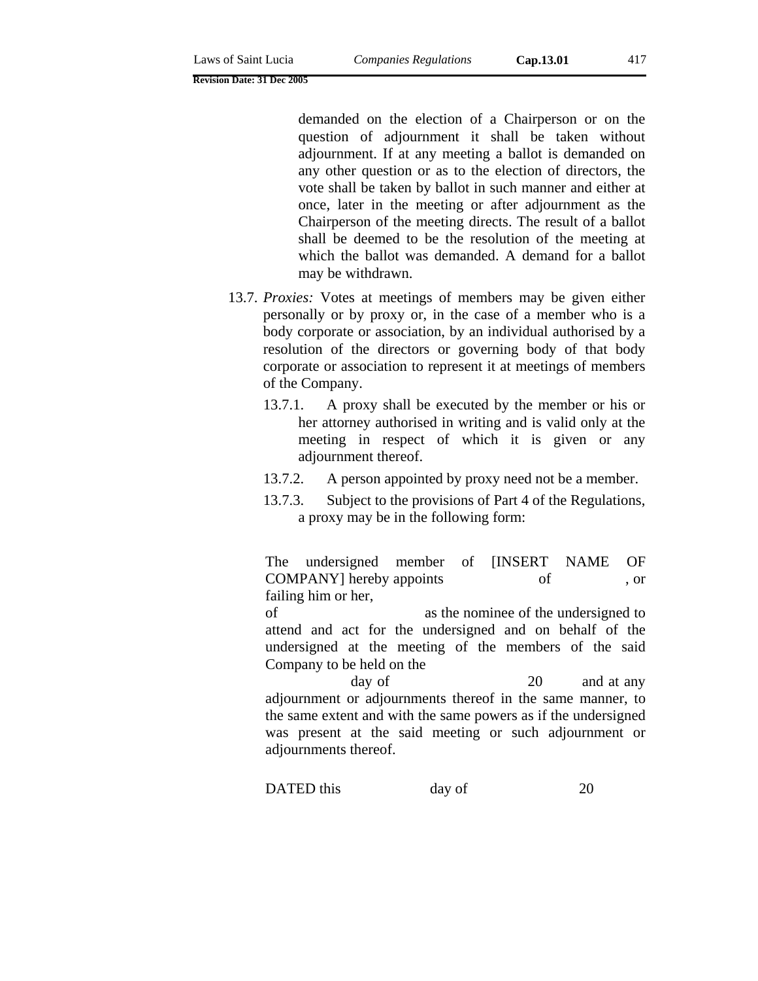demanded on the election of a Chairperson or on the question of adjournment it shall be taken without adjournment. If at any meeting a ballot is demanded on any other question or as to the election of directors, the vote shall be taken by ballot in such manner and either at once, later in the meeting or after adjournment as the Chairperson of the meeting directs. The result of a ballot shall be deemed to be the resolution of the meeting at which the ballot was demanded. A demand for a ballot may be withdrawn.

- 13.7. *Proxies:* Votes at meetings of members may be given either personally or by proxy or, in the case of a member who is a body corporate or association, by an individual authorised by a resolution of the directors or governing body of that body corporate or association to represent it at meetings of members of the Company.
	- 13.7.1. A proxy shall be executed by the member or his or her attorney authorised in writing and is valid only at the meeting in respect of which it is given or any adjournment thereof.
	- 13.7.2. A person appointed by proxy need not be a member.
	- 13.7.3. Subject to the provisions of Part 4 of the Regulations, a proxy may be in the following form:

The undersigned member of [INSERT NAME OF COMPANY] hereby appoints of or failing him or her, of as the nominee of the undersigned to

attend and act for the undersigned and on behalf of the undersigned at the meeting of the members of the said Company to be held on the

day of 20 and at any adjournment or adjournments thereof in the same manner, to the same extent and with the same powers as if the undersigned was present at the said meeting or such adjournment or adjournments thereof.

DATED this day of 20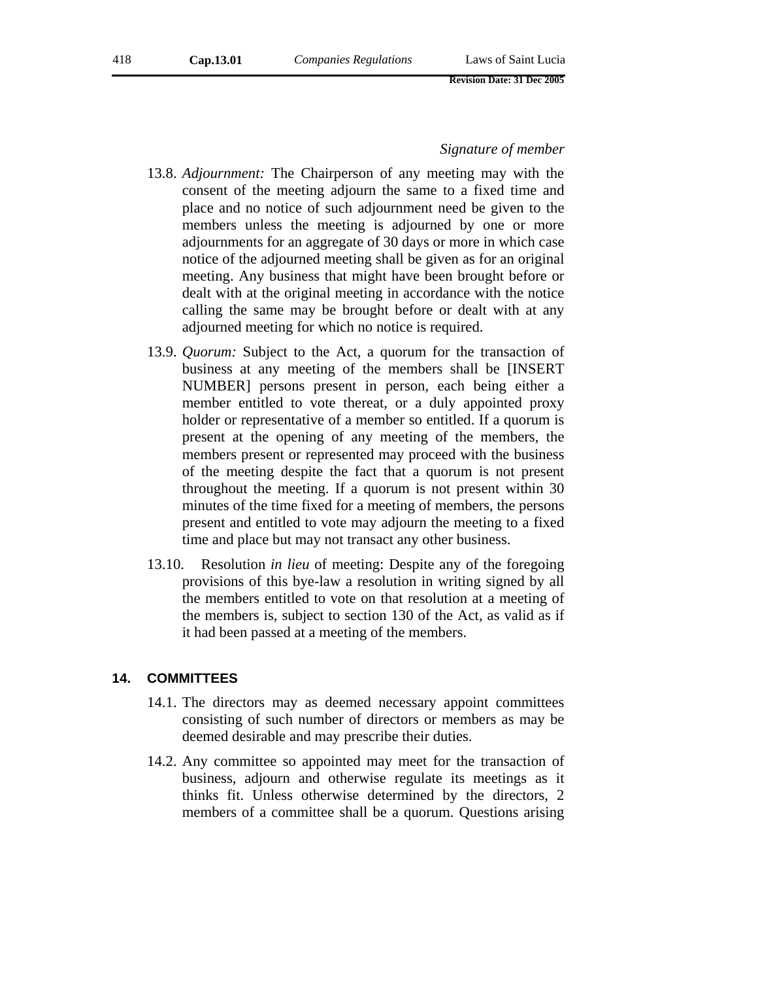#### *Signature of member*

- 13.8. *Adjournment:* The Chairperson of any meeting may with the consent of the meeting adjourn the same to a fixed time and place and no notice of such adjournment need be given to the members unless the meeting is adjourned by one or more adjournments for an aggregate of 30 days or more in which case notice of the adjourned meeting shall be given as for an original meeting. Any business that might have been brought before or dealt with at the original meeting in accordance with the notice calling the same may be brought before or dealt with at any adjourned meeting for which no notice is required.
- 13.9. *Quorum:* Subject to the Act, a quorum for the transaction of business at any meeting of the members shall be [INSERT NUMBER] persons present in person, each being either a member entitled to vote thereat, or a duly appointed proxy holder or representative of a member so entitled. If a quorum is present at the opening of any meeting of the members, the members present or represented may proceed with the business of the meeting despite the fact that a quorum is not present throughout the meeting. If a quorum is not present within 30 minutes of the time fixed for a meeting of members, the persons present and entitled to vote may adjourn the meeting to a fixed time and place but may not transact any other business.
- 13.10. Resolution *in lieu* of meeting: Despite any of the foregoing provisions of this bye-law a resolution in writing signed by all the members entitled to vote on that resolution at a meeting of the members is, subject to section 130 of the Act, as valid as if it had been passed at a meeting of the members.

# **14. COMMITTEES**

- 14.1. The directors may as deemed necessary appoint committees consisting of such number of directors or members as may be deemed desirable and may prescribe their duties.
- 14.2. Any committee so appointed may meet for the transaction of business, adjourn and otherwise regulate its meetings as it thinks fit. Unless otherwise determined by the directors, 2 members of a committee shall be a quorum. Questions arising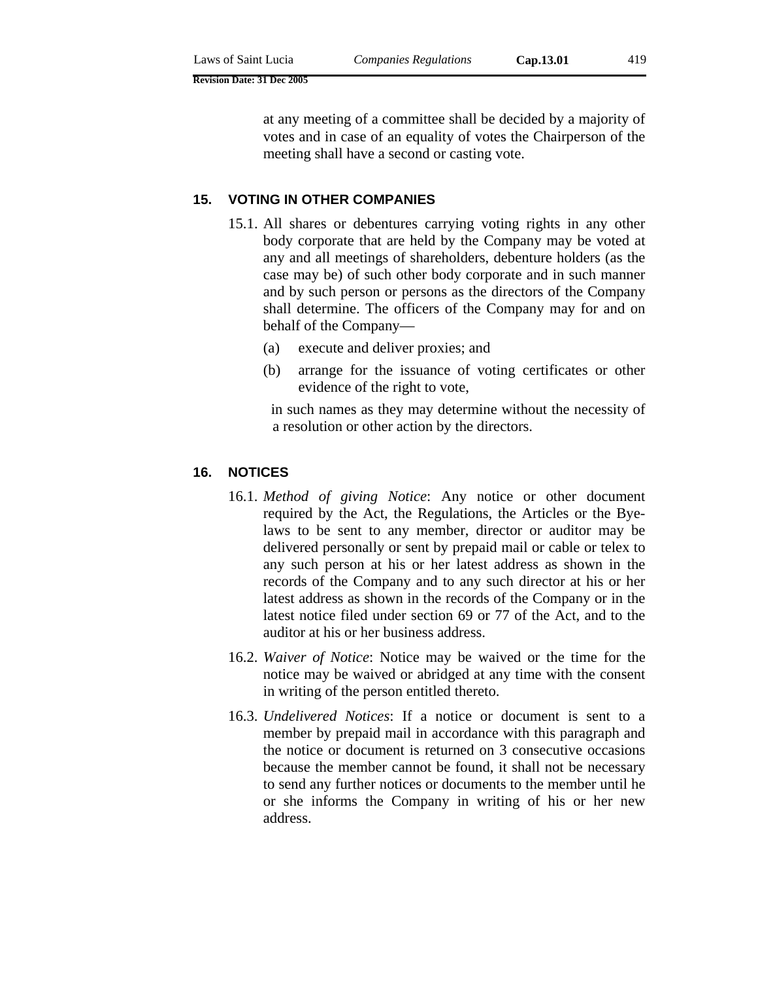at any meeting of a committee shall be decided by a majority of votes and in case of an equality of votes the Chairperson of the meeting shall have a second or casting vote.

## **15. VOTING IN OTHER COMPANIES**

- 15.1. All shares or debentures carrying voting rights in any other body corporate that are held by the Company may be voted at any and all meetings of shareholders, debenture holders (as the case may be) of such other body corporate and in such manner and by such person or persons as the directors of the Company shall determine. The officers of the Company may for and on behalf of the Company—
	- (a) execute and deliver proxies; and
	- (b) arrange for the issuance of voting certificates or other evidence of the right to vote,

in such names as they may determine without the necessity of a resolution or other action by the directors.

## **16. NOTICES**

- 16.1. *Method of giving Notice*: Any notice or other document required by the Act, the Regulations, the Articles or the Byelaws to be sent to any member, director or auditor may be delivered personally or sent by prepaid mail or cable or telex to any such person at his or her latest address as shown in the records of the Company and to any such director at his or her latest address as shown in the records of the Company or in the latest notice filed under section 69 or 77 of the Act, and to the auditor at his or her business address.
- 16.2. *Waiver of Notice*: Notice may be waived or the time for the notice may be waived or abridged at any time with the consent in writing of the person entitled thereto.
- 16.3. *Undelivered Notices*: If a notice or document is sent to a member by prepaid mail in accordance with this paragraph and the notice or document is returned on 3 consecutive occasions because the member cannot be found, it shall not be necessary to send any further notices or documents to the member until he or she informs the Company in writing of his or her new address.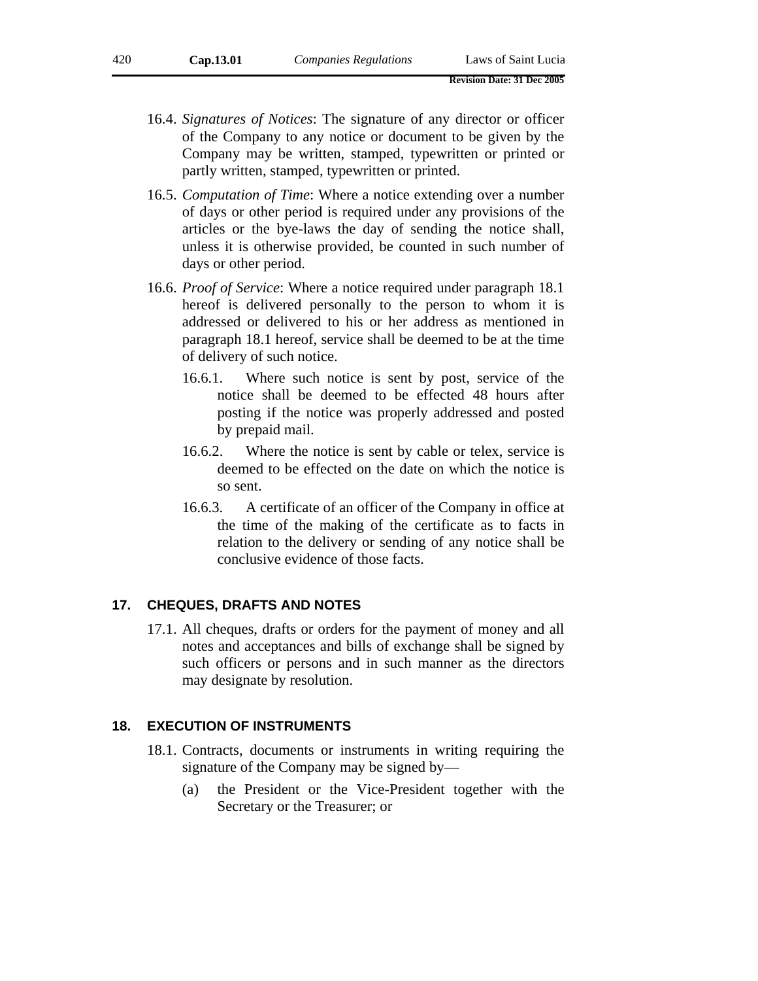- 16.4. *Signatures of Notices*: The signature of any director or officer of the Company to any notice or document to be given by the Company may be written, stamped, typewritten or printed or partly written, stamped, typewritten or printed.
- 16.5. *Computation of Time*: Where a notice extending over a number of days or other period is required under any provisions of the articles or the bye-laws the day of sending the notice shall, unless it is otherwise provided, be counted in such number of days or other period.
- 16.6. *Proof of Service*: Where a notice required under paragraph 18.1 hereof is delivered personally to the person to whom it is addressed or delivered to his or her address as mentioned in paragraph 18.1 hereof, service shall be deemed to be at the time of delivery of such notice.
	- 16.6.1. Where such notice is sent by post, service of the notice shall be deemed to be effected 48 hours after posting if the notice was properly addressed and posted by prepaid mail.
	- 16.6.2. Where the notice is sent by cable or telex, service is deemed to be effected on the date on which the notice is so sent.
	- 16.6.3. A certificate of an officer of the Company in office at the time of the making of the certificate as to facts in relation to the delivery or sending of any notice shall be conclusive evidence of those facts.

#### **17. CHEQUES, DRAFTS AND NOTES**

17.1. All cheques, drafts or orders for the payment of money and all notes and acceptances and bills of exchange shall be signed by such officers or persons and in such manner as the directors may designate by resolution.

# **18. EXECUTION OF INSTRUMENTS**

- 18.1. Contracts, documents or instruments in writing requiring the signature of the Company may be signed by—
	- (a) the President or the Vice-President together with the Secretary or the Treasurer; or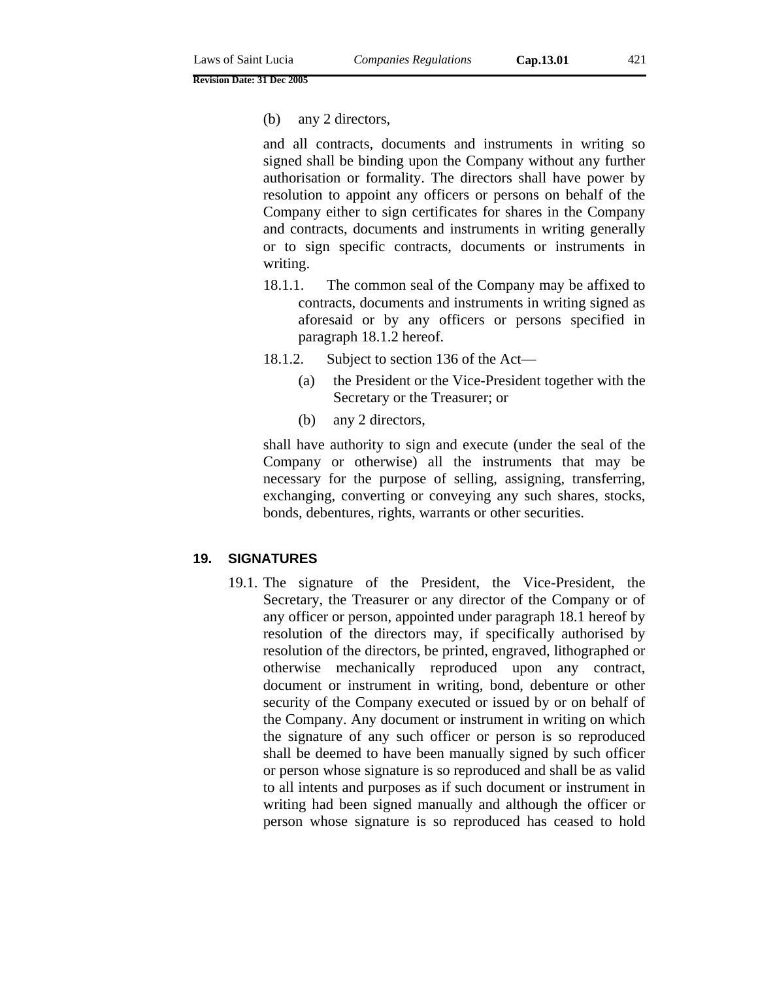and all contracts, documents and instruments in writing so signed shall be binding upon the Company without any further authorisation or formality. The directors shall have power by resolution to appoint any officers or persons on behalf of the Company either to sign certificates for shares in the Company and contracts, documents and instruments in writing generally or to sign specific contracts, documents or instruments in writing.

- 18.1.1. The common seal of the Company may be affixed to contracts, documents and instruments in writing signed as aforesaid or by any officers or persons specified in paragraph 18.1.2 hereof.
- 18.1.2. Subject to section 136 of the Act—
	- (a) the President or the Vice-President together with the Secretary or the Treasurer; or
	- (b) any 2 directors,

shall have authority to sign and execute (under the seal of the Company or otherwise) all the instruments that may be necessary for the purpose of selling, assigning, transferring, exchanging, converting or conveying any such shares, stocks, bonds, debentures, rights, warrants or other securities.

# **19. SIGNATURES**

19.1. The signature of the President, the Vice-President, the Secretary, the Treasurer or any director of the Company or of any officer or person, appointed under paragraph 18.1 hereof by resolution of the directors may, if specifically authorised by resolution of the directors, be printed, engraved, lithographed or otherwise mechanically reproduced upon any contract, document or instrument in writing, bond, debenture or other security of the Company executed or issued by or on behalf of the Company. Any document or instrument in writing on which the signature of any such officer or person is so reproduced shall be deemed to have been manually signed by such officer or person whose signature is so reproduced and shall be as valid to all intents and purposes as if such document or instrument in writing had been signed manually and although the officer or person whose signature is so reproduced has ceased to hold